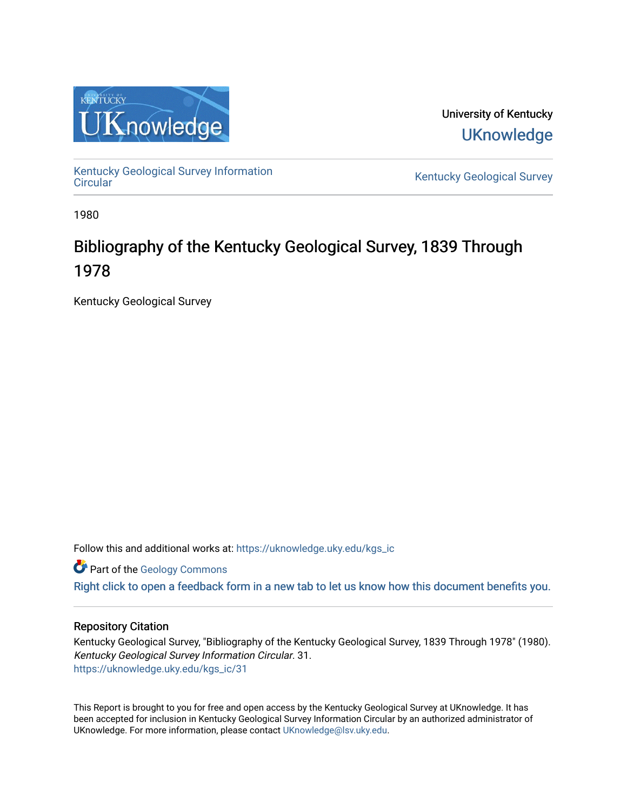

University of Kentucky **UKnowledge** 

[Kentucky Geological Survey Information](https://uknowledge.uky.edu/kgs_ic) 

Kentucky Geological Survey

1980

# Bibliography of the Kentucky Geological Survey, 1839 Through 1978

Kentucky Geological Survey

Follow this and additional works at: [https://uknowledge.uky.edu/kgs\\_ic](https://uknowledge.uky.edu/kgs_ic?utm_source=uknowledge.uky.edu%2Fkgs_ic%2F31&utm_medium=PDF&utm_campaign=PDFCoverPages)

**Part of the [Geology Commons](http://network.bepress.com/hgg/discipline/156?utm_source=uknowledge.uky.edu%2Fkgs_ic%2F31&utm_medium=PDF&utm_campaign=PDFCoverPages)** 

[Right click to open a feedback form in a new tab to let us know how this document benefits you.](https://uky.az1.qualtrics.com/jfe/form/SV_9mq8fx2GnONRfz7)

## Repository Citation

Kentucky Geological Survey, "Bibliography of the Kentucky Geological Survey, 1839 Through 1978" (1980). Kentucky Geological Survey Information Circular. 31. [https://uknowledge.uky.edu/kgs\\_ic/31](https://uknowledge.uky.edu/kgs_ic/31?utm_source=uknowledge.uky.edu%2Fkgs_ic%2F31&utm_medium=PDF&utm_campaign=PDFCoverPages) 

This Report is brought to you for free and open access by the Kentucky Geological Survey at UKnowledge. It has been accepted for inclusion in Kentucky Geological Survey Information Circular by an authorized administrator of UKnowledge. For more information, please contact [UKnowledge@lsv.uky.edu](mailto:UKnowledge@lsv.uky.edu).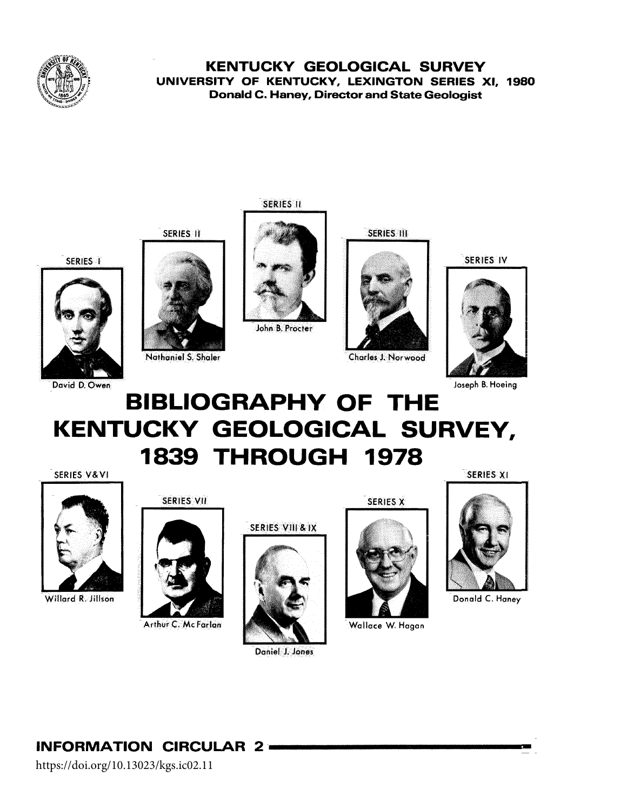

# **KENTUCKY GEOLOGICAL SURVEY** UNIVERSITY OF KENTUCKY, LEXINGTON SERIES XI, 1980 **Donald C. Haney, Director and State Geologist**





David D. Owen

**SERIES II** 



John B. Procter

**SERIES III** 



Charles J. Norwood

SERIES IV



Joseph B. Hoeing

# **BIBLIOGRAPHY OF THE** KENTUCKY GEOLOGICAL SURVEY, **1839 THROUGH 1978** SERIES XI

SERIES V&VI



Willard R. Jillson

SERIES VII

SERIES II

Nathaniel S. Shaler



Arthur C. McFarlan





Daniel J. Jones

SERIES X



Wallace W. Hagan



Donald C. Haney

**INFORMATION CIRCULAR 2 -**

https://doi.org/10.13023/kgs.ic02.11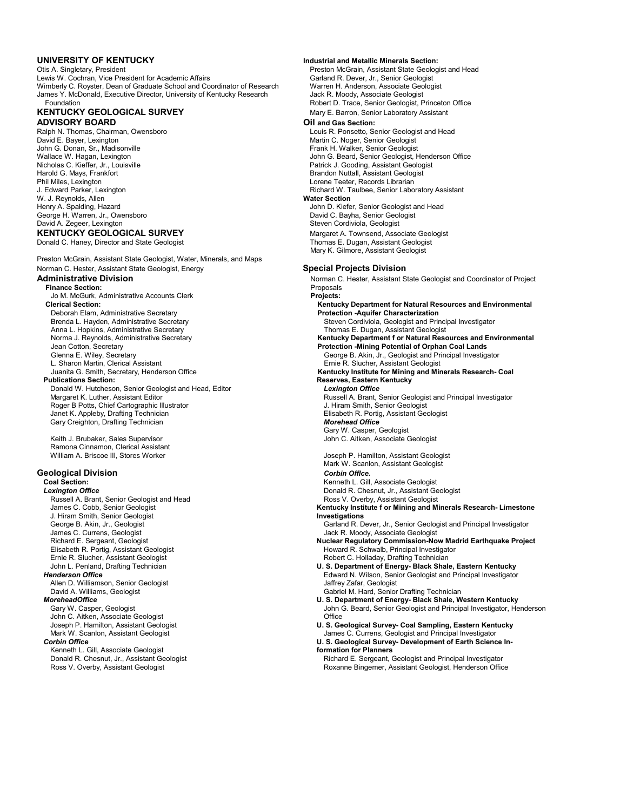Otis A. Singletary, President Charles and Head Lewis A. Singletary, Preston McGrain, Assistant State Geologist and Head<br>Lewis W. Cochran, Vice President for Academic Affairs Charles Correst Carland R. Dever, Jr., Senior Ge Lewis W. Cochran, Vice President for Academic Affairs Wimberly C. Royster, Dean of Graduate School and Coordinator of Research Warren H. Anderson, Associate Geologist<br>James Y. McDonald, Executive Director, University of Kentucky Research Jack R. Moody, Associate Geologist James Y. McDonald, Executive Director, University of Kentucky Research

# **KENTUCKY GEOLOGICAL SURVEY**<br> **ADVISORY BOARD** Mary E. Barron, Senior Laboratory Assistant<br>
Oil and Gas Section:

Ralph N. Thomas, Chairman, Owensboro Louis R. Ponsetto, Senior Geologist and Head<br>Louis R. Ponsetto, Senior Geologist and Head<br>Martin C. Noger, Senior Geologist David E. Bayer, Lexington Martin C. Noger, Senior Geologist<br>
John G. Donan, Sr., Madisonville<br>
John G. Donan, Sr., Madisonville John G. Donan, Sr., Madisonville Frank H. Walker, Senior Geologist<br>Wallace W. Hagan, Lexington Frank H. Wallace W. Hagan, Senior Geologist, H. Walker, Senior Geologist, H. Walke Nicholas C. Kieffer, Jr., Louisville Patrick J. Gooding, Assistant Geologist Harold G. Mays, Frankfort **Brandon Automatic State of Convention**<br>Phil Miles, Lexington **Brandon Nuttall, Assistant Geologist**<br>Drene Teeter, Records Librarian Phil Miles, Lexington Lorene Teeter, Records Librarian W. J. Reynolds, Allen<br>Henry A. Spalding, Hazard George H. Warren, Jr., Owensboro **David C. Bayha, Senior Geologist** David C. Bayha, Senior Geologist<br>David A. Zegeer, Lexington David C. Bayha, Senior Geologist C. Bayha, Steven Cordiviola, Geologist **KENTUCKY GEOLOGICAL SURVEY Margaret A. Townsend, Associate Geologist** 

Preston McGrain, Assistant State Geologist, Water, Minerals, and Maps Norman C. Hester, Assistant State Geologist, Energy **Special Projects Division** 

**Finance Section:** Proposals Jo M. McGurk, Administrative Accounts Clerk **Projects:** Deborah Elam, Administrative Secretary<br>Brenda L. Hayden, Administrative Secretary Anna L. Hopkins, Administrative Secretary<br>Norma J. Reynolds, Administrative Secretary **Publications Section:**<br>
Donald W. Hutcheson, Senior Geologist and Head, Editor **Reserves, Eastern Kentucky**<br> **Reserves, Eastern Kentucky** Donald W. Hutcheson, Senior Geologist and Head, Editor Roger B Potts, Chief Cartographic Illustrator<br>Janet K. Appleby, Drafting Technician **Gary Creighton, Drafting Technician** 

Ramona Cinnamon, Clerical Assistant

Russell A. Brant, Senior Geologist and Head<br>James C. Cobb, Senior Geologist J. Hiram Smith, Senior Geologist<br>George B. Akin, Jr., Geologist Ernie R. Slucher, Assistant Geologist and the state of the state of the Robert C. Holladay, Drafting Technician<br>1999 John L. Penland, Drafting Technician and the state of the state of the State State of the State State of Allen D. Williamson, Senior Geologist<br>
David A. Williams, Geologist Georgist Cabriel M. Hard, Senior

John C. Aitken, Associate Geologist

Kenneth L. Gill, Associate Geologist **formation for Planners**

#### **UNIVERSITY OF KENTUCKY Industrial and Metallic Minerals Section:**

Foundation **Foundation** Robert D. Trace, Senior Geologist, Princeton Office<br>Mary E. Barron, Senior Laboratory Assistant

#### $Oil$  and Gas Section:

Wallace W. Hagan, Lexington Christianus and the Unit of State John G. Beard, Senior Geologist, Henderson Office<br>
Patrick J. Gooding, Assistant Geologist Richard W. Taulbee, Senior Laboratory Assistant<br>Water Section

John D. Kiefer, Senior Geologist and Head Steven Cordiviola, Geologist Donald C. Haney, Director and State Geologist Thomas E. Dugan, Assistant Geologist Center Mary K. Gilmore, Assistant Geologist

**Administrative Division** Norman C. Hester, Assistant State Geologist and Coordinator of Project **Kentucky Department for Natural Resources and Environmental<br>Protection -Aquifer Characterization** Steven Cordiviola, Geologist and Principal Investigator<br>Thomas E. Dugan, Assistant Geologist Norma J. Reynolds, Administrative Secretary **Kentucky Department for Natural Resources and Environmental**<br>Jean Cotton, Secretary **Containst and Environmental**<br>**Protection -Mining Potential of Orphan Coal Lands** Jean Cotton, Secretary **Protection -Mining Potential of Orphan Coal Lands** Glenna E. Wiley, Secretary and The States of Testam Control of George B. Akin, Jr., Geologist and Principal Investigator<br>Ernie R. Slucher, Assistant Geologist and Museum Christian Ernie R. Slucher, Assistant Geologist Ernie R. Slucher, Assistant Geologist Juanita G. Smith, Secretary, Henderson Office **Kentucky Institute for Mining and Minerals Research- Coal** Margaret K. Luther, Assistant Editor Russell A. Brant, Senior Geologist and Principal Investigator Russell A. Brant, Senior Geologist and Principal Investigator Russell A. Brant, Senior Geologist and Principal Investigator Elisabeth R. Portig, Assistant Geologist<br>Morehead Office Gary W. Casper, Geologist Keith J. Brubaker, Sales Supervisor John C. Aitken, Associate Geologist William A. Briscoe III, Stores Worker **Joseph P. Hamilton, Assistant Geologist** Joseph P. Hamilton, Assistant Geologist Mark W. Scanlon, Assistant Geologist **Geological Division** *Corbin Offlce.* **Coal Section:** Community Community Community Community Community Community Community Community Community Community Community Community Community Community Community Community Community Community Community Community Commun **Lexington Office**<br>
Russell A. Brant, Senior Geologist and Head<br>
Ross V. Overby, Assistant Geologist Kentucky Institute f or Mining and Minerals Research- Limestone<br>Investigations George B. Akin, Jr., Geologist Chronic Communisties Carland R. Dever, Jr., Senior Geologist and Principal Investigator<br>Garland R. Dever, Jr., Senior Geologist Annual Investigator Chronic Chronic Chronic Chronic Chronic Com Jack R. Moody, Associate Geologist Richard E. Sergeant, Geologist **Nuclear Regulatory Commission-Now Madrid Earthquake Project**<br>Als Howard R. Schwalb, Principal Investigator build be reader to the Schwalb, Principal Investigator Howard R. Schwalb, Principal Investigator John L. Penland, Drafting Technician **U. S. Department of Energy- Black Shale, Eastern Kentucky Henderson Office Edward N. Wilson, Senior Geologist and Principal Investigator Edward N. Wilson, Senior Geologist and Principal Investigator** David A. Williams, Geologist وDavid A. Williams, Geologist وDavid A. Williams, Geologist وDavid A. Williams,<br>MoreheadOffice Gabriel MoreheadOffice **IoreheadOffice**<br>Gary W. Casper, Geologist<br>John G. Beard, Senior Geologist and Principal Investigator, He John G. Beard, Senior Geologist and Principal Investigator, Henderson<br>Office Joseph P. Hamilton, Assistant Geologist **U. S. Geological Survey- Coal Sampling, Eastern Kentucky** Mark W. Scanlon, Assistant Geologist Mark W. Scanlon, Assistant Geologist **James C. Currens, Geologist and Principal Investigator**<br>U. S. Geological Survey- Development of Earth Scienc

**U. S. Geological Survey- Development of Earth Science In-**Donald R. Chesnut, Jr., Assistant Geologist **Richard E. Sergeant, Geologist and Principal Investigator**<br>Ross V. Overby, Assistant Geologist **Richard E. Sergeant A. S. A. A. S. A. S. A. S. A. S. A. S. A. S. A. S. A. S. A. S** Roxanne Bingemer, Assistant Geologist, Henderson Office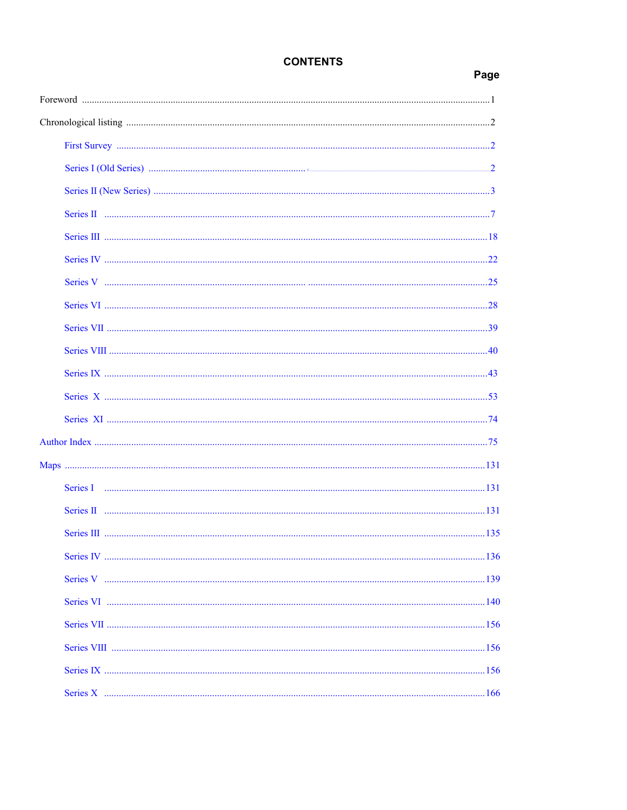# **CONTENTS**

# Page

| Series I |  |
|----------|--|
|          |  |
|          |  |
|          |  |
|          |  |
|          |  |
|          |  |
|          |  |
|          |  |
|          |  |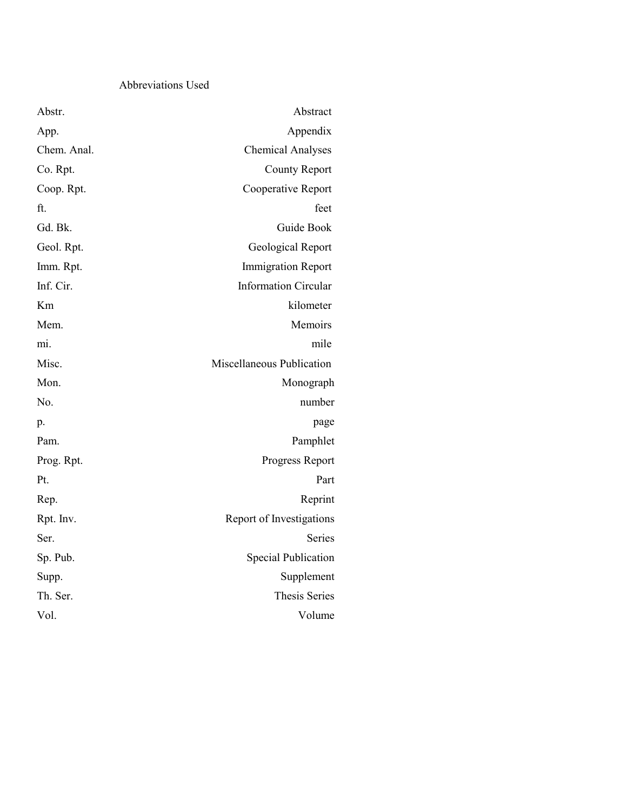# Abbreviations Used

| Abstr.      | Abstract                    |
|-------------|-----------------------------|
| App.        | Appendix                    |
| Chem. Anal. | <b>Chemical Analyses</b>    |
| Co. Rpt.    | <b>County Report</b>        |
| Coop. Rpt.  | Cooperative Report          |
| ft.         | feet                        |
| Gd. Bk.     | Guide Book                  |
| Geol. Rpt.  | Geological Report           |
| Imm. Rpt.   | <b>Immigration Report</b>   |
| Inf. Cir.   | <b>Information Circular</b> |
| Km          | kilometer                   |
| Mem.        | Memoirs                     |
| mi.         | mile                        |
| Misc.       | Miscellaneous Publication   |
| Mon.        | Monograph                   |
| No.         | number                      |
| p.          | page                        |
| Pam.        | Pamphlet                    |
| Prog. Rpt.  | Progress Report             |
| Pt.         | Part                        |
| Rep.        | Reprint                     |
| Rpt. Inv.   | Report of Investigations    |
| Ser.        | Series                      |
| Sp. Pub.    | <b>Special Publication</b>  |
| Supp.       | Supplement                  |
| Th. Ser.    | <b>Thesis Series</b>        |
| Vol.        | Volume                      |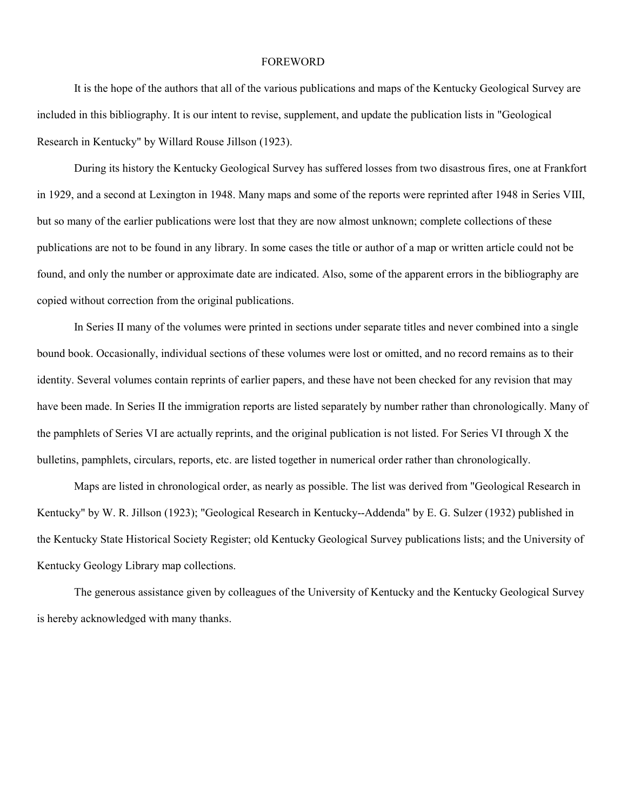#### FOREWORD

It is the hope of the authors that all of the various publications and maps of the Kentucky Geological Survey are included in this bibliography. It is our intent to revise, supplement, and update the publication lists in "Geological Research in Kentucky" by Willard Rouse Jillson (1923).

During its history the Kentucky Geological Survey has suffered losses from two disastrous fires, one at Frankfort in 1929, and a second at Lexington in 1948. Many maps and some of the reports were reprinted after 1948 in Series VIII, but so many of the earlier publications were lost that they are now almost unknown; complete collections of these publications are not to be found in any library. In some cases the title or author of a map or written article could not be found, and only the number or approximate date are indicated. Also, some of the apparent errors in the bibliography are copied without correction from the original publications.

In Series II many of the volumes were printed in sections under separate titles and never combined into a single bound book. Occasionally, individual sections of these volumes were lost or omitted, and no record remains as to their identity. Several volumes contain reprints of earlier papers, and these have not been checked for any revision that may have been made. In Series II the immigration reports are listed separately by number rather than chronologically. Many of the pamphlets of Series VI are actually reprints, and the original publication is not listed. For Series VI through X the bulletins, pamphlets, circulars, reports, etc. are listed together in numerical order rather than chronologically.

Maps are listed in chronological order, as nearly as possible. The list was derived from "Geological Research in Kentucky" by W. R. Jillson (1923); "Geological Research in Kentucky--Addenda" by E. G. Sulzer (1932) published in the Kentucky State Historical Society Register; old Kentucky Geological Survey publications lists; and the University of Kentucky Geology Library map collections.

The generous assistance given by colleagues of the University of Kentucky and the Kentucky Geological Survey is hereby acknowledged with many thanks.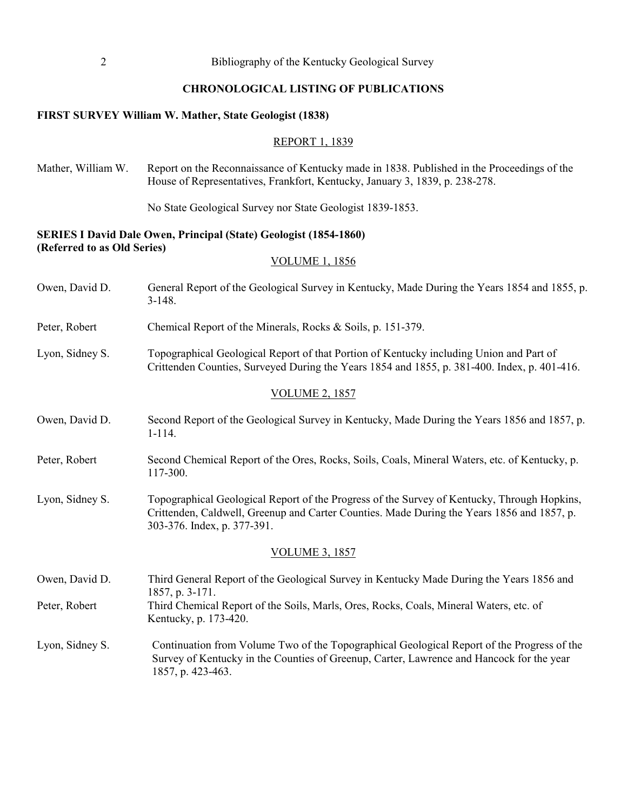#### **CHRONOLOGICAL LISTING OF PUBLICATIONS**

#### <span id="page-6-0"></span>**FIRST SURVEY William W. Mather, State Geologist (1838)**

#### REPORT 1, 1839

Mather, William W. Report on the Reconnaissance of Kentucky made in 1838. Published in the Proceedings of the House of Representatives, Frankfort, Kentucky, January 3, 1839, p. 238-278.

No State Geological Survey nor State Geologist 1839-1853.

### **SERIES I David Dale Owen, Principal (State) Geologist (1854-1860) (Referred to as Old Series)**

#### VOLUME 1, 1856

- Owen, David D. General Report of the Geological Survey in Kentucky, Made During the Years 1854 and 1855, p. 3-148.
- Peter, Robert Chemical Report of the Minerals, Rocks & Soils, p. 151-379.
- Lyon, Sidney S. Topographical Geological Report of that Portion of Kentucky including Union and Part of Crittenden Counties, Surveyed During the Years 1854 and 1855, p. 381-400. Index, p. 401-416.

#### VOLUME 2, 1857

- Owen, David D. Second Report of the Geological Survey in Kentucky, Made During the Years 1856 and 1857, p. 1-114.
- Peter, Robert Second Chemical Report of the Ores, Rocks, Soils, Coals, Mineral Waters, etc. of Kentucky, p. 117-300.
- Lyon, Sidney S. Topographical Geological Report of the Progress of the Survey of Kentucky, Through Hopkins, Crittenden, Caldwell, Greenup and Carter Counties. Made During the Years 1856 and 1857, p. 303-376. Index, p. 377-391.

#### VOLUME 3, 1857

Owen, David D. Third General Report of the Geological Survey in Kentucky Made During the Years 1856 and 1857, p. 3-171. Peter, Robert Third Chemical Report of the Soils, Marls, Ores, Rocks, Coals, Mineral Waters, etc. of Kentucky, p. 173-420.

Lyon, Sidney S. Continuation from Volume Two of the Topographical Geological Report of the Progress of the Survey of Kentucky in the Counties of Greenup, Carter, Lawrence and Hancock for the year 1857, p. 423-463.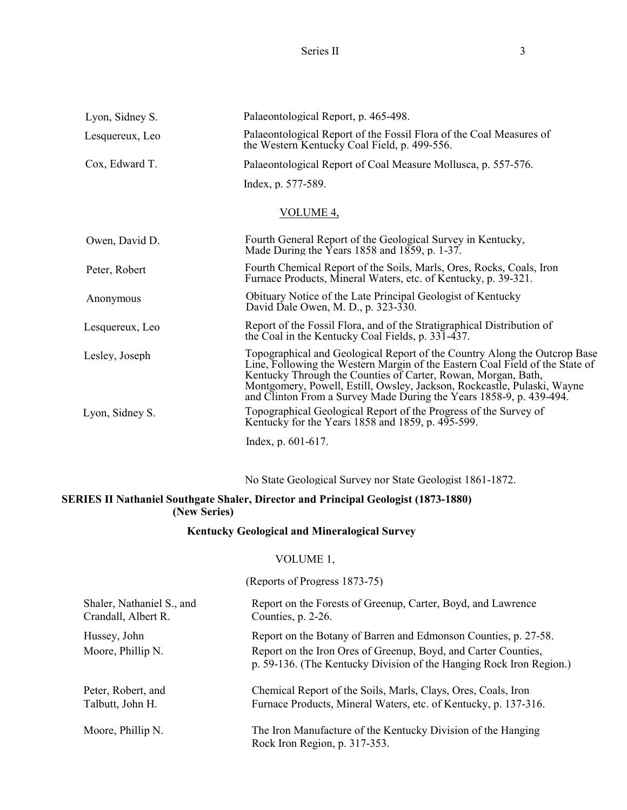Series II 3

<span id="page-7-0"></span>

| Lyon, Sidney S. | Palaeontological Report, p. 465-498.                                                                                                                                                                                                                                                                                                                                         |
|-----------------|------------------------------------------------------------------------------------------------------------------------------------------------------------------------------------------------------------------------------------------------------------------------------------------------------------------------------------------------------------------------------|
| Lesquereux, Leo | Palaeontological Report of the Fossil Flora of the Coal Measures of<br>the Western Kentucky Coal Field, p. 499-556.                                                                                                                                                                                                                                                          |
| Cox, Edward T.  | Palaeontological Report of Coal Measure Mollusca, p. 557-576.                                                                                                                                                                                                                                                                                                                |
|                 | Index, p. 577-589.                                                                                                                                                                                                                                                                                                                                                           |
|                 | VOLUME <sub>4</sub> ,                                                                                                                                                                                                                                                                                                                                                        |
| Owen, David D.  | Fourth General Report of the Geological Survey in Kentucky,<br>Made During the Years 1858 and 1859, p. 1-37.                                                                                                                                                                                                                                                                 |
| Peter, Robert   | Fourth Chemical Report of the Soils, Marls, Ores, Rocks, Coals, Iron<br>Furnace Products, Mineral Waters, etc. of Kentucky, p. 39-321.                                                                                                                                                                                                                                       |
| Anonymous       | Obituary Notice of the Late Principal Geologist of Kentucky<br>David Dale Owen, M. D., p. 323-330.                                                                                                                                                                                                                                                                           |
| Lesquereux, Leo | Report of the Fossil Flora, and of the Stratigraphical Distribution of<br>the Coal in the Kentucky Coal Fields, p. 331-437.                                                                                                                                                                                                                                                  |
| Lesley, Joseph  | Topographical and Geological Report of the Country Along the Outcrop Base<br>Line, Following the Western Margin of the Eastern Coal Field of the State of<br>Kentucky Through the Counties of Carter, Rowan, Morgan, Bath,<br>Montgomery, Powell, Estill, Owsley, Jackson, Rockcastle, Pulaski, Wayne<br>and Clinton From a Survey Made During the Years 1858-9, p. 439-494. |
| Lyon, Sidney S. | Topographical Geological Report of the Progress of the Survey of<br>Kentucky for the Years 1858 and 1859, p. 495-599.                                                                                                                                                                                                                                                        |
|                 | Index, p. $601-617$ .                                                                                                                                                                                                                                                                                                                                                        |
|                 |                                                                                                                                                                                                                                                                                                                                                                              |

No State Geological Survey nor State Geologist 1861-1872.

# **SERIES II Nathaniel Southgate Shaler, Director and Principal Geologist (1873-1880) (New Series)**

# **Kentucky Geological and Mineralogical Survey**

# VOLUME 1,

(Reports of Progress 1873-75)

| Shaler, Nathaniel S., and         | Report on the Forests of Greenup, Carter, Boyd, and Lawrence                                                                                                                                             |
|-----------------------------------|----------------------------------------------------------------------------------------------------------------------------------------------------------------------------------------------------------|
| Crandall, Albert R.               | Counties, p. 2-26.                                                                                                                                                                                       |
| Hussey, John<br>Moore, Phillip N. | Report on the Botany of Barren and Edmonson Counties, p. 27-58.<br>Report on the Iron Ores of Greenup, Boyd, and Carter Counties,<br>p. 59-136. (The Kentucky Division of the Hanging Rock Iron Region.) |
| Peter, Robert, and                | Chemical Report of the Soils, Marls, Clays, Ores, Coals, Iron                                                                                                                                            |
| Talbutt, John H.                  | Furnace Products, Mineral Waters, etc. of Kentucky, p. 137-316.                                                                                                                                          |
| Moore, Phillip N.                 | The Iron Manufacture of the Kentucky Division of the Hanging<br>Rock Iron Region, p. 317-353.                                                                                                            |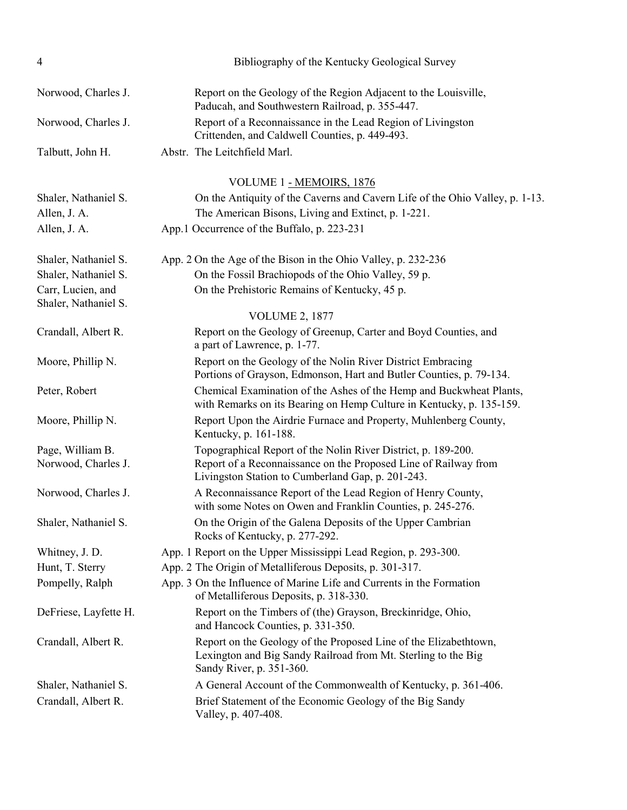| 4                                         | Bibliography of the Kentucky Geological Survey                                                                                                                |
|-------------------------------------------|---------------------------------------------------------------------------------------------------------------------------------------------------------------|
| Norwood, Charles J.                       | Report on the Geology of the Region Adjacent to the Louisville,<br>Paducah, and Southwestern Railroad, p. 355-447.                                            |
| Norwood, Charles J.                       | Report of a Reconnaissance in the Lead Region of Livingston<br>Crittenden, and Caldwell Counties, p. 449-493.                                                 |
| Talbutt, John H.                          | Abstr. The Leitchfield Marl.                                                                                                                                  |
|                                           | VOLUME 1 - MEMOIRS, 1876                                                                                                                                      |
| Shaler, Nathaniel S.                      | On the Antiquity of the Caverns and Cavern Life of the Ohio Valley, p. 1-13.                                                                                  |
| Allen, J. A.                              | The American Bisons, Living and Extinct, p. 1-221.                                                                                                            |
| Allen, J. A.                              | App.1 Occurrence of the Buffalo, p. 223-231                                                                                                                   |
| Shaler, Nathaniel S.                      | App. 2 On the Age of the Bison in the Ohio Valley, p. 232-236                                                                                                 |
| Shaler, Nathaniel S.                      | On the Fossil Brachiopods of the Ohio Valley, 59 p.                                                                                                           |
| Carr, Lucien, and<br>Shaler, Nathaniel S. | On the Prehistoric Remains of Kentucky, 45 p.                                                                                                                 |
|                                           | <b>VOLUME 2, 1877</b>                                                                                                                                         |
| Crandall, Albert R.                       | Report on the Geology of Greenup, Carter and Boyd Counties, and<br>a part of Lawrence, p. 1-77.                                                               |
| Moore, Phillip N.                         | Report on the Geology of the Nolin River District Embracing<br>Portions of Grayson, Edmonson, Hart and Butler Counties, p. 79-134.                            |
| Peter, Robert                             | Chemical Examination of the Ashes of the Hemp and Buckwheat Plants,<br>with Remarks on its Bearing on Hemp Culture in Kentucky, p. 135-159.                   |
| Moore, Phillip N.                         | Report Upon the Airdrie Furnace and Property, Muhlenberg County,<br>Kentucky, p. 161-188.                                                                     |
| Page, William B.                          | Topographical Report of the Nolin River District, p. 189-200.                                                                                                 |
| Norwood, Charles J.                       | Report of a Reconnaissance on the Proposed Line of Railway from<br>Livingston Station to Cumberland Gap, p. 201-243.                                          |
| Norwood, Charles J.                       | A Reconnaissance Report of the Lead Region of Henry County,<br>with some Notes on Owen and Franklin Counties, p. 245-276.                                     |
| Shaler, Nathaniel S.                      | On the Origin of the Galena Deposits of the Upper Cambrian<br>Rocks of Kentucky, p. 277-292.                                                                  |
| Whitney, J. D.                            | App. 1 Report on the Upper Mississippi Lead Region, p. 293-300.                                                                                               |
| Hunt, T. Sterry                           | App. 2 The Origin of Metalliferous Deposits, p. 301-317.                                                                                                      |
| Pompelly, Ralph                           | App. 3 On the Influence of Marine Life and Currents in the Formation<br>of Metalliferous Deposits, p. 318-330.                                                |
| DeFriese, Layfette H.                     | Report on the Timbers of (the) Grayson, Breckinridge, Ohio,<br>and Hancock Counties, p. 331-350.                                                              |
| Crandall, Albert R.                       | Report on the Geology of the Proposed Line of the Elizabethtown,<br>Lexington and Big Sandy Railroad from Mt. Sterling to the Big<br>Sandy River, p. 351-360. |
| Shaler, Nathaniel S.                      | A General Account of the Commonwealth of Kentucky, p. 361-406.                                                                                                |
| Crandall, Albert R.                       | Brief Statement of the Economic Geology of the Big Sandy<br>Valley, p. 407-408.                                                                               |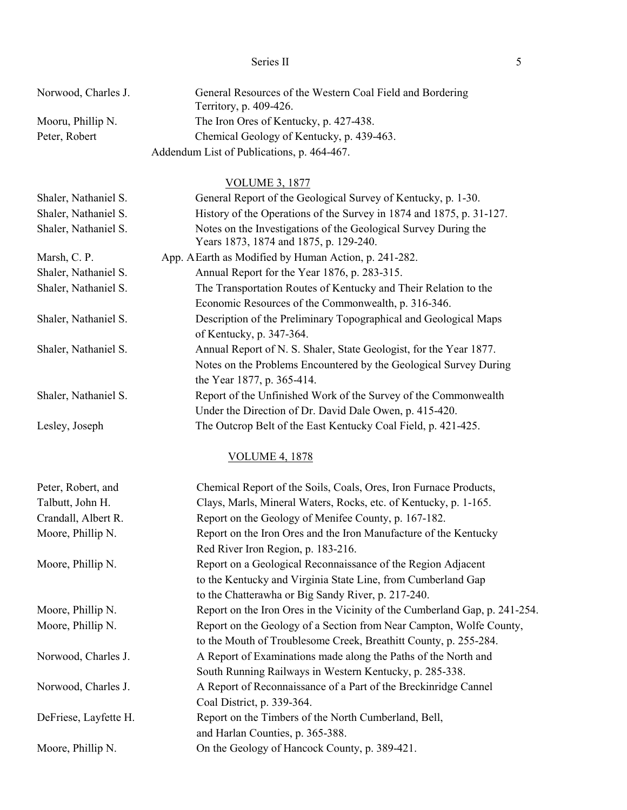### Series II 5

Norwood, Charles J. General Resources of the Western Coal Field and Bordering Territory, p. 409-426. Mooru, Phillip N. The Iron Ores of Kentucky, p. 427-438. Peter, Robert Chemical Geology of Kentucky, p. 439-463.

Addendum List of Publications, p. 464-467.

### VOLUME 3, 1877

| Shaler, Nathaniel S. | General Report of the Geological Survey of Kentucky, p. 1-30.                                             |
|----------------------|-----------------------------------------------------------------------------------------------------------|
| Shaler, Nathaniel S. | History of the Operations of the Survey in 1874 and 1875, p. 31-127.                                      |
| Shaler, Nathaniel S. | Notes on the Investigations of the Geological Survey During the<br>Years 1873, 1874 and 1875, p. 129-240. |
| Marsh, C. P.         | App. A Earth as Modified by Human Action, p. 241-282.                                                     |
| Shaler, Nathaniel S. | Annual Report for the Year 1876, p. 283-315.                                                              |
| Shaler, Nathaniel S. | The Transportation Routes of Kentucky and Their Relation to the                                           |
|                      | Economic Resources of the Commonwealth, p. 316-346.                                                       |
| Shaler, Nathaniel S. | Description of the Preliminary Topographical and Geological Maps                                          |
|                      | of Kentucky, p. 347-364.                                                                                  |
| Shaler, Nathaniel S. | Annual Report of N. S. Shaler, State Geologist, for the Year 1877.                                        |
|                      | Notes on the Problems Encountered by the Geological Survey During                                         |
|                      | the Year 1877, p. 365-414.                                                                                |
| Shaler, Nathaniel S. | Report of the Unfinished Work of the Survey of the Commonwealth                                           |
|                      | Under the Direction of Dr. David Dale Owen, p. 415-420.                                                   |
| Lesley, Joseph       | The Outcrop Belt of the East Kentucky Coal Field, p. 421-425.                                             |
|                      | <b>VOLUME 4, 1878</b>                                                                                     |
| Peter, Robert, and   | Chemical Report of the Soils, Coals, Ores, Iron Furnace Products,                                         |
| Talbutt, John H.     | Clays, Marls, Mineral Waters, Rocks, etc. of Kentucky, p. 1-165.                                          |
| Crandall, Albert R.  | Report on the Geology of Menifee County, p. 167-182.                                                      |
| Moore, Phillip N.    | Report on the Iron Ores and the Iron Manufacture of the Kentucky                                          |
|                      | Red River Iron Region, p. 183-216.                                                                        |
| Moore, Phillip N.    | Report on a Geological Reconnaissance of the Region Adjacent                                              |
|                      | to the Kentucky and Virginia State Line, from Cumberland Gap                                              |
|                      | to the Chatterawha or Big Sandy River, p. 217-240.                                                        |
| Moore, Phillip N.    | Report on the Iron Ores in the Vicinity of the Cumberland Gap, p. 241-254.                                |
| Moore, Phillip N.    | Report on the Geology of a Section from Near Campton, Wolfe County,                                       |
|                      | to the Mouth of Troublesome Creek, Breathitt County, p. 255-284.                                          |
| Norwood, Charles J.  | A Report of Examinations made along the Paths of the North and                                            |
|                      | South Running Railways in Western Kentucky, p. 285-338.                                                   |
| Norwood, Charles J.  | A Report of Reconnaissance of a Part of the Breckinridge Cannel                                           |
|                      | Coal District, p. 339-364.                                                                                |
|                      |                                                                                                           |

DeFriese, Layfette H. Report on the Timbers of the North Cumberland, Bell, and Harlan Counties, p. 365-388.

Moore, Phillip N. Con the Geology of Hancock County, p. 389-421.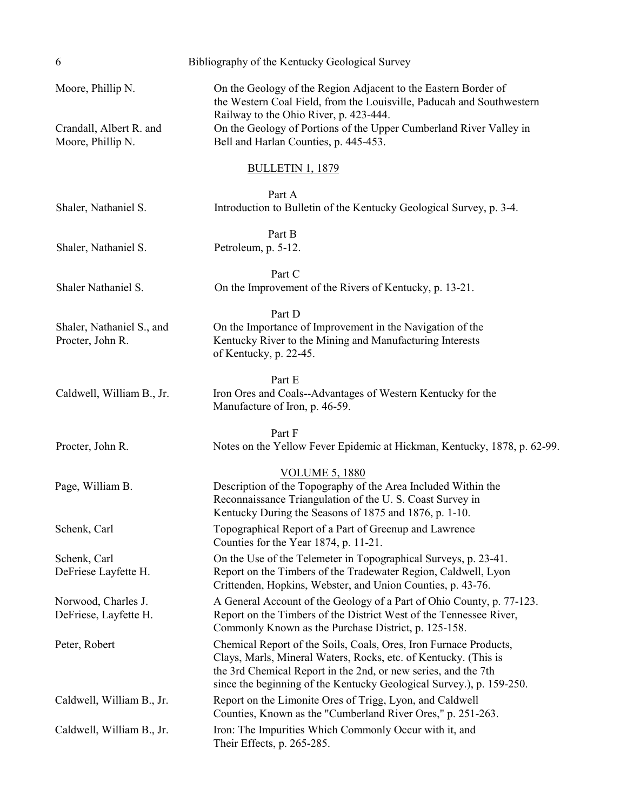| 6                                                                 | Bibliography of the Kentucky Geological Survey                                                                                                                                                                                                                                                   |
|-------------------------------------------------------------------|--------------------------------------------------------------------------------------------------------------------------------------------------------------------------------------------------------------------------------------------------------------------------------------------------|
| Moore, Phillip N.<br>Crandall, Albert R. and<br>Moore, Phillip N. | On the Geology of the Region Adjacent to the Eastern Border of<br>the Western Coal Field, from the Louisville, Paducah and Southwestern<br>Railway to the Ohio River, p. 423-444.<br>On the Geology of Portions of the Upper Cumberland River Valley in<br>Bell and Harlan Counties, p. 445-453. |
|                                                                   | <b>BULLETIN 1, 1879</b>                                                                                                                                                                                                                                                                          |
| Shaler, Nathaniel S.                                              | Part A<br>Introduction to Bulletin of the Kentucky Geological Survey, p. 3-4.                                                                                                                                                                                                                    |
| Shaler, Nathaniel S.                                              | Part B<br>Petroleum, p. 5-12.                                                                                                                                                                                                                                                                    |
| Shaler Nathaniel S.                                               | Part C<br>On the Improvement of the Rivers of Kentucky, p. 13-21.                                                                                                                                                                                                                                |
| Shaler, Nathaniel S., and<br>Procter, John R.                     | Part D<br>On the Importance of Improvement in the Navigation of the<br>Kentucky River to the Mining and Manufacturing Interests<br>of Kentucky, p. 22-45.                                                                                                                                        |
| Caldwell, William B., Jr.                                         | Part E<br>Iron Ores and Coals--Advantages of Western Kentucky for the<br>Manufacture of Iron, p. 46-59.                                                                                                                                                                                          |
| Procter, John R.                                                  | Part F<br>Notes on the Yellow Fever Epidemic at Hickman, Kentucky, 1878, p. 62-99.                                                                                                                                                                                                               |
| Page, William B.                                                  | <b>VOLUME 5, 1880</b><br>Description of the Topography of the Area Included Within the<br>Reconnaissance Triangulation of the U.S. Coast Survey in<br>Kentucky During the Seasons of 1875 and 1876, p. 1-10.                                                                                     |
| Schenk, Carl                                                      | Topographical Report of a Part of Greenup and Lawrence<br>Counties for the Year 1874, p. 11-21.                                                                                                                                                                                                  |
| Schenk, Carl<br>DeFriese Layfette H.                              | On the Use of the Telemeter in Topographical Surveys, p. 23-41.<br>Report on the Timbers of the Tradewater Region, Caldwell, Lyon<br>Crittenden, Hopkins, Webster, and Union Counties, p. 43-76.                                                                                                 |
| Norwood, Charles J.<br>DeFriese, Layfette H.                      | A General Account of the Geology of a Part of Ohio County, p. 77-123.<br>Report on the Timbers of the District West of the Tennessee River,<br>Commonly Known as the Purchase District, p. 125-158.                                                                                              |
| Peter, Robert                                                     | Chemical Report of the Soils, Coals, Ores, Iron Furnace Products,<br>Clays, Marls, Mineral Waters, Rocks, etc. of Kentucky. (This is<br>the 3rd Chemical Report in the 2nd, or new series, and the 7th<br>since the beginning of the Kentucky Geological Survey.), p. 159-250.                   |
| Caldwell, William B., Jr.                                         | Report on the Limonite Ores of Trigg, Lyon, and Caldwell<br>Counties, Known as the "Cumberland River Ores," p. 251-263.                                                                                                                                                                          |
| Caldwell, William B., Jr.                                         | Iron: The Impurities Which Commonly Occur with it, and<br>Their Effects, p. 265-285.                                                                                                                                                                                                             |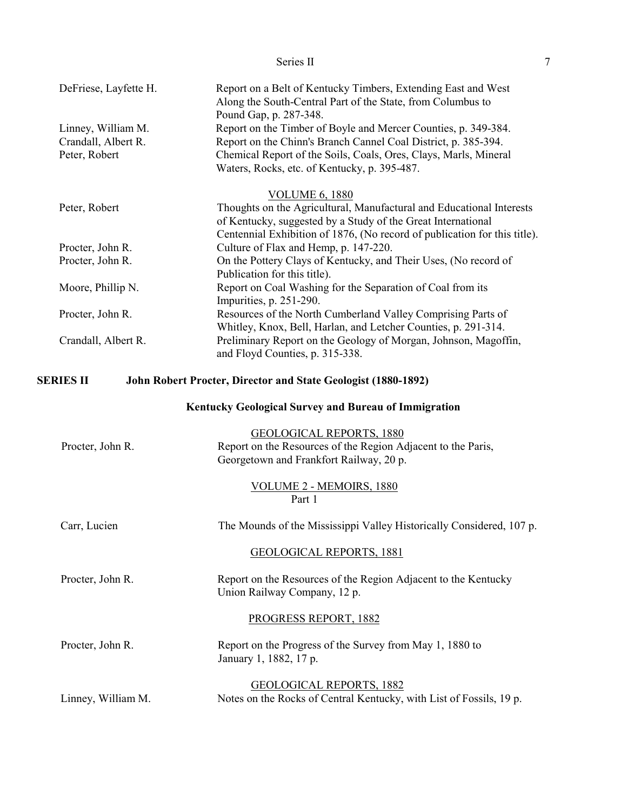<span id="page-11-0"></span>

|                                                            | Series II                                                                                                                                                                                                                                            | $\tau$ |
|------------------------------------------------------------|------------------------------------------------------------------------------------------------------------------------------------------------------------------------------------------------------------------------------------------------------|--------|
| DeFriese, Layfette H.                                      | Report on a Belt of Kentucky Timbers, Extending East and West<br>Along the South-Central Part of the State, from Columbus to<br>Pound Gap, p. 287-348.                                                                                               |        |
| Linney, William M.<br>Crandall, Albert R.<br>Peter, Robert | Report on the Timber of Boyle and Mercer Counties, p. 349-384.<br>Report on the Chinn's Branch Cannel Coal District, p. 385-394.<br>Chemical Report of the Soils, Coals, Ores, Clays, Marls, Mineral<br>Waters, Rocks, etc. of Kentucky, p. 395-487. |        |
| Peter, Robert                                              | <b>VOLUME 6, 1880</b><br>Thoughts on the Agricultural, Manufactural and Educational Interests<br>of Kentucky, suggested by a Study of the Great International<br>Centennial Exhibition of 1876, (No record of publication for this title).           |        |
| Procter, John R.<br>Procter, John R.                       | Culture of Flax and Hemp, p. 147-220.<br>On the Pottery Clays of Kentucky, and Their Uses, (No record of<br>Publication for this title).                                                                                                             |        |
| Moore, Phillip N.                                          | Report on Coal Washing for the Separation of Coal from its<br>Impurities, p. 251-290.                                                                                                                                                                |        |
| Procter, John R.                                           | Resources of the North Cumberland Valley Comprising Parts of                                                                                                                                                                                         |        |
| Crandall, Albert R.                                        | Whitley, Knox, Bell, Harlan, and Letcher Counties, p. 291-314.<br>Preliminary Report on the Geology of Morgan, Johnson, Magoffin,<br>and Floyd Counties, p. 315-338.                                                                                 |        |
| SERIES II                                                  | John Robert Procter, Director and State Geologist (1880-1892)                                                                                                                                                                                        |        |
|                                                            | Kentucky Geological Survey and Bureau of Immigration                                                                                                                                                                                                 |        |
| Procter, John R.                                           | <b>GEOLOGICAL REPORTS, 1880</b><br>Report on the Resources of the Region Adjacent to the Paris,<br>Georgetown and Frankfort Railway, 20 p.                                                                                                           |        |
|                                                            | VOLUME 2 - MEMOIRS, 1880<br>Part 1                                                                                                                                                                                                                   |        |
| Carr, Lucien                                               | The Mounds of the Mississippi Valley Historically Considered, 107 p.                                                                                                                                                                                 |        |
|                                                            | <b>GEOLOGICAL REPORTS, 1881</b>                                                                                                                                                                                                                      |        |
| Procter, John R.                                           | Report on the Resources of the Region Adjacent to the Kentucky<br>Union Railway Company, 12 p.                                                                                                                                                       |        |
|                                                            | PROGRESS REPORT, 1882                                                                                                                                                                                                                                |        |
| Procter, John R.                                           | Report on the Progress of the Survey from May 1, 1880 to<br>January 1, 1882, 17 p.                                                                                                                                                                   |        |
| Linney, William M.                                         | <b>GEOLOGICAL REPORTS, 1882</b><br>Notes on the Rocks of Central Kentucky, with List of Fossils, 19 p.                                                                                                                                               |        |
|                                                            |                                                                                                                                                                                                                                                      |        |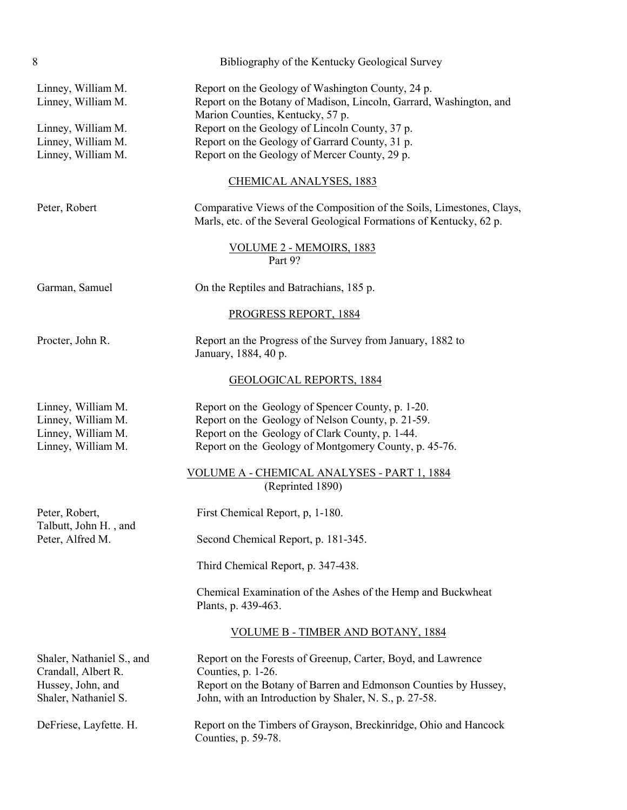| 8                                                                                                          | Bibliography of the Kentucky Geological Survey                                                                                                                                                                                                                                                                   |
|------------------------------------------------------------------------------------------------------------|------------------------------------------------------------------------------------------------------------------------------------------------------------------------------------------------------------------------------------------------------------------------------------------------------------------|
| Linney, William M.<br>Linney, William M.<br>Linney, William M.<br>Linney, William M.<br>Linney, William M. | Report on the Geology of Washington County, 24 p.<br>Report on the Botany of Madison, Lincoln, Garrard, Washington, and<br>Marion Counties, Kentucky, 57 p.<br>Report on the Geology of Lincoln County, 37 p.<br>Report on the Geology of Garrard County, 31 p.<br>Report on the Geology of Mercer County, 29 p. |
|                                                                                                            | <b>CHEMICAL ANALYSES, 1883</b>                                                                                                                                                                                                                                                                                   |
| Peter, Robert                                                                                              | Comparative Views of the Composition of the Soils, Limestones, Clays,<br>Marls, etc. of the Several Geological Formations of Kentucky, 62 p.                                                                                                                                                                     |
|                                                                                                            | VOLUME 2 - MEMOIRS, 1883<br>Part 9?                                                                                                                                                                                                                                                                              |
| Garman, Samuel                                                                                             | On the Reptiles and Batrachians, 185 p.                                                                                                                                                                                                                                                                          |
|                                                                                                            | PROGRESS REPORT, 1884                                                                                                                                                                                                                                                                                            |
| Procter, John R.                                                                                           | Report an the Progress of the Survey from January, 1882 to<br>January, 1884, 40 p.                                                                                                                                                                                                                               |
|                                                                                                            | <b>GEOLOGICAL REPORTS, 1884</b>                                                                                                                                                                                                                                                                                  |
| Linney, William M.<br>Linney, William M.<br>Linney, William M.<br>Linney, William M.                       | Report on the Geology of Spencer County, p. 1-20.<br>Report on the Geology of Nelson County, p. 21-59.<br>Report on the Geology of Clark County, p. 1-44.<br>Report on the Geology of Montgomery County, p. 45-76.                                                                                               |
|                                                                                                            | VOLUME A - CHEMICAL ANALYSES - PART 1, 1884<br>(Reprinted 1890)                                                                                                                                                                                                                                                  |
| Peter, Robert,                                                                                             | First Chemical Report, p, 1-180.                                                                                                                                                                                                                                                                                 |
| Talbutt, John H., and<br>Peter, Alfred M.                                                                  | Second Chemical Report, p. 181-345.                                                                                                                                                                                                                                                                              |
|                                                                                                            | Third Chemical Report, p. 347-438.                                                                                                                                                                                                                                                                               |
|                                                                                                            | Chemical Examination of the Ashes of the Hemp and Buckwheat<br>Plants, p. 439-463.                                                                                                                                                                                                                               |
|                                                                                                            | <b>VOLUME B - TIMBER AND BOTANY, 1884</b>                                                                                                                                                                                                                                                                        |
| Shaler, Nathaniel S., and<br>Crandall, Albert R.<br>Hussey, John, and<br>Shaler, Nathaniel S.              | Report on the Forests of Greenup, Carter, Boyd, and Lawrence<br>Counties, p. 1-26.<br>Report on the Botany of Barren and Edmonson Counties by Hussey,<br>John, with an Introduction by Shaler, N. S., p. 27-58.                                                                                                  |
| DeFriese, Layfette. H.                                                                                     | Report on the Timbers of Grayson, Breckinridge, Ohio and Hancock<br>Counties, p. 59-78.                                                                                                                                                                                                                          |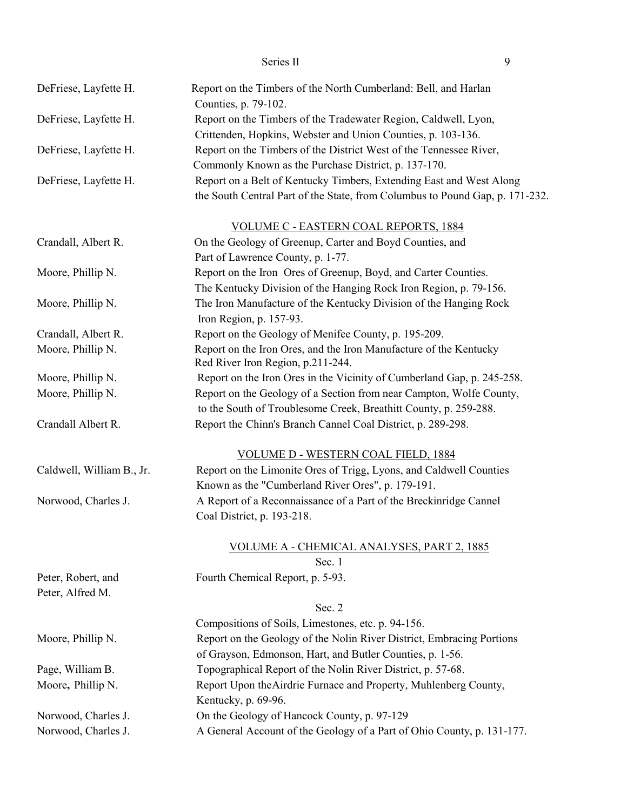| Series II |  |
|-----------|--|
|-----------|--|

| DeFriese, Layfette H.     | Report on the Timbers of the North Cumberland: Bell, and Harlan<br>Counties, p. 79-102. |
|---------------------------|-----------------------------------------------------------------------------------------|
| DeFriese, Layfette H.     | Report on the Timbers of the Tradewater Region, Caldwell, Lyon,                         |
|                           | Crittenden, Hopkins, Webster and Union Counties, p. 103-136.                            |
| DeFriese, Layfette H.     | Report on the Timbers of the District West of the Tennessee River,                      |
|                           | Commonly Known as the Purchase District, p. 137-170.                                    |
| DeFriese, Layfette H.     | Report on a Belt of Kentucky Timbers, Extending East and West Along                     |
|                           | the South Central Part of the State, from Columbus to Pound Gap, p. 171-232.            |
|                           | <b>VOLUME C - EASTERN COAL REPORTS, 1884</b>                                            |
| Crandall, Albert R.       | On the Geology of Greenup, Carter and Boyd Counties, and                                |
|                           | Part of Lawrence County, p. 1-77.                                                       |
| Moore, Phillip N.         | Report on the Iron Ores of Greenup, Boyd, and Carter Counties.                          |
|                           | The Kentucky Division of the Hanging Rock Iron Region, p. 79-156.                       |
| Moore, Phillip N.         | The Iron Manufacture of the Kentucky Division of the Hanging Rock                       |
|                           | Iron Region, p. 157-93.                                                                 |
| Crandall, Albert R.       | Report on the Geology of Menifee County, p. 195-209.                                    |
| Moore, Phillip N.         | Report on the Iron Ores, and the Iron Manufacture of the Kentucky                       |
|                           | Red River Iron Region, p.211-244.                                                       |
| Moore, Phillip N.         | Report on the Iron Ores in the Vicinity of Cumberland Gap, p. 245-258.                  |
| Moore, Phillip N.         | Report on the Geology of a Section from near Campton, Wolfe County,                     |
|                           | to the South of Troublesome Creek, Breathitt County, p. 259-288.                        |
| Crandall Albert R.        | Report the Chinn's Branch Cannel Coal District, p. 289-298.                             |
|                           | <b>VOLUME D - WESTERN COAL FIELD, 1884</b>                                              |
| Caldwell, William B., Jr. | Report on the Limonite Ores of Trigg, Lyons, and Caldwell Counties                      |
|                           | Known as the "Cumberland River Ores", p. 179-191.                                       |
| Norwood, Charles J.       | A Report of a Reconnaissance of a Part of the Breckinridge Cannel                       |
|                           | Coal District, p. 193-218.                                                              |
|                           | VOLUME A - CHEMICAL ANALYSES, PART 2, 1885                                              |
|                           | Sec. 1                                                                                  |
| Peter, Robert, and        | Fourth Chemical Report, p. 5-93.                                                        |
| Peter, Alfred M.          |                                                                                         |
|                           | Sec. 2                                                                                  |
|                           | Compositions of Soils, Limestones, etc. p. 94-156.                                      |
| Moore, Phillip N.         | Report on the Geology of the Nolin River District, Embracing Portions                   |
|                           | of Grayson, Edmonson, Hart, and Butler Counties, p. 1-56.                               |
| Page, William B.          | Topographical Report of the Nolin River District, p. 57-68.                             |
| Moore, Phillip N.         | Report Upon the Airdrie Furnace and Property, Muhlenberg County,                        |
|                           | Kentucky, p. 69-96.                                                                     |
| Norwood, Charles J.       | On the Geology of Hancock County, p. 97-129                                             |
| Norwood, Charles J.       | A General Account of the Geology of a Part of Ohio County, p. 131-177.                  |
|                           |                                                                                         |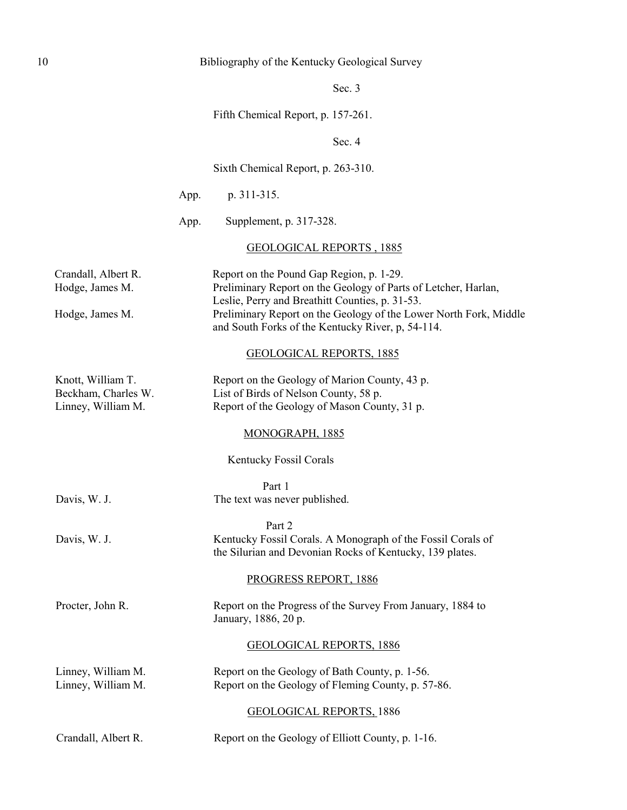### 10 Bibliography of the Kentucky Geological Survey

Sec. 3

Fifth Chemical Report, p. 157-261.

Sec. 4

Sixth Chemical Report, p. 263-310.

App. p. 311-315.

App. Supplement, p. 317-328.

#### GEOLOGICAL REPORTS , 1885

Crandall, Albert R. Report on the Pound Gap Region, p. 1-29. Hodge, James M. Preliminary Report on the Geology of Parts of Letcher, Harlan, Leslie, Perry and Breathitt Counties, p. 31-53. Hodge, James M. Preliminary Report on the Geology of the Lower North Fork, Middle and South Forks of the Kentucky River, p, 54-114.

#### GEOLOGICAL REPORTS, 1885

| Knott, William T.   | Report on the Geology of Marion County, 43 p. |
|---------------------|-----------------------------------------------|
| Beckham, Charles W. | List of Birds of Nelson County, 58 p.         |
| Linney, William M.  | Report of the Geology of Mason County, 31 p.  |

#### MONOGRAPH, 1885

Kentucky Fossil Corals

Part 1 Davis, W. J. The text was never published.

Part 2 Davis, W. J. Kentucky Fossil Corals. A Monograph of the Fossil Corals of

the Silurian and Devonian Rocks of Kentucky, 139 plates.

### PROGRESS REPORT, 1886

Procter, John R. Report on the Progress of the Survey From January, 1884 to January, 1886, 20 p.

#### GEOLOGICAL REPORTS, 1886

Linney, William M. Report on the Geology of Bath County, p. 1-56. Linney, William M. Report on the Geology of Fleming County, p. 57-86.

GEOLOGICAL REPORTS, 1886

Crandall, Albert R. Report on the Geology of Elliott County, p. 1-16.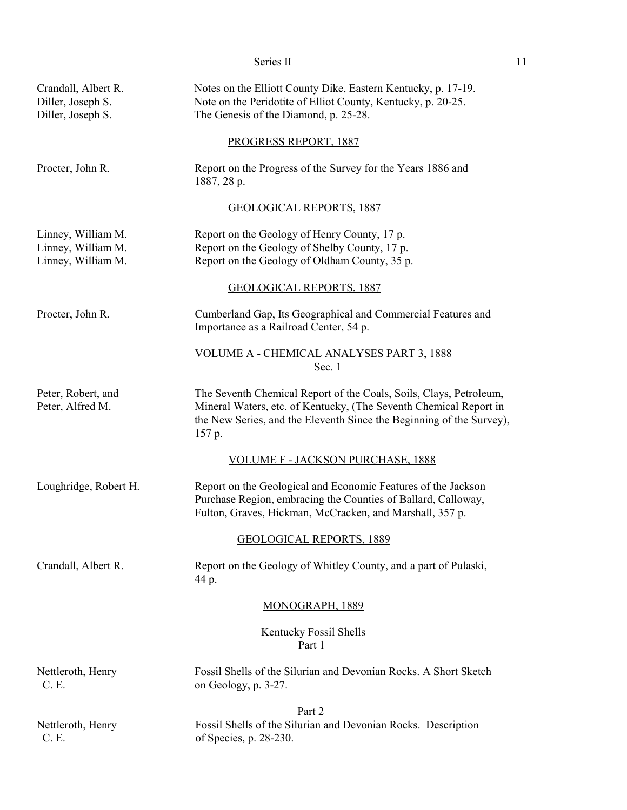| Series II |  |
|-----------|--|
|           |  |

| Crandall, Albert R.<br>Diller, Joseph S.<br>Diller, Joseph S.  | Notes on the Elliott County Dike, Eastern Kentucky, p. 17-19.<br>Note on the Peridotite of Elliot County, Kentucky, p. 20-25.<br>The Genesis of the Diamond, p. 25-28.                                                    |
|----------------------------------------------------------------|---------------------------------------------------------------------------------------------------------------------------------------------------------------------------------------------------------------------------|
|                                                                | PROGRESS REPORT, 1887                                                                                                                                                                                                     |
| Procter, John R.                                               | Report on the Progress of the Survey for the Years 1886 and<br>1887, 28 p.                                                                                                                                                |
|                                                                | <b>GEOLOGICAL REPORTS, 1887</b>                                                                                                                                                                                           |
| Linney, William M.<br>Linney, William M.<br>Linney, William M. | Report on the Geology of Henry County, 17 p.<br>Report on the Geology of Shelby County, 17 p.<br>Report on the Geology of Oldham County, 35 p.                                                                            |
|                                                                | <b>GEOLOGICAL REPORTS, 1887</b>                                                                                                                                                                                           |
| Procter, John R.                                               | Cumberland Gap, Its Geographical and Commercial Features and<br>Importance as a Railroad Center, 54 p.                                                                                                                    |
|                                                                | VOLUME A - CHEMICAL ANALYSES PART 3, 1888<br>Sec. 1                                                                                                                                                                       |
| Peter, Robert, and<br>Peter, Alfred M.                         | The Seventh Chemical Report of the Coals, Soils, Clays, Petroleum,<br>Mineral Waters, etc. of Kentucky, (The Seventh Chemical Report in<br>the New Series, and the Eleventh Since the Beginning of the Survey),<br>157 p. |
|                                                                | <u>VOLUME F - JACKSON PURCHASE, 1888</u>                                                                                                                                                                                  |
| Loughridge, Robert H.                                          | Report on the Geological and Economic Features of the Jackson<br>Purchase Region, embracing the Counties of Ballard, Calloway,<br>Fulton, Graves, Hickman, McCracken, and Marshall, 357 p.                                |
|                                                                | <b>GEOLOGICAL REPORTS, 1889</b>                                                                                                                                                                                           |
| Crandall, Albert R.                                            | Report on the Geology of Whitley County, and a part of Pulaski,<br>44 p.                                                                                                                                                  |
|                                                                | <b>MONOGRAPH, 1889</b>                                                                                                                                                                                                    |
|                                                                | Kentucky Fossil Shells<br>Part 1                                                                                                                                                                                          |
| Nettleroth, Henry<br>C. E.                                     | Fossil Shells of the Silurian and Devonian Rocks. A Short Sketch<br>on Geology, p. 3-27.                                                                                                                                  |
| Nettleroth, Henry<br>C. E.                                     | Part 2<br>Fossil Shells of the Silurian and Devonian Rocks. Description<br>of Species, p. 28-230.                                                                                                                         |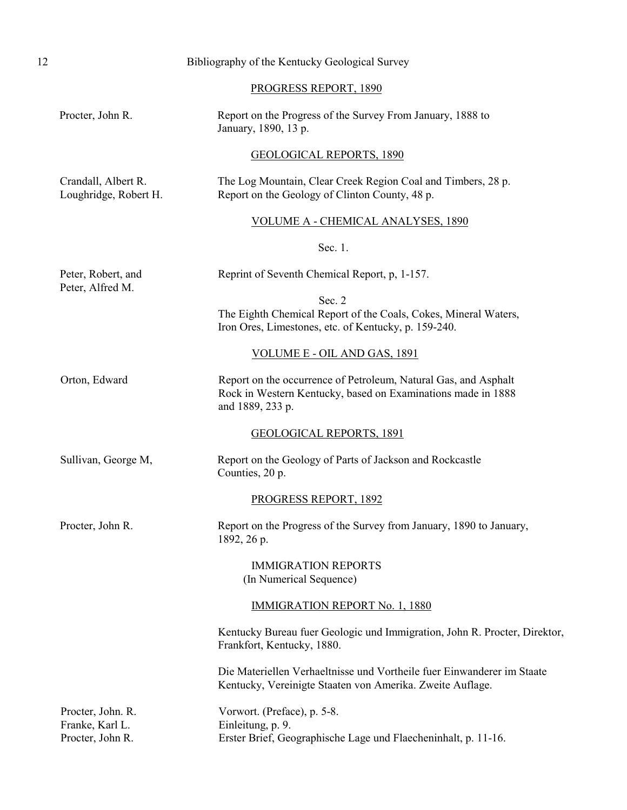| 12 | Bibliography of the Kentucky Geological Survey           |                                                                                                                                                     |
|----|----------------------------------------------------------|-----------------------------------------------------------------------------------------------------------------------------------------------------|
|    |                                                          | PROGRESS REPORT, 1890                                                                                                                               |
|    | Procter, John R.                                         | Report on the Progress of the Survey From January, 1888 to<br>January, 1890, 13 p.                                                                  |
|    |                                                          | <b>GEOLOGICAL REPORTS, 1890</b>                                                                                                                     |
|    | Crandall, Albert R.<br>Loughridge, Robert H.             | The Log Mountain, Clear Creek Region Coal and Timbers, 28 p.<br>Report on the Geology of Clinton County, 48 p.                                      |
|    |                                                          | <b>VOLUME A - CHEMICAL ANALYSES, 1890</b>                                                                                                           |
|    |                                                          | Sec. 1.                                                                                                                                             |
|    | Peter, Robert, and<br>Peter, Alfred M.                   | Reprint of Seventh Chemical Report, p, 1-157.                                                                                                       |
|    |                                                          | Sec. 2<br>The Eighth Chemical Report of the Coals, Cokes, Mineral Waters,<br>Iron Ores, Limestones, etc. of Kentucky, p. 159-240.                   |
|    |                                                          | VOLUME E - OIL AND GAS, 1891                                                                                                                        |
|    | Orton, Edward                                            | Report on the occurrence of Petroleum, Natural Gas, and Asphalt<br>Rock in Western Kentucky, based on Examinations made in 1888<br>and 1889, 233 p. |
|    |                                                          | <b>GEOLOGICAL REPORTS, 1891</b>                                                                                                                     |
|    | Sullivan, George M,                                      | Report on the Geology of Parts of Jackson and Rockcastle<br>Counties, 20 p.                                                                         |
|    |                                                          | PROGRESS REPORT, 1892                                                                                                                               |
|    | Procter, John R.                                         | Report on the Progress of the Survey from January, 1890 to January,<br>1892, 26 p.                                                                  |
|    |                                                          | <b>IMMIGRATION REPORTS</b><br>(In Numerical Sequence)                                                                                               |
|    |                                                          | <b>IMMIGRATION REPORT No. 1, 1880</b>                                                                                                               |
|    |                                                          | Kentucky Bureau fuer Geologic und Immigration, John R. Procter, Direktor,<br>Frankfort, Kentucky, 1880.                                             |
|    |                                                          | Die Materiellen Verhaeltnisse und Vortheile fuer Einwanderer im Staate<br>Kentucky, Vereinigte Staaten von Amerika. Zweite Auflage.                 |
|    | Procter, John. R.<br>Franke, Karl L.<br>Procter, John R. | Vorwort. (Preface), p. 5-8.<br>Einleitung, p. 9.<br>Erster Brief, Geographische Lage und Flaecheninhalt, p. 11-16.                                  |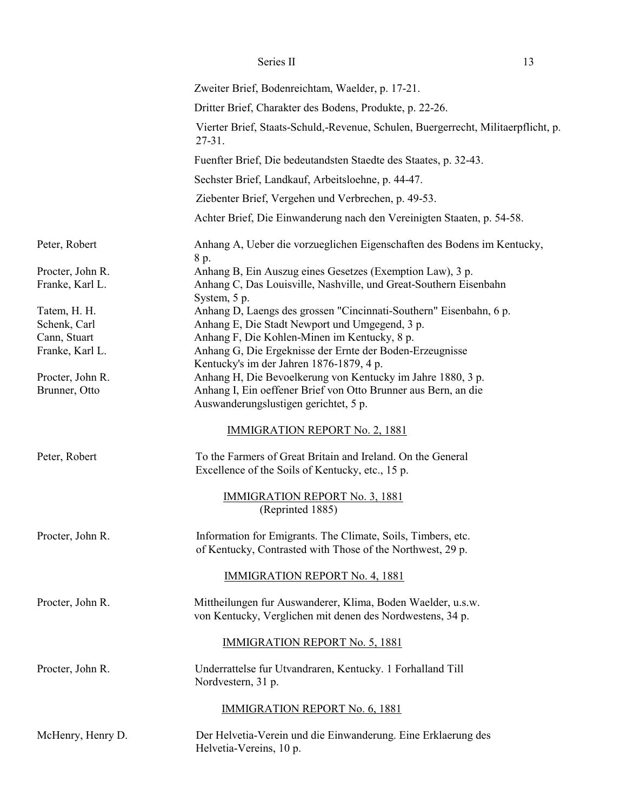|                                                                 | Zweiter Brief, Bodenreichtam, Waelder, p. 17-21.                                                                                                                                                                                 |
|-----------------------------------------------------------------|----------------------------------------------------------------------------------------------------------------------------------------------------------------------------------------------------------------------------------|
|                                                                 | Dritter Brief, Charakter des Bodens, Produkte, p. 22-26.                                                                                                                                                                         |
|                                                                 | Vierter Brief, Staats-Schuld,-Revenue, Schulen, Buergerrecht, Militaerpflicht, p.<br>$27 - 31$ .                                                                                                                                 |
|                                                                 | Fuenfter Brief, Die bedeutandsten Staedte des Staates, p. 32-43.                                                                                                                                                                 |
|                                                                 | Sechster Brief, Landkauf, Arbeitsloehne, p. 44-47.                                                                                                                                                                               |
|                                                                 | Ziebenter Brief, Vergehen und Verbrechen, p. 49-53.                                                                                                                                                                              |
|                                                                 | Achter Brief, Die Einwanderung nach den Vereinigten Staaten, p. 54-58.                                                                                                                                                           |
| Peter, Robert                                                   | Anhang A, Ueber die vorzueglichen Eigenschaften des Bodens im Kentucky,<br>8 p.                                                                                                                                                  |
| Procter, John R.<br>Franke, Karl L.                             | Anhang B, Ein Auszug eines Gesetzes (Exemption Law), 3 p.<br>Anhang C, Das Louisville, Nashville, und Great-Southern Eisenbahn<br>System, 5 p.                                                                                   |
| Tatem, H. H.<br>Schenk, Carl<br>Cann, Stuart<br>Franke, Karl L. | Anhang D, Laengs des grossen "Cincinnati-Southern" Eisenbahn, 6 p.<br>Anhang E, Die Stadt Newport und Umgegend, 3 p.<br>Anhang F, Die Kohlen-Minen im Kentucky, 8 p.<br>Anhang G, Die Ergeknisse der Ernte der Boden-Erzeugnisse |
| Procter, John R.<br>Brunner, Otto                               | Kentucky's im der Jahren 1876-1879, 4 p.<br>Anhang H, Die Bevoelkerung von Kentucky im Jahre 1880, 3 p.<br>Anhang I, Ein oeffener Brief von Otto Brunner aus Bern, an die                                                        |
|                                                                 | Auswanderungslustigen gerichtet, 5 p.<br><b>IMMIGRATION REPORT No. 2, 1881</b>                                                                                                                                                   |
| Peter, Robert                                                   | To the Farmers of Great Britain and Ireland. On the General<br>Excellence of the Soils of Kentucky, etc., 15 p.                                                                                                                  |
|                                                                 | <b>IMMIGRATION REPORT No. 3, 1881</b><br>(Reprinted 1885)                                                                                                                                                                        |
| Procter, John R.                                                | Information for Emigrants. The Climate, Soils, Timbers, etc.<br>of Kentucky, Contrasted with Those of the Northwest, 29 p.                                                                                                       |
|                                                                 | <b>IMMIGRATION REPORT No. 4, 1881</b>                                                                                                                                                                                            |
| Procter, John R.                                                | Mittheilungen fur Auswanderer, Klima, Boden Waelder, u.s.w.<br>von Kentucky, Verglichen mit denen des Nordwestens, 34 p.                                                                                                         |
|                                                                 | <b>IMMIGRATION REPORT No. 5, 1881</b>                                                                                                                                                                                            |
| Procter, John R.                                                | Underrattelse fur Utvandraren, Kentucky. 1 Forhalland Till<br>Nordvestern, 31 p.                                                                                                                                                 |
|                                                                 | <b>IMMIGRATION REPORT No. 6, 1881</b>                                                                                                                                                                                            |
| McHenry, Henry D.                                               | Der Helvetia-Verein und die Einwanderung. Eine Erklaerung des<br>Helvetia-Vereins, 10 p.                                                                                                                                         |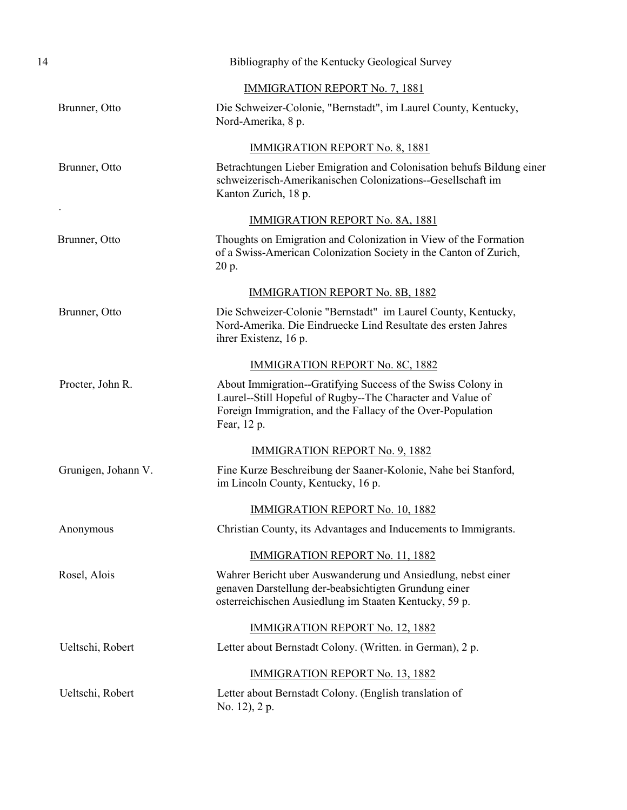| 14 |                     | Bibliography of the Kentucky Geological Survey                                                                                                                                                           |
|----|---------------------|----------------------------------------------------------------------------------------------------------------------------------------------------------------------------------------------------------|
|    |                     | <b>IMMIGRATION REPORT No. 7, 1881</b>                                                                                                                                                                    |
|    | Brunner, Otto       | Die Schweizer-Colonie, "Bernstadt", im Laurel County, Kentucky,<br>Nord-Amerika, 8 p.                                                                                                                    |
|    |                     | <b>IMMIGRATION REPORT No. 8, 1881</b>                                                                                                                                                                    |
|    | Brunner, Otto       | Betrachtungen Lieber Emigration and Colonisation behufs Bildung einer<br>schweizerisch-Amerikanischen Colonizations--Gesellschaft im<br>Kanton Zurich, 18 p.                                             |
|    |                     | <b>IMMIGRATION REPORT No. 8A, 1881</b>                                                                                                                                                                   |
|    | Brunner, Otto       | Thoughts on Emigration and Colonization in View of the Formation<br>of a Swiss-American Colonization Society in the Canton of Zurich,<br>20 p.                                                           |
|    |                     | <b>IMMIGRATION REPORT No. 8B, 1882</b>                                                                                                                                                                   |
|    | Brunner, Otto       | Die Schweizer-Colonie "Bernstadt" im Laurel County, Kentucky,<br>Nord-Amerika. Die Eindruecke Lind Resultate des ersten Jahres<br>ihrer Existenz, 16 p.                                                  |
|    |                     | <b>IMMIGRATION REPORT No. 8C, 1882</b>                                                                                                                                                                   |
|    | Procter, John R.    | About Immigration--Gratifying Success of the Swiss Colony in<br>Laurel--Still Hopeful of Rugby--The Character and Value of<br>Foreign Immigration, and the Fallacy of the Over-Population<br>Fear, 12 p. |
|    |                     | <b>IMMIGRATION REPORT No. 9, 1882</b>                                                                                                                                                                    |
|    | Grunigen, Johann V. | Fine Kurze Beschreibung der Saaner-Kolonie, Nahe bei Stanford,<br>im Lincoln County, Kentucky, 16 p.                                                                                                     |
|    |                     | IMMIGRATION REPORT No. 10, 1882                                                                                                                                                                          |
|    | Anonymous           | Christian County, its Advantages and Inducements to Immigrants.                                                                                                                                          |
|    |                     | <b>IMMIGRATION REPORT No. 11, 1882</b>                                                                                                                                                                   |
|    | Rosel, Alois        | Wahrer Bericht uber Auswanderung und Ansiedlung, nebst einer<br>genaven Darstellung der-beabsichtigten Grundung einer<br>osterreichischen Ausiedlung im Staaten Kentucky, 59 p.                          |
|    |                     | <b>IMMIGRATION REPORT No. 12, 1882</b>                                                                                                                                                                   |
|    | Ueltschi, Robert    | Letter about Bernstadt Colony. (Written. in German), 2 p.                                                                                                                                                |
|    |                     | <b>IMMIGRATION REPORT No. 13, 1882</b>                                                                                                                                                                   |
|    | Ueltschi, Robert    | Letter about Bernstadt Colony. (English translation of<br>No. 12), 2 p.                                                                                                                                  |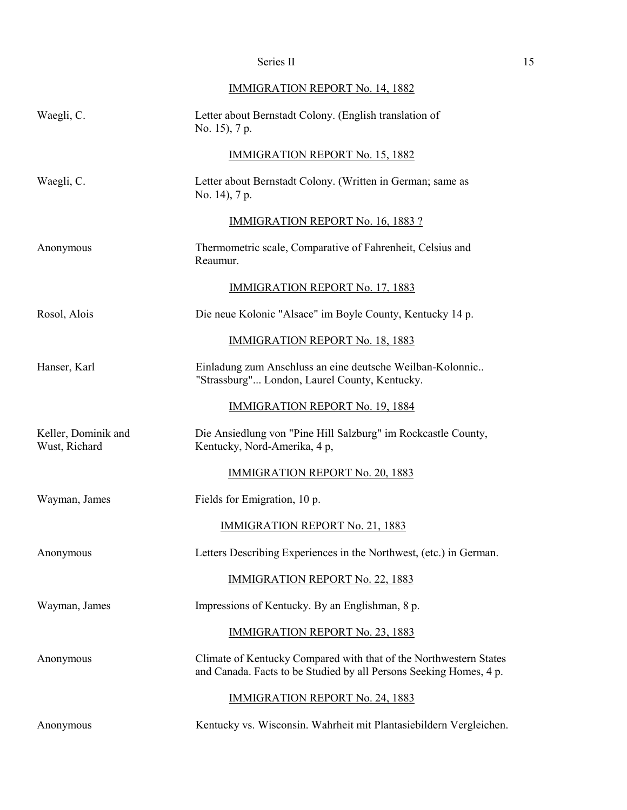# IMMIGRATION REPORT No. 14, 1882

| Waegli, C.                           | Letter about Bernstadt Colony. (English translation of<br>No. 15), 7 p.                                                                 |
|--------------------------------------|-----------------------------------------------------------------------------------------------------------------------------------------|
|                                      | <b>IMMIGRATION REPORT No. 15, 1882</b>                                                                                                  |
| Waegli, C.                           | Letter about Bernstadt Colony. (Written in German; same as<br>No. 14), 7 p.                                                             |
|                                      | <b>IMMIGRATION REPORT No. 16, 1883 ?</b>                                                                                                |
| Anonymous                            | Thermometric scale, Comparative of Fahrenheit, Celsius and<br>Reaumur.                                                                  |
|                                      | <b>IMMIGRATION REPORT No. 17, 1883</b>                                                                                                  |
| Rosol, Alois                         | Die neue Kolonic "Alsace" im Boyle County, Kentucky 14 p.                                                                               |
|                                      | <b>IMMIGRATION REPORT No. 18, 1883</b>                                                                                                  |
| Hanser, Karl                         | Einladung zum Anschluss an eine deutsche Weilban-Kolonnic<br>"Strassburg" London, Laurel County, Kentucky.                              |
|                                      | <b>IMMIGRATION REPORT No. 19, 1884</b>                                                                                                  |
| Keller, Dominik and<br>Wust, Richard | Die Ansiedlung von "Pine Hill Salzburg" im Rockcastle County,<br>Kentucky, Nord-Amerika, 4 p,                                           |
|                                      | <b>IMMIGRATION REPORT No. 20, 1883</b>                                                                                                  |
| Wayman, James                        | Fields for Emigration, 10 p.                                                                                                            |
|                                      | <b>IMMIGRATION REPORT No. 21, 1883</b>                                                                                                  |
| Anonymous                            | Letters Describing Experiences in the Northwest, (etc.) in German.                                                                      |
|                                      | <b>IMMIGRATION REPORT No. 22, 1883</b>                                                                                                  |
| Wayman, James                        | Impressions of Kentucky. By an Englishman, 8 p.                                                                                         |
|                                      | <b>IMMIGRATION REPORT No. 23, 1883</b>                                                                                                  |
| Anonymous                            | Climate of Kentucky Compared with that of the Northwestern States<br>and Canada. Facts to be Studied by all Persons Seeking Homes, 4 p. |
|                                      | <b>IMMIGRATION REPORT No. 24, 1883</b>                                                                                                  |
| Anonymous                            | Kentucky vs. Wisconsin. Wahrheit mit Plantasiebildern Vergleichen.                                                                      |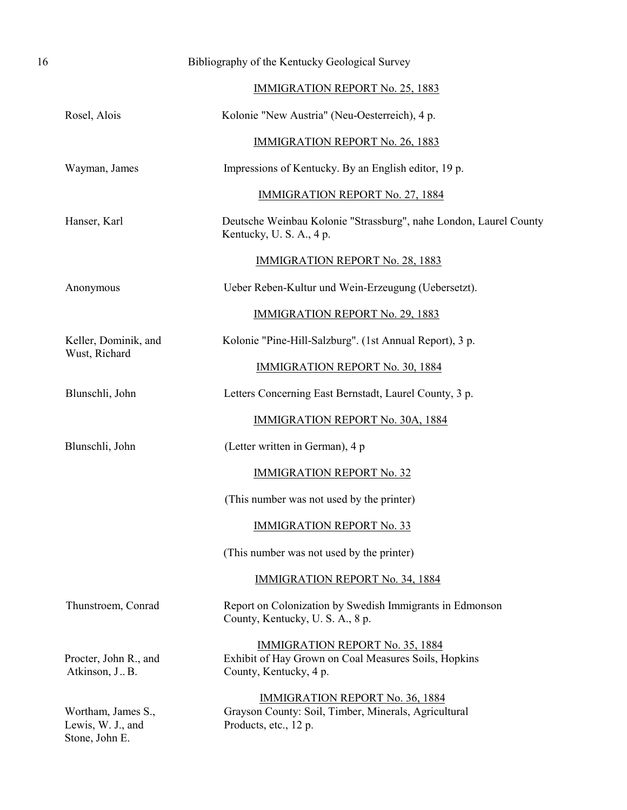| 16 |                                                           | Bibliography of the Kentucky Geological Survey                                                                           |
|----|-----------------------------------------------------------|--------------------------------------------------------------------------------------------------------------------------|
|    |                                                           | <b>IMMIGRATION REPORT No. 25, 1883</b>                                                                                   |
|    | Rosel, Alois                                              | Kolonie "New Austria" (Neu-Oesterreich), 4 p.                                                                            |
|    |                                                           | <b>IMMIGRATION REPORT No. 26, 1883</b>                                                                                   |
|    | Wayman, James                                             | Impressions of Kentucky. By an English editor, 19 p.                                                                     |
|    |                                                           | <b>IMMIGRATION REPORT No. 27, 1884</b>                                                                                   |
|    | Hanser, Karl                                              | Deutsche Weinbau Kolonie "Strassburg", nahe London, Laurel County<br>Kentucky, U. S. A., 4 p.                            |
|    |                                                           | <b>IMMIGRATION REPORT No. 28, 1883</b>                                                                                   |
|    | Anonymous                                                 | Ueber Reben-Kultur und Wein-Erzeugung (Uebersetzt).                                                                      |
|    |                                                           | <b>IMMIGRATION REPORT No. 29, 1883</b>                                                                                   |
|    | Keller, Dominik, and                                      | Kolonie "Pine-Hill-Salzburg". (1st Annual Report), 3 p.                                                                  |
|    | Wust, Richard                                             | <b>IMMIGRATION REPORT No. 30, 1884</b>                                                                                   |
|    | Blunschli, John                                           | Letters Concerning East Bernstadt, Laurel County, 3 p.                                                                   |
|    |                                                           | <b>IMMIGRATION REPORT No. 30A, 1884</b>                                                                                  |
|    | Blunschli, John                                           | (Letter written in German), 4 p                                                                                          |
|    |                                                           | <b>IMMIGRATION REPORT No. 32</b>                                                                                         |
|    |                                                           | (This number was not used by the printer)                                                                                |
|    |                                                           | <b>IMMIGRATION REPORT No. 33</b>                                                                                         |
|    |                                                           | (This number was not used by the printer)                                                                                |
|    |                                                           | <b>IMMIGRATION REPORT No. 34, 1884</b>                                                                                   |
|    | Thunstroem, Conrad                                        | Report on Colonization by Swedish Immigrants in Edmonson<br>County, Kentucky, U.S.A., 8 p.                               |
|    | Procter, John R., and<br>Atkinson, J., B.                 | <b>IMMIGRATION REPORT No. 35, 1884</b><br>Exhibit of Hay Grown on Coal Measures Soils, Hopkins<br>County, Kentucky, 4 p. |
|    | Wortham, James S.,<br>Lewis, W. J., and<br>Stone, John E. | <b>IMMIGRATION REPORT No. 36, 1884</b><br>Grayson County: Soil, Timber, Minerals, Agricultural<br>Products, etc., 12 p.  |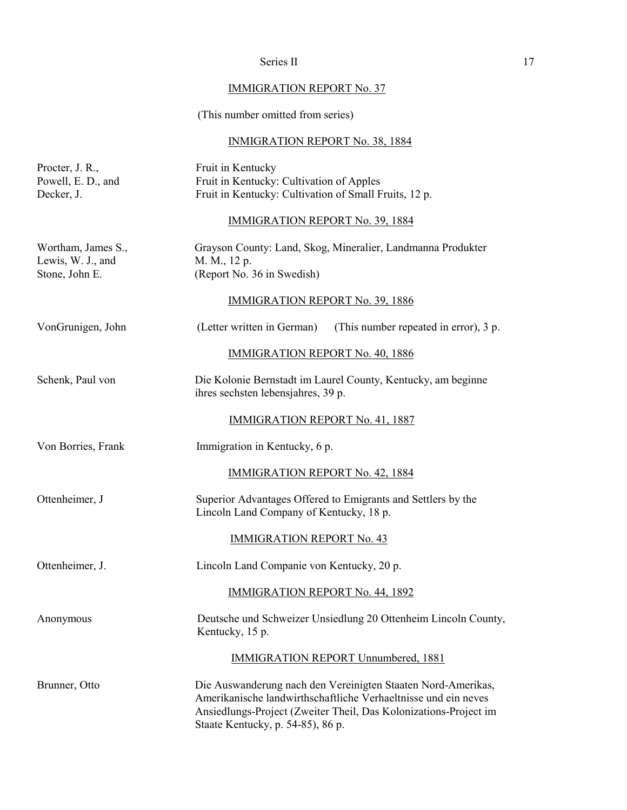# Series II 17

# IMMIGRATION REPORT No. 37

# (This number omitted from series)

# INMIGRATION REPORT No. 38, 1884

| Procter, J. R.,<br>Powell, E. D., and<br>Decker, J.       | Fruit in Kentucky<br>Fruit in Kentucky: Cultivation of Apples<br>Fruit in Kentucky: Cultivation of Small Fruits, 12 p.                                                                                                                  |
|-----------------------------------------------------------|-----------------------------------------------------------------------------------------------------------------------------------------------------------------------------------------------------------------------------------------|
|                                                           | <b>IMMIGRATION REPORT No. 39, 1884</b>                                                                                                                                                                                                  |
| Wortham, James S.,<br>Lewis, W. J., and<br>Stone, John E. | Grayson County: Land, Skog, Mineralier, Landmanna Produkter<br>M. M., 12 p.<br>(Report No. 36 in Swedish)                                                                                                                               |
|                                                           | <b>IMMIGRATION REPORT No. 39, 1886</b>                                                                                                                                                                                                  |
| VonGrunigen, John                                         | (Letter written in German)<br>(This number repeated in error), 3 p.                                                                                                                                                                     |
|                                                           | <b>IMMIGRATION REPORT No. 40, 1886</b>                                                                                                                                                                                                  |
| Schenk, Paul von                                          | Die Kolonie Bernstadt im Laurel County, Kentucky, am beginne<br>ihres sechsten lebensjahres, 39 p.                                                                                                                                      |
|                                                           | IMMIGRATION REPORT No. 41, 1887                                                                                                                                                                                                         |
| Von Borries, Frank                                        | Immigration in Kentucky, 6 p.                                                                                                                                                                                                           |
|                                                           | <b>IMMIGRATION REPORT No. 42, 1884</b>                                                                                                                                                                                                  |
| Ottenheimer, J                                            | Superior Advantages Offered to Emigrants and Settlers by the<br>Lincoln Land Company of Kentucky, 18 p.                                                                                                                                 |
|                                                           | <b>IMMIGRATION REPORT No. 43</b>                                                                                                                                                                                                        |
| Ottenheimer, J.                                           | Lincoln Land Companie von Kentucky, 20 p.                                                                                                                                                                                               |
|                                                           | <b>IMMIGRATION REPORT No. 44, 1892</b>                                                                                                                                                                                                  |
| Anonymous                                                 | Deutsche und Schweizer Unsiedlung 20 Ottenheim Lincoln County,<br>Kentucky, 15 p.                                                                                                                                                       |
|                                                           | <b>IMMIGRATION REPORT Unnumbered, 1881</b>                                                                                                                                                                                              |
| Brunner, Otto                                             | Die Auswanderung nach den Vereinigten Staaten Nord-Amerikas,<br>Amerikanische landwirthschaftliche Verhaeltnisse und ein neves<br>Ansiedlungs-Project (Zweiter Theil, Das Kolonizations-Project im<br>Staate Kentucky, p. 54-85), 86 p. |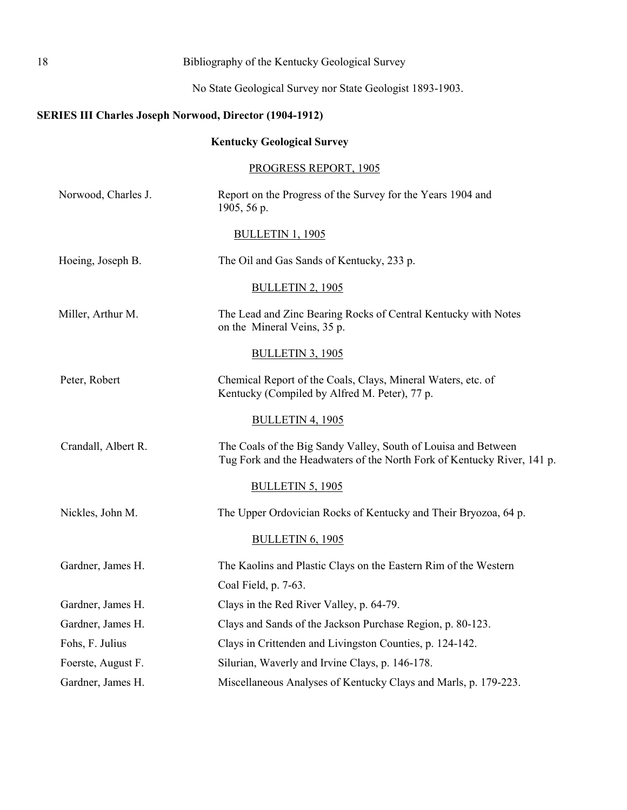<span id="page-22-0"></span>

| 18<br>Bibliography of the Kentucky Geological Survey |                     |                                                                                                                                           |
|------------------------------------------------------|---------------------|-------------------------------------------------------------------------------------------------------------------------------------------|
|                                                      |                     | No State Geological Survey nor State Geologist 1893-1903.                                                                                 |
|                                                      |                     | <b>SERIES III Charles Joseph Norwood, Director (1904-1912)</b>                                                                            |
|                                                      |                     | <b>Kentucky Geological Survey</b>                                                                                                         |
|                                                      |                     | <b>PROGRESS REPORT, 1905</b>                                                                                                              |
|                                                      | Norwood, Charles J. | Report on the Progress of the Survey for the Years 1904 and<br>1905, 56 p.                                                                |
|                                                      |                     | <b>BULLETIN 1, 1905</b>                                                                                                                   |
|                                                      | Hoeing, Joseph B.   | The Oil and Gas Sands of Kentucky, 233 p.                                                                                                 |
|                                                      |                     | <b>BULLETIN 2, 1905</b>                                                                                                                   |
|                                                      | Miller, Arthur M.   | The Lead and Zinc Bearing Rocks of Central Kentucky with Notes<br>on the Mineral Veins, 35 p.                                             |
|                                                      |                     | <b>BULLETIN 3, 1905</b>                                                                                                                   |
|                                                      | Peter, Robert       | Chemical Report of the Coals, Clays, Mineral Waters, etc. of<br>Kentucky (Compiled by Alfred M. Peter), 77 p.                             |
|                                                      |                     | <b>BULLETIN 4, 1905</b>                                                                                                                   |
|                                                      | Crandall, Albert R. | The Coals of the Big Sandy Valley, South of Louisa and Between<br>Tug Fork and the Headwaters of the North Fork of Kentucky River, 141 p. |
|                                                      |                     | <b>BULLETIN 5, 1905</b>                                                                                                                   |
|                                                      | Nickles, John M.    | The Upper Ordovician Rocks of Kentucky and Their Bryozoa, 64 p.                                                                           |
|                                                      |                     | <b>BULLETIN 6, 1905</b>                                                                                                                   |
|                                                      | Gardner, James H.   | The Kaolins and Plastic Clays on the Eastern Rim of the Western<br>Coal Field, p. 7-63.                                                   |
|                                                      | Gardner, James H.   | Clays in the Red River Valley, p. 64-79.                                                                                                  |
|                                                      | Gardner, James H.   | Clays and Sands of the Jackson Purchase Region, p. 80-123.                                                                                |
|                                                      | Fohs, F. Julius     | Clays in Crittenden and Livingston Counties, p. 124-142.                                                                                  |
|                                                      | Foerste, August F.  | Silurian, Waverly and Irvine Clays, p. 146-178.                                                                                           |
|                                                      | Gardner, James H.   | Miscellaneous Analyses of Kentucky Clays and Marls, p. 179-223.                                                                           |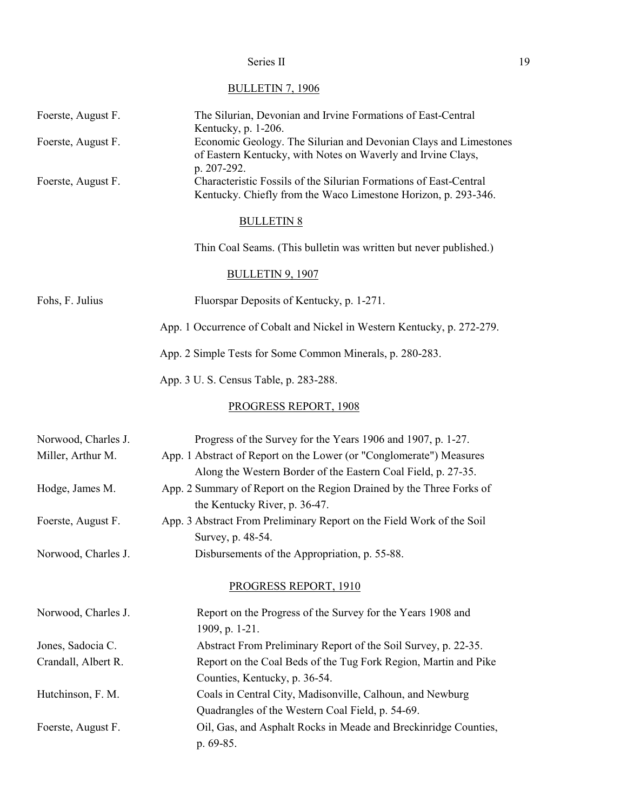# BULLETIN 7, 1906

| Foerste, August F.  | The Silurian, Devonian and Irvine Formations of East-Central<br>Kentucky, p. 1-206.                                                             |
|---------------------|-------------------------------------------------------------------------------------------------------------------------------------------------|
| Foerste, August F.  | Economic Geology. The Silurian and Devonian Clays and Limestones<br>of Eastern Kentucky, with Notes on Waverly and Irvine Clays,<br>p. 207-292. |
| Foerste, August F.  | Characteristic Fossils of the Silurian Formations of East-Central<br>Kentucky. Chiefly from the Waco Limestone Horizon, p. 293-346.             |
|                     | <b>BULLETIN 8</b>                                                                                                                               |
|                     | Thin Coal Seams. (This bulletin was written but never published.)                                                                               |
|                     | <b>BULLETIN 9, 1907</b>                                                                                                                         |
| Fohs, F. Julius     | Fluorspar Deposits of Kentucky, p. 1-271.                                                                                                       |
|                     | App. 1 Occurrence of Cobalt and Nickel in Western Kentucky, p. 272-279.                                                                         |
|                     | App. 2 Simple Tests for Some Common Minerals, p. 280-283.                                                                                       |
|                     | App. 3 U. S. Census Table, p. 283-288.                                                                                                          |
|                     | PROGRESS REPORT, 1908                                                                                                                           |
| Norwood, Charles J. | Progress of the Survey for the Years 1906 and 1907, p. 1-27.                                                                                    |
| Miller, Arthur M.   | App. 1 Abstract of Report on the Lower (or "Conglomerate") Measures<br>Along the Western Border of the Eastern Coal Field, p. 27-35.            |
| Hodge, James M.     | App. 2 Summary of Report on the Region Drained by the Three Forks of<br>the Kentucky River, p. 36-47.                                           |
| Foerste, August F.  | App. 3 Abstract From Preliminary Report on the Field Work of the Soil<br>Survey, p. 48-54.                                                      |
| Norwood, Charles J. | Disbursements of the Appropriation, p. 55-88.                                                                                                   |
|                     | PROGRESS REPORT, 1910                                                                                                                           |
| Norwood, Charles J. | Report on the Progress of the Survey for the Years 1908 and<br>1909, p. 1-21.                                                                   |
| Jones, Sadocia C.   | Abstract From Preliminary Report of the Soil Survey, p. 22-35.                                                                                  |
| Crandall, Albert R. | Report on the Coal Beds of the Tug Fork Region, Martin and Pike                                                                                 |
|                     | Counties, Kentucky, p. 36-54.                                                                                                                   |
| Hutchinson, F. M.   | Coals in Central City, Madisonville, Calhoun, and Newburg                                                                                       |
|                     | Quadrangles of the Western Coal Field, p. 54-69.                                                                                                |
| Foerste, August F.  | Oil, Gas, and Asphalt Rocks in Meade and Breckinridge Counties,<br>p. 69-85.                                                                    |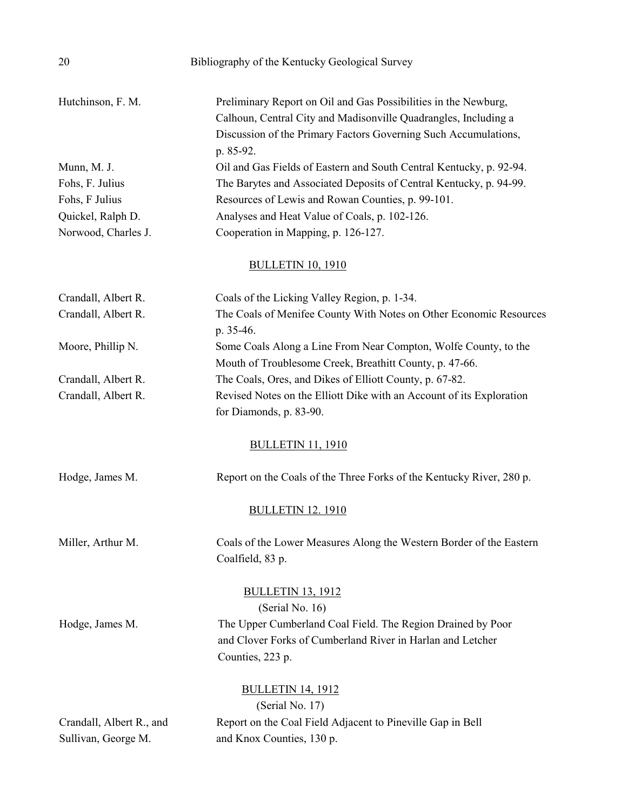| 20                                              | Bibliography of the Kentucky Geological Survey                                                                                                                                                                     |
|-------------------------------------------------|--------------------------------------------------------------------------------------------------------------------------------------------------------------------------------------------------------------------|
| Hutchinson, F. M.                               | Preliminary Report on Oil and Gas Possibilities in the Newburg,<br>Calhoun, Central City and Madisonville Quadrangles, Including a<br>Discussion of the Primary Factors Governing Such Accumulations,<br>p. 85-92. |
| Munn, M. J.                                     | Oil and Gas Fields of Eastern and South Central Kentucky, p. 92-94.                                                                                                                                                |
| Fohs, F. Julius                                 | The Barytes and Associated Deposits of Central Kentucky, p. 94-99.                                                                                                                                                 |
| Fohs, F Julius                                  | Resources of Lewis and Rowan Counties, p. 99-101.                                                                                                                                                                  |
| Quickel, Ralph D.                               | Analyses and Heat Value of Coals, p. 102-126.                                                                                                                                                                      |
| Norwood, Charles J.                             | Cooperation in Mapping, p. 126-127.                                                                                                                                                                                |
|                                                 | <b>BULLETIN 10, 1910</b>                                                                                                                                                                                           |
| Crandall, Albert R.                             | Coals of the Licking Valley Region, p. 1-34.                                                                                                                                                                       |
| Crandall, Albert R.                             | The Coals of Menifee County With Notes on Other Economic Resources<br>p. 35-46.                                                                                                                                    |
| Moore, Phillip N.                               | Some Coals Along a Line From Near Compton, Wolfe County, to the<br>Mouth of Troublesome Creek, Breathitt County, p. 47-66.                                                                                         |
| Crandall, Albert R.                             | The Coals, Ores, and Dikes of Elliott County, p. 67-82.                                                                                                                                                            |
| Crandall, Albert R.                             | Revised Notes on the Elliott Dike with an Account of its Exploration<br>for Diamonds, p. 83-90.                                                                                                                    |
|                                                 | <b>BULLETIN 11, 1910</b>                                                                                                                                                                                           |
| Hodge, James M.                                 | Report on the Coals of the Three Forks of the Kentucky River, 280 p.                                                                                                                                               |
|                                                 | <b>BULLETIN 12. 1910</b>                                                                                                                                                                                           |
| Miller, Arthur M.                               | Coals of the Lower Measures Along the Western Border of the Eastern<br>Coalfield, 83 p.                                                                                                                            |
| Hodge, James M.                                 | <b>BULLETIN 13, 1912</b><br>(Serial No. 16)<br>The Upper Cumberland Coal Field. The Region Drained by Poor<br>and Clover Forks of Cumberland River in Harlan and Letcher<br>Counties, 223 p.                       |
| Crandall, Albert R., and<br>Sullivan, George M. | <b>BULLETIN 14, 1912</b><br>(Serial No. 17)<br>Report on the Coal Field Adjacent to Pineville Gap in Bell<br>and Knox Counties, 130 p.                                                                             |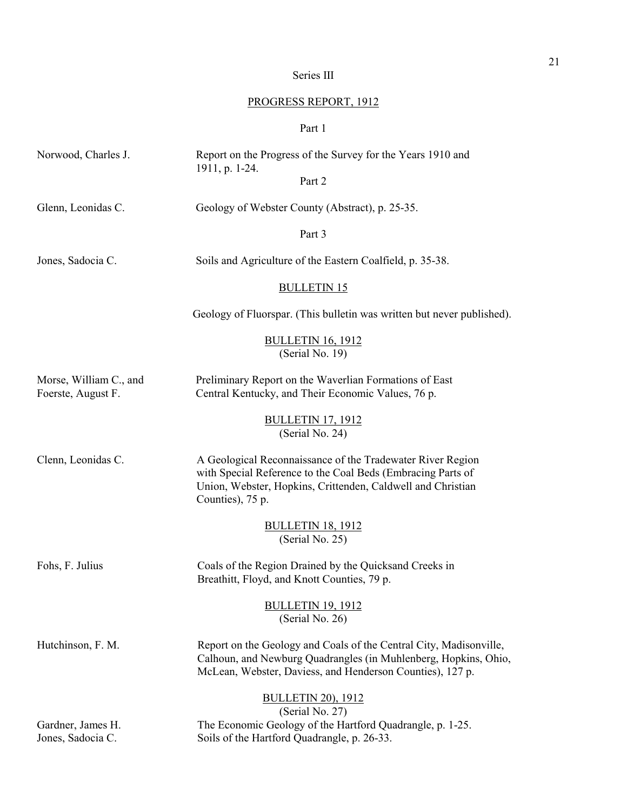# Series III

# PROGRESS REPORT, 1912

# Part 1

| Norwood, Charles J.                          | Report on the Progress of the Survey for the Years 1910 and<br>1911, p. 1-24.                                                                                                                                |
|----------------------------------------------|--------------------------------------------------------------------------------------------------------------------------------------------------------------------------------------------------------------|
|                                              | Part 2                                                                                                                                                                                                       |
| Glenn, Leonidas C.                           | Geology of Webster County (Abstract), p. 25-35.                                                                                                                                                              |
|                                              | Part 3                                                                                                                                                                                                       |
| Jones, Sadocia C.                            | Soils and Agriculture of the Eastern Coalfield, p. 35-38.                                                                                                                                                    |
|                                              | <b>BULLETIN 15</b>                                                                                                                                                                                           |
|                                              | Geology of Fluorspar. (This bulletin was written but never published).                                                                                                                                       |
|                                              | <b>BULLETIN 16, 1912</b><br>(Serial No. 19)                                                                                                                                                                  |
| Morse, William C., and<br>Foerste, August F. | Preliminary Report on the Waverlian Formations of East<br>Central Kentucky, and Their Economic Values, 76 p.                                                                                                 |
|                                              | <b>BULLETIN 17, 1912</b><br>(Serial No. 24)                                                                                                                                                                  |
| Clenn, Leonidas C.                           | A Geological Reconnaissance of the Tradewater River Region<br>with Special Reference to the Coal Beds (Embracing Parts of<br>Union, Webster, Hopkins, Crittenden, Caldwell and Christian<br>Counties), 75 p. |
|                                              | <b>BULLETIN 18, 1912</b><br>(Serial No. 25)                                                                                                                                                                  |
| Fohs, F. Julius                              | Coals of the Region Drained by the Quicksand Creeks in<br>Breathitt, Floyd, and Knott Counties, 79 p.                                                                                                        |
|                                              | <b>BULLETIN 19, 1912</b><br>(Serial No. 26)                                                                                                                                                                  |
| Hutchinson, F. M.                            | Report on the Geology and Coals of the Central City, Madisonville,<br>Calhoun, and Newburg Quadrangles (in Muhlenberg, Hopkins, Ohio,<br>McLean, Webster, Daviess, and Henderson Counties), 127 p.           |
| Gardner, James H.<br>Jones, Sadocia C.       | <b>BULLETIN 20), 1912</b><br>(Serial No. 27)<br>The Economic Geology of the Hartford Quadrangle, p. 1-25.<br>Soils of the Hartford Quadrangle, p. 26-33.                                                     |
|                                              |                                                                                                                                                                                                              |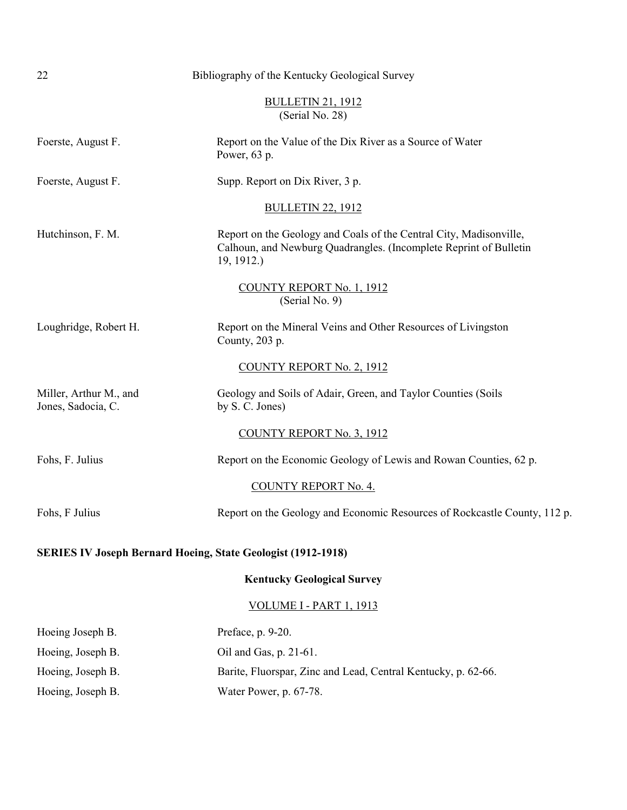<span id="page-26-0"></span>

| 22                                                                  | Bibliography of the Kentucky Geological Survey                                                                                                        |  |
|---------------------------------------------------------------------|-------------------------------------------------------------------------------------------------------------------------------------------------------|--|
|                                                                     | <b>BULLETIN 21, 1912</b><br>(Serial No. 28)                                                                                                           |  |
| Foerste, August F.                                                  | Report on the Value of the Dix River as a Source of Water<br>Power, 63 p.                                                                             |  |
| Foerste, August F.                                                  | Supp. Report on Dix River, 3 p.                                                                                                                       |  |
|                                                                     | <b>BULLETIN 22, 1912</b>                                                                                                                              |  |
| Hutchinson, F. M.                                                   | Report on the Geology and Coals of the Central City, Madisonville,<br>Calhoun, and Newburg Quadrangles. (Incomplete Reprint of Bulletin<br>19, 1912.) |  |
|                                                                     | COUNTY REPORT No. 1, 1912<br>(Serial No. 9)                                                                                                           |  |
| Loughridge, Robert H.                                               | Report on the Mineral Veins and Other Resources of Livingston<br>County, 203 p.                                                                       |  |
|                                                                     | <b>COUNTY REPORT No. 2, 1912</b>                                                                                                                      |  |
| Miller, Arthur M., and<br>Jones, Sadocia, C.                        | Geology and Soils of Adair, Green, and Taylor Counties (Soils<br>by S. C. Jones)                                                                      |  |
|                                                                     | <b>COUNTY REPORT No. 3, 1912</b>                                                                                                                      |  |
| Fohs, F. Julius                                                     | Report on the Economic Geology of Lewis and Rowan Counties, 62 p.                                                                                     |  |
|                                                                     | <b>COUNTY REPORT No. 4.</b>                                                                                                                           |  |
| Fohs, F Julius                                                      | Report on the Geology and Economic Resources of Rockcastle County, 112 p.                                                                             |  |
| <b>SERIES IV Joseph Bernard Hoeing, State Geologist (1912-1918)</b> |                                                                                                                                                       |  |
| <b>Kentucky Geological Survey</b>                                   |                                                                                                                                                       |  |
|                                                                     | VOLUME I - PART 1, 1913                                                                                                                               |  |
| Hoeing Joseph B.                                                    | Preface, p. 9-20.                                                                                                                                     |  |
| Hoeing, Joseph B.                                                   | Oil and Gas, p. 21-61.                                                                                                                                |  |
| Hoeing, Joseph B.                                                   | Barite, Fluorspar, Zinc and Lead, Central Kentucky, p. 62-66.                                                                                         |  |
| Hoeing, Joseph B.                                                   | Water Power, p. 67-78.                                                                                                                                |  |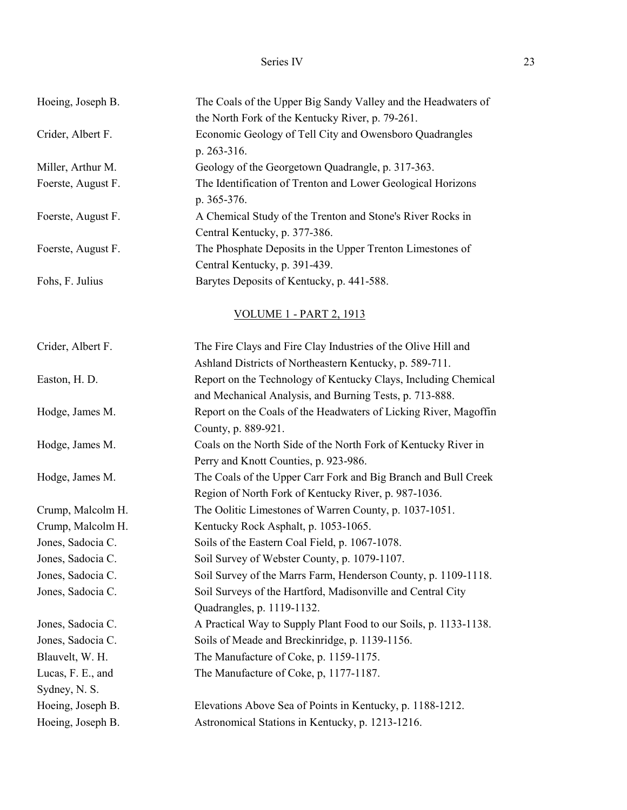| Hoeing, Joseph B.  | The Coals of the Upper Big Sandy Valley and the Headwaters of<br>the North Fork of the Kentucky River, p. 79-261. |  |
|--------------------|-------------------------------------------------------------------------------------------------------------------|--|
| Crider, Albert F.  | Economic Geology of Tell City and Owensboro Quadrangles<br>p. 263-316.                                            |  |
| Miller, Arthur M.  | Geology of the Georgetown Quadrangle, p. 317-363.                                                                 |  |
| Foerste, August F. | The Identification of Trenton and Lower Geological Horizons<br>p. 365-376.                                        |  |
| Foerste, August F. | A Chemical Study of the Trenton and Stone's River Rocks in                                                        |  |
|                    | Central Kentucky, p. 377-386.                                                                                     |  |
| Foerste, August F. | The Phosphate Deposits in the Upper Trenton Limestones of                                                         |  |
|                    | Central Kentucky, p. 391-439.                                                                                     |  |
| Fohs, F. Julius    | Barytes Deposits of Kentucky, p. 441-588.                                                                         |  |
|                    |                                                                                                                   |  |
|                    | <b>VOLUME 1 - PART 2, 1913</b>                                                                                    |  |
| Crider, Albert F.  | The Fire Clays and Fire Clay Industries of the Olive Hill and                                                     |  |
|                    | Ashland Districts of Northeastern Kentucky, p. 589-711.                                                           |  |
| Easton, H. D.      | Report on the Technology of Kentucky Clays, Including Chemical                                                    |  |
|                    | and Mechanical Analysis, and Burning Tests, p. 713-888.                                                           |  |
| Hodge, James M.    | Report on the Coals of the Headwaters of Licking River, Magoffin                                                  |  |
|                    | County, p. 889-921.                                                                                               |  |
| Hodge, James M.    | Coals on the North Side of the North Fork of Kentucky River in                                                    |  |
|                    | Perry and Knott Counties, p. 923-986.                                                                             |  |
| Hodge, James M.    | The Coals of the Upper Carr Fork and Big Branch and Bull Creek                                                    |  |
|                    | Region of North Fork of Kentucky River, p. 987-1036.                                                              |  |
| Crump, Malcolm H.  | The Oolitic Limestones of Warren County, p. 1037-1051.                                                            |  |
| Crump, Malcolm H.  | Kentucky Rock Asphalt, p. 1053-1065.                                                                              |  |
| Jones, Sadocia C.  | Soils of the Eastern Coal Field, p. 1067-1078.                                                                    |  |
| Jones, Sadocia C.  | Soil Survey of Webster County, p. 1079-1107.                                                                      |  |
| Jones, Sadocia C.  | Soil Survey of the Marrs Farm, Henderson County, p. 1109-1118.                                                    |  |
| Jones, Sadocia C.  | Soil Surveys of the Hartford, Madisonville and Central City                                                       |  |
|                    | Quadrangles, p. 1119-1132.                                                                                        |  |
| Jones, Sadocia C.  | A Practical Way to Supply Plant Food to our Soils, p. 1133-1138.                                                  |  |
| Jones, Sadocia C.  | Soils of Meade and Breckinridge, p. 1139-1156.                                                                    |  |
| Blauvelt, W. H.    | The Manufacture of Coke, p. 1159-1175.                                                                            |  |
| Lucas, F. E., and  | The Manufacture of Coke, p, 1177-1187.                                                                            |  |
| Sydney, N. S.      |                                                                                                                   |  |
| Hoeing, Joseph B.  | Elevations Above Sea of Points in Kentucky, p. 1188-1212.                                                         |  |
| Hoeing, Joseph B.  | Astronomical Stations in Kentucky, p. 1213-1216.                                                                  |  |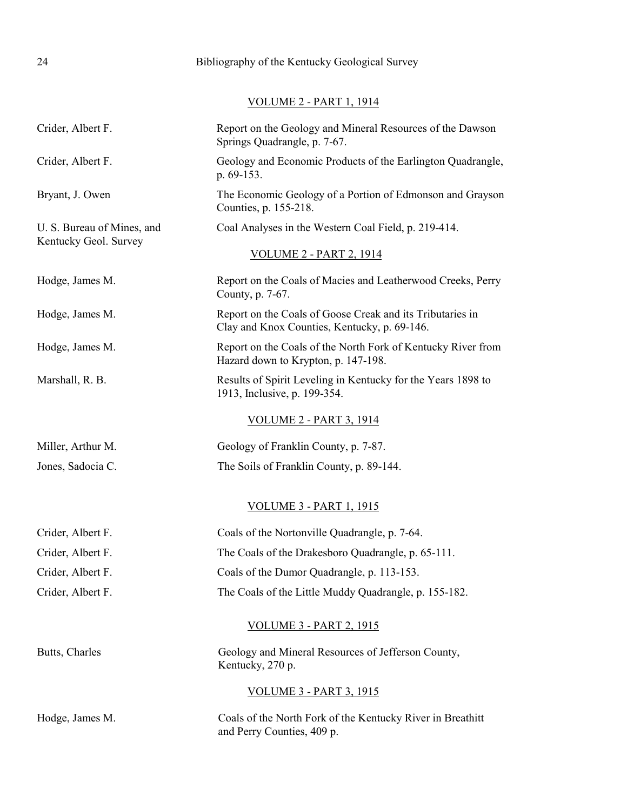# 24 Bibliography of the Kentucky Geological Survey

VOLUME 2 - PART 1, 1914

| Crider, Albert F.                                   | Report on the Geology and Mineral Resources of the Dawson<br>Springs Quadrangle, p. 7-67.                 |
|-----------------------------------------------------|-----------------------------------------------------------------------------------------------------------|
| Crider, Albert F.                                   | Geology and Economic Products of the Earlington Quadrangle,<br>p. 69-153.                                 |
| Bryant, J. Owen                                     | The Economic Geology of a Portion of Edmonson and Grayson<br>Counties, p. 155-218.                        |
| U. S. Bureau of Mines, and<br>Kentucky Geol. Survey | Coal Analyses in the Western Coal Field, p. 219-414.                                                      |
|                                                     | <u>VOLUME 2 - PART 2, 1914</u>                                                                            |
| Hodge, James M.                                     | Report on the Coals of Macies and Leatherwood Creeks, Perry<br>County, p. 7-67.                           |
| Hodge, James M.                                     | Report on the Coals of Goose Creak and its Tributaries in<br>Clay and Knox Counties, Kentucky, p. 69-146. |
| Hodge, James M.                                     | Report on the Coals of the North Fork of Kentucky River from<br>Hazard down to Krypton, p. 147-198.       |
| Marshall, R. B.                                     | Results of Spirit Leveling in Kentucky for the Years 1898 to<br>1913, Inclusive, p. 199-354.              |
|                                                     | <u>VOLUME 2 - PART 3, 1914</u>                                                                            |
| Miller, Arthur M.                                   | Geology of Franklin County, p. 7-87.                                                                      |
| Jones, Sadocia C.                                   | The Soils of Franklin County, p. 89-144.                                                                  |
|                                                     | <b>VOLUME 3 - PART 1, 1915</b>                                                                            |
| Crider, Albert F.                                   | Coals of the Nortonville Quadrangle, p. 7-64.                                                             |
| Crider, Albert F.                                   | The Coals of the Drakesboro Quadrangle, p. 65-111.                                                        |
| Crider, Albert F.                                   | Coals of the Dumor Quadrangle, p. 113-153.                                                                |
| Crider, Albert F.                                   | The Coals of the Little Muddy Quadrangle, p. 155-182.                                                     |
|                                                     | <b>VOLUME 3 - PART 2, 1915</b>                                                                            |
| Butts, Charles                                      | Geology and Mineral Resources of Jefferson County,<br>Kentucky, 270 p.                                    |
|                                                     | <u>VOLUME 3 - PART 3, 1915</u>                                                                            |
| Hodge, James M.                                     | Coals of the North Fork of the Kentucky River in Breathitt<br>and Perry Counties, 409 p.                  |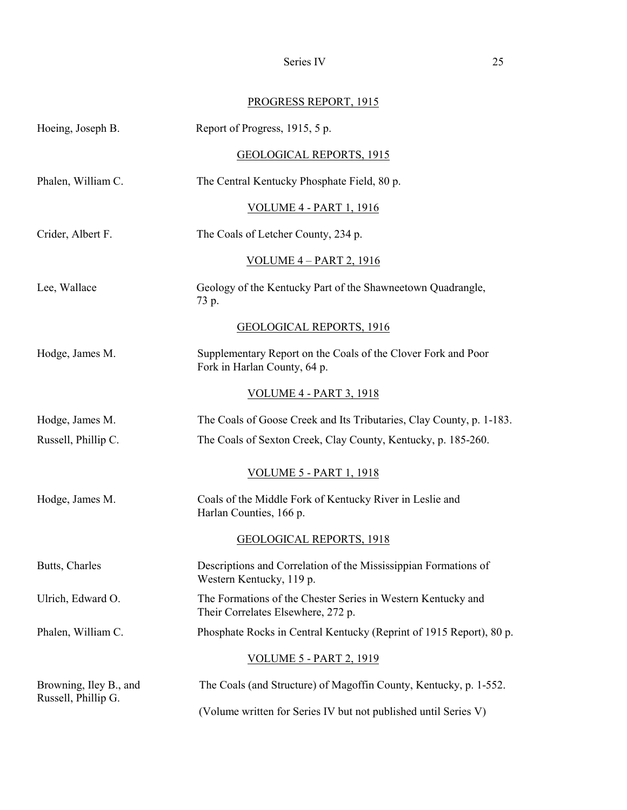Series IV 25

# PROGRESS REPORT, 1915

<span id="page-29-0"></span>

| Hoeing, Joseph B.      | Report of Progress, 1915, 5 p.                                                                     |  |
|------------------------|----------------------------------------------------------------------------------------------------|--|
|                        | <b>GEOLOGICAL REPORTS, 1915</b>                                                                    |  |
| Phalen, William C.     | The Central Kentucky Phosphate Field, 80 p.                                                        |  |
|                        | <u>VOLUME 4 - PART 1, 1916</u>                                                                     |  |
| Crider, Albert F.      | The Coals of Letcher County, 234 p.                                                                |  |
|                        | <u>VOLUME 4 - PART 2, 1916</u>                                                                     |  |
| Lee, Wallace           | Geology of the Kentucky Part of the Shawneetown Quadrangle,<br>73 p.                               |  |
|                        | <b>GEOLOGICAL REPORTS, 1916</b>                                                                    |  |
| Hodge, James M.        | Supplementary Report on the Coals of the Clover Fork and Poor<br>Fork in Harlan County, 64 p.      |  |
|                        | <u>VOLUME 4 - PART 3, 1918</u>                                                                     |  |
| Hodge, James M.        | The Coals of Goose Creek and Its Tributaries, Clay County, p. 1-183.                               |  |
| Russell, Phillip C.    | The Coals of Sexton Creek, Clay County, Kentucky, p. 185-260.                                      |  |
|                        | <u>VOLUME 5 - PART 1, 1918</u>                                                                     |  |
| Hodge, James M.        | Coals of the Middle Fork of Kentucky River in Leslie and<br>Harlan Counties, 166 p.                |  |
|                        | <b>GEOLOGICAL REPORTS, 1918</b>                                                                    |  |
| Butts, Charles         | Descriptions and Correlation of the Mississippian Formations of<br>Western Kentucky, 119 p.        |  |
| Ulrich, Edward O.      | The Formations of the Chester Series in Western Kentucky and<br>Their Correlates Elsewhere, 272 p. |  |
| Phalen, William C.     | Phosphate Rocks in Central Kentucky (Reprint of 1915 Report), 80 p.                                |  |
|                        | <u>VOLUME 5 - PART 2, 1919</u>                                                                     |  |
| Browning, Iley B., and | The Coals (and Structure) of Magoffin County, Kentucky, p. 1-552.                                  |  |
| Russell, Phillip G.    | (Volume written for Series IV but not published until Series V)                                    |  |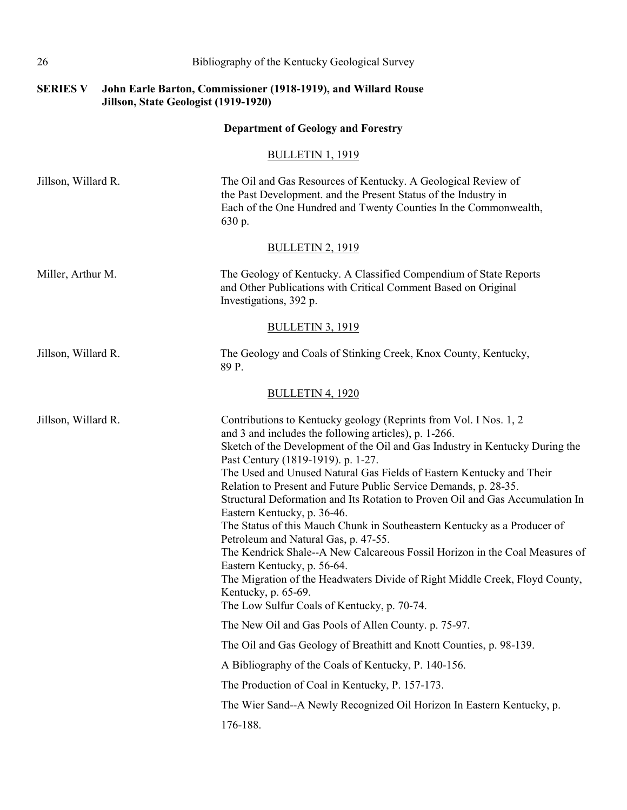| 26                  | Bibliography of the Kentucky Geological Survey                                                                                                                                                                                                                                                                                                                                                                                                                                                                                                                                                                                                                                                                                                                                                                                                                                                      |
|---------------------|-----------------------------------------------------------------------------------------------------------------------------------------------------------------------------------------------------------------------------------------------------------------------------------------------------------------------------------------------------------------------------------------------------------------------------------------------------------------------------------------------------------------------------------------------------------------------------------------------------------------------------------------------------------------------------------------------------------------------------------------------------------------------------------------------------------------------------------------------------------------------------------------------------|
| <b>SERIES V</b>     | John Earle Barton, Commissioner (1918-1919), and Willard Rouse<br>Jillson, State Geologist (1919-1920)                                                                                                                                                                                                                                                                                                                                                                                                                                                                                                                                                                                                                                                                                                                                                                                              |
|                     | <b>Department of Geology and Forestry</b>                                                                                                                                                                                                                                                                                                                                                                                                                                                                                                                                                                                                                                                                                                                                                                                                                                                           |
|                     | <b>BULLETIN 1, 1919</b>                                                                                                                                                                                                                                                                                                                                                                                                                                                                                                                                                                                                                                                                                                                                                                                                                                                                             |
| Jillson, Willard R. | The Oil and Gas Resources of Kentucky. A Geological Review of<br>the Past Development. and the Present Status of the Industry in<br>Each of the One Hundred and Twenty Counties In the Commonwealth,<br>630 p.                                                                                                                                                                                                                                                                                                                                                                                                                                                                                                                                                                                                                                                                                      |
|                     | <b>BULLETIN 2, 1919</b>                                                                                                                                                                                                                                                                                                                                                                                                                                                                                                                                                                                                                                                                                                                                                                                                                                                                             |
| Miller, Arthur M.   | The Geology of Kentucky. A Classified Compendium of State Reports<br>and Other Publications with Critical Comment Based on Original<br>Investigations, 392 p.                                                                                                                                                                                                                                                                                                                                                                                                                                                                                                                                                                                                                                                                                                                                       |
|                     | <b>BULLETIN 3, 1919</b>                                                                                                                                                                                                                                                                                                                                                                                                                                                                                                                                                                                                                                                                                                                                                                                                                                                                             |
| Jillson, Willard R. | The Geology and Coals of Stinking Creek, Knox County, Kentucky,<br>89 P.                                                                                                                                                                                                                                                                                                                                                                                                                                                                                                                                                                                                                                                                                                                                                                                                                            |
|                     | <b>BULLETIN 4, 1920</b>                                                                                                                                                                                                                                                                                                                                                                                                                                                                                                                                                                                                                                                                                                                                                                                                                                                                             |
| Jillson, Willard R. | Contributions to Kentucky geology (Reprints from Vol. I Nos. 1, 2<br>and 3 and includes the following articles), p. 1-266.<br>Sketch of the Development of the Oil and Gas Industry in Kentucky During the<br>Past Century (1819-1919). p. 1-27.<br>The Used and Unused Natural Gas Fields of Eastern Kentucky and Their<br>Relation to Present and Future Public Service Demands, p. 28-35.<br>Structural Deformation and Its Rotation to Proven Oil and Gas Accumulation In<br>Eastern Kentucky, p. 36-46.<br>The Status of this Mauch Chunk in Southeastern Kentucky as a Producer of<br>Petroleum and Natural Gas, p. 47-55.<br>The Kendrick Shale--A New Calcareous Fossil Horizon in the Coal Measures of<br>Eastern Kentucky, p. 56-64.<br>The Migration of the Headwaters Divide of Right Middle Creek, Floyd County,<br>Kentucky, p. 65-69.<br>The Low Sulfur Coals of Kentucky, p. 70-74. |
|                     | The New Oil and Gas Pools of Allen County. p. 75-97.                                                                                                                                                                                                                                                                                                                                                                                                                                                                                                                                                                                                                                                                                                                                                                                                                                                |
|                     | The Oil and Gas Geology of Breathitt and Knott Counties, p. 98-139.                                                                                                                                                                                                                                                                                                                                                                                                                                                                                                                                                                                                                                                                                                                                                                                                                                 |
|                     | A Bibliography of the Coals of Kentucky, P. 140-156.                                                                                                                                                                                                                                                                                                                                                                                                                                                                                                                                                                                                                                                                                                                                                                                                                                                |
|                     | The Production of Coal in Kentucky, P. 157-173.                                                                                                                                                                                                                                                                                                                                                                                                                                                                                                                                                                                                                                                                                                                                                                                                                                                     |
|                     | The Wier Sand--A Newly Recognized Oil Horizon In Eastern Kentucky, p.<br>176-188.                                                                                                                                                                                                                                                                                                                                                                                                                                                                                                                                                                                                                                                                                                                                                                                                                   |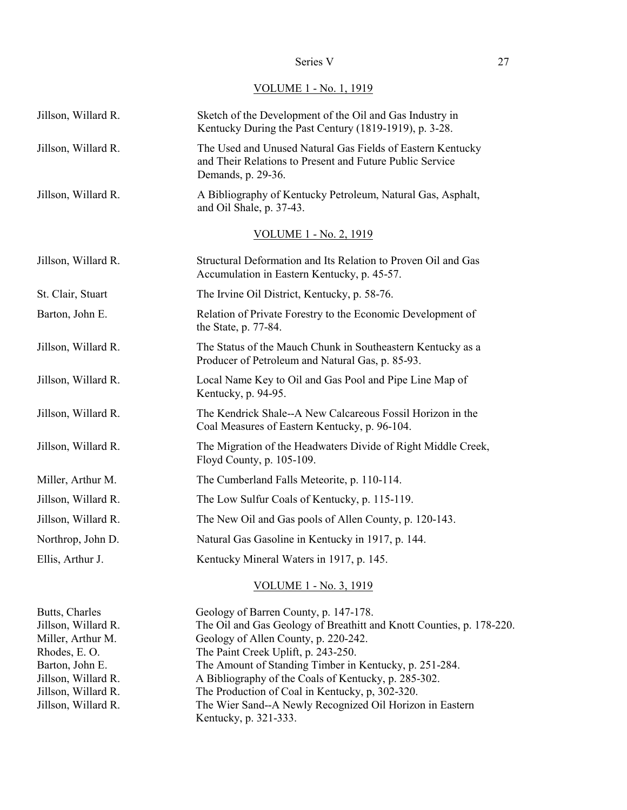### Series V 27

VOLUME 1 - No. 1, 1919

| Jillson, Willard R.                                                                                                  | Sketch of the Development of the Oil and Gas Industry in<br>Kentucky During the Past Century (1819-1919), p. 3-28.                                                                                                                                                                                             |
|----------------------------------------------------------------------------------------------------------------------|----------------------------------------------------------------------------------------------------------------------------------------------------------------------------------------------------------------------------------------------------------------------------------------------------------------|
| Jillson, Willard R.                                                                                                  | The Used and Unused Natural Gas Fields of Eastern Kentucky<br>and Their Relations to Present and Future Public Service<br>Demands, p. 29-36.                                                                                                                                                                   |
| Jillson, Willard R.                                                                                                  | A Bibliography of Kentucky Petroleum, Natural Gas, Asphalt,<br>and Oil Shale, p. 37-43.                                                                                                                                                                                                                        |
|                                                                                                                      | <u>VOLUME 1 - No. 2, 1919</u>                                                                                                                                                                                                                                                                                  |
| Jillson, Willard R.                                                                                                  | Structural Deformation and Its Relation to Proven Oil and Gas<br>Accumulation in Eastern Kentucky, p. 45-57.                                                                                                                                                                                                   |
| St. Clair, Stuart                                                                                                    | The Irvine Oil District, Kentucky, p. 58-76.                                                                                                                                                                                                                                                                   |
| Barton, John E.                                                                                                      | Relation of Private Forestry to the Economic Development of<br>the State, p. 77-84.                                                                                                                                                                                                                            |
| Jillson, Willard R.                                                                                                  | The Status of the Mauch Chunk in Southeastern Kentucky as a<br>Producer of Petroleum and Natural Gas, p. 85-93.                                                                                                                                                                                                |
| Jillson, Willard R.                                                                                                  | Local Name Key to Oil and Gas Pool and Pipe Line Map of<br>Kentucky, p. 94-95.                                                                                                                                                                                                                                 |
| Jillson, Willard R.                                                                                                  | The Kendrick Shale--A New Calcareous Fossil Horizon in the<br>Coal Measures of Eastern Kentucky, p. 96-104.                                                                                                                                                                                                    |
| Jillson, Willard R.                                                                                                  | The Migration of the Headwaters Divide of Right Middle Creek,<br>Floyd County, p. 105-109.                                                                                                                                                                                                                     |
| Miller, Arthur M.                                                                                                    | The Cumberland Falls Meteorite, p. 110-114.                                                                                                                                                                                                                                                                    |
| Jillson, Willard R.                                                                                                  | The Low Sulfur Coals of Kentucky, p. 115-119.                                                                                                                                                                                                                                                                  |
| Jillson, Willard R.                                                                                                  | The New Oil and Gas pools of Allen County, p. 120-143.                                                                                                                                                                                                                                                         |
| Northrop, John D.                                                                                                    | Natural Gas Gasoline in Kentucky in 1917, p. 144.                                                                                                                                                                                                                                                              |
| Ellis, Arthur J.                                                                                                     | Kentucky Mineral Waters in 1917, p. 145.                                                                                                                                                                                                                                                                       |
|                                                                                                                      | <u>VOLUME 1 - No. 3, 1919</u>                                                                                                                                                                                                                                                                                  |
| Butts, Charles<br>Jillson, Willard R.<br>Miller, Arthur M.<br>Rhodes, E.O.<br>Barton, John E.<br>Jillson, Willard R. | Geology of Barren County, p. 147-178.<br>The Oil and Gas Geology of Breathitt and Knott Counties, p. 178-220.<br>Geology of Allen County, p. 220-242.<br>The Paint Creek Uplift, p. 243-250.<br>The Amount of Standing Timber in Kentucky, p. 251-284.<br>A Bibliography of the Coals of Kentucky, p. 285-302. |

Jillson, Willard R. The Production of Coal in Kentucky, p, 302-320.

Kentucky, p. 321-333.

Jillson, Willard R. The Wier Sand--A Newly Recognized Oil Horizon in Eastern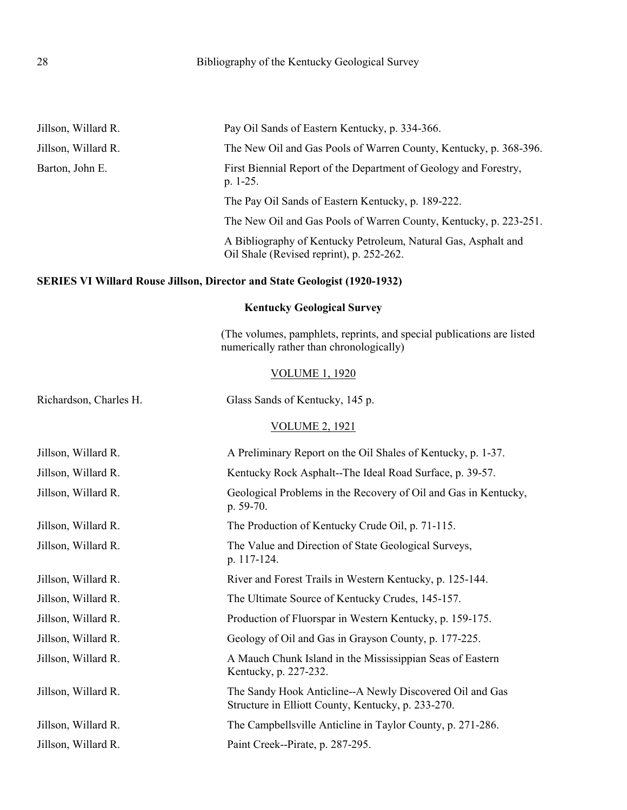<span id="page-32-0"></span>

| Jillson, Willard R.    | Pay Oil Sands of Eastern Kentucky, p. 334-366.                                                                     |
|------------------------|--------------------------------------------------------------------------------------------------------------------|
| Jillson, Willard R.    | The New Oil and Gas Pools of Warren County, Kentucky, p. 368-396.                                                  |
| Barton, John E.        | First Biennial Report of the Department of Geology and Forestry,<br>p. 1-25.                                       |
|                        | The Pay Oil Sands of Eastern Kentucky, p. 189-222.                                                                 |
|                        | The New Oil and Gas Pools of Warren County, Kentucky, p. 223-251.                                                  |
|                        | A Bibliography of Kentucky Petroleum, Natural Gas, Asphalt and<br>Oil Shale (Revised reprint), p. 252-262.         |
|                        | <b>SERIES VI Willard Rouse Jillson, Director and State Geologist (1920-1932)</b>                                   |
|                        | <b>Kentucky Geological Survey</b>                                                                                  |
|                        | (The volumes, pamphlets, reprints, and special publications are listed<br>numerically rather than chronologically) |
|                        | <b>VOLUME 1, 1920</b>                                                                                              |
| Richardson, Charles H. | Glass Sands of Kentucky, 145 p.                                                                                    |
|                        | <b>VOLUME 2, 1921</b>                                                                                              |
| Jillson, Willard R.    | A Preliminary Report on the Oil Shales of Kentucky, p. 1-37.                                                       |
| Jillson, Willard R.    | Kentucky Rock Asphalt--The Ideal Road Surface, p. 39-57.                                                           |
| Jillson, Willard R.    | Geological Problems in the Recovery of Oil and Gas in Kentucky,<br>p. 59-70.                                       |
| Jillson, Willard R.    | The Production of Kentucky Crude Oil, p. 71-115.                                                                   |
| Jillson, Willard R.    | The Value and Direction of State Geological Surveys,<br>p. 117-124.                                                |
| Jillson, Willard R.    | River and Forest Trails in Western Kentucky, p. 125-144.                                                           |
| Jillson, Willard R.    | The Ultimate Source of Kentucky Crudes, 145-157.                                                                   |
| Jillson, Willard R.    | Production of Fluorspar in Western Kentucky, p. 159-175.                                                           |
| Jillson, Willard R.    | Geology of Oil and Gas in Grayson County, p. 177-225.                                                              |
| Jillson, Willard R.    | A Mauch Chunk Island in the Mississippian Seas of Eastern<br>Kentucky, p. 227-232.                                 |
| Jillson, Willard R.    | The Sandy Hook Anticline--A Newly Discovered Oil and Gas<br>Structure in Elliott County, Kentucky, p. 233-270.     |
| Jillson, Willard R.    | The Campbellsville Anticline in Taylor County, p. 271-286.                                                         |
| Jillson, Willard R.    | Paint Creek--Pirate, p. 287-295.                                                                                   |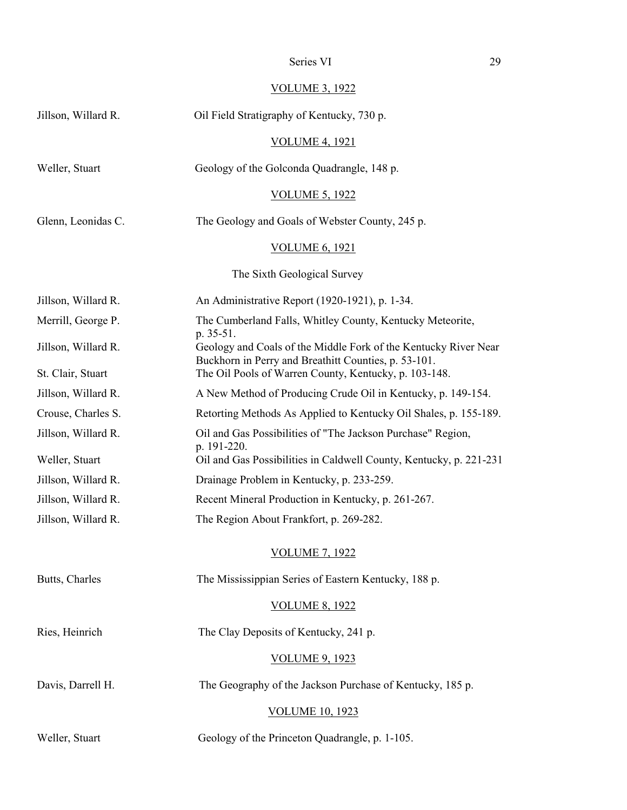# Series VI 29

# VOLUME 3, 1922

| Jillson, Willard R. | Oil Field Stratigraphy of Kentucky, 730 p.                                                                                           |  |
|---------------------|--------------------------------------------------------------------------------------------------------------------------------------|--|
|                     | <b>VOLUME 4, 1921</b>                                                                                                                |  |
| Weller, Stuart      | Geology of the Golconda Quadrangle, 148 p.                                                                                           |  |
|                     | <b>VOLUME 5, 1922</b>                                                                                                                |  |
| Glenn, Leonidas C.  | The Geology and Goals of Webster County, 245 p.                                                                                      |  |
|                     | <b>VOLUME 6, 1921</b>                                                                                                                |  |
|                     | The Sixth Geological Survey                                                                                                          |  |
| Jillson, Willard R. | An Administrative Report (1920-1921), p. 1-34.                                                                                       |  |
| Merrill, George P.  | The Cumberland Falls, Whitley County, Kentucky Meteorite,                                                                            |  |
| Jillson, Willard R. | p. 35-51.<br>Geology and Coals of the Middle Fork of the Kentucky River Near<br>Buckhorn in Perry and Breathitt Counties, p. 53-101. |  |
| St. Clair, Stuart   | The Oil Pools of Warren County, Kentucky, p. 103-148.                                                                                |  |
| Jillson, Willard R. | A New Method of Producing Crude Oil in Kentucky, p. 149-154.                                                                         |  |
| Crouse, Charles S.  | Retorting Methods As Applied to Kentucky Oil Shales, p. 155-189.                                                                     |  |
| Jillson, Willard R. | Oil and Gas Possibilities of "The Jackson Purchase" Region,<br>p. 191-220.                                                           |  |
| Weller, Stuart      | Oil and Gas Possibilities in Caldwell County, Kentucky, p. 221-231                                                                   |  |
| Jillson, Willard R. | Drainage Problem in Kentucky, p. 233-259.                                                                                            |  |
| Jillson, Willard R. | Recent Mineral Production in Kentucky, p. 261-267.                                                                                   |  |
| Jillson, Willard R. | The Region About Frankfort, p. 269-282.                                                                                              |  |
|                     | <b>VOLUME 7, 1922</b>                                                                                                                |  |
| Butts, Charles      | The Mississippian Series of Eastern Kentucky, 188 p.                                                                                 |  |
|                     | <b>VOLUME 8, 1922</b>                                                                                                                |  |
| Ries, Heinrich      | The Clay Deposits of Kentucky, 241 p.                                                                                                |  |
|                     | <b>VOLUME 9, 1923</b>                                                                                                                |  |
| Davis, Darrell H.   | The Geography of the Jackson Purchase of Kentucky, 185 p.                                                                            |  |
|                     | <b>VOLUME 10, 1923</b>                                                                                                               |  |
| Weller, Stuart      | Geology of the Princeton Quadrangle, p. 1-105.                                                                                       |  |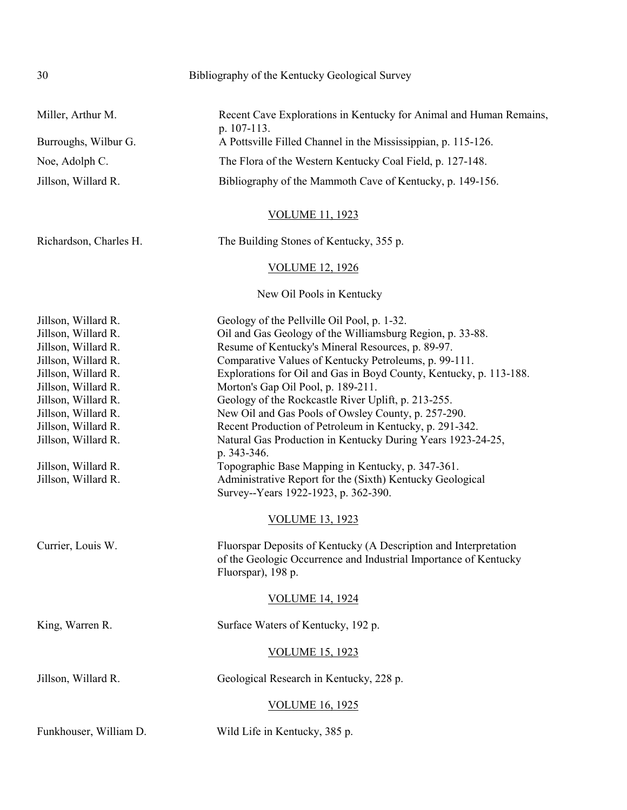| 30                                                                                                                                                                                                                                                                                                    | Bibliography of the Kentucky Geological Survey                                                                                                                                                                                                                                                                                                                                                                                                                                                                                                                                                                                                                                                                                                                                                                                                                                                                        |
|-------------------------------------------------------------------------------------------------------------------------------------------------------------------------------------------------------------------------------------------------------------------------------------------------------|-----------------------------------------------------------------------------------------------------------------------------------------------------------------------------------------------------------------------------------------------------------------------------------------------------------------------------------------------------------------------------------------------------------------------------------------------------------------------------------------------------------------------------------------------------------------------------------------------------------------------------------------------------------------------------------------------------------------------------------------------------------------------------------------------------------------------------------------------------------------------------------------------------------------------|
| Miller, Arthur M.                                                                                                                                                                                                                                                                                     | Recent Cave Explorations in Kentucky for Animal and Human Remains,<br>p. 107-113.                                                                                                                                                                                                                                                                                                                                                                                                                                                                                                                                                                                                                                                                                                                                                                                                                                     |
| Burroughs, Wilbur G.                                                                                                                                                                                                                                                                                  | A Pottsville Filled Channel in the Mississippian, p. 115-126.                                                                                                                                                                                                                                                                                                                                                                                                                                                                                                                                                                                                                                                                                                                                                                                                                                                         |
| Noe, Adolph C.                                                                                                                                                                                                                                                                                        | The Flora of the Western Kentucky Coal Field, p. 127-148.                                                                                                                                                                                                                                                                                                                                                                                                                                                                                                                                                                                                                                                                                                                                                                                                                                                             |
| Jillson, Willard R.                                                                                                                                                                                                                                                                                   | Bibliography of the Mammoth Cave of Kentucky, p. 149-156.                                                                                                                                                                                                                                                                                                                                                                                                                                                                                                                                                                                                                                                                                                                                                                                                                                                             |
|                                                                                                                                                                                                                                                                                                       | <b>VOLUME 11, 1923</b>                                                                                                                                                                                                                                                                                                                                                                                                                                                                                                                                                                                                                                                                                                                                                                                                                                                                                                |
| Richardson, Charles H.                                                                                                                                                                                                                                                                                | The Building Stones of Kentucky, 355 p.                                                                                                                                                                                                                                                                                                                                                                                                                                                                                                                                                                                                                                                                                                                                                                                                                                                                               |
|                                                                                                                                                                                                                                                                                                       | <b>VOLUME 12, 1926</b>                                                                                                                                                                                                                                                                                                                                                                                                                                                                                                                                                                                                                                                                                                                                                                                                                                                                                                |
|                                                                                                                                                                                                                                                                                                       | New Oil Pools in Kentucky                                                                                                                                                                                                                                                                                                                                                                                                                                                                                                                                                                                                                                                                                                                                                                                                                                                                                             |
| Jillson, Willard R.<br>Jillson, Willard R.<br>Jillson, Willard R.<br>Jillson, Willard R.<br>Jillson, Willard R.<br>Jillson, Willard R.<br>Jillson, Willard R.<br>Jillson, Willard R.<br>Jillson, Willard R.<br>Jillson, Willard R.<br>Jillson, Willard R.<br>Jillson, Willard R.<br>Currier, Louis W. | Geology of the Pellville Oil Pool, p. 1-32.<br>Oil and Gas Geology of the Williamsburg Region, p. 33-88.<br>Resume of Kentucky's Mineral Resources, p. 89-97.<br>Comparative Values of Kentucky Petroleums, p. 99-111.<br>Explorations for Oil and Gas in Boyd County, Kentucky, p. 113-188.<br>Morton's Gap Oil Pool, p. 189-211.<br>Geology of the Rockcastle River Uplift, p. 213-255.<br>New Oil and Gas Pools of Owsley County, p. 257-290.<br>Recent Production of Petroleum in Kentucky, p. 291-342.<br>Natural Gas Production in Kentucky During Years 1923-24-25,<br>p. 343-346.<br>Topographic Base Mapping in Kentucky, p. 347-361.<br>Administrative Report for the (Sixth) Kentucky Geological<br>Survey--Years 1922-1923, p. 362-390.<br><b>VOLUME 13, 1923</b><br>Fluorspar Deposits of Kentucky (A Description and Interpretation<br>of the Geologic Occurrence and Industrial Importance of Kentucky |
|                                                                                                                                                                                                                                                                                                       | Fluorspar), 198 p.<br><b>VOLUME 14, 1924</b>                                                                                                                                                                                                                                                                                                                                                                                                                                                                                                                                                                                                                                                                                                                                                                                                                                                                          |
|                                                                                                                                                                                                                                                                                                       |                                                                                                                                                                                                                                                                                                                                                                                                                                                                                                                                                                                                                                                                                                                                                                                                                                                                                                                       |
| King, Warren R.                                                                                                                                                                                                                                                                                       | Surface Waters of Kentucky, 192 p.                                                                                                                                                                                                                                                                                                                                                                                                                                                                                                                                                                                                                                                                                                                                                                                                                                                                                    |
|                                                                                                                                                                                                                                                                                                       | <b>VOLUME 15, 1923</b>                                                                                                                                                                                                                                                                                                                                                                                                                                                                                                                                                                                                                                                                                                                                                                                                                                                                                                |
| Jillson, Willard R.                                                                                                                                                                                                                                                                                   | Geological Research in Kentucky, 228 p.                                                                                                                                                                                                                                                                                                                                                                                                                                                                                                                                                                                                                                                                                                                                                                                                                                                                               |
|                                                                                                                                                                                                                                                                                                       | <b>VOLUME 16, 1925</b>                                                                                                                                                                                                                                                                                                                                                                                                                                                                                                                                                                                                                                                                                                                                                                                                                                                                                                |
| Funkhouser, William D.                                                                                                                                                                                                                                                                                | Wild Life in Kentucky, 385 p.                                                                                                                                                                                                                                                                                                                                                                                                                                                                                                                                                                                                                                                                                                                                                                                                                                                                                         |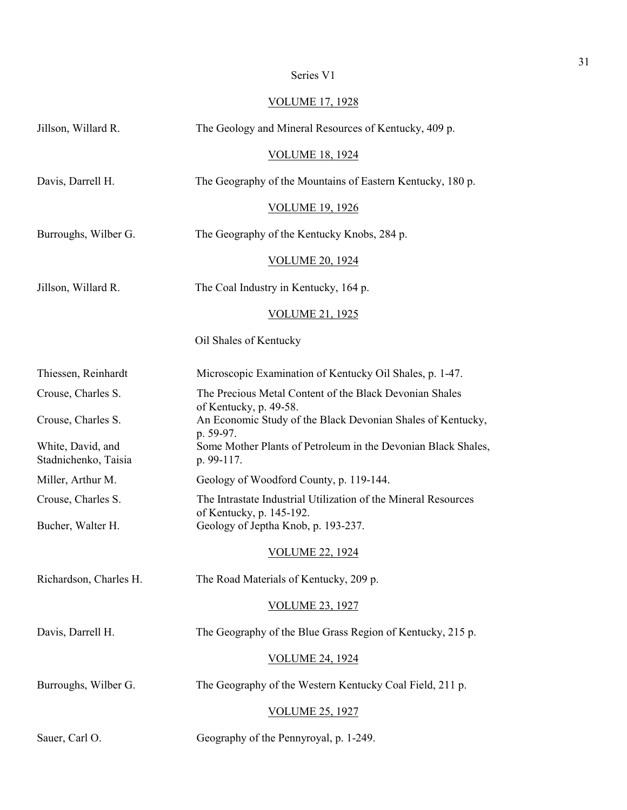| Series ' | V1 |  |
|----------|----|--|
|          |    |  |

# VOLUME 17, 1928

| Jillson, Willard R.                       | The Geology and Mineral Resources of Kentucky, 409 p.                                              |  |
|-------------------------------------------|----------------------------------------------------------------------------------------------------|--|
|                                           | <b>VOLUME 18, 1924</b>                                                                             |  |
| Davis, Darrell H.                         | The Geography of the Mountains of Eastern Kentucky, 180 p.                                         |  |
|                                           | <b>VOLUME 19, 1926</b>                                                                             |  |
| Burroughs, Wilber G.                      | The Geography of the Kentucky Knobs, 284 p.                                                        |  |
|                                           | <b>VOLUME 20, 1924</b>                                                                             |  |
| Jillson, Willard R.                       | The Coal Industry in Kentucky, 164 p.                                                              |  |
|                                           | VOLUME 21, 1925                                                                                    |  |
|                                           | Oil Shales of Kentucky                                                                             |  |
| Thiessen, Reinhardt                       | Microscopic Examination of Kentucky Oil Shales, p. 1-47.                                           |  |
| Crouse, Charles S.                        | The Precious Metal Content of the Black Devonian Shales                                            |  |
| Crouse, Charles S.                        | of Kentucky, p. 49-58.<br>An Economic Study of the Black Devonian Shales of Kentucky,<br>p. 59-97. |  |
| White, David, and<br>Stadnichenko, Taisia | Some Mother Plants of Petroleum in the Devonian Black Shales,<br>p. 99-117.                        |  |
| Miller, Arthur M.                         | Geology of Woodford County, p. 119-144.                                                            |  |
| Crouse, Charles S.                        | The Intrastate Industrial Utilization of the Mineral Resources<br>of Kentucky, p. 145-192.         |  |
| Bucher, Walter H.                         | Geology of Jeptha Knob, p. 193-237.                                                                |  |
|                                           | <b>VOLUME 22, 1924</b>                                                                             |  |
| Richardson, Charles H.                    | The Road Materials of Kentucky, 209 p.                                                             |  |
|                                           | <b>VOLUME 23, 1927</b>                                                                             |  |
| Davis, Darrell H.                         | The Geography of the Blue Grass Region of Kentucky, 215 p.                                         |  |
|                                           | <b>VOLUME 24, 1924</b>                                                                             |  |
| Burroughs, Wilber G.                      | The Geography of the Western Kentucky Coal Field, 211 p.                                           |  |
|                                           | <b>VOLUME 25, 1927</b>                                                                             |  |
| Sauer, Carl O.                            | Geography of the Pennyroyal, p. 1-249.                                                             |  |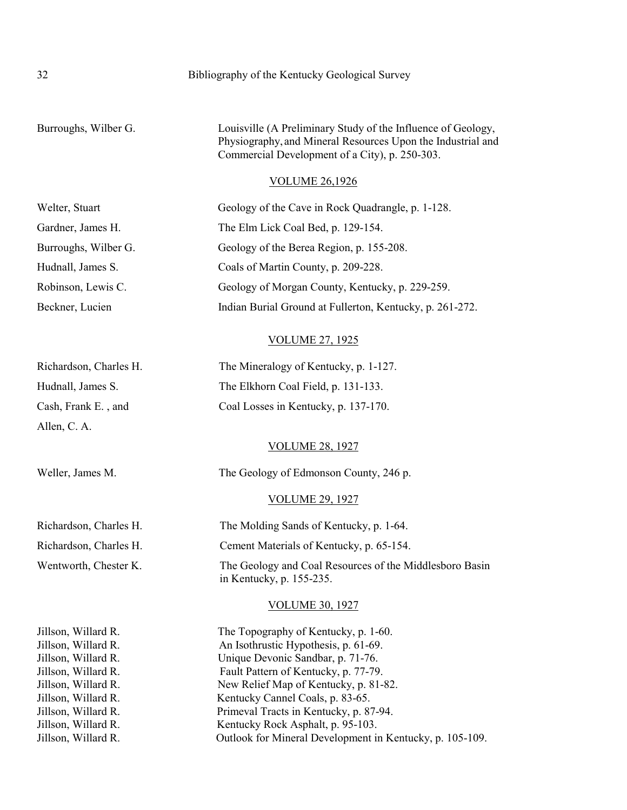# 32 Bibliography of the Kentucky Geological Survey

Burroughs, Wilber G. Louisville (A Preliminary Study of the Influence of Geology, Physiography,and Mineral Resources Upon the Industrial and Commercial Development of a City), p. 250-303.

### VOLUME 26,1926

| Welter, Stuart                             | Geology of the Cave in Rock Quadrangle, p. 1-128.                                   |
|--------------------------------------------|-------------------------------------------------------------------------------------|
| Gardner, James H.                          | The Elm Lick Coal Bed, p. 129-154.                                                  |
| Burroughs, Wilber G.                       | Geology of the Berea Region, p. 155-208.                                            |
| Hudnall, James S.                          | Coals of Martin County, p. 209-228.                                                 |
| Robinson, Lewis C.                         | Geology of Morgan County, Kentucky, p. 229-259.                                     |
| Beckner, Lucien                            | Indian Burial Ground at Fullerton, Kentucky, p. 261-272.                            |
|                                            | <b>VOLUME 27, 1925</b>                                                              |
| Richardson, Charles H.                     | The Mineralogy of Kentucky, p. 1-127.                                               |
| Hudnall, James S.                          | The Elkhorn Coal Field, p. 131-133.                                                 |
| Cash, Frank E., and                        | Coal Losses in Kentucky, p. 137-170.                                                |
| Allen, C. A.                               |                                                                                     |
|                                            | <b>VOLUME 28, 1927</b>                                                              |
| Weller, James M.                           | The Geology of Edmonson County, 246 p.                                              |
|                                            | <b>VOLUME 29, 1927</b>                                                              |
| Richardson, Charles H.                     | The Molding Sands of Kentucky, p. 1-64.                                             |
| Richardson, Charles H.                     | Cement Materials of Kentucky, p. 65-154.                                            |
| Wentworth, Chester K.                      | The Geology and Coal Resources of the Middlesboro Basin<br>in Kentucky, p. 155-235. |
|                                            | <b>VOLUME 30, 1927</b>                                                              |
| Jillson, Willard R.<br>Jillson, Willard R. | The Topography of Kentucky, p. 1-60.<br>An Isothrustic Hypothesis, p. 61-69.        |
| Jillson, Willard R.                        | Unique Devonic Sandbar, p. 71-76.                                                   |
| Jillson, Willard R.                        | Fault Pattern of Kentucky, p. 77-79.                                                |
| Jillson, Willard R.                        | New Relief Map of Kentucky, p. 81-82.                                               |
| Jillson, Willard R.                        | Kentucky Cannel Coals, p. 83-65.                                                    |
| Jillson, Willard R.                        | Primeval Tracts in Kentucky, p. 87-94.                                              |
| Jillson, Willard R.                        | Kentucky Rock Asphalt, p. 95-103.                                                   |
| Jillson, Willard R.                        | Outlook for Mineral Development in Kentucky, p. 105-109.                            |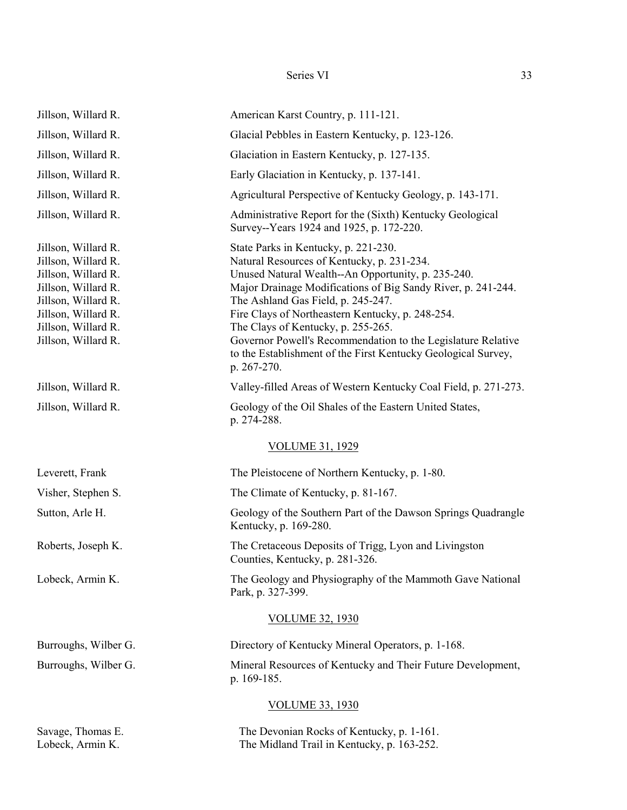#### Series VI 33

| Jillson, Willard R.                                                                                                                                                                  | American Karst Country, p. 111-121.                                                                                                                                                                                                                                                                                                                                                                                                                                                      |
|--------------------------------------------------------------------------------------------------------------------------------------------------------------------------------------|------------------------------------------------------------------------------------------------------------------------------------------------------------------------------------------------------------------------------------------------------------------------------------------------------------------------------------------------------------------------------------------------------------------------------------------------------------------------------------------|
| Jillson, Willard R.                                                                                                                                                                  | Glacial Pebbles in Eastern Kentucky, p. 123-126.                                                                                                                                                                                                                                                                                                                                                                                                                                         |
| Jillson, Willard R.                                                                                                                                                                  | Glaciation in Eastern Kentucky, p. 127-135.                                                                                                                                                                                                                                                                                                                                                                                                                                              |
| Jillson, Willard R.                                                                                                                                                                  | Early Glaciation in Kentucky, p. 137-141.                                                                                                                                                                                                                                                                                                                                                                                                                                                |
| Jillson, Willard R.                                                                                                                                                                  | Agricultural Perspective of Kentucky Geology, p. 143-171.                                                                                                                                                                                                                                                                                                                                                                                                                                |
| Jillson, Willard R.                                                                                                                                                                  | Administrative Report for the (Sixth) Kentucky Geological<br>Survey--Years 1924 and 1925, p. 172-220.                                                                                                                                                                                                                                                                                                                                                                                    |
| Jillson, Willard R.<br>Jillson, Willard R.<br>Jillson, Willard R.<br>Jillson, Willard R.<br>Jillson, Willard R.<br>Jillson, Willard R.<br>Jillson, Willard R.<br>Jillson, Willard R. | State Parks in Kentucky, p. 221-230.<br>Natural Resources of Kentucky, p. 231-234.<br>Unused Natural Wealth--An Opportunity, p. 235-240.<br>Major Drainage Modifications of Big Sandy River, p. 241-244.<br>The Ashland Gas Field, p. 245-247.<br>Fire Clays of Northeastern Kentucky, p. 248-254.<br>The Clays of Kentucky, p. 255-265.<br>Governor Powell's Recommendation to the Legislature Relative<br>to the Establishment of the First Kentucky Geological Survey,<br>p. 267-270. |
| Jillson, Willard R.                                                                                                                                                                  | Valley-filled Areas of Western Kentucky Coal Field, p. 271-273.                                                                                                                                                                                                                                                                                                                                                                                                                          |
| Jillson, Willard R.                                                                                                                                                                  | Geology of the Oil Shales of the Eastern United States,<br>p. 274-288.                                                                                                                                                                                                                                                                                                                                                                                                                   |
|                                                                                                                                                                                      | <b>VOLUME 31, 1929</b>                                                                                                                                                                                                                                                                                                                                                                                                                                                                   |
| Leverett, Frank                                                                                                                                                                      | The Pleistocene of Northern Kentucky, p. 1-80.                                                                                                                                                                                                                                                                                                                                                                                                                                           |
| Visher, Stephen S.                                                                                                                                                                   | The Climate of Kentucky, p. 81-167.                                                                                                                                                                                                                                                                                                                                                                                                                                                      |
| Sutton, Arle H.                                                                                                                                                                      | Geology of the Southern Part of the Dawson Springs Quadrangle<br>Kentucky, p. 169-280.                                                                                                                                                                                                                                                                                                                                                                                                   |
| Roberts, Joseph K.                                                                                                                                                                   | The Cretaceous Deposits of Trigg, Lyon and Livingston<br>Counties, Kentucky, p. 281-326.                                                                                                                                                                                                                                                                                                                                                                                                 |
| Lobeck, Armin K.                                                                                                                                                                     | The Geology and Physiography of the Mammoth Gave National<br>Park, p. 327-399.                                                                                                                                                                                                                                                                                                                                                                                                           |
|                                                                                                                                                                                      | <b>VOLUME 32, 1930</b>                                                                                                                                                                                                                                                                                                                                                                                                                                                                   |
| Burroughs, Wilber G.                                                                                                                                                                 | Directory of Kentucky Mineral Operators, p. 1-168.                                                                                                                                                                                                                                                                                                                                                                                                                                       |
| Burroughs, Wilber G.                                                                                                                                                                 | Mineral Resources of Kentucky and Their Future Development,<br>p. 169-185.                                                                                                                                                                                                                                                                                                                                                                                                               |
|                                                                                                                                                                                      | <b>VOLUME 33, 1930</b>                                                                                                                                                                                                                                                                                                                                                                                                                                                                   |
| Savage, Thomas E.<br>Lobeck, Armin K.                                                                                                                                                | The Devonian Rocks of Kentucky, p. 1-161.<br>The Midland Trail in Kentucky, p. 163-252.                                                                                                                                                                                                                                                                                                                                                                                                  |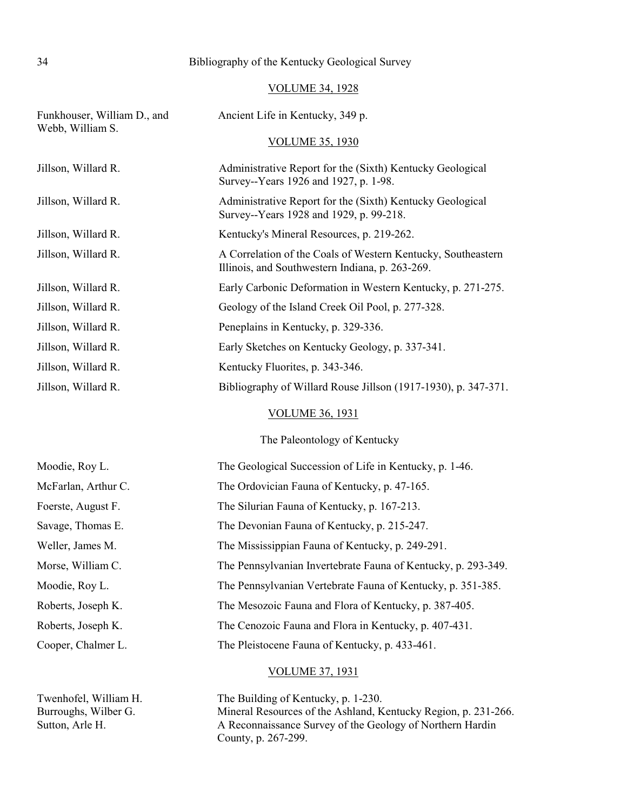# 34 Bibliography of the Kentucky Geological Survey

# VOLUME 34, 1928

| Funkhouser, William D., and<br>Webb, William S. | Ancient Life in Kentucky, 349 p.                                                                                |
|-------------------------------------------------|-----------------------------------------------------------------------------------------------------------------|
|                                                 | <b>VOLUME 35, 1930</b>                                                                                          |
| Jillson, Willard R.                             | Administrative Report for the (Sixth) Kentucky Geological<br>Survey--Years 1926 and 1927, p. 1-98.              |
| Jillson, Willard R.                             | Administrative Report for the (Sixth) Kentucky Geological<br>Survey--Years 1928 and 1929, p. 99-218.            |
| Jillson, Willard R.                             | Kentucky's Mineral Resources, p. 219-262.                                                                       |
| Jillson, Willard R.                             | A Correlation of the Coals of Western Kentucky, Southeastern<br>Illinois, and Southwestern Indiana, p. 263-269. |
| Jillson, Willard R.                             | Early Carbonic Deformation in Western Kentucky, p. 271-275.                                                     |
| Jillson, Willard R.                             | Geology of the Island Creek Oil Pool, p. 277-328.                                                               |
| Jillson, Willard R.                             | Peneplains in Kentucky, p. 329-336.                                                                             |
| Jillson, Willard R.                             | Early Sketches on Kentucky Geology, p. 337-341.                                                                 |
| Jillson, Willard R.                             | Kentucky Fluorites, p. 343-346.                                                                                 |
| Jillson, Willard R.                             | Bibliography of Willard Rouse Jillson (1917-1930), p. 347-371.                                                  |
|                                                 | <b>VOLUME 36, 1931</b>                                                                                          |
|                                                 | The Paleontology of Kentucky                                                                                    |
| Moodie, Roy L.                                  | The Geological Succession of Life in Kentucky, p. 1-46.                                                         |
| McFarlan, Arthur C.                             | The Ordovician Fauna of Kentucky, p. 47-165.                                                                    |
| Foerste, August F.                              | The Silurian Fauna of Kentucky, p. 167-213.                                                                     |
| Savage, Thomas E.                               | The Devonian Fauna of Kentucky, p. 215-247.                                                                     |
| Weller, James M.                                | The Mississippian Fauna of Kentucky, p. 249-291.                                                                |
| Morse, William C.                               | The Pennsylvanian Invertebrate Fauna of Kentucky, p. 293-349.                                                   |
| Moodie, Roy L.                                  | The Pennsylvanian Vertebrate Fauna of Kentucky, p. 351-385.                                                     |
| Roberts, Joseph K.                              | The Mesozoic Fauna and Flora of Kentucky, p. 387-405.                                                           |
| Roberts, Joseph K.                              | The Cenozoic Fauna and Flora in Kentucky, p. 407-431.                                                           |
| Cooper, Chalmer L.                              | The Pleistocene Fauna of Kentucky, p. 433-461.                                                                  |
|                                                 | <b>VOLUME 37, 1931</b>                                                                                          |

Twenhofel, William H. The Building of Kentucky, p. 1-230. Burroughs, Wilber G. Mineral Resources of the Ashland, Kentucky Region, p. 231-266. Sutton, Arle H. A Reconnaissance Survey of the Geology of Northern Hardin County, p. 267-299.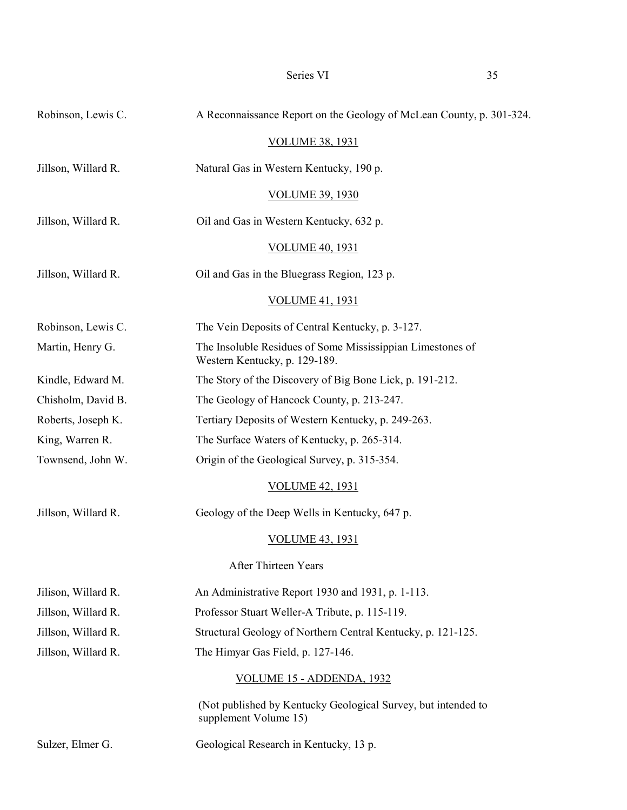| Robinson, Lewis C.  | A Reconnaissance Report on the Geology of McLean County, p. 301-324.                        |
|---------------------|---------------------------------------------------------------------------------------------|
|                     | <b>VOLUME 38, 1931</b>                                                                      |
| Jillson, Willard R. | Natural Gas in Western Kentucky, 190 p.                                                     |
|                     | <b>VOLUME 39, 1930</b>                                                                      |
| Jillson, Willard R. | Oil and Gas in Western Kentucky, 632 p.                                                     |
|                     | <b>VOLUME 40, 1931</b>                                                                      |
| Jillson, Willard R. | Oil and Gas in the Bluegrass Region, 123 p.                                                 |
|                     | <b>VOLUME 41, 1931</b>                                                                      |
| Robinson, Lewis C.  | The Vein Deposits of Central Kentucky, p. 3-127.                                            |
| Martin, Henry G.    | The Insoluble Residues of Some Mississippian Limestones of<br>Western Kentucky, p. 129-189. |
| Kindle, Edward M.   | The Story of the Discovery of Big Bone Lick, p. 191-212.                                    |
| Chisholm, David B.  | The Geology of Hancock County, p. 213-247.                                                  |
| Roberts, Joseph K.  | Tertiary Deposits of Western Kentucky, p. 249-263.                                          |
| King, Warren R.     | The Surface Waters of Kentucky, p. 265-314.                                                 |
| Townsend, John W.   | Origin of the Geological Survey, p. 315-354.                                                |
|                     | <u>VOLUME 42, 1931</u>                                                                      |
| Jillson, Willard R. | Geology of the Deep Wells in Kentucky, 647 p.                                               |
|                     | <b>VOLUME 43, 1931</b>                                                                      |
|                     | After Thirteen Years                                                                        |
| Jilison, Willard R. | An Administrative Report 1930 and 1931, p. 1-113.                                           |
| Jillson, Willard R. | Professor Stuart Weller-A Tribute, p. 115-119.                                              |
| Jillson, Willard R. | Structural Geology of Northern Central Kentucky, p. 121-125.                                |
| Jillson, Willard R. | The Himyar Gas Field, p. 127-146.                                                           |
|                     | VOLUME 15 - ADDENDA, 1932                                                                   |
|                     | (Not published by Kentucky Geological Survey, but intended to<br>supplement Volume 15)      |
| Sulzer, Elmer G.    | Geological Research in Kentucky, 13 p.                                                      |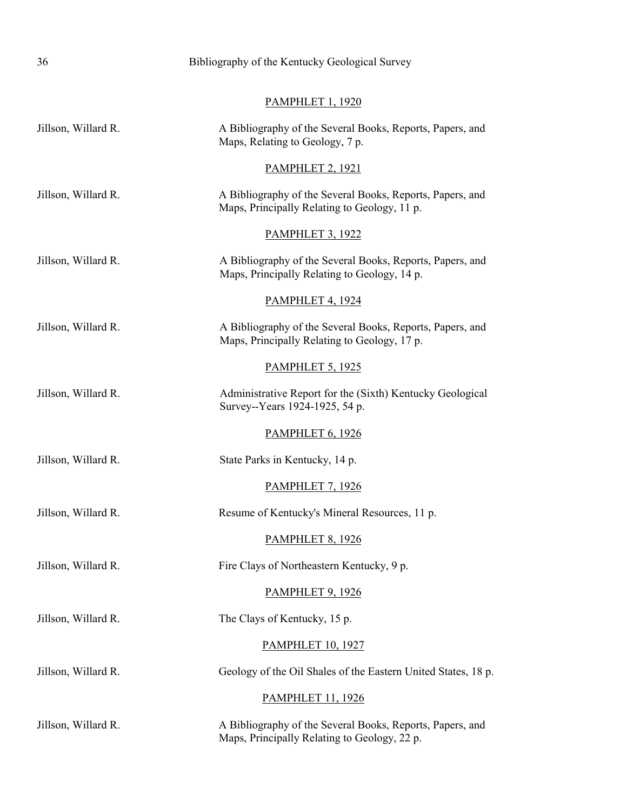| 36                  | Bibliography of the Kentucky Geological Survey                                                            |
|---------------------|-----------------------------------------------------------------------------------------------------------|
|                     | <b>PAMPHLET 1, 1920</b>                                                                                   |
| Jillson, Willard R. | A Bibliography of the Several Books, Reports, Papers, and<br>Maps, Relating to Geology, 7 p.              |
|                     | <b>PAMPHLET 2, 1921</b>                                                                                   |
| Jillson, Willard R. | A Bibliography of the Several Books, Reports, Papers, and<br>Maps, Principally Relating to Geology, 11 p. |
|                     | <b>PAMPHLET 3, 1922</b>                                                                                   |
| Jillson, Willard R. | A Bibliography of the Several Books, Reports, Papers, and<br>Maps, Principally Relating to Geology, 14 p. |
|                     | <b>PAMPHLET 4, 1924</b>                                                                                   |
| Jillson, Willard R. | A Bibliography of the Several Books, Reports, Papers, and<br>Maps, Principally Relating to Geology, 17 p. |
|                     | <b>PAMPHLET 5, 1925</b>                                                                                   |
| Jillson, Willard R. | Administrative Report for the (Sixth) Kentucky Geological<br>Survey--Years 1924-1925, 54 p.               |
|                     | <b>PAMPHLET 6, 1926</b>                                                                                   |
| Jillson, Willard R. | State Parks in Kentucky, 14 p.                                                                            |
|                     | <b>PAMPHLET 7, 1926</b>                                                                                   |
| Jillson, Willard R. | Resume of Kentucky's Mineral Resources, 11 p.                                                             |
|                     | <b>PAMPHLET 8, 1926</b>                                                                                   |
| Jillson, Willard R. | Fire Clays of Northeastern Kentucky, 9 p.                                                                 |
|                     | <b>PAMPHLET 9, 1926</b>                                                                                   |
| Jillson, Willard R. | The Clays of Kentucky, 15 p.                                                                              |
|                     | <b>PAMPHLET 10, 1927</b>                                                                                  |
| Jillson, Willard R. | Geology of the Oil Shales of the Eastern United States, 18 p.                                             |
|                     | <b>PAMPHLET 11, 1926</b>                                                                                  |
| Jillson, Willard R. | A Bibliography of the Several Books, Reports, Papers, and<br>Maps, Principally Relating to Geology, 22 p. |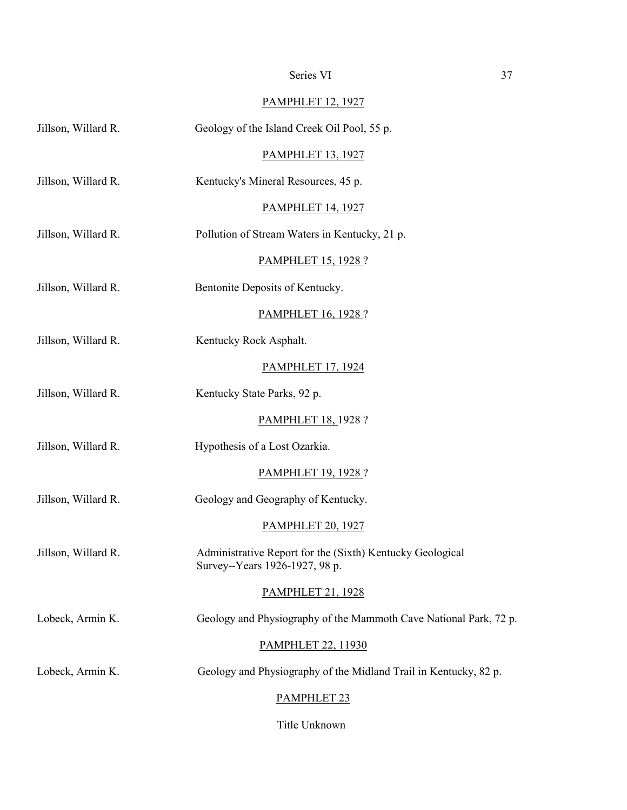# Series VI 37

# PAMPHLET 12, 1927

| Jillson, Willard R. | Geology of the Island Creek Oil Pool, 55 p.                                                 |
|---------------------|---------------------------------------------------------------------------------------------|
|                     | <b>PAMPHLET 13, 1927</b>                                                                    |
| Jillson, Willard R. | Kentucky's Mineral Resources, 45 p.                                                         |
|                     | <b>PAMPHLET 14, 1927</b>                                                                    |
| Jillson, Willard R. | Pollution of Stream Waters in Kentucky, 21 p.                                               |
|                     | <b>PAMPHLET 15, 1928 ?</b>                                                                  |
| Jillson, Willard R. | Bentonite Deposits of Kentucky.                                                             |
|                     | <b>PAMPHLET 16, 1928 ?</b>                                                                  |
| Jillson, Willard R. | Kentucky Rock Asphalt.                                                                      |
|                     | <b>PAMPHLET 17, 1924</b>                                                                    |
| Jillson, Willard R. | Kentucky State Parks, 92 p.                                                                 |
|                     | <b>PAMPHLET 18, 1928 ?</b>                                                                  |
| Jillson, Willard R. | Hypothesis of a Lost Ozarkia.                                                               |
|                     | <b>PAMPHLET 19, 1928 ?</b>                                                                  |
| Jillson, Willard R. | Geology and Geography of Kentucky.                                                          |
|                     | <b>PAMPHLET 20, 1927</b>                                                                    |
| Jillson, Willard R. | Administrative Report for the (Sixth) Kentucky Geological<br>Survey--Years 1926-1927, 98 p. |
|                     | <b>PAMPHLET 21, 1928</b>                                                                    |
| Lobeck, Armin K.    | Geology and Physiography of the Mammoth Cave National Park, 72 p.                           |
|                     | <b>PAMPHLET 22, 11930</b>                                                                   |
| Lobeck, Armin K.    | Geology and Physiography of the Midland Trail in Kentucky, 82 p.                            |
|                     | PAMPHLET <sub>23</sub>                                                                      |
|                     |                                                                                             |

Title Unknown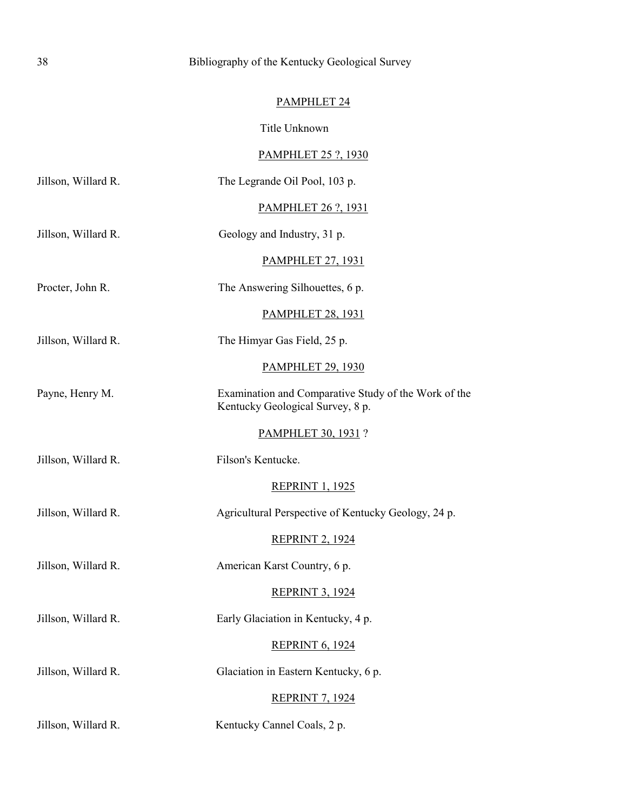# PAMPHLET 24

Title Unknown

# PAMPHLET 25 ?, 1930

| Jillson, Willard R. | The Legrande Oil Pool, 103 p.                                                            |
|---------------------|------------------------------------------------------------------------------------------|
|                     | <b>PAMPHLET 26 ?, 1931</b>                                                               |
| Jillson, Willard R. | Geology and Industry, 31 p.                                                              |
|                     | <b>PAMPHLET 27, 1931</b>                                                                 |
| Procter, John R.    | The Answering Silhouettes, 6 p.                                                          |
|                     | <b>PAMPHLET 28, 1931</b>                                                                 |
| Jillson, Willard R. | The Himyar Gas Field, 25 p.                                                              |
|                     | <b>PAMPHLET 29, 1930</b>                                                                 |
| Payne, Henry M.     | Examination and Comparative Study of the Work of the<br>Kentucky Geological Survey, 8 p. |
|                     | <b>PAMPHLET 30, 1931 ?</b>                                                               |
| Jillson, Willard R. | Filson's Kentucke.                                                                       |
|                     | <b>REPRINT 1, 1925</b>                                                                   |
| Jillson, Willard R. | Agricultural Perspective of Kentucky Geology, 24 p.                                      |
|                     | <b>REPRINT 2, 1924</b>                                                                   |
| Jillson, Willard R. | American Karst Country, 6 p.                                                             |
|                     | <b>REPRINT 3, 1924</b>                                                                   |
| Jillson, Willard R. | Early Glaciation in Kentucky, 4 p.                                                       |
|                     | <b>REPRINT 6, 1924</b>                                                                   |
| Jillson, Willard R. | Glaciation in Eastern Kentucky, 6 p.                                                     |
|                     | <b>REPRINT 7, 1924</b>                                                                   |
| Jillson, Willard R. | Kentucky Cannel Coals, 2 p.                                                              |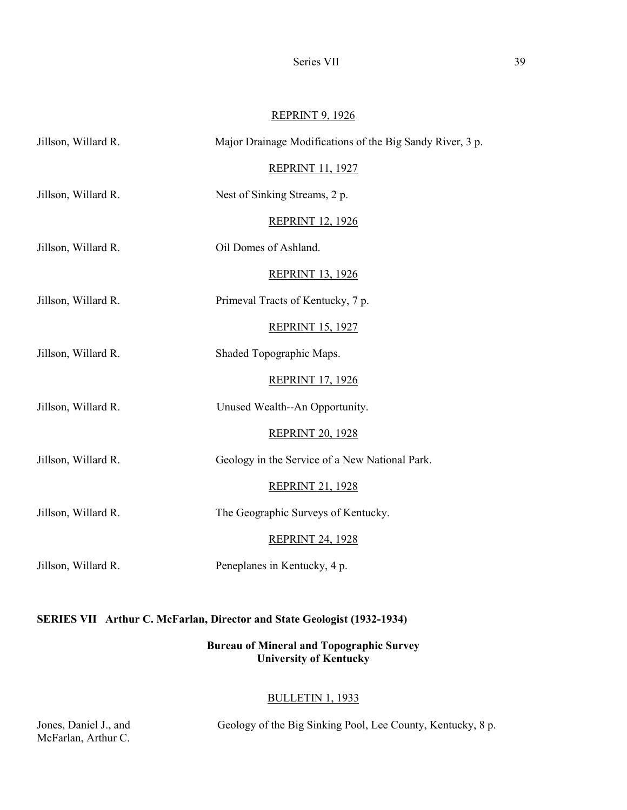Series VII 39

# REPRINT 9, 1926

| Jillson, Willard R. | Major Drainage Modifications of the Big Sandy River, 3 p. |
|---------------------|-----------------------------------------------------------|
|                     | <b>REPRINT 11, 1927</b>                                   |
| Jillson, Willard R. | Nest of Sinking Streams, 2 p.                             |
|                     | <b>REPRINT 12, 1926</b>                                   |
| Jillson, Willard R. | Oil Domes of Ashland.                                     |
|                     | <b>REPRINT 13, 1926</b>                                   |
| Jillson, Willard R. | Primeval Tracts of Kentucky, 7 p.                         |
|                     | <b>REPRINT 15, 1927</b>                                   |
| Jillson, Willard R. | Shaded Topographic Maps.                                  |
|                     | <b>REPRINT 17, 1926</b>                                   |
| Jillson, Willard R. | Unused Wealth--An Opportunity.                            |
|                     | <b>REPRINT 20, 1928</b>                                   |
| Jillson, Willard R. | Geology in the Service of a New National Park.            |
|                     | <b>REPRINT 21, 1928</b>                                   |
| Jillson, Willard R. | The Geographic Surveys of Kentucky.                       |
|                     | <b>REPRINT 24, 1928</b>                                   |
| Jillson, Willard R. | Peneplanes in Kentucky, 4 p.                              |
|                     |                                                           |
|                     |                                                           |

# **SERIES VII Arthur C. McFarlan, Director and State Geologist (1932-1934)**

**Bureau of Mineral and Topographic Survey University of Kentucky**

# BULLETIN 1, 1933

McFarlan, Arthur C.

Jones, Daniel J., and Geology of the Big Sinking Pool, Lee County, Kentucky, 8 p.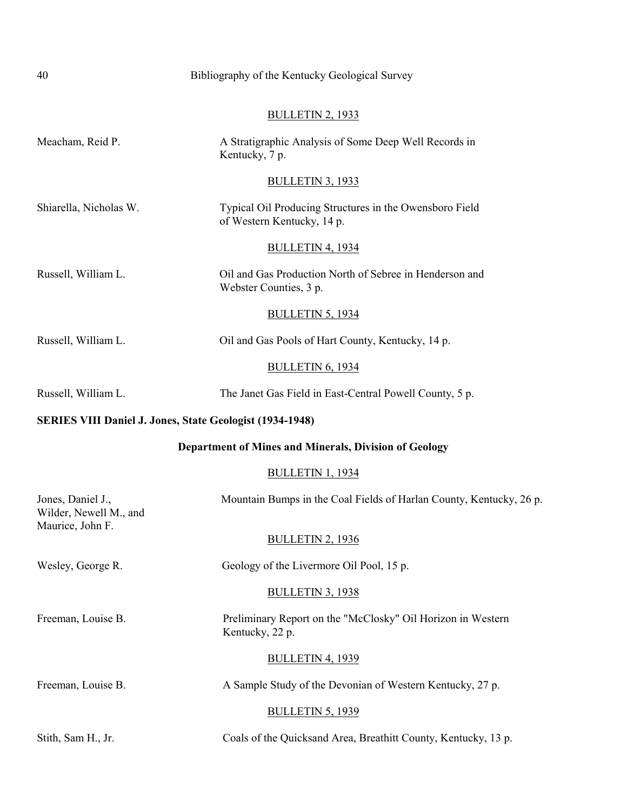| 40                                                              | Bibliography of the Kentucky Geological Survey                                        |
|-----------------------------------------------------------------|---------------------------------------------------------------------------------------|
|                                                                 | <b>BULLETIN 2, 1933</b>                                                               |
| Meacham, Reid P.                                                | A Stratigraphic Analysis of Some Deep Well Records in<br>Kentucky, 7 p.               |
|                                                                 | <b>BULLETIN 3, 1933</b>                                                               |
| Shiarella, Nicholas W.                                          | Typical Oil Producing Structures in the Owensboro Field<br>of Western Kentucky, 14 p. |
|                                                                 | <b>BULLETIN 4, 1934</b>                                                               |
| Russell, William L.                                             | Oil and Gas Production North of Sebree in Henderson and<br>Webster Counties, 3 p.     |
|                                                                 | <b>BULLETIN 5, 1934</b>                                                               |
| Russell, William L.                                             | Oil and Gas Pools of Hart County, Kentucky, 14 p.                                     |
|                                                                 | <b>BULLETIN 6, 1934</b>                                                               |
| Russell, William L.                                             | The Janet Gas Field in East-Central Powell County, 5 p.                               |
| <b>SERIES VIII Daniel J. Jones, State Geologist (1934-1948)</b> |                                                                                       |
|                                                                 | <b>Department of Mines and Minerals, Division of Geology</b>                          |
|                                                                 | <b>BULLETIN 1, 1934</b>                                                               |
| Jones, Daniel J.,<br>Wilder, Newell M., and<br>Maurice, John F. | Mountain Bumps in the Coal Fields of Harlan County, Kentucky, 26 p.                   |
|                                                                 | <b>BULLETIN 2, 1936</b>                                                               |
| Wesley, George R.                                               | Geology of the Livermore Oil Pool, 15 p.                                              |
|                                                                 | <b>BULLETIN 3, 1938</b>                                                               |
| Freeman, Louise B.                                              | Preliminary Report on the "McClosky" Oil Horizon in Western<br>Kentucky, 22 p.        |
|                                                                 | <b>BULLETIN 4, 1939</b>                                                               |
| Freeman, Louise B.                                              | A Sample Study of the Devonian of Western Kentucky, 27 p.                             |
|                                                                 | <b>BULLETIN 5, 1939</b>                                                               |
| Stith, Sam H., Jr.                                              | Coals of the Quicksand Area, Breathitt County, Kentucky, 13 p.                        |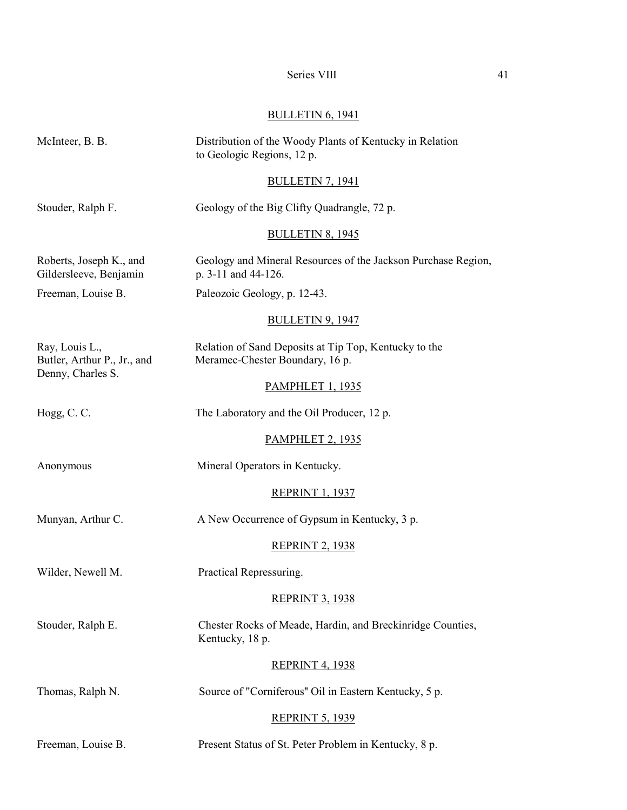# Series VIII 41

# BULLETIN 6, 1941

| McInteer, B. B.                                                    | Distribution of the Woody Plants of Kentucky in Relation<br>to Geologic Regions, 12 p.   |
|--------------------------------------------------------------------|------------------------------------------------------------------------------------------|
|                                                                    | <b>BULLETIN 7, 1941</b>                                                                  |
| Stouder, Ralph F.                                                  | Geology of the Big Clifty Quadrangle, 72 p.                                              |
|                                                                    | <b>BULLETIN 8, 1945</b>                                                                  |
| Roberts, Joseph K., and<br>Gildersleeve, Benjamin                  | Geology and Mineral Resources of the Jackson Purchase Region,<br>p. 3-11 and 44-126.     |
| Freeman, Louise B.                                                 | Paleozoic Geology, p. 12-43.                                                             |
|                                                                    | <b>BULLETIN 9, 1947</b>                                                                  |
| Ray, Louis L.,<br>Butler, Arthur P., Jr., and<br>Denny, Charles S. | Relation of Sand Deposits at Tip Top, Kentucky to the<br>Meramec-Chester Boundary, 16 p. |
|                                                                    | <b>PAMPHLET 1, 1935</b>                                                                  |
| Hogg, C.C.                                                         | The Laboratory and the Oil Producer, 12 p.                                               |
|                                                                    | <b>PAMPHLET 2, 1935</b>                                                                  |
| Anonymous                                                          | Mineral Operators in Kentucky.                                                           |
|                                                                    | <b>REPRINT 1, 1937</b>                                                                   |
| Munyan, Arthur C.                                                  | A New Occurrence of Gypsum in Kentucky, 3 p.                                             |
|                                                                    | <b>REPRINT 2, 1938</b>                                                                   |
| Wilder, Newell M.                                                  | Practical Repressuring.                                                                  |
|                                                                    | <b>REPRINT 3, 1938</b>                                                                   |
| Stouder, Ralph E.                                                  | Chester Rocks of Meade, Hardin, and Breckinridge Counties,<br>Kentucky, 18 p.            |
|                                                                    | <b>REPRINT 4, 1938</b>                                                                   |
| Thomas, Ralph N.                                                   | Source of "Corniferous" Oil in Eastern Kentucky, 5 p.                                    |
|                                                                    | <b>REPRINT 5, 1939</b>                                                                   |
| Freeman, Louise B.                                                 | Present Status of St. Peter Problem in Kentucky, 8 p.                                    |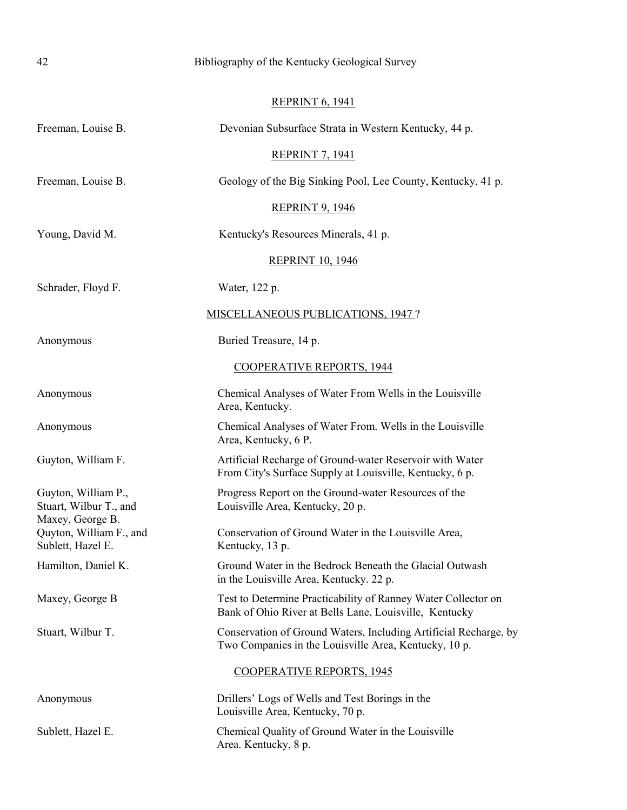| 42                                                               | Bibliography of the Kentucky Geological Survey                                                                            |
|------------------------------------------------------------------|---------------------------------------------------------------------------------------------------------------------------|
|                                                                  | <b>REPRINT 6, 1941</b>                                                                                                    |
| Freeman, Louise B.                                               | Devonian Subsurface Strata in Western Kentucky, 44 p.                                                                     |
|                                                                  | <b>REPRINT 7, 1941</b>                                                                                                    |
| Freeman, Louise B.                                               | Geology of the Big Sinking Pool, Lee County, Kentucky, 41 p.                                                              |
|                                                                  | <b>REPRINT 9, 1946</b>                                                                                                    |
|                                                                  |                                                                                                                           |
| Young, David M.                                                  | Kentucky's Resources Minerals, 41 p.                                                                                      |
|                                                                  | <b>REPRINT 10, 1946</b>                                                                                                   |
| Schrader, Floyd F.                                               | Water, 122 p.                                                                                                             |
|                                                                  | MISCELLANEOUS PUBLICATIONS, 1947 ?                                                                                        |
| Anonymous                                                        | Buried Treasure, 14 p.                                                                                                    |
|                                                                  | <b>COOPERATIVE REPORTS, 1944</b>                                                                                          |
| Anonymous                                                        | Chemical Analyses of Water From Wells in the Louisville<br>Area, Kentucky.                                                |
| Anonymous                                                        | Chemical Analyses of Water From. Wells in the Louisville<br>Area, Kentucky, 6 P.                                          |
| Guyton, William F.                                               | Artificial Recharge of Ground-water Reservoir with Water<br>From City's Surface Supply at Louisville, Kentucky, 6 p.      |
| Guyton, William P.,<br>Stuart, Wilbur T., and                    | Progress Report on the Ground-water Resources of the<br>Louisville Area, Kentucky, 20 p.                                  |
| Maxey, George B.<br>Quyton, William F., and<br>Sublett, Hazel E. | Conservation of Ground Water in the Louisville Area,<br>Kentucky, 13 p.                                                   |
| Hamilton, Daniel K.                                              | Ground Water in the Bedrock Beneath the Glacial Outwash<br>in the Louisville Area, Kentucky. 22 p.                        |
| Maxey, George B                                                  | Test to Determine Practicability of Ranney Water Collector on<br>Bank of Ohio River at Bells Lane, Louisville, Kentucky   |
| Stuart, Wilbur T.                                                | Conservation of Ground Waters, Including Artificial Recharge, by<br>Two Companies in the Louisville Area, Kentucky, 10 p. |
|                                                                  | <b>COOPERATIVE REPORTS, 1945</b>                                                                                          |
| Anonymous                                                        | Drillers' Logs of Wells and Test Borings in the<br>Louisville Area, Kentucky, 70 p.                                       |
| Sublett, Hazel E.                                                | Chemical Quality of Ground Water in the Louisville<br>Area. Kentucky, 8 p.                                                |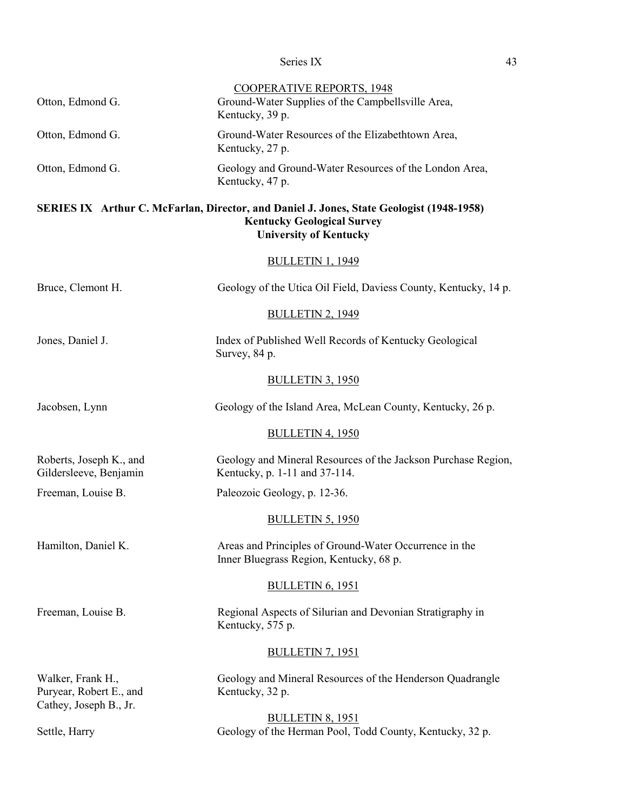| Otton, Edmond G.                                                       | <b>COOPERATIVE REPORTS, 1948</b><br>Ground-Water Supplies of the Campbellsville Area,<br>Kentucky, 39 p.                                                       |
|------------------------------------------------------------------------|----------------------------------------------------------------------------------------------------------------------------------------------------------------|
| Otton, Edmond G.                                                       | Ground-Water Resources of the Elizabethtown Area,<br>Kentucky, 27 p.                                                                                           |
| Otton, Edmond G.                                                       | Geology and Ground-Water Resources of the London Area,<br>Kentucky, 47 p.                                                                                      |
|                                                                        | SERIES IX Arthur C. McFarlan, Director, and Daniel J. Jones, State Geologist (1948-1958)<br><b>Kentucky Geological Survey</b><br><b>University of Kentucky</b> |
|                                                                        | <b>BULLETIN 1, 1949</b>                                                                                                                                        |
| Bruce, Clemont H.                                                      | Geology of the Utica Oil Field, Daviess County, Kentucky, 14 p.                                                                                                |
|                                                                        | <b>BULLETIN 2, 1949</b>                                                                                                                                        |
| Jones, Daniel J.                                                       | Index of Published Well Records of Kentucky Geological<br>Survey, 84 p.                                                                                        |
|                                                                        | <b>BULLETIN 3, 1950</b>                                                                                                                                        |
| Jacobsen, Lynn                                                         | Geology of the Island Area, McLean County, Kentucky, 26 p.                                                                                                     |
|                                                                        | <b>BULLETIN 4, 1950</b>                                                                                                                                        |
| Roberts, Joseph K., and<br>Gildersleeve, Benjamin                      | Geology and Mineral Resources of the Jackson Purchase Region,<br>Kentucky, p. 1-11 and 37-114.                                                                 |
| Freeman, Louise B.                                                     | Paleozoic Geology, p. 12-36.                                                                                                                                   |
|                                                                        | <b>BULLETIN 5, 1950</b>                                                                                                                                        |
| Hamilton, Daniel K.                                                    | Areas and Principles of Ground-Water Occurrence in the<br>Inner Bluegrass Region, Kentucky, 68 p.                                                              |
|                                                                        | <b>BULLETIN 6, 1951</b>                                                                                                                                        |
| Freeman, Louise B.                                                     | Regional Aspects of Silurian and Devonian Stratigraphy in<br>Kentucky, 575 p.                                                                                  |
|                                                                        | <b>BULLETIN 7, 1951</b>                                                                                                                                        |
| Walker, Frank H.,<br>Puryear, Robert E., and<br>Cathey, Joseph B., Jr. | Geology and Mineral Resources of the Henderson Quadrangle<br>Kentucky, 32 p.                                                                                   |
| Settle, Harry                                                          | <b>BULLETIN 8, 1951</b><br>Geology of the Herman Pool, Todd County, Kentucky, 32 p.                                                                            |
|                                                                        |                                                                                                                                                                |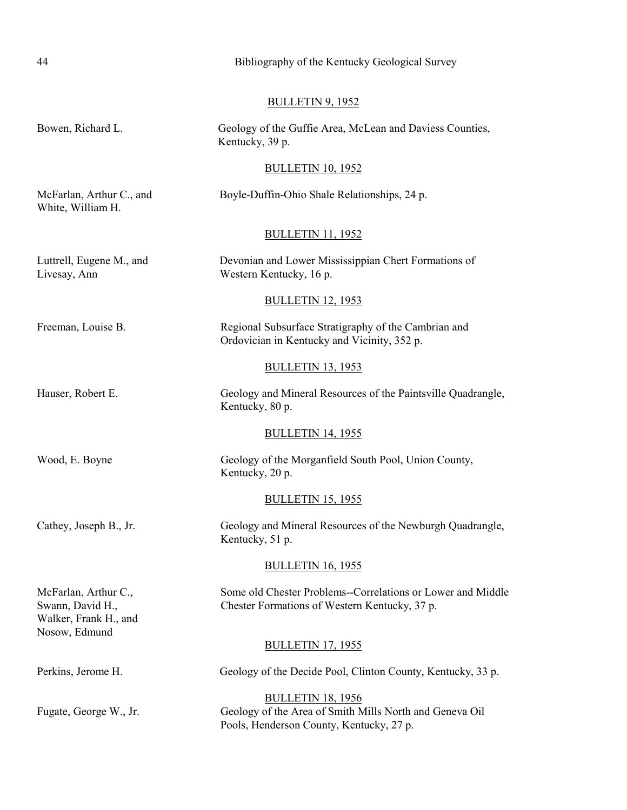| 44                                                                                 | Bibliography of the Kentucky Geological Survey                                                                                  |
|------------------------------------------------------------------------------------|---------------------------------------------------------------------------------------------------------------------------------|
|                                                                                    | <b>BULLETIN 9, 1952</b>                                                                                                         |
| Bowen, Richard L.                                                                  | Geology of the Guffie Area, McLean and Daviess Counties,<br>Kentucky, 39 p.                                                     |
|                                                                                    | <b>BULLETIN 10, 1952</b>                                                                                                        |
| McFarlan, Arthur C., and<br>White, William H.                                      | Boyle-Duffin-Ohio Shale Relationships, 24 p.                                                                                    |
|                                                                                    | <b>BULLETIN 11, 1952</b>                                                                                                        |
| Luttrell, Eugene M., and<br>Livesay, Ann                                           | Devonian and Lower Mississippian Chert Formations of<br>Western Kentucky, 16 p.                                                 |
|                                                                                    | <b>BULLETIN 12, 1953</b>                                                                                                        |
| Freeman, Louise B.                                                                 | Regional Subsurface Stratigraphy of the Cambrian and<br>Ordovician in Kentucky and Vicinity, 352 p.                             |
|                                                                                    | <b>BULLETIN 13, 1953</b>                                                                                                        |
| Hauser, Robert E.                                                                  | Geology and Mineral Resources of the Paintsville Quadrangle,<br>Kentucky, 80 p.                                                 |
|                                                                                    | <b>BULLETIN 14, 1955</b>                                                                                                        |
| Wood, E. Boyne                                                                     | Geology of the Morganfield South Pool, Union County,<br>Kentucky, 20 p.                                                         |
|                                                                                    | <b>BULLETIN 15, 1955</b>                                                                                                        |
| Cathey, Joseph B., Jr.                                                             | Geology and Mineral Resources of the Newburgh Quadrangle,<br>Kentucky, 51 p.                                                    |
|                                                                                    | <b>BULLETIN 16, 1955</b>                                                                                                        |
| McFarlan, Arthur C.,<br>Swann, David H.,<br>Walker, Frank H., and<br>Nosow, Edmund | Some old Chester Problems--Correlations or Lower and Middle<br>Chester Formations of Western Kentucky, 37 p.                    |
|                                                                                    | <b>BULLETIN 17, 1955</b>                                                                                                        |
| Perkins, Jerome H.                                                                 | Geology of the Decide Pool, Clinton County, Kentucky, 33 p.                                                                     |
| Fugate, George W., Jr.                                                             | <b>BULLETIN 18, 1956</b><br>Geology of the Area of Smith Mills North and Geneva Oil<br>Pools, Henderson County, Kentucky, 27 p. |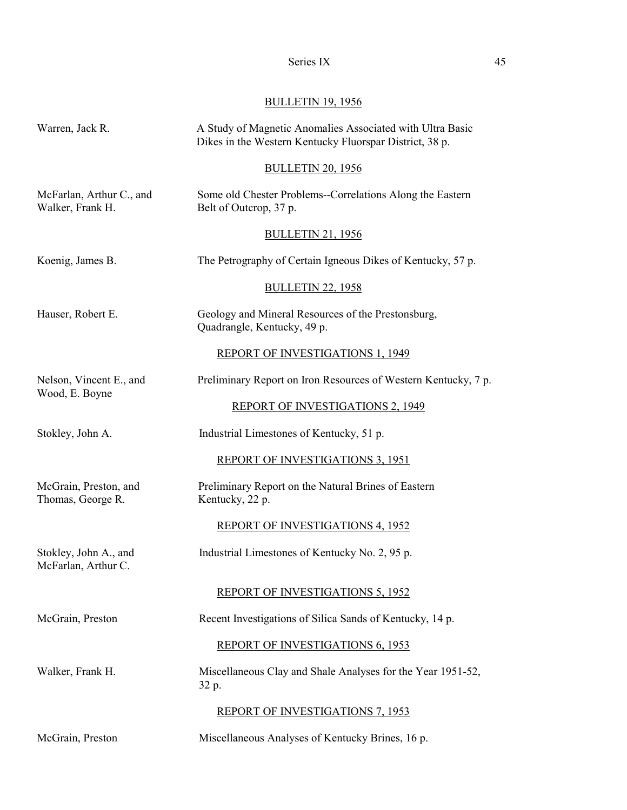# BULLETIN 19, 1956

| Warren, Jack R.                              | A Study of Magnetic Anomalies Associated with Ultra Basic<br>Dikes in the Western Kentucky Fluorspar District, 38 p. |
|----------------------------------------------|----------------------------------------------------------------------------------------------------------------------|
|                                              | <b>BULLETIN 20, 1956</b>                                                                                             |
| McFarlan, Arthur C., and<br>Walker, Frank H. | Some old Chester Problems--Correlations Along the Eastern<br>Belt of Outcrop, 37 p.                                  |
|                                              | <b>BULLETIN 21, 1956</b>                                                                                             |
| Koenig, James B.                             | The Petrography of Certain Igneous Dikes of Kentucky, 57 p.                                                          |
|                                              | <b>BULLETIN 22, 1958</b>                                                                                             |
| Hauser, Robert E.                            | Geology and Mineral Resources of the Prestonsburg,<br>Quadrangle, Kentucky, 49 p.                                    |
|                                              | <b>REPORT OF INVESTIGATIONS 1, 1949</b>                                                                              |
| Nelson, Vincent E., and                      | Preliminary Report on Iron Resources of Western Kentucky, 7 p.                                                       |
| Wood, E. Boyne                               | REPORT OF INVESTIGATIONS 2, 1949                                                                                     |
| Stokley, John A.                             | Industrial Limestones of Kentucky, 51 p.                                                                             |
|                                              | <b>REPORT OF INVESTIGATIONS 3, 1951</b>                                                                              |
| McGrain, Preston, and<br>Thomas, George R.   | Preliminary Report on the Natural Brines of Eastern<br>Kentucky, 22 p.                                               |
|                                              | <b>REPORT OF INVESTIGATIONS 4, 1952</b>                                                                              |
| Stokley, John A., and<br>McFarlan, Arthur C. | Industrial Limestones of Kentucky No. 2, 95 p.                                                                       |
|                                              | <b>REPORT OF INVESTIGATIONS 5, 1952</b>                                                                              |
| McGrain, Preston                             | Recent Investigations of Silica Sands of Kentucky, 14 p.                                                             |
|                                              | REPORT OF INVESTIGATIONS 6, 1953                                                                                     |
| Walker, Frank H.                             | Miscellaneous Clay and Shale Analyses for the Year 1951-52,<br>32 p.                                                 |
|                                              | <b>REPORT OF INVESTIGATIONS 7, 1953</b>                                                                              |
| McGrain, Preston                             | Miscellaneous Analyses of Kentucky Brines, 16 p.                                                                     |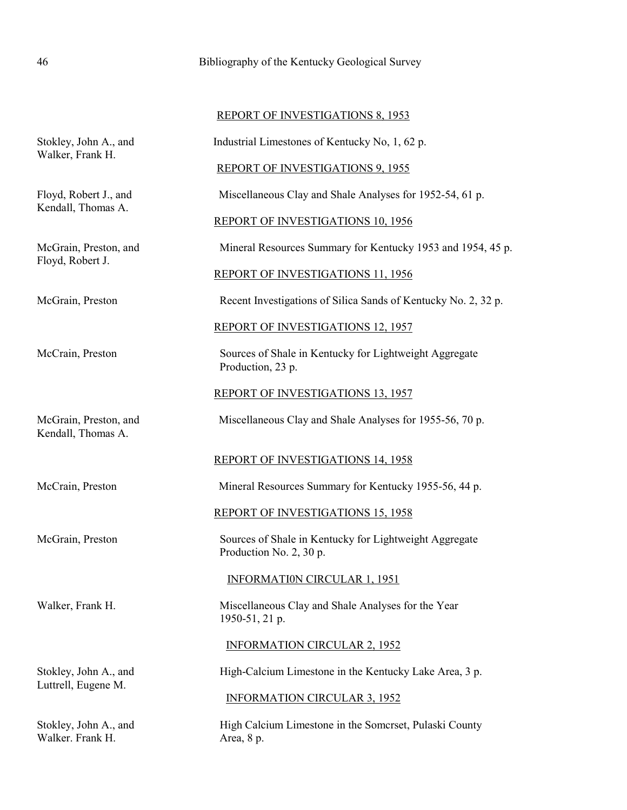| <b>REPORT OF INVESTIGATIONS 8, 1953</b> |
|-----------------------------------------|
|-----------------------------------------|

Stokley, John A., and Industrial Limestones of Kentucky No, 1, 62 p.

REPORT OF INVESTIGATIONS 9, 1955

Floyd, Robert J., and Miscellaneous Clay and Shale Analyses for 1952-54, 61 p.

### REPORT OF INVESTIGATIONS 10, 1956

McGrain, Preston, and Mineral Resources Summary for Kentucky 1953 and 1954, 45 p.

### REPORT OF INVESTIGATIONS 11, 1956

McGrain, Preston Recent Investigations of Silica Sands of Kentucky No. 2, 32 p.

### REPORT OF INVESTIGATIONS 12, 1957

McCrain, Preston Sources of Shale in Kentucky for Lightweight Aggregate Production, 23 p.

REPORT OF INVESTIGATIONS 13, 1957

McGrain, Preston, and Miscellaneous Clay and Shale Analyses for 1955-56, 70 p.

# REPORT OF INVESTIGATIONS 14, 1958

McCrain, Preston Mineral Resources Summary for Kentucky 1955-56, 44 p.

# REPORT OF INVESTIGATIONS 15, 1958

McGrain, Preston Sources of Shale in Kentucky for Lightweight Aggregate Production No. 2, 30 p.

# INFORMATI0N CIRCULAR 1, 1951

Walker, Frank H. Miscellaneous Clay and Shale Analyses for the Year 1950-51, 21 p.

### INFORMATION CIRCULAR 2, 1952

Stokley, John A., and High-Calcium Limestone in the Kentucky Lake Area, 3 p.

# INFORMATION CIRCULAR 3, 1952

Stokley, John A., and High Calcium Limestone in the Somcrset, Pulaski County

Walker, Frank H.

Kendall, Thomas A.

Floyd, Robert J.

Kendall, Thomas A.

Luttrell, Eugene M.

Walker. Frank H. Area, 8 p.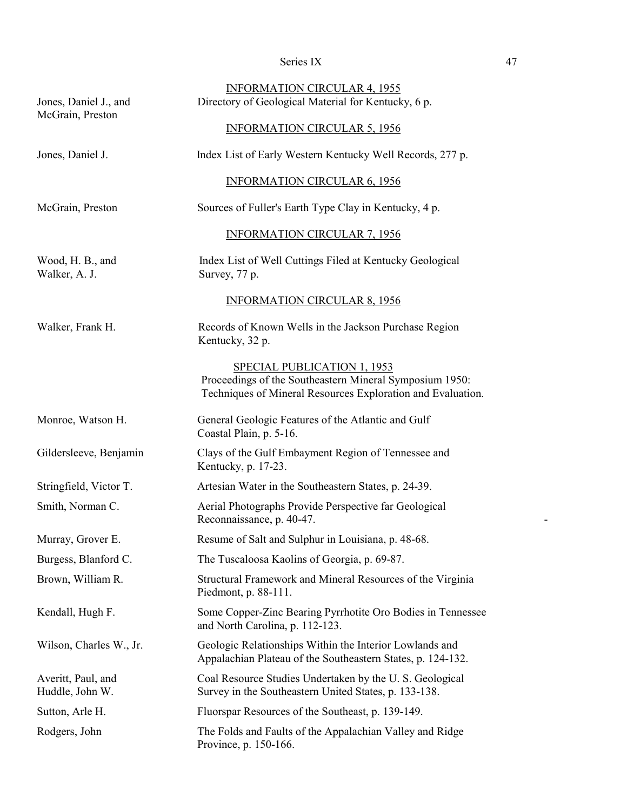| Jones, Daniel J., and<br>McGrain, Preston | <b>INFORMATION CIRCULAR 4, 1955</b><br>Directory of Geological Material for Kentucky, 6 p.<br><b>INFORMATION CIRCULAR 5, 1956</b>                            |
|-------------------------------------------|--------------------------------------------------------------------------------------------------------------------------------------------------------------|
| Jones, Daniel J.                          | Index List of Early Western Kentucky Well Records, 277 p.                                                                                                    |
|                                           | <b>INFORMATION CIRCULAR 6, 1956</b>                                                                                                                          |
| McGrain, Preston                          | Sources of Fuller's Earth Type Clay in Kentucky, 4 p.                                                                                                        |
|                                           | <b>INFORMATION CIRCULAR 7, 1956</b>                                                                                                                          |
| Wood, H. B., and<br>Walker, A. J.         | Index List of Well Cuttings Filed at Kentucky Geological<br>Survey, 77 p.                                                                                    |
|                                           | <b>INFORMATION CIRCULAR 8, 1956</b>                                                                                                                          |
| Walker, Frank H.                          | Records of Known Wells in the Jackson Purchase Region<br>Kentucky, 32 p.                                                                                     |
|                                           | <b>SPECIAL PUBLICATION 1, 1953</b><br>Proceedings of the Southeastern Mineral Symposium 1950:<br>Techniques of Mineral Resources Exploration and Evaluation. |
| Monroe, Watson H.                         | General Geologic Features of the Atlantic and Gulf<br>Coastal Plain, p. 5-16.                                                                                |
| Gildersleeve, Benjamin                    | Clays of the Gulf Embayment Region of Tennessee and<br>Kentucky, p. 17-23.                                                                                   |
| Stringfield, Victor T.                    | Artesian Water in the Southeastern States, p. 24-39.                                                                                                         |
| Smith, Norman C.                          | Aerial Photographs Provide Perspective far Geological<br>Reconnaissance, p. 40-47.                                                                           |
| Murray, Grover E.                         | Resume of Salt and Sulphur in Louisiana, p. 48-68.                                                                                                           |
| Burgess, Blanford C.                      | The Tuscaloosa Kaolins of Georgia, p. 69-87.                                                                                                                 |
| Brown, William R.                         | Structural Framework and Mineral Resources of the Virginia<br>Piedmont, p. 88-111.                                                                           |
| Kendall, Hugh F.                          | Some Copper-Zinc Bearing Pyrrhotite Oro Bodies in Tennessee<br>and North Carolina, p. 112-123.                                                               |
| Wilson, Charles W., Jr.                   | Geologic Relationships Within the Interior Lowlands and<br>Appalachian Plateau of the Southeastern States, p. 124-132.                                       |
| Averitt, Paul, and<br>Huddle, John W.     | Coal Resource Studies Undertaken by the U.S. Geological<br>Survey in the Southeastern United States, p. 133-138.                                             |
| Sutton, Arle H.                           | Fluorspar Resources of the Southeast, p. 139-149.                                                                                                            |
| Rodgers, John                             | The Folds and Faults of the Appalachian Valley and Ridge<br>Province, p. 150-166.                                                                            |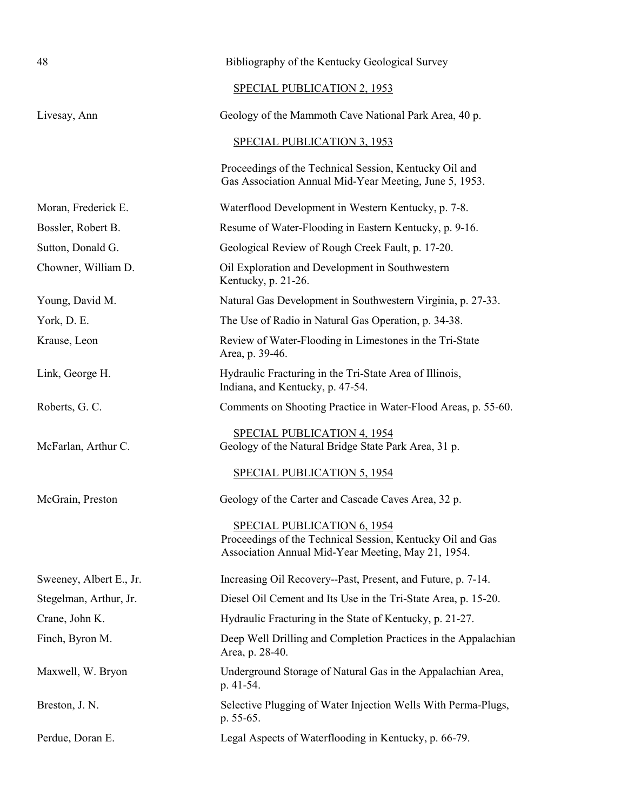| 48                      | Bibliography of the Kentucky Geological Survey                                                                                                         |
|-------------------------|--------------------------------------------------------------------------------------------------------------------------------------------------------|
|                         | <b>SPECIAL PUBLICATION 2, 1953</b>                                                                                                                     |
| Livesay, Ann            | Geology of the Mammoth Cave National Park Area, 40 p.                                                                                                  |
|                         | SPECIAL PUBLICATION 3, 1953                                                                                                                            |
|                         | Proceedings of the Technical Session, Kentucky Oil and<br>Gas Association Annual Mid-Year Meeting, June 5, 1953.                                       |
| Moran, Frederick E.     | Waterflood Development in Western Kentucky, p. 7-8.                                                                                                    |
| Bossler, Robert B.      | Resume of Water-Flooding in Eastern Kentucky, p. 9-16.                                                                                                 |
| Sutton, Donald G.       | Geological Review of Rough Creek Fault, p. 17-20.                                                                                                      |
| Chowner, William D.     | Oil Exploration and Development in Southwestern<br>Kentucky, p. 21-26.                                                                                 |
| Young, David M.         | Natural Gas Development in Southwestern Virginia, p. 27-33.                                                                                            |
| York, D. E.             | The Use of Radio in Natural Gas Operation, p. 34-38.                                                                                                   |
| Krause, Leon            | Review of Water-Flooding in Limestones in the Tri-State<br>Area, p. 39-46.                                                                             |
| Link, George H.         | Hydraulic Fracturing in the Tri-State Area of Illinois,<br>Indiana, and Kentucky, p. 47-54.                                                            |
| Roberts, G. C.          | Comments on Shooting Practice in Water-Flood Areas, p. 55-60.                                                                                          |
| McFarlan, Arthur C.     | SPECIAL PUBLICATION 4, 1954<br>Geology of the Natural Bridge State Park Area, 31 p.                                                                    |
|                         | <b>SPECIAL PUBLICATION 5, 1954</b>                                                                                                                     |
| McGrain, Preston        | Geology of the Carter and Cascade Caves Area, 32 p.                                                                                                    |
|                         | <b>SPECIAL PUBLICATION 6, 1954</b><br>Proceedings of the Technical Session, Kentucky Oil and Gas<br>Association Annual Mid-Year Meeting, May 21, 1954. |
| Sweeney, Albert E., Jr. | Increasing Oil Recovery--Past, Present, and Future, p. 7-14.                                                                                           |
| Stegelman, Arthur, Jr.  | Diesel Oil Cement and Its Use in the Tri-State Area, p. 15-20.                                                                                         |
| Crane, John K.          | Hydraulic Fracturing in the State of Kentucky, p. 21-27.                                                                                               |
| Finch, Byron M.         | Deep Well Drilling and Completion Practices in the Appalachian<br>Area, p. 28-40.                                                                      |
| Maxwell, W. Bryon       | Underground Storage of Natural Gas in the Appalachian Area,<br>p. 41-54.                                                                               |
| Breston, J. N.          | Selective Plugging of Water Injection Wells With Perma-Plugs,<br>p. 55-65.                                                                             |
| Perdue, Doran E.        | Legal Aspects of Waterflooding in Kentucky, p. 66-79.                                                                                                  |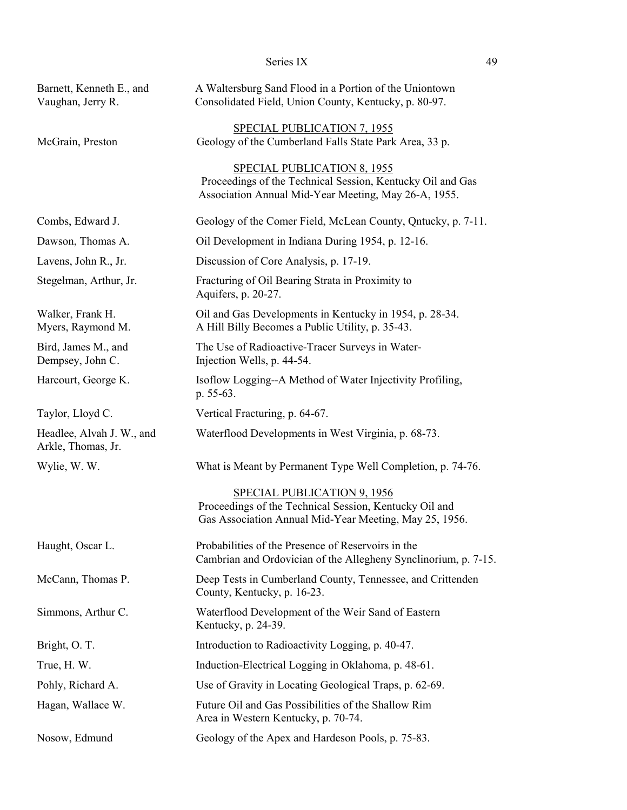|                                                 | Series IX                                                                                                                                                | 49 |
|-------------------------------------------------|----------------------------------------------------------------------------------------------------------------------------------------------------------|----|
| Barnett, Kenneth E., and<br>Vaughan, Jerry R.   | A Waltersburg Sand Flood in a Portion of the Uniontown<br>Consolidated Field, Union County, Kentucky, p. 80-97.                                          |    |
| McGrain, Preston                                | <b>SPECIAL PUBLICATION 7, 1955</b><br>Geology of the Cumberland Falls State Park Area, 33 p.                                                             |    |
|                                                 | <b>SPECIAL PUBLICATION 8, 1955</b><br>Proceedings of the Technical Session, Kentucky Oil and Gas<br>Association Annual Mid-Year Meeting, May 26-A, 1955. |    |
| Combs, Edward J.                                | Geology of the Comer Field, McLean County, Qntucky, p. 7-11.                                                                                             |    |
| Dawson, Thomas A.                               | Oil Development in Indiana During 1954, p. 12-16.                                                                                                        |    |
| Lavens, John R., Jr.                            | Discussion of Core Analysis, p. 17-19.                                                                                                                   |    |
| Stegelman, Arthur, Jr.                          | Fracturing of Oil Bearing Strata in Proximity to<br>Aquifers, p. 20-27.                                                                                  |    |
| Walker, Frank H.<br>Myers, Raymond M.           | Oil and Gas Developments in Kentucky in 1954, p. 28-34.<br>A Hill Billy Becomes a Public Utility, p. 35-43.                                              |    |
| Bird, James M., and<br>Dempsey, John C.         | The Use of Radioactive-Tracer Surveys in Water-<br>Injection Wells, p. 44-54.                                                                            |    |
| Harcourt, George K.                             | Isoflow Logging--A Method of Water Injectivity Profiling,<br>p. 55-63.                                                                                   |    |
| Taylor, Lloyd C.                                | Vertical Fracturing, p. 64-67.                                                                                                                           |    |
| Headlee, Alvah J. W., and<br>Arkle, Thomas, Jr. | Waterflood Developments in West Virginia, p. 68-73.                                                                                                      |    |
| Wylie, W. W.                                    | What is Meant by Permanent Type Well Completion, p. 74-76.                                                                                               |    |
|                                                 | <b>SPECIAL PUBLICATION 9, 1956</b><br>Proceedings of the Technical Session, Kentucky Oil and<br>Gas Association Annual Mid-Year Meeting, May 25, 1956.   |    |
| Haught, Oscar L.                                | Probabilities of the Presence of Reservoirs in the<br>Cambrian and Ordovician of the Allegheny Synclinorium, p. 7-15.                                    |    |
| McCann, Thomas P.                               | Deep Tests in Cumberland County, Tennessee, and Crittenden<br>County, Kentucky, p. 16-23.                                                                |    |
| Simmons, Arthur C.                              | Waterflood Development of the Weir Sand of Eastern<br>Kentucky, p. 24-39.                                                                                |    |
| Bright, O. T.                                   | Introduction to Radioactivity Logging, p. 40-47.                                                                                                         |    |
| True, H.W.                                      | Induction-Electrical Logging in Oklahoma, p. 48-61.                                                                                                      |    |
| Pohly, Richard A.                               | Use of Gravity in Locating Geological Traps, p. 62-69.                                                                                                   |    |
| Hagan, Wallace W.                               | Future Oil and Gas Possibilities of the Shallow Rim<br>Area in Western Kentucky, p. 70-74.                                                               |    |
| Nosow, Edmund                                   | Geology of the Apex and Hardeson Pools, p. 75-83.                                                                                                        |    |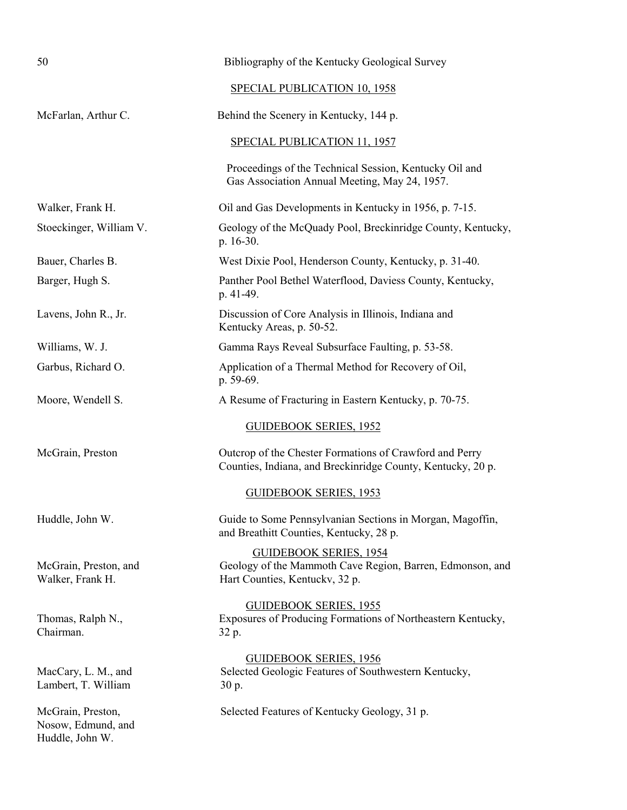| 50                                                         | Bibliography of the Kentucky Geological Survey                                                                               |
|------------------------------------------------------------|------------------------------------------------------------------------------------------------------------------------------|
|                                                            | SPECIAL PUBLICATION 10, 1958                                                                                                 |
| McFarlan, Arthur C.                                        | Behind the Scenery in Kentucky, 144 p.                                                                                       |
|                                                            | SPECIAL PUBLICATION 11, 1957                                                                                                 |
|                                                            | Proceedings of the Technical Session, Kentucky Oil and<br>Gas Association Annual Meeting, May 24, 1957.                      |
| Walker, Frank H.                                           | Oil and Gas Developments in Kentucky in 1956, p. 7-15.                                                                       |
| Stoeckinger, William V.                                    | Geology of the McQuady Pool, Breckinridge County, Kentucky,<br>p. 16-30.                                                     |
| Bauer, Charles B.                                          | West Dixie Pool, Henderson County, Kentucky, p. 31-40.                                                                       |
| Barger, Hugh S.                                            | Panther Pool Bethel Waterflood, Daviess County, Kentucky,<br>p. 41-49.                                                       |
| Lavens, John R., Jr.                                       | Discussion of Core Analysis in Illinois, Indiana and<br>Kentucky Areas, p. 50-52.                                            |
| Williams, W. J.                                            | Gamma Rays Reveal Subsurface Faulting, p. 53-58.                                                                             |
| Garbus, Richard O.                                         | Application of a Thermal Method for Recovery of Oil,<br>p. 59-69.                                                            |
| Moore, Wendell S.                                          | A Resume of Fracturing in Eastern Kentucky, p. 70-75.                                                                        |
|                                                            | <b>GUIDEBOOK SERIES, 1952</b>                                                                                                |
| McGrain, Preston                                           | Outcrop of the Chester Formations of Crawford and Perry<br>Counties, Indiana, and Breckinridge County, Kentucky, 20 p.       |
|                                                            | <b>GUIDEBOOK SERIES, 1953</b>                                                                                                |
| Huddle, John W.                                            | Guide to Some Pennsylvanian Sections in Morgan, Magoffin,<br>and Breathitt Counties, Kentucky, 28 p.                         |
| McGrain, Preston, and<br>Walker, Frank H.                  | <b>GUIDEBOOK SERIES, 1954</b><br>Geology of the Mammoth Cave Region, Barren, Edmonson, and<br>Hart Counties, Kentucky, 32 p. |
| Thomas, Ralph N.,<br>Chairman.                             | <b>GUIDEBOOK SERIES, 1955</b><br>Exposures of Producing Formations of Northeastern Kentucky,<br>32 p.                        |
| MacCary, L. M., and<br>Lambert, T. William                 | <b>GUIDEBOOK SERIES, 1956</b><br>Selected Geologic Features of Southwestern Kentucky,<br>30 p.                               |
| McGrain, Preston,<br>Nosow, Edmund, and<br>Huddle, John W. | Selected Features of Kentucky Geology, 31 p.                                                                                 |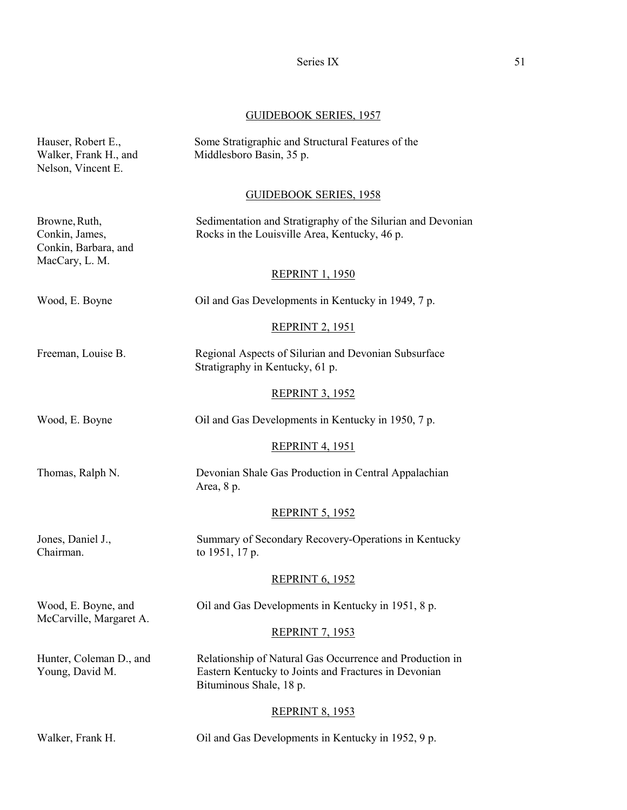# GUIDEBOOK SERIES, 1957

| Hauser, Robert E.,<br>Walker, Frank H., and<br>Nelson, Vincent E.         | Some Stratigraphic and Structural Features of the<br>Middlesboro Basin, 35 p.                                                               |
|---------------------------------------------------------------------------|---------------------------------------------------------------------------------------------------------------------------------------------|
|                                                                           | <b>GUIDEBOOK SERIES, 1958</b>                                                                                                               |
| Browne, Ruth,<br>Conkin, James,<br>Conkin, Barbara, and<br>MacCary, L. M. | Sedimentation and Stratigraphy of the Silurian and Devonian<br>Rocks in the Louisville Area, Kentucky, 46 p.                                |
|                                                                           | <b>REPRINT 1, 1950</b>                                                                                                                      |
| Wood, E. Boyne                                                            | Oil and Gas Developments in Kentucky in 1949, 7 p.                                                                                          |
|                                                                           | <b>REPRINT 2, 1951</b>                                                                                                                      |
| Freeman, Louise B.                                                        | Regional Aspects of Silurian and Devonian Subsurface<br>Stratigraphy in Kentucky, 61 p.                                                     |
|                                                                           | <b>REPRINT 3, 1952</b>                                                                                                                      |
| Wood, E. Boyne                                                            | Oil and Gas Developments in Kentucky in 1950, 7 p.                                                                                          |
|                                                                           | <b>REPRINT 4, 1951</b>                                                                                                                      |
| Thomas, Ralph N.                                                          | Devonian Shale Gas Production in Central Appalachian<br>Area, 8 p.                                                                          |
|                                                                           | <b>REPRINT 5, 1952</b>                                                                                                                      |
| Jones, Daniel J.,<br>Chairman.                                            | Summary of Secondary Recovery-Operations in Kentucky<br>to 1951, 17 p.                                                                      |
|                                                                           | <b>REPRINT 6, 1952</b>                                                                                                                      |
| Wood, E. Boyne, and                                                       | Oil and Gas Developments in Kentucky in 1951, 8 p.                                                                                          |
| McCarville, Margaret A.                                                   | <b>REPRINT 7, 1953</b>                                                                                                                      |
| Hunter, Coleman D., and<br>Young, David M.                                | Relationship of Natural Gas Occurrence and Production in<br>Eastern Kentucky to Joints and Fractures in Devonian<br>Bituminous Shale, 18 p. |
|                                                                           | <b>REPRINT 8, 1953</b>                                                                                                                      |
| Walker, Frank H.                                                          | Oil and Gas Developments in Kentucky in 1952, 9 p.                                                                                          |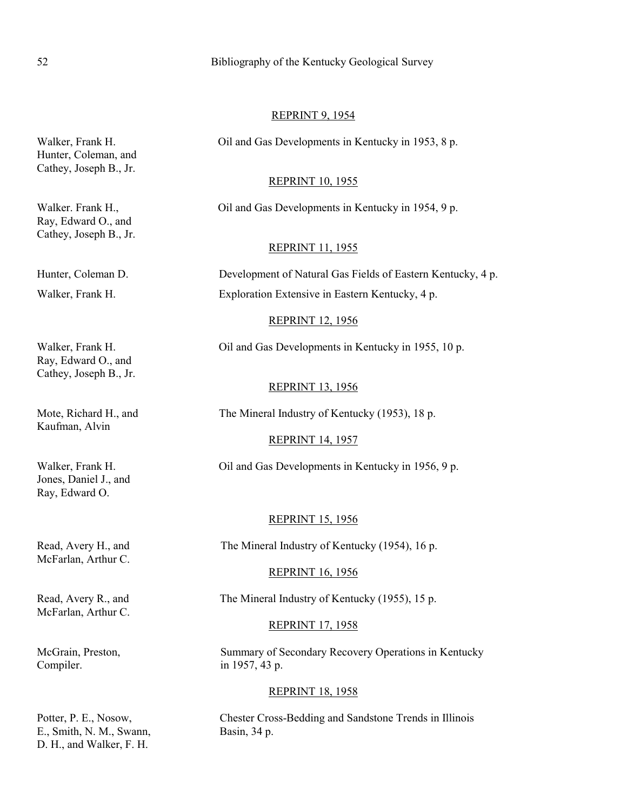### 52 Bibliography of the Kentucky Geological Survey

#### REPRINT 9, 1954

Walker, Frank H. Cil and Gas Developments in Kentucky in 1953, 8 p.

#### REPRINT 10, 1955

Walker. Frank H., Oil and Gas Developments in Kentucky in 1954, 9 p.

### REPRINT 11, 1955

Hunter, Coleman D. Development of Natural Gas Fields of Eastern Kentucky, 4 p. Walker, Frank H. Exploration Extensive in Eastern Kentucky, 4 p.

### REPRINT 12, 1956

Walker, Frank H. Cil and Gas Developments in Kentucky in 1955, 10 p.

#### REPRINT 13, 1956

Mote, Richard H., and The Mineral Industry of Kentucky (1953), 18 p.

#### REPRINT 14, 1957

Walker, Frank H. Oil and Gas Developments in Kentucky in 1956, 9 p.

#### REPRINT 15, 1956

Read, Avery H., and The Mineral Industry of Kentucky (1954), 16 p.

#### REPRINT 16, 1956

Read, Avery R., and The Mineral Industry of Kentucky (1955), 15 p.

### REPRINT 17, 1958

McGrain, Preston, Summary of Secondary Recovery Operations in Kentucky

#### REPRINT 18, 1958

Potter, P. E., Nosow, Chester Cross-Bedding and Sandstone Trends in Illinois

Hunter, Coleman, and Cathey, Joseph B., Jr.

Ray, Edward O., and Cathey, Joseph B., Jr.

Ray, Edward O., and Cathey, Joseph B., Jr.

Kaufman, Alvin

Jones, Daniel J., and Ray, Edward O.

McFarlan, Arthur C.

McFarlan, Arthur C.

Compiler. in 1957, 43 p.

E., Smith, N. M., Swann, Basin, 34 p. D. H., and Walker, F. H.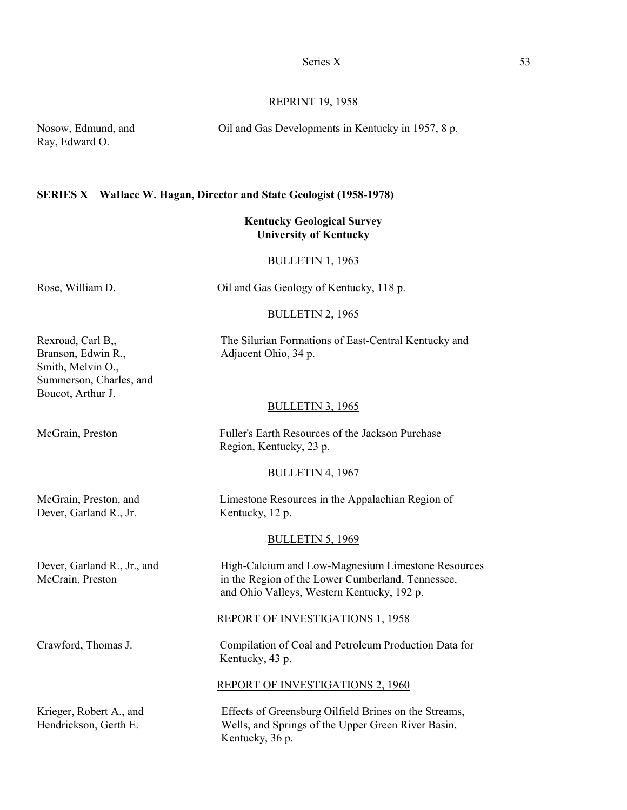#### REPRINT 19, 1958

Nosow, Edmund, and Oil and Gas Developments in Kentucky in 1957, 8 p.

Ray, Edward O.

#### **SERIES X WaIlace W. Hagan, Director and State Geologist (1958-1978)**

### **Kentucky Geological Survey University of Kentucky**

#### BULLETIN 1, 1963

### Rose, William D. Cil and Gas Geology of Kentucky, 118 p.

#### BULLETIN 2, 1965

Rexroad, Carl B<sub>,,</sub> The Silurian Formations of East-Central Kentucky and

#### BULLETIN 3, 1965

McGrain, Preston Fuller's Earth Resources of the Jackson Purchase Region, Kentucky, 23 p.

#### BULLETIN 4, 1967

| McGrain, Preston, and  | Limestone Resources in the Appalachian Region of |
|------------------------|--------------------------------------------------|
| Dever, Garland R., Jr. | Kentucky, 12 p.                                  |
|                        | <b>BULLETIN 5, 1969</b>                          |

Dever, Garland R., Jr., and High-Calcium and Low-Magnesium Limestone Resources McCrain, Preston in the Region of the Lower Cumberland, Tennessee, and Ohio Valleys, Western Kentucky, 192 p.

#### REPORT OF INVESTIGATIONS 1, 1958

Crawford, Thomas J. Compilation of Coal and Petroleum Production Data for Kentucky, 43 p.

### REPORT OF INVESTIGATIONS 2, 1960

Krieger, Robert A., and Effects of Greensburg Oilfield Brines on the Streams, Hendrickson, Gerth E. Wells, and Springs of the Upper Green River Basin, Kentucky, 36 p.

Branson, Edwin R., Adjacent Ohio, 34 p. Smith, Melvin O., Summerson, Charles, and Boucot, Arthur J.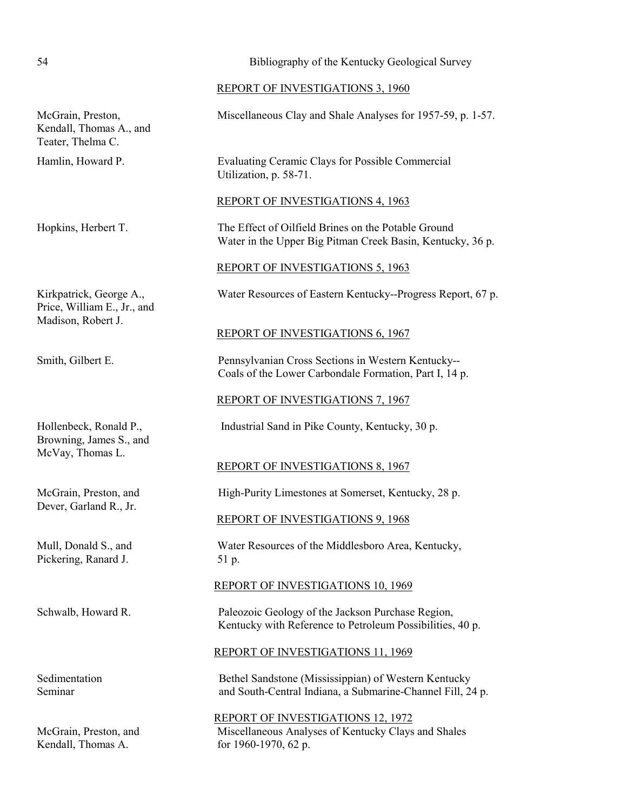### 54 Bibliography of the Kentucky Geological Survey

REPORT OF INVESTIGATIONS 3, 1960

McGrain, Preston, Miscellaneous Clay and Shale Analyses for 1957-59, p. 1-57.

Hamlin, Howard P. Evaluating Ceramic Clays for Possible Commercial Utilization, p. 58-71.

REPORT OF INVESTIGATIONS 4, 1963

Hopkins, Herbert T. The Effect of Oilfield Brines on the Potable Ground Water in the Upper Big Pitman Creek Basin, Kentucky, 36 p.

REPORT OF INVESTIGATIONS 5, 1963

Kirkpatrick, George A., Water Resources of Eastern Kentucky--Progress Report, 67 p.

REPORT OF INVESTIGATIONS 6, 1967

Smith, Gilbert E. Pennsylvanian Cross Sections in Western Kentucky-- Coals of the Lower Carbondale Formation, Part I, 14 p.

REPORT OF INVESTIGATIONS 7, 1967

Hollenbeck, Ronald P., Industrial Sand in Pike County, Kentucky, 30 p.

REPORT OF INVESTIGATIONS 8, 1967

McGrain, Preston, and High-Purity Limestones at Somerset, Kentucky, 28 p.

REPORT OF INVESTIGATIONS 9, 1968

Mull, Donald S., and Water Resources of the Middlesboro Area, Kentucky,

#### REPORT OF INVESTIGATIONS 10, 1969

Schwalb, Howard R. Paleozoic Geology of the Jackson Purchase Region, Kentucky with Reference to Petroleum Possibilities, 40 p.

REPORT OF INVESTIGATIONS 11, 1969

Sedimentation Bethel Sandstone (Mississippian) of Western Kentucky Seminar and South-Central Indiana, a Submarine-Channel Fill, 24 p.

REPORT OF INVESTIGATIONS 12, 1972 McGrain, Preston, and Miscellaneous Analyses of Kentucky Clays and Shales

Kendall, Thomas A., and

Teater, Thelma C.

Price, William E., Jr., and Madison, Robert J.

Browning, James S., and McVay, Thomas L.

Dever, Garland R., Jr.

Pickering, Ranard J. 51 p.

Kendall, Thomas A. for 1960-1970, 62 p.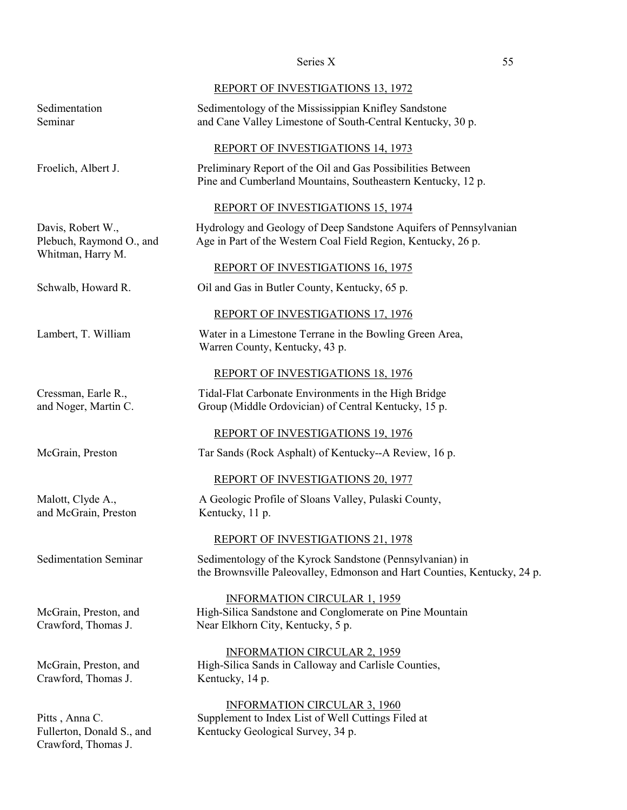|                                                                    | REPORT OF INVESTIGATIONS 13, 1972                                                                                                    |
|--------------------------------------------------------------------|--------------------------------------------------------------------------------------------------------------------------------------|
| Sedimentation<br>Seminar                                           | Sedimentology of the Mississippian Knifley Sandstone<br>and Cane Valley Limestone of South-Central Kentucky, 30 p.                   |
|                                                                    | REPORT OF INVESTIGATIONS 14, 1973                                                                                                    |
| Froelich, Albert J.                                                | Preliminary Report of the Oil and Gas Possibilities Between<br>Pine and Cumberland Mountains, Southeastern Kentucky, 12 p.           |
|                                                                    | REPORT OF INVESTIGATIONS 15, 1974                                                                                                    |
| Davis, Robert W.,<br>Plebuch, Raymond O., and<br>Whitman, Harry M. | Hydrology and Geology of Deep Sandstone Aquifers of Pennsylvanian<br>Age in Part of the Western Coal Field Region, Kentucky, 26 p.   |
|                                                                    | REPORT OF INVESTIGATIONS 16, 1975                                                                                                    |
| Schwalb, Howard R.                                                 | Oil and Gas in Butler County, Kentucky, 65 p.                                                                                        |
|                                                                    | <b>REPORT OF INVESTIGATIONS 17, 1976</b>                                                                                             |
| Lambert, T. William                                                | Water in a Limestone Terrane in the Bowling Green Area,<br>Warren County, Kentucky, 43 p.                                            |
|                                                                    | REPORT OF INVESTIGATIONS 18, 1976                                                                                                    |
| Cressman, Earle R.,<br>and Noger, Martin C.                        | Tidal-Flat Carbonate Environments in the High Bridge<br>Group (Middle Ordovician) of Central Kentucky, 15 p.                         |
|                                                                    | <b>REPORT OF INVESTIGATIONS 19, 1976</b>                                                                                             |
| McGrain, Preston                                                   | Tar Sands (Rock Asphalt) of Kentucky--A Review, 16 p.                                                                                |
|                                                                    | REPORT OF INVESTIGATIONS 20, 1977                                                                                                    |
| Malott, Clyde A.,<br>and McGrain, Preston                          | A Geologic Profile of Sloans Valley, Pulaski County,<br>Kentucky, 11 p.                                                              |
|                                                                    | <b>REPORT OF INVESTIGATIONS 21, 1978</b>                                                                                             |
| <b>Sedimentation Seminar</b>                                       | Sedimentology of the Kyrock Sandstone (Pennsylvanian) in<br>the Brownsville Paleovalley, Edmonson and Hart Counties, Kentucky, 24 p. |
| McGrain, Preston, and<br>Crawford, Thomas J.                       | <b>INFORMATION CIRCULAR 1, 1959</b><br>High-Silica Sandstone and Conglomerate on Pine Mountain<br>Near Elkhorn City, Kentucky, 5 p.  |
| McGrain, Preston, and<br>Crawford, Thomas J.                       | <b>INFORMATION CIRCULAR 2, 1959</b><br>High-Silica Sands in Calloway and Carlisle Counties,<br>Kentucky, 14 p.                       |
| Pitts, Anna C.<br>Fullerton, Donald S., and                        | <b>INFORMATION CIRCULAR 3, 1960</b><br>Supplement to Index List of Well Cuttings Filed at<br>Kentucky Geological Survey, 34 p.       |

Crawford, Thomas J.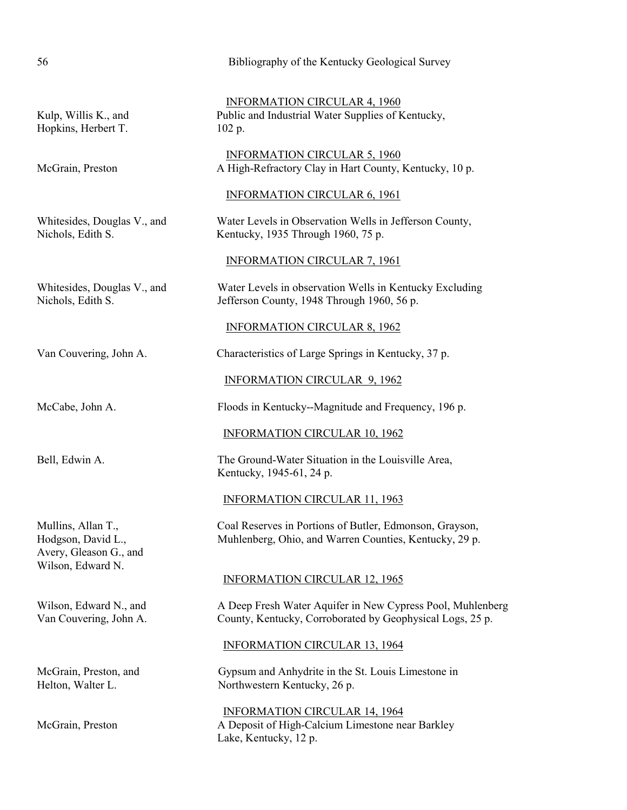| 56                                                                                      | Bibliography of the Kentucky Geological Survey                                                                          |
|-----------------------------------------------------------------------------------------|-------------------------------------------------------------------------------------------------------------------------|
| Kulp, Willis K., and<br>Hopkins, Herbert T.                                             | <b>INFORMATION CIRCULAR 4, 1960</b><br>Public and Industrial Water Supplies of Kentucky,<br>102 p.                      |
| McGrain, Preston                                                                        | <b>INFORMATION CIRCULAR 5, 1960</b><br>A High-Refractory Clay in Hart County, Kentucky, 10 p.                           |
|                                                                                         | <b>INFORMATION CIRCULAR 6, 1961</b>                                                                                     |
| Whitesides, Douglas V., and<br>Nichols, Edith S.                                        | Water Levels in Observation Wells in Jefferson County,<br>Kentucky, 1935 Through 1960, 75 p.                            |
|                                                                                         | <b>INFORMATION CIRCULAR 7, 1961</b>                                                                                     |
| Whitesides, Douglas V., and<br>Nichols, Edith S.                                        | Water Levels in observation Wells in Kentucky Excluding<br>Jefferson County, 1948 Through 1960, 56 p.                   |
|                                                                                         | <b>INFORMATION CIRCULAR 8, 1962</b>                                                                                     |
| Van Couvering, John A.                                                                  | Characteristics of Large Springs in Kentucky, 37 p.                                                                     |
|                                                                                         | <b>INFORMATION CIRCULAR 9, 1962</b>                                                                                     |
| McCabe, John A.                                                                         | Floods in Kentucky--Magnitude and Frequency, 196 p.                                                                     |
|                                                                                         | <b>INFORMATION CIRCULAR 10, 1962</b>                                                                                    |
| Bell, Edwin A.                                                                          | The Ground-Water Situation in the Louisville Area,<br>Kentucky, 1945-61, 24 p.                                          |
|                                                                                         | <b>INFORMATION CIRCULAR 11, 1963</b>                                                                                    |
| Mullins, Allan T.,<br>Hodgson, David L.,<br>Avery, Gleason G., and<br>Wilson, Edward N. | Coal Reserves in Portions of Butler, Edmonson, Grayson,<br>Muhlenberg, Ohio, and Warren Counties, Kentucky, 29 p.       |
|                                                                                         | <b>INFORMATION CIRCULAR 12, 1965</b>                                                                                    |
| Wilson, Edward N., and<br>Van Couvering, John A.                                        | A Deep Fresh Water Aquifer in New Cypress Pool, Muhlenberg<br>County, Kentucky, Corroborated by Geophysical Logs, 25 p. |
|                                                                                         | <b>INFORMATION CIRCULAR 13, 1964</b>                                                                                    |
| McGrain, Preston, and<br>Helton, Walter L.                                              | Gypsum and Anhydrite in the St. Louis Limestone in<br>Northwestern Kentucky, 26 p.                                      |
| McGrain, Preston                                                                        | <b>INFORMATION CIRCULAR 14, 1964</b><br>A Deposit of High-Calcium Limestone near Barkley<br>Lake, Kentucky, 12 p.       |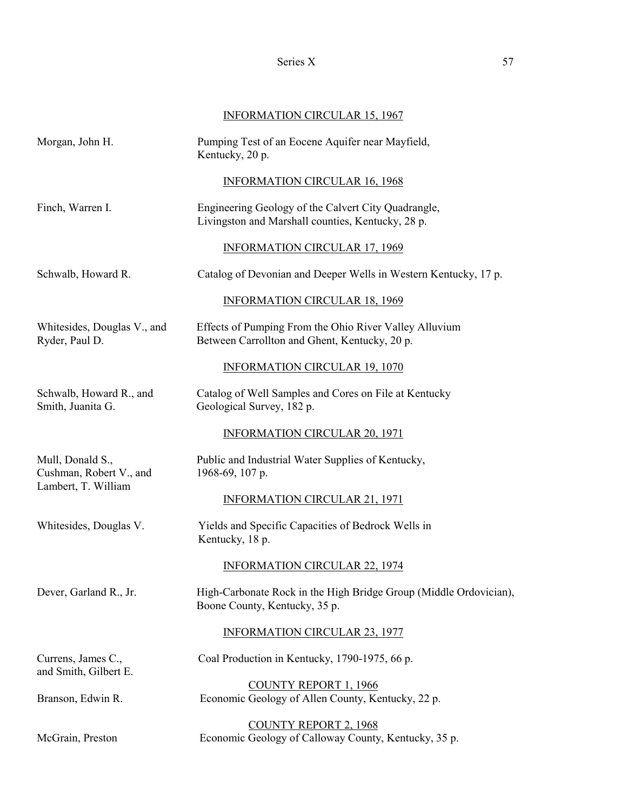# INFORMATION CIRCULAR 15, 1967

| Morgan, John H.                                                    | Pumping Test of an Eocene Aquifer near Mayfield,<br>Kentucky, 20 p.                                      |
|--------------------------------------------------------------------|----------------------------------------------------------------------------------------------------------|
|                                                                    | <b>INFORMATION CIRCULAR 16, 1968</b>                                                                     |
| Finch, Warren I.                                                   | Engineering Geology of the Calvert City Quadrangle,<br>Livingston and Marshall counties, Kentucky, 28 p. |
|                                                                    | <b>INFORMATION CIRCULAR 17, 1969</b>                                                                     |
| Schwalb, Howard R.                                                 | Catalog of Devonian and Deeper Wells in Western Kentucky, 17 p.                                          |
|                                                                    | <b>INFORMATION CIRCULAR 18, 1969</b>                                                                     |
| Whitesides, Douglas V., and<br>Ryder, Paul D.                      | Effects of Pumping From the Ohio River Valley Alluvium<br>Between Carrollton and Ghent, Kentucky, 20 p.  |
|                                                                    | <b>INFORMATION CIRCULAR 19, 1070</b>                                                                     |
| Schwalb, Howard R., and<br>Smith, Juanita G.                       | Catalog of Well Samples and Cores on File at Kentucky<br>Geological Survey, 182 p.                       |
|                                                                    | <b>INFORMATION CIRCULAR 20, 1971</b>                                                                     |
| Mull, Donald S.,<br>Cushman, Robert V., and<br>Lambert, T. William | Public and Industrial Water Supplies of Kentucky,<br>1968-69, 107 p.                                     |
|                                                                    | <b>INFORMATION CIRCULAR 21, 1971</b>                                                                     |
| Whitesides, Douglas V.                                             | Yields and Specific Capacities of Bedrock Wells in<br>Kentucky, 18 p.                                    |
|                                                                    | <b>INFORMATION CIRCULAR 22, 1974</b>                                                                     |
| Dever, Garland R., Jr.                                             | High-Carbonate Rock in the High Bridge Group (Middle Ordovician),<br>Boone County, Kentucky, 35 p.       |
|                                                                    | <b>INFORMATION CIRCULAR 23, 1977</b>                                                                     |
| Currens, James C.,<br>and Smith, Gilbert E.                        | Coal Production in Kentucky, 1790-1975, 66 p.                                                            |
| Branson, Edwin R.                                                  | <b>COUNTY REPORT 1, 1966</b><br>Economic Geology of Allen County, Kentucky, 22 p.                        |
| McGrain, Preston                                                   | <b>COUNTY REPORT 2, 1968</b><br>Economic Geology of Calloway County, Kentucky, 35 p.                     |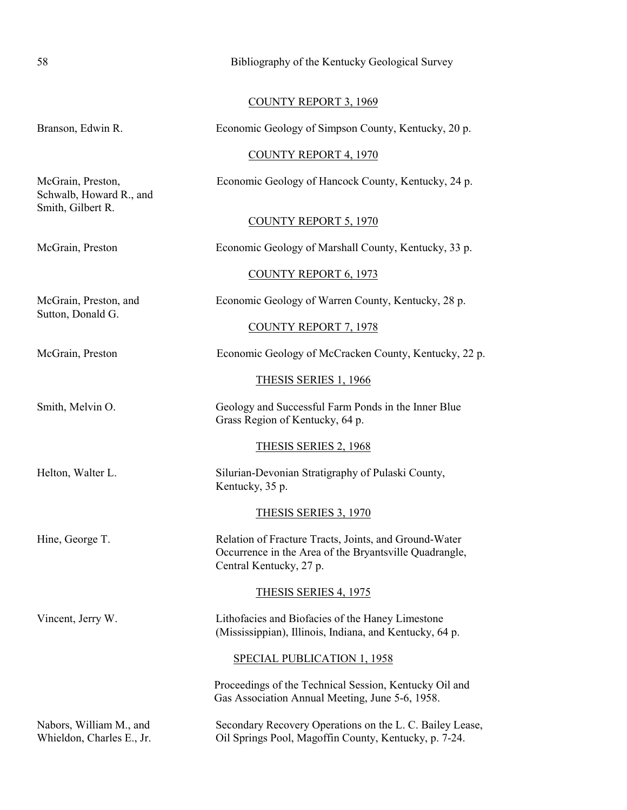| 58                                                                | Bibliography of the Kentucky Geological Survey                                                                                             |
|-------------------------------------------------------------------|--------------------------------------------------------------------------------------------------------------------------------------------|
|                                                                   | <b>COUNTY REPORT 3, 1969</b>                                                                                                               |
| Branson, Edwin R.                                                 | Economic Geology of Simpson County, Kentucky, 20 p.                                                                                        |
|                                                                   | <b>COUNTY REPORT 4, 1970</b>                                                                                                               |
| McGrain, Preston,<br>Schwalb, Howard R., and<br>Smith, Gilbert R. | Economic Geology of Hancock County, Kentucky, 24 p.                                                                                        |
|                                                                   | <b>COUNTY REPORT 5, 1970</b>                                                                                                               |
| McGrain, Preston                                                  | Economic Geology of Marshall County, Kentucky, 33 p.                                                                                       |
|                                                                   | <b>COUNTY REPORT 6, 1973</b>                                                                                                               |
| McGrain, Preston, and                                             | Economic Geology of Warren County, Kentucky, 28 p.                                                                                         |
| Sutton, Donald G.                                                 | COUNTY REPORT 7, 1978                                                                                                                      |
| McGrain, Preston                                                  | Economic Geology of McCracken County, Kentucky, 22 p.                                                                                      |
|                                                                   | THESIS SERIES 1, 1966                                                                                                                      |
| Smith, Melvin O.                                                  | Geology and Successful Farm Ponds in the Inner Blue<br>Grass Region of Kentucky, 64 p.                                                     |
|                                                                   | <b>THESIS SERIES 2, 1968</b>                                                                                                               |
| Helton, Walter L.                                                 | Silurian-Devonian Stratigraphy of Pulaski County,<br>Kentucky, 35 p.                                                                       |
|                                                                   | THESIS SERIES 3, 1970                                                                                                                      |
| Hine, George T.                                                   | Relation of Fracture Tracts, Joints, and Ground-Water<br>Occurrence in the Area of the Bryantsville Quadrangle,<br>Central Kentucky, 27 p. |
|                                                                   | <b>THESIS SERIES 4, 1975</b>                                                                                                               |
| Vincent, Jerry W.                                                 | Lithofacies and Biofacies of the Haney Limestone<br>(Mississippian), Illinois, Indiana, and Kentucky, 64 p.                                |
|                                                                   | <b>SPECIAL PUBLICATION 1, 1958</b>                                                                                                         |
|                                                                   | Proceedings of the Technical Session, Kentucky Oil and<br>Gas Association Annual Meeting, June 5-6, 1958.                                  |
| Nabors, William M., and                                           | Secondary Recovery Operations on the L. C. Bailey Lease,                                                                                   |

Whieldon, Charles E., Jr. Oil Springs Pool, Magoffin County, Kentucky, p. 7-24.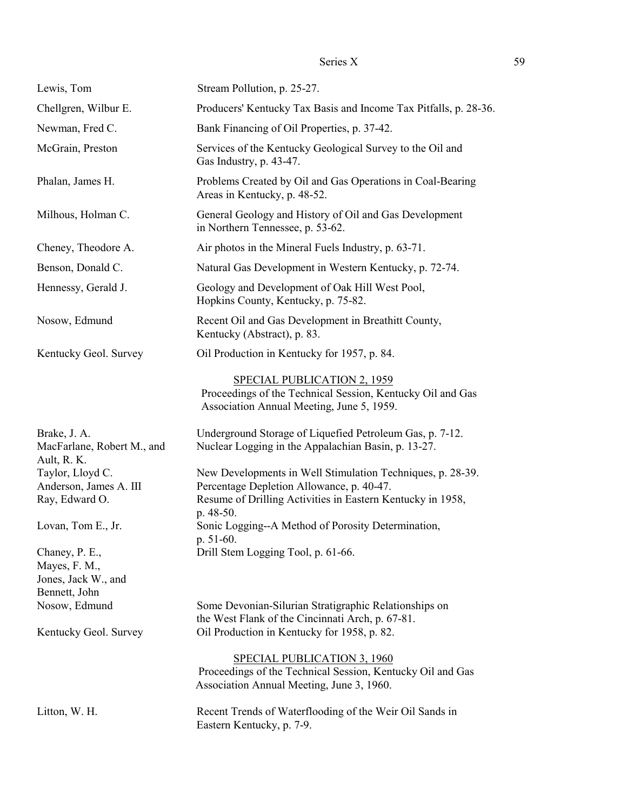| Lewis, Tom                                                              | Stream Pollution, p. 25-27.                                                                                                                                                        |
|-------------------------------------------------------------------------|------------------------------------------------------------------------------------------------------------------------------------------------------------------------------------|
| Chellgren, Wilbur E.                                                    | Producers' Kentucky Tax Basis and Income Tax Pitfalls, p. 28-36.                                                                                                                   |
| Newman, Fred C.                                                         | Bank Financing of Oil Properties, p. 37-42.                                                                                                                                        |
| McGrain, Preston                                                        | Services of the Kentucky Geological Survey to the Oil and<br>Gas Industry, p. 43-47.                                                                                               |
| Phalan, James H.                                                        | Problems Created by Oil and Gas Operations in Coal-Bearing<br>Areas in Kentucky, p. 48-52.                                                                                         |
| Milhous, Holman C.                                                      | General Geology and History of Oil and Gas Development<br>in Northern Tennessee, p. 53-62.                                                                                         |
| Cheney, Theodore A.                                                     | Air photos in the Mineral Fuels Industry, p. 63-71.                                                                                                                                |
| Benson, Donald C.                                                       | Natural Gas Development in Western Kentucky, p. 72-74.                                                                                                                             |
| Hennessy, Gerald J.                                                     | Geology and Development of Oak Hill West Pool,<br>Hopkins County, Kentucky, p. 75-82.                                                                                              |
| Nosow, Edmund                                                           | Recent Oil and Gas Development in Breathitt County,<br>Kentucky (Abstract), p. 83.                                                                                                 |
| Kentucky Geol. Survey                                                   | Oil Production in Kentucky for 1957, p. 84.                                                                                                                                        |
|                                                                         | SPECIAL PUBLICATION 2, 1959<br>Proceedings of the Technical Session, Kentucky Oil and Gas<br>Association Annual Meeting, June 5, 1959.                                             |
| Brake, J. A.<br>MacFarlane, Robert M., and<br>Ault, R. K.               | Underground Storage of Liquefied Petroleum Gas, p. 7-12.<br>Nuclear Logging in the Appalachian Basin, p. 13-27.                                                                    |
| Taylor, Lloyd C.<br>Anderson, James A. III<br>Ray, Edward O.            | New Developments in Well Stimulation Techniques, p. 28-39.<br>Percentage Depletion Allowance, p. 40-47.<br>Resume of Drilling Activities in Eastern Kentucky in 1958,<br>p. 48-50. |
| Lovan, Tom E., Jr.                                                      | Sonic Logging--A Method of Porosity Determination,<br>p. $51-60$ .                                                                                                                 |
| Chaney, P. E.,<br>Mayes, F. M.,<br>Jones, Jack W., and<br>Bennett, John | Drill Stem Logging Tool, p. 61-66.                                                                                                                                                 |
| Nosow, Edmund                                                           | Some Devonian-Silurian Stratigraphic Relationships on<br>the West Flank of the Cincinnati Arch, p. 67-81.                                                                          |
| Kentucky Geol. Survey                                                   | Oil Production in Kentucky for 1958, p. 82.                                                                                                                                        |
|                                                                         | <b>SPECIAL PUBLICATION 3, 1960</b><br>Proceedings of the Technical Session, Kentucky Oil and Gas<br>Association Annual Meeting, June 3, 1960.                                      |
| Litton, W. H.                                                           | Recent Trends of Waterflooding of the Weir Oil Sands in<br>Eastern Kentucky, p. 7-9.                                                                                               |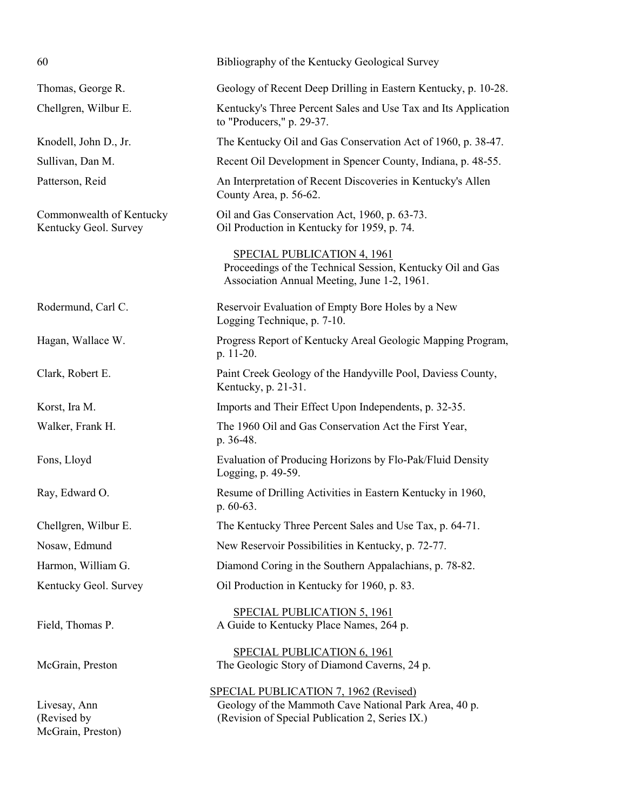| 60                                                | Bibliography of the Kentucky Geological Survey                                                                                                           |
|---------------------------------------------------|----------------------------------------------------------------------------------------------------------------------------------------------------------|
| Thomas, George R.                                 | Geology of Recent Deep Drilling in Eastern Kentucky, p. 10-28.                                                                                           |
| Chellgren, Wilbur E.                              | Kentucky's Three Percent Sales and Use Tax and Its Application<br>to "Producers," p. 29-37.                                                              |
| Knodell, John D., Jr.                             | The Kentucky Oil and Gas Conservation Act of 1960, p. 38-47.                                                                                             |
| Sullivan, Dan M.                                  | Recent Oil Development in Spencer County, Indiana, p. 48-55.                                                                                             |
| Patterson, Reid                                   | An Interpretation of Recent Discoveries in Kentucky's Allen<br>County Area, p. 56-62.                                                                    |
| Commonwealth of Kentucky<br>Kentucky Geol. Survey | Oil and Gas Conservation Act, 1960, p. 63-73.<br>Oil Production in Kentucky for 1959, p. 74.                                                             |
|                                                   | SPECIAL PUBLICATION 4, 1961<br>Proceedings of the Technical Session, Kentucky Oil and Gas<br>Association Annual Meeting, June 1-2, 1961.                 |
| Rodermund, Carl C.                                | Reservoir Evaluation of Empty Bore Holes by a New<br>Logging Technique, p. 7-10.                                                                         |
| Hagan, Wallace W.                                 | Progress Report of Kentucky Areal Geologic Mapping Program,<br>p. 11-20.                                                                                 |
| Clark, Robert E.                                  | Paint Creek Geology of the Handyville Pool, Daviess County,<br>Kentucky, p. 21-31.                                                                       |
| Korst, Ira M.                                     | Imports and Their Effect Upon Independents, p. 32-35.                                                                                                    |
| Walker, Frank H.                                  | The 1960 Oil and Gas Conservation Act the First Year,<br>p. 36-48.                                                                                       |
| Fons, Lloyd                                       | Evaluation of Producing Horizons by Flo-Pak/Fluid Density<br>Logging, p. 49-59.                                                                          |
| Ray, Edward O.                                    | Resume of Drilling Activities in Eastern Kentucky in 1960,<br>$p.60-63.$                                                                                 |
| Chellgren, Wilbur E.                              | The Kentucky Three Percent Sales and Use Tax, p. 64-71.                                                                                                  |
| Nosaw, Edmund                                     | New Reservoir Possibilities in Kentucky, p. 72-77.                                                                                                       |
| Harmon, William G.                                | Diamond Coring in the Southern Appalachians, p. 78-82.                                                                                                   |
| Kentucky Geol. Survey                             | Oil Production in Kentucky for 1960, p. 83.                                                                                                              |
| Field, Thomas P.                                  | <b>SPECIAL PUBLICATION 5, 1961</b><br>A Guide to Kentucky Place Names, 264 p.                                                                            |
| McGrain, Preston                                  | <b>SPECIAL PUBLICATION 6, 1961</b><br>The Geologic Story of Diamond Caverns, 24 p.                                                                       |
| Livesay, Ann<br>(Revised by<br>McGrain, Preston)  | <b>SPECIAL PUBLICATION 7, 1962 (Revised)</b><br>Geology of the Mammoth Cave National Park Area, 40 p.<br>(Revision of Special Publication 2, Series IX.) |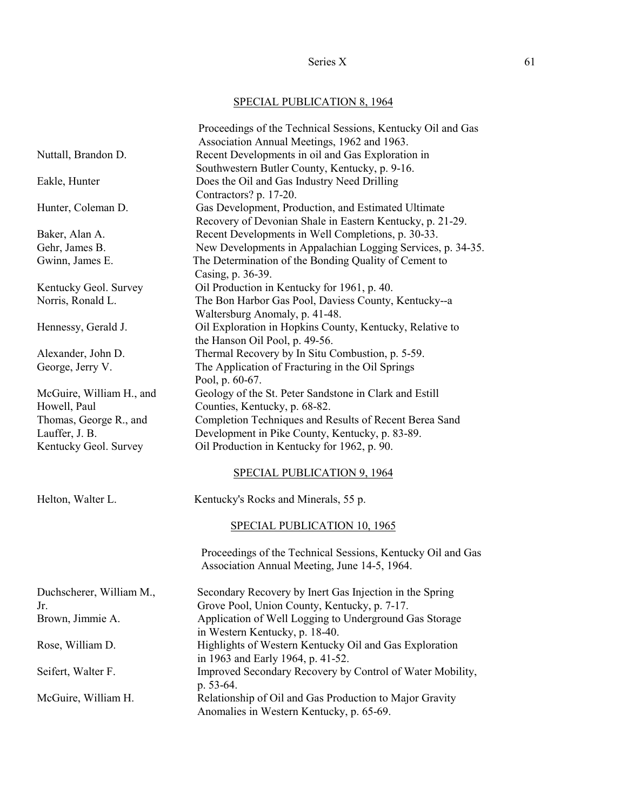# SPECIAL PUBLICATION 8, 1964

|                          | Proceedings of the Technical Sessions, Kentucky Oil and Gas<br>Association Annual Meetings, 1962 and 1963. |
|--------------------------|------------------------------------------------------------------------------------------------------------|
| Nuttall, Brandon D.      | Recent Developments in oil and Gas Exploration in                                                          |
|                          | Southwestern Butler County, Kentucky, p. 9-16.                                                             |
|                          |                                                                                                            |
| Eakle, Hunter            | Does the Oil and Gas Industry Need Drilling<br>Contractors? p. 17-20.                                      |
| Hunter, Coleman D.       | Gas Development, Production, and Estimated Ultimate                                                        |
|                          | Recovery of Devonian Shale in Eastern Kentucky, p. 21-29.                                                  |
| Baker, Alan A.           | Recent Developments in Well Completions, p. 30-33.                                                         |
|                          |                                                                                                            |
| Gehr, James B.           | New Developments in Appalachian Logging Services, p. 34-35.                                                |
| Gwinn, James E.          | The Determination of the Bonding Quality of Cement to                                                      |
|                          | Casing, p. 36-39.                                                                                          |
| Kentucky Geol. Survey    | Oil Production in Kentucky for 1961, p. 40.                                                                |
| Norris, Ronald L.        | The Bon Harbor Gas Pool, Daviess County, Kentucky--a                                                       |
|                          | Waltersburg Anomaly, p. 41-48.                                                                             |
| Hennessy, Gerald J.      | Oil Exploration in Hopkins County, Kentucky, Relative to                                                   |
|                          | the Hanson Oil Pool, p. 49-56.                                                                             |
| Alexander, John D.       | Thermal Recovery by In Situ Combustion, p. 5-59.                                                           |
| George, Jerry V.         | The Application of Fracturing in the Oil Springs                                                           |
|                          | Pool, p. 60-67.                                                                                            |
| McGuire, William H., and | Geology of the St. Peter Sandstone in Clark and Estill                                                     |
| Howell, Paul             | Counties, Kentucky, p. 68-82.                                                                              |
| Thomas, George R., and   | Completion Techniques and Results of Recent Berea Sand                                                     |
| Lauffer, J. B.           | Development in Pike County, Kentucky, p. 83-89.                                                            |
| Kentucky Geol. Survey    | Oil Production in Kentucky for 1962, p. 90.                                                                |
|                          | SPECIAL PUBLICATION 9, 1964                                                                                |
| Helton, Walter L.        | Kentucky's Rocks and Minerals, 55 p.                                                                       |
|                          | SPECIAL PUBLICATION 10, 1965                                                                               |
|                          | Proceedings of the Technical Sessions, Kentucky Oil and Gas                                                |
|                          | Association Annual Meeting, June 14-5, 1964.                                                               |
| Duchscherer, William M., | Secondary Recovery by Inert Gas Injection in the Spring                                                    |
| Jr.                      | Grove Pool, Union County, Kentucky, p. 7-17.                                                               |
| Brown, Jimmie A.         | Application of Well Logging to Underground Gas Storage                                                     |
|                          | in Western Kentucky, p. 18-40.                                                                             |
| Rose, William D.         | Highlights of Western Kentucky Oil and Gas Exploration                                                     |
|                          | in 1963 and Early 1964, p. 41-52.                                                                          |
| Seifert, Walter F.       | Improved Secondary Recovery by Control of Water Mobility,                                                  |
|                          | p. 53-64.                                                                                                  |
| McGuire, William H.      | Relationship of Oil and Gas Production to Major Gravity                                                    |
|                          | Anomalies in Western Kentucky, p. 65-69.                                                                   |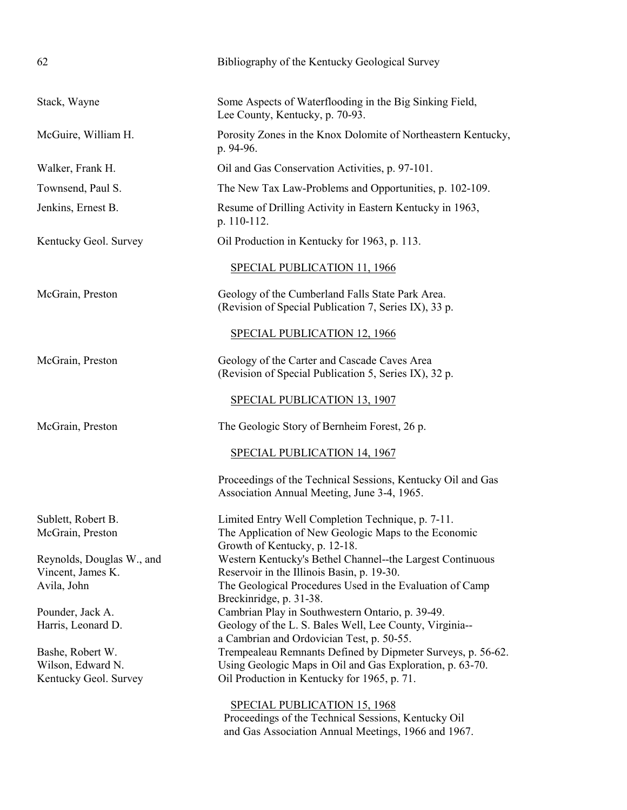| 62                                     | Bibliography of the Kentucky Geological Survey                                                                                             |
|----------------------------------------|--------------------------------------------------------------------------------------------------------------------------------------------|
| Stack, Wayne                           | Some Aspects of Waterflooding in the Big Sinking Field,<br>Lee County, Kentucky, p. 70-93.                                                 |
| McGuire, William H.                    | Porosity Zones in the Knox Dolomite of Northeastern Kentucky,<br>p. 94-96.                                                                 |
| Walker, Frank H.                       | Oil and Gas Conservation Activities, p. 97-101.                                                                                            |
| Townsend, Paul S.                      | The New Tax Law-Problems and Opportunities, p. 102-109.                                                                                    |
| Jenkins, Ernest B.                     | Resume of Drilling Activity in Eastern Kentucky in 1963,<br>p. 110-112.                                                                    |
| Kentucky Geol. Survey                  | Oil Production in Kentucky for 1963, p. 113.                                                                                               |
|                                        | SPECIAL PUBLICATION 11, 1966                                                                                                               |
| McGrain, Preston                       | Geology of the Cumberland Falls State Park Area.<br>(Revision of Special Publication 7, Series IX), 33 p.                                  |
|                                        | <b>SPECIAL PUBLICATION 12, 1966</b>                                                                                                        |
| McGrain, Preston                       | Geology of the Carter and Cascade Caves Area<br>(Revision of Special Publication 5, Series IX), 32 p.                                      |
|                                        | SPECIAL PUBLICATION 13, 1907                                                                                                               |
| McGrain, Preston                       | The Geologic Story of Bernheim Forest, 26 p.                                                                                               |
|                                        | SPECIAL PUBLICATION 14, 1967                                                                                                               |
|                                        | Proceedings of the Technical Sessions, Kentucky Oil and Gas<br>Association Annual Meeting, June 3-4, 1965.                                 |
| Sublett, Robert B.<br>McGrain, Preston | Limited Entry Well Completion Technique, p. 7-11.<br>The Application of New Geologic Maps to the Economic<br>Growth of Kentucky, p. 12-18. |
| Reynolds, Douglas W., and              | Western Kentucky's Bethel Channel--the Largest Continuous                                                                                  |
| Vincent, James K.                      | Reservoir in the Illinois Basin, p. 19-30.                                                                                                 |
| Avila, John                            | The Geological Procedures Used in the Evaluation of Camp<br>Breckinridge, p. 31-38.                                                        |
| Pounder, Jack A.                       | Cambrian Play in Southwestern Ontario, p. 39-49.                                                                                           |
| Harris, Leonard D.                     | Geology of the L. S. Bales Well, Lee County, Virginia--                                                                                    |
|                                        | a Cambrian and Ordovician Test, p. 50-55.                                                                                                  |
| Bashe, Robert W.                       | Trempealeau Remnants Defined by Dipmeter Surveys, p. 56-62.                                                                                |
| Wilson, Edward N.                      | Using Geologic Maps in Oil and Gas Exploration, p. 63-70.                                                                                  |
| Kentucky Geol. Survey                  | Oil Production in Kentucky for 1965, p. 71.                                                                                                |
|                                        | SPECIAL PUBLICATION 15, 1968                                                                                                               |
|                                        | Proceedings of the Technical Sessions, Kentucky Oil                                                                                        |
|                                        | and Gas Association Annual Meetings, 1966 and 1967.                                                                                        |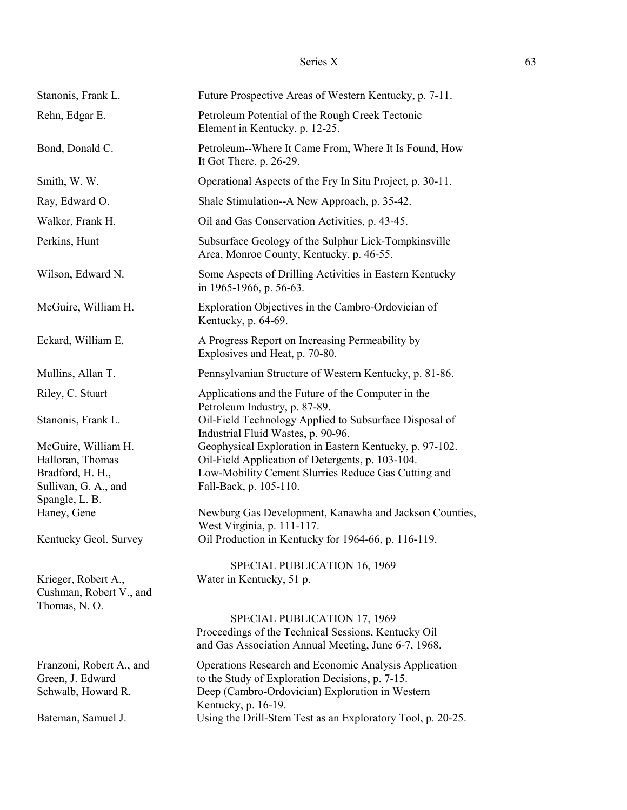| Stanonis, Frank L.                                                 | Future Prospective Areas of Western Kentucky, p. 7-11.                                                                                                      |
|--------------------------------------------------------------------|-------------------------------------------------------------------------------------------------------------------------------------------------------------|
| Rehn, Edgar E.                                                     | Petroleum Potential of the Rough Creek Tectonic<br>Element in Kentucky, p. 12-25.                                                                           |
| Bond, Donald C.                                                    | Petroleum--Where It Came From, Where It Is Found, How<br>It Got There, $p. 26-29$ .                                                                         |
| Smith, W. W.                                                       | Operational Aspects of the Fry In Situ Project, p. 30-11.                                                                                                   |
| Ray, Edward O.                                                     | Shale Stimulation--A New Approach, p. 35-42.                                                                                                                |
| Walker, Frank H.                                                   | Oil and Gas Conservation Activities, p. 43-45.                                                                                                              |
| Perkins, Hunt                                                      | Subsurface Geology of the Sulphur Lick-Tompkinsville<br>Area, Monroe County, Kentucky, p. 46-55.                                                            |
| Wilson, Edward N.                                                  | Some Aspects of Drilling Activities in Eastern Kentucky<br>in 1965-1966, p. 56-63.                                                                          |
| McGuire, William H.                                                | Exploration Objectives in the Cambro-Ordovician of<br>Kentucky, p. 64-69.                                                                                   |
| Eckard, William E.                                                 | A Progress Report on Increasing Permeability by<br>Explosives and Heat, p. 70-80.                                                                           |
| Mullins, Allan T.                                                  | Pennsylvanian Structure of Western Kentucky, p. 81-86.                                                                                                      |
| Riley, C. Stuart                                                   | Applications and the Future of the Computer in the<br>Petroleum Industry, p. 87-89.                                                                         |
| Stanonis, Frank L.                                                 | Oil-Field Technology Applied to Subsurface Disposal of<br>Industrial Fluid Wastes, p. 90-96.                                                                |
| McGuire, William H.<br>Halloran, Thomas                            | Geophysical Exploration in Eastern Kentucky, p. 97-102.<br>Oil-Field Application of Detergents, p. 103-104.                                                 |
| Bradford, H. H.,                                                   | Low-Mobility Cement Slurries Reduce Gas Cutting and                                                                                                         |
| Sullivan, G. A., and                                               | Fall-Back, p. 105-110.                                                                                                                                      |
| Spangle, L. B.<br>Haney, Gene                                      | Newburg Gas Development, Kanawha and Jackson Counties,<br>West Virginia, p. 111-117.                                                                        |
| Kentucky Geol. Survey                                              | Oil Production in Kentucky for 1964-66, p. 116-119.                                                                                                         |
|                                                                    | SPECIAL PUBLICATION 16, 1969                                                                                                                                |
| Krieger, Robert A.,<br>Cushman, Robert V., and<br>Thomas, N.O.     | Water in Kentucky, 51 p.                                                                                                                                    |
|                                                                    | SPECIAL PUBLICATION 17, 1969<br>Proceedings of the Technical Sessions, Kentucky Oil<br>and Gas Association Annual Meeting, June 6-7, 1968.                  |
| Franzoni, Robert A., and<br>Green, J. Edward<br>Schwalb, Howard R. | Operations Research and Economic Analysis Application<br>to the Study of Exploration Decisions, p. 7-15.<br>Deep (Cambro-Ordovician) Exploration in Western |
| Bateman, Samuel J.                                                 | Kentucky, p. 16-19.<br>Using the Drill-Stem Test as an Exploratory Tool, p. 20-25.                                                                          |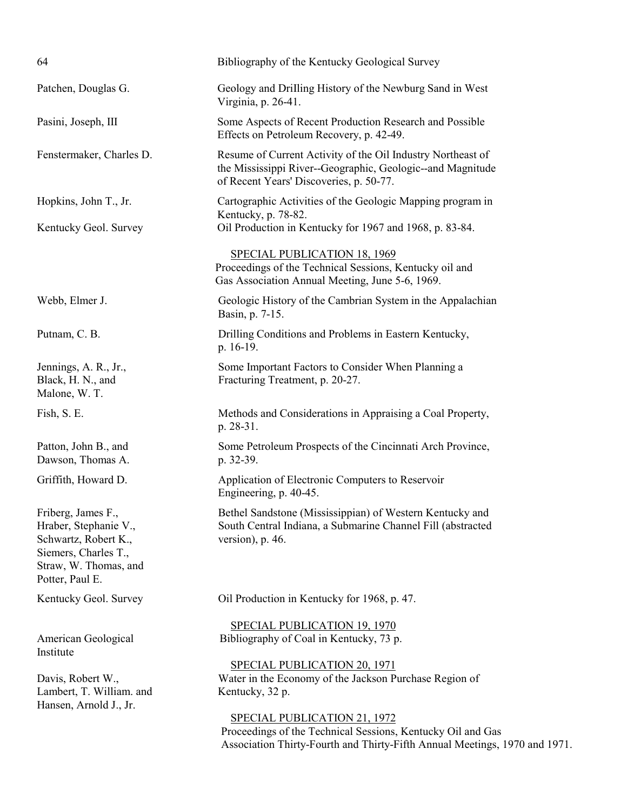| 64                                                                                                                                      | Bibliography of the Kentucky Geological Survey                                                                                                                                   |
|-----------------------------------------------------------------------------------------------------------------------------------------|----------------------------------------------------------------------------------------------------------------------------------------------------------------------------------|
| Patchen, Douglas G.                                                                                                                     | Geology and Drilling History of the Newburg Sand in West<br>Virginia, p. 26-41.                                                                                                  |
| Pasini, Joseph, III                                                                                                                     | Some Aspects of Recent Production Research and Possible<br>Effects on Petroleum Recovery, p. 42-49.                                                                              |
| Fenstermaker, Charles D.                                                                                                                | Resume of Current Activity of the Oil Industry Northeast of<br>the Mississippi River--Geographic, Geologic--and Magnitude<br>of Recent Years' Discoveries, p. 50-77.             |
| Hopkins, John T., Jr.                                                                                                                   | Cartographic Activities of the Geologic Mapping program in<br>Kentucky, p. 78-82.                                                                                                |
| Kentucky Geol. Survey                                                                                                                   | Oil Production in Kentucky for 1967 and 1968, p. 83-84.                                                                                                                          |
|                                                                                                                                         | SPECIAL PUBLICATION 18, 1969<br>Proceedings of the Technical Sessions, Kentucky oil and<br>Gas Association Annual Meeting, June 5-6, 1969.                                       |
| Webb, Elmer J.                                                                                                                          | Geologic History of the Cambrian System in the Appalachian<br>Basin, p. 7-15.                                                                                                    |
| Putnam, C. B.                                                                                                                           | Drilling Conditions and Problems in Eastern Kentucky,<br>p. 16-19.                                                                                                               |
| Jennings, A. R., Jr.,<br>Black, H. N., and<br>Malone, W. T.                                                                             | Some Important Factors to Consider When Planning a<br>Fracturing Treatment, p. 20-27.                                                                                            |
| Fish, S. E.                                                                                                                             | Methods and Considerations in Appraising a Coal Property,<br>p. 28-31.                                                                                                           |
| Patton, John B., and<br>Dawson, Thomas A.                                                                                               | Some Petroleum Prospects of the Cincinnati Arch Province,<br>p. 32-39.                                                                                                           |
| Griffith, Howard D.                                                                                                                     | Application of Electronic Computers to Reservoir<br>Engineering, p. 40-45.                                                                                                       |
| Friberg, James F.,<br>Hraber, Stephanie V.,<br>Schwartz, Robert K.,<br>Siemers, Charles T.,<br>Straw, W. Thomas, and<br>Potter, Paul E. | Bethel Sandstone (Mississippian) of Western Kentucky and<br>South Central Indiana, a Submarine Channel Fill (abstracted<br>version), $p. 46$ .                                   |
| Kentucky Geol. Survey                                                                                                                   | Oil Production in Kentucky for 1968, p. 47.                                                                                                                                      |
| American Geological<br>Institute                                                                                                        | <b>SPECIAL PUBLICATION 19, 1970</b><br>Bibliography of Coal in Kentucky, 73 p.                                                                                                   |
| Davis, Robert W.,<br>Lambert, T. William. and<br>Hansen, Arnold J., Jr.                                                                 | SPECIAL PUBLICATION 20, 1971<br>Water in the Economy of the Jackson Purchase Region of<br>Kentucky, 32 p.                                                                        |
|                                                                                                                                         | <b>SPECIAL PUBLICATION 21, 1972</b><br>Proceedings of the Technical Sessions, Kentucky Oil and Gas<br>Association Thirty-Fourth and Thirty-Fifth Annual Meetings, 1970 and 1971. |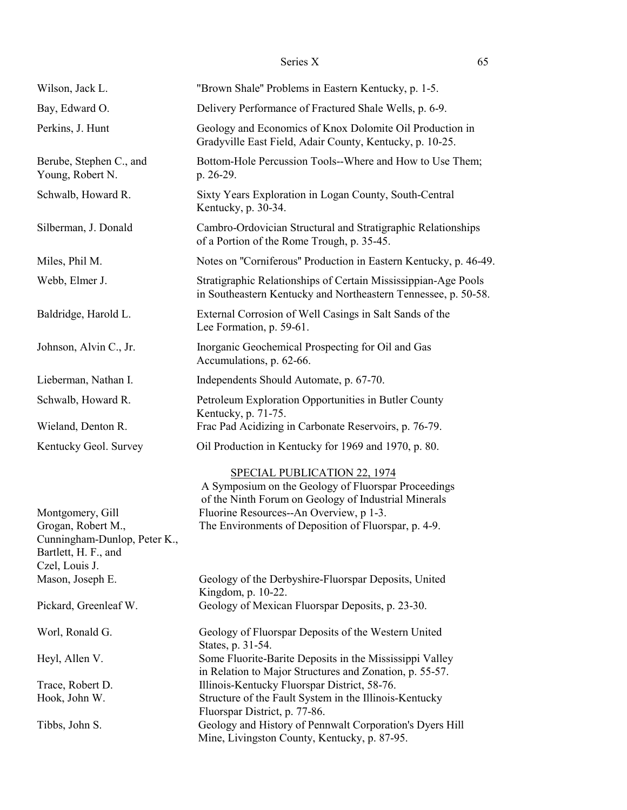| Wilson, Jack L.                                                                                                  | "Brown Shale" Problems in Eastern Kentucky, p. 1-5.                                                                                                                                                                                            |
|------------------------------------------------------------------------------------------------------------------|------------------------------------------------------------------------------------------------------------------------------------------------------------------------------------------------------------------------------------------------|
| Bay, Edward O.                                                                                                   | Delivery Performance of Fractured Shale Wells, p. 6-9.                                                                                                                                                                                         |
| Perkins, J. Hunt                                                                                                 | Geology and Economics of Knox Dolomite Oil Production in<br>Gradyville East Field, Adair County, Kentucky, p. 10-25.                                                                                                                           |
| Berube, Stephen C., and<br>Young, Robert N.                                                                      | Bottom-Hole Percussion Tools--Where and How to Use Them;<br>p. 26-29.                                                                                                                                                                          |
| Schwalb, Howard R.                                                                                               | Sixty Years Exploration in Logan County, South-Central<br>Kentucky, p. 30-34.                                                                                                                                                                  |
| Silberman, J. Donald                                                                                             | Cambro-Ordovician Structural and Stratigraphic Relationships<br>of a Portion of the Rome Trough, p. 35-45.                                                                                                                                     |
| Miles, Phil M.                                                                                                   | Notes on "Corniferous" Production in Eastern Kentucky, p. 46-49.                                                                                                                                                                               |
| Webb, Elmer J.                                                                                                   | Stratigraphic Relationships of Certain Mississippian-Age Pools<br>in Southeastern Kentucky and Northeastern Tennessee, p. 50-58.                                                                                                               |
| Baldridge, Harold L.                                                                                             | External Corrosion of Well Casings in Salt Sands of the<br>Lee Formation, p. 59-61.                                                                                                                                                            |
| Johnson, Alvin C., Jr.                                                                                           | Inorganic Geochemical Prospecting for Oil and Gas<br>Accumulations, p. 62-66.                                                                                                                                                                  |
| Lieberman, Nathan I.                                                                                             | Independents Should Automate, p. 67-70.                                                                                                                                                                                                        |
| Schwalb, Howard R.                                                                                               | Petroleum Exploration Opportunities in Butler County<br>Kentucky, p. 71-75.                                                                                                                                                                    |
| Wieland, Denton R.                                                                                               | Frac Pad Acidizing in Carbonate Reservoirs, p. 76-79.                                                                                                                                                                                          |
| Kentucky Geol. Survey                                                                                            | Oil Production in Kentucky for 1969 and 1970, p. 80.                                                                                                                                                                                           |
| Montgomery, Gill<br>Grogan, Robert M.,<br>Cunningham-Dunlop, Peter K.,<br>Bartlett, H. F., and<br>Czel, Louis J. | SPECIAL PUBLICATION 22, 1974<br>A Symposium on the Geology of Fluorspar Proceedings<br>of the Ninth Forum on Geology of Industrial Minerals<br>Fluorine Resources--An Overview, p 1-3.<br>The Environments of Deposition of Fluorspar, p. 4-9. |
| Mason, Joseph E.                                                                                                 | Geology of the Derbyshire-Fluorspar Deposits, United<br>Kingdom, p. 10-22.                                                                                                                                                                     |
| Pickard, Greenleaf W.                                                                                            | Geology of Mexican Fluorspar Deposits, p. 23-30.                                                                                                                                                                                               |
| Worl, Ronald G.                                                                                                  | Geology of Fluorspar Deposits of the Western United<br>States, p. 31-54.                                                                                                                                                                       |
| Heyl, Allen V.                                                                                                   | Some Fluorite-Barite Deposits in the Mississippi Valley<br>in Relation to Major Structures and Zonation, p. 55-57.                                                                                                                             |
| Trace, Robert D.                                                                                                 | Illinois-Kentucky Fluorspar District, 58-76.                                                                                                                                                                                                   |
| Hook, John W.                                                                                                    | Structure of the Fault System in the Illinois-Kentucky<br>Fluorspar District, p. 77-86.                                                                                                                                                        |
| Tibbs, John S.                                                                                                   | Geology and History of Pennwalt Corporation's Dyers Hill<br>Mine, Livingston County, Kentucky, p. 87-95.                                                                                                                                       |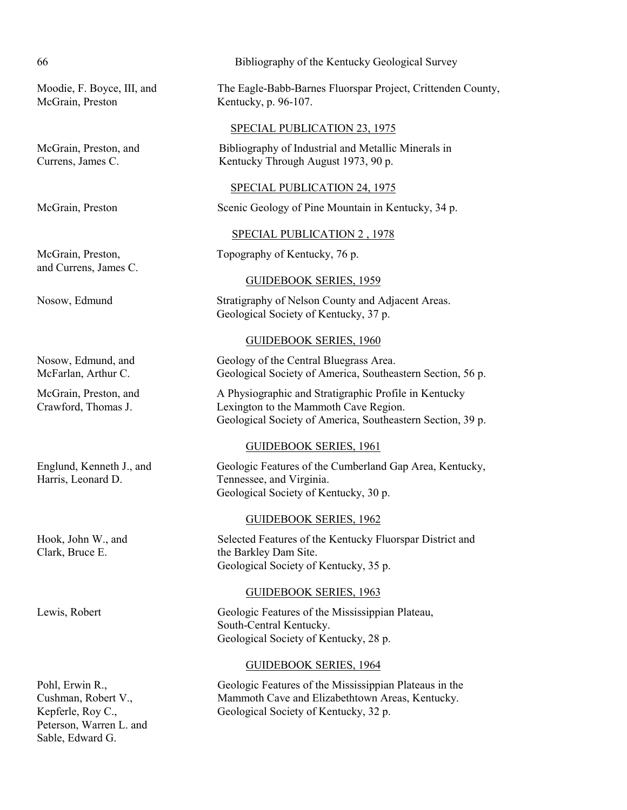McGrain, Preston Kentucky, p. 96-107.

and Currens, James C.

Peterson, Warren L. and Sable, Edward G.

### 66 Bibliography of the Kentucky Geological Survey

Moodie, F. Boyce, III, and The Eagle-Babb-Barnes Fluorspar Project, Crittenden County,

#### SPECIAL PUBLICATION 23, 1975

McGrain, Preston, and Bibliography of Industrial and Metallic Minerals in Currens, James C. Kentucky Through August 1973, 90 p.

#### SPECIAL PUBLICATION 24, 1975

McGrain, Preston Scenic Geology of Pine Mountain in Kentucky, 34 p.

#### SPECIAL PUBLICATION 2 , 1978

McGrain, Preston, Topography of Kentucky, 76 p.

#### GUIDEBOOK SERIES, 1959

Nosow, Edmund Stratigraphy of Nelson County and Adjacent Areas. Geological Society of Kentucky, 37 p.

#### GUIDEBOOK SERIES, 1960

Nosow, Edmund, and Geology of the Central Bluegrass Area. McFarlan, Arthur C. Geological Society of America, Southeastern Section, 56 p.

McGrain, Preston, and A Physiographic and Stratigraphic Profile in Kentucky Crawford, Thomas J. Lexington to the Mammoth Cave Region. Geological Society of America, Southeastern Section, 39 p.

#### GUIDEBOOK SERIES, 1961

Englund, Kenneth J., and Geologic Features of the Cumberland Gap Area, Kentucky, Harris, Leonard D. Tennessee, and Virginia. Geological Society of Kentucky, 30 p.

#### GUIDEBOOK SERIES, 1962

Hook, John W., and Selected Features of the Kentucky Fluorspar District and Clark, Bruce E. the Barkley Dam Site. Geological Society of Kentucky, 35 p.

#### GUIDEBOOK SERIES, 1963

Lewis, Robert Geologic Features of the Mississippian Plateau, South-Central Kentucky. Geological Society of Kentucky, 28 p.

### GUIDEBOOK SERIES, 1964

Pohl, Erwin R., Geologic Features of the Mississippian Plateaus in the Cushman, Robert V., Mammoth Cave and Elizabethtown Areas, Kentucky. Kepferle, Roy C., Geological Society of Kentucky, 32 p.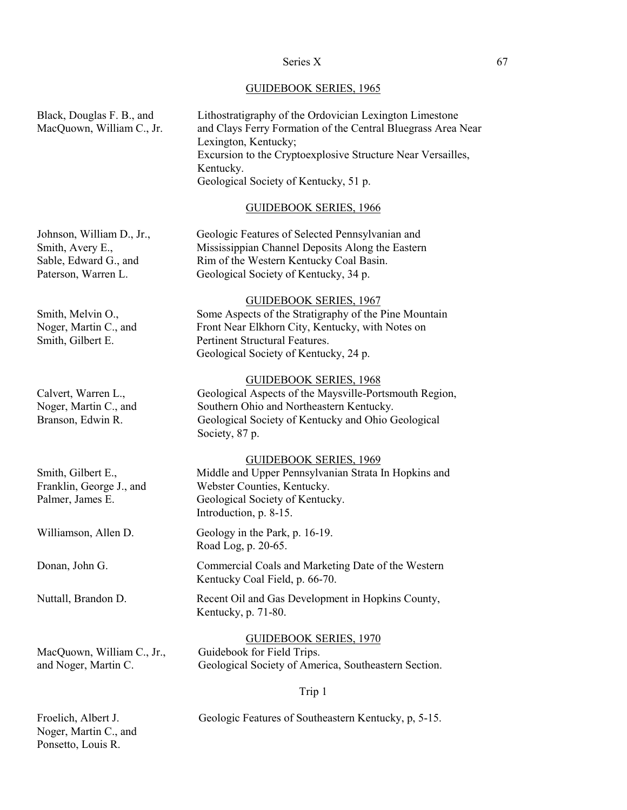# GUIDEBOOK SERIES, 1965

| Black, Douglas F. B., and<br>MacQuown, William C., Jr.                                        | Lithostratigraphy of the Ordovician Lexington Limestone<br>and Clays Ferry Formation of the Central Bluegrass Area Near<br>Lexington, Kentucky;<br>Excursion to the Cryptoexplosive Structure Near Versailles,<br>Kentucky.<br>Geological Society of Kentucky, 51 p. |
|-----------------------------------------------------------------------------------------------|----------------------------------------------------------------------------------------------------------------------------------------------------------------------------------------------------------------------------------------------------------------------|
|                                                                                               | <b>GUIDEBOOK SERIES, 1966</b>                                                                                                                                                                                                                                        |
| Johnson, William D., Jr.,<br>Smith, Avery E.,<br>Sable, Edward G., and<br>Paterson, Warren L. | Geologic Features of Selected Pennsylvanian and<br>Mississippian Channel Deposits Along the Eastern<br>Rim of the Western Kentucky Coal Basin.<br>Geological Society of Kentucky, 34 p.                                                                              |
| Smith, Melvin O.,<br>Noger, Martin C., and<br>Smith, Gilbert E.                               | <b>GUIDEBOOK SERIES, 1967</b><br>Some Aspects of the Stratigraphy of the Pine Mountain<br>Front Near Elkhorn City, Kentucky, with Notes on<br>Pertinent Structural Features.<br>Geological Society of Kentucky, 24 p.                                                |
| Calvert, Warren L.,<br>Noger, Martin C., and<br>Branson, Edwin R.                             | <b>GUIDEBOOK SERIES, 1968</b><br>Geological Aspects of the Maysville-Portsmouth Region,<br>Southern Ohio and Northeastern Kentucky.<br>Geological Society of Kentucky and Ohio Geological<br>Society, 87 p.                                                          |
| Smith, Gilbert E.,<br>Franklin, George J., and<br>Palmer, James E.                            | <b>GUIDEBOOK SERIES, 1969</b><br>Middle and Upper Pennsylvanian Strata In Hopkins and<br>Webster Counties, Kentucky.<br>Geological Society of Kentucky.<br>Introduction, p. 8-15.                                                                                    |
| Williamson, Allen D.                                                                          | Geology in the Park, p. 16-19.<br>Road Log, p. 20-65.                                                                                                                                                                                                                |
| Donan, John G.                                                                                | Commercial Coals and Marketing Date of the Western<br>Kentucky Coal Field, p. 66-70.                                                                                                                                                                                 |
| Nuttall, Brandon D.                                                                           | Recent Oil and Gas Development in Hopkins County,<br>Kentucky, p. 71-80.                                                                                                                                                                                             |
| MacQuown, William C., Jr.,<br>and Noger, Martin C.                                            | <b>GUIDEBOOK SERIES, 1970</b><br>Guidebook for Field Trips.<br>Geological Society of America, Southeastern Section.                                                                                                                                                  |
|                                                                                               | Trip 1                                                                                                                                                                                                                                                               |
| Froelich, Albert J.                                                                           | Geologic Features of Southeastern Kentucky, p, 5-15.                                                                                                                                                                                                                 |

Noger, Martin C., and Ponsetto, Louis R.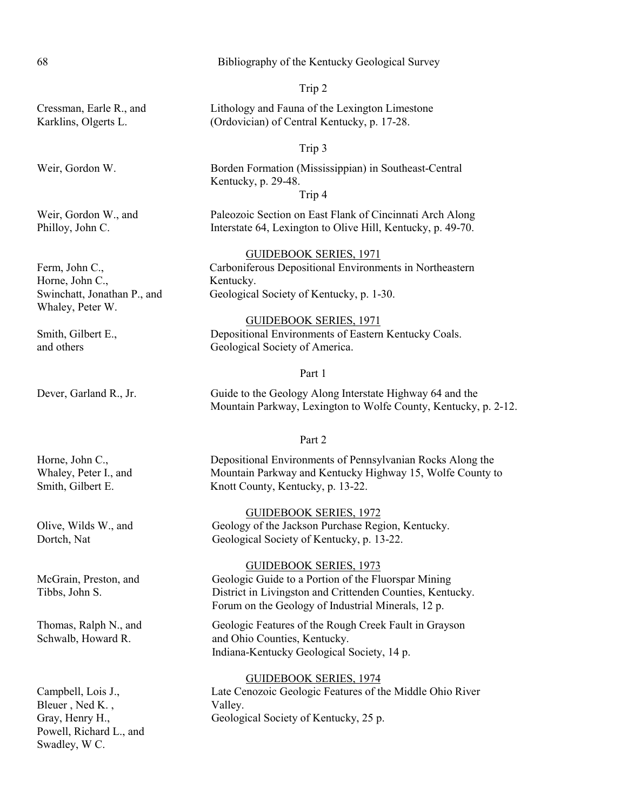| 68                                                                                   | Bibliography of the Kentucky Geological Survey                                                                                                                                                          |
|--------------------------------------------------------------------------------------|---------------------------------------------------------------------------------------------------------------------------------------------------------------------------------------------------------|
|                                                                                      | Trip 2                                                                                                                                                                                                  |
| Cressman, Earle R., and<br>Karklins, Olgerts L.                                      | Lithology and Fauna of the Lexington Limestone<br>(Ordovician) of Central Kentucky, p. 17-28.                                                                                                           |
|                                                                                      | Trip 3                                                                                                                                                                                                  |
| Weir, Gordon W.                                                                      | Borden Formation (Mississippian) in Southeast-Central<br>Kentucky, p. 29-48.<br>Trip 4                                                                                                                  |
| Weir, Gordon W., and<br>Philloy, John C.                                             | Paleozoic Section on East Flank of Cincinnati Arch Along<br>Interstate 64, Lexington to Olive Hill, Kentucky, p. 49-70.                                                                                 |
| Ferm, John C.,<br>Horne, John C.,<br>Swinchatt, Jonathan P., and<br>Whaley, Peter W. | <b>GUIDEBOOK SERIES, 1971</b><br>Carboniferous Depositional Environments in Northeastern<br>Kentucky.<br>Geological Society of Kentucky, p. 1-30.                                                       |
| Smith, Gilbert E.,<br>and others                                                     | <b>GUIDEBOOK SERIES, 1971</b><br>Depositional Environments of Eastern Kentucky Coals.<br>Geological Society of America.                                                                                 |
|                                                                                      | Part 1                                                                                                                                                                                                  |
| Dever, Garland R., Jr.                                                               | Guide to the Geology Along Interstate Highway 64 and the<br>Mountain Parkway, Lexington to Wolfe County, Kentucky, p. 2-12.                                                                             |
|                                                                                      | Part 2                                                                                                                                                                                                  |
| Horne, John C.,<br>Whaley, Peter I., and<br>Smith, Gilbert E.                        | Depositional Environments of Pennsylvanian Rocks Along the<br>Mountain Parkway and Kentucky Highway 15, Wolfe County to<br>Knott County, Kentucky, p. 13-22.                                            |
| Olive, Wilds W., and<br>Dortch, Nat                                                  | <b>GUIDEBOOK SERIES, 1972</b><br>Geology of the Jackson Purchase Region, Kentucky.<br>Geological Society of Kentucky, p. 13-22.                                                                         |
| McGrain, Preston, and<br>Tibbs, John S.                                              | <b>GUIDEBOOK SERIES, 1973</b><br>Geologic Guide to a Portion of the Fluorspar Mining<br>District in Livingston and Crittenden Counties, Kentucky.<br>Forum on the Geology of Industrial Minerals, 12 p. |
| Thomas Ralph N and                                                                   | Geologic Features of the Rough Creek Fault in Gravson                                                                                                                                                   |

Thomas, Ralph N., and Geologic Features of the Rough Creek Fault in Grayson Schwalb, Howard R. and Ohio Counties, Kentucky. Indiana-Kentucky Geological Society, 14 p.

#### GUIDEBOOK SERIES, 1974

Campbell, Lois J., Late Cenozoic Geologic Features of the Middle Ohio River Bleuer, Ned K., Valley. Gray, Henry H., Geological Society of Kentucky, 25 p.

Powell, Richard L., and

Swadley, W C.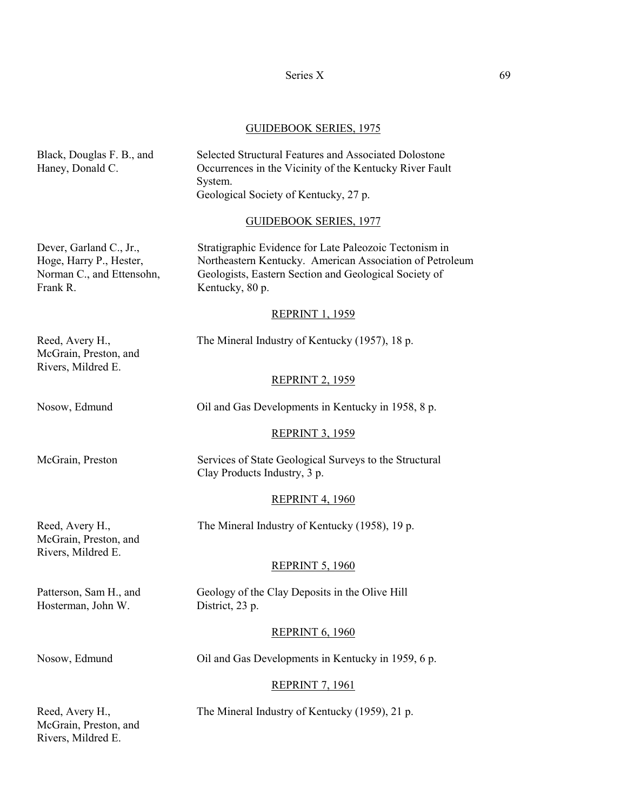### Series X 69

### GUIDEBOOK SERIES, 1975

| Black, Douglas F. B., and<br>Haney, Donald C.                                               | Selected Structural Features and Associated Dolostone<br>Occurrences in the Vicinity of the Kentucky River Fault<br>System.<br>Geological Society of Kentucky, 27 p.                           |
|---------------------------------------------------------------------------------------------|------------------------------------------------------------------------------------------------------------------------------------------------------------------------------------------------|
|                                                                                             | <b>GUIDEBOOK SERIES, 1977</b>                                                                                                                                                                  |
| Dever, Garland C., Jr.,<br>Hoge, Harry P., Hester,<br>Norman C., and Ettensohn,<br>Frank R. | Stratigraphic Evidence for Late Paleozoic Tectonism in<br>Northeastern Kentucky. American Association of Petroleum<br>Geologists, Eastern Section and Geological Society of<br>Kentucky, 80 p. |
|                                                                                             | <b>REPRINT 1, 1959</b>                                                                                                                                                                         |
| Reed, Avery H.,<br>McGrain, Preston, and<br>Rivers, Mildred E.                              | The Mineral Industry of Kentucky (1957), 18 p.                                                                                                                                                 |
|                                                                                             | <b>REPRINT 2, 1959</b>                                                                                                                                                                         |
| Nosow, Edmund                                                                               | Oil and Gas Developments in Kentucky in 1958, 8 p.                                                                                                                                             |
|                                                                                             | <b>REPRINT 3, 1959</b>                                                                                                                                                                         |
| McGrain, Preston                                                                            | Services of State Geological Surveys to the Structural<br>Clay Products Industry, 3 p.                                                                                                         |
|                                                                                             | <b>REPRINT 4, 1960</b>                                                                                                                                                                         |
| Reed, Avery H.,<br>McGrain, Preston, and                                                    | The Mineral Industry of Kentucky (1958), 19 p.                                                                                                                                                 |
| Rivers, Mildred E.                                                                          | <b>REPRINT 5, 1960</b>                                                                                                                                                                         |
| Patterson, Sam H., and<br>Hosterman, John W.                                                | Geology of the Clay Deposits in the Olive Hill<br>District, 23 p.                                                                                                                              |
|                                                                                             | <b>REPRINT 6, 1960</b>                                                                                                                                                                         |
| Nosow, Edmund                                                                               | Oil and Gas Developments in Kentucky in 1959, 6 p.                                                                                                                                             |
|                                                                                             | <b>REPRINT 7, 1961</b>                                                                                                                                                                         |
| Reed, Avery H.,<br>McGrain, Preston, and<br>Rivers, Mildred E.                              | The Mineral Industry of Kentucky (1959), 21 p.                                                                                                                                                 |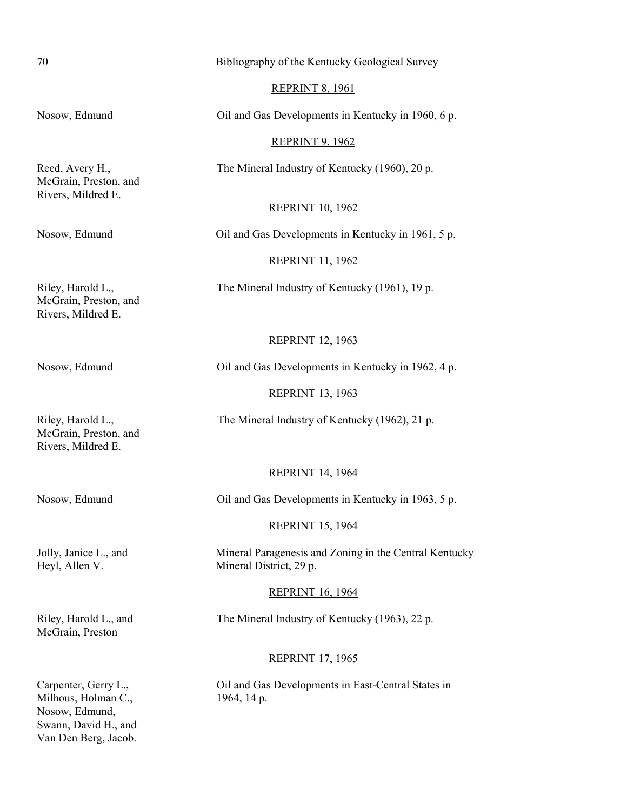70 Bibliography of the Kentucky Geological Survey

#### REPRINT 8, 1961

Nosow, Edmund **Oil and Gas Developments in Kentucky in 1960**, 6 p.

### REPRINT 9, 1962

Reed, Avery H., The Mineral Industry of Kentucky (1960), 20 p.

#### REPRINT 10, 1962

McGrain, Preston, and Rivers, Mildred E.

#### Nosow, Edmund Oil and Gas Developments in Kentucky in 1961, 5 p.

### REPRINT 11, 1962

Riley, Harold L., The Mineral Industry of Kentucky (1961), 19 p.

McGrain, Preston, and Rivers, Mildred E.

### REPRINT 12, 1963

Nosow, Edmund Oil and Gas Developments in Kentucky in 1962, 4 p.

### REPRINT 13, 1963

Riley, Harold L., The Mineral Industry of Kentucky (1962), 21 p.

McGrain, Preston, and Rivers, Mildred E.

#### REPRINT 14, 1964

# Nosow, Edmund Oil and Gas Developments in Kentucky in 1963, 5 p.

#### REPRINT 15, 1964

Jolly, Janice L., and Mineral Paragenesis and Zoning in the Central Kentucky Heyl, Allen V. Mineral District, 29 p.

#### REPRINT 16, 1964

Riley, Harold L., and The Mineral Industry of Kentucky (1963), 22 p.

#### REPRINT 17, 1965

Carpenter, Gerry L., Oil and Gas Developments in East-Central States in

McGrain, Preston

Milhous, Holman C., 1964, 14 p. Nosow, Edmund, Swann, David H., and Van Den Berg, Jacob.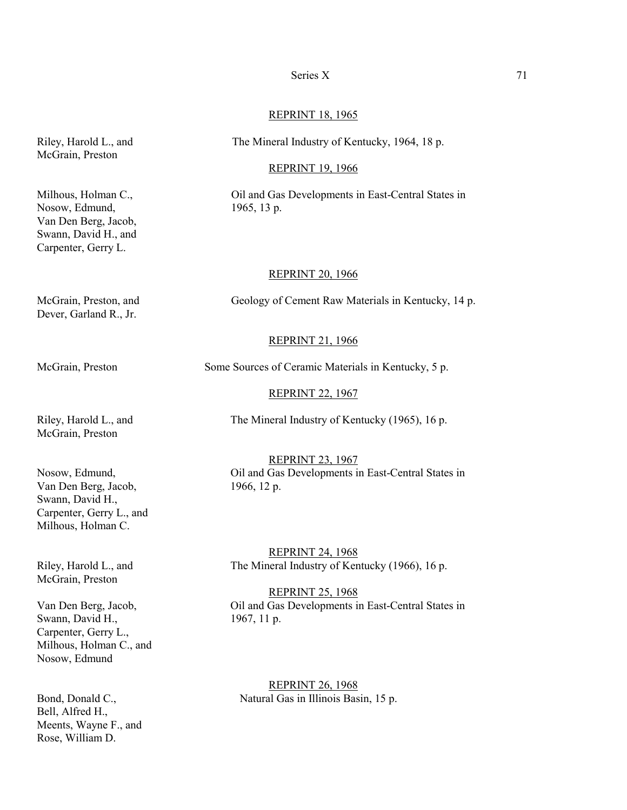#### Series X 71

#### REPRINT 18, 1965

Riley, Harold L., and The Mineral Industry of Kentucky, 1964, 18 p.

#### REPRINT 19, 1966

Milhous, Holman C., Cil and Gas Developments in East-Central States in

### REPRINT 20, 1966

McGrain, Preston, and Geology of Cement Raw Materials in Kentucky, 14 p.

#### REPRINT 21, 1966

McGrain, Preston Some Sources of Ceramic Materials in Kentucky, 5 p.

#### REPRINT 22, 1967

Riley, Harold L., and The Mineral Industry of Kentucky (1965), 16 p. McGrain, Preston

Van Den Berg, Jacob, 1966, 12 p. Swann, David H., Carpenter, Gerry L., and Milhous, Holman C.

McGrain, Preston

Swann, David H., 1967, 11 p. Carpenter, Gerry L., Milhous, Holman C., and Nosow, Edmund

Bell, Alfred H., Meents, Wayne F., and Rose, William D.

REPRINT 23, 1967 Nosow, Edmund, Oil and Gas Developments in East-Central States in

REPRINT 24, 1968 Riley, Harold L., and The Mineral Industry of Kentucky (1966), 16 p.

REPRINT 25, 1968 Van Den Berg, Jacob, Oil and Gas Developments in East-Central States in

REPRINT 26, 1968 Bond, Donald C., Natural Gas in Illinois Basin, 15 p.

McGrain, Preston

Nosow, Edmund, 1965, 13 p. Van Den Berg, Jacob, Swann, David H., and Carpenter, Gerry L.

Dever, Garland R., Jr.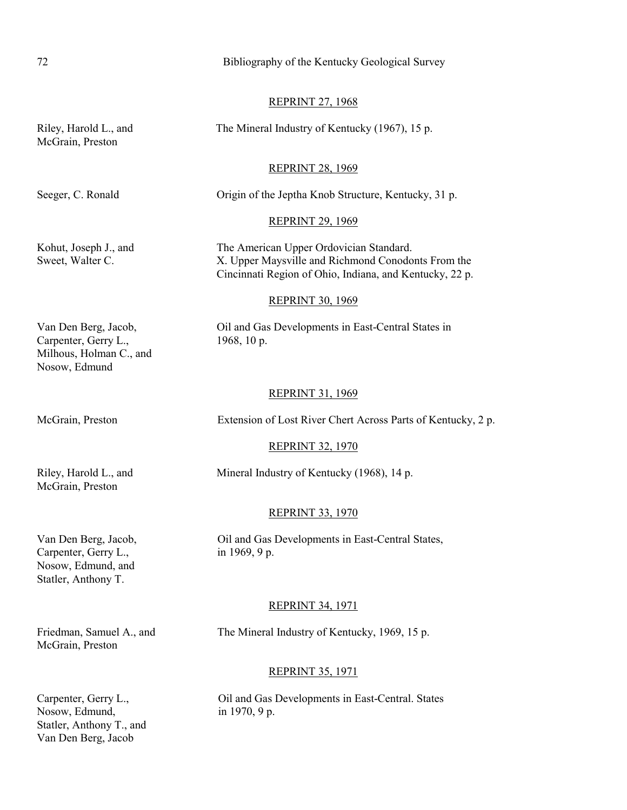|                                                                                           | <b>REPRINT 27, 1968</b>                                                                                                                                  |
|-------------------------------------------------------------------------------------------|----------------------------------------------------------------------------------------------------------------------------------------------------------|
| Riley, Harold L., and<br>McGrain, Preston                                                 | The Mineral Industry of Kentucky (1967), 15 p.                                                                                                           |
|                                                                                           | <b>REPRINT 28, 1969</b>                                                                                                                                  |
| Seeger, C. Ronald                                                                         | Origin of the Jeptha Knob Structure, Kentucky, 31 p.                                                                                                     |
|                                                                                           | <b>REPRINT 29, 1969</b>                                                                                                                                  |
| Kohut, Joseph J., and<br>Sweet, Walter C.                                                 | The American Upper Ordovician Standard.<br>X. Upper Maysville and Richmond Conodonts From the<br>Cincinnati Region of Ohio, Indiana, and Kentucky, 22 p. |
|                                                                                           | <b>REPRINT 30, 1969</b>                                                                                                                                  |
| Van Den Berg, Jacob,<br>Carpenter, Gerry L.,<br>Milhous, Holman C., and<br>Nosow, Edmund  | Oil and Gas Developments in East-Central States in<br>1968, 10 p.                                                                                        |
|                                                                                           | <b>REPRINT 31, 1969</b>                                                                                                                                  |
| McGrain, Preston                                                                          | Extension of Lost River Chert Across Parts of Kentucky, 2 p.                                                                                             |
|                                                                                           | <b>REPRINT 32, 1970</b>                                                                                                                                  |
| Riley, Harold L., and<br>McGrain, Preston                                                 | Mineral Industry of Kentucky (1968), 14 p.                                                                                                               |
|                                                                                           | <b>REPRINT 33, 1970</b>                                                                                                                                  |
| Van Den Berg, Jacob,<br>Carpenter, Gerry L.,<br>Nosow, Edmund, and<br>Statler, Anthony T. | Oil and Gas Developments in East-Central States,<br>in 1969, 9 p.                                                                                        |
|                                                                                           | <b>REPRINT 34, 1971</b>                                                                                                                                  |
| Friedman, Samuel A., and<br>McGrain, Preston                                              | The Mineral Industry of Kentucky, 1969, 15 p.                                                                                                            |
|                                                                                           | <b>REPRINT 35, 1971</b>                                                                                                                                  |
| Carpenter, Gerry L.,<br>Nosow, Edmund,<br>Statler, Anthony T., and                        | Oil and Gas Developments in East-Central. States<br>in 1970, 9 p.                                                                                        |

72 Bibliography of the Kentucky Geological Survey

Van Den Berg, Jacob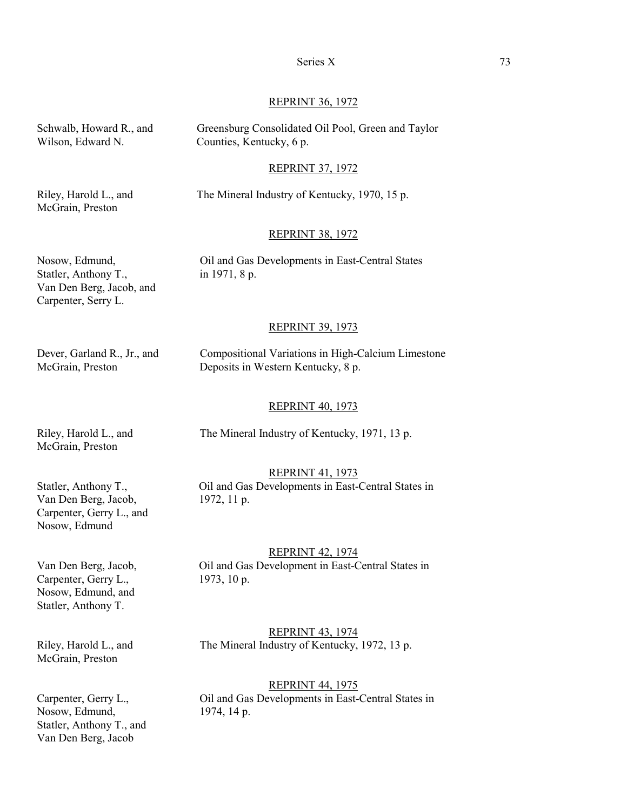#### Series X 73

#### REPRINT 36, 1972

Wilson, Edward N. Counties, Kentucky, 6 p.

Schwalb, Howard R., and Greensburg Consolidated Oil Pool, Green and Taylor

#### REPRINT 37, 1972

McGrain, Preston

Riley, Harold L., and The Mineral Industry of Kentucky, 1970, 15 p.

#### REPRINT 38, 1972

Statler, Anthony T., in 1971, 8 p. Van Den Berg, Jacob, and Carpenter, Serry L.

Nosow, Edmund, Oil and Gas Developments in East-Central States

#### REPRINT 39, 1973

Dever, Garland R., Jr., and Compositional Variations in High-Calcium Limestone McGrain, Preston Deposits in Western Kentucky, 8 p.

#### REPRINT 40, 1973

McGrain, Preston

Riley, Harold L., and The Mineral Industry of Kentucky, 1971, 13 p.

#### REPRINT 41, 1973

Statler, Anthony T., Oil and Gas Developments in East-Central States in

Van Den Berg, Jacob, 1972, 11 p. Carpenter, Gerry L., and Nosow, Edmund

#### REPRINT 42, 1974

Van Den Berg, Jacob, Oil and Gas Development in East-Central States in

Carpenter, Gerry L., 1973, 10 p. Nosow, Edmund, and Statler, Anthony T.

McGrain, Preston

REPRINT 43, 1974 Riley, Harold L., and The Mineral Industry of Kentucky, 1972, 13 p.

#### REPRINT 44, 1975

Carpenter, Gerry L., Oil and Gas Developments in East-Central States in

Nosow, Edmund, 1974, 14 p. Statler, Anthony T., and Van Den Berg, Jacob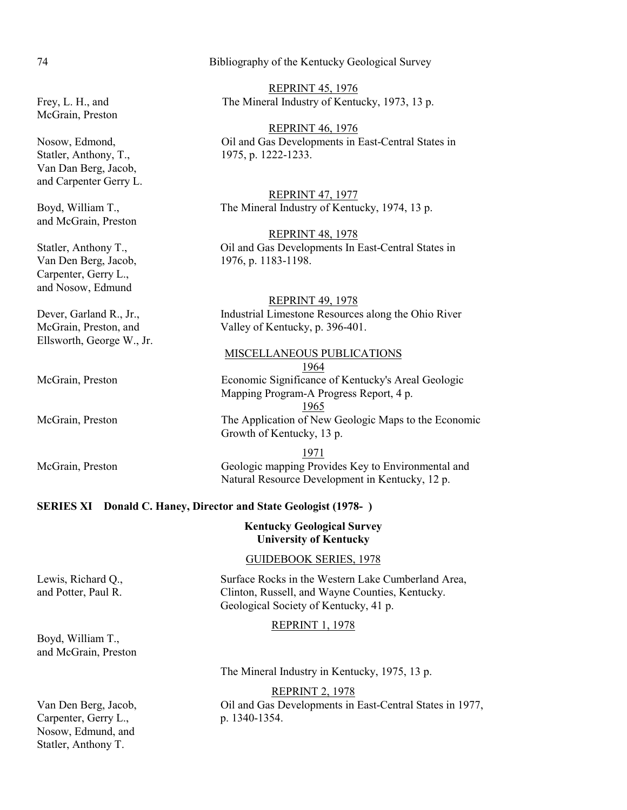| $\mathcal{O}$ and $\mathcal{O}$ , $\mathcal{O}$<br>Van Dan Berg, Jacob, | $1713, p. 1222 - 1233.$                                                |
|-------------------------------------------------------------------------|------------------------------------------------------------------------|
| and Carpenter Gerry L.                                                  |                                                                        |
|                                                                         | <b>REPRINT 47, 1977</b>                                                |
| Boyd, William T.,                                                       | The Mineral Industry of Kentucky, 1974, 13 p.                          |
| and McGrain, Preston                                                    |                                                                        |
|                                                                         | <b>REPRINT 48, 1978</b>                                                |
| Statler, Anthony T.,                                                    | Oil and Gas Developments In East-Central States in                     |
| Van Den Berg, Jacob,                                                    | 1976, p. 1183-1198.                                                    |
| Carpenter, Gerry L.,                                                    |                                                                        |
| and Nosow, Edmund                                                       |                                                                        |
|                                                                         | <b>REPRINT 49, 1978</b>                                                |
| Dever, Garland R., Jr.,                                                 | Industrial Limestone Resources along the Ohio River                    |
| McGrain, Preston, and                                                   | Valley of Kentucky, p. 396-401.                                        |
| Ellsworth, George W., Jr.                                               |                                                                        |
|                                                                         | <b>MISCELLANEOUS PUBLICATIONS</b>                                      |
|                                                                         | 1964                                                                   |
| McGrain, Preston                                                        | Economic Significance of Kentucky's Areal Geologic                     |
|                                                                         | Mapping Program-A Progress Report, 4 p.                                |
|                                                                         | <u>1965</u>                                                            |
| McGrain, Preston                                                        | The Application of New Geologic Maps to the Economic                   |
|                                                                         | Growth of Kentucky, 13 p.                                              |
|                                                                         | 1971                                                                   |
| McGrain, Preston                                                        | Geologic mapping Provides Key to Environmental and                     |
|                                                                         | Natural Resource Development in Kentucky, 12 p.                        |
|                                                                         |                                                                        |
|                                                                         | <b>SERIES XI</b> Donald C. Haney, Director and State Geologist (1978-) |
|                                                                         |                                                                        |

#### **Kentucky Geological Survey University of Kentucky**

### GUIDEBOOK SERIES, 1978

Lewis, Richard Q., Surface Rocks in the Western Lake Cumberland Area, and Potter, Paul R. Clinton, Russell, and Wayne Counties, Kentucky. Geological Society of Kentucky, 41 p.

### REPRINT 1, 1978

The Mineral Industry in Kentucky, 1975, 13 p.

REPRINT 2, 1978 Van Den Berg, Jacob, Oil and Gas Developments in East-Central States in 1977,

Carpenter, Gerry L., p. 1340-1354. Nosow, Edmund, and Statler, Anthony T.

Boyd, William T., and McGrain, Preston

McGrain, Preston

Statler, Anthony, T., 1975, p. 1222-1233. Va and Carpenter Gerry L.

74 Bibliography of the Kentucky Geological Survey

REPRINT 45, 1976 Frey, L. H., and The Mineral Industry of Kentucky, 1973, 13 p.

REPRINT 46, 1976 Nosow, Edmond,  $\qquad \qquad$  Oil and Gas Developments in East-Central States in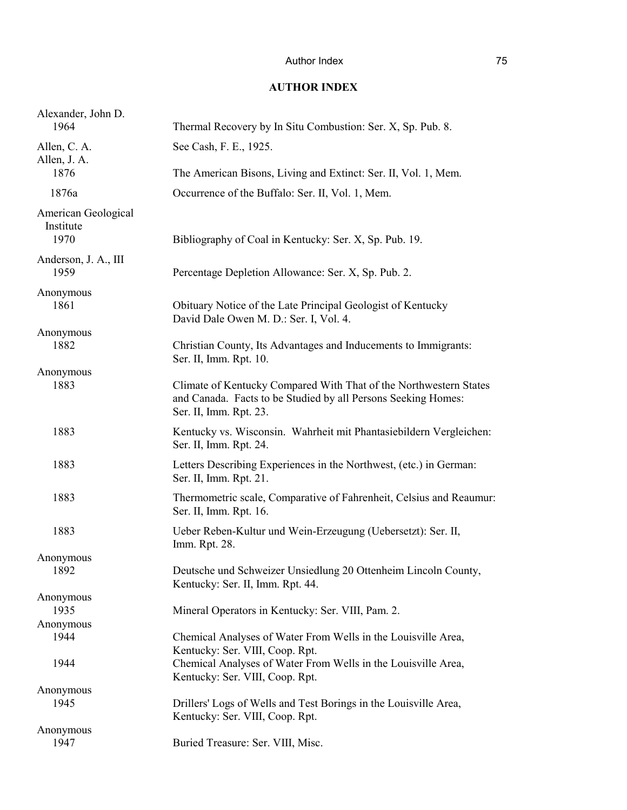### **AUTHOR INDEX**

| Alexander, John D.<br>1964               | Thermal Recovery by In Situ Combustion: Ser. X, Sp. Pub. 8.                                                                                                  |
|------------------------------------------|--------------------------------------------------------------------------------------------------------------------------------------------------------------|
| Allen, C. A.<br>Allen, J. A.             | See Cash, F. E., 1925.                                                                                                                                       |
| 1876                                     | The American Bisons, Living and Extinct: Ser. II, Vol. 1, Mem.                                                                                               |
| 1876a                                    | Occurrence of the Buffalo: Ser. II, Vol. 1, Mem.                                                                                                             |
| American Geological<br>Institute<br>1970 | Bibliography of Coal in Kentucky: Ser. X, Sp. Pub. 19.                                                                                                       |
| Anderson, J. A., III<br>1959             | Percentage Depletion Allowance: Ser. X, Sp. Pub. 2.                                                                                                          |
| Anonymous<br>1861                        | Obituary Notice of the Late Principal Geologist of Kentucky<br>David Dale Owen M. D.: Ser. I, Vol. 4.                                                        |
| Anonymous<br>1882                        | Christian County, Its Advantages and Inducements to Immigrants:<br>Ser. II, Imm. Rpt. 10.                                                                    |
| Anonymous<br>1883                        | Climate of Kentucky Compared With That of the Northwestern States<br>and Canada. Facts to be Studied by all Persons Seeking Homes:<br>Ser. II, Imm. Rpt. 23. |
| 1883                                     | Kentucky vs. Wisconsin. Wahrheit mit Phantasiebildern Vergleichen:<br>Ser. II, Imm. Rpt. 24.                                                                 |
| 1883                                     | Letters Describing Experiences in the Northwest, (etc.) in German:<br>Ser. II, Imm. Rpt. 21.                                                                 |
| 1883                                     | Thermometric scale, Comparative of Fahrenheit, Celsius and Reaumur:<br>Ser. II, Imm. Rpt. 16.                                                                |
| 1883                                     | Ueber Reben-Kultur und Wein-Erzeugung (Uebersetzt): Ser. II,<br>Imm. Rpt. 28.                                                                                |
| Anonymous                                |                                                                                                                                                              |
| 1892                                     | Deutsche und Schweizer Unsiedlung 20 Ottenheim Lincoln County,<br>Kentucky: Ser. II, Imm. Rpt. 44.                                                           |
| Anonymous                                |                                                                                                                                                              |
| 1935                                     | Mineral Operators in Kentucky: Ser. VIII, Pam. 2.                                                                                                            |
| Anonymous                                |                                                                                                                                                              |
| 1944                                     | Chemical Analyses of Water From Wells in the Louisville Area,<br>Kentucky: Ser. VIII, Coop. Rpt.                                                             |
| 1944                                     | Chemical Analyses of Water From Wells in the Louisville Area,<br>Kentucky: Ser. VIII, Coop. Rpt.                                                             |
| Anonymous                                |                                                                                                                                                              |
| 1945                                     | Drillers' Logs of Wells and Test Borings in the Louisville Area,<br>Kentucky: Ser. VIII, Coop. Rpt.                                                          |
| Anonymous<br>1947                        | Buried Treasure: Ser. VIII, Misc.                                                                                                                            |
|                                          |                                                                                                                                                              |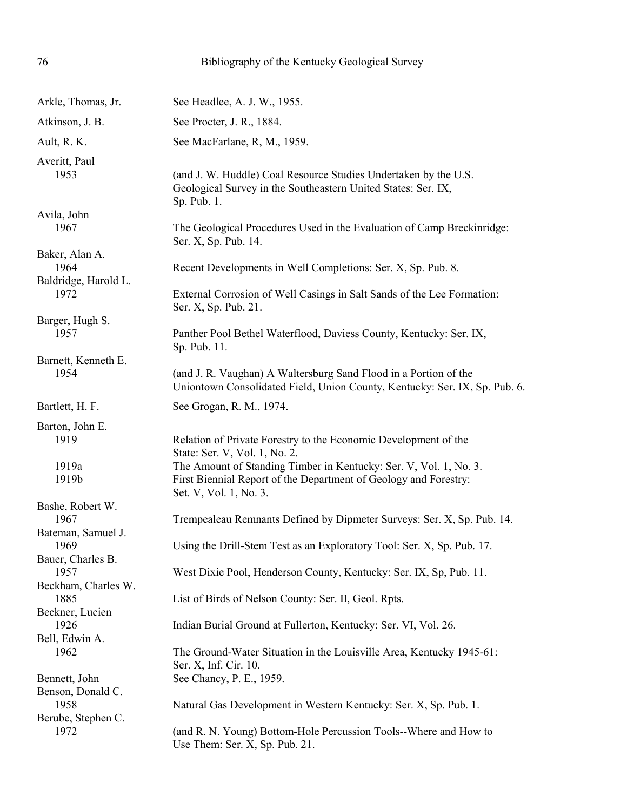| 76                                              | Bibliography of the Kentucky Geological Survey                                                                                                                                                                                                                      |
|-------------------------------------------------|---------------------------------------------------------------------------------------------------------------------------------------------------------------------------------------------------------------------------------------------------------------------|
| Arkle, Thomas, Jr.                              | See Headlee, A. J. W., 1955.                                                                                                                                                                                                                                        |
| Atkinson, J. B.                                 | See Procter, J. R., 1884.                                                                                                                                                                                                                                           |
| Ault, R. K.                                     | See MacFarlane, R, M., 1959.                                                                                                                                                                                                                                        |
| Averitt, Paul                                   |                                                                                                                                                                                                                                                                     |
| 1953                                            | (and J. W. Huddle) Coal Resource Studies Undertaken by the U.S.<br>Geological Survey in the Southeastern United States: Ser. IX,<br>Sp. Pub. 1.                                                                                                                     |
| Avila, John<br>1967                             | The Geological Procedures Used in the Evaluation of Camp Breckinridge:<br>Ser. X, Sp. Pub. 14.                                                                                                                                                                      |
| Baker, Alan A.<br>1964                          | Recent Developments in Well Completions: Ser. X, Sp. Pub. 8.                                                                                                                                                                                                        |
| Baldridge, Harold L.<br>1972                    | External Corrosion of Well Casings in Salt Sands of the Lee Formation:<br>Ser. X, Sp. Pub. 21.                                                                                                                                                                      |
| Barger, Hugh S.<br>1957                         | Panther Pool Bethel Waterflood, Daviess County, Kentucky: Ser. IX,<br>Sp. Pub. 11.                                                                                                                                                                                  |
| Barnett, Kenneth E.<br>1954                     | (and J. R. Vaughan) A Waltersburg Sand Flood in a Portion of the<br>Uniontown Consolidated Field, Union County, Kentucky: Ser. IX, Sp. Pub. 6.                                                                                                                      |
| Bartlett, H. F.                                 | See Grogan, R. M., 1974.                                                                                                                                                                                                                                            |
| Barton, John E.<br>1919<br>1919a<br>1919b       | Relation of Private Forestry to the Economic Development of the<br>State: Ser. V, Vol. 1, No. 2.<br>The Amount of Standing Timber in Kentucky: Ser. V, Vol. 1, No. 3.<br>First Biennial Report of the Department of Geology and Forestry:<br>Set. V, Vol. 1, No. 3. |
| Bashe, Robert W.<br>1967                        | Trempealeau Remnants Defined by Dipmeter Surveys: Ser. X, Sp. Pub. 14.                                                                                                                                                                                              |
| Bateman, Samuel J.<br>1969<br>Bauer, Charles B. | Using the Drill-Stem Test as an Exploratory Tool: Ser. X, Sp. Pub. 17.                                                                                                                                                                                              |
| 1957<br>Beckham, Charles W.                     | West Dixie Pool, Henderson County, Kentucky: Ser. IX, Sp, Pub. 11.                                                                                                                                                                                                  |
| 1885<br>Beckner, Lucien                         | List of Birds of Nelson County: Ser. II, Geol. Rpts.                                                                                                                                                                                                                |
| 1926<br>Bell, Edwin A.                          | Indian Burial Ground at Fullerton, Kentucky: Ser. VI, Vol. 26.                                                                                                                                                                                                      |
| 1962                                            | The Ground-Water Situation in the Louisville Area, Kentucky 1945-61:<br>Ser. X, Inf. Cir. 10.                                                                                                                                                                       |
| Bennett, John<br>Benson, Donald C.              | See Chancy, P. E., 1959.                                                                                                                                                                                                                                            |
| 1958<br>Berube, Stephen C.                      | Natural Gas Development in Western Kentucky: Ser. X, Sp. Pub. 1.                                                                                                                                                                                                    |
| 1972                                            | (and R. N. Young) Bottom-Hole Percussion Tools--Where and How to<br>Use Them: Ser. X, Sp. Pub. 21.                                                                                                                                                                  |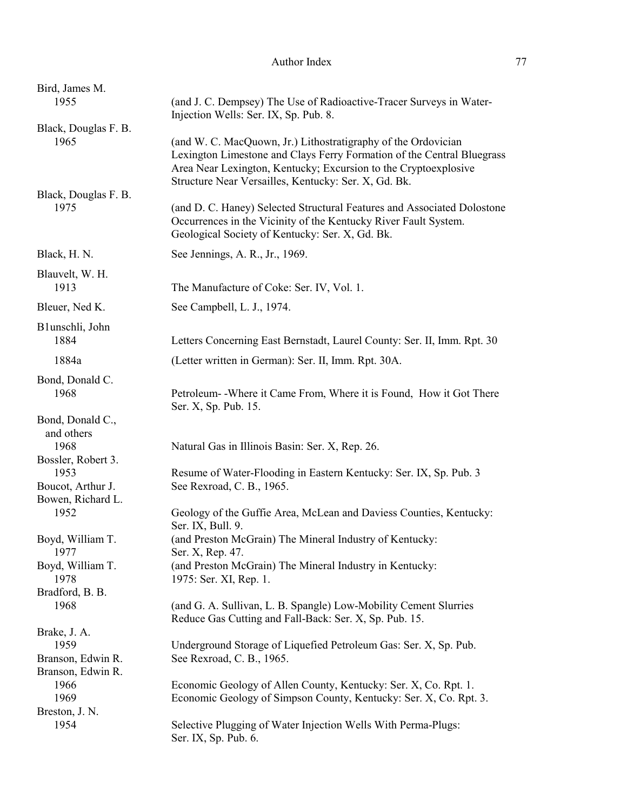| Bird, James M.<br>1955                 | (and J. C. Dempsey) The Use of Radioactive-Tracer Surveys in Water-                                                                                                                                                                                                |
|----------------------------------------|--------------------------------------------------------------------------------------------------------------------------------------------------------------------------------------------------------------------------------------------------------------------|
|                                        | Injection Wells: Ser. IX, Sp. Pub. 8.                                                                                                                                                                                                                              |
| Black, Douglas F. B.<br>1965           | (and W. C. MacQuown, Jr.) Lithostratigraphy of the Ordovician<br>Lexington Limestone and Clays Ferry Formation of the Central Bluegrass<br>Area Near Lexington, Kentucky; Excursion to the Cryptoexplosive<br>Structure Near Versailles, Kentucky: Ser. X, Gd. Bk. |
| Black, Douglas F. B.<br>1975           | (and D. C. Haney) Selected Structural Features and Associated Dolostone<br>Occurrences in the Vicinity of the Kentucky River Fault System.<br>Geological Society of Kentucky: Ser. X, Gd. Bk.                                                                      |
| Black, H. N.                           | See Jennings, A. R., Jr., 1969.                                                                                                                                                                                                                                    |
| Blauvelt, W. H.<br>1913                | The Manufacture of Coke: Ser. IV, Vol. 1.                                                                                                                                                                                                                          |
| Bleuer, Ned K.                         | See Campbell, L. J., 1974.                                                                                                                                                                                                                                         |
| B1unschli, John                        |                                                                                                                                                                                                                                                                    |
| 1884                                   | Letters Concerning East Bernstadt, Laurel County: Ser. II, Imm. Rpt. 30                                                                                                                                                                                            |
| 1884a                                  | (Letter written in German): Ser. II, Imm. Rpt. 30A.                                                                                                                                                                                                                |
| Bond, Donald C.<br>1968                | Petroleum - Where it Came From, Where it is Found, How it Got There<br>Ser. X, Sp. Pub. 15.                                                                                                                                                                        |
| Bond, Donald C.,<br>and others         |                                                                                                                                                                                                                                                                    |
| 1968<br>Bossler, Robert 3.             | Natural Gas in Illinois Basin: Ser. X, Rep. 26.                                                                                                                                                                                                                    |
| 1953<br>Boucot, Arthur J.              | Resume of Water-Flooding in Eastern Kentucky: Ser. IX, Sp. Pub. 3<br>See Rexroad, C. B., 1965.                                                                                                                                                                     |
| Bowen, Richard L.<br>1952              | Geology of the Guffie Area, McLean and Daviess Counties, Kentucky:<br>Ser. IX, Bull. 9.                                                                                                                                                                            |
| Boyd, William T.<br>1977               | (and Preston McGrain) The Mineral Industry of Kentucky:<br>Ser. X, Rep. 47.                                                                                                                                                                                        |
| Boyd, William T.<br>1978               | (and Preston McGrain) The Mineral Industry in Kentucky:<br>1975: Ser. XI, Rep. 1.                                                                                                                                                                                  |
| Bradford, B. B.<br>1968                | (and G. A. Sullivan, L. B. Spangle) Low-Mobility Cement Slurries<br>Reduce Gas Cutting and Fall-Back: Ser. X, Sp. Pub. 15.                                                                                                                                         |
| Brake, J. A.                           |                                                                                                                                                                                                                                                                    |
| 1959                                   | Underground Storage of Liquefied Petroleum Gas: Ser. X, Sp. Pub.                                                                                                                                                                                                   |
| Branson, Edwin R.<br>Branson, Edwin R. | See Rexroad, C. B., 1965.                                                                                                                                                                                                                                          |
| 1966                                   | Economic Geology of Allen County, Kentucky: Ser. X, Co. Rpt. 1.                                                                                                                                                                                                    |
| 1969                                   | Economic Geology of Simpson County, Kentucky: Ser. X, Co. Rpt. 3.                                                                                                                                                                                                  |
| Breston, J. N.<br>1954                 | Selective Plugging of Water Injection Wells With Perma-Plugs:<br>Ser. IX, Sp. Pub. 6.                                                                                                                                                                              |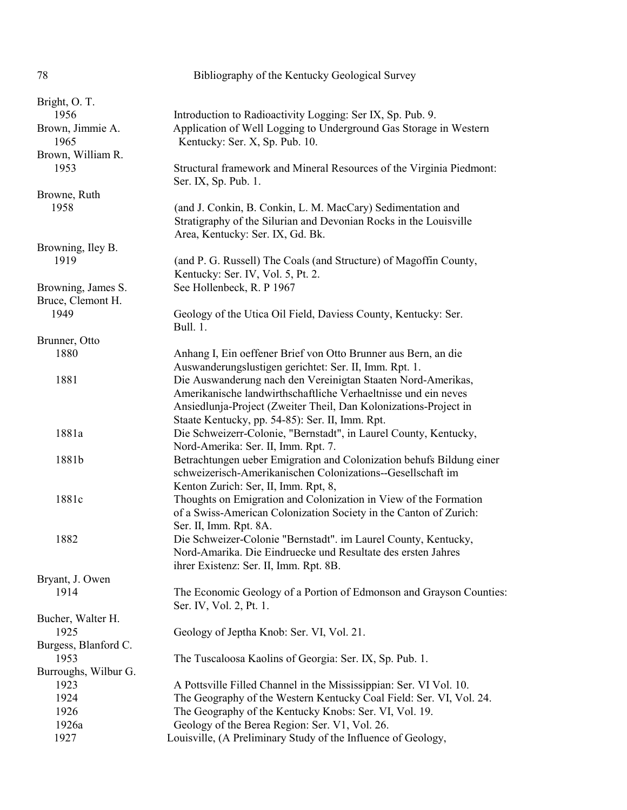| 78                   | Bibliography of the Kentucky Geological Survey                                                                                 |
|----------------------|--------------------------------------------------------------------------------------------------------------------------------|
| Bright, O.T.         |                                                                                                                                |
| 1956                 | Introduction to Radioactivity Logging: Ser IX, Sp. Pub. 9.                                                                     |
| Brown, Jimmie A.     | Application of Well Logging to Underground Gas Storage in Western                                                              |
| 1965                 | Kentucky: Ser. X, Sp. Pub. 10.                                                                                                 |
| Brown, William R.    |                                                                                                                                |
| 1953                 | Structural framework and Mineral Resources of the Virginia Piedmont:                                                           |
|                      | Ser. IX, Sp. Pub. 1.                                                                                                           |
| Browne, Ruth         |                                                                                                                                |
| 1958                 | (and J. Conkin, B. Conkin, L. M. MacCary) Sedimentation and                                                                    |
|                      | Stratigraphy of the Silurian and Devonian Rocks in the Louisville                                                              |
|                      | Area, Kentucky: Ser. IX, Gd. Bk.                                                                                               |
| Browning, Iley B.    |                                                                                                                                |
| 1919                 | (and P. G. Russell) The Coals (and Structure) of Magoffin County,                                                              |
|                      | Kentucky: Ser. IV, Vol. 5, Pt. 2.                                                                                              |
| Browning, James S.   | See Hollenbeck, R. P 1967                                                                                                      |
| Bruce, Clemont H.    |                                                                                                                                |
| 1949                 | Geology of the Utica Oil Field, Daviess County, Kentucky: Ser.                                                                 |
|                      | Bull. 1.                                                                                                                       |
| Brunner, Otto        |                                                                                                                                |
| 1880                 | Anhang I, Ein oeffener Brief von Otto Brunner aus Bern, an die                                                                 |
| 1881                 | Auswanderungslustigen gerichtet: Ser. II, Imm. Rpt. 1.                                                                         |
|                      | Die Auswanderung nach den Vereinigtan Staaten Nord-Amerikas,<br>Amerikanische landwirthschaftliche Verhaeltnisse und ein neves |
|                      | Ansiedlunja-Project (Zweiter Theil, Dan Kolonizations-Project in                                                               |
|                      | Staate Kentucky, pp. 54-85): Ser. II, Imm. Rpt.                                                                                |
| 1881a                | Die Schweizerr-Colonie, "Bernstadt", in Laurel County, Kentucky,                                                               |
|                      | Nord-Amerika: Ser. II, Imm. Rpt. 7.                                                                                            |
| 1881b                | Betrachtungen ueber Emigration and Colonization behufs Bildung einer                                                           |
|                      | schweizerisch-Amerikanischen Colonizations--Gesellschaft im                                                                    |
|                      | Kenton Zurich: Ser, II, Imm. Rpt, 8,                                                                                           |
| 1881c                | Thoughts on Emigration and Colonization in View of the Formation                                                               |
|                      | of a Swiss-American Colonization Society in the Canton of Zurich:                                                              |
|                      | Ser. II, Imm. Rpt. 8A.                                                                                                         |
| 1882                 | Die Schweizer-Colonie "Bernstadt". im Laurel County, Kentucky,                                                                 |
|                      | Nord-Amarika. Die Eindruecke und Resultate des ersten Jahres                                                                   |
|                      | ihrer Existenz: Ser. II, Imm. Rpt. 8B.                                                                                         |
| Bryant, J. Owen      |                                                                                                                                |
| 1914                 | The Economic Geology of a Portion of Edmonson and Grayson Counties:                                                            |
|                      | Ser. IV, Vol. 2, Pt. 1.                                                                                                        |
| Bucher, Walter H.    |                                                                                                                                |
| 1925                 | Geology of Jeptha Knob: Ser. VI, Vol. 21.                                                                                      |
| Burgess, Blanford C. |                                                                                                                                |
| 1953                 | The Tuscaloosa Kaolins of Georgia: Ser. IX, Sp. Pub. 1.                                                                        |
| Burroughs, Wilbur G. |                                                                                                                                |
| 1923                 | A Pottsville Filled Channel in the Mississippian: Ser. VI Vol. 10.                                                             |
| 1924                 | The Geography of the Western Kentucky Coal Field: Ser. VI, Vol. 24.                                                            |
| 1926                 | The Geography of the Kentucky Knobs: Ser. VI, Vol. 19.                                                                         |
| 1926a<br>1927        | Geology of the Berea Region: Ser. V1, Vol. 26.<br>Louisville, (A Preliminary Study of the Influence of Geology,                |
|                      |                                                                                                                                |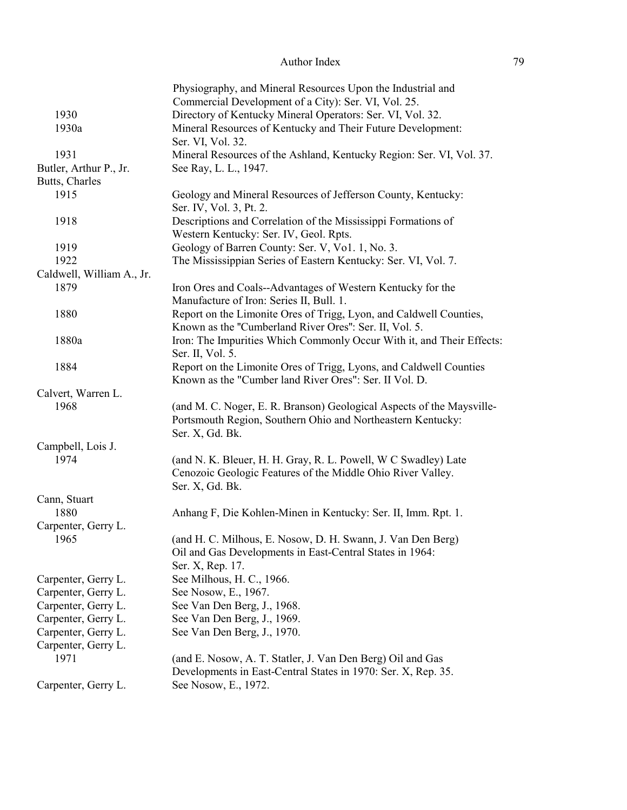|                           | Physiography, and Mineral Resources Upon the Industrial and<br>Commercial Development of a City): Ser. VI, Vol. 25. |
|---------------------------|---------------------------------------------------------------------------------------------------------------------|
| 1930                      | Directory of Kentucky Mineral Operators: Ser. VI, Vol. 32.                                                          |
| 1930a                     | Mineral Resources of Kentucky and Their Future Development:                                                         |
|                           | Ser. VI, Vol. 32.                                                                                                   |
| 1931                      | Mineral Resources of the Ashland, Kentucky Region: Ser. VI, Vol. 37.                                                |
| Butler, Arthur P., Jr.    | See Ray, L. L., 1947.                                                                                               |
| Butts, Charles            |                                                                                                                     |
| 1915                      | Geology and Mineral Resources of Jefferson County, Kentucky:<br>Ser. IV, Vol. 3, Pt. 2.                             |
| 1918                      | Descriptions and Correlation of the Mississippi Formations of                                                       |
|                           | Western Kentucky: Ser. IV, Geol. Rpts.                                                                              |
| 1919                      | Geology of Barren County: Ser. V, Vol. 1, No. 3.                                                                    |
| 1922                      | The Mississippian Series of Eastern Kentucky: Ser. VI, Vol. 7.                                                      |
| Caldwell, William A., Jr. |                                                                                                                     |
| 1879                      | Iron Ores and Coals--Advantages of Western Kentucky for the                                                         |
|                           | Manufacture of Iron: Series II, Bull. 1.                                                                            |
| 1880                      | Report on the Limonite Ores of Trigg, Lyon, and Caldwell Counties,                                                  |
|                           | Known as the "Cumberland River Ores": Ser. II, Vol. 5.                                                              |
| 1880a                     | Iron: The Impurities Which Commonly Occur With it, and Their Effects:                                               |
|                           | Ser. II, Vol. 5.                                                                                                    |
| 1884                      | Report on the Limonite Ores of Trigg, Lyons, and Caldwell Counties                                                  |
|                           | Known as the "Cumber land River Ores": Ser. II Vol. D.                                                              |
| Calvert, Warren L.        |                                                                                                                     |
| 1968                      | (and M. C. Noger, E. R. Branson) Geological Aspects of the Maysville-                                               |
|                           | Portsmouth Region, Southern Ohio and Northeastern Kentucky:                                                         |
|                           | Ser. X, Gd. Bk.                                                                                                     |
| Campbell, Lois J.         |                                                                                                                     |
| 1974                      | (and N. K. Bleuer, H. H. Gray, R. L. Powell, W C Swadley) Late                                                      |
|                           | Cenozoic Geologic Features of the Middle Ohio River Valley.                                                         |
|                           | Ser. X, Gd. Bk.                                                                                                     |
| Cann, Stuart              |                                                                                                                     |
| 1880                      | Anhang F, Die Kohlen-Minen in Kentucky: Ser. II, Imm. Rpt. 1.                                                       |
| Carpenter, Gerry L.       |                                                                                                                     |
| 1965                      | (and H. C. Milhous, E. Nosow, D. H. Swann, J. Van Den Berg)                                                         |
|                           | Oil and Gas Developments in East-Central States in 1964:                                                            |
|                           | Ser. X, Rep. 17.                                                                                                    |
| Carpenter, Gerry L.       | See Milhous, H. C., 1966.                                                                                           |
| Carpenter, Gerry L.       | See Nosow, E., 1967.                                                                                                |
| Carpenter, Gerry L.       | See Van Den Berg, J., 1968.                                                                                         |
| Carpenter, Gerry L.       | See Van Den Berg, J., 1969.                                                                                         |
| Carpenter, Gerry L.       | See Van Den Berg, J., 1970.                                                                                         |
| Carpenter, Gerry L.       |                                                                                                                     |
| 1971                      | (and E. Nosow, A. T. Statler, J. Van Den Berg) Oil and Gas                                                          |
|                           | Developments in East-Central States in 1970: Ser. X, Rep. 35.                                                       |
| Carpenter, Gerry L.       | See Nosow, E., 1972.                                                                                                |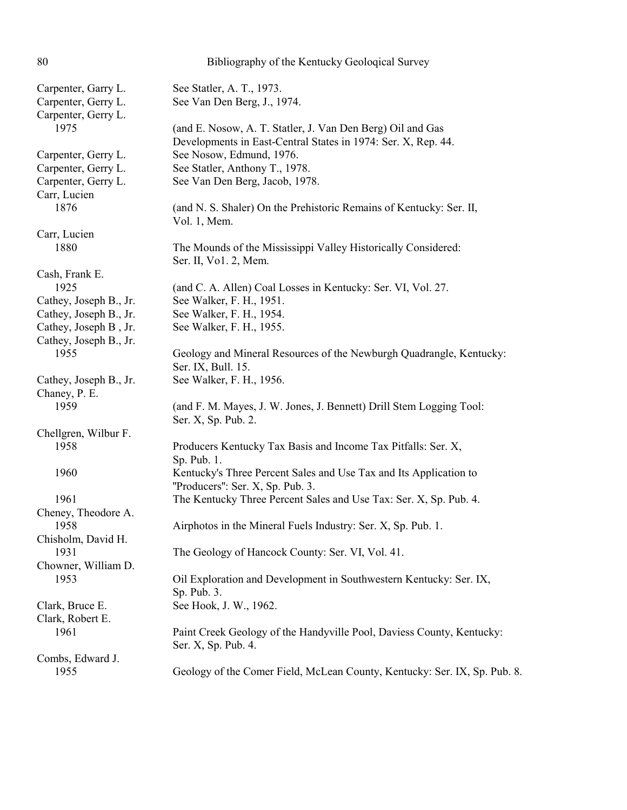| 80                                                                | Bibliography of the Kentucky Geological Survey                                                                              |
|-------------------------------------------------------------------|-----------------------------------------------------------------------------------------------------------------------------|
| Carpenter, Garry L.<br>Carpenter, Gerry L.<br>Carpenter, Gerry L. | See Statler, A. T., 1973.<br>See Van Den Berg, J., 1974.                                                                    |
| 1975                                                              | (and E. Nosow, A. T. Statler, J. Van Den Berg) Oil and Gas<br>Developments in East-Central States in 1974: Ser. X, Rep. 44. |
| Carpenter, Gerry L.                                               | See Nosow, Edmund, 1976.                                                                                                    |
| Carpenter, Gerry L.                                               | See Statler, Anthony T., 1978.                                                                                              |
| Carpenter, Gerry L.                                               | See Van Den Berg, Jacob, 1978.                                                                                              |
| Carr, Lucien<br>1876                                              | (and N. S. Shaler) On the Prehistoric Remains of Kentucky: Ser. II,<br>Vol. 1, Mem.                                         |
| Carr, Lucien                                                      |                                                                                                                             |
| 1880                                                              | The Mounds of the Mississippi Valley Historically Considered:<br>Ser. II, Vo1. 2, Mem.                                      |
| Cash, Frank E.                                                    |                                                                                                                             |
| 1925                                                              | (and C. A. Allen) Coal Losses in Kentucky: Ser. VI, Vol. 27.                                                                |
| Cathey, Joseph B., Jr.                                            | See Walker, F. H., 1951.                                                                                                    |
| Cathey, Joseph B., Jr.                                            | See Walker, F. H., 1954.                                                                                                    |
| Cathey, Joseph B, Jr.<br>Cathey, Joseph B., Jr.                   | See Walker, F. H., 1955.                                                                                                    |
| 1955                                                              | Geology and Mineral Resources of the Newburgh Quadrangle, Kentucky:<br>Ser. IX, Bull. 15.                                   |
| Cathey, Joseph B., Jr.<br>Chaney, P. E.                           | See Walker, F. H., 1956.                                                                                                    |
| 1959                                                              | (and F. M. Mayes, J. W. Jones, J. Bennett) Drill Stem Logging Tool:<br>Ser. X, Sp. Pub. 2.                                  |
| Chellgren, Wilbur F.                                              |                                                                                                                             |
| 1958                                                              | Producers Kentucky Tax Basis and Income Tax Pitfalls: Ser. X,<br>Sp. Pub. 1.                                                |
| 1960                                                              | Kentucky's Three Percent Sales and Use Tax and Its Application to<br>"Producers": Ser. X, Sp. Pub. 3.                       |
| 1961                                                              | The Kentucky Three Percent Sales and Use Tax: Ser. X, Sp. Pub. 4.                                                           |
| Cheney, Theodore A.<br>1958                                       | Airphotos in the Mineral Fuels Industry: Ser. X, Sp. Pub. 1.                                                                |
| Chisholm, David H.<br>1931                                        | The Geology of Hancock County: Ser. VI, Vol. 41.                                                                            |
| Chowner, William D.<br>1953                                       | Oil Exploration and Development in Southwestern Kentucky: Ser. IX,<br>Sp. Pub. 3.                                           |
| Clark, Bruce E.<br>Clark, Robert E.                               | See Hook, J. W., 1962.                                                                                                      |
| 1961                                                              | Paint Creek Geology of the Handyville Pool, Daviess County, Kentucky:<br>Ser. X, Sp. Pub. 4.                                |
| Combs, Edward J.                                                  |                                                                                                                             |
| 1955                                                              | Geology of the Comer Field, McLean County, Kentucky: Ser. IX, Sp. Pub. 8.                                                   |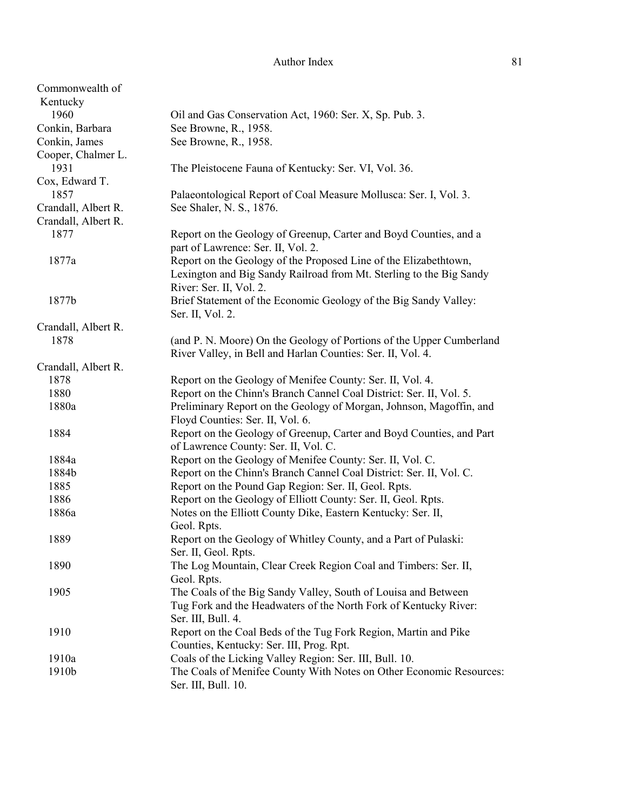| Commonwealth of     |                                                                      |
|---------------------|----------------------------------------------------------------------|
| Kentucky            |                                                                      |
| 1960                | Oil and Gas Conservation Act, 1960: Ser. X, Sp. Pub. 3.              |
| Conkin, Barbara     | See Browne, R., 1958.                                                |
| Conkin, James       | See Browne, R., 1958.                                                |
| Cooper, Chalmer L.  |                                                                      |
| 1931                | The Pleistocene Fauna of Kentucky: Ser. VI, Vol. 36.                 |
| Cox, Edward T.      |                                                                      |
| 1857                | Palaeontological Report of Coal Measure Mollusca: Ser. I, Vol. 3.    |
| Crandall, Albert R. | See Shaler, N. S., 1876.                                             |
| Crandall, Albert R. |                                                                      |
| 1877                |                                                                      |
|                     | Report on the Geology of Greenup, Carter and Boyd Counties, and a    |
|                     | part of Lawrence: Ser. II, Vol. 2.                                   |
| 1877a               | Report on the Geology of the Proposed Line of the Elizabethtown,     |
|                     | Lexington and Big Sandy Railroad from Mt. Sterling to the Big Sandy  |
|                     | River: Ser. II, Vol. 2.                                              |
| 1877b               | Brief Statement of the Economic Geology of the Big Sandy Valley:     |
|                     | Ser. II, Vol. 2.                                                     |
| Crandall, Albert R. |                                                                      |
| 1878                | (and P. N. Moore) On the Geology of Portions of the Upper Cumberland |
|                     | River Valley, in Bell and Harlan Counties: Ser. II, Vol. 4.          |
| Crandall, Albert R. |                                                                      |
| 1878                | Report on the Geology of Menifee County: Ser. II, Vol. 4.            |
| 1880                | Report on the Chinn's Branch Cannel Coal District: Ser. II, Vol. 5.  |
| 1880a               | Preliminary Report on the Geology of Morgan, Johnson, Magoffin, and  |
|                     | Floyd Counties: Ser. II, Vol. 6.                                     |
| 1884                | Report on the Geology of Greenup, Carter and Boyd Counties, and Part |
|                     | of Lawrence County: Ser. II, Vol. C.                                 |
| 1884a               | Report on the Geology of Menifee County: Ser. II, Vol. C.            |
| 1884b               | Report on the Chinn's Branch Cannel Coal District: Ser. II, Vol. C.  |
| 1885                | Report on the Pound Gap Region: Ser. II, Geol. Rpts.                 |
| 1886                | Report on the Geology of Elliott County: Ser. II, Geol. Rpts.        |
| 1886a               | Notes on the Elliott County Dike, Eastern Kentucky: Ser. II,         |
|                     | Geol. Rpts.                                                          |
| 1889                | Report on the Geology of Whitley County, and a Part of Pulaski:      |
|                     | Ser. II, Geol. Rpts.                                                 |
|                     |                                                                      |
| 1890                | The Log Mountain, Clear Creek Region Coal and Timbers: Ser. II,      |
|                     | Geol. Rpts.                                                          |
| 1905                | The Coals of the Big Sandy Valley, South of Louisa and Between       |
|                     | Tug Fork and the Headwaters of the North Fork of Kentucky River:     |
|                     | Ser. III, Bull. 4.                                                   |
| 1910                | Report on the Coal Beds of the Tug Fork Region, Martin and Pike      |
|                     | Counties, Kentucky: Ser. III, Prog. Rpt.                             |
| 1910a               | Coals of the Licking Valley Region: Ser. III, Bull. 10.              |
| 1910b               | The Coals of Menifee County With Notes on Other Economic Resources:  |
|                     | Ser. III, Bull. 10.                                                  |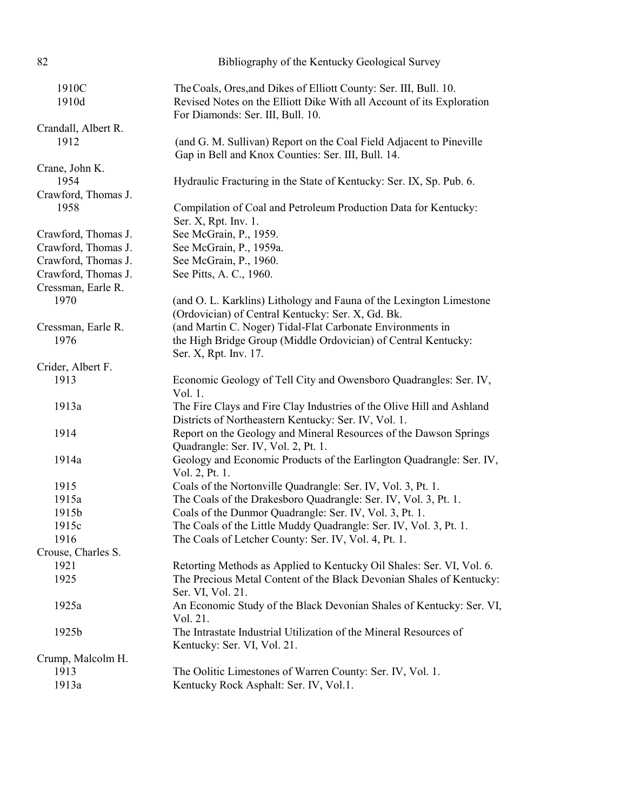| 82                  | Bibliography of the Kentucky Geological Survey                                                                                                                                  |
|---------------------|---------------------------------------------------------------------------------------------------------------------------------------------------------------------------------|
| 1910C<br>1910d      | The Coals, Ores, and Dikes of Elliott County: Ser. III, Bull. 10.<br>Revised Notes on the Elliott Dike With all Account of its Exploration<br>For Diamonds: Ser. III, Bull. 10. |
| Crandall, Albert R. |                                                                                                                                                                                 |
| 1912                | (and G. M. Sullivan) Report on the Coal Field Adjacent to Pineville<br>Gap in Bell and Knox Counties: Ser. III, Bull. 14.                                                       |
| Crane, John K.      |                                                                                                                                                                                 |
| 1954                | Hydraulic Fracturing in the State of Kentucky: Ser. IX, Sp. Pub. 6.                                                                                                             |
| Crawford, Thomas J. |                                                                                                                                                                                 |
| 1958                | Compilation of Coal and Petroleum Production Data for Kentucky:<br>Ser. X, Rpt. Inv. 1.                                                                                         |
| Crawford, Thomas J. | See McGrain, P., 1959.                                                                                                                                                          |
| Crawford, Thomas J. | See McGrain, P., 1959a.                                                                                                                                                         |
| Crawford, Thomas J. | See McGrain, P., 1960.                                                                                                                                                          |
| Crawford, Thomas J. | See Pitts, A. C., 1960.                                                                                                                                                         |
| Cressman, Earle R.  |                                                                                                                                                                                 |
| 1970                | (and O. L. Karklins) Lithology and Fauna of the Lexington Limestone<br>(Ordovician) of Central Kentucky: Ser. X, Gd. Bk.                                                        |
| Cressman, Earle R.  | (and Martin C. Noger) Tidal-Flat Carbonate Environments in                                                                                                                      |
| 1976                | the High Bridge Group (Middle Ordovician) of Central Kentucky:<br>Ser. X, Rpt. Inv. 17.                                                                                         |
| Crider, Albert F.   |                                                                                                                                                                                 |
| 1913                | Economic Geology of Tell City and Owensboro Quadrangles: Ser. IV,                                                                                                               |
|                     | Vol. 1.                                                                                                                                                                         |
| 1913a               | The Fire Clays and Fire Clay Industries of the Olive Hill and Ashland<br>Districts of Northeastern Kentucky: Ser. IV, Vol. 1.                                                   |
| 1914                | Report on the Geology and Mineral Resources of the Dawson Springs                                                                                                               |
|                     | Quadrangle: Ser. IV, Vol. 2, Pt. 1.                                                                                                                                             |
| 1914a               | Geology and Economic Products of the Earlington Quadrangle: Ser. IV,<br>Vol. 2, Pt. 1.                                                                                          |
| 1915                | Coals of the Nortonville Quadrangle: Ser. IV, Vol. 3, Pt. 1.                                                                                                                    |
| 1915a               | The Coals of the Drakesboro Quadrangle: Ser. IV, Vol. 3, Pt. 1.                                                                                                                 |
| 1915b               | Coals of the Dunmor Quadrangle: Ser. IV, Vol. 3, Pt. 1                                                                                                                          |
| 1915c               | The Coals of the Little Muddy Quadrangle: Ser. IV, Vol. 3, Pt. 1.                                                                                                               |
| 1916                | The Coals of Letcher County: Ser. IV, Vol. 4, Pt. 1.                                                                                                                            |
| Crouse, Charles S.  |                                                                                                                                                                                 |
| 1921                | Retorting Methods as Applied to Kentucky Oil Shales: Ser. VI, Vol. 6.                                                                                                           |
| 1925                | The Precious Metal Content of the Black Devonian Shales of Kentucky:                                                                                                            |
|                     | Ser. VI, Vol. 21.                                                                                                                                                               |
| 1925a               | An Economic Study of the Black Devonian Shales of Kentucky: Ser. VI,                                                                                                            |
|                     | Vol. 21.                                                                                                                                                                        |
| 1925b               | The Intrastate Industrial Utilization of the Mineral Resources of                                                                                                               |
|                     | Kentucky: Ser. VI, Vol. 21.                                                                                                                                                     |
| Crump, Malcolm H.   |                                                                                                                                                                                 |
| 1913                | The Oolitic Limestones of Warren County: Ser. IV, Vol. 1.                                                                                                                       |
| 1913a               | Kentucky Rock Asphalt: Ser. IV, Vol.1.                                                                                                                                          |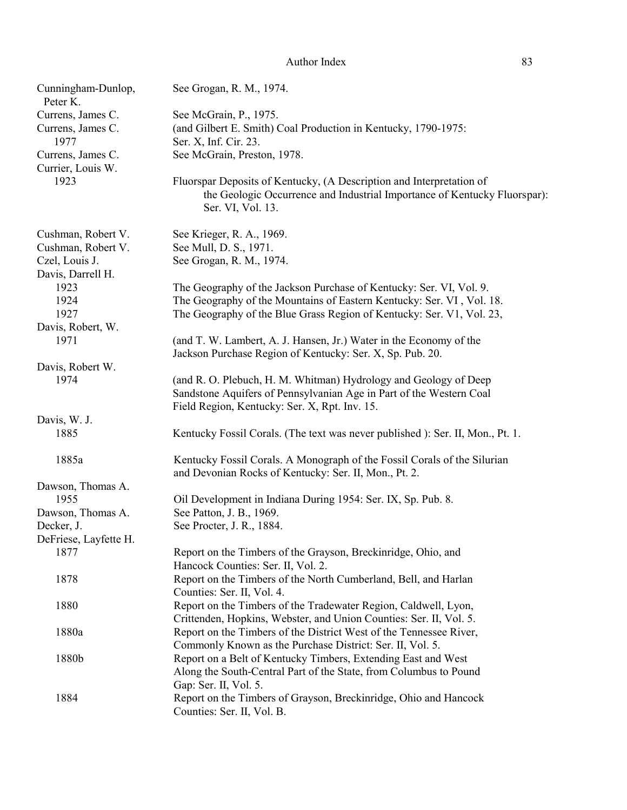| Cunningham-Dunlop,<br>Peter K. | See Grogan, R. M., 1974.                                                                                                                                               |
|--------------------------------|------------------------------------------------------------------------------------------------------------------------------------------------------------------------|
| Currens, James C.              | See McGrain, P., 1975.                                                                                                                                                 |
| Currens, James C.              | (and Gilbert E. Smith) Coal Production in Kentucky, 1790-1975:                                                                                                         |
| 1977                           | Ser. X, Inf. Cir. 23.                                                                                                                                                  |
| Currens, James C.              | See McGrain, Preston, 1978.                                                                                                                                            |
| Currier, Louis W.<br>1923      | Fluorspar Deposits of Kentucky, (A Description and Interpretation of<br>the Geologic Occurrence and Industrial Importance of Kentucky Fluorspar):<br>Ser. VI, Vol. 13. |
| Cushman, Robert V.             | See Krieger, R. A., 1969.                                                                                                                                              |
| Cushman, Robert V.             | See Mull, D. S., 1971.                                                                                                                                                 |
| Czel, Louis J.                 | See Grogan, R. M., 1974.                                                                                                                                               |
| Davis, Darrell H.              |                                                                                                                                                                        |
| 1923                           | The Geography of the Jackson Purchase of Kentucky: Ser. VI, Vol. 9.                                                                                                    |
| 1924                           | The Geography of the Mountains of Eastern Kentucky: Ser. VI, Vol. 18.                                                                                                  |
| 1927                           | The Geography of the Blue Grass Region of Kentucky: Ser. V1, Vol. 23,                                                                                                  |
| Davis, Robert, W.              |                                                                                                                                                                        |
| 1971                           | (and T. W. Lambert, A. J. Hansen, Jr.) Water in the Economy of the                                                                                                     |
|                                | Jackson Purchase Region of Kentucky: Ser. X, Sp. Pub. 20.                                                                                                              |
| Davis, Robert W.               |                                                                                                                                                                        |
| 1974                           | (and R. O. Plebuch, H. M. Whitman) Hydrology and Geology of Deep                                                                                                       |
|                                | Sandstone Aquifers of Pennsylvanian Age in Part of the Western Coal                                                                                                    |
|                                | Field Region, Kentucky: Ser. X, Rpt. Inv. 15.                                                                                                                          |
| Davis, W. J.                   |                                                                                                                                                                        |
| 1885                           | Kentucky Fossil Corals. (The text was never published ): Ser. II, Mon., Pt. 1.                                                                                         |
| 1885a                          | Kentucky Fossil Corals. A Monograph of the Fossil Corals of the Silurian                                                                                               |
|                                | and Devonian Rocks of Kentucky: Ser. II, Mon., Pt. 2.                                                                                                                  |
| Dawson, Thomas A.              |                                                                                                                                                                        |
| 1955                           | Oil Development in Indiana During 1954: Ser. IX, Sp. Pub. 8.                                                                                                           |
| Dawson, Thomas A.              | See Patton, J. B., 1969.                                                                                                                                               |
| Decker, J.                     | See Procter, J. R., 1884.                                                                                                                                              |
| DeFriese, Layfette H.          |                                                                                                                                                                        |
| 1877                           | Report on the Timbers of the Grayson, Breckinridge, Ohio, and                                                                                                          |
|                                | Hancock Counties: Ser. II, Vol. 2.                                                                                                                                     |
| 1878                           | Report on the Timbers of the North Cumberland, Bell, and Harlan                                                                                                        |
|                                | Counties: Ser. II, Vol. 4.                                                                                                                                             |
| 1880                           | Report on the Timbers of the Tradewater Region, Caldwell, Lyon,                                                                                                        |
|                                | Crittenden, Hopkins, Webster, and Union Counties: Ser. II, Vol. 5.                                                                                                     |
| 1880a                          | Report on the Timbers of the District West of the Tennessee River,                                                                                                     |
|                                | Commonly Known as the Purchase District: Ser. II, Vol. 5.                                                                                                              |
| 1880b                          | Report on a Belt of Kentucky Timbers, Extending East and West                                                                                                          |
|                                | Along the South-Central Part of the State, from Columbus to Pound                                                                                                      |
| 1884                           | Gap: Ser. II, Vol. 5.                                                                                                                                                  |
|                                | Report on the Timbers of Grayson, Breckinridge, Ohio and Hancock<br>Counties: Ser. II, Vol. B.                                                                         |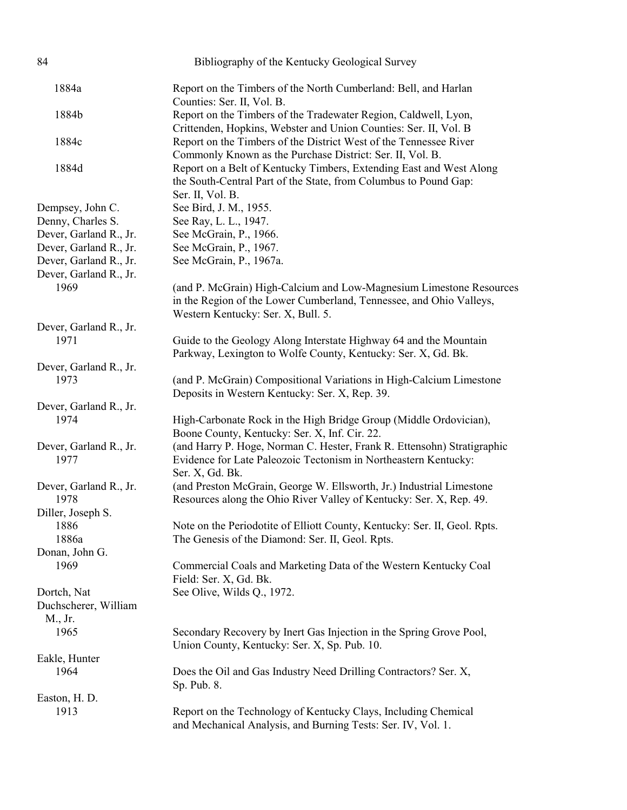| 84                                               | Bibliography of the Kentucky Geological Survey                                                                                                                                   |
|--------------------------------------------------|----------------------------------------------------------------------------------------------------------------------------------------------------------------------------------|
| 1884a                                            | Report on the Timbers of the North Cumberland: Bell, and Harlan<br>Counties: Ser. II, Vol. B.                                                                                    |
| 1884b                                            | Report on the Timbers of the Tradewater Region, Caldwell, Lyon,<br>Crittenden, Hopkins, Webster and Union Counties: Ser. II, Vol. B                                              |
| 1884c                                            | Report on the Timbers of the District West of the Tennessee River<br>Commonly Known as the Purchase District: Ser. II, Vol. B.                                                   |
| 1884d                                            | Report on a Belt of Kentucky Timbers, Extending East and West Along<br>the South-Central Part of the State, from Columbus to Pound Gap:<br>Ser. II, Vol. B.                      |
| Dempsey, John C.                                 | See Bird, J. M., 1955.                                                                                                                                                           |
| Denny, Charles S.                                | See Ray, L. L., 1947.                                                                                                                                                            |
| Dever, Garland R., Jr.                           | See McGrain, P., 1966.                                                                                                                                                           |
| Dever, Garland R., Jr.                           | See McGrain, P., 1967.                                                                                                                                                           |
| Dever, Garland R., Jr.<br>Dever, Garland R., Jr. | See McGrain, P., 1967a.                                                                                                                                                          |
| 1969                                             | (and P. McGrain) High-Calcium and Low-Magnesium Limestone Resources<br>in the Region of the Lower Cumberland, Tennessee, and Ohio Valleys,<br>Western Kentucky: Ser. X, Bull. 5. |
| Dever, Garland R., Jr.                           |                                                                                                                                                                                  |
| 1971                                             | Guide to the Geology Along Interstate Highway 64 and the Mountain<br>Parkway, Lexington to Wolfe County, Kentucky: Ser. X, Gd. Bk.                                               |
| Dever, Garland R., Jr.                           |                                                                                                                                                                                  |
| 1973                                             | (and P. McGrain) Compositional Variations in High-Calcium Limestone<br>Deposits in Western Kentucky: Ser. X, Rep. 39.                                                            |
| Dever, Garland R., Jr.                           |                                                                                                                                                                                  |
| 1974                                             | High-Carbonate Rock in the High Bridge Group (Middle Ordovician),<br>Boone County, Kentucky: Ser. X, Inf. Cir. 22.                                                               |
| Dever, Garland R., Jr.<br>1977                   | (and Harry P. Hoge, Norman C. Hester, Frank R. Ettensohn) Stratigraphic<br>Evidence for Late Paleozoic Tectonism in Northeastern Kentucky:<br>Ser. X, Gd. Bk.                    |
| Dever, Garland R., Jr.<br>1978                   | (and Preston McGrain, George W. Ellsworth, Jr.) Industrial Limestone<br>Resources along the Ohio River Valley of Kentucky: Ser. X, Rep. 49.                                      |
| Diller, Joseph S.                                |                                                                                                                                                                                  |
| 1886                                             | Note on the Periodotite of Elliott County, Kentucky: Ser. II, Geol. Rpts.                                                                                                        |
| 1886a                                            | The Genesis of the Diamond: Ser. II, Geol. Rpts.                                                                                                                                 |
| Donan, John G.                                   |                                                                                                                                                                                  |
| 1969                                             | Commercial Coals and Marketing Data of the Western Kentucky Coal<br>Field: Ser. X, Gd. Bk.                                                                                       |
| Dortch, Nat<br>Duchscherer, William<br>M., Jr.   | See Olive, Wilds Q., 1972.                                                                                                                                                       |
| 1965                                             | Secondary Recovery by Inert Gas Injection in the Spring Grove Pool,<br>Union County, Kentucky: Ser. X, Sp. Pub. 10.                                                              |
| Eakle, Hunter                                    |                                                                                                                                                                                  |
| 1964                                             | Does the Oil and Gas Industry Need Drilling Contractors? Ser. X,<br>Sp. Pub. 8.                                                                                                  |
| Easton, H. D.                                    |                                                                                                                                                                                  |
| 1913                                             | Report on the Technology of Kentucky Clays, Including Chemical<br>and Mechanical Analysis, and Burning Tests: Ser. IV, Vol. 1.                                                   |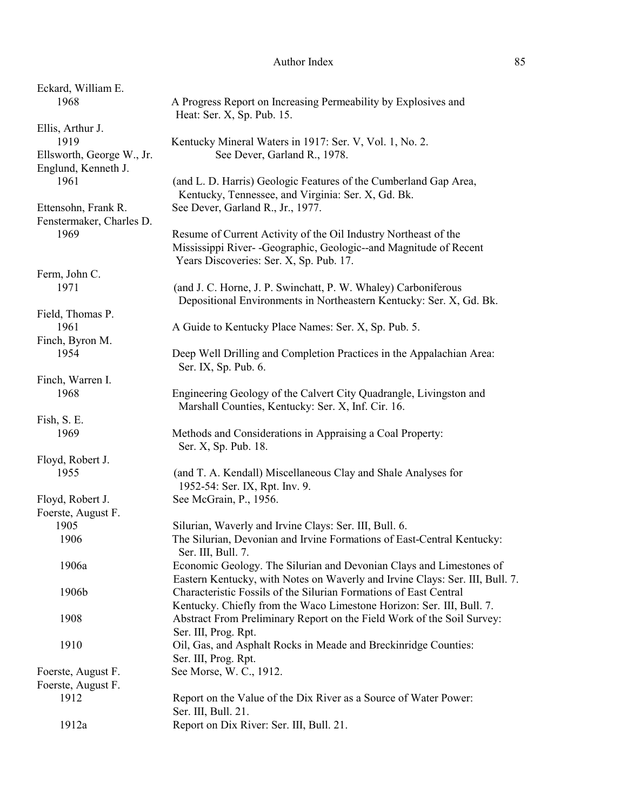| Eckard, William E.         |                                                                                              |
|----------------------------|----------------------------------------------------------------------------------------------|
| 1968                       | A Progress Report on Increasing Permeability by Explosives and<br>Heat: Ser. X, Sp. Pub. 15. |
| Ellis, Arthur J.           |                                                                                              |
| 1919                       | Kentucky Mineral Waters in 1917: Ser. V, Vol. 1, No. 2.                                      |
| Ellsworth, George W., Jr.  | See Dever, Garland R., 1978.                                                                 |
| Englund, Kenneth J.        |                                                                                              |
| 1961                       | (and L. D. Harris) Geologic Features of the Cumberland Gap Area,                             |
|                            | Kentucky, Tennessee, and Virginia: Ser. X, Gd. Bk.                                           |
| Ettensohn, Frank R.        | See Dever, Garland R., Jr., 1977.                                                            |
| Fenstermaker, Charles D.   |                                                                                              |
| 1969                       | Resume of Current Activity of the Oil Industry Northeast of the                              |
|                            | Mississippi River- - Geographic, Geologic--and Magnitude of Recent                           |
|                            | Years Discoveries: Ser. X, Sp. Pub. 17.                                                      |
| Ferm, John C.              |                                                                                              |
| 1971                       | (and J. C. Horne, J. P. Swinchatt, P. W. Whaley) Carboniferous                               |
|                            | Depositional Environments in Northeastern Kentucky: Ser. X, Gd. Bk.                          |
| Field, Thomas P.           |                                                                                              |
| 1961                       | A Guide to Kentucky Place Names: Ser. X, Sp. Pub. 5.                                         |
| Finch, Byron M.            |                                                                                              |
| 1954                       | Deep Well Drilling and Completion Practices in the Appalachian Area:                         |
|                            | Ser. IX, Sp. Pub. 6.                                                                         |
| Finch, Warren I.           |                                                                                              |
| 1968                       | Engineering Geology of the Calvert City Quadrangle, Livingston and                           |
|                            | Marshall Counties, Kentucky: Ser. X, Inf. Cir. 16.                                           |
| Fish, S. E.                |                                                                                              |
| 1969                       | Methods and Considerations in Appraising a Coal Property:                                    |
|                            | Ser. X, Sp. Pub. 18.                                                                         |
| Floyd, Robert J.           |                                                                                              |
| 1955                       | (and T. A. Kendall) Miscellaneous Clay and Shale Analyses for                                |
|                            | 1952-54: Ser. IX, Rpt. Inv. 9.                                                               |
| Floyd, Robert J.           | See McGrain, P., 1956.                                                                       |
|                            |                                                                                              |
| Foerste, August F.<br>1905 |                                                                                              |
|                            | Silurian, Waverly and Irvine Clays: Ser. III, Bull. 6.                                       |
| 1906                       | The Silurian, Devonian and Irvine Formations of East-Central Kentucky:<br>Ser. III, Bull. 7. |
| 1906a                      | Economic Geology. The Silurian and Devonian Clays and Limestones of                          |
|                            | Eastern Kentucky, with Notes on Waverly and Irvine Clays: Ser. III, Bull. 7.                 |
| 1906b                      | Characteristic Fossils of the Silurian Formations of East Central                            |
|                            | Kentucky. Chiefly from the Waco Limestone Horizon: Ser. III, Bull. 7.                        |
| 1908                       | Abstract From Preliminary Report on the Field Work of the Soil Survey:                       |
|                            | Ser. III, Prog. Rpt.                                                                         |
| 1910                       | Oil, Gas, and Asphalt Rocks in Meade and Breckinridge Counties:                              |
|                            | Ser. III, Prog. Rpt.                                                                         |
| Foerste, August F.         | See Morse, W. C., 1912.                                                                      |
| Foerste, August F.         |                                                                                              |
| 1912                       | Report on the Value of the Dix River as a Source of Water Power:                             |
|                            | Ser. III, Bull. 21.                                                                          |
| 1912a                      | Report on Dix River: Ser. III, Bull. 21.                                                     |
|                            |                                                                                              |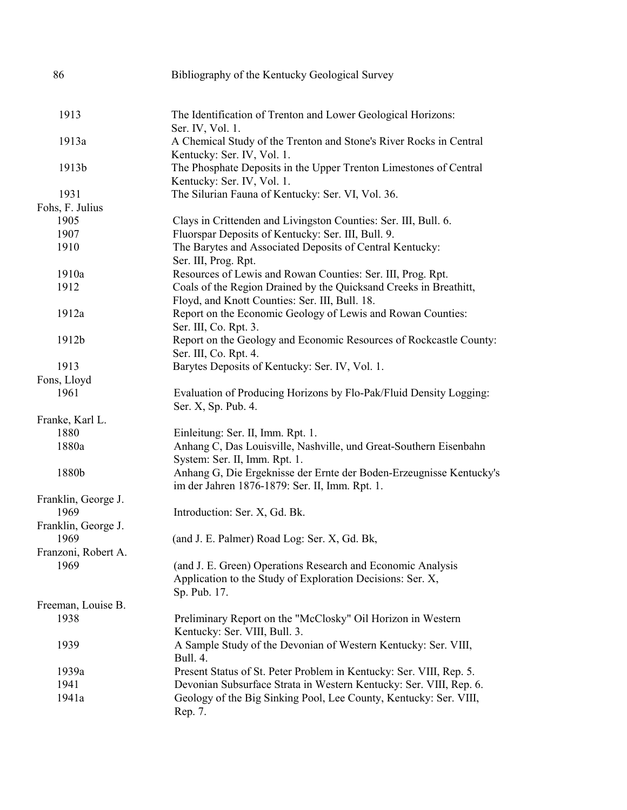| 86                  | Bibliography of the Kentucky Geological Survey                                                                                            |
|---------------------|-------------------------------------------------------------------------------------------------------------------------------------------|
| 1913                | The Identification of Trenton and Lower Geological Horizons:                                                                              |
|                     | Ser. IV, Vol. 1.                                                                                                                          |
| 1913a               | A Chemical Study of the Trenton and Stone's River Rocks in Central                                                                        |
|                     | Kentucky: Ser. IV, Vol. 1.                                                                                                                |
| 1913b               | The Phosphate Deposits in the Upper Trenton Limestones of Central<br>Kentucky: Ser. IV, Vol. 1.                                           |
| 1931                | The Silurian Fauna of Kentucky: Ser. VI, Vol. 36.                                                                                         |
| Fohs, F. Julius     |                                                                                                                                           |
| 1905                | Clays in Crittenden and Livingston Counties: Ser. III, Bull. 6.                                                                           |
| 1907                | Fluorspar Deposits of Kentucky: Ser. III, Bull. 9.                                                                                        |
| 1910                | The Barytes and Associated Deposits of Central Kentucky:<br>Ser. III, Prog. Rpt.                                                          |
| 1910a               | Resources of Lewis and Rowan Counties: Ser. III, Prog. Rpt.                                                                               |
| 1912                | Coals of the Region Drained by the Quicksand Creeks in Breathitt,<br>Floyd, and Knott Counties: Ser. III, Bull. 18.                       |
| 1912a               | Report on the Economic Geology of Lewis and Rowan Counties:<br>Ser. III, Co. Rpt. 3.                                                      |
| 1912b               | Report on the Geology and Economic Resources of Rockcastle County:<br>Ser. III, Co. Rpt. 4.                                               |
| 1913                | Barytes Deposits of Kentucky: Ser. IV, Vol. 1.                                                                                            |
| Fons, Lloyd         |                                                                                                                                           |
| 1961                | Evaluation of Producing Horizons by Flo-Pak/Fluid Density Logging:<br>Ser. X, Sp. Pub. 4.                                                 |
| Franke, Karl L.     |                                                                                                                                           |
| 1880                | Einleitung: Ser. II, Imm. Rpt. 1.                                                                                                         |
| 1880a               | Anhang C, Das Louisville, Nashville, und Great-Southern Eisenbahn<br>System: Ser. II, Imm. Rpt. 1.                                        |
| 1880b               | Anhang G, Die Ergeknisse der Ernte der Boden-Erzeugnisse Kentucky's<br>im der Jahren 1876-1879: Ser. II, Imm. Rpt. 1.                     |
| Franklin, George J. |                                                                                                                                           |
| 1969                | Introduction: Ser. X, Gd. Bk.                                                                                                             |
| Franklin, George J. |                                                                                                                                           |
| 1969                | (and J. E. Palmer) Road Log: Ser. X, Gd. Bk,                                                                                              |
| Franzoni, Robert A. |                                                                                                                                           |
| 1969                | (and J. E. Green) Operations Research and Economic Analysis<br>Application to the Study of Exploration Decisions: Ser. X,<br>Sp. Pub. 17. |
| Freeman, Louise B.  |                                                                                                                                           |
| 1938                | Preliminary Report on the "McClosky" Oil Horizon in Western<br>Kentucky: Ser. VIII, Bull. 3.                                              |
| 1939                | A Sample Study of the Devonian of Western Kentucky: Ser. VIII,<br><b>Bull. 4.</b>                                                         |
| 1939a               | Present Status of St. Peter Problem in Kentucky: Ser. VIII, Rep. 5.                                                                       |
| 1941                | Devonian Subsurface Strata in Western Kentucky: Ser. VIII, Rep. 6.                                                                        |
| 1941a               | Geology of the Big Sinking Pool, Lee County, Kentucky: Ser. VIII,<br>Rep. 7.                                                              |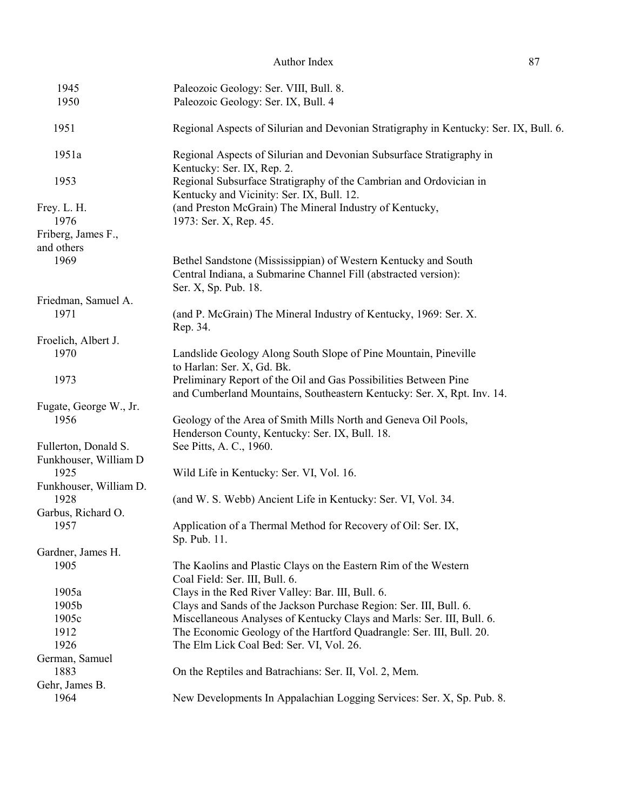| Author Index |  |
|--------------|--|
|--------------|--|

| 1945                                          | Paleozoic Geology: Ser. VIII, Bull. 8.                                                                                                                    |
|-----------------------------------------------|-----------------------------------------------------------------------------------------------------------------------------------------------------------|
| 1950                                          | Paleozoic Geology: Ser. IX, Bull. 4                                                                                                                       |
| 1951                                          | Regional Aspects of Silurian and Devonian Stratigraphy in Kentucky: Ser. IX, Bull. 6.                                                                     |
| 1951a                                         | Regional Aspects of Silurian and Devonian Subsurface Stratigraphy in<br>Kentucky: Ser. IX, Rep. 2.                                                        |
| 1953                                          | Regional Subsurface Stratigraphy of the Cambrian and Ordovician in<br>Kentucky and Vicinity: Ser. IX, Bull. 12.                                           |
| Frey. L. H.<br>1976                           | (and Preston McGrain) The Mineral Industry of Kentucky,<br>1973: Ser. X, Rep. 45.                                                                         |
| Friberg, James F.,<br>and others              |                                                                                                                                                           |
| 1969                                          | Bethel Sandstone (Mississippian) of Western Kentucky and South<br>Central Indiana, a Submarine Channel Fill (abstracted version):<br>Ser. X, Sp. Pub. 18. |
| Friedman, Samuel A.                           |                                                                                                                                                           |
| 1971                                          | (and P. McGrain) The Mineral Industry of Kentucky, 1969: Ser. X.<br>Rep. 34.                                                                              |
| Froelich, Albert J.                           |                                                                                                                                                           |
| 1970                                          | Landslide Geology Along South Slope of Pine Mountain, Pineville<br>to Harlan: Ser. X, Gd. Bk.                                                             |
| 1973                                          | Preliminary Report of the Oil and Gas Possibilities Between Pine<br>and Cumberland Mountains, Southeastern Kentucky: Ser. X, Rpt. Inv. 14.                |
| Fugate, George W., Jr.                        |                                                                                                                                                           |
| 1956                                          | Geology of the Area of Smith Mills North and Geneva Oil Pools,<br>Henderson County, Kentucky: Ser. IX, Bull. 18.                                          |
| Fullerton, Donald S.<br>Funkhouser, William D | See Pitts, A. C., 1960.                                                                                                                                   |
| 1925                                          | Wild Life in Kentucky: Ser. VI, Vol. 16.                                                                                                                  |
| Funkhouser, William D.<br>1928                | (and W. S. Webb) Ancient Life in Kentucky: Ser. VI, Vol. 34.                                                                                              |
| Garbus, Richard O.                            |                                                                                                                                                           |
| 1957                                          | Application of a Thermal Method for Recovery of Oil: Ser. IX,<br>Sp. Pub. 11.                                                                             |
| Gardner, James H.                             |                                                                                                                                                           |
| 1905                                          | The Kaolins and Plastic Clays on the Eastern Rim of the Western<br>Coal Field: Ser. III, Bull. 6.                                                         |
| 1905a                                         | Clays in the Red River Valley: Bar. III, Bull. 6.                                                                                                         |
| 1905b                                         | Clays and Sands of the Jackson Purchase Region: Ser. III, Bull. 6.                                                                                        |
| 1905c                                         | Miscellaneous Analyses of Kentucky Clays and Marls: Ser. III, Bull. 6.                                                                                    |
| 1912                                          | The Economic Geology of the Hartford Quadrangle: Ser. III, Bull. 20.                                                                                      |
| 1926                                          | The Elm Lick Coal Bed: Ser. VI, Vol. 26.                                                                                                                  |
| German, Samuel                                |                                                                                                                                                           |
| 1883                                          | On the Reptiles and Batrachians: Ser. II, Vol. 2, Mem.                                                                                                    |
| Gehr, James B.                                |                                                                                                                                                           |
| 1964                                          | New Developments In Appalachian Logging Services: Ser. X, Sp. Pub. 8.                                                                                     |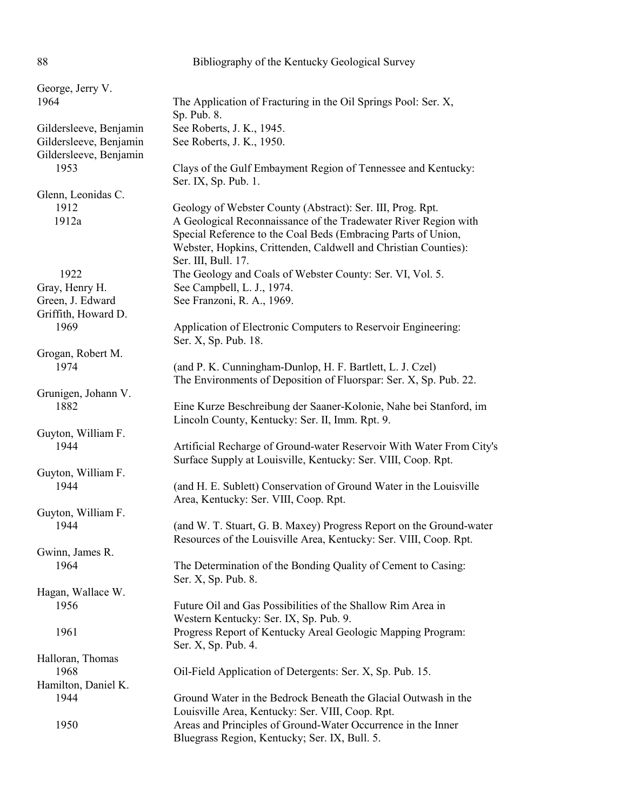| 88                                               | Bibliography of the Kentucky Geological Survey                                                                                                                                                                             |
|--------------------------------------------------|----------------------------------------------------------------------------------------------------------------------------------------------------------------------------------------------------------------------------|
| George, Jerry V.<br>1964                         | The Application of Fracturing in the Oil Springs Pool: Ser. X,                                                                                                                                                             |
|                                                  | Sp. Pub. 8.                                                                                                                                                                                                                |
| Gildersleeve, Benjamin                           | See Roberts, J. K., 1945.                                                                                                                                                                                                  |
| Gildersleeve, Benjamin<br>Gildersleeve, Benjamin | See Roberts, J. K., 1950.                                                                                                                                                                                                  |
| 1953                                             | Clays of the Gulf Embayment Region of Tennessee and Kentucky:<br>Ser. IX, Sp. Pub. 1.                                                                                                                                      |
| Glenn, Leonidas C.                               |                                                                                                                                                                                                                            |
| 1912                                             | Geology of Webster County (Abstract): Ser. III, Prog. Rpt.                                                                                                                                                                 |
| 1912a                                            | A Geological Reconnaissance of the Tradewater River Region with<br>Special Reference to the Coal Beds (Embracing Parts of Union,<br>Webster, Hopkins, Crittenden, Caldwell and Christian Counties):<br>Ser. III, Bull. 17. |
| 1922                                             | The Geology and Coals of Webster County: Ser. VI, Vol. 5.                                                                                                                                                                  |
| Gray, Henry H.                                   | See Campbell, L. J., 1974.                                                                                                                                                                                                 |
| Green, J. Edward<br>Griffith, Howard D.          | See Franzoni, R. A., 1969.                                                                                                                                                                                                 |
| 1969                                             | Application of Electronic Computers to Reservoir Engineering:<br>Ser. X, Sp. Pub. 18.                                                                                                                                      |
| Grogan, Robert M.                                |                                                                                                                                                                                                                            |
| 1974                                             | (and P. K. Cunningham-Dunlop, H. F. Bartlett, L. J. Czel)                                                                                                                                                                  |
|                                                  | The Environments of Deposition of Fluorspar: Ser. X, Sp. Pub. 22.                                                                                                                                                          |
| Grunigen, Johann V.<br>1882                      | Eine Kurze Beschreibung der Saaner-Kolonie, Nahe bei Stanford, im<br>Lincoln County, Kentucky: Ser. II, Imm. Rpt. 9.                                                                                                       |
| Guyton, William F.                               |                                                                                                                                                                                                                            |
| 1944                                             | Artificial Recharge of Ground-water Reservoir With Water From City's<br>Surface Supply at Louisville, Kentucky: Ser. VIII, Coop. Rpt.                                                                                      |
| Guyton, William F.                               |                                                                                                                                                                                                                            |
| 1944                                             | (and H. E. Sublett) Conservation of Ground Water in the Louisville<br>Area, Kentucky: Ser. VIII, Coop. Rpt.                                                                                                                |
| Guyton, William F.                               |                                                                                                                                                                                                                            |
| 1944                                             | (and W. T. Stuart, G. B. Maxey) Progress Report on the Ground-water<br>Resources of the Louisville Area, Kentucky: Ser. VIII, Coop. Rpt.                                                                                   |
| Gwinn, James R.                                  |                                                                                                                                                                                                                            |
| 1964                                             | The Determination of the Bonding Quality of Cement to Casing:<br>Ser. X, Sp. Pub. 8.                                                                                                                                       |
| Hagan, Wallace W.                                |                                                                                                                                                                                                                            |
| 1956                                             | Future Oil and Gas Possibilities of the Shallow Rim Area in<br>Western Kentucky: Ser. IX, Sp. Pub. 9.                                                                                                                      |
| 1961                                             | Progress Report of Kentucky Areal Geologic Mapping Program:<br>Ser. X, Sp. Pub. 4.                                                                                                                                         |
| Halloran, Thomas                                 |                                                                                                                                                                                                                            |
| 1968                                             | Oil-Field Application of Detergents: Ser. X, Sp. Pub. 15.                                                                                                                                                                  |
| Hamilton, Daniel K.                              |                                                                                                                                                                                                                            |
| 1944                                             | Ground Water in the Bedrock Beneath the Glacial Outwash in the<br>Louisville Area, Kentucky: Ser. VIII, Coop. Rpt.                                                                                                         |
| 1950                                             | Areas and Principles of Ground-Water Occurrence in the Inner<br>Bluegrass Region, Kentucky; Ser. IX, Bull. 5.                                                                                                              |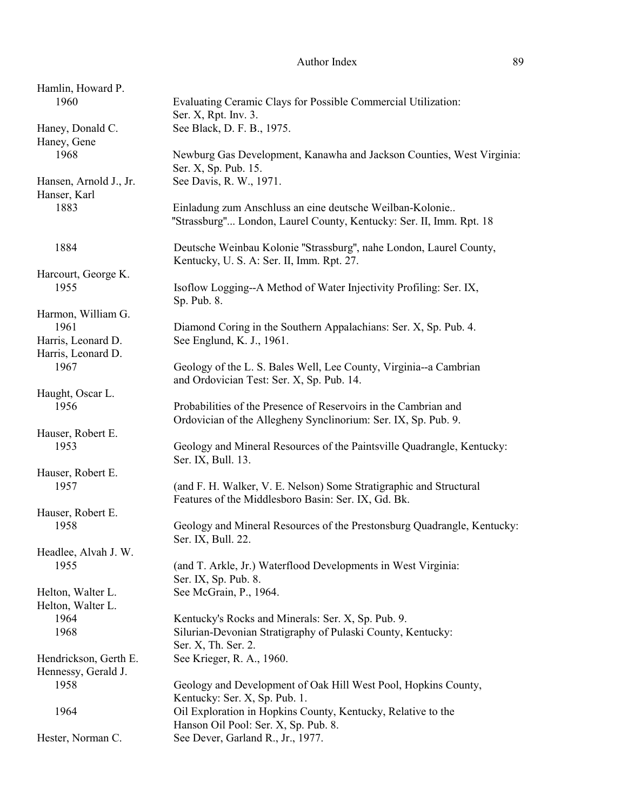| Hamlin, Howard P.      |                                                                         |
|------------------------|-------------------------------------------------------------------------|
| 1960                   | Evaluating Ceramic Clays for Possible Commercial Utilization:           |
|                        | Ser. X, Rpt. Inv. 3.                                                    |
| Haney, Donald C.       | See Black, D. F. B., 1975.                                              |
| Haney, Gene            |                                                                         |
|                        |                                                                         |
| 1968                   | Newburg Gas Development, Kanawha and Jackson Counties, West Virginia:   |
|                        | Ser. X, Sp. Pub. 15.                                                    |
| Hansen, Arnold J., Jr. | See Davis, R. W., 1971.                                                 |
| Hanser, Karl           |                                                                         |
| 1883                   | Einladung zum Anschluss an eine deutsche Weilban-Kolonie                |
|                        | "Strassburg" London, Laurel County, Kentucky: Ser. II, Imm. Rpt. 18     |
|                        |                                                                         |
| 1884                   | Deutsche Weinbau Kolonie "Strassburg", nahe London, Laurel County,      |
|                        | Kentucky, U. S. A: Ser. II, Imm. Rpt. 27.                               |
|                        |                                                                         |
| Harcourt, George K.    |                                                                         |
| 1955                   | Isoflow Logging--A Method of Water Injectivity Profiling: Ser. IX,      |
|                        | Sp. Pub. 8.                                                             |
| Harmon, William G.     |                                                                         |
| 1961                   | Diamond Coring in the Southern Appalachians: Ser. X, Sp. Pub. 4.        |
| Harris, Leonard D.     | See Englund, K. J., 1961.                                               |
| Harris, Leonard D.     |                                                                         |
| 1967                   | Geology of the L. S. Bales Well, Lee County, Virginia--a Cambrian       |
|                        | and Ordovician Test: Ser. X, Sp. Pub. 14.                               |
| Haught, Oscar L.       |                                                                         |
| 1956                   |                                                                         |
|                        | Probabilities of the Presence of Reservoirs in the Cambrian and         |
|                        | Ordovician of the Allegheny Synclinorium: Ser. IX, Sp. Pub. 9.          |
| Hauser, Robert E.      |                                                                         |
| 1953                   | Geology and Mineral Resources of the Paintsville Quadrangle, Kentucky:  |
|                        | Ser. IX, Bull. 13.                                                      |
| Hauser, Robert E.      |                                                                         |
| 1957                   | (and F. H. Walker, V. E. Nelson) Some Stratigraphic and Structural      |
|                        | Features of the Middlesboro Basin: Ser. IX, Gd. Bk.                     |
| Hauser, Robert E.      |                                                                         |
|                        |                                                                         |
| 1958                   | Geology and Mineral Resources of the Prestonsburg Quadrangle, Kentucky: |
|                        | Ser. IX, Bull. 22.                                                      |
| Headlee, Alvah J. W.   |                                                                         |
| 1955                   | (and T. Arkle, Jr.) Waterflood Developments in West Virginia:           |
|                        | Ser. IX, Sp. Pub. 8.                                                    |
| Helton, Walter L.      | See McGrain, P., 1964.                                                  |
| Helton, Walter L.      |                                                                         |
| 1964                   | Kentucky's Rocks and Minerals: Ser. X, Sp. Pub. 9.                      |
| 1968                   | Silurian-Devonian Stratigraphy of Pulaski County, Kentucky:             |
|                        | Ser. X, Th. Ser. 2.                                                     |
|                        |                                                                         |
| Hendrickson, Gerth E.  | See Krieger, R. A., 1960.                                               |
| Hennessy, Gerald J.    |                                                                         |
| 1958                   | Geology and Development of Oak Hill West Pool, Hopkins County,          |
|                        | Kentucky: Ser. X, Sp. Pub. 1.                                           |
| 1964                   | Oil Exploration in Hopkins County, Kentucky, Relative to the            |
|                        | Hanson Oil Pool: Ser. X, Sp. Pub. 8.                                    |
| Hester, Norman C.      | See Dever, Garland R., Jr., 1977.                                       |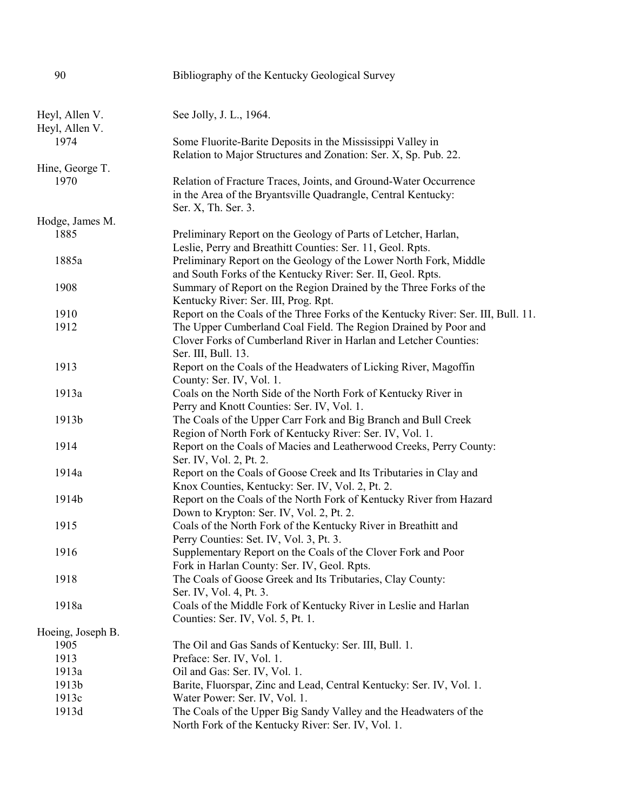| 90                | Bibliography of the Kentucky Geological Survey                                                                            |
|-------------------|---------------------------------------------------------------------------------------------------------------------------|
|                   |                                                                                                                           |
| Heyl, Allen V.    | See Jolly, J. L., 1964.                                                                                                   |
| Heyl, Allen V.    |                                                                                                                           |
| 1974              | Some Fluorite-Barite Deposits in the Mississippi Valley in                                                                |
|                   | Relation to Major Structures and Zonation: Ser. X, Sp. Pub. 22.                                                           |
| Hine, George T.   |                                                                                                                           |
| 1970              | Relation of Fracture Traces, Joints, and Ground-Water Occurrence                                                          |
|                   | in the Area of the Bryantsville Quadrangle, Central Kentucky:                                                             |
|                   | Ser. X, Th. Ser. 3.                                                                                                       |
| Hodge, James M.   |                                                                                                                           |
| 1885              | Preliminary Report on the Geology of Parts of Letcher, Harlan,                                                            |
|                   | Leslie, Perry and Breathitt Counties: Ser. 11, Geol. Rpts.                                                                |
| 1885a             | Preliminary Report on the Geology of the Lower North Fork, Middle                                                         |
|                   | and South Forks of the Kentucky River: Ser. II, Geol. Rpts.                                                               |
| 1908              | Summary of Report on the Region Drained by the Three Forks of the                                                         |
| 1910              | Kentucky River: Ser. III, Prog. Rpt.<br>Report on the Coals of the Three Forks of the Kentucky River: Ser. III, Bull. 11. |
| 1912              | The Upper Cumberland Coal Field. The Region Drained by Poor and                                                           |
|                   | Clover Forks of Cumberland River in Harlan and Letcher Counties:                                                          |
|                   | Ser. III, Bull. 13.                                                                                                       |
| 1913              | Report on the Coals of the Headwaters of Licking River, Magoffin                                                          |
|                   | County: Ser. IV, Vol. 1.                                                                                                  |
| 1913a             | Coals on the North Side of the North Fork of Kentucky River in                                                            |
|                   | Perry and Knott Counties: Ser. IV, Vol. 1.                                                                                |
| 1913b             | The Coals of the Upper Carr Fork and Big Branch and Bull Creek                                                            |
|                   | Region of North Fork of Kentucky River: Ser. IV, Vol. 1.                                                                  |
| 1914              | Report on the Coals of Macies and Leatherwood Creeks, Perry County:                                                       |
|                   | Ser. IV, Vol. 2, Pt. 2.                                                                                                   |
| 1914a             | Report on the Coals of Goose Creek and Its Tributaries in Clay and                                                        |
|                   | Knox Counties, Kentucky: Ser. IV, Vol. 2, Pt. 2.                                                                          |
| 1914b             | Report on the Coals of the North Fork of Kentucky River from Hazard                                                       |
|                   | Down to Krypton: Ser. IV, Vol. 2, Pt. 2.                                                                                  |
| 1915              | Coals of the North Fork of the Kentucky River in Breathitt and                                                            |
|                   | Perry Counties: Set. IV, Vol. 3, Pt. 3.                                                                                   |
| 1916              | Supplementary Report on the Coals of the Clover Fork and Poor                                                             |
|                   | Fork in Harlan County: Ser. IV, Geol. Rpts.                                                                               |
| 1918              | The Coals of Goose Greek and Its Tributaries, Clay County:                                                                |
|                   | Ser. IV, Vol. 4, Pt. 3.                                                                                                   |
| 1918a             | Coals of the Middle Fork of Kentucky River in Leslie and Harlan                                                           |
|                   | Counties: Ser. IV, Vol. 5, Pt. 1.                                                                                         |
| Hoeing, Joseph B. |                                                                                                                           |
| 1905              | The Oil and Gas Sands of Kentucky: Ser. III, Bull. 1.                                                                     |
| 1913              | Preface: Ser. IV, Vol. 1.                                                                                                 |
| 1913a             | Oil and Gas: Ser. IV, Vol. 1.                                                                                             |
| 1913b             | Barite, Fluorspar, Zinc and Lead, Central Kentucky: Ser. IV, Vol. 1.                                                      |
| 1913c             | Water Power: Ser. IV, Vol. 1.                                                                                             |
| 1913d             | The Coals of the Upper Big Sandy Valley and the Headwaters of the<br>North Fork of the Kentucky River: Ser. IV, Vol. 1.   |
|                   |                                                                                                                           |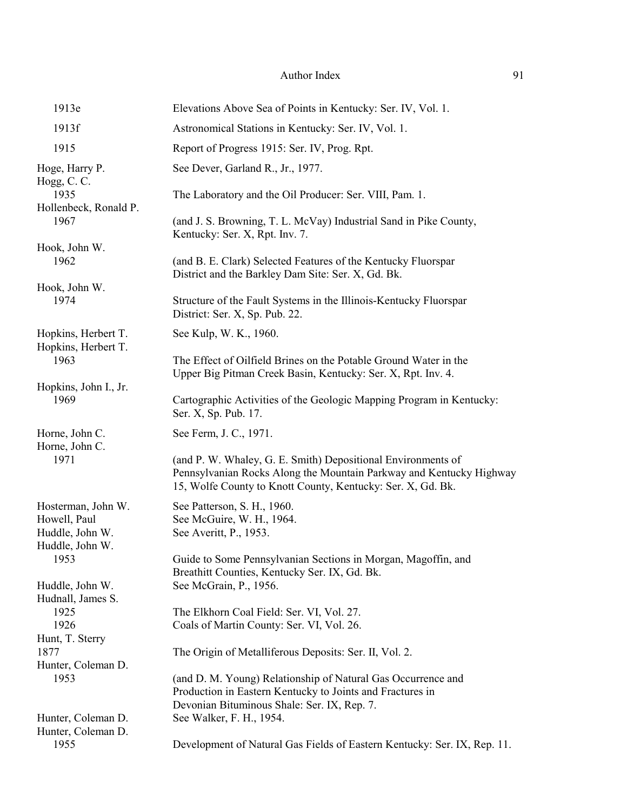| 1913e                                                                    | Elevations Above Sea of Points in Kentucky: Ser. IV, Vol. 1.                                                                                                                                       |
|--------------------------------------------------------------------------|----------------------------------------------------------------------------------------------------------------------------------------------------------------------------------------------------|
| 1913f                                                                    | Astronomical Stations in Kentucky: Ser. IV, Vol. 1.                                                                                                                                                |
| 1915                                                                     | Report of Progress 1915: Ser. IV, Prog. Rpt.                                                                                                                                                       |
| Hoge, Harry P.                                                           | See Dever, Garland R., Jr., 1977.                                                                                                                                                                  |
| Hogg, C. C.<br>1935<br>Hollenbeck, Ronald P.                             | The Laboratory and the Oil Producer: Ser. VIII, Pam. 1.                                                                                                                                            |
| 1967                                                                     | (and J. S. Browning, T. L. McVay) Industrial Sand in Pike County,<br>Kentucky: Ser. X, Rpt. Inv. 7.                                                                                                |
| Hook, John W.<br>1962                                                    | (and B. E. Clark) Selected Features of the Kentucky Fluorspar<br>District and the Barkley Dam Site: Ser. X, Gd. Bk.                                                                                |
| Hook, John W.<br>1974                                                    | Structure of the Fault Systems in the Illinois-Kentucky Fluorspar<br>District: Ser. X, Sp. Pub. 22.                                                                                                |
| Hopkins, Herbert T.                                                      | See Kulp, W. K., 1960.                                                                                                                                                                             |
| Hopkins, Herbert T.<br>1963                                              | The Effect of Oilfield Brines on the Potable Ground Water in the<br>Upper Big Pitman Creek Basin, Kentucky: Ser. X, Rpt. Inv. 4.                                                                   |
| Hopkins, John I., Jr.<br>1969                                            | Cartographic Activities of the Geologic Mapping Program in Kentucky:<br>Ser. X, Sp. Pub. 17.                                                                                                       |
| Horne, John C.<br>Horne, John C.                                         | See Ferm, J. C., 1971.                                                                                                                                                                             |
| 1971                                                                     | (and P. W. Whaley, G. E. Smith) Depositional Environments of<br>Pennsylvanian Rocks Along the Mountain Parkway and Kentucky Highway<br>15, Wolfe County to Knott County, Kentucky: Ser. X, Gd. Bk. |
| Hosterman, John W.<br>Howell, Paul<br>Huddle, John W.<br>Huddle, John W. | See Patterson, S. H., 1960.<br>See McGuire, W. H., 1964.<br>See Averitt, P., 1953.                                                                                                                 |
| 1953                                                                     | Guide to Some Pennsylvanian Sections in Morgan, Magoffin, and<br>Breathitt Counties, Kentucky Ser. IX, Gd. Bk.                                                                                     |
| Huddle, John W.<br>Hudnall, James S.                                     | See McGrain, P., 1956.                                                                                                                                                                             |
| 1925<br>1926<br>Hunt, T. Sterry                                          | The Elkhorn Coal Field: Ser. VI, Vol. 27.<br>Coals of Martin County: Ser. VI, Vol. 26.                                                                                                             |
| 1877<br>Hunter, Coleman D.                                               | The Origin of Metalliferous Deposits: Ser. II, Vol. 2.                                                                                                                                             |
| 1953                                                                     | (and D. M. Young) Relationship of Natural Gas Occurrence and<br>Production in Eastern Kentucky to Joints and Fractures in<br>Devonian Bituminous Shale: Ser. IX, Rep. 7.                           |
| Hunter, Coleman D.<br>Hunter, Coleman D.                                 | See Walker, F. H., 1954.                                                                                                                                                                           |
| 1955                                                                     | Development of Natural Gas Fields of Eastern Kentucky: Ser. IX, Rep. 11.                                                                                                                           |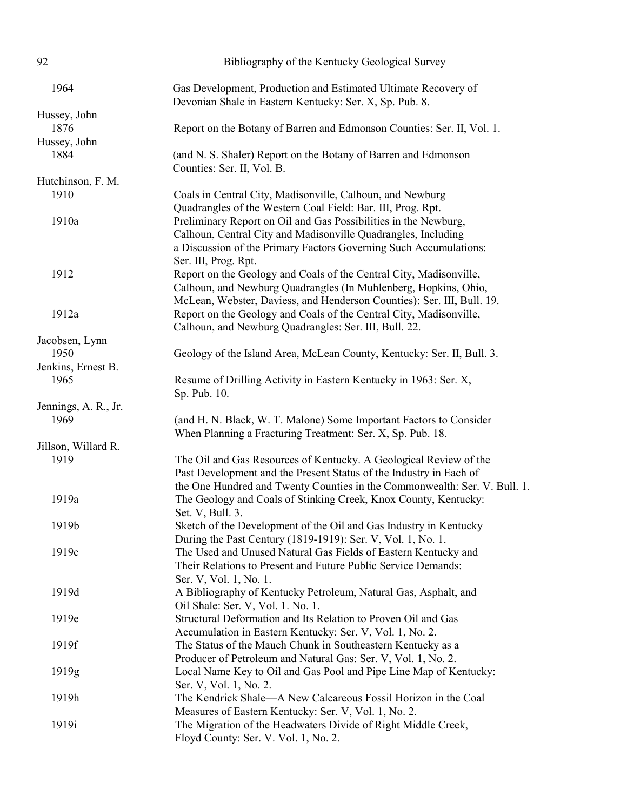| 92                   | Bibliography of the Kentucky Geological Survey                                                                                                                                                                                                                       |
|----------------------|----------------------------------------------------------------------------------------------------------------------------------------------------------------------------------------------------------------------------------------------------------------------|
| 1964                 | Gas Development, Production and Estimated Ultimate Recovery of<br>Devonian Shale in Eastern Kentucky: Ser. X, Sp. Pub. 8.                                                                                                                                            |
| Hussey, John         |                                                                                                                                                                                                                                                                      |
| 1876                 | Report on the Botany of Barren and Edmonson Counties: Ser. II, Vol. 1.                                                                                                                                                                                               |
| Hussey, John         |                                                                                                                                                                                                                                                                      |
| 1884                 | (and N. S. Shaler) Report on the Botany of Barren and Edmonson<br>Counties: Ser. II, Vol. B.                                                                                                                                                                         |
| Hutchinson, F. M.    |                                                                                                                                                                                                                                                                      |
| 1910                 | Coals in Central City, Madisonville, Calhoun, and Newburg                                                                                                                                                                                                            |
| 1910a                | Quadrangles of the Western Coal Field: Bar. III, Prog. Rpt.<br>Preliminary Report on Oil and Gas Possibilities in the Newburg,<br>Calhoun, Central City and Madisonville Quadrangles, Including<br>a Discussion of the Primary Factors Governing Such Accumulations: |
| 1912                 | Ser. III, Prog. Rpt.<br>Report on the Geology and Coals of the Central City, Madisonville,<br>Calhoun, and Newburg Quadrangles (In Muhlenberg, Hopkins, Ohio,<br>McLean, Webster, Daviess, and Henderson Counties): Ser. III, Bull. 19.                              |
| 1912a                | Report on the Geology and Coals of the Central City, Madisonville,<br>Calhoun, and Newburg Quadrangles: Ser. III, Bull. 22.                                                                                                                                          |
| Jacobsen, Lynn       |                                                                                                                                                                                                                                                                      |
| 1950                 | Geology of the Island Area, McLean County, Kentucky: Ser. II, Bull. 3.                                                                                                                                                                                               |
| Jenkins, Ernest B.   |                                                                                                                                                                                                                                                                      |
| 1965                 | Resume of Drilling Activity in Eastern Kentucky in 1963: Ser. X,<br>Sp. Pub. 10.                                                                                                                                                                                     |
| Jennings, A. R., Jr. |                                                                                                                                                                                                                                                                      |
| 1969                 | (and H. N. Black, W. T. Malone) Some Important Factors to Consider<br>When Planning a Fracturing Treatment: Ser. X, Sp. Pub. 18.                                                                                                                                     |
| Jillson, Willard R.  |                                                                                                                                                                                                                                                                      |
| 1919                 | The Oil and Gas Resources of Kentucky. A Geological Review of the<br>Past Development and the Present Status of the Industry in Each of<br>the One Hundred and Twenty Counties in the Commonwealth: Ser. V. Bull. 1.                                                 |
| 1919a                | The Geology and Coals of Stinking Creek, Knox County, Kentucky:<br>Set. V, Bull. 3.                                                                                                                                                                                  |
| 1919b                | Sketch of the Development of the Oil and Gas Industry in Kentucky<br>During the Past Century (1819-1919): Ser. V, Vol. 1, No. 1.                                                                                                                                     |
| 1919c                | The Used and Unused Natural Gas Fields of Eastern Kentucky and<br>Their Relations to Present and Future Public Service Demands:<br>Ser. V, Vol. 1, No. 1.                                                                                                            |
| 1919d                | A Bibliography of Kentucky Petroleum, Natural Gas, Asphalt, and<br>Oil Shale: Ser. V, Vol. 1. No. 1.                                                                                                                                                                 |
| 1919e                | Structural Deformation and Its Relation to Proven Oil and Gas<br>Accumulation in Eastern Kentucky: Ser. V, Vol. 1, No. 2.                                                                                                                                            |
| 1919f                | The Status of the Mauch Chunk in Southeastern Kentucky as a<br>Producer of Petroleum and Natural Gas: Ser. V, Vol. 1, No. 2.                                                                                                                                         |
| 1919g                | Local Name Key to Oil and Gas Pool and Pipe Line Map of Kentucky:<br>Ser. V, Vol. 1, No. 2.                                                                                                                                                                          |
| 1919h                | The Kendrick Shale—A New Calcareous Fossil Horizon in the Coal<br>Measures of Eastern Kentucky: Ser. V, Vol. 1, No. 2.                                                                                                                                               |
| 1919i                | The Migration of the Headwaters Divide of Right Middle Creek,<br>Floyd County: Ser. V. Vol. 1, No. 2.                                                                                                                                                                |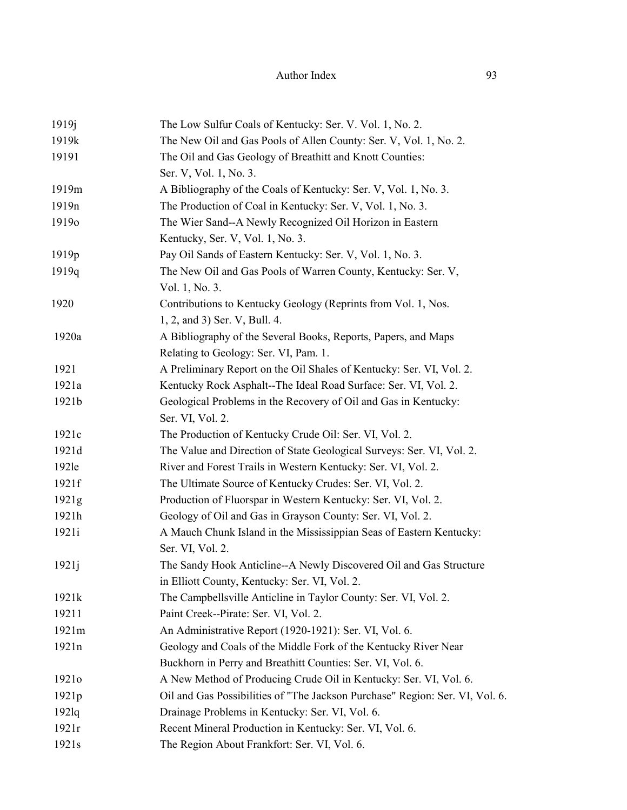| 1919 <sub>j</sub> | The Low Sulfur Coals of Kentucky: Ser. V. Vol. 1, No. 2.                     |
|-------------------|------------------------------------------------------------------------------|
| 1919k             | The New Oil and Gas Pools of Allen County: Ser. V, Vol. 1, No. 2.            |
| 19191             | The Oil and Gas Geology of Breathitt and Knott Counties:                     |
|                   | Ser. V, Vol. 1, No. 3.                                                       |
| 1919m             | A Bibliography of the Coals of Kentucky: Ser. V, Vol. 1, No. 3.              |
| 1919 <sub>n</sub> | The Production of Coal in Kentucky: Ser. V, Vol. 1, No. 3.                   |
| 19190             | The Wier Sand--A Newly Recognized Oil Horizon in Eastern                     |
|                   | Kentucky, Ser. V, Vol. 1, No. 3.                                             |
| 1919 <sub>p</sub> | Pay Oil Sands of Eastern Kentucky: Ser. V, Vol. 1, No. 3.                    |
| 1919q             | The New Oil and Gas Pools of Warren County, Kentucky: Ser. V,                |
|                   | Vol. 1, No. 3.                                                               |
| 1920              | Contributions to Kentucky Geology (Reprints from Vol. 1, Nos.                |
|                   | 1, 2, and 3) Ser. V, Bull. 4.                                                |
| 1920a             | A Bibliography of the Several Books, Reports, Papers, and Maps               |
|                   | Relating to Geology: Ser. VI, Pam. 1.                                        |
| 1921              | A Preliminary Report on the Oil Shales of Kentucky: Ser. VI, Vol. 2.         |
| 1921a             | Kentucky Rock Asphalt--The Ideal Road Surface: Ser. VI, Vol. 2.              |
| 1921b             | Geological Problems in the Recovery of Oil and Gas in Kentucky:              |
|                   | Ser. VI, Vol. 2.                                                             |
| 1921c             | The Production of Kentucky Crude Oil: Ser. VI, Vol. 2.                       |
| 1921d             | The Value and Direction of State Geological Surveys: Ser. VI, Vol. 2.        |
| 192le             | River and Forest Trails in Western Kentucky: Ser. VI, Vol. 2.                |
| 1921f             | The Ultimate Source of Kentucky Crudes: Ser. VI, Vol. 2.                     |
| 1921g             | Production of Fluorspar in Western Kentucky: Ser. VI, Vol. 2.                |
| 1921h             | Geology of Oil and Gas in Grayson County: Ser. VI, Vol. 2.                   |
| 1921i             | A Mauch Chunk Island in the Mississippian Seas of Eastern Kentucky:          |
|                   | Ser. VI, Vol. 2.                                                             |
| 1921j             | The Sandy Hook Anticline--A Newly Discovered Oil and Gas Structure           |
|                   | in Elliott County, Kentucky: Ser. VI, Vol. 2.                                |
| 1921k             | The Campbellsville Anticline in Taylor County: Ser. VI, Vol. 2.              |
| 19211             | Paint Creek--Pirate: Ser. VI, Vol. 2.                                        |
| 1921m             | An Administrative Report (1920-1921): Ser. VI, Vol. 6.                       |
| 1921n             | Geology and Coals of the Middle Fork of the Kentucky River Near              |
|                   | Buckhorn in Perry and Breathitt Counties: Ser. VI, Vol. 6.                   |
| 1921 <sub>o</sub> | A New Method of Producing Crude Oil in Kentucky: Ser. VI, Vol. 6.            |
| 1921p             | Oil and Gas Possibilities of "The Jackson Purchase" Region: Ser. VI, Vol. 6. |
| $192$ lq          | Drainage Problems in Kentucky: Ser. VI, Vol. 6.                              |
| 1921r             | Recent Mineral Production in Kentucky: Ser. VI, Vol. 6.                      |
| 1921s             | The Region About Frankfort: Ser. VI, Vol. 6.                                 |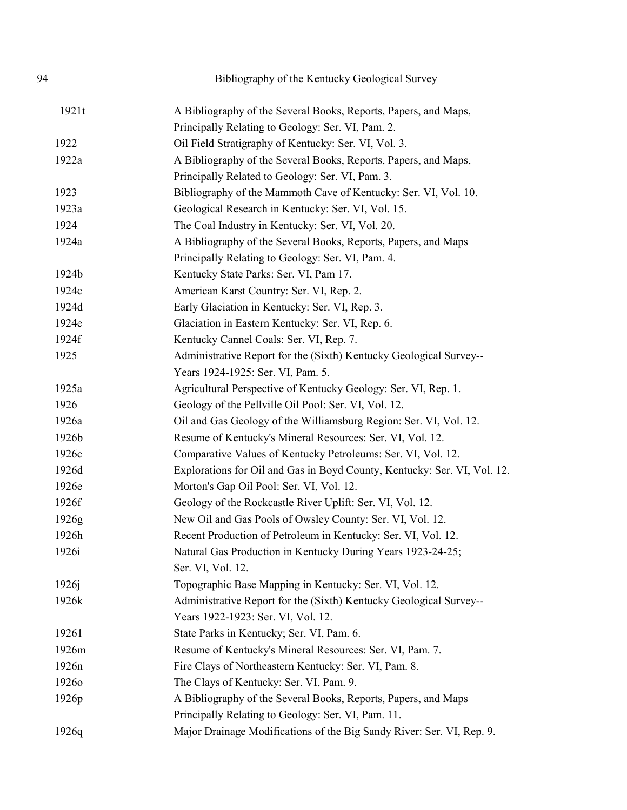| 94    | Bibliography of the Kentucky Geological Survey                           |
|-------|--------------------------------------------------------------------------|
| 1921t | A Bibliography of the Several Books, Reports, Papers, and Maps,          |
|       | Principally Relating to Geology: Ser. VI, Pam. 2.                        |
| 1922  | Oil Field Stratigraphy of Kentucky: Ser. VI, Vol. 3.                     |
| 1922a | A Bibliography of the Several Books, Reports, Papers, and Maps,          |
|       | Principally Related to Geology: Ser. VI, Pam. 3.                         |
| 1923  | Bibliography of the Mammoth Cave of Kentucky: Ser. VI, Vol. 10.          |
| 1923a | Geological Research in Kentucky: Ser. VI, Vol. 15.                       |
| 1924  | The Coal Industry in Kentucky: Ser. VI, Vol. 20.                         |
| 1924a | A Bibliography of the Several Books, Reports, Papers, and Maps           |
|       | Principally Relating to Geology: Ser. VI, Pam. 4.                        |
| 1924b | Kentucky State Parks: Ser. VI, Pam 17.                                   |
| 1924c | American Karst Country: Ser. VI, Rep. 2.                                 |
| 1924d | Early Glaciation in Kentucky: Ser. VI, Rep. 3.                           |
| 1924e | Glaciation in Eastern Kentucky: Ser. VI, Rep. 6.                         |
| 1924f | Kentucky Cannel Coals: Ser. VI, Rep. 7.                                  |
| 1925  | Administrative Report for the (Sixth) Kentucky Geological Survey--       |
|       | Years 1924-1925: Ser. VI, Pam. 5.                                        |
| 1925a | Agricultural Perspective of Kentucky Geology: Ser. VI, Rep. 1.           |
| 1926  | Geology of the Pellville Oil Pool: Ser. VI, Vol. 12.                     |
| 1926a | Oil and Gas Geology of the Williamsburg Region: Ser. VI, Vol. 12.        |
| 1926b | Resume of Kentucky's Mineral Resources: Ser. VI, Vol. 12.                |
| 1926c | Comparative Values of Kentucky Petroleums: Ser. VI, Vol. 12.             |
| 1926d | Explorations for Oil and Gas in Boyd County, Kentucky: Ser. VI, Vol. 12. |
| 1926e | Morton's Gap Oil Pool: Ser. VI, Vol. 12.                                 |
| 1926f | Geology of the Rockcastle River Uplift: Ser. VI, Vol. 12.                |
| 1926g | New Oil and Gas Pools of Owsley County: Ser. VI, Vol. 12.                |
| 1926h | Recent Production of Petroleum in Kentucky: Ser. VI, Vol. 12.            |
| 1926i | Natural Gas Production in Kentucky During Years 1923-24-25;              |
|       | Ser. VI, Vol. 12.                                                        |
| 1926j | Topographic Base Mapping in Kentucky: Ser. VI, Vol. 12.                  |
| 1926k | Administrative Report for the (Sixth) Kentucky Geological Survey--       |
|       | Years 1922-1923: Ser. VI, Vol. 12.                                       |
| 19261 | State Parks in Kentucky; Ser. VI, Pam. 6.                                |
| 1926m | Resume of Kentucky's Mineral Resources: Ser. VI, Pam. 7.                 |
| 1926n | Fire Clays of Northeastern Kentucky: Ser. VI, Pam. 8.                    |
| 19260 | The Clays of Kentucky: Ser. VI, Pam. 9.                                  |
| 1926p | A Bibliography of the Several Books, Reports, Papers, and Maps           |
|       | Principally Relating to Geology: Ser. VI, Pam. 11.                       |
|       |                                                                          |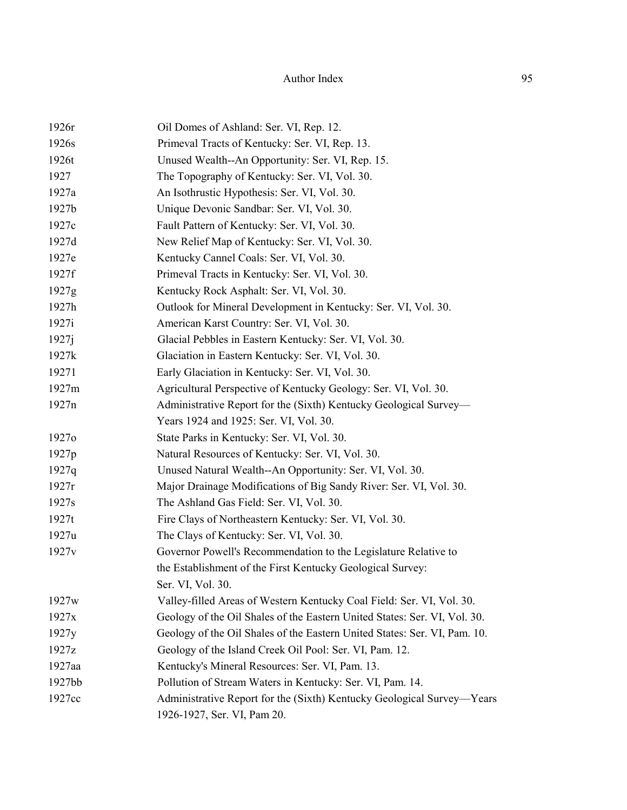| Oil Domes of Ashland: Ser. VI, Rep. 12.                                   |
|---------------------------------------------------------------------------|
| Primeval Tracts of Kentucky: Ser. VI, Rep. 13.                            |
| Unused Wealth--An Opportunity: Ser. VI, Rep. 15.                          |
| The Topography of Kentucky: Ser. VI, Vol. 30.                             |
| An Isothrustic Hypothesis: Ser. VI, Vol. 30.                              |
| Unique Devonic Sandbar: Ser. VI, Vol. 30.                                 |
| Fault Pattern of Kentucky: Ser. VI, Vol. 30.                              |
| New Relief Map of Kentucky: Ser. VI, Vol. 30.                             |
| Kentucky Cannel Coals: Ser. VI, Vol. 30.                                  |
| Primeval Tracts in Kentucky: Ser. VI, Vol. 30.                            |
| Kentucky Rock Asphalt: Ser. VI, Vol. 30.                                  |
| Outlook for Mineral Development in Kentucky: Ser. VI, Vol. 30.            |
| American Karst Country: Ser. VI, Vol. 30.                                 |
| Glacial Pebbles in Eastern Kentucky: Ser. VI, Vol. 30.                    |
| Glaciation in Eastern Kentucky: Ser. VI, Vol. 30.                         |
| Early Glaciation in Kentucky: Ser. VI, Vol. 30.                           |
| Agricultural Perspective of Kentucky Geology: Ser. VI, Vol. 30.           |
| Administrative Report for the (Sixth) Kentucky Geological Survey—         |
| Years 1924 and 1925: Ser. VI, Vol. 30.                                    |
| State Parks in Kentucky: Ser. VI, Vol. 30.                                |
| Natural Resources of Kentucky: Ser. VI, Vol. 30.                          |
| Unused Natural Wealth--An Opportunity: Ser. VI, Vol. 30.                  |
| Major Drainage Modifications of Big Sandy River: Ser. VI, Vol. 30.        |
| The Ashland Gas Field: Ser. VI, Vol. 30.                                  |
| Fire Clays of Northeastern Kentucky: Ser. VI, Vol. 30.                    |
| The Clays of Kentucky: Ser. VI, Vol. 30.                                  |
| Governor Powell's Recommendation to the Legislature Relative to           |
| the Establishment of the First Kentucky Geological Survey:                |
| Ser. VI, Vol. 30.                                                         |
| Valley-filled Areas of Western Kentucky Coal Field: Ser. VI, Vol. 30.     |
| Geology of the Oil Shales of the Eastern United States: Ser. VI, Vol. 30. |
| Geology of the Oil Shales of the Eastern United States: Ser. VI, Pam. 10. |
| Geology of the Island Creek Oil Pool: Ser. VI, Pam. 12.                   |
| Kentucky's Mineral Resources: Ser. VI, Pam. 13.                           |
| Pollution of Stream Waters in Kentucky: Ser. VI, Pam. 14.                 |
| Administrative Report for the (Sixth) Kentucky Geological Survey—Years    |
| 1926-1927, Ser. VI, Pam 20.                                               |
|                                                                           |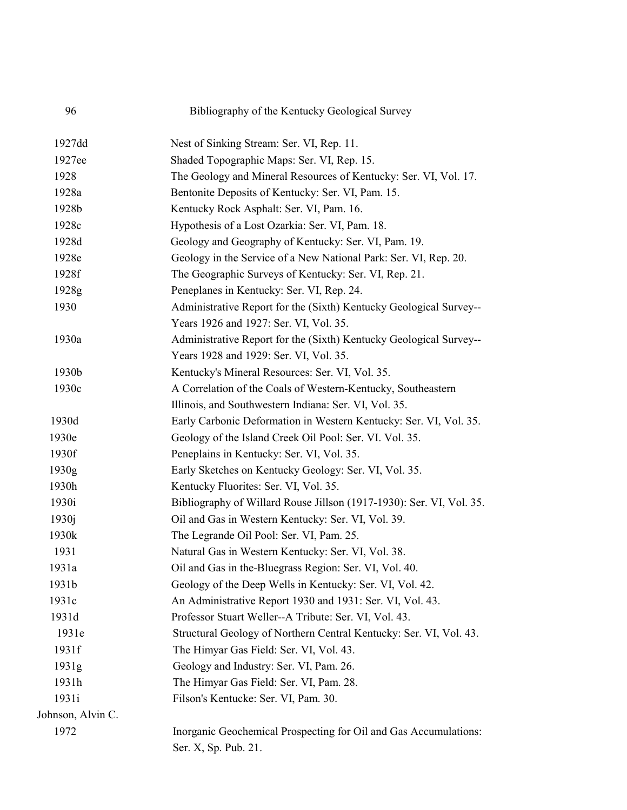| 96                | Bibliography of the Kentucky Geological Survey                       |
|-------------------|----------------------------------------------------------------------|
| 1927dd            | Nest of Sinking Stream: Ser. VI, Rep. 11.                            |
| 1927ee            | Shaded Topographic Maps: Ser. VI, Rep. 15.                           |
| 1928              | The Geology and Mineral Resources of Kentucky: Ser. VI, Vol. 17.     |
| 1928a             | Bentonite Deposits of Kentucky: Ser. VI, Pam. 15.                    |
| 1928b             | Kentucky Rock Asphalt: Ser. VI, Pam. 16.                             |
| 1928c             | Hypothesis of a Lost Ozarkia: Ser. VI, Pam. 18.                      |
| 1928d             | Geology and Geography of Kentucky: Ser. VI, Pam. 19.                 |
| 1928e             | Geology in the Service of a New National Park: Ser. VI, Rep. 20.     |
| 1928f             | The Geographic Surveys of Kentucky: Ser. VI, Rep. 21.                |
| 1928g             | Peneplanes in Kentucky: Ser. VI, Rep. 24.                            |
| 1930              | Administrative Report for the (Sixth) Kentucky Geological Survey--   |
|                   | Years 1926 and 1927: Ser. VI, Vol. 35.                               |
| 1930a             | Administrative Report for the (Sixth) Kentucky Geological Survey--   |
|                   | Years 1928 and 1929: Ser. VI, Vol. 35.                               |
| 1930b             | Kentucky's Mineral Resources: Ser. VI, Vol. 35.                      |
| 1930c             | A Correlation of the Coals of Western-Kentucky, Southeastern         |
|                   | Illinois, and Southwestern Indiana: Ser. VI, Vol. 35.                |
| 1930d             | Early Carbonic Deformation in Western Kentucky: Ser. VI, Vol. 35.    |
| 1930e             | Geology of the Island Creek Oil Pool: Ser. VI. Vol. 35.              |
| 1930f             | Peneplains in Kentucky: Ser. VI, Vol. 35.                            |
| 1930g             | Early Sketches on Kentucky Geology: Ser. VI, Vol. 35.                |
| 1930h             | Kentucky Fluorites: Ser. VI, Vol. 35.                                |
| 1930i             | Bibliography of Willard Rouse Jillson (1917-1930): Ser. VI, Vol. 35. |
| 1930j             | Oil and Gas in Western Kentucky: Ser. VI, Vol. 39.                   |
| 1930k             | The Legrande Oil Pool: Ser. VI, Pam. 25.                             |
| 1931              | Natural Gas in Western Kentucky: Ser. VI, Vol. 38.                   |
| 1931a             | Oil and Gas in the-Bluegrass Region: Ser. VI, Vol. 40.               |
| 1931b             | Geology of the Deep Wells in Kentucky: Ser. VI, Vol. 42.             |
| 1931c             | An Administrative Report 1930 and 1931: Ser. VI, Vol. 43.            |
| 1931d             | Professor Stuart Weller--A Tribute: Ser. VI, Vol. 43.                |
| 1931e             | Structural Geology of Northern Central Kentucky: Ser. VI, Vol. 43.   |
| 1931f             | The Himyar Gas Field: Ser. VI, Vol. 43.                              |
| 1931g             | Geology and Industry: Ser. VI, Pam. 26.                              |
| 1931h             | The Himyar Gas Field: Ser. VI, Pam. 28.                              |
| 1931i             | Filson's Kentucke: Ser. VI, Pam. 30.                                 |
| Johnson, Alvin C. |                                                                      |
| 1972              | Inorganic Geochemical Prospecting for Oil and Gas Accumulations:     |
|                   | Ser. X, Sp. Pub. 21.                                                 |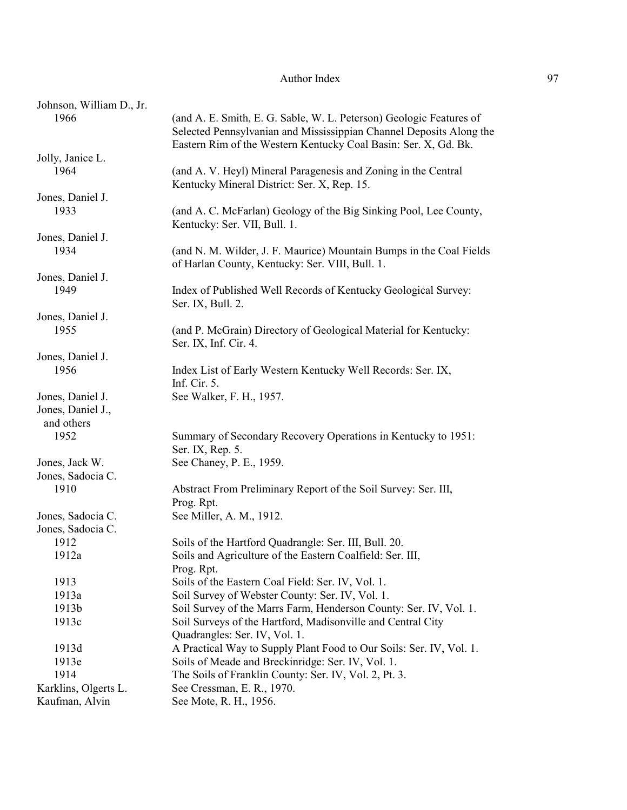| Johnson, William D., Jr. |                                                                                                                                            |
|--------------------------|--------------------------------------------------------------------------------------------------------------------------------------------|
| 1966                     | (and A. E. Smith, E. G. Sable, W. L. Peterson) Geologic Features of<br>Selected Pennsylvanian and Mississippian Channel Deposits Along the |
|                          | Eastern Rim of the Western Kentucky Coal Basin: Ser. X, Gd. Bk.                                                                            |
| Jolly, Janice L.         |                                                                                                                                            |
| 1964                     | (and A. V. Heyl) Mineral Paragenesis and Zoning in the Central                                                                             |
|                          | Kentucky Mineral District: Ser. X, Rep. 15.                                                                                                |
| Jones, Daniel J.         |                                                                                                                                            |
| 1933                     | (and A. C. McFarlan) Geology of the Big Sinking Pool, Lee County,                                                                          |
|                          | Kentucky: Ser. VII, Bull. 1.                                                                                                               |
| Jones, Daniel J.         |                                                                                                                                            |
| 1934                     | (and N. M. Wilder, J. F. Maurice) Mountain Bumps in the Coal Fields                                                                        |
|                          | of Harlan County, Kentucky: Ser. VIII, Bull. 1.                                                                                            |
| Jones, Daniel J.         |                                                                                                                                            |
| 1949                     | Index of Published Well Records of Kentucky Geological Survey:                                                                             |
|                          | Ser. IX, Bull. 2.                                                                                                                          |
| Jones, Daniel J.         |                                                                                                                                            |
| 1955                     | (and P. McGrain) Directory of Geological Material for Kentucky:                                                                            |
|                          | Ser. IX, Inf. Cir. 4.                                                                                                                      |
| Jones, Daniel J.         |                                                                                                                                            |
| 1956                     | Index List of Early Western Kentucky Well Records: Ser. IX,                                                                                |
|                          | Inf. Cir. 5.                                                                                                                               |
| Jones, Daniel J.         | See Walker, F. H., 1957.                                                                                                                   |
| Jones, Daniel J.,        |                                                                                                                                            |
| and others               |                                                                                                                                            |
| 1952                     | Summary of Secondary Recovery Operations in Kentucky to 1951:                                                                              |
|                          | Ser. IX, Rep. 5.                                                                                                                           |
| Jones, Jack W.           | See Chaney, P. E., 1959.                                                                                                                   |
| Jones, Sadocia C.        |                                                                                                                                            |
| 1910                     | Abstract From Preliminary Report of the Soil Survey: Ser. III,                                                                             |
|                          | Prog. Rpt.                                                                                                                                 |
| Jones, Sadocia C.        | See Miller, A. M., 1912.                                                                                                                   |
| Jones, Sadocia C.        |                                                                                                                                            |
| 1912                     | Soils of the Hartford Quadrangle: Ser. III, Bull. 20.                                                                                      |
| 1912a                    | Soils and Agriculture of the Eastern Coalfield: Ser. III,                                                                                  |
|                          |                                                                                                                                            |
| 1913                     | Prog. Rpt.<br>Soils of the Eastern Coal Field: Ser. IV, Vol. 1.                                                                            |
|                          |                                                                                                                                            |
| 1913a                    | Soil Survey of Webster County: Ser. IV, Vol. 1.                                                                                            |
| 1913b                    | Soil Survey of the Marrs Farm, Henderson County: Ser. IV, Vol. 1.                                                                          |
| 1913c                    | Soil Surveys of the Hartford, Madisonville and Central City                                                                                |
|                          | Quadrangles: Ser. IV, Vol. 1.                                                                                                              |
| 1913d                    | A Practical Way to Supply Plant Food to Our Soils: Ser. IV, Vol. 1.                                                                        |
| 1913e                    | Soils of Meade and Breckinridge: Ser. IV, Vol. 1.                                                                                          |
| 1914                     | The Soils of Franklin County: Ser. IV, Vol. 2, Pt. 3.                                                                                      |
| Karklins, Olgerts L.     | See Cressman, E. R., 1970.                                                                                                                 |
| Kaufman, Alvin           | See Mote, R. H., 1956.                                                                                                                     |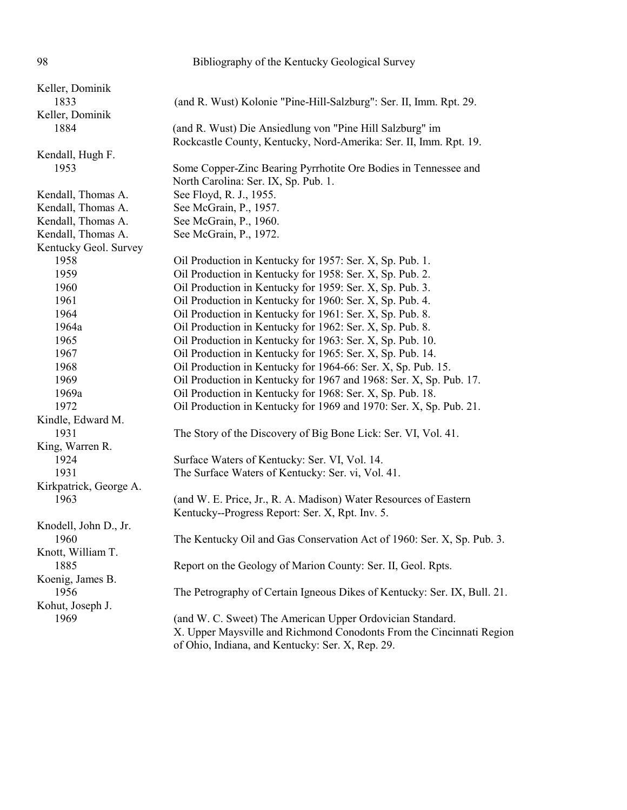98 Bibliography of the Kentucky Geological Survey Keller, Dominik 1833 (and R. Wust) Kolonie "Pine-Hill-Salzburg": Ser. II, Imm. Rpt. 29. Keller, Dominik 1884 (and R. Wust) Die Ansiedlung von "Pine Hill Salzburg" im Rockcastle County, Kentucky, Nord-Amerika: Ser. II, Imm. Rpt. 19. Kendall, Hugh F. 1953 Some Copper-Zinc Bearing Pyrrhotite Ore Bodies in Tennessee and North Carolina: Ser. IX, Sp. Pub. 1. Kendall, Thomas A. See Floyd, R. J., 1955. Kendall, Thomas A. See McGrain, P., 1957. Kendall, Thomas A. See McGrain, P., 1960. Kendall, Thomas A. See McGrain, P., 1972. Kentucky Geol. Survey 1958 Oil Production in Kentucky for 1957: Ser. X, Sp. Pub. 1. 1959 Oil Production in Kentucky for 1958: Ser. X, Sp. Pub. 2. 1960 Oil Production in Kentucky for 1959: Ser. X, Sp. Pub. 3. 1961 Oil Production in Kentucky for 1960: Ser. X, Sp. Pub. 4. 1964 Oil Production in Kentucky for 1961: Ser. X, Sp. Pub. 8. 1964a Oil Production in Kentucky for 1962: Ser. X, Sp. Pub. 8. 1965 Oil Production in Kentucky for 1963: Ser. X, Sp. Pub. 10. 1967 Oil Production in Kentucky for 1965: Ser. X, Sp. Pub. 14. 1968 Oil Production in Kentucky for 1964-66: Ser. X, Sp. Pub. 15. 1969 Oil Production in Kentucky for 1967 and 1968: Ser. X, Sp. Pub. 17. 1969a Oil Production in Kentucky for 1968: Ser. X, Sp. Pub. 18. 1972 Oil Production in Kentucky for 1969 and 1970: Ser. X, Sp. Pub. 21. Kindle, Edward M. 1931 The Story of the Discovery of Big Bone Lick: Ser. VI, Vol. 41. King, Warren R. 1924 Surface Waters of Kentucky: Ser. VI, Vol. 14. 1931 The Surface Waters of Kentucky: Ser. vi, Vol. 41. Kirkpatrick, George A. 1963 (and W. E. Price, Jr., R. A. Madison) Water Resources of Eastern Kentucky--Progress Report: Ser. X, Rpt. Inv. 5. Knodell, John D., Jr. 1960 The Kentucky Oil and Gas Conservation Act of 1960: Ser. X, Sp. Pub. 3. Knott, William T. 1885 Report on the Geology of Marion County: Ser. II, Geol. Rpts. Koenig, James B. 1956 The Petrography of Certain Igneous Dikes of Kentucky: Ser. IX, Bull. 21. Kohut, Joseph J. 1969 (and W. C. Sweet) The American Upper Ordovician Standard. X. Upper Maysville and Richmond Conodonts From the Cincinnati Region

of Ohio, Indiana, and Kentucky: Ser. X, Rep. 29.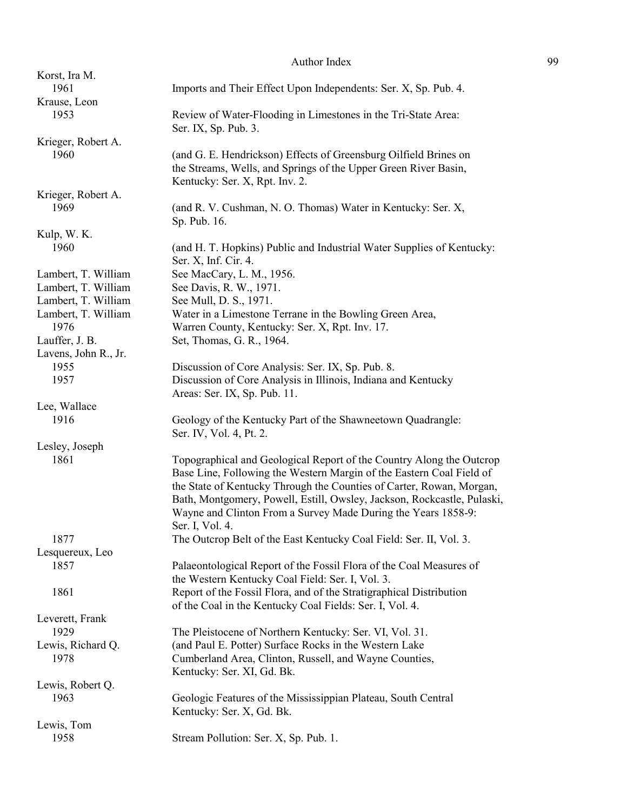| Korst, Ira M.        |                                                                         |
|----------------------|-------------------------------------------------------------------------|
| 1961                 | Imports and Their Effect Upon Independents: Ser. X, Sp. Pub. 4.         |
| Krause, Leon         |                                                                         |
| 1953                 | Review of Water-Flooding in Limestones in the Tri-State Area:           |
|                      | Ser. IX, Sp. Pub. 3.                                                    |
| Krieger, Robert A.   |                                                                         |
| 1960                 | (and G. E. Hendrickson) Effects of Greensburg Oilfield Brines on        |
|                      | the Streams, Wells, and Springs of the Upper Green River Basin,         |
|                      | Kentucky: Ser. X, Rpt. Inv. 2.                                          |
| Krieger, Robert A.   |                                                                         |
| 1969                 | (and R. V. Cushman, N. O. Thomas) Water in Kentucky: Ser. X,            |
|                      | Sp. Pub. 16.                                                            |
| Kulp, W. K.          |                                                                         |
| 1960                 | (and H. T. Hopkins) Public and Industrial Water Supplies of Kentucky:   |
|                      |                                                                         |
|                      | Ser. X, Inf. Cir. 4.                                                    |
| Lambert, T. William  | See MacCary, L. M., 1956.                                               |
| Lambert, T. William  | See Davis, R. W., 1971.                                                 |
| Lambert, T. William  | See Mull, D. S., 1971.                                                  |
| Lambert, T. William  | Water in a Limestone Terrane in the Bowling Green Area,                 |
| 1976                 | Warren County, Kentucky: Ser. X, Rpt. Inv. 17.                          |
| Lauffer, J. B.       | Set, Thomas, G. R., 1964.                                               |
| Lavens, John R., Jr. |                                                                         |
| 1955                 | Discussion of Core Analysis: Ser. IX, Sp. Pub. 8.                       |
| 1957                 | Discussion of Core Analysis in Illinois, Indiana and Kentucky           |
|                      | Areas: Ser. IX, Sp. Pub. 11.                                            |
| Lee, Wallace         |                                                                         |
| 1916                 | Geology of the Kentucky Part of the Shawneetown Quadrangle:             |
|                      | Ser. IV, Vol. 4, Pt. 2.                                                 |
| Lesley, Joseph       |                                                                         |
| 1861                 | Topographical and Geological Report of the Country Along the Outcrop    |
|                      | Base Line, Following the Western Margin of the Eastern Coal Field of    |
|                      | the State of Kentucky Through the Counties of Carter, Rowan, Morgan,    |
|                      | Bath, Montgomery, Powell, Estill, Owsley, Jackson, Rockcastle, Pulaski, |
|                      | Wayne and Clinton From a Survey Made During the Years 1858-9:           |
|                      | Ser. I. Vol. 4.                                                         |
| 1877                 | The Outcrop Belt of the East Kentucky Coal Field: Ser. II, Vol. 3.      |
| Lesquereux, Leo      |                                                                         |
| 1857                 | Palaeontological Report of the Fossil Flora of the Coal Measures of     |
|                      | the Western Kentucky Coal Field: Ser. I, Vol. 3.                        |
| 1861                 | Report of the Fossil Flora, and of the Stratigraphical Distribution     |
|                      | of the Coal in the Kentucky Coal Fields: Ser. I, Vol. 4.                |
| Leverett, Frank      |                                                                         |
| 1929                 | The Pleistocene of Northern Kentucky: Ser. VI, Vol. 31.                 |
| Lewis, Richard Q.    | (and Paul E. Potter) Surface Rocks in the Western Lake                  |
| 1978                 |                                                                         |
|                      | Cumberland Area, Clinton, Russell, and Wayne Counties,                  |
|                      | Kentucky: Ser. XI, Gd. Bk.                                              |
| Lewis, Robert Q.     |                                                                         |
| 1963                 | Geologic Features of the Mississippian Plateau, South Central           |
|                      | Kentucky: Ser. X, Gd. Bk.                                               |
| Lewis, Tom           |                                                                         |
| 1958                 | Stream Pollution: Ser. X, Sp. Pub. 1.                                   |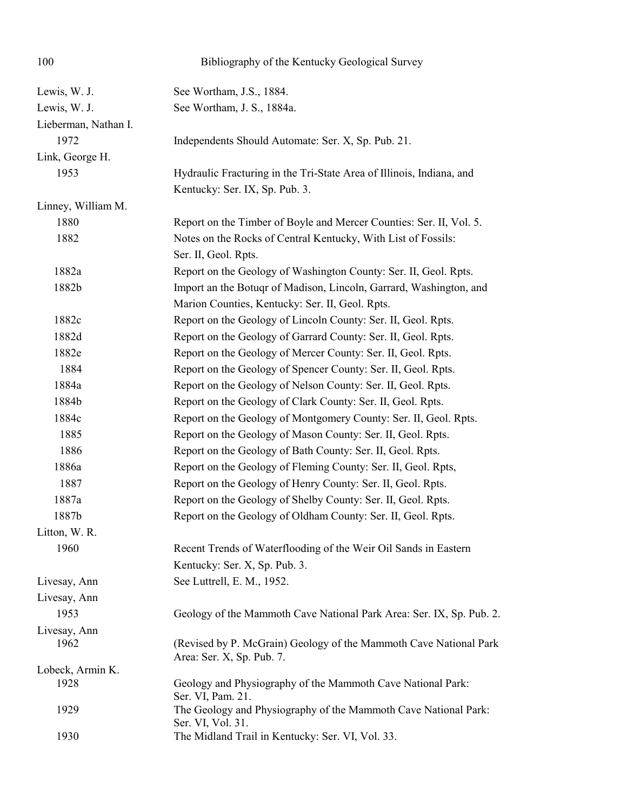| 100                  | Bibliography of the Kentucky Geological Survey                                                 |
|----------------------|------------------------------------------------------------------------------------------------|
| Lewis, W. J.         | See Wortham, J.S., 1884.                                                                       |
| Lewis, W. J.         | See Wortham, J. S., 1884a.                                                                     |
| Lieberman, Nathan I. |                                                                                                |
| 1972                 | Independents Should Automate: Ser. X, Sp. Pub. 21.                                             |
| Link, George H.      |                                                                                                |
| 1953                 | Hydraulic Fracturing in the Tri-State Area of Illinois, Indiana, and                           |
|                      | Kentucky: Ser. IX, Sp. Pub. 3.                                                                 |
| Linney, William M.   |                                                                                                |
| 1880                 | Report on the Timber of Boyle and Mercer Counties: Ser. II, Vol. 5.                            |
| 1882                 | Notes on the Rocks of Central Kentucky, With List of Fossils:                                  |
|                      | Ser. II, Geol. Rpts.                                                                           |
| 1882a                | Report on the Geology of Washington County: Ser. II, Geol. Rpts.                               |
| 1882b                | Import an the Botuqr of Madison, Lincoln, Garrard, Washington, and                             |
|                      | Marion Counties, Kentucky: Ser. II, Geol. Rpts.                                                |
| 1882c                | Report on the Geology of Lincoln County: Ser. II, Geol. Rpts.                                  |
| 1882d                | Report on the Geology of Garrard County: Ser. II, Geol. Rpts.                                  |
| 1882e                | Report on the Geology of Mercer County: Ser. II, Geol. Rpts.                                   |
| 1884                 | Report on the Geology of Spencer County: Ser. II, Geol. Rpts.                                  |
| 1884a                | Report on the Geology of Nelson County: Ser. II, Geol. Rpts.                                   |
| 1884b                | Report on the Geology of Clark County: Ser. II, Geol. Rpts.                                    |
| 1884c                | Report on the Geology of Montgomery County: Ser. II, Geol. Rpts.                               |
| 1885                 | Report on the Geology of Mason County: Ser. II, Geol. Rpts.                                    |
| 1886                 | Report on the Geology of Bath County: Ser. II, Geol. Rpts.                                     |
| 1886a                | Report on the Geology of Fleming County: Ser. II, Geol. Rpts,                                  |
| 1887                 | Report on the Geology of Henry County: Ser. II, Geol. Rpts.                                    |
| 1887a                | Report on the Geology of Shelby County: Ser. II, Geol. Rpts.                                   |
| 1887b                | Report on the Geology of Oldham County: Ser. II, Geol. Rpts.                                   |
| Litton, W. R.        |                                                                                                |
| 1960                 | Recent Trends of Waterflooding of the Weir Oil Sands in Eastern                                |
|                      | Kentucky: Ser. X, Sp. Pub. 3.                                                                  |
| Livesay, Ann         | See Luttrell, E. M., 1952.                                                                     |
| Livesay, Ann         |                                                                                                |
| 1953                 | Geology of the Mammoth Cave National Park Area: Ser. IX, Sp. Pub. 2.                           |
| Livesay, Ann         |                                                                                                |
| 1962                 | (Revised by P. McGrain) Geology of the Mammoth Cave National Park<br>Area: Ser. X, Sp. Pub. 7. |
| Lobeck, Armin K.     |                                                                                                |
| 1928                 | Geology and Physiography of the Mammoth Cave National Park:<br>Ser. VI, Pam. 21.               |
| 1929                 | The Geology and Physiography of the Mammoth Cave National Park:<br>Ser. VI, Vol. 31.           |
| 1930                 | The Midland Trail in Kentucky: Ser. VI, Vol. 33.                                               |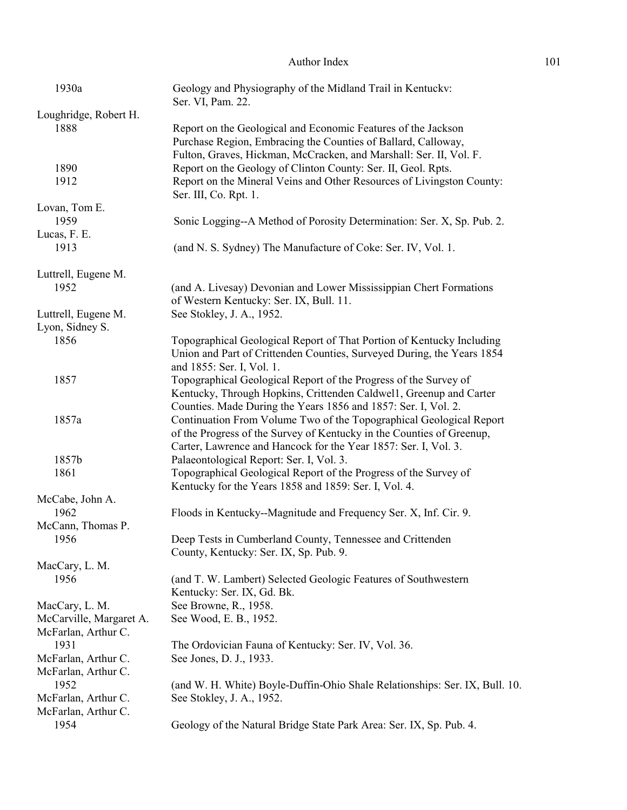| 1930a                   | Geology and Physiography of the Midland Trail in Kentucky:<br>Ser. VI, Pam. 22. |
|-------------------------|---------------------------------------------------------------------------------|
| Loughridge, Robert H.   |                                                                                 |
| 1888                    | Report on the Geological and Economic Features of the Jackson                   |
|                         | Purchase Region, Embracing the Counties of Ballard, Calloway,                   |
|                         |                                                                                 |
|                         | Fulton, Graves, Hickman, McCracken, and Marshall: Ser. II, Vol. F.              |
| 1890                    | Report on the Geology of Clinton County: Ser. II, Geol. Rpts.                   |
| 1912                    | Report on the Mineral Veins and Other Resources of Livingston County:           |
|                         | Ser. III, Co. Rpt. 1.                                                           |
| Lovan, Tom E.           |                                                                                 |
| 1959                    | Sonic Logging--A Method of Porosity Determination: Ser. X, Sp. Pub. 2.          |
| Lucas, F. E.            |                                                                                 |
| 1913                    |                                                                                 |
|                         | (and N. S. Sydney) The Manufacture of Coke: Ser. IV, Vol. 1.                    |
| Luttrell, Eugene M.     |                                                                                 |
| 1952                    | (and A. Livesay) Devonian and Lower Mississippian Chert Formations              |
|                         | of Western Kentucky: Ser. IX, Bull. 11.                                         |
|                         |                                                                                 |
| Luttrell, Eugene M.     | See Stokley, J. A., 1952.                                                       |
| Lyon, Sidney S.         |                                                                                 |
| 1856                    | Topographical Geological Report of That Portion of Kentucky Including           |
|                         | Union and Part of Crittenden Counties, Surveyed During, the Years 1854          |
|                         | and 1855: Ser. I, Vol. 1.                                                       |
| 1857                    | Topographical Geological Report of the Progress of the Survey of                |
|                         | Kentucky, Through Hopkins, Crittenden Caldwel1, Greenup and Carter              |
|                         | Counties. Made During the Years 1856 and 1857: Ser. I, Vol. 2.                  |
|                         |                                                                                 |
| 1857a                   | Continuation From Volume Two of the Topographical Geological Report             |
|                         | of the Progress of the Survey of Kentucky in the Counties of Greenup,           |
|                         | Carter, Lawrence and Hancock for the Year 1857: Ser. I, Vol. 3.                 |
| 1857b                   | Palaeontological Report: Ser. I, Vol. 3.                                        |
| 1861                    | Topographical Geological Report of the Progress of the Survey of                |
|                         | Kentucky for the Years 1858 and 1859: Ser. I, Vol. 4.                           |
| McCabe, John A.         |                                                                                 |
| 1962                    | Floods in Kentucky--Magnitude and Frequency Ser. X, Inf. Cir. 9.                |
| McCann, Thomas P.       |                                                                                 |
|                         |                                                                                 |
| 1956                    | Deep Tests in Cumberland County, Tennessee and Crittenden                       |
|                         | County, Kentucky: Ser. IX, Sp. Pub. 9.                                          |
| MacCary, L. M.          |                                                                                 |
| 1956                    | (and T. W. Lambert) Selected Geologic Features of Southwestern                  |
|                         | Kentucky: Ser. IX, Gd. Bk.                                                      |
| MacCary, L. M.          | See Browne, R., 1958.                                                           |
| McCarville, Margaret A. | See Wood, E. B., 1952.                                                          |
| McFarlan, Arthur C.     |                                                                                 |
|                         |                                                                                 |
| 1931                    | The Ordovician Fauna of Kentucky: Ser. IV, Vol. 36.                             |
| McFarlan, Arthur C.     | See Jones, D. J., 1933.                                                         |
| McFarlan, Arthur C.     |                                                                                 |
| 1952                    | (and W. H. White) Boyle-Duffin-Ohio Shale Relationships: Ser. IX, Bull. 10.     |
| McFarlan, Arthur C.     | See Stokley, J. A., 1952.                                                       |
| McFarlan, Arthur C.     |                                                                                 |
| 1954                    | Geology of the Natural Bridge State Park Area: Ser. IX, Sp. Pub. 4.             |
|                         |                                                                                 |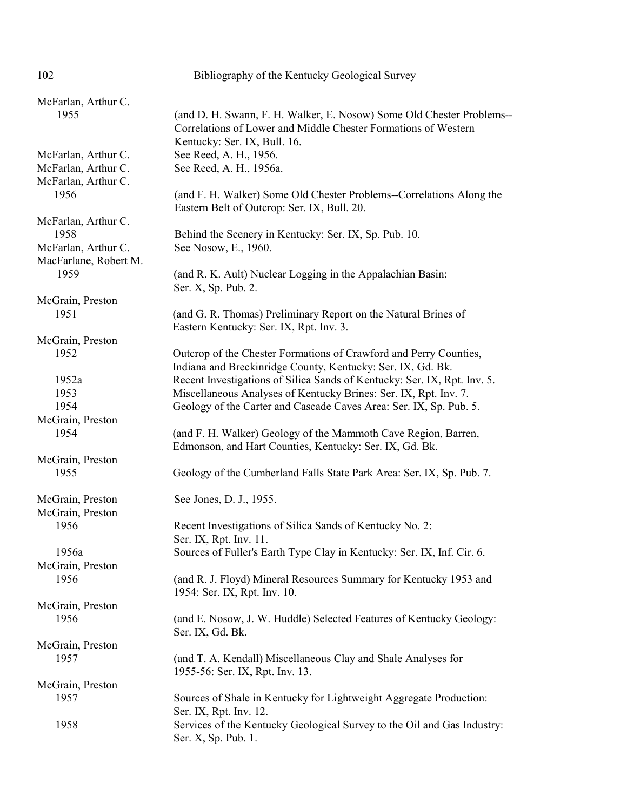| 102                                        | Bibliography of the Kentucky Geological Survey                                                                                          |
|--------------------------------------------|-----------------------------------------------------------------------------------------------------------------------------------------|
| McFarlan, Arthur C.                        |                                                                                                                                         |
| 1955                                       | (and D. H. Swann, F. H. Walker, E. Nosow) Some Old Chester Problems--                                                                   |
|                                            | Correlations of Lower and Middle Chester Formations of Western                                                                          |
|                                            | Kentucky: Ser. IX, Bull. 16.                                                                                                            |
| McFarlan, Arthur C.                        | See Reed, A. H., 1956.                                                                                                                  |
| McFarlan, Arthur C.<br>McFarlan, Arthur C. | See Reed, A. H., 1956a.                                                                                                                 |
| 1956                                       | (and F. H. Walker) Some Old Chester Problems--Correlations Along the                                                                    |
|                                            | Eastern Belt of Outcrop: Ser. IX, Bull. 20.                                                                                             |
| McFarlan, Arthur C.                        |                                                                                                                                         |
| 1958                                       | Behind the Scenery in Kentucky: Ser. IX, Sp. Pub. 10.                                                                                   |
| McFarlan, Arthur C.                        | See Nosow, E., 1960.                                                                                                                    |
| MacFarlane, Robert M.                      |                                                                                                                                         |
| 1959                                       | (and R. K. Ault) Nuclear Logging in the Appalachian Basin:<br>Ser. X, Sp. Pub. 2.                                                       |
| McGrain, Preston                           |                                                                                                                                         |
| 1951                                       | (and G. R. Thomas) Preliminary Report on the Natural Brines of<br>Eastern Kentucky: Ser. IX, Rpt. Inv. 3.                               |
| McGrain, Preston                           |                                                                                                                                         |
| 1952                                       | Outcrop of the Chester Formations of Crawford and Perry Counties,                                                                       |
| 1952a                                      | Indiana and Breckinridge County, Kentucky: Ser. IX, Gd. Bk.<br>Recent Investigations of Silica Sands of Kentucky: Ser. IX, Rpt. Inv. 5. |
| 1953                                       | Miscellaneous Analyses of Kentucky Brines: Ser. IX, Rpt. Inv. 7.                                                                        |
| 1954                                       | Geology of the Carter and Cascade Caves Area: Ser. IX, Sp. Pub. 5.                                                                      |
| McGrain, Preston                           |                                                                                                                                         |
| 1954                                       | (and F. H. Walker) Geology of the Mammoth Cave Region, Barren,                                                                          |
|                                            | Edmonson, and Hart Counties, Kentucky: Ser. IX, Gd. Bk.                                                                                 |
| McGrain, Preston                           |                                                                                                                                         |
| 1955                                       | Geology of the Cumberland Falls State Park Area: Ser. IX, Sp. Pub. 7.                                                                   |
| McGrain, Preston                           | See Jones, D. J., 1955.                                                                                                                 |
| McGrain, Preston                           |                                                                                                                                         |
| 1956                                       | Recent Investigations of Silica Sands of Kentucky No. 2:<br>Ser. IX, Rpt. Inv. 11.                                                      |
| 1956a                                      | Sources of Fuller's Earth Type Clay in Kentucky: Ser. IX, Inf. Cir. 6.                                                                  |
| McGrain, Preston                           |                                                                                                                                         |
| 1956                                       | (and R. J. Floyd) Mineral Resources Summary for Kentucky 1953 and<br>1954: Ser. IX, Rpt. Inv. 10.                                       |
| McGrain, Preston                           |                                                                                                                                         |
| 1956                                       | (and E. Nosow, J. W. Huddle) Selected Features of Kentucky Geology:<br>Ser. IX, Gd. Bk.                                                 |
| McGrain, Preston                           |                                                                                                                                         |
| 1957                                       | (and T. A. Kendall) Miscellaneous Clay and Shale Analyses for<br>1955-56: Ser. IX, Rpt. Inv. 13.                                        |
| McGrain, Preston                           |                                                                                                                                         |
| 1957                                       | Sources of Shale in Kentucky for Lightweight Aggregate Production:<br>Ser. IX, Rpt. Inv. 12.                                            |
| 1958                                       | Services of the Kentucky Geological Survey to the Oil and Gas Industry:<br>Ser. X, Sp. Pub. 1.                                          |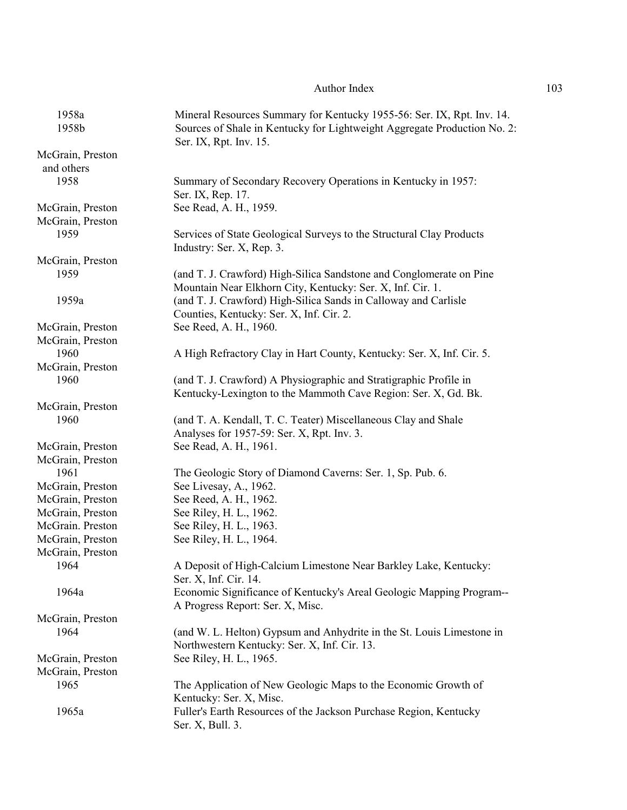| 1958a                                | Mineral Resources Summary for Kentucky 1955-56: Ser. IX, Rpt. Inv. 14.                                                              |
|--------------------------------------|-------------------------------------------------------------------------------------------------------------------------------------|
| 1958b                                | Sources of Shale in Kentucky for Lightweight Aggregate Production No. 2:<br>Ser. IX, Rpt. Inv. 15.                                  |
| McGrain, Preston<br>and others       |                                                                                                                                     |
| 1958                                 | Summary of Secondary Recovery Operations in Kentucky in 1957:<br>Ser. IX, Rep. 17.                                                  |
| McGrain, Preston<br>McGrain, Preston | See Read, A. H., 1959.                                                                                                              |
| 1959                                 | Services of State Geological Surveys to the Structural Clay Products<br>Industry: Ser. X, Rep. 3.                                   |
| McGrain, Preston                     |                                                                                                                                     |
| 1959                                 | (and T. J. Crawford) High-Silica Sandstone and Conglomerate on Pine<br>Mountain Near Elkhorn City, Kentucky: Ser. X, Inf. Cir. 1.   |
| 1959a                                | (and T. J. Crawford) High-Silica Sands in Calloway and Carlisle<br>Counties, Kentucky: Ser. X, Inf. Cir. 2.                         |
| McGrain, Preston                     | See Reed, A. H., 1960.                                                                                                              |
| McGrain, Preston                     |                                                                                                                                     |
| 1960                                 | A High Refractory Clay in Hart County, Kentucky: Ser. X, Inf. Cir. 5.                                                               |
| McGrain, Preston                     |                                                                                                                                     |
| 1960                                 | (and T. J. Crawford) A Physiographic and Stratigraphic Profile in<br>Kentucky-Lexington to the Mammoth Cave Region: Ser. X, Gd. Bk. |
| McGrain, Preston                     |                                                                                                                                     |
| 1960                                 | (and T. A. Kendall, T. C. Teater) Miscellaneous Clay and Shale<br>Analyses for 1957-59: Ser. X, Rpt. Inv. 3.                        |
| McGrain, Preston                     | See Read, A. H., 1961.                                                                                                              |
| McGrain, Preston                     |                                                                                                                                     |
| 1961                                 | The Geologic Story of Diamond Caverns: Ser. 1, Sp. Pub. 6.                                                                          |
| McGrain, Preston                     | See Livesay, A., 1962.                                                                                                              |
| McGrain, Preston                     | See Reed, A. H., 1962.                                                                                                              |
| McGrain, Preston                     | See Riley, H. L., 1962.                                                                                                             |
| McGrain. Preston                     | See Riley, H. L., 1963.                                                                                                             |
| McGrain, Preston                     | See Riley, H. L., 1964.                                                                                                             |
| McGrain, Preston                     |                                                                                                                                     |
| 1964                                 | A Deposit of High-Calcium Limestone Near Barkley Lake, Kentucky:<br>Ser. X, Inf. Cir. 14.                                           |
| 1964a                                | Economic Significance of Kentucky's Areal Geologic Mapping Program--<br>A Progress Report: Ser. X, Misc.                            |
| McGrain, Preston                     |                                                                                                                                     |
| 1964                                 | (and W. L. Helton) Gypsum and Anhydrite in the St. Louis Limestone in<br>Northwestern Kentucky: Ser. X, Inf. Cir. 13.               |
| McGrain, Preston                     | See Riley, H. L., 1965.                                                                                                             |
| McGrain, Preston                     |                                                                                                                                     |
| 1965                                 | The Application of New Geologic Maps to the Economic Growth of<br>Kentucky: Ser. X, Misc.                                           |
| 1965a                                | Fuller's Earth Resources of the Jackson Purchase Region, Kentucky<br>Ser. X, Bull. 3.                                               |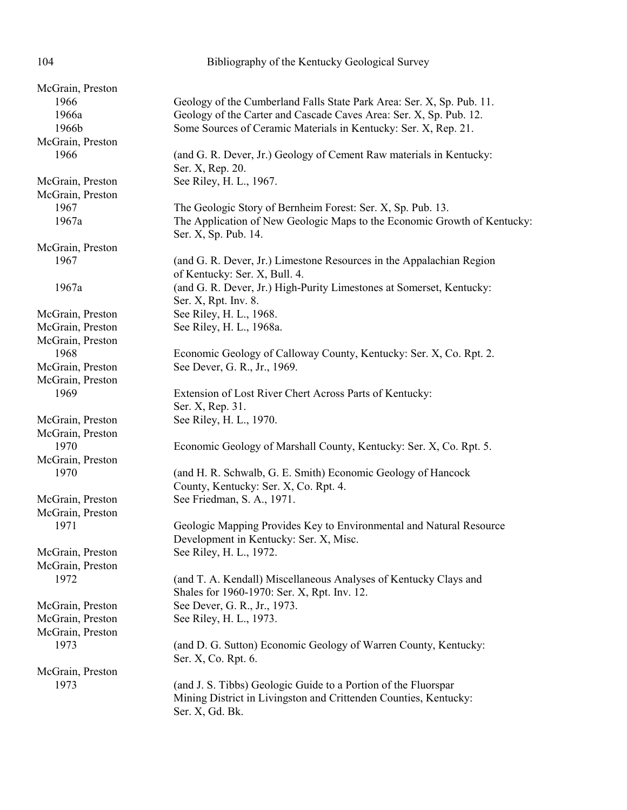| 104                      | Bibliography of the Kentucky Geological Survey                           |
|--------------------------|--------------------------------------------------------------------------|
|                          |                                                                          |
| McGrain, Preston<br>1966 |                                                                          |
| 1966a                    | Geology of the Cumberland Falls State Park Area: Ser. X, Sp. Pub. 11.    |
|                          | Geology of the Carter and Cascade Caves Area: Ser. X, Sp. Pub. 12.       |
| 1966b                    | Some Sources of Ceramic Materials in Kentucky: Ser. X, Rep. 21.          |
| McGrain, Preston         |                                                                          |
| 1966                     | (and G. R. Dever, Jr.) Geology of Cement Raw materials in Kentucky:      |
|                          | Ser. X, Rep. 20.                                                         |
| McGrain, Preston         | See Riley, H. L., 1967.                                                  |
| McGrain, Preston         |                                                                          |
| 1967                     | The Geologic Story of Bernheim Forest: Ser. X, Sp. Pub. 13.              |
| 1967a                    | The Application of New Geologic Maps to the Economic Growth of Kentucky: |
|                          | Ser. X, Sp. Pub. 14.                                                     |
| McGrain, Preston         |                                                                          |
| 1967                     | (and G. R. Dever, Jr.) Limestone Resources in the Appalachian Region     |
|                          | of Kentucky: Ser. X, Bull. 4.                                            |
| 1967a                    | (and G. R. Dever, Jr.) High-Purity Limestones at Somerset, Kentucky:     |
|                          | Ser. X, Rpt. Inv. 8.                                                     |
| McGrain, Preston         | See Riley, H. L., 1968.                                                  |
| McGrain, Preston         | See Riley, H. L., 1968a.                                                 |
| McGrain, Preston         |                                                                          |
| 1968                     | Economic Geology of Calloway County, Kentucky: Ser. X, Co. Rpt. 2.       |
| McGrain, Preston         | See Dever, G. R., Jr., 1969.                                             |
| McGrain, Preston         |                                                                          |
| 1969                     | Extension of Lost River Chert Across Parts of Kentucky:                  |
|                          | Ser. X, Rep. 31.                                                         |
| McGrain, Preston         | See Riley, H. L., 1970.                                                  |
| McGrain, Preston         |                                                                          |
| 1970                     | Economic Geology of Marshall County, Kentucky: Ser. X, Co. Rpt. 5.       |
| McGrain, Preston         |                                                                          |
| 1970                     | (and H. R. Schwalb, G. E. Smith) Economic Geology of Hancock             |
|                          | County, Kentucky: Ser. X, Co. Rpt. 4.                                    |
| McGrain, Preston         | See Friedman, S. A., 1971.                                               |
| McGrain, Preston         |                                                                          |
| 1971                     | Geologic Mapping Provides Key to Environmental and Natural Resource      |
|                          | Development in Kentucky: Ser. X, Misc.                                   |
| McGrain, Preston         | See Riley, H. L., 1972.                                                  |
| McGrain, Preston         |                                                                          |
| 1972                     | (and T. A. Kendall) Miscellaneous Analyses of Kentucky Clays and         |
|                          | Shales for 1960-1970: Ser. X, Rpt. Inv. 12.                              |
| McGrain, Preston         | See Dever, G. R., Jr., 1973.                                             |
| McGrain, Preston         | See Riley, H. L., 1973.                                                  |
| McGrain, Preston         |                                                                          |
| 1973                     | (and D. G. Sutton) Economic Geology of Warren County, Kentucky:          |
|                          | Ser. X, Co. Rpt. 6.                                                      |
| McGrain, Preston         |                                                                          |
| 1973                     | (and J. S. Tibbs) Geologic Guide to a Portion of the Fluorspar           |
|                          | Mining District in Livingston and Crittenden Counties, Kentucky:         |
|                          | Ser. X, Gd. Bk.                                                          |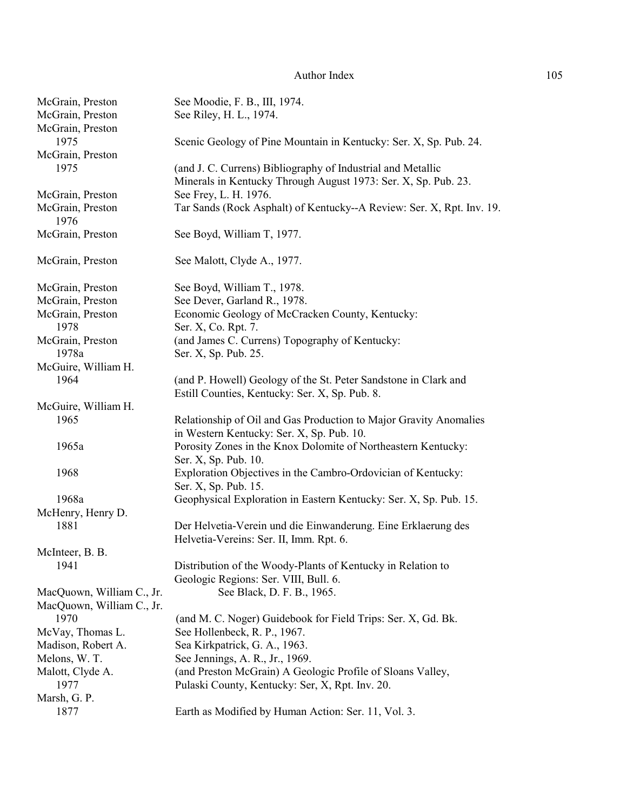| McGrain, Preston          | See Moodie, F. B., III, 1974.                                         |
|---------------------------|-----------------------------------------------------------------------|
| McGrain, Preston          | See Riley, H. L., 1974.                                               |
| McGrain, Preston          |                                                                       |
| 1975                      | Scenic Geology of Pine Mountain in Kentucky: Ser. X, Sp. Pub. 24.     |
| McGrain, Preston          |                                                                       |
| 1975                      | (and J. C. Currens) Bibliography of Industrial and Metallic           |
|                           | Minerals in Kentucky Through August 1973: Ser. X, Sp. Pub. 23.        |
| McGrain, Preston          | See Frey, L. H. 1976.                                                 |
| McGrain, Preston          | Tar Sands (Rock Asphalt) of Kentucky--A Review: Ser. X, Rpt. Inv. 19. |
| 1976                      |                                                                       |
| McGrain, Preston          | See Boyd, William T, 1977.                                            |
| McGrain, Preston          | See Malott, Clyde A., 1977.                                           |
| McGrain, Preston          | See Boyd, William T., 1978.                                           |
| McGrain, Preston          | See Dever, Garland R., 1978.                                          |
| McGrain, Preston          | Economic Geology of McCracken County, Kentucky:                       |
| 1978                      | Ser. X, Co. Rpt. 7.                                                   |
| McGrain, Preston          | (and James C. Currens) Topography of Kentucky:                        |
| 1978a                     | Ser. X, Sp. Pub. 25.                                                  |
| McGuire, William H.       |                                                                       |
| 1964                      | (and P. Howell) Geology of the St. Peter Sandstone in Clark and       |
|                           | Estill Counties, Kentucky: Ser. X, Sp. Pub. 8.                        |
| McGuire, William H.       |                                                                       |
| 1965                      | Relationship of Oil and Gas Production to Major Gravity Anomalies     |
|                           | in Western Kentucky: Ser. X, Sp. Pub. 10.                             |
| 1965a                     | Porosity Zones in the Knox Dolomite of Northeastern Kentucky:         |
|                           | Ser. X, Sp. Pub. 10.                                                  |
| 1968                      | Exploration Objectives in the Cambro-Ordovician of Kentucky:          |
|                           | Ser. X, Sp. Pub. 15.                                                  |
| 1968a                     | Geophysical Exploration in Eastern Kentucky: Ser. X, Sp. Pub. 15.     |
| McHenry, Henry D.         |                                                                       |
| 1881                      | Der Helvetia-Verein und die Einwanderung. Eine Erklaerung des         |
|                           | Helvetia-Vereins: Ser. II, Imm. Rpt. 6.                               |
| McInteer, B. B.           |                                                                       |
| 1941                      | Distribution of the Woody-Plants of Kentucky in Relation to           |
|                           | Geologic Regions: Ser. VIII, Bull. 6.                                 |
| MacQuown, William C., Jr. | See Black, D. F. B., 1965.                                            |
| MacQuown, William C., Jr. |                                                                       |
| 1970                      | (and M. C. Noger) Guidebook for Field Trips: Ser. X, Gd. Bk.          |
| McVay, Thomas L.          | See Hollenbeck, R. P., 1967.                                          |
| Madison, Robert A.        | Sea Kirkpatrick, G. A., 1963.                                         |
| Melons, W. T.             | See Jennings, A. R., Jr., 1969.                                       |
| Malott, Clyde A.          | (and Preston McGrain) A Geologic Profile of Sloans Valley,            |
| 1977                      | Pulaski County, Kentucky: Ser, X, Rpt. Inv. 20.                       |
| Marsh, G. P.              |                                                                       |
| 1877                      | Earth as Modified by Human Action: Ser. 11, Vol. 3.                   |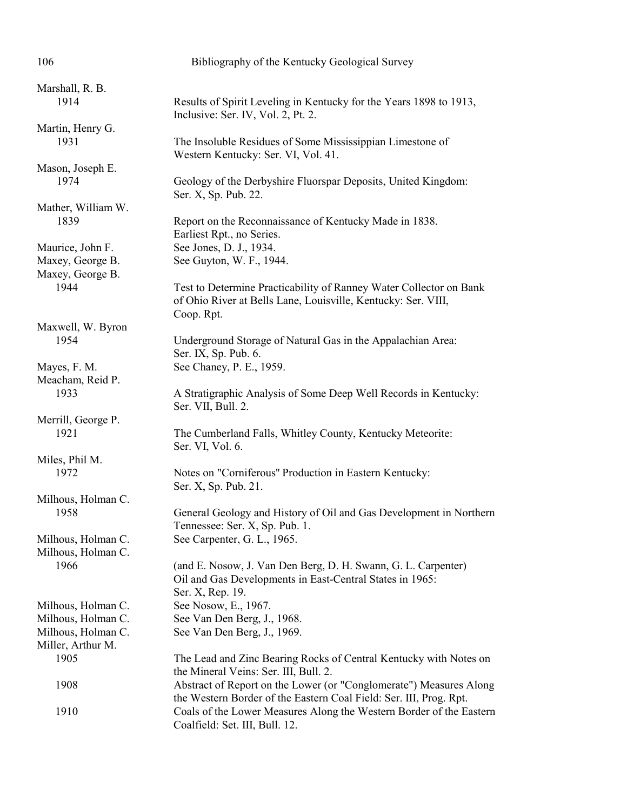| 106                                                            | Bibliography of the Kentucky Geological Survey                                                                                                    |
|----------------------------------------------------------------|---------------------------------------------------------------------------------------------------------------------------------------------------|
| Marshall, R. B.<br>1914                                        | Results of Spirit Leveling in Kentucky for the Years 1898 to 1913,<br>Inclusive: Ser. IV, Vol. 2, Pt. 2.                                          |
| Martin, Henry G.<br>1931                                       | The Insoluble Residues of Some Mississippian Limestone of<br>Western Kentucky: Ser. VI, Vol. 41.                                                  |
| Mason, Joseph E.<br>1974                                       | Geology of the Derbyshire Fluorspar Deposits, United Kingdom:<br>Ser. X, Sp. Pub. 22.                                                             |
| Mather, William W.<br>1839                                     | Report on the Reconnaissance of Kentucky Made in 1838.<br>Earliest Rpt., no Series.                                                               |
| Maurice, John F.<br>Maxey, George B.<br>Maxey, George B.       | See Jones, D. J., 1934.<br>See Guyton, W. F., 1944.                                                                                               |
| 1944                                                           | Test to Determine Practicability of Ranney Water Collector on Bank<br>of Ohio River at Bells Lane, Louisville, Kentucky: Ser. VIII,<br>Coop. Rpt. |
| Maxwell, W. Byron<br>1954                                      | Underground Storage of Natural Gas in the Appalachian Area:<br>Ser. IX, Sp. Pub. 6.                                                               |
| Mayes, F. M.<br>Meacham, Reid P.<br>1933                       | See Chaney, P. E., 1959.<br>A Stratigraphic Analysis of Some Deep Well Records in Kentucky:                                                       |
| Merrill, George P.                                             | Ser. VII, Bull. 2.                                                                                                                                |
| 1921                                                           | The Cumberland Falls, Whitley County, Kentucky Meteorite:<br>Ser. VI, Vol. 6.                                                                     |
| Miles, Phil M.<br>1972                                         | Notes on "Corniferous" Production in Eastern Kentucky:<br>Ser. X, Sp. Pub. 21.                                                                    |
| Milhous, Holman C.<br>1958                                     | General Geology and History of Oil and Gas Development in Northern<br>Tennessee: Ser. X, Sp. Pub. 1.                                              |
| Milhous, Holman C.<br>Milhous, Holman C.<br>1966               | See Carpenter, G. L., 1965.<br>(and E. Nosow, J. Van Den Berg, D. H. Swann, G. L. Carpenter)                                                      |
|                                                                | Oil and Gas Developments in East-Central States in 1965:<br>Ser. X, Rep. 19.                                                                      |
| Milhous, Holman C.<br>Milhous, Holman C.<br>Milhous, Holman C. | See Nosow, E., 1967.<br>See Van Den Berg, J., 1968.<br>See Van Den Berg, J., 1969.                                                                |
| Miller, Arthur M.<br>1905                                      | The Lead and Zinc Bearing Rocks of Central Kentucky with Notes on<br>the Mineral Veins: Ser. III, Bull. 2.                                        |
| 1908                                                           | Abstract of Report on the Lower (or "Conglomerate") Measures Along<br>the Western Border of the Eastern Coal Field: Ser. III, Prog. Rpt.          |
| 1910                                                           | Coals of the Lower Measures Along the Western Border of the Eastern<br>Coalfield: Set. III, Bull. 12.                                             |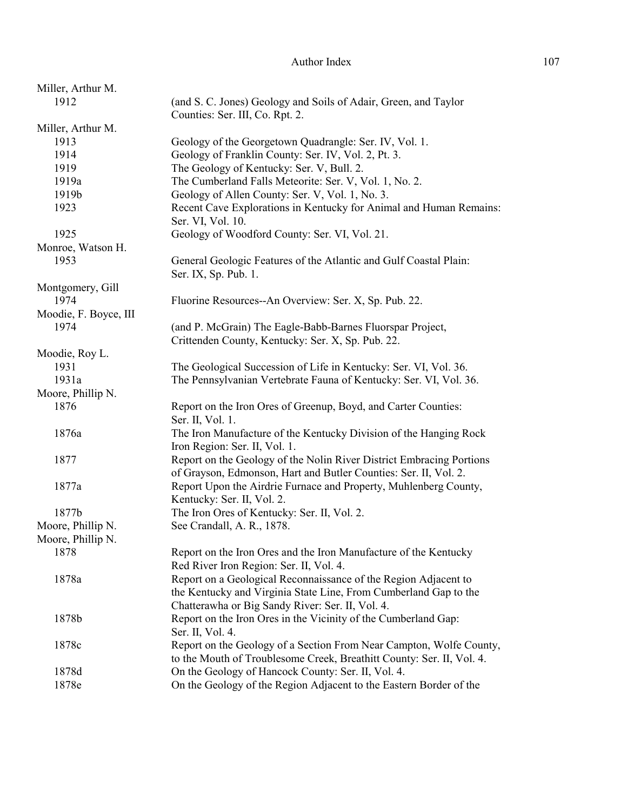| Miller, Arthur M.      |                                                                       |
|------------------------|-----------------------------------------------------------------------|
| 1912                   | (and S. C. Jones) Geology and Soils of Adair, Green, and Taylor       |
|                        | Counties: Ser. III, Co. Rpt. 2.                                       |
| Miller, Arthur M.      |                                                                       |
| 1913                   | Geology of the Georgetown Quadrangle: Ser. IV, Vol. 1.                |
| 1914                   | Geology of Franklin County: Ser. IV, Vol. 2, Pt. 3.                   |
| 1919                   | The Geology of Kentucky: Ser. V, Bull. 2.                             |
| 1919a                  | The Cumberland Falls Meteorite: Ser. V, Vol. 1, No. 2.                |
| 1919b                  | Geology of Allen County: Ser. V, Vol. 1, No. 3.                       |
| 1923                   | Recent Cave Explorations in Kentucky for Animal and Human Remains:    |
|                        | Ser. VI, Vol. 10.                                                     |
| 1925                   | Geology of Woodford County: Ser. VI, Vol. 21.                         |
| Monroe, Watson H.      |                                                                       |
| 1953                   | General Geologic Features of the Atlantic and Gulf Coastal Plain:     |
|                        | Ser. IX, Sp. Pub. 1.                                                  |
| Montgomery, Gill       |                                                                       |
| 1974                   | Fluorine Resources--An Overview: Ser. X, Sp. Pub. 22.                 |
| Moodie, F. Boyce, III  |                                                                       |
| 1974                   | (and P. McGrain) The Eagle-Babb-Barnes Fluorspar Project,             |
|                        | Crittenden County, Kentucky: Ser. X, Sp. Pub. 22.                     |
|                        |                                                                       |
| Moodie, Roy L.<br>1931 | The Geological Succession of Life in Kentucky: Ser. VI, Vol. 36.      |
| 1931a                  | The Pennsylvanian Vertebrate Fauna of Kentucky: Ser. VI, Vol. 36.     |
|                        |                                                                       |
| Moore, Phillip N.      |                                                                       |
| 1876                   | Report on the Iron Ores of Greenup, Boyd, and Carter Counties:        |
|                        | Ser. II, Vol. 1.                                                      |
| 1876a                  | The Iron Manufacture of the Kentucky Division of the Hanging Rock     |
|                        | Iron Region: Ser. II, Vol. 1.                                         |
| 1877                   | Report on the Geology of the Nolin River District Embracing Portions  |
|                        | of Grayson, Edmonson, Hart and Butler Counties: Ser. II, Vol. 2.      |
| 1877a                  | Report Upon the Airdrie Furnace and Property, Muhlenberg County,      |
|                        | Kentucky: Ser. II, Vol. 2.                                            |
| 1877b                  | The Iron Ores of Kentucky: Ser. II, Vol. 2.                           |
| Moore, Phillip N.      | See Crandall, A. R., 1878.                                            |
| Moore, Phillip N.      |                                                                       |
| 1878                   | Report on the Iron Ores and the Iron Manufacture of the Kentucky      |
|                        | Red River Iron Region: Ser. II, Vol. 4.                               |
| 1878a                  | Report on a Geological Reconnaissance of the Region Adjacent to       |
|                        | the Kentucky and Virginia State Line, From Cumberland Gap to the      |
|                        | Chatterawha or Big Sandy River: Ser. II, Vol. 4.                      |
| 1878b                  | Report on the Iron Ores in the Vicinity of the Cumberland Gap:        |
|                        | Ser. II, Vol. 4.                                                      |
| 1878c                  | Report on the Geology of a Section From Near Campton, Wolfe County,   |
|                        | to the Mouth of Troublesome Creek, Breathitt County: Ser. II, Vol. 4. |
| 1878d                  | On the Geology of Hancock County: Ser. II, Vol. 4.                    |
| 1878e                  | On the Geology of the Region Adjacent to the Eastern Border of the    |
|                        |                                                                       |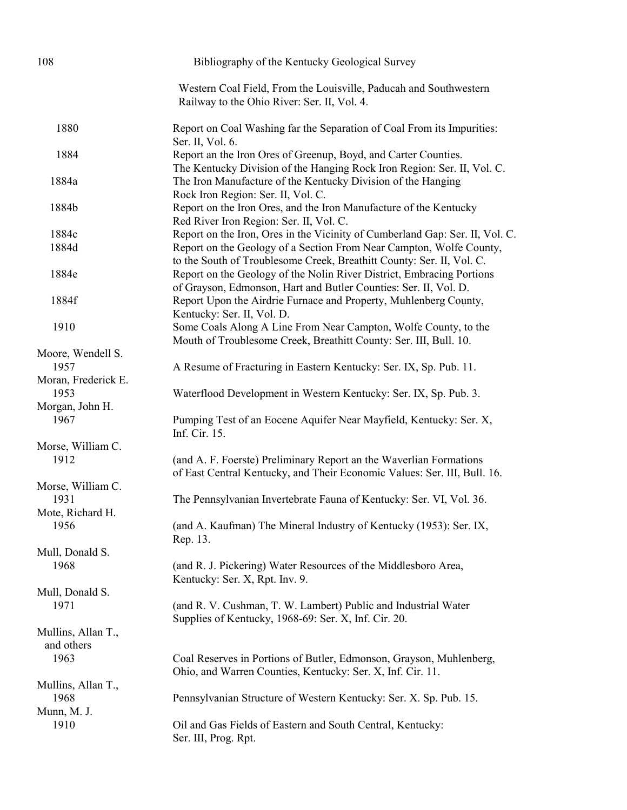| 108                              | Bibliography of the Kentucky Geological Survey                                                                                                 |
|----------------------------------|------------------------------------------------------------------------------------------------------------------------------------------------|
|                                  | Western Coal Field, From the Louisville, Paducah and Southwestern<br>Railway to the Ohio River: Ser. II, Vol. 4.                               |
| 1880                             | Report on Coal Washing far the Separation of Coal From its Impurities:<br>Ser. II, Vol. 6.                                                     |
| 1884                             | Report an the Iron Ores of Greenup, Boyd, and Carter Counties.<br>The Kentucky Division of the Hanging Rock Iron Region: Ser. II, Vol. C.      |
| 1884a                            | The Iron Manufacture of the Kentucky Division of the Hanging<br>Rock Iron Region: Ser. II, Vol. C.                                             |
| 1884b                            | Report on the Iron Ores, and the Iron Manufacture of the Kentucky<br>Red River Iron Region: Ser. II, Vol. C.                                   |
| 1884c                            | Report on the Iron, Ores in the Vicinity of Cumberland Gap: Ser. II, Vol. C.                                                                   |
| 1884d                            | Report on the Geology of a Section From Near Campton, Wolfe County,<br>to the South of Troublesome Creek, Breathitt County: Ser. II, Vol. C.   |
| 1884e                            | Report on the Geology of the Nolin River District, Embracing Portions<br>of Grayson, Edmonson, Hart and Butler Counties: Ser. II, Vol. D.      |
| 1884f                            | Report Upon the Airdrie Furnace and Property, Muhlenberg County,<br>Kentucky: Ser. II, Vol. D.                                                 |
| 1910                             | Some Coals Along A Line From Near Campton, Wolfe County, to the<br>Mouth of Troublesome Creek, Breathitt County: Ser. III, Bull. 10.           |
| Moore, Wendell S.                |                                                                                                                                                |
| 1957                             | A Resume of Fracturing in Eastern Kentucky: Ser. IX, Sp. Pub. 11.                                                                              |
| Moran, Frederick E.              |                                                                                                                                                |
| 1953                             | Waterflood Development in Western Kentucky: Ser. IX, Sp. Pub. 3.                                                                               |
|                                  |                                                                                                                                                |
| Morgan, John H.<br>1967          | Pumping Test of an Eocene Aquifer Near Mayfield, Kentucky: Ser. X,<br>Inf. Cir. 15.                                                            |
| Morse, William C.                |                                                                                                                                                |
| 1912                             | (and A. F. Foerste) Preliminary Report an the Waverlian Formations<br>of East Central Kentucky, and Their Economic Values: Ser. III, Bull. 16. |
| Morse, William C.                |                                                                                                                                                |
| 1931                             | The Pennsylvanian Invertebrate Fauna of Kentucky: Ser. VI, Vol. 36.                                                                            |
| Mote, Richard H.                 |                                                                                                                                                |
| 1956                             | (and A. Kaufman) The Mineral Industry of Kentucky (1953): Ser. IX,<br>Rep. 13.                                                                 |
| Mull, Donald S.                  |                                                                                                                                                |
| 1968                             | (and R. J. Pickering) Water Resources of the Middlesboro Area,<br>Kentucky: Ser. X, Rpt. Inv. 9.                                               |
| Mull, Donald S.                  |                                                                                                                                                |
| 1971                             | (and R. V. Cushman, T. W. Lambert) Public and Industrial Water<br>Supplies of Kentucky, 1968-69: Ser. X, Inf. Cir. 20.                         |
| Mullins, Allan T.,<br>and others |                                                                                                                                                |
| 1963                             | Coal Reserves in Portions of Butler, Edmonson, Grayson, Muhlenberg,<br>Ohio, and Warren Counties, Kentucky: Ser. X, Inf. Cir. 11.              |
| Mullins, Allan T.,               |                                                                                                                                                |
| 1968                             | Pennsylvanian Structure of Western Kentucky: Ser. X. Sp. Pub. 15.                                                                              |
| Munn, M. J.                      |                                                                                                                                                |
| 1910                             | Oil and Gas Fields of Eastern and South Central, Kentucky:<br>Ser. III, Prog. Rpt.                                                             |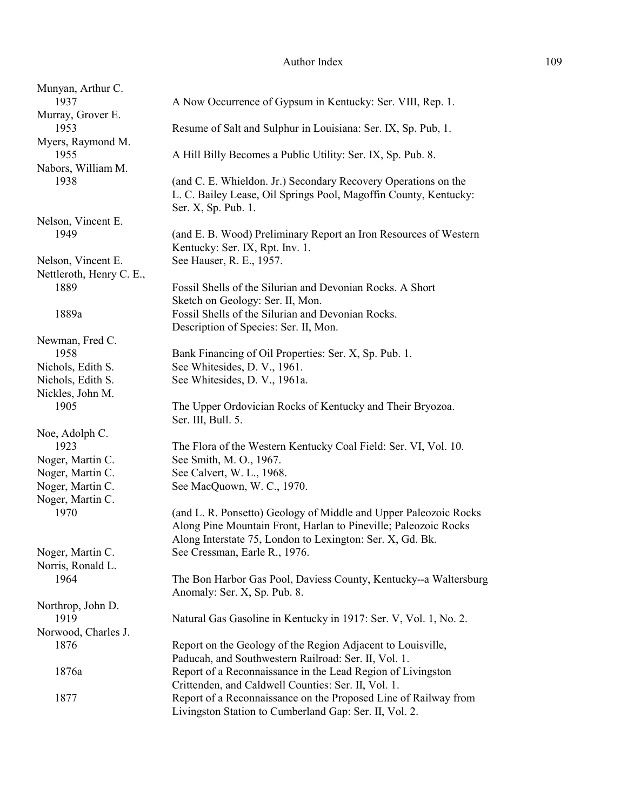| Munyan, Arthur C.<br>1937                      | A Now Occurrence of Gypsum in Kentucky: Ser. VIII, Rep. 1.                                                                                                                                       |
|------------------------------------------------|--------------------------------------------------------------------------------------------------------------------------------------------------------------------------------------------------|
| Murray, Grover E.<br>1953                      | Resume of Salt and Sulphur in Louisiana: Ser. IX, Sp. Pub, 1.                                                                                                                                    |
| Myers, Raymond M.<br>1955                      | A Hill Billy Becomes a Public Utility: Ser. IX, Sp. Pub. 8.                                                                                                                                      |
| Nabors, William M.<br>1938                     | (and C. E. Whieldon. Jr.) Secondary Recovery Operations on the<br>L. C. Bailey Lease, Oil Springs Pool, Magoffin County, Kentucky:<br>Ser. X, Sp. Pub. 1.                                        |
| Nelson, Vincent E.<br>1949                     | (and E. B. Wood) Preliminary Report an Iron Resources of Western<br>Kentucky: Ser. IX, Rpt. Inv. 1.                                                                                              |
| Nelson, Vincent E.<br>Nettleroth, Henry C. E., | See Hauser, R. E., 1957.                                                                                                                                                                         |
| 1889                                           | Fossil Shells of the Silurian and Devonian Rocks. A Short<br>Sketch on Geology: Ser. II, Mon.                                                                                                    |
| 1889a                                          | Fossil Shells of the Silurian and Devonian Rocks.<br>Description of Species: Ser. II, Mon.                                                                                                       |
| Newman, Fred C.                                |                                                                                                                                                                                                  |
| 1958                                           | Bank Financing of Oil Properties: Ser. X, Sp. Pub. 1.                                                                                                                                            |
| Nichols, Edith S.                              | See Whitesides, D. V., 1961.                                                                                                                                                                     |
| Nichols, Edith S.                              | See Whitesides, D. V., 1961a.                                                                                                                                                                    |
| Nickles, John M.<br>1905                       | The Upper Ordovician Rocks of Kentucky and Their Bryozoa.<br>Ser. III, Bull. 5.                                                                                                                  |
| Noe, Adolph C.                                 |                                                                                                                                                                                                  |
| 1923                                           | The Flora of the Western Kentucky Coal Field: Ser. VI, Vol. 10.                                                                                                                                  |
| Noger, Martin C.                               | See Smith, M. O., 1967.                                                                                                                                                                          |
| Noger, Martin C.                               | See Calvert, W. L., 1968.                                                                                                                                                                        |
| Noger, Martin C.                               | See MacQuown, W. C., 1970.                                                                                                                                                                       |
| Noger, Martin C.                               |                                                                                                                                                                                                  |
| 1970                                           | (and L. R. Ponsetto) Geology of Middle and Upper Paleozoic Rocks<br>Along Pine Mountain Front, Harlan to Pineville; Paleozoic Rocks<br>Along Interstate 75, London to Lexington: Ser. X, Gd. Bk. |
| Noger, Martin C.<br>Norris, Ronald L.          | See Cressman, Earle R., 1976.                                                                                                                                                                    |
| 1964                                           | The Bon Harbor Gas Pool, Daviess County, Kentucky--a Waltersburg<br>Anomaly: Ser. X, Sp. Pub. 8.                                                                                                 |
| Northrop, John D.                              |                                                                                                                                                                                                  |
| 1919                                           | Natural Gas Gasoline in Kentucky in 1917: Ser. V, Vol. 1, No. 2.                                                                                                                                 |
| Norwood, Charles J.                            |                                                                                                                                                                                                  |
| 1876                                           | Report on the Geology of the Region Adjacent to Louisville,<br>Paducah, and Southwestern Railroad: Ser. II, Vol. 1.                                                                              |
| 1876a                                          | Report of a Reconnaissance in the Lead Region of Livingston<br>Crittenden, and Caldwell Counties: Ser. II, Vol. 1.                                                                               |
| 1877                                           | Report of a Reconnaissance on the Proposed Line of Railway from<br>Livingston Station to Cumberland Gap: Ser. II, Vol. 2.                                                                        |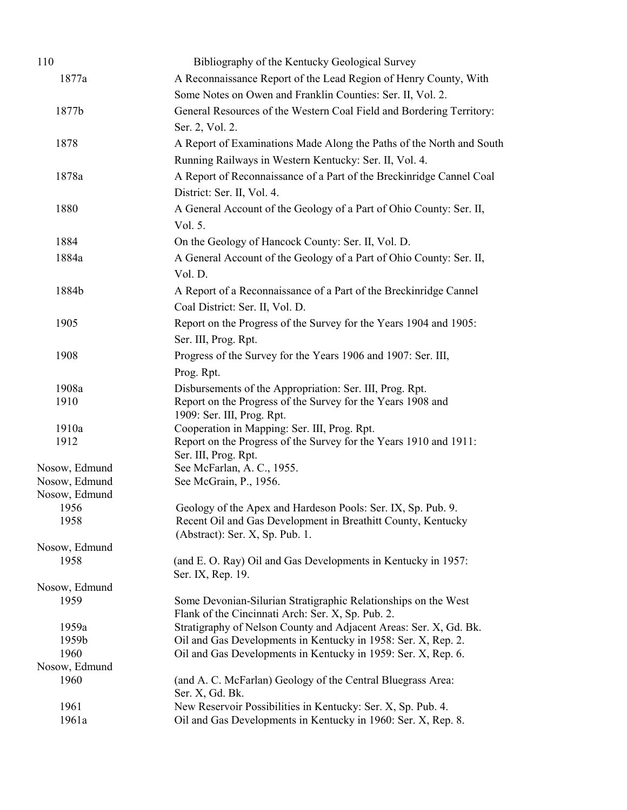| 110                            | Bibliography of the Kentucky Geological Survey                                  |
|--------------------------------|---------------------------------------------------------------------------------|
| 1877a                          | A Reconnaissance Report of the Lead Region of Henry County, With                |
|                                | Some Notes on Owen and Franklin Counties: Ser. II, Vol. 2.                      |
| 1877b                          | General Resources of the Western Coal Field and Bordering Territory:            |
|                                | Ser. 2, Vol. 2.                                                                 |
| 1878                           | A Report of Examinations Made Along the Paths of the North and South            |
|                                | Running Railways in Western Kentucky: Ser. II, Vol. 4.                          |
|                                | A Report of Reconnaissance of a Part of the Breckinridge Cannel Coal            |
| 1878a                          |                                                                                 |
|                                | District: Ser. II, Vol. 4.                                                      |
| 1880                           | A General Account of the Geology of a Part of Ohio County: Ser. II,             |
|                                | Vol. 5.                                                                         |
| 1884                           | On the Geology of Hancock County: Ser. II, Vol. D.                              |
| 1884a                          | A General Account of the Geology of a Part of Ohio County: Ser. II,             |
|                                | Vol. D.                                                                         |
| 1884b                          | A Report of a Reconnaissance of a Part of the Breckinridge Cannel               |
|                                | Coal District: Ser. II, Vol. D.                                                 |
| 1905                           | Report on the Progress of the Survey for the Years 1904 and 1905:               |
|                                | Ser. III, Prog. Rpt.                                                            |
| 1908                           | Progress of the Survey for the Years 1906 and 1907: Ser. III,                   |
|                                | Prog. Rpt.                                                                      |
| 1908a                          | Disbursements of the Appropriation: Ser. III, Prog. Rpt.                        |
| 1910                           | Report on the Progress of the Survey for the Years 1908 and                     |
|                                | 1909: Ser. III, Prog. Rpt.                                                      |
| 1910a                          | Cooperation in Mapping: Ser. III, Prog. Rpt.                                    |
| 1912                           | Report on the Progress of the Survey for the Years 1910 and 1911:               |
|                                | Ser. III, Prog. Rpt.                                                            |
| Nosow, Edmund                  | See McFarlan, A. C., 1955.                                                      |
| Nosow, Edmund<br>Nosow, Edmund | See McGrain, P., 1956.                                                          |
| 1956                           | Geology of the Apex and Hardeson Pools: Ser. IX, Sp. Pub. 9.                    |
| 1958                           | Recent Oil and Gas Development in Breathitt County, Kentucky                    |
|                                | (Abstract): Ser. X, Sp. Pub. 1.                                                 |
| Nosow, Edmund                  |                                                                                 |
| 1958                           | (and E. O. Ray) Oil and Gas Developments in Kentucky in 1957:                   |
|                                | Ser. IX, Rep. 19.                                                               |
| Nosow, Edmund<br>1959          | Some Devonian-Silurian Stratigraphic Relationships on the West                  |
|                                | Flank of the Cincinnati Arch: Ser. X, Sp. Pub. 2.                               |
| 1959a                          | Stratigraphy of Nelson County and Adjacent Areas: Ser. X, Gd. Bk.               |
| 1959b                          | Oil and Gas Developments in Kentucky in 1958: Ser. X, Rep. 2.                   |
| 1960                           | Oil and Gas Developments in Kentucky in 1959: Ser. X, Rep. 6.                   |
| Nosow, Edmund                  |                                                                                 |
| 1960                           | (and A. C. McFarlan) Geology of the Central Bluegrass Area:                     |
| 1961                           | Ser. X, Gd. Bk.<br>New Reservoir Possibilities in Kentucky: Ser. X, Sp. Pub. 4. |
| 1961a                          | Oil and Gas Developments in Kentucky in 1960: Ser. X, Rep. 8.                   |
|                                |                                                                                 |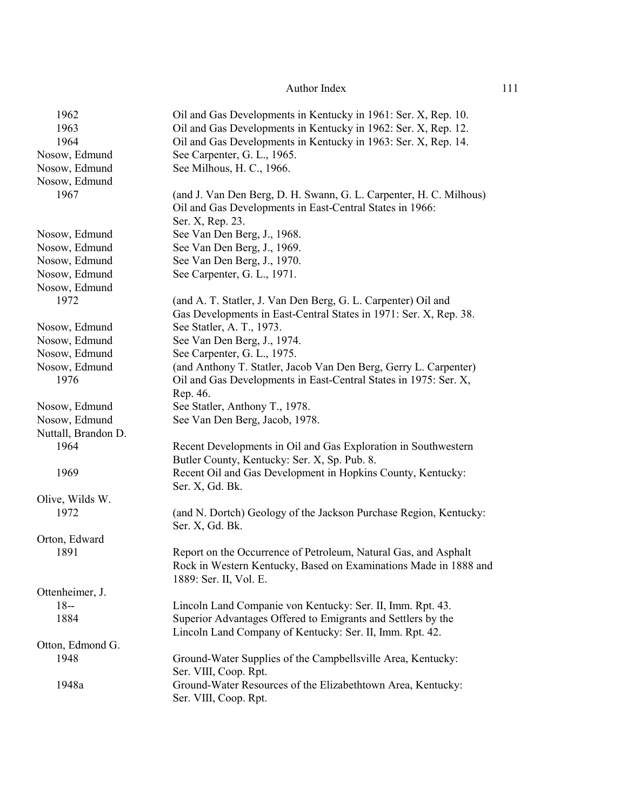| 1962                | Oil and Gas Developments in Kentucky in 1961: Ser. X, Rep. 10.     |
|---------------------|--------------------------------------------------------------------|
| 1963                | Oil and Gas Developments in Kentucky in 1962: Ser. X, Rep. 12.     |
| 1964                | Oil and Gas Developments in Kentucky in 1963: Ser. X, Rep. 14.     |
| Nosow, Edmund       | See Carpenter, G. L., 1965.                                        |
| Nosow, Edmund       | See Milhous, H. C., 1966.                                          |
| Nosow, Edmund       |                                                                    |
| 1967                | (and J. Van Den Berg, D. H. Swann, G. L. Carpenter, H. C. Milhous) |
|                     | Oil and Gas Developments in East-Central States in 1966:           |
|                     | Ser. X, Rep. 23.                                                   |
| Nosow, Edmund       | See Van Den Berg, J., 1968.                                        |
| Nosow, Edmund       | See Van Den Berg, J., 1969.                                        |
| Nosow, Edmund       | See Van Den Berg, J., 1970.                                        |
| Nosow, Edmund       | See Carpenter, G. L., 1971.                                        |
| Nosow, Edmund       |                                                                    |
| 1972                | (and A. T. Statler, J. Van Den Berg, G. L. Carpenter) Oil and      |
|                     | Gas Developments in East-Central States in 1971: Ser. X, Rep. 38.  |
| Nosow, Edmund       | See Statler, A. T., 1973.                                          |
| Nosow, Edmund       | See Van Den Berg, J., 1974.                                        |
| Nosow, Edmund       | See Carpenter, G. L., 1975.                                        |
| Nosow, Edmund       | (and Anthony T. Statler, Jacob Van Den Berg, Gerry L. Carpenter)   |
| 1976                | Oil and Gas Developments in East-Central States in 1975: Ser. X,   |
|                     | Rep. 46.                                                           |
| Nosow, Edmund       | See Statler, Anthony T., 1978.                                     |
| Nosow, Edmund       | See Van Den Berg, Jacob, 1978.                                     |
| Nuttall, Brandon D. |                                                                    |
| 1964                | Recent Developments in Oil and Gas Exploration in Southwestern     |
|                     | Butler County, Kentucky: Ser. X, Sp. Pub. 8.                       |
| 1969                | Recent Oil and Gas Development in Hopkins County, Kentucky:        |
|                     | Ser. X, Gd. Bk.                                                    |
| Olive, Wilds W.     |                                                                    |
| 1972                | (and N. Dortch) Geology of the Jackson Purchase Region, Kentucky:  |
|                     | Ser. X, Gd. Bk.                                                    |
| Orton, Edward       |                                                                    |
| 1891                | Report on the Occurrence of Petroleum, Natural Gas, and Asphalt    |
|                     | Rock in Western Kentucky, Based on Examinations Made in 1888 and   |
|                     | 1889: Ser. II, Vol. E.                                             |
| Ottenheimer, J.     |                                                                    |
| $18 -$              | Lincoln Land Companie von Kentucky: Ser. II, Imm. Rpt. 43.         |
| 1884                | Superior Advantages Offered to Emigrants and Settlers by the       |
|                     | Lincoln Land Company of Kentucky: Ser. II, Imm. Rpt. 42.           |
| Otton, Edmond G.    |                                                                    |
| 1948                | Ground-Water Supplies of the Campbellsville Area, Kentucky:        |
|                     | Ser. VIII, Coop. Rpt.                                              |
| 1948a               | Ground-Water Resources of the Elizabethtown Area, Kentucky:        |
|                     | Ser. VIII, Coop. Rpt.                                              |
|                     |                                                                    |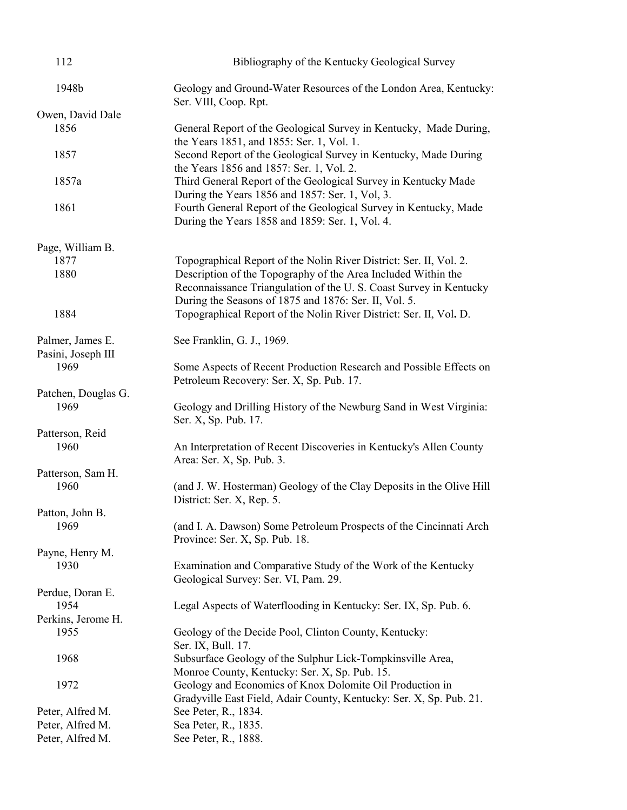| 112                                    | Bibliography of the Kentucky Geological Survey                                                                                                                                              |
|----------------------------------------|---------------------------------------------------------------------------------------------------------------------------------------------------------------------------------------------|
| 1948b                                  | Geology and Ground-Water Resources of the London Area, Kentucky:<br>Ser. VIII, Coop. Rpt.                                                                                                   |
| Owen, David Dale                       |                                                                                                                                                                                             |
| 1856                                   | General Report of the Geological Survey in Kentucky, Made During,<br>the Years 1851, and 1855: Ser. 1, Vol. 1.                                                                              |
| 1857                                   | Second Report of the Geological Survey in Kentucky, Made During<br>the Years 1856 and 1857: Ser. 1, Vol. 2.                                                                                 |
| 1857a                                  | Third General Report of the Geological Survey in Kentucky Made<br>During the Years 1856 and 1857: Ser. 1, Vol. 3.                                                                           |
| 1861                                   | Fourth General Report of the Geological Survey in Kentucky, Made<br>During the Years 1858 and 1859: Ser. 1, Vol. 4.                                                                         |
| Page, William B.                       |                                                                                                                                                                                             |
| 1877                                   | Topographical Report of the Nolin River District: Ser. II, Vol. 2.                                                                                                                          |
| 1880                                   | Description of the Topography of the Area Included Within the<br>Reconnaissance Triangulation of the U.S. Coast Survey in Kentucky<br>During the Seasons of 1875 and 1876: Ser. II, Vol. 5. |
| 1884                                   | Topographical Report of the Nolin River District: Ser. II, Vol. D.                                                                                                                          |
| Palmer, James E.<br>Pasini, Joseph III | See Franklin, G. J., 1969.                                                                                                                                                                  |
| 1969                                   | Some Aspects of Recent Production Research and Possible Effects on<br>Petroleum Recovery: Ser. X, Sp. Pub. 17.                                                                              |
| Patchen, Douglas G.                    |                                                                                                                                                                                             |
| 1969                                   | Geology and Drilling History of the Newburg Sand in West Virginia:<br>Ser. X, Sp. Pub. 17.                                                                                                  |
| Patterson, Reid                        |                                                                                                                                                                                             |
| 1960                                   | An Interpretation of Recent Discoveries in Kentucky's Allen County<br>Area: Ser. X, Sp. Pub. 3.                                                                                             |
| Patterson, Sam H.                      |                                                                                                                                                                                             |
| 1960                                   | (and J. W. Hosterman) Geology of the Clay Deposits in the Olive Hill<br>District: Ser. X, Rep. 5.                                                                                           |
| Patton, John B.                        |                                                                                                                                                                                             |
| 1969                                   | (and I. A. Dawson) Some Petroleum Prospects of the Cincinnati Arch<br>Province: Ser. X, Sp. Pub. 18.                                                                                        |
| Payne, Henry M.                        |                                                                                                                                                                                             |
| 1930                                   | Examination and Comparative Study of the Work of the Kentucky<br>Geological Survey: Ser. VI, Pam. 29.                                                                                       |
| Perdue, Doran E.<br>1954               | Legal Aspects of Waterflooding in Kentucky: Ser. IX, Sp. Pub. 6.                                                                                                                            |
| Perkins, Jerome H.<br>1955             | Geology of the Decide Pool, Clinton County, Kentucky:                                                                                                                                       |
| 1968                                   | Ser. IX, Bull. 17.<br>Subsurface Geology of the Sulphur Lick-Tompkinsville Area,                                                                                                            |
|                                        | Monroe County, Kentucky: Ser. X, Sp. Pub. 15.                                                                                                                                               |
| 1972                                   | Geology and Economics of Knox Dolomite Oil Production in<br>Gradyville East Field, Adair County, Kentucky: Ser. X, Sp. Pub. 21.                                                             |
| Peter, Alfred M.                       | See Peter, R., 1834.                                                                                                                                                                        |
| Peter, Alfred M.                       | Sea Peter, R., 1835.                                                                                                                                                                        |
| Peter, Alfred M.                       | See Peter, R., 1888.                                                                                                                                                                        |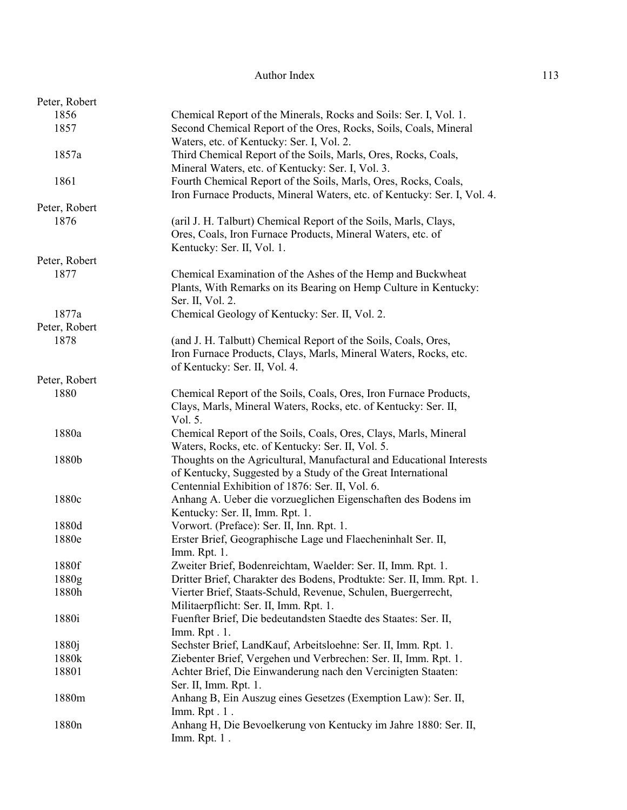| Peter, Robert     |                                                                          |
|-------------------|--------------------------------------------------------------------------|
| 1856              | Chemical Report of the Minerals, Rocks and Soils: Ser. I, Vol. 1.        |
| 1857              | Second Chemical Report of the Ores, Rocks, Soils, Coals, Mineral         |
|                   | Waters, etc. of Kentucky: Ser. I, Vol. 2.                                |
| 1857a             | Third Chemical Report of the Soils, Marls, Ores, Rocks, Coals,           |
|                   | Mineral Waters, etc. of Kentucky: Ser. I, Vol. 3.                        |
| 1861              | Fourth Chemical Report of the Soils, Marls, Ores, Rocks, Coals,          |
|                   | Iron Furnace Products, Mineral Waters, etc. of Kentucky: Ser. I, Vol. 4. |
| Peter, Robert     |                                                                          |
| 1876              | (aril J. H. Talburt) Chemical Report of the Soils, Marls, Clays,         |
|                   | Ores, Coals, Iron Furnace Products, Mineral Waters, etc. of              |
|                   |                                                                          |
|                   | Kentucky: Ser. II, Vol. 1.                                               |
| Peter, Robert     |                                                                          |
| 1877              | Chemical Examination of the Ashes of the Hemp and Buckwheat              |
|                   | Plants, With Remarks on its Bearing on Hemp Culture in Kentucky:         |
|                   | Ser. II, Vol. 2.                                                         |
| 1877a             | Chemical Geology of Kentucky: Ser. II, Vol. 2.                           |
| Peter, Robert     |                                                                          |
| 1878              | (and J. H. Talbutt) Chemical Report of the Soils, Coals, Ores,           |
|                   | Iron Furnace Products, Clays, Marls, Mineral Waters, Rocks, etc.         |
|                   | of Kentucky: Ser. II, Vol. 4.                                            |
| Peter, Robert     |                                                                          |
| 1880              | Chemical Report of the Soils, Coals, Ores, Iron Furnace Products,        |
|                   | Clays, Marls, Mineral Waters, Rocks, etc. of Kentucky: Ser. II,          |
|                   | Vol. 5.                                                                  |
| 1880a             | Chemical Report of the Soils, Coals, Ores, Clays, Marls, Mineral         |
|                   | Waters, Rocks, etc. of Kentucky: Ser. II, Vol. 5.                        |
| 1880b             | Thoughts on the Agricultural, Manufactural and Educational Interests     |
|                   | of Kentucky, Suggested by a Study of the Great International             |
|                   | Centennial Exhibition of 1876: Ser. II, Vol. 6.                          |
| 1880c             | Anhang A. Ueber die vorzueglichen Eigenschaften des Bodens im            |
|                   | Kentucky: Ser. II, Imm. Rpt. 1.                                          |
|                   |                                                                          |
| 1880d             | Vorwort. (Preface): Ser. II, Inn. Rpt. 1.                                |
| 1880e             | Erster Brief, Geographische Lage und Flaecheninhalt Ser. II,             |
|                   | Imm. Rpt. 1.                                                             |
| 1880f             | Zweiter Brief, Bodenreichtam, Waelder: Ser. II, Imm. Rpt. 1.             |
| 1880g             | Dritter Brief, Charakter des Bodens, Prodtukte: Ser. II, Imm. Rpt. 1.    |
| 1880h             | Vierter Brief, Staats-Schuld, Revenue, Schulen, Buergerrecht,            |
|                   | Militaerpflicht: Ser. II, Imm. Rpt. 1.                                   |
| 1880i             | Fuenfter Brief, Die bedeutandsten Staedte des Staates: Ser. II,          |
|                   | Imm. Rpt. 1.                                                             |
| 1880 <sub>j</sub> | Sechster Brief, LandKauf, Arbeitsloehne: Ser. II, Imm. Rpt. 1.           |
| 1880k             | Ziebenter Brief, Vergehen und Verbrechen: Ser. II, Imm. Rpt. 1.          |
| 18801             | Achter Brief, Die Einwanderung nach den Vercinigten Staaten:             |
|                   | Ser. II, Imm. Rpt. 1.                                                    |
| 1880m             | Anhang B, Ein Auszug eines Gesetzes (Exemption Law): Ser. II,            |
|                   | Imm. Rpt. 1.                                                             |
| 1880n             | Anhang H, Die Bevoelkerung von Kentucky im Jahre 1880: Ser. II,          |
|                   | Imm. Rpt. 1.                                                             |
|                   |                                                                          |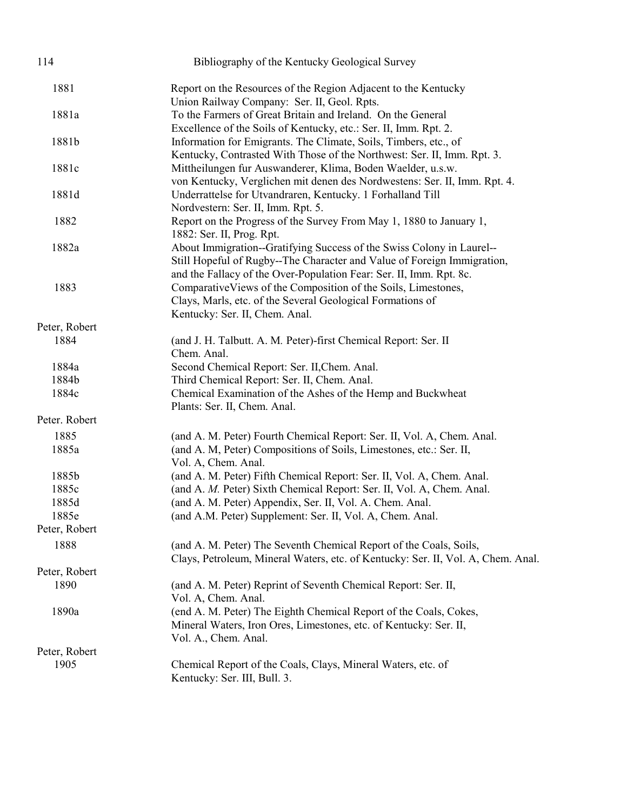| 114           | Bibliography of the Kentucky Geological Survey                                                                                                                                                                          |
|---------------|-------------------------------------------------------------------------------------------------------------------------------------------------------------------------------------------------------------------------|
| 1881          | Report on the Resources of the Region Adjacent to the Kentucky<br>Union Railway Company: Ser. II, Geol. Rpts.                                                                                                           |
| 1881a         | To the Farmers of Great Britain and Ireland. On the General<br>Excellence of the Soils of Kentucky, etc.: Ser. II, Imm. Rpt. 2.                                                                                         |
| 1881b         | Information for Emigrants. The Climate, Soils, Timbers, etc., of<br>Kentucky, Contrasted With Those of the Northwest: Ser. II, Imm. Rpt. 3.                                                                             |
| 1881c         | Mittheilungen fur Auswanderer, Klima, Boden Waelder, u.s.w.<br>von Kentucky, Verglichen mit denen des Nordwestens: Ser. II, Imm. Rpt. 4.                                                                                |
| 1881d         | Underrattelse for Utvandraren, Kentucky. 1 Forhalland Till<br>Nordvestern: Ser. II, Imm. Rpt. 5.                                                                                                                        |
| 1882          | Report on the Progress of the Survey From May 1, 1880 to January 1,<br>1882: Ser. II, Prog. Rpt.                                                                                                                        |
| 1882a         | About Immigration--Gratifying Success of the Swiss Colony in Laurel--<br>Still Hopeful of Rugby--The Character and Value of Foreign Immigration,<br>and the Fallacy of the Over-Population Fear: Ser. II, Imm. Rpt. 8c. |
| 1883          | Comparative Views of the Composition of the Soils, Limestones,<br>Clays, Marls, etc. of the Several Geological Formations of<br>Kentucky: Ser. II, Chem. Anal.                                                          |
| Peter, Robert |                                                                                                                                                                                                                         |
| 1884          | (and J. H. Talbutt. A. M. Peter)-first Chemical Report: Ser. II<br>Chem. Anal.                                                                                                                                          |
| 1884a         | Second Chemical Report: Ser. II, Chem. Anal.                                                                                                                                                                            |
| 1884b         | Third Chemical Report: Ser. II, Chem. Anal.                                                                                                                                                                             |
| 1884c         | Chemical Examination of the Ashes of the Hemp and Buckwheat<br>Plants: Ser. II, Chem. Anal.                                                                                                                             |
| Peter. Robert |                                                                                                                                                                                                                         |
| 1885          | (and A. M. Peter) Fourth Chemical Report: Ser. II, Vol. A, Chem. Anal.                                                                                                                                                  |
| 1885a         | (and A. M, Peter) Compositions of Soils, Limestones, etc.: Ser. II,<br>Vol. A, Chem. Anal.                                                                                                                              |
| 1885b         | (and A. M. Peter) Fifth Chemical Report: Ser. II, Vol. A, Chem. Anal.                                                                                                                                                   |
| 1885c         | (and A. M. Peter) Sixth Chemical Report: Ser. II, Vol. A, Chem. Anal.                                                                                                                                                   |
| 1885d         | (and A. M. Peter) Appendix, Ser. II, Vol. A. Chem. Anal.                                                                                                                                                                |
| 1885e         | (and A.M. Peter) Supplement: Ser. II, Vol. A, Chem. Anal.                                                                                                                                                               |
| Peter, Robert |                                                                                                                                                                                                                         |
| 1888          | (and A. M. Peter) The Seventh Chemical Report of the Coals, Soils,<br>Clays, Petroleum, Mineral Waters, etc. of Kentucky: Ser. II, Vol. A, Chem. Anal.                                                                  |
| Peter, Robert |                                                                                                                                                                                                                         |
| 1890          | (and A. M. Peter) Reprint of Seventh Chemical Report: Ser. II,<br>Vol. A, Chem. Anal.                                                                                                                                   |
| 1890a         | (end A. M. Peter) The Eighth Chemical Report of the Coals, Cokes,<br>Mineral Waters, Iron Ores, Limestones, etc. of Kentucky: Ser. II,<br>Vol. A., Chem. Anal.                                                          |
| Peter, Robert |                                                                                                                                                                                                                         |
| 1905          | Chemical Report of the Coals, Clays, Mineral Waters, etc. of<br>Kentucky: Ser. III, Bull. 3.                                                                                                                            |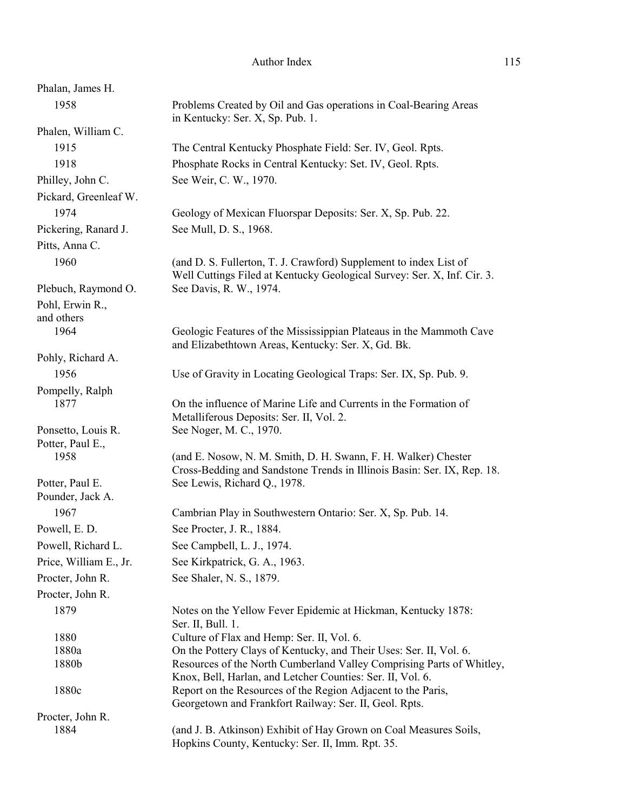| Phalan, James H.                    |                                                                                                                                              |
|-------------------------------------|----------------------------------------------------------------------------------------------------------------------------------------------|
| 1958                                | Problems Created by Oil and Gas operations in Coal-Bearing Areas<br>in Kentucky: Ser. X, Sp. Pub. 1.                                         |
| Phalen, William C.                  |                                                                                                                                              |
| 1915                                | The Central Kentucky Phosphate Field: Ser. IV, Geol. Rpts.                                                                                   |
| 1918                                | Phosphate Rocks in Central Kentucky: Set. IV, Geol. Rpts.                                                                                    |
| Philley, John C.                    | See Weir, C. W., 1970.                                                                                                                       |
| Pickard, Greenleaf W.               |                                                                                                                                              |
| 1974                                | Geology of Mexican Fluorspar Deposits: Ser. X, Sp. Pub. 22.                                                                                  |
| Pickering, Ranard J.                | See Mull, D. S., 1968.                                                                                                                       |
| Pitts, Anna C.                      |                                                                                                                                              |
| 1960                                | (and D. S. Fullerton, T. J. Crawford) Supplement to index List of<br>Well Cuttings Filed at Kentucky Geological Survey: Ser. X, Inf. Cir. 3. |
| Plebuch, Raymond O.                 | See Davis, R. W., 1974.                                                                                                                      |
| Pohl, Erwin R.,<br>and others       |                                                                                                                                              |
| 1964                                | Geologic Features of the Mississippian Plateaus in the Mammoth Cave<br>and Elizabethtown Areas, Kentucky: Ser. X, Gd. Bk.                    |
| Pohly, Richard A.                   |                                                                                                                                              |
| 1956                                | Use of Gravity in Locating Geological Traps: Ser. IX, Sp. Pub. 9.                                                                            |
| Pompelly, Ralph                     |                                                                                                                                              |
| 1877                                | On the influence of Marine Life and Currents in the Formation of                                                                             |
| Ponsetto, Louis R.                  | Metalliferous Deposits: Ser. II, Vol. 2.<br>See Noger, M. C., 1970.                                                                          |
| Potter, Paul E.,                    |                                                                                                                                              |
| 1958                                | (and E. Nosow, N. M. Smith, D. H. Swann, F. H. Walker) Chester<br>Cross-Bedding and Sandstone Trends in Illinois Basin: Ser. IX, Rep. 18.    |
| Potter, Paul E.<br>Pounder, Jack A. | See Lewis, Richard Q., 1978.                                                                                                                 |
| 1967                                | Cambrian Play in Southwestern Ontario: Ser. X, Sp. Pub. 14.                                                                                  |
| Powell, E. D.                       | See Procter, J. R., 1884.                                                                                                                    |
| Powell, Richard L.                  | See Campbell, L. J., 1974.                                                                                                                   |
| Price, William E., Jr.              | See Kirkpatrick, G. A., 1963.                                                                                                                |
| Procter, John R.                    | See Shaler, N. S., 1879.                                                                                                                     |
| Procter, John R.                    |                                                                                                                                              |
| 1879                                | Notes on the Yellow Fever Epidemic at Hickman, Kentucky 1878:<br>Ser. II, Bull. 1.                                                           |
| 1880                                | Culture of Flax and Hemp: Ser. II, Vol. 6.                                                                                                   |
| 1880a                               | On the Pottery Clays of Kentucky, and Their Uses: Ser. II, Vol. 6.                                                                           |
| 1880b                               | Resources of the North Cumberland Valley Comprising Parts of Whitley,                                                                        |
|                                     | Knox, Bell, Harlan, and Letcher Counties: Ser. II, Vol. 6.                                                                                   |
| 1880c                               | Report on the Resources of the Region Adjacent to the Paris,<br>Georgetown and Frankfort Railway: Ser. II, Geol. Rpts.                       |
| Procter, John R.                    |                                                                                                                                              |
| 1884                                | (and J. B. Atkinson) Exhibit of Hay Grown on Coal Measures Soils,<br>Hopkins County, Kentucky: Ser. II, Imm. Rpt. 35.                        |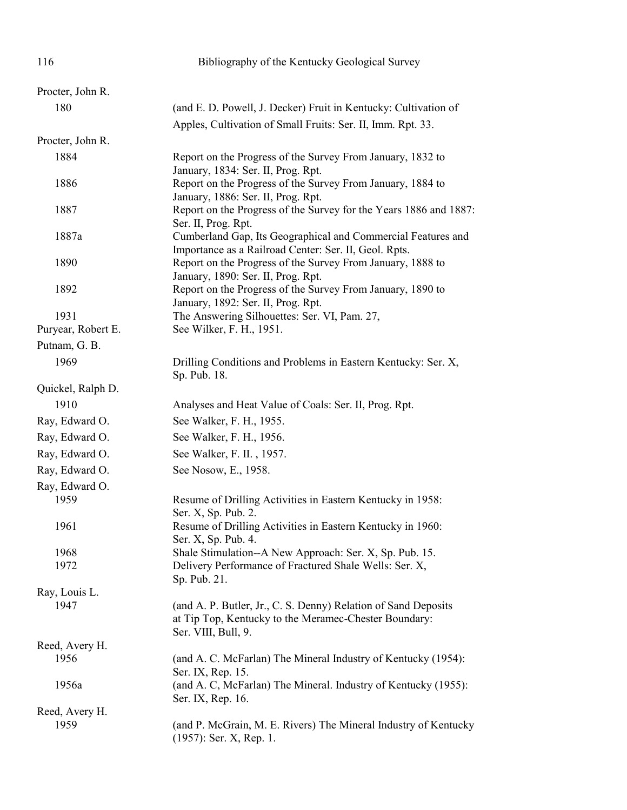| 116                | Bibliography of the Kentucky Geological Survey                                                                                                 |
|--------------------|------------------------------------------------------------------------------------------------------------------------------------------------|
| Procter, John R.   |                                                                                                                                                |
| 180                | (and E. D. Powell, J. Decker) Fruit in Kentucky: Cultivation of                                                                                |
|                    | Apples, Cultivation of Small Fruits: Ser. II, Imm. Rpt. 33.                                                                                    |
| Procter, John R.   |                                                                                                                                                |
| 1884               | Report on the Progress of the Survey From January, 1832 to<br>January, 1834: Ser. II, Prog. Rpt.                                               |
| 1886               | Report on the Progress of the Survey From January, 1884 to<br>January, 1886: Ser. II, Prog. Rpt.                                               |
| 1887               | Report on the Progress of the Survey for the Years 1886 and 1887:<br>Ser. II, Prog. Rpt.                                                       |
| 1887a              | Cumberland Gap, Its Geographical and Commercial Features and<br>Importance as a Railroad Center: Ser. II, Geol. Rpts.                          |
| 1890               | Report on the Progress of the Survey From January, 1888 to<br>January, 1890: Ser. II, Prog. Rpt.                                               |
| 1892               | Report on the Progress of the Survey From January, 1890 to<br>January, 1892: Ser. II, Prog. Rpt.                                               |
| 1931               | The Answering Silhouettes: Ser. VI, Pam. 27,                                                                                                   |
| Puryear, Robert E. | See Wilker, F. H., 1951.                                                                                                                       |
| Putnam, G. B.      |                                                                                                                                                |
| 1969               | Drilling Conditions and Problems in Eastern Kentucky: Ser. X,<br>Sp. Pub. 18.                                                                  |
| Quickel, Ralph D.  |                                                                                                                                                |
| 1910               | Analyses and Heat Value of Coals: Ser. II, Prog. Rpt.                                                                                          |
| Ray, Edward O.     | See Walker, F. H., 1955.                                                                                                                       |
| Ray, Edward O.     | See Walker, F. H., 1956.                                                                                                                       |
| Ray, Edward O.     | See Walker, F. II., 1957.                                                                                                                      |
| Ray, Edward O.     | See Nosow, E., 1958.                                                                                                                           |
| Ray, Edward O.     |                                                                                                                                                |
| 1959               | Resume of Drilling Activities in Eastern Kentucky in 1958:<br>Ser. X, Sp. Pub. 2.                                                              |
| 1961               | Resume of Drilling Activities in Eastern Kentucky in 1960:<br>Ser. X, Sp. Pub. 4.                                                              |
| 1968               | Shale Stimulation--A New Approach: Ser. X, Sp. Pub. 15.                                                                                        |
| 1972               | Delivery Performance of Fractured Shale Wells: Ser. X,<br>Sp. Pub. 21.                                                                         |
| Ray, Louis L.      |                                                                                                                                                |
| 1947               | (and A. P. Butler, Jr., C. S. Denny) Relation of Sand Deposits<br>at Tip Top, Kentucky to the Meramec-Chester Boundary:<br>Ser. VIII, Bull, 9. |
| Reed, Avery H.     |                                                                                                                                                |
| 1956               | (and A. C. McFarlan) The Mineral Industry of Kentucky (1954):<br>Ser. IX, Rep. 15.                                                             |
| 1956a              | (and A. C, McFarlan) The Mineral. Industry of Kentucky (1955):<br>Ser. IX, Rep. 16.                                                            |
| Reed, Avery H.     |                                                                                                                                                |
| 1959               | (and P. McGrain, M. E. Rivers) The Mineral Industry of Kentucky<br>$(1957)$ : Ser. X, Rep. 1.                                                  |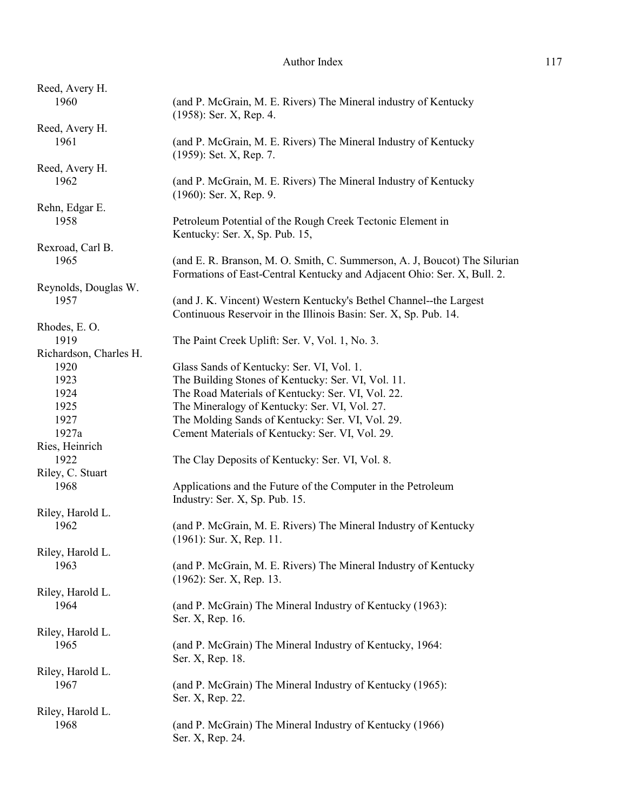| (and P. McGrain, M. E. Rivers) The Mineral industry of Kentucky<br>$(1958)$ : Ser. X, Rep. 4.                                                        |
|------------------------------------------------------------------------------------------------------------------------------------------------------|
|                                                                                                                                                      |
| (and P. McGrain, M. E. Rivers) The Mineral Industry of Kentucky<br>(1959): Set. X, Rep. 7.                                                           |
|                                                                                                                                                      |
| (and P. McGrain, M. E. Rivers) The Mineral Industry of Kentucky<br>$(1960)$ : Ser. X, Rep. 9.                                                        |
|                                                                                                                                                      |
| Petroleum Potential of the Rough Creek Tectonic Element in<br>Kentucky: Ser. X, Sp. Pub. 15,                                                         |
|                                                                                                                                                      |
| (and E. R. Branson, M. O. Smith, C. Summerson, A. J. Boucot) The Silurian<br>Formations of East-Central Kentucky and Adjacent Ohio: Ser. X, Bull. 2. |
|                                                                                                                                                      |
| (and J. K. Vincent) Western Kentucky's Bethel Channel--the Largest<br>Continuous Reservoir in the Illinois Basin: Ser. X, Sp. Pub. 14.               |
|                                                                                                                                                      |
| The Paint Creek Uplift: Ser. V, Vol. 1, No. 3.                                                                                                       |
|                                                                                                                                                      |
| Glass Sands of Kentucky: Ser. VI, Vol. 1.                                                                                                            |
| The Building Stones of Kentucky: Ser. VI, Vol. 11.                                                                                                   |
| The Road Materials of Kentucky: Ser. VI, Vol. 22.                                                                                                    |
| The Mineralogy of Kentucky: Ser. VI, Vol. 27.                                                                                                        |
| The Molding Sands of Kentucky: Ser. VI, Vol. 29.                                                                                                     |
| Cement Materials of Kentucky: Ser. VI, Vol. 29.                                                                                                      |
|                                                                                                                                                      |
| The Clay Deposits of Kentucky: Ser. VI, Vol. 8.                                                                                                      |
|                                                                                                                                                      |
| Applications and the Future of the Computer in the Petroleum<br>Industry: Ser. X, Sp. Pub. 15.                                                       |
|                                                                                                                                                      |
| (and P. McGrain, M. E. Rivers) The Mineral Industry of Kentucky<br>$(1961)$ : Sur. X, Rep. 11.                                                       |
|                                                                                                                                                      |
| (and P. McGrain, M. E. Rivers) The Mineral Industry of Kentucky<br>$(1962)$ : Ser. X, Rep. 13.                                                       |
|                                                                                                                                                      |
| (and P. McGrain) The Mineral Industry of Kentucky (1963):<br>Ser. X, Rep. 16.                                                                        |
|                                                                                                                                                      |
| (and P. McGrain) The Mineral Industry of Kentucky, 1964:<br>Ser. X, Rep. 18.                                                                         |
|                                                                                                                                                      |
| (and P. McGrain) The Mineral Industry of Kentucky (1965):<br>Ser. X, Rep. 22.                                                                        |
|                                                                                                                                                      |
| (and P. McGrain) The Mineral Industry of Kentucky (1966)<br>Ser. X, Rep. 24.                                                                         |
|                                                                                                                                                      |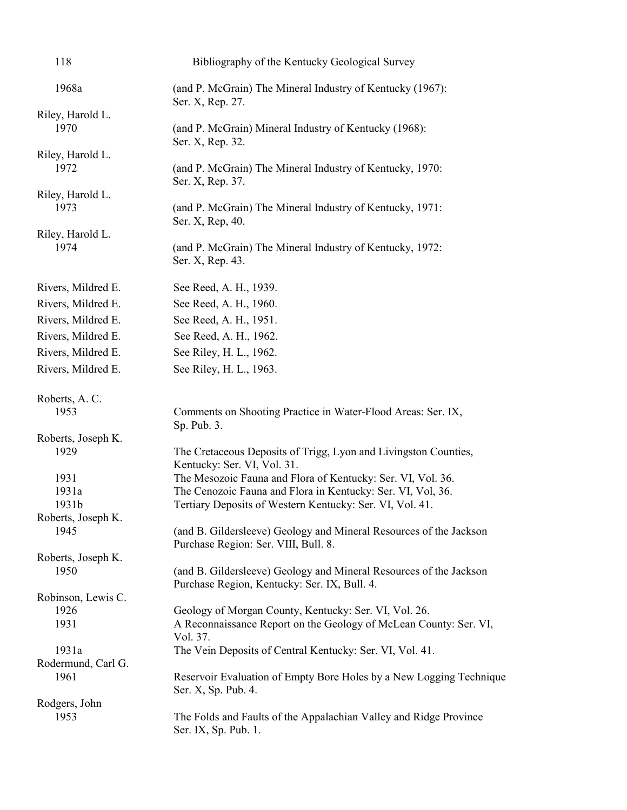| 118                        | Bibliography of the Kentucky Geological Survey                                                                                                                                         |
|----------------------------|----------------------------------------------------------------------------------------------------------------------------------------------------------------------------------------|
| 1968a                      | (and P. McGrain) The Mineral Industry of Kentucky (1967):<br>Ser. X, Rep. 27.                                                                                                          |
| Riley, Harold L.<br>1970   | (and P. McGrain) Mineral Industry of Kentucky (1968):<br>Ser. X, Rep. 32.                                                                                                              |
| Riley, Harold L.<br>1972   | (and P. McGrain) The Mineral Industry of Kentucky, 1970:<br>Ser. X, Rep. 37.                                                                                                           |
| Riley, Harold L.<br>1973   | (and P. McGrain) The Mineral Industry of Kentucky, 1971:                                                                                                                               |
| Riley, Harold L.<br>1974   | Ser. X, Rep. 40.<br>(and P. McGrain) The Mineral Industry of Kentucky, 1972:<br>Ser. X, Rep. 43.                                                                                       |
| Rivers, Mildred E.         | See Reed, A. H., 1939.                                                                                                                                                                 |
| Rivers, Mildred E.         | See Reed, A. H., 1960.                                                                                                                                                                 |
| Rivers, Mildred E.         | See Reed, A. H., 1951.                                                                                                                                                                 |
| Rivers, Mildred E.         | See Reed, A. H., 1962.                                                                                                                                                                 |
| Rivers, Mildred E.         | See Riley, H. L., 1962.                                                                                                                                                                |
| Rivers, Mildred E.         | See Riley, H. L., 1963.                                                                                                                                                                |
| Roberts, A.C.<br>1953      | Comments on Shooting Practice in Water-Flood Areas: Ser. IX,<br>Sp. Pub. 3.                                                                                                            |
| Roberts, Joseph K.<br>1929 | The Cretaceous Deposits of Trigg, Lyon and Livingston Counties,<br>Kentucky: Ser. VI, Vol. 31.                                                                                         |
| 1931<br>1931a<br>1931b     | The Mesozoic Fauna and Flora of Kentucky: Ser. VI, Vol. 36.<br>The Cenozoic Fauna and Flora in Kentucky: Ser. VI, Vol, 36.<br>Tertiary Deposits of Western Kentucky: Ser. VI, Vol. 41. |
| Roberts, Joseph K.<br>1945 | (and B. Gildersleeve) Geology and Mineral Resources of the Jackson<br>Purchase Region: Ser. VIII, Bull. 8.                                                                             |
| Roberts, Joseph K.<br>1950 | (and B. Gildersleeve) Geology and Mineral Resources of the Jackson<br>Purchase Region, Kentucky: Ser. IX, Bull. 4.                                                                     |
| Robinson, Lewis C.         |                                                                                                                                                                                        |
| 1926<br>1931               | Geology of Morgan County, Kentucky: Ser. VI, Vol. 26.<br>A Reconnaissance Report on the Geology of McLean County: Ser. VI,<br>Vol. 37.                                                 |
| 1931a                      | The Vein Deposits of Central Kentucky: Ser. VI, Vol. 41.                                                                                                                               |
| Rodermund, Carl G.<br>1961 | Reservoir Evaluation of Empty Bore Holes by a New Logging Technique<br>Ser. X, Sp. Pub. 4.                                                                                             |
| Rodgers, John              |                                                                                                                                                                                        |
| 1953                       | The Folds and Faults of the Appalachian Valley and Ridge Province<br>Ser. IX, Sp. Pub. 1.                                                                                              |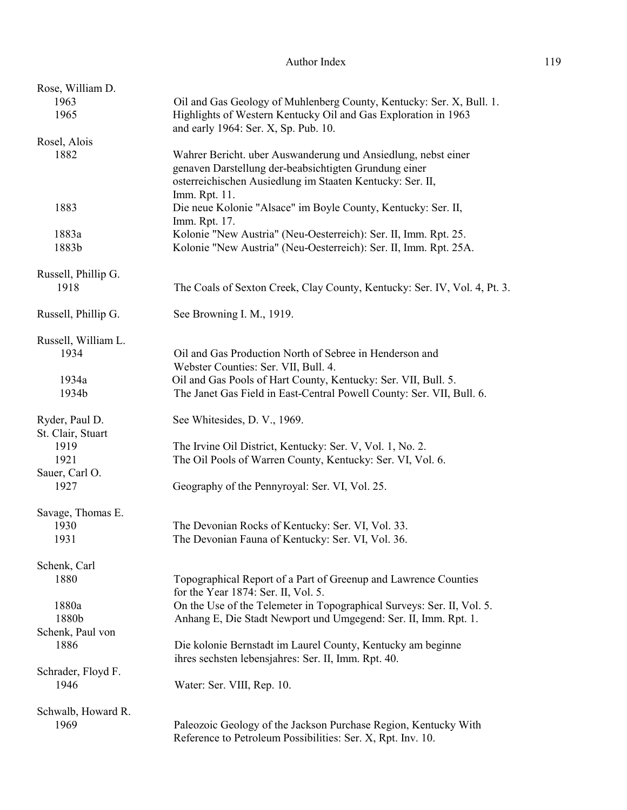| Rose, William D.                    |                                                                                                                                                                                                      |
|-------------------------------------|------------------------------------------------------------------------------------------------------------------------------------------------------------------------------------------------------|
| 1963                                | Oil and Gas Geology of Muhlenberg County, Kentucky: Ser. X, Bull. 1.                                                                                                                                 |
| 1965                                | Highlights of Western Kentucky Oil and Gas Exploration in 1963<br>and early 1964: Ser. X, Sp. Pub. 10.                                                                                               |
| Rosel, Alois                        |                                                                                                                                                                                                      |
| 1882                                | Wahrer Bericht. uber Auswanderung und Ansiedlung, nebst einer<br>genaven Darstellung der-beabsichtigten Grundung einer<br>osterreichischen Ausiedlung im Staaten Kentucky: Ser. II,<br>Imm. Rpt. 11. |
| 1883                                | Die neue Kolonie "Alsace" im Boyle County, Kentucky: Ser. II,<br>Imm. Rpt. 17.                                                                                                                       |
| 1883a                               | Kolonie "New Austria" (Neu-Oesterreich): Ser. II, Imm. Rpt. 25.                                                                                                                                      |
| 1883b                               | Kolonie "New Austria" (Neu-Oesterreich): Ser. II, Imm. Rpt. 25A.                                                                                                                                     |
| Russell, Phillip G.                 |                                                                                                                                                                                                      |
| 1918                                | The Coals of Sexton Creek, Clay County, Kentucky: Ser. IV, Vol. 4, Pt. 3.                                                                                                                            |
| Russell, Phillip G.                 | See Browning I. M., 1919.                                                                                                                                                                            |
| Russell, William L.                 |                                                                                                                                                                                                      |
| 1934                                | Oil and Gas Production North of Sebree in Henderson and<br>Webster Counties: Ser. VII, Bull. 4.                                                                                                      |
| 1934a                               | Oil and Gas Pools of Hart County, Kentucky: Ser. VII, Bull. 5.                                                                                                                                       |
| 1934b                               | The Janet Gas Field in East-Central Powell County: Ser. VII, Bull. 6.                                                                                                                                |
| Ryder, Paul D.<br>St. Clair, Stuart | See Whitesides, D. V., 1969.                                                                                                                                                                         |
| 1919                                | The Irvine Oil District, Kentucky: Ser. V, Vol. 1, No. 2.                                                                                                                                            |
| 1921                                | The Oil Pools of Warren County, Kentucky: Ser. VI, Vol. 6.                                                                                                                                           |
| Sauer, Carl O.                      |                                                                                                                                                                                                      |
| 1927                                | Geography of the Pennyroyal: Ser. VI, Vol. 25.                                                                                                                                                       |
| Savage, Thomas E.<br>1930           | The Devonian Rocks of Kentucky: Ser. VI, Vol. 33.                                                                                                                                                    |
| 1931                                | The Devonian Fauna of Kentucky: Ser. VI, Vol. 36.                                                                                                                                                    |
| Schenk, Carl                        |                                                                                                                                                                                                      |
| 1880                                | Topographical Report of a Part of Greenup and Lawrence Counties<br>for the Year 1874: Ser. II, Vol. 5.                                                                                               |
| 1880a                               | On the Use of the Telemeter in Topographical Surveys: Ser. II, Vol. 5.                                                                                                                               |
| 1880b                               | Anhang E, Die Stadt Newport und Umgegend: Ser. II, Imm. Rpt. 1.                                                                                                                                      |
| Schenk, Paul von                    |                                                                                                                                                                                                      |
| 1886                                | Die kolonie Bernstadt im Laurel County, Kentucky am beginne<br>ihres sechsten lebensjahres: Ser. II, Imm. Rpt. 40.                                                                                   |
| Schrader, Floyd F.                  |                                                                                                                                                                                                      |
| 1946                                | Water: Ser. VIII, Rep. 10.                                                                                                                                                                           |
| Schwalb, Howard R.                  |                                                                                                                                                                                                      |
| 1969                                | Paleozoic Geology of the Jackson Purchase Region, Kentucky With<br>Reference to Petroleum Possibilities: Ser. X, Rpt. Inv. 10.                                                                       |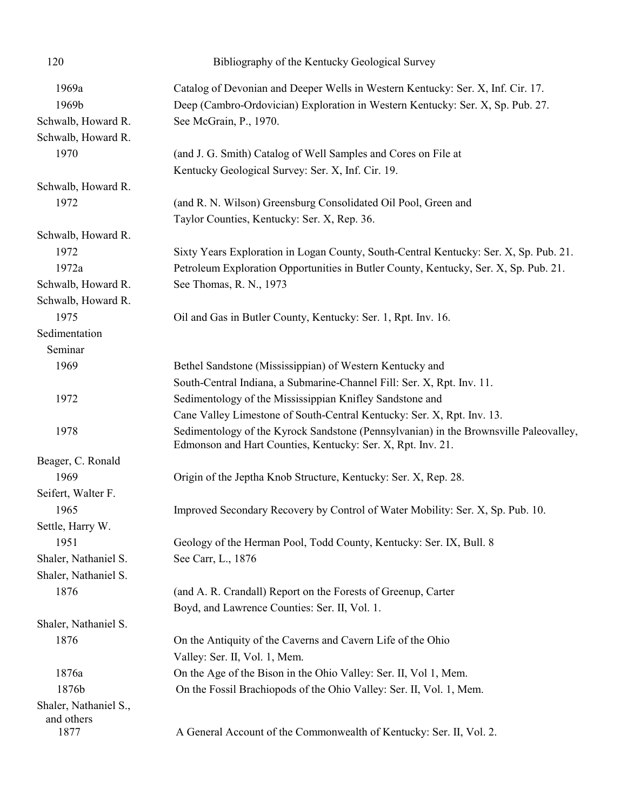| 120                          | Bibliography of the Kentucky Geological Survey                                                                                                                    |
|------------------------------|-------------------------------------------------------------------------------------------------------------------------------------------------------------------|
| 1969a<br>1969b               | Catalog of Devonian and Deeper Wells in Western Kentucky: Ser. X, Inf. Cir. 17.<br>Deep (Cambro-Ordovician) Exploration in Western Kentucky: Ser. X, Sp. Pub. 27. |
| Schwalb, Howard R.           | See McGrain, P., 1970.                                                                                                                                            |
| Schwalb, Howard R.           |                                                                                                                                                                   |
| 1970                         | (and J. G. Smith) Catalog of Well Samples and Cores on File at                                                                                                    |
|                              | Kentucky Geological Survey: Ser. X, Inf. Cir. 19.                                                                                                                 |
| Schwalb, Howard R.           |                                                                                                                                                                   |
| 1972                         | (and R. N. Wilson) Greensburg Consolidated Oil Pool, Green and                                                                                                    |
|                              | Taylor Counties, Kentucky: Ser. X, Rep. 36.                                                                                                                       |
| Schwalb, Howard R.           |                                                                                                                                                                   |
| 1972                         | Sixty Years Exploration in Logan County, South-Central Kentucky: Ser. X, Sp. Pub. 21.                                                                             |
| 1972a                        | Petroleum Exploration Opportunities in Butler County, Kentucky, Ser. X, Sp. Pub. 21.                                                                              |
| Schwalb, Howard R.           | See Thomas, R. N., 1973                                                                                                                                           |
| Schwalb, Howard R.           |                                                                                                                                                                   |
| 1975                         | Oil and Gas in Butler County, Kentucky: Ser. 1, Rpt. Inv. 16.                                                                                                     |
| Sedimentation                |                                                                                                                                                                   |
| Seminar                      |                                                                                                                                                                   |
| 1969                         | Bethel Sandstone (Mississippian) of Western Kentucky and                                                                                                          |
|                              | South-Central Indiana, a Submarine-Channel Fill: Ser. X, Rpt. Inv. 11.                                                                                            |
| 1972                         | Sedimentology of the Mississippian Knifley Sandstone and                                                                                                          |
|                              | Cane Valley Limestone of South-Central Kentucky: Ser. X, Rpt. Inv. 13.                                                                                            |
| 1978                         | Sedimentology of the Kyrock Sandstone (Pennsylvanian) in the Brownsville Paleovalley,<br>Edmonson and Hart Counties, Kentucky: Ser. X, Rpt. Inv. 21.              |
| Beager, C. Ronald            |                                                                                                                                                                   |
| 1969                         | Origin of the Jeptha Knob Structure, Kentucky: Ser. X, Rep. 28.                                                                                                   |
| Seifert, Walter F.           |                                                                                                                                                                   |
| 1965                         | Improved Secondary Recovery by Control of Water Mobility: Ser. X, Sp. Pub. 10.                                                                                    |
| Settle, Harry W.             |                                                                                                                                                                   |
| 1951                         | Geology of the Herman Pool, Todd County, Kentucky: Ser. IX, Bull. 8                                                                                               |
| Shaler, Nathaniel S.         | See Carr, L., 1876                                                                                                                                                |
| Shaler, Nathaniel S.         |                                                                                                                                                                   |
| 1876                         | (and A. R. Crandall) Report on the Forests of Greenup, Carter                                                                                                     |
|                              | Boyd, and Lawrence Counties: Ser. II, Vol. 1.                                                                                                                     |
| Shaler, Nathaniel S.<br>1876 |                                                                                                                                                                   |
|                              | On the Antiquity of the Caverns and Cavern Life of the Ohio<br>Valley: Ser. II, Vol. 1, Mem.                                                                      |
| 1876a                        | On the Age of the Bison in the Ohio Valley: Ser. II, Vol 1, Mem.                                                                                                  |
| 1876b                        | On the Fossil Brachiopods of the Ohio Valley: Ser. II, Vol. 1, Mem.                                                                                               |
| Shaler, Nathaniel S.,        |                                                                                                                                                                   |
| and others                   |                                                                                                                                                                   |
| 1877                         | A General Account of the Commonwealth of Kentucky: Ser. II, Vol. 2.                                                                                               |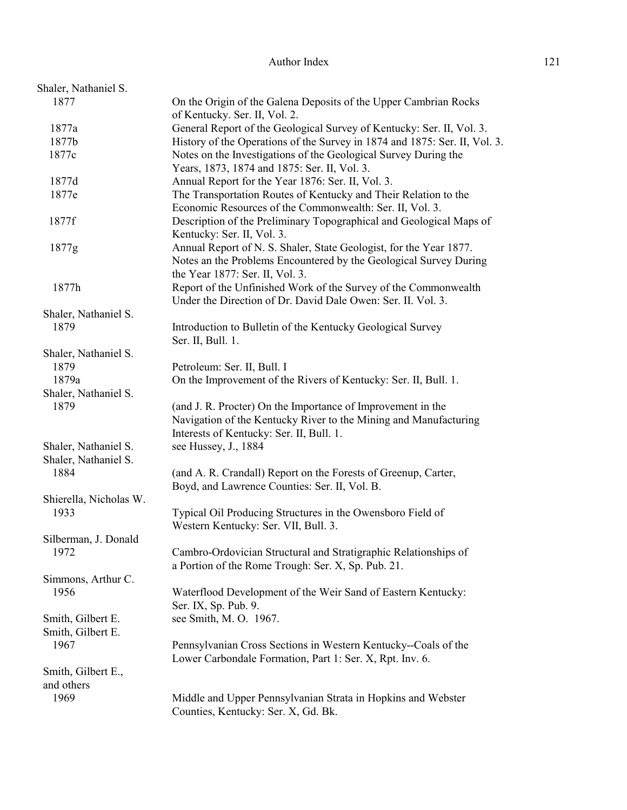| Shaler, Nathaniel S.   |                                                                                                                                                                             |
|------------------------|-----------------------------------------------------------------------------------------------------------------------------------------------------------------------------|
| 1877                   | On the Origin of the Galena Deposits of the Upper Cambrian Rocks<br>of Kentucky. Ser. II, Vol. 2.                                                                           |
| 1877a                  | General Report of the Geological Survey of Kentucky: Ser. II, Vol. 3.                                                                                                       |
| 1877b                  | History of the Operations of the Survey in 1874 and 1875: Ser. II, Vol. 3.                                                                                                  |
| 1877c                  | Notes on the Investigations of the Geological Survey During the                                                                                                             |
|                        | Years, 1873, 1874 and 1875: Ser. II, Vol. 3.                                                                                                                                |
| 1877d                  | Annual Report for the Year 1876: Ser. II, Vol. 3.                                                                                                                           |
| 1877e                  |                                                                                                                                                                             |
|                        | The Transportation Routes of Kentucky and Their Relation to the<br>Economic Resources of the Commonwealth: Ser. II, Vol. 3.                                                 |
| 1877f                  | Description of the Preliminary Topographical and Geological Maps of<br>Kentucky: Ser. II, Vol. 3.                                                                           |
| 1877g                  | Annual Report of N. S. Shaler, State Geologist, for the Year 1877.                                                                                                          |
|                        | Notes an the Problems Encountered by the Geological Survey During<br>the Year 1877: Ser. II, Vol. 3.                                                                        |
| 1877h                  | Report of the Unfinished Work of the Survey of the Commonwealth                                                                                                             |
|                        | Under the Direction of Dr. David Dale Owen: Ser. II. Vol. 3.                                                                                                                |
|                        |                                                                                                                                                                             |
| Shaler, Nathaniel S.   |                                                                                                                                                                             |
| 1879                   | Introduction to Bulletin of the Kentucky Geological Survey<br>Ser. II, Bull. 1.                                                                                             |
| Shaler, Nathaniel S.   |                                                                                                                                                                             |
| 1879                   | Petroleum: Ser. II, Bull. I                                                                                                                                                 |
| 1879a                  | On the Improvement of the Rivers of Kentucky: Ser. II, Bull. 1.                                                                                                             |
| Shaler, Nathaniel S.   |                                                                                                                                                                             |
| 1879                   | (and J. R. Procter) On the Importance of Improvement in the<br>Navigation of the Kentucky River to the Mining and Manufacturing<br>Interests of Kentucky: Ser. II, Bull. 1. |
| Shaler, Nathaniel S.   |                                                                                                                                                                             |
|                        | see Hussey, J., 1884                                                                                                                                                        |
| Shaler, Nathaniel S.   |                                                                                                                                                                             |
| 1884                   | (and A. R. Crandall) Report on the Forests of Greenup, Carter,                                                                                                              |
|                        | Boyd, and Lawrence Counties: Ser. II, Vol. B.                                                                                                                               |
| Shierella, Nicholas W. |                                                                                                                                                                             |
| 1933                   | Typical Oil Producing Structures in the Owensboro Field of<br>Western Kentucky: Ser. VII, Bull. 3.                                                                          |
| Silberman, J. Donald   |                                                                                                                                                                             |
| 1972                   | Cambro-Ordovician Structural and Stratigraphic Relationships of                                                                                                             |
|                        | a Portion of the Rome Trough: Ser. X, Sp. Pub. 21.                                                                                                                          |
| Simmons, Arthur C.     |                                                                                                                                                                             |
| 1956                   | Waterflood Development of the Weir Sand of Eastern Kentucky:<br>Ser. IX, Sp. Pub. 9.                                                                                        |
| Smith, Gilbert E.      | see Smith, M. O. 1967.                                                                                                                                                      |
| Smith, Gilbert E.      |                                                                                                                                                                             |
| 1967                   | Pennsylvanian Cross Sections in Western Kentucky--Coals of the                                                                                                              |
|                        | Lower Carbondale Formation, Part 1: Ser. X, Rpt. Inv. 6.                                                                                                                    |
| Smith, Gilbert E.,     |                                                                                                                                                                             |
| and others             |                                                                                                                                                                             |
| 1969                   | Middle and Upper Pennsylvanian Strata in Hopkins and Webster                                                                                                                |
|                        | Counties, Kentucky: Ser. X, Gd. Bk.                                                                                                                                         |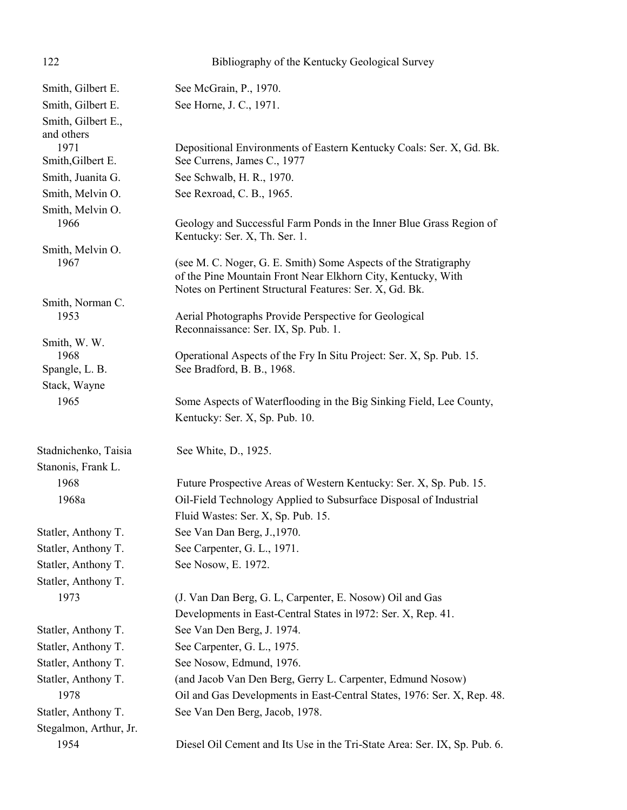| 122                      | Bibliography of the Kentucky Geological Survey                                                       |
|--------------------------|------------------------------------------------------------------------------------------------------|
| Smith, Gilbert E.        | See McGrain, P., 1970.                                                                               |
| Smith, Gilbert E.        | See Horne, J. C., 1971.                                                                              |
| Smith, Gilbert E.,       |                                                                                                      |
| and others               |                                                                                                      |
| 1971                     | Depositional Environments of Eastern Kentucky Coals: Ser. X, Gd. Bk.                                 |
| Smith, Gilbert E.        | See Currens, James C., 1977                                                                          |
| Smith, Juanita G.        | See Schwalb, H. R., 1970.                                                                            |
| Smith, Melvin O.         | See Rexroad, C. B., 1965.                                                                            |
| Smith, Melvin O.<br>1966 |                                                                                                      |
|                          | Geology and Successful Farm Ponds in the Inner Blue Grass Region of<br>Kentucky: Ser. X, Th. Ser. 1. |
| Smith, Melvin O.         |                                                                                                      |
| 1967                     | (see M. C. Noger, G. E. Smith) Some Aspects of the Stratigraphy                                      |
|                          | of the Pine Mountain Front Near Elkhorn City, Kentucky, With                                         |
|                          | Notes on Pertinent Structural Features: Ser. X, Gd. Bk.                                              |
| Smith, Norman C.<br>1953 | Aerial Photographs Provide Perspective for Geological                                                |
|                          | Reconnaissance: Ser. IX, Sp. Pub. 1.                                                                 |
| Smith, W. W.             |                                                                                                      |
| 1968                     | Operational Aspects of the Fry In Situ Project: Ser. X, Sp. Pub. 15.                                 |
| Spangle, L. B.           | See Bradford, B. B., 1968.                                                                           |
| Stack, Wayne             |                                                                                                      |
| 1965                     | Some Aspects of Waterflooding in the Big Sinking Field, Lee County,                                  |
|                          | Kentucky: Ser. X, Sp. Pub. 10.                                                                       |
| Stadnichenko, Taisia     | See White, D., 1925.                                                                                 |
| Stanonis, Frank L.       |                                                                                                      |
| 1968                     | Future Prospective Areas of Western Kentucky: Ser. X, Sp. Pub. 15.                                   |
| 1968a                    | Oil-Field Technology Applied to Subsurface Disposal of Industrial                                    |
|                          | Fluid Wastes: Ser. X, Sp. Pub. 15.                                                                   |
| Statler, Anthony T.      | See Van Dan Berg, J., 1970.                                                                          |
| Statler, Anthony T.      | See Carpenter, G. L., 1971.                                                                          |
| Statler, Anthony T.      | See Nosow, E. 1972.                                                                                  |
| Statler, Anthony T.      |                                                                                                      |
| 1973                     | (J. Van Dan Berg, G. L, Carpenter, E. Nosow) Oil and Gas                                             |
|                          | Developments in East-Central States in 1972: Ser. X, Rep. 41.                                        |
| Statler, Anthony T.      | See Van Den Berg, J. 1974.                                                                           |
| Statler, Anthony T.      | See Carpenter, G. L., 1975.                                                                          |
| Statler, Anthony T.      | See Nosow, Edmund, 1976.                                                                             |
| Statler, Anthony T.      | (and Jacob Van Den Berg, Gerry L. Carpenter, Edmund Nosow)                                           |
| 1978                     | Oil and Gas Developments in East-Central States, 1976: Ser. X, Rep. 48.                              |
| Statler, Anthony T.      | See Van Den Berg, Jacob, 1978.                                                                       |
| Stegalmon, Arthur, Jr.   |                                                                                                      |
| 1954                     | Diesel Oil Cement and Its Use in the Tri-State Area: Ser. IX, Sp. Pub. 6.                            |
|                          |                                                                                                      |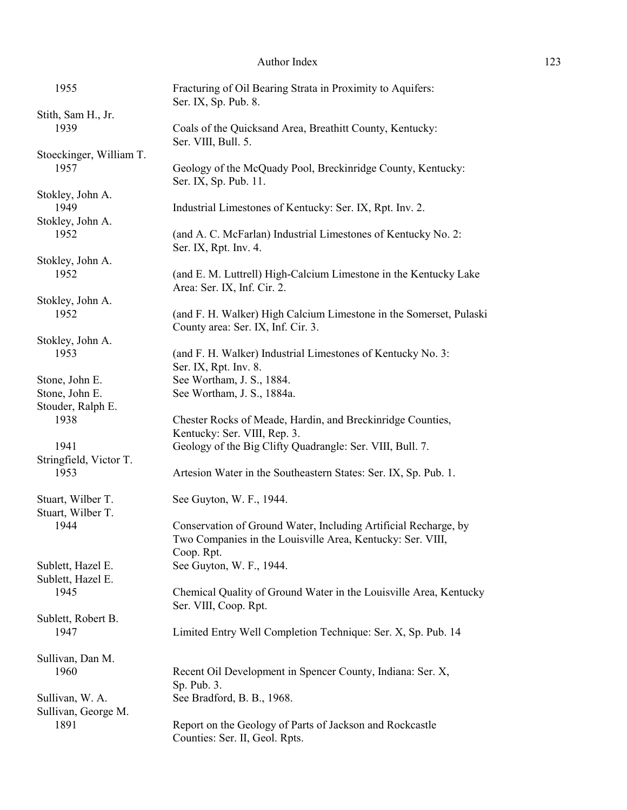| 1955                    | Fracturing of Oil Bearing Strata in Proximity to Aquifers:<br>Ser. IX, Sp. Pub. 8.     |
|-------------------------|----------------------------------------------------------------------------------------|
| Stith, Sam H., Jr.      |                                                                                        |
| 1939                    | Coals of the Quicksand Area, Breathitt County, Kentucky:<br>Ser. VIII, Bull. 5.        |
| Stoeckinger, William T. |                                                                                        |
| 1957                    | Geology of the McQuady Pool, Breckinridge County, Kentucky:<br>Ser. IX, Sp. Pub. 11.   |
| Stokley, John A.        |                                                                                        |
| 1949                    | Industrial Limestones of Kentucky: Ser. IX, Rpt. Inv. 2.                               |
| Stokley, John A.        |                                                                                        |
| 1952                    | (and A. C. McFarlan) Industrial Limestones of Kentucky No. 2:<br>Ser. IX, Rpt. Inv. 4. |
| Stokley, John A.        |                                                                                        |
| 1952                    | (and E. M. Luttrell) High-Calcium Limestone in the Kentucky Lake                       |
|                         | Area: Ser. IX, Inf. Cir. 2.                                                            |
| Stokley, John A.        |                                                                                        |
| 1952                    |                                                                                        |
|                         | (and F. H. Walker) High Calcium Limestone in the Somerset, Pulaski                     |
|                         | County area: Ser. IX, Inf. Cir. 3.                                                     |
| Stokley, John A.        |                                                                                        |
| 1953                    | (and F. H. Walker) Industrial Limestones of Kentucky No. 3:                            |
|                         | Ser. IX, Rpt. Inv. 8.                                                                  |
| Stone, John E.          | See Wortham, J. S., 1884.                                                              |
| Stone, John E.          | See Wortham, J. S., 1884a.                                                             |
| Stouder, Ralph E.       |                                                                                        |
| 1938                    | Chester Rocks of Meade, Hardin, and Breckinridge Counties,                             |
|                         | Kentucky: Ser. VIII, Rep. 3.                                                           |
| 1941                    |                                                                                        |
|                         | Geology of the Big Clifty Quadrangle: Ser. VIII, Bull. 7.                              |
| Stringfield, Victor T.  |                                                                                        |
| 1953                    | Artesion Water in the Southeastern States: Ser. IX, Sp. Pub. 1.                        |
| Stuart, Wilber T.       | See Guyton, W. F., 1944.                                                               |
| Stuart, Wilber T.       |                                                                                        |
| 1944                    | Conservation of Ground Water, Including Artificial Recharge, by                        |
|                         |                                                                                        |
|                         | Two Companies in the Louisville Area, Kentucky: Ser. VIII,                             |
|                         | Coop. Rpt.                                                                             |
| Sublett, Hazel E.       | See Guyton, W. F., 1944.                                                               |
| Sublett, Hazel E.       |                                                                                        |
| 1945                    | Chemical Quality of Ground Water in the Louisville Area, Kentucky                      |
|                         | Ser. VIII, Coop. Rpt.                                                                  |
| Sublett, Robert B.      |                                                                                        |
| 1947                    | Limited Entry Well Completion Technique: Ser. X, Sp. Pub. 14                           |
|                         |                                                                                        |
| Sullivan, Dan M.        |                                                                                        |
|                         |                                                                                        |
| 1960                    | Recent Oil Development in Spencer County, Indiana: Ser. X,                             |
|                         | Sp. Pub. 3.                                                                            |
| Sullivan, W. A.         | See Bradford, B. B., 1968.                                                             |
| Sullivan, George M.     |                                                                                        |
| 1891                    | Report on the Geology of Parts of Jackson and Rockcastle                               |
|                         | Counties: Ser. II, Geol. Rpts.                                                         |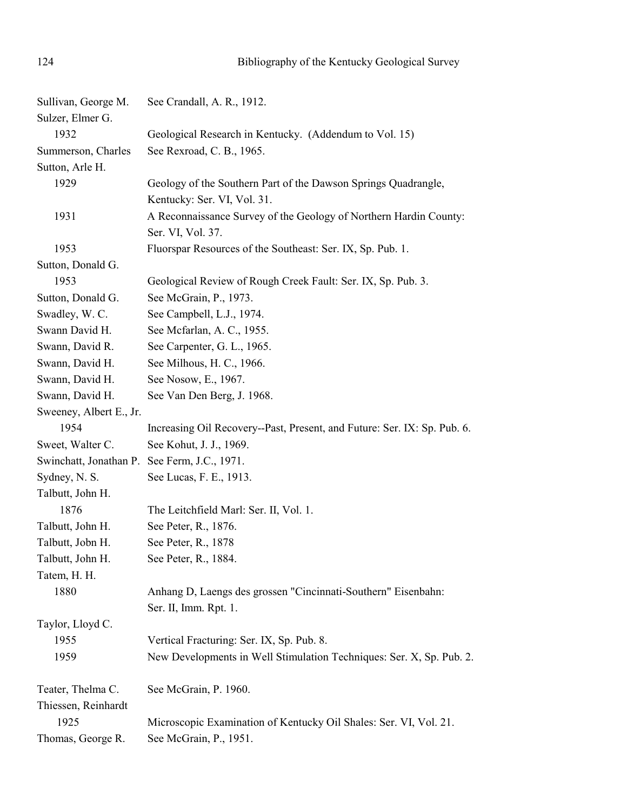| Sullivan, George M.                          | See Crandall, A. R., 1912.                                                                    |
|----------------------------------------------|-----------------------------------------------------------------------------------------------|
| Sulzer, Elmer G.                             |                                                                                               |
| 1932                                         | Geological Research in Kentucky. (Addendum to Vol. 15)                                        |
| Summerson, Charles                           | See Rexroad, C. B., 1965.                                                                     |
| Sutton, Arle H.                              |                                                                                               |
| 1929                                         | Geology of the Southern Part of the Dawson Springs Quadrangle,<br>Kentucky: Ser. VI, Vol. 31. |
| 1931                                         | A Reconnaissance Survey of the Geology of Northern Hardin County:                             |
|                                              | Ser. VI, Vol. 37.                                                                             |
| 1953                                         | Fluorspar Resources of the Southeast: Ser. IX, Sp. Pub. 1.                                    |
| Sutton, Donald G.                            |                                                                                               |
| 1953                                         | Geological Review of Rough Creek Fault: Ser. IX, Sp. Pub. 3.                                  |
| Sutton, Donald G.                            | See McGrain, P., 1973.                                                                        |
| Swadley, W. C.                               | See Campbell, L.J., 1974.                                                                     |
| Swann David H.                               | See Mcfarlan, A. C., 1955.                                                                    |
| Swann, David R.                              | See Carpenter, G. L., 1965.                                                                   |
| Swann, David H.                              | See Milhous, H. C., 1966.                                                                     |
| Swann, David H.                              | See Nosow, E., 1967.                                                                          |
| Swann, David H.                              | See Van Den Berg, J. 1968.                                                                    |
| Sweeney, Albert E., Jr.                      |                                                                                               |
| 1954                                         | Increasing Oil Recovery--Past, Present, and Future: Ser. IX: Sp. Pub. 6.                      |
| Sweet, Walter C.                             | See Kohut, J. J., 1969.                                                                       |
| Swinchatt, Jonathan P. See Ferm, J.C., 1971. |                                                                                               |
| Sydney, N. S.                                | See Lucas, F. E., 1913.                                                                       |
| Talbutt, John H.                             |                                                                                               |
| 1876                                         | The Leitchfield Marl: Ser. II, Vol. 1.                                                        |
| Talbutt, John H.                             | See Peter, R., 1876.                                                                          |
| Talbutt, Jobn H.                             | See Peter, R., 1878                                                                           |
| Talbutt, John H.                             | See Peter, R., 1884.                                                                          |
| Tatem, H. H.                                 |                                                                                               |
| 1880                                         | Anhang D, Laengs des grossen "Cincinnati-Southern" Eisenbahn:                                 |
|                                              | Ser. II, Imm. Rpt. 1.                                                                         |
| Taylor, Lloyd C.                             |                                                                                               |
| 1955                                         | Vertical Fracturing: Ser. IX, Sp. Pub. 8.                                                     |
| 1959                                         | New Developments in Well Stimulation Techniques: Ser. X, Sp. Pub. 2.                          |
| Teater, Thelma C.                            | See McGrain, P. 1960.                                                                         |
| Thiessen, Reinhardt                          |                                                                                               |
| 1925                                         | Microscopic Examination of Kentucky Oil Shales: Ser. VI, Vol. 21.                             |
| Thomas, George R.                            | See McGrain, P., 1951.                                                                        |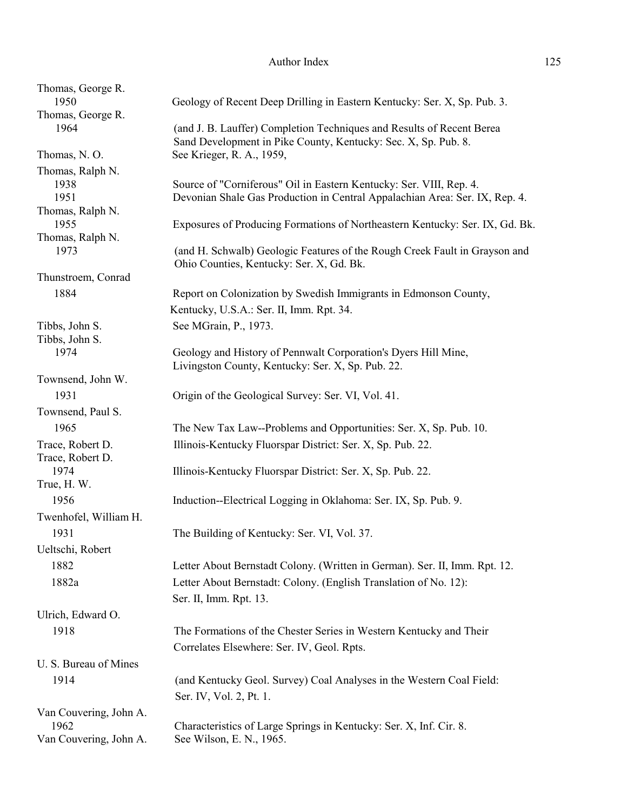| Thomas, George R.<br>1950 | Geology of Recent Deep Drilling in Eastern Kentucky: Ser. X, Sp. Pub. 3.                                                                           |
|---------------------------|----------------------------------------------------------------------------------------------------------------------------------------------------|
| Thomas, George R.         |                                                                                                                                                    |
| 1964                      | (and J. B. Lauffer) Completion Techniques and Results of Recent Berea                                                                              |
|                           | Sand Development in Pike County, Kentucky: Sec. X, Sp. Pub. 8.                                                                                     |
| Thomas, N.O.              | See Krieger, R. A., 1959,                                                                                                                          |
| Thomas, Ralph N.          |                                                                                                                                                    |
| 1938<br>1951              | Source of "Corniferous" Oil in Eastern Kentucky: Ser. VIII, Rep. 4.<br>Devonian Shale Gas Production in Central Appalachian Area: Ser. IX, Rep. 4. |
| Thomas, Ralph N.          |                                                                                                                                                    |
| 1955                      | Exposures of Producing Formations of Northeastern Kentucky: Ser. IX, Gd. Bk.                                                                       |
| Thomas, Ralph N.          |                                                                                                                                                    |
| 1973                      | (and H. Schwalb) Geologic Features of the Rough Creek Fault in Grayson and                                                                         |
| Thunstroem, Conrad        | Ohio Counties, Kentucky: Ser. X, Gd. Bk.                                                                                                           |
| 1884                      | Report on Colonization by Swedish Immigrants in Edmonson County,                                                                                   |
|                           | Kentucky, U.S.A.: Ser. II, Imm. Rpt. 34.                                                                                                           |
| Tibbs, John S.            | See MGrain, P., 1973.                                                                                                                              |
| Tibbs, John S.            |                                                                                                                                                    |
| 1974                      | Geology and History of Pennwalt Corporation's Dyers Hill Mine,                                                                                     |
| Townsend, John W.         | Livingston County, Kentucky: Ser. X, Sp. Pub. 22.                                                                                                  |
| 1931                      | Origin of the Geological Survey: Ser. VI, Vol. 41.                                                                                                 |
| Townsend, Paul S.         |                                                                                                                                                    |
| 1965                      | The New Tax Law--Problems and Opportunities: Ser. X, Sp. Pub. 10.                                                                                  |
| Trace, Robert D.          | Illinois-Kentucky Fluorspar District: Ser. X, Sp. Pub. 22.                                                                                         |
| Trace, Robert D.          |                                                                                                                                                    |
| 1974                      | Illinois-Kentucky Fluorspar District: Ser. X, Sp. Pub. 22.                                                                                         |
| True, H.W.                |                                                                                                                                                    |
| 1956                      | Induction--Electrical Logging in Oklahoma: Ser. IX, Sp. Pub. 9.                                                                                    |
| Twenhofel, William H.     |                                                                                                                                                    |
| 1931                      | The Building of Kentucky: Ser. VI, Vol. 37.                                                                                                        |
| Ueltschi, Robert          |                                                                                                                                                    |
| 1882                      | Letter About Bernstadt Colony. (Written in German). Ser. II, Imm. Rpt. 12.                                                                         |
| 1882a                     | Letter About Bernstadt: Colony. (English Translation of No. 12):                                                                                   |
|                           | Ser. II, Imm. Rpt. 13.                                                                                                                             |
| Ulrich, Edward O.         |                                                                                                                                                    |
| 1918                      | The Formations of the Chester Series in Western Kentucky and Their                                                                                 |
|                           | Correlates Elsewhere: Ser. IV, Geol. Rpts.                                                                                                         |
| U. S. Bureau of Mines     |                                                                                                                                                    |
| 1914                      | (and Kentucky Geol. Survey) Coal Analyses in the Western Coal Field:                                                                               |
|                           | Ser. IV, Vol. 2, Pt. 1.                                                                                                                            |
| Van Couvering, John A.    |                                                                                                                                                    |
| 1962                      | Characteristics of Large Springs in Kentucky: Ser. X, Inf. Cir. 8.                                                                                 |
| Van Couvering, John A.    | See Wilson, E. N., 1965.                                                                                                                           |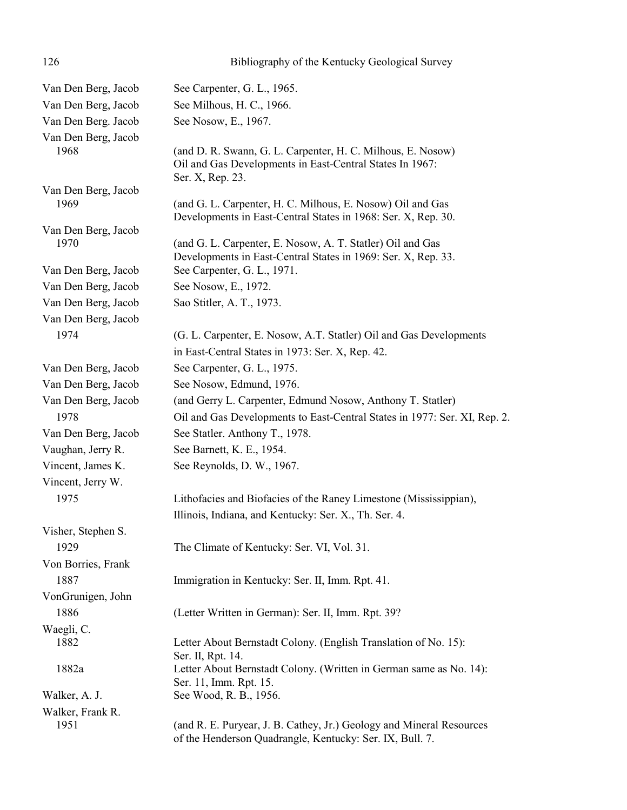| 126                 | Bibliography of the Kentucky Geological Survey                                                                                              |
|---------------------|---------------------------------------------------------------------------------------------------------------------------------------------|
| Van Den Berg, Jacob | See Carpenter, G. L., 1965.                                                                                                                 |
| Van Den Berg, Jacob | See Milhous, H. C., 1966.                                                                                                                   |
| Van Den Berg. Jacob | See Nosow, E., 1967.                                                                                                                        |
| Van Den Berg, Jacob |                                                                                                                                             |
| 1968                | (and D. R. Swann, G. L. Carpenter, H. C. Milhous, E. Nosow)<br>Oil and Gas Developments in East-Central States In 1967:<br>Ser. X, Rep. 23. |
| Van Den Berg, Jacob |                                                                                                                                             |
| 1969                | (and G. L. Carpenter, H. C. Milhous, E. Nosow) Oil and Gas<br>Developments in East-Central States in 1968: Ser. X, Rep. 30.                 |
| Van Den Berg, Jacob |                                                                                                                                             |
| 1970                | (and G. L. Carpenter, E. Nosow, A. T. Statler) Oil and Gas<br>Developments in East-Central States in 1969: Ser. X, Rep. 33.                 |
| Van Den Berg, Jacob | See Carpenter, G. L., 1971.                                                                                                                 |
| Van Den Berg, Jacob | See Nosow, E., 1972.                                                                                                                        |
| Van Den Berg, Jacob | Sao Stitler, A. T., 1973.                                                                                                                   |
| Van Den Berg, Jacob |                                                                                                                                             |
| 1974                | (G. L. Carpenter, E. Nosow, A.T. Statler) Oil and Gas Developments                                                                          |
|                     | in East-Central States in 1973: Ser. X, Rep. 42.                                                                                            |
| Van Den Berg, Jacob | See Carpenter, G. L., 1975.                                                                                                                 |
| Van Den Berg, Jacob | See Nosow, Edmund, 1976.                                                                                                                    |
| Van Den Berg, Jacob | (and Gerry L. Carpenter, Edmund Nosow, Anthony T. Statler)                                                                                  |
| 1978                | Oil and Gas Developments to East-Central States in 1977: Ser. XI, Rep. 2.                                                                   |
| Van Den Berg, Jacob | See Statler. Anthony T., 1978.                                                                                                              |
| Vaughan, Jerry R.   | See Barnett, K. E., 1954.                                                                                                                   |
| Vincent, James K.   | See Reynolds, D. W., 1967.                                                                                                                  |
| Vincent, Jerry W.   |                                                                                                                                             |
| 1975                | Lithofacies and Biofacies of the Raney Limestone (Mississippian),                                                                           |
|                     | Illinois, Indiana, and Kentucky: Ser. X., Th. Ser. 4.                                                                                       |
| Visher, Stephen S.  |                                                                                                                                             |
| 1929                | The Climate of Kentucky: Ser. VI, Vol. 31.                                                                                                  |
| Von Borries, Frank  |                                                                                                                                             |
| 1887                | Immigration in Kentucky: Ser. II, Imm. Rpt. 41.                                                                                             |
| VonGrunigen, John   |                                                                                                                                             |
| 1886                | (Letter Written in German): Ser. II, Imm. Rpt. 39?                                                                                          |
| Waegli, C.          |                                                                                                                                             |
| 1882                | Letter About Bernstadt Colony. (English Translation of No. 15):<br>Ser. II, Rpt. 14.                                                        |
| 1882a               | Letter About Bernstadt Colony. (Written in German same as No. 14):<br>Ser. 11, Imm. Rpt. 15.                                                |
| Walker, A. J.       | See Wood, R. B., 1956.                                                                                                                      |
| Walker, Frank R.    |                                                                                                                                             |
| 1951                | (and R. E. Puryear, J. B. Cathey, Jr.) Geology and Mineral Resources<br>of the Henderson Quadrangle, Kentucky: Ser. IX, Bull. 7.            |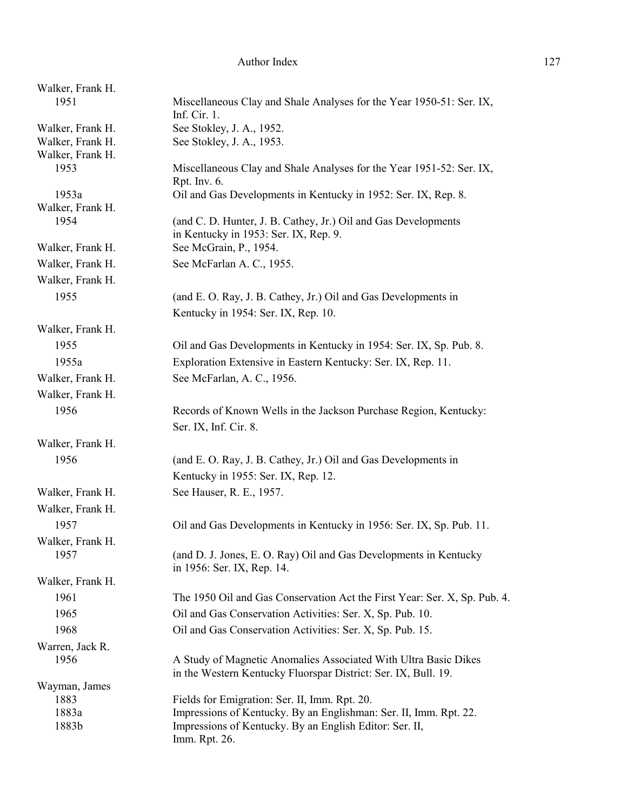| Walker, Frank H.         |                                                                                                                                   |
|--------------------------|-----------------------------------------------------------------------------------------------------------------------------------|
| 1951                     | Miscellaneous Clay and Shale Analyses for the Year 1950-51: Ser. IX,<br>Inf. Cir. 1.                                              |
| Walker, Frank H.         | See Stokley, J. A., 1952.                                                                                                         |
| Walker, Frank H.         | See Stokley, J. A., 1953.                                                                                                         |
| Walker, Frank H.         |                                                                                                                                   |
| 1953                     | Miscellaneous Clay and Shale Analyses for the Year 1951-52: Ser. IX,                                                              |
| 1953a                    | Rpt. Inv. 6.<br>Oil and Gas Developments in Kentucky in 1952: Ser. IX, Rep. 8.                                                    |
| Walker, Frank H.         |                                                                                                                                   |
| 1954                     | (and C. D. Hunter, J. B. Cathey, Jr.) Oil and Gas Developments<br>in Kentucky in 1953: Ser. IX, Rep. 9.                           |
| Walker, Frank H.         | See McGrain, P., 1954.                                                                                                            |
| Walker, Frank H.         | See McFarlan A. C., 1955.                                                                                                         |
| Walker, Frank H.         |                                                                                                                                   |
| 1955                     | (and E. O. Ray, J. B. Cathey, Jr.) Oil and Gas Developments in                                                                    |
|                          | Kentucky in 1954: Ser. IX, Rep. 10.                                                                                               |
| Walker, Frank H.         |                                                                                                                                   |
|                          |                                                                                                                                   |
| 1955                     | Oil and Gas Developments in Kentucky in 1954: Ser. IX, Sp. Pub. 8.                                                                |
| 1955a                    | Exploration Extensive in Eastern Kentucky: Ser. IX, Rep. 11.                                                                      |
| Walker, Frank H.         | See McFarlan, A. C., 1956.                                                                                                        |
| Walker, Frank H.         |                                                                                                                                   |
| 1956                     | Records of Known Wells in the Jackson Purchase Region, Kentucky:                                                                  |
|                          | Ser. IX, Inf. Cir. 8.                                                                                                             |
| Walker, Frank H.         |                                                                                                                                   |
| 1956                     | (and E. O. Ray, J. B. Cathey, Jr.) Oil and Gas Developments in                                                                    |
|                          | Kentucky in 1955: Ser. IX, Rep. 12.                                                                                               |
| Walker, Frank H.         | See Hauser, R. E., 1957.                                                                                                          |
| Walker, Frank H.         |                                                                                                                                   |
| 1957                     | Oil and Gas Developments in Kentucky in 1956: Ser. IX, Sp. Pub. 11.                                                               |
|                          |                                                                                                                                   |
| Walker, Frank H.<br>1957 | (and D. J. Jones, E. O. Ray) Oil and Gas Developments in Kentucky<br>in 1956: Ser. IX, Rep. 14.                                   |
| Walker, Frank H.         |                                                                                                                                   |
| 1961                     | The 1950 Oil and Gas Conservation Act the First Year: Ser. X, Sp. Pub. 4.                                                         |
| 1965                     | Oil and Gas Conservation Activities: Ser. X, Sp. Pub. 10.                                                                         |
| 1968                     | Oil and Gas Conservation Activities: Ser. X, Sp. Pub. 15.                                                                         |
| Warren, Jack R.          |                                                                                                                                   |
| 1956                     | A Study of Magnetic Anomalies Associated With Ultra Basic Dikes<br>in the Western Kentucky Fluorspar District: Ser. IX, Bull. 19. |
| Wayman, James            |                                                                                                                                   |
| 1883                     | Fields for Emigration: Ser. II, Imm. Rpt. 20.                                                                                     |
| 1883a                    | Impressions of Kentucky. By an Englishman: Ser. II, Imm. Rpt. 22.                                                                 |
| 1883b                    | Impressions of Kentucky. By an English Editor: Ser. II,<br>Imm. Rpt. 26.                                                          |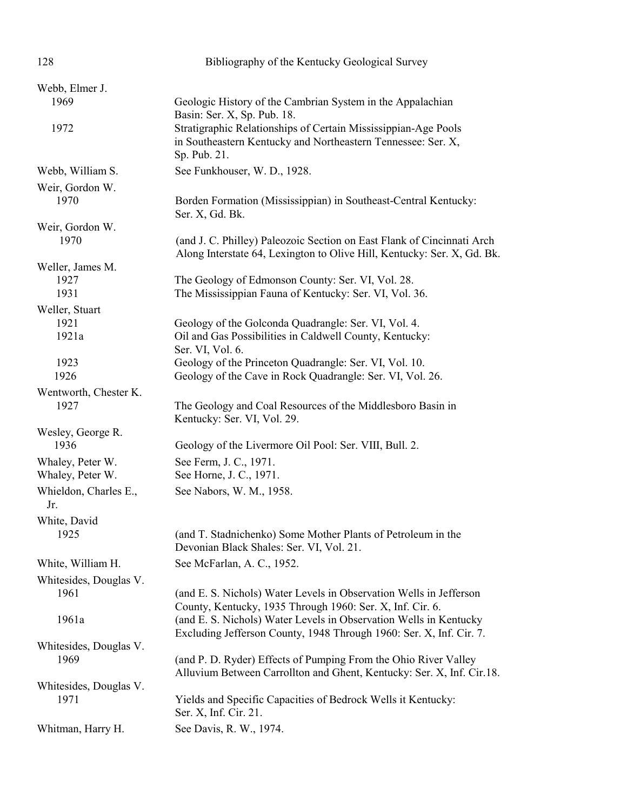| 128                                  | Bibliography of the Kentucky Geological Survey                                                                                                    |
|--------------------------------------|---------------------------------------------------------------------------------------------------------------------------------------------------|
| Webb, Elmer J.                       |                                                                                                                                                   |
| 1969                                 | Geologic History of the Cambrian System in the Appalachian<br>Basin: Ser. X, Sp. Pub. 18.                                                         |
| 1972                                 | Stratigraphic Relationships of Certain Mississippian-Age Pools<br>in Southeastern Kentucky and Northeastern Tennessee: Ser. X,<br>Sp. Pub. 21.    |
| Webb, William S.                     | See Funkhouser, W. D., 1928.                                                                                                                      |
| Weir, Gordon W.<br>1970              | Borden Formation (Mississippian) in Southeast-Central Kentucky:<br>Ser. X, Gd. Bk.                                                                |
| Weir, Gordon W.<br>1970              | (and J. C. Philley) Paleozoic Section on East Flank of Cincinnati Arch<br>Along Interstate 64, Lexington to Olive Hill, Kentucky: Ser. X, Gd. Bk. |
| Weller, James M.<br>1927<br>1931     | The Geology of Edmonson County: Ser. VI, Vol. 28.<br>The Mississippian Fauna of Kentucky: Ser. VI, Vol. 36.                                       |
| Weller, Stuart<br>1921<br>1921a      | Geology of the Golconda Quadrangle: Ser. VI, Vol. 4.<br>Oil and Gas Possibilities in Caldwell County, Kentucky:<br>Ser. VI, Vol. 6.               |
| 1923<br>1926                         | Geology of the Princeton Quadrangle: Ser. VI, Vol. 10.<br>Geology of the Cave in Rock Quadrangle: Ser. VI, Vol. 26.                               |
| Wentworth, Chester K.<br>1927        | The Geology and Coal Resources of the Middlesboro Basin in<br>Kentucky: Ser. VI, Vol. 29.                                                         |
| Wesley, George R.<br>1936            | Geology of the Livermore Oil Pool: Ser. VIII, Bull. 2.                                                                                            |
| Whaley, Peter W.<br>Whaley, Peter W. | See Ferm, J. C., 1971.<br>See Horne, J. C., 1971.                                                                                                 |
| Whieldon, Charles E.,<br>Jr.         | See Nabors, W. M., 1958.                                                                                                                          |
| White, David<br>1925                 | (and T. Stadnichenko) Some Mother Plants of Petroleum in the<br>Devonian Black Shales: Ser. VI, Vol. 21.                                          |
| White, William H.                    | See McFarlan, A. C., 1952.                                                                                                                        |
| Whitesides, Douglas V.<br>1961       | (and E. S. Nichols) Water Levels in Observation Wells in Jefferson<br>County, Kentucky, 1935 Through 1960: Ser. X, Inf. Cir. 6.                   |
| 1961a                                | (and E. S. Nichols) Water Levels in Observation Wells in Kentucky<br>Excluding Jefferson County, 1948 Through 1960: Ser. X, Inf. Cir. 7.          |
| Whitesides, Douglas V.<br>1969       | (and P. D. Ryder) Effects of Pumping From the Ohio River Valley<br>Alluvium Between Carrollton and Ghent, Kentucky: Ser. X, Inf. Cir.18.          |
| Whitesides, Douglas V.<br>1971       | Yields and Specific Capacities of Bedrock Wells it Kentucky:<br>Ser. X, Inf. Cir. 21.                                                             |
| Whitman, Harry H.                    | See Davis, R. W., 1974.                                                                                                                           |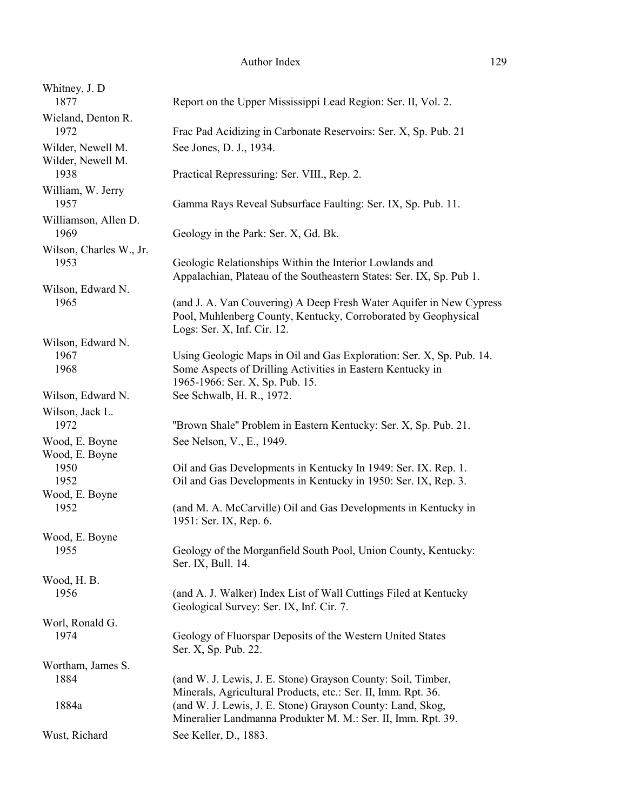| Whitney, J. D<br>1877            | Report on the Upper Mississippi Lead Region: Ser. II, Vol. 2.                                                                                                         |
|----------------------------------|-----------------------------------------------------------------------------------------------------------------------------------------------------------------------|
| Wieland, Denton R.<br>1972       | Frac Pad Acidizing in Carbonate Reservoirs: Ser. X, Sp. Pub. 21                                                                                                       |
| Wilder, Newell M.                | See Jones, D. J., 1934.                                                                                                                                               |
| Wilder, Newell M.<br>1938        | Practical Repressuring: Ser. VIII., Rep. 2.                                                                                                                           |
| William, W. Jerry<br>1957        | Gamma Rays Reveal Subsurface Faulting: Ser. IX, Sp. Pub. 11.                                                                                                          |
| Williamson, Allen D.<br>1969     | Geology in the Park: Ser. X, Gd. Bk.                                                                                                                                  |
| Wilson, Charles W., Jr.          |                                                                                                                                                                       |
| 1953                             | Geologic Relationships Within the Interior Lowlands and<br>Appalachian, Plateau of the Southeastern States: Ser. IX, Sp. Pub 1.                                       |
| Wilson, Edward N.<br>1965        | (and J. A. Van Couvering) A Deep Fresh Water Aquifer in New Cypress<br>Pool, Muhlenberg County, Kentucky, Corroborated by Geophysical<br>Logs: Ser. X, Inf. Cir. 12.  |
| Wilson, Edward N.                |                                                                                                                                                                       |
| 1967<br>1968                     | Using Geologic Maps in Oil and Gas Exploration: Ser. X, Sp. Pub. 14.<br>Some Aspects of Drilling Activities in Eastern Kentucky in<br>1965-1966: Ser. X, Sp. Pub. 15. |
| Wilson, Edward N.                | See Schwalb, H. R., 1972.                                                                                                                                             |
| Wilson, Jack L.<br>1972          | "Brown Shale" Problem in Eastern Kentucky: Ser. X, Sp. Pub. 21.                                                                                                       |
| Wood, E. Boyne<br>Wood, E. Boyne | See Nelson, V., E., 1949.                                                                                                                                             |
| 1950<br>1952                     | Oil and Gas Developments in Kentucky In 1949: Ser. IX. Rep. 1.<br>Oil and Gas Developments in Kentucky in 1950: Ser. IX, Rep. 3.                                      |
| Wood, E. Boyne<br>1952           | (and M. A. McCarville) Oil and Gas Developments in Kentucky in<br>1951: Ser. IX, Rep. 6.                                                                              |
| Wood, E. Boyne                   |                                                                                                                                                                       |
| 1955                             | Geology of the Morganfield South Pool, Union County, Kentucky:<br>Ser. IX, Bull. 14.                                                                                  |
| Wood, H. B.<br>1956              | (and A. J. Walker) Index List of Wall Cuttings Filed at Kentucky<br>Geological Survey: Ser. IX, Inf. Cir. 7.                                                          |
| Worl, Ronald G.<br>1974          | Geology of Fluorspar Deposits of the Western United States<br>Ser. X, Sp. Pub. 22.                                                                                    |
| Wortham, James S.                |                                                                                                                                                                       |
| 1884                             | (and W. J. Lewis, J. E. Stone) Grayson County: Soil, Timber,<br>Minerals, Agricultural Products, etc.: Ser. II, Imm. Rpt. 36.                                         |
| 1884a                            | (and W. J. Lewis, J. E. Stone) Grayson County: Land, Skog,<br>Mineralier Landmanna Produkter M. M.: Ser. II, Imm. Rpt. 39.                                            |
| Wust, Richard                    | See Keller, D., 1883.                                                                                                                                                 |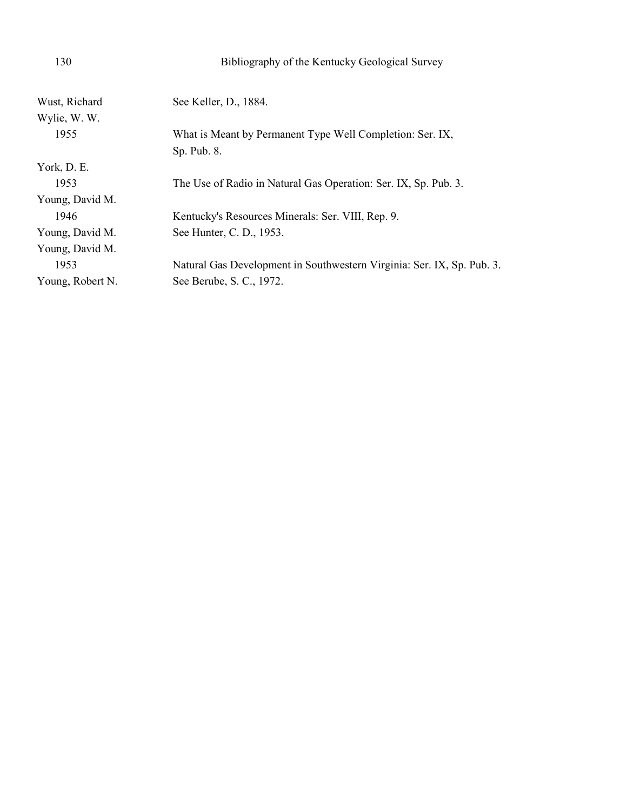| 130              | Bibliography of the Kentucky Geological Survey                         |
|------------------|------------------------------------------------------------------------|
| Wust, Richard    | See Keller, D., 1884.                                                  |
| Wylie, W. W.     |                                                                        |
| 1955             | What is Meant by Permanent Type Well Completion: Ser. IX,              |
|                  | Sp. Pub. 8.                                                            |
| York, D. E.      |                                                                        |
| 1953             | The Use of Radio in Natural Gas Operation: Ser. IX, Sp. Pub. 3.        |
| Young, David M.  |                                                                        |
| 1946             | Kentucky's Resources Minerals: Ser. VIII, Rep. 9.                      |
| Young, David M.  | See Hunter, C. D., 1953.                                               |
| Young, David M.  |                                                                        |
| 1953             | Natural Gas Development in Southwestern Virginia: Ser. IX, Sp. Pub. 3. |
| Young, Robert N. | See Berube, S. C., 1972.                                               |
|                  |                                                                        |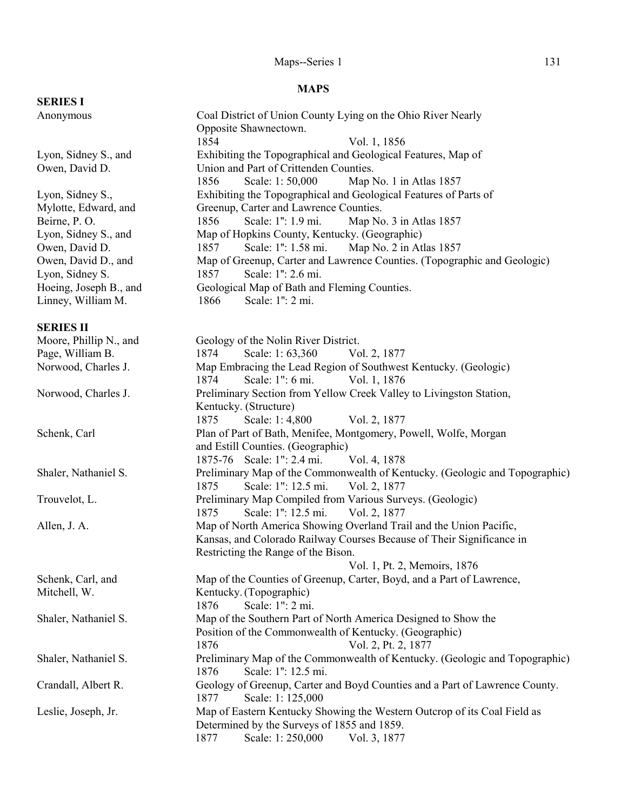# Maps--Series 1 131

## **MAPS**

| <b>SERIES I</b>        |                                                                             |
|------------------------|-----------------------------------------------------------------------------|
| Anonymous              | Coal District of Union County Lying on the Ohio River Nearly                |
|                        | Opposite Shawnectown.                                                       |
|                        | 1854<br>Vol. 1, 1856                                                        |
| Lyon, Sidney S., and   | Exhibiting the Topographical and Geological Features, Map of                |
| Owen, David D.         | Union and Part of Crittenden Counties.                                      |
|                        | Scale: 1:50,000<br>Map No. 1 in Atlas 1857<br>1856                          |
| Lyon, Sidney S.,       | Exhibiting the Topographical and Geological Features of Parts of            |
| Mylotte, Edward, and   | Greenup, Carter and Lawrence Counties.                                      |
| Beirne, P.O.           | 1856<br>Scale: 1": 1.9 mi.<br>Map No. 3 in Atlas 1857                       |
| Lyon, Sidney S., and   | Map of Hopkins County, Kentucky. (Geographic)                               |
| Owen, David D.         | Scale: 1": 1.58 mi. Map No. 2 in Atlas 1857<br>1857                         |
| Owen, David D., and    | Map of Greenup, Carter and Lawrence Counties. (Topographic and Geologic)    |
| Lyon, Sidney S.        | Scale: 1": 2.6 mi.<br>1857                                                  |
| Hoeing, Joseph B., and | Geological Map of Bath and Fleming Counties.                                |
| Linney, William M.     | 1866<br>Scale: 1": 2 mi.                                                    |
|                        |                                                                             |
| <b>SERIES II</b>       |                                                                             |
| Moore, Phillip N., and | Geology of the Nolin River District.                                        |
| Page, William B.       | Scale: 1:63,360<br>1874<br>Vol. 2, 1877                                     |
| Norwood, Charles J.    | Map Embracing the Lead Region of Southwest Kentucky. (Geologic)             |
|                        | Scale: 1": 6 mi.<br>1874<br>Vol. 1, 1876                                    |
| Norwood, Charles J.    | Preliminary Section from Yellow Creek Valley to Livingston Station,         |
|                        | Kentucky. (Structure)                                                       |
|                        | 1875<br>Scale: 1: 4,800<br>Vol. 2, 1877                                     |
| Schenk, Carl           | Plan of Part of Bath, Menifee, Montgomery, Powell, Wolfe, Morgan            |
|                        | and Estill Counties. (Geographic)                                           |
|                        | 1875-76 Scale: 1": 2.4 mi.<br>Vol. 4, 1878                                  |
| Shaler, Nathaniel S.   | Preliminary Map of the Commonwealth of Kentucky. (Geologic and Topographic) |
|                        | Scale: 1": 12.5 mi.<br>Vol. 2, 1877<br>1875                                 |
| Trouvelot, L.          | Preliminary Map Compiled from Various Surveys. (Geologic)                   |
|                        | Scale: 1": 12.5 mi.<br>1875<br>Vol. 2, 1877                                 |
| Allen, J. A.           | Map of North America Showing Overland Trail and the Union Pacific,          |
|                        | Kansas, and Colorado Railway Courses Because of Their Significance in       |
|                        | Restricting the Range of the Bison.                                         |
|                        | Vol. 1, Pt. 2, Memoirs, 1876                                                |
| Schenk, Carl, and      | Map of the Counties of Greenup, Carter, Boyd, and a Part of Lawrence,       |
| Mitchell, W.           | Kentucky. (Topographic)                                                     |
|                        | Scale: 1": 2 mi.<br>1876                                                    |
| Shaler, Nathaniel S.   | Map of the Southern Part of North America Designed to Show the              |
|                        | Position of the Commonwealth of Kentucky. (Geographic)                      |
|                        | Vol. 2, Pt. 2, 1877<br>1876                                                 |
| Shaler, Nathaniel S.   | Preliminary Map of the Commonwealth of Kentucky. (Geologic and Topographic) |
|                        | 1876<br>Scale: 1": 12.5 mi.                                                 |
| Crandall, Albert R.    | Geology of Greenup, Carter and Boyd Counties and a Part of Lawrence County. |
|                        | 1877<br>Scale: 1: 125,000                                                   |
| Leslie, Joseph, Jr.    | Map of Eastern Kentucky Showing the Western Outcrop of its Coal Field as    |
|                        | Determined by the Surveys of 1855 and 1859.                                 |
|                        | 1877<br>Scale: 1:250,000<br>Vol. 3, 1877                                    |
|                        |                                                                             |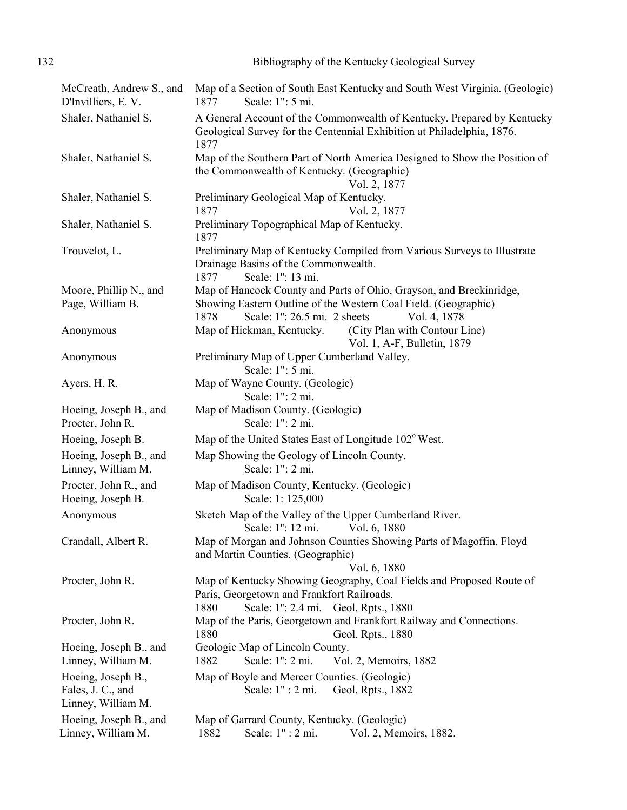| 132 | Bibliography of the Kentucky Geological Survey |  |
|-----|------------------------------------------------|--|
|     |                                                |  |

| McCreath, Andrew S., and<br>D'Invilliers, E.V.                | Map of a Section of South East Kentucky and South West Virginia. (Geologic)<br>Scale: 1": 5 mi.<br>1877                                                            |
|---------------------------------------------------------------|--------------------------------------------------------------------------------------------------------------------------------------------------------------------|
| Shaler, Nathaniel S.                                          | A General Account of the Commonwealth of Kentucky. Prepared by Kentucky<br>Geological Survey for the Centennial Exhibition at Philadelphia, 1876.<br>1877          |
| Shaler, Nathaniel S.                                          | Map of the Southern Part of North America Designed to Show the Position of<br>the Commonwealth of Kentucky. (Geographic)<br>Vol. 2, 1877                           |
| Shaler, Nathaniel S.                                          | Preliminary Geological Map of Kentucky.<br>Vol. 2, 1877<br>1877                                                                                                    |
| Shaler, Nathaniel S.                                          | Preliminary Topographical Map of Kentucky.<br>1877                                                                                                                 |
| Trouvelot, L.                                                 | Preliminary Map of Kentucky Compiled from Various Surveys to Illustrate<br>Drainage Basins of the Commonwealth.<br>Scale: 1": 13 mi.<br>1877                       |
| Moore, Phillip N., and                                        | Map of Hancock County and Parts of Ohio, Grayson, and Breckinridge,                                                                                                |
| Page, William B.                                              | Showing Eastern Outline of the Western Coal Field. (Geographic)<br>Scale: 1": 26.5 mi. 2 sheets<br>1878<br>Vol. 4, 1878                                            |
| Anonymous                                                     | Map of Hickman, Kentucky.<br>(City Plan with Contour Line)<br>Vol. 1, A-F, Bulletin, 1879                                                                          |
| Anonymous                                                     | Preliminary Map of Upper Cumberland Valley.<br>Scale: 1": 5 mi.                                                                                                    |
| Ayers, H. R.                                                  | Map of Wayne County. (Geologic)<br>Scale: 1": 2 mi.                                                                                                                |
| Hoeing, Joseph B., and<br>Procter, John R.                    | Map of Madison County. (Geologic)<br>Scale: 1": 2 mi.                                                                                                              |
| Hoeing, Joseph B.                                             | Map of the United States East of Longitude 102° West.                                                                                                              |
| Hoeing, Joseph B., and<br>Linney, William M.                  | Map Showing the Geology of Lincoln County.<br>Scale: 1": 2 mi.                                                                                                     |
| Procter, John R., and<br>Hoeing, Joseph B.                    | Map of Madison County, Kentucky. (Geologic)<br>Scale: 1: 125,000                                                                                                   |
| Anonymous                                                     | Sketch Map of the Valley of the Upper Cumberland River.<br>Scale: 1": 12 mi.<br>Vol. 6, 1880                                                                       |
| Crandall, Albert R.                                           | Map of Morgan and Johnson Counties Showing Parts of Magoffin, Floyd<br>and Martin Counties. (Geographic)<br>Vol. 6, 1880                                           |
| Procter, John R.                                              | Map of Kentucky Showing Geography, Coal Fields and Proposed Route of<br>Paris, Georgetown and Frankfort Railroads.<br>Scale: 1": 2.4 mi. Geol. Rpts., 1880<br>1880 |
| Procter, John R.                                              | Map of the Paris, Georgetown and Frankfort Railway and Connections.<br>1880<br>Geol. Rpts., 1880                                                                   |
| Hoeing, Joseph B., and                                        | Geologic Map of Lincoln County.                                                                                                                                    |
| Linney, William M.                                            | Scale: 1": 2 mi.<br>1882<br>Vol. 2, Memoirs, 1882                                                                                                                  |
| Hoeing, Joseph B.,<br>Fales, J. C., and<br>Linney, William M. | Map of Boyle and Mercer Counties. (Geologic)<br>Scale: 1" : 2 mi.<br>Geol. Rpts., 1882                                                                             |
| Hoeing, Joseph B., and                                        | Map of Garrard County, Kentucky. (Geologic)                                                                                                                        |
| Linney, William M.                                            | Scale: 1" : 2 mi.<br>1882<br>Vol. 2, Memoirs, 1882.                                                                                                                |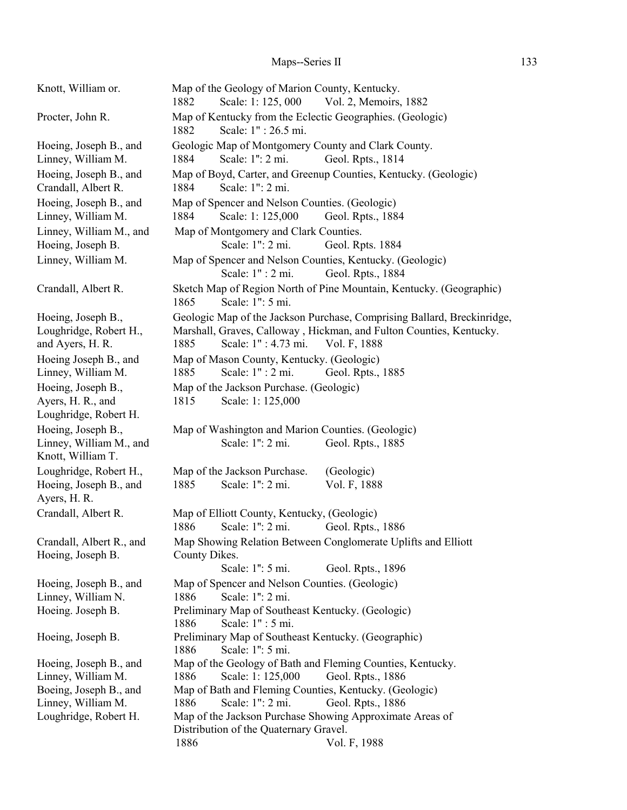# Maps--Series II 133

| Knott, William or.                                                                          | Map of the Geology of Marion County, Kentucky.<br>Scale: 1: 125, 000<br>Vol. 2, Memoirs, 1882<br>1882                                                                                          |
|---------------------------------------------------------------------------------------------|------------------------------------------------------------------------------------------------------------------------------------------------------------------------------------------------|
| Procter, John R.                                                                            | Map of Kentucky from the Eclectic Geographies. (Geologic)<br>Scale: 1": 26.5 mi.<br>1882                                                                                                       |
| Hoeing, Joseph B., and<br>Linney, William M.                                                | Geologic Map of Montgomery County and Clark County.<br>Scale: 1": 2 mi.<br>1884<br>Geol. Rpts., 1814                                                                                           |
| Hoeing, Joseph B., and<br>Crandall, Albert R.                                               | Map of Boyd, Carter, and Greenup Counties, Kentucky. (Geologic)<br>Scale: 1": 2 mi.<br>1884                                                                                                    |
| Hoeing, Joseph B., and<br>Linney, William M.                                                | Map of Spencer and Nelson Counties. (Geologic)<br>Scale: 1: 125,000<br>1884<br>Geol. Rpts., 1884                                                                                               |
| Linney, William M., and<br>Hoeing, Joseph B.                                                | Map of Montgomery and Clark Counties.<br>Scale: 1": 2 mi.<br>Geol. Rpts. 1884                                                                                                                  |
| Linney, William M.                                                                          | Map of Spencer and Nelson Counties, Kentucky. (Geologic)<br>Scale: 1" : 2 mi.<br>Geol. Rpts., 1884                                                                                             |
| Crandall, Albert R.                                                                         | Sketch Map of Region North of Pine Mountain, Kentucky. (Geographic)<br>Scale: 1": 5 mi.<br>1865                                                                                                |
| Hoeing, Joseph B.,<br>Loughridge, Robert H.,<br>and Ayers, H. R.                            | Geologic Map of the Jackson Purchase, Comprising Ballard, Breckinridge,<br>Marshall, Graves, Calloway, Hickman, and Fulton Counties, Kentucky.<br>1885<br>Scale: 1" : 4.73 mi.<br>Vol. F, 1888 |
| Hoeing Joseph B., and<br>Linney, William M.                                                 | Map of Mason County, Kentucky. (Geologic)<br>Scale: 1" : 2 mi.<br>1885<br>Geol. Rpts., 1885                                                                                                    |
| Hoeing, Joseph B.,<br>Ayers, H. R., and                                                     | Map of the Jackson Purchase. (Geologic)<br>Scale: 1: 125,000<br>1815                                                                                                                           |
| Loughridge, Robert H.<br>Hoeing, Joseph B.,<br>Linney, William M., and<br>Knott, William T. | Map of Washington and Marion Counties. (Geologic)<br>Scale: 1": 2 mi.<br>Geol. Rpts., 1885                                                                                                     |
| Loughridge, Robert H.,<br>Hoeing, Joseph B., and<br>Ayers, H. R.                            | Map of the Jackson Purchase.<br>(Geologic)<br>Scale: 1": 2 mi.<br>1885<br>Vol. F, 1888                                                                                                         |
| Crandall, Albert R.                                                                         | Map of Elliott County, Kentucky, (Geologic)<br>1886<br>Scale: 1": 2 mi.<br>Geol. Rpts., 1886                                                                                                   |
| Crandall, Albert R., and<br>Hoeing, Joseph B.                                               | Map Showing Relation Between Conglomerate Uplifts and Elliott<br>County Dikes.                                                                                                                 |
|                                                                                             | Scale: 1": 5 mi.<br>Geol. Rpts., 1896                                                                                                                                                          |
| Hoeing, Joseph B., and                                                                      | Map of Spencer and Nelson Counties. (Geologic)                                                                                                                                                 |
| Linney, William N.                                                                          | Scale: 1": 2 mi.<br>1886                                                                                                                                                                       |
| Hoeing. Joseph B.                                                                           | Preliminary Map of Southeast Kentucky. (Geologic)                                                                                                                                              |
|                                                                                             | Scale: 1" : 5 mi.<br>1886                                                                                                                                                                      |
| Hoeing, Joseph B.                                                                           | Preliminary Map of Southeast Kentucky. (Geographic)                                                                                                                                            |
|                                                                                             | Scale: 1": 5 mi.<br>1886                                                                                                                                                                       |
| Hoeing, Joseph B., and                                                                      | Map of the Geology of Bath and Fleming Counties, Kentucky.                                                                                                                                     |
| Linney, William M.                                                                          | 1886<br>Scale: 1: 125,000<br>Geol. Rpts., 1886                                                                                                                                                 |
| Boeing, Joseph B., and<br>Linney, William M.                                                | Map of Bath and Fleming Counties, Kentucky. (Geologic)<br>Scale: 1": 2 mi.<br>1886<br>Geol. Rpts., 1886                                                                                        |
| Loughridge, Robert H.                                                                       | Map of the Jackson Purchase Showing Approximate Areas of                                                                                                                                       |
|                                                                                             | Distribution of the Quaternary Gravel.                                                                                                                                                         |
|                                                                                             | 1886<br>Vol. F, 1988                                                                                                                                                                           |
|                                                                                             |                                                                                                                                                                                                |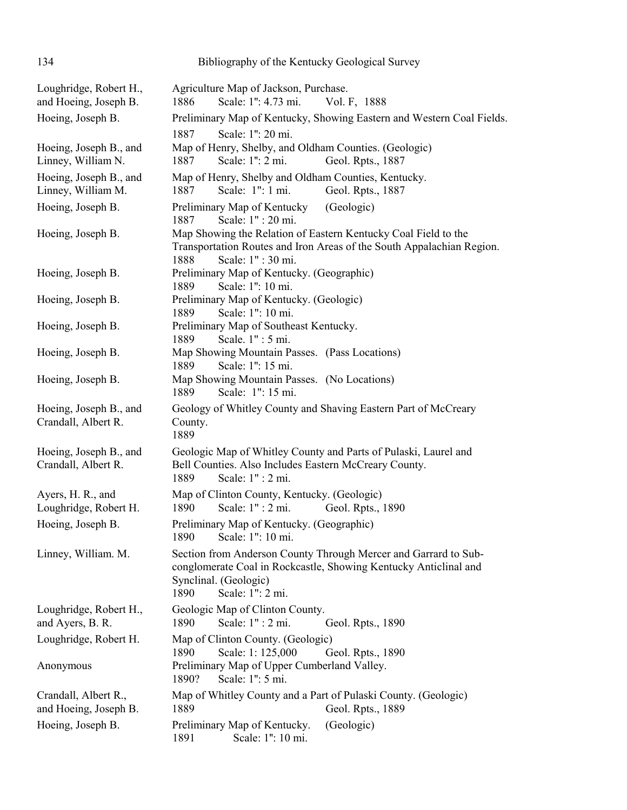| 134                                             | Bibliography of the Kentucky Geological Survey                                                                                                                                           |
|-------------------------------------------------|------------------------------------------------------------------------------------------------------------------------------------------------------------------------------------------|
| Loughridge, Robert H.,<br>and Hoeing, Joseph B. | Agriculture Map of Jackson, Purchase.<br>1886<br>Scale: 1": 4.73 mi.<br>Vol. F, 1888                                                                                                     |
| Hoeing, Joseph B.                               | Preliminary Map of Kentucky, Showing Eastern and Western Coal Fields.                                                                                                                    |
|                                                 | Scale: 1": 20 mi.<br>1887                                                                                                                                                                |
| Hoeing, Joseph B., and<br>Linney, William N.    | Map of Henry, Shelby, and Oldham Counties. (Geologic)<br>Scale: 1": 2 mi.<br>1887<br>Geol. Rpts., 1887                                                                                   |
| Hoeing, Joseph B., and<br>Linney, William M.    | Map of Henry, Shelby and Oldham Counties, Kentucky.<br>Scale: 1": 1 mi.<br>Geol. Rpts., 1887<br>1887                                                                                     |
| Hoeing, Joseph B.                               | (Geologic)<br>Preliminary Map of Kentucky<br>Scale: 1" : 20 mi.<br>1887                                                                                                                  |
| Hoeing, Joseph B.                               | Map Showing the Relation of Eastern Kentucky Coal Field to the<br>Transportation Routes and Iron Areas of the South Appalachian Region.<br>1888<br>Scale: 1" : 30 mi.                    |
| Hoeing, Joseph B.                               | Preliminary Map of Kentucky. (Geographic)<br>Scale: 1": 10 mi.<br>1889                                                                                                                   |
| Hoeing, Joseph B.                               | Preliminary Map of Kentucky. (Geologic)<br>Scale: 1": 10 mi.<br>1889                                                                                                                     |
| Hoeing, Joseph B.                               | Preliminary Map of Southeast Kentucky.<br>1889<br>Scale. 1": 5 mi.                                                                                                                       |
| Hoeing, Joseph B.                               | Map Showing Mountain Passes. (Pass Locations)<br>Scale: 1": 15 mi.<br>1889                                                                                                               |
| Hoeing, Joseph B.                               | Map Showing Mountain Passes. (No Locations)<br>Scale: 1": 15 mi.<br>1889                                                                                                                 |
| Hoeing, Joseph B., and<br>Crandall, Albert R.   | Geology of Whitley County and Shaving Eastern Part of McCreary<br>County.<br>1889                                                                                                        |
| Hoeing, Joseph B., and<br>Crandall, Albert R.   | Geologic Map of Whitley County and Parts of Pulaski, Laurel and<br>Bell Counties. Also Includes Eastern McCreary County.<br>Scale: 1" : 2 mi.<br>1889                                    |
| Ayers, H. R., and<br>Loughridge, Robert H.      | Map of Clinton County, Kentucky. (Geologic)<br>Scale: 1" : 2 mi.<br>Geol. Rpts., 1890<br>1890                                                                                            |
| Hoeing, Joseph B.                               | Preliminary Map of Kentucky. (Geographic)<br>Scale: 1": 10 mi.<br>1890                                                                                                                   |
| Linney, William. M.                             | Section from Anderson County Through Mercer and Garrard to Sub-<br>conglomerate Coal in Rockcastle, Showing Kentucky Anticlinal and<br>Synclinal. (Geologic)<br>1890<br>Scale: 1": 2 mi. |
| Loughridge, Robert H.,<br>and Ayers, B. R.      | Geologic Map of Clinton County.<br>1890<br>Scale: 1" : 2 mi.<br>Geol. Rpts., 1890                                                                                                        |
| Loughridge, Robert H.                           | Map of Clinton County. (Geologic)<br>Scale: 1: 125,000<br>1890<br>Geol. Rpts., 1890                                                                                                      |
| Anonymous                                       | Preliminary Map of Upper Cumberland Valley.<br>Scale: 1": 5 mi.<br>1890?                                                                                                                 |
| Crandall, Albert R.,<br>and Hoeing, Joseph B.   | Map of Whitley County and a Part of Pulaski County. (Geologic)<br>1889<br>Geol. Rpts., 1889                                                                                              |
| Hoeing, Joseph B.                               | Preliminary Map of Kentucky.<br>(Geologic)<br>Scale: 1": 10 mi.<br>1891                                                                                                                  |
|                                                 |                                                                                                                                                                                          |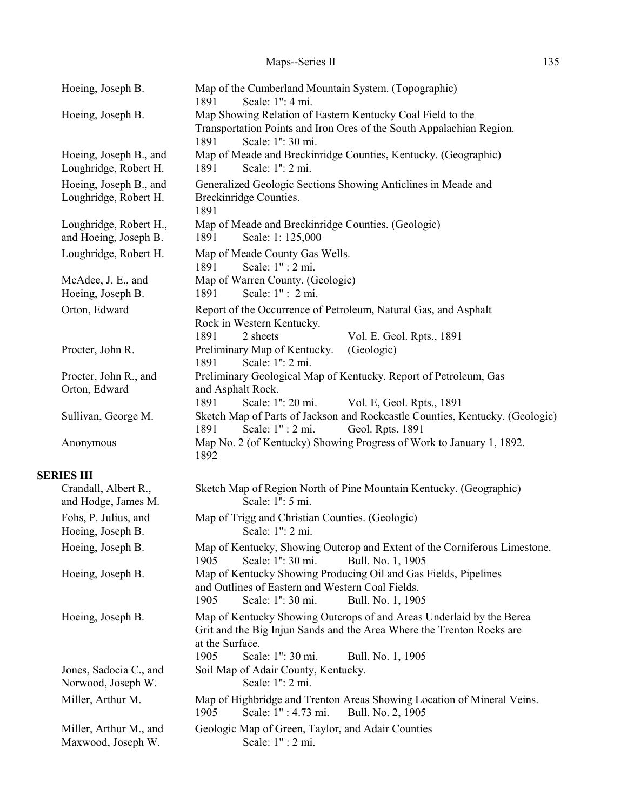| Hoeing, Joseph B.                               | Map of the Cumberland Mountain System. (Topographic)<br>Scale: 1": 4 mi.<br>1891                                                                                                                                   |
|-------------------------------------------------|--------------------------------------------------------------------------------------------------------------------------------------------------------------------------------------------------------------------|
| Hoeing, Joseph B.                               | Map Showing Relation of Eastern Kentucky Coal Field to the<br>Transportation Points and Iron Ores of the South Appalachian Region.<br>1891<br>Scale: 1": 30 mi.                                                    |
| Hoeing, Joseph B., and<br>Loughridge, Robert H. | Map of Meade and Breckinridge Counties, Kentucky. (Geographic)<br>Scale: 1": 2 mi.<br>1891                                                                                                                         |
| Hoeing, Joseph B., and<br>Loughridge, Robert H. | Generalized Geologic Sections Showing Anticlines in Meade and<br>Breckinridge Counties.<br>1891                                                                                                                    |
| Loughridge, Robert H.,<br>and Hoeing, Joseph B. | Map of Meade and Breckinridge Counties. (Geologic)<br>Scale: 1: 125,000<br>1891                                                                                                                                    |
| Loughridge, Robert H.                           | Map of Meade County Gas Wells.<br>Scale: 1" : 2 mi.<br>1891                                                                                                                                                        |
| McAdee, J. E., and<br>Hoeing, Joseph B.         | Map of Warren County. (Geologic)<br>Scale: 1" : 2 mi.<br>1891                                                                                                                                                      |
| Orton, Edward                                   | Report of the Occurrence of Petroleum, Natural Gas, and Asphalt<br>Rock in Western Kentucky.<br>1891<br>2 sheets<br>Vol. E, Geol. Rpts., 1891                                                                      |
| Procter, John R.                                | Preliminary Map of Kentucky.<br>(Geologic)<br>Scale: 1": 2 mi.<br>1891                                                                                                                                             |
| Procter, John R., and<br>Orton, Edward          | Preliminary Geological Map of Kentucky. Report of Petroleum, Gas<br>and Asphalt Rock.                                                                                                                              |
| Sullivan, George M.                             | Scale: 1": 20 mi.<br>1891<br>Vol. E, Geol. Rpts., 1891<br>Sketch Map of Parts of Jackson and Rockcastle Counties, Kentucky. (Geologic)<br>Scale: 1" : 2 mi.<br>Geol. Rpts. 1891<br>1891                            |
| Anonymous                                       | Map No. 2 (of Kentucky) Showing Progress of Work to January 1, 1892.<br>1892                                                                                                                                       |
| <b>SERIES III</b>                               |                                                                                                                                                                                                                    |
| Crandall, Albert R.,<br>and Hodge, James M.     | Sketch Map of Region North of Pine Mountain Kentucky. (Geographic)<br>Scale: 1": 5 mi.                                                                                                                             |
| Fohs, P. Julius, and<br>Hoeing, Joseph B.       | Map of Trigg and Christian Counties. (Geologic)<br>Scale: 1": 2 mi.                                                                                                                                                |
| Hoeing, Joseph B.                               | Map of Kentucky, Showing Outcrop and Extent of the Corniferous Limestone.<br>Scale: 1": 30 mi.<br>1905<br>Bull. No. 1, 1905                                                                                        |
| Hoeing, Joseph B.                               | Map of Kentucky Showing Producing Oil and Gas Fields, Pipelines<br>and Outlines of Eastern and Western Coal Fields.<br>Scale: 1": 30 mi.<br>1905<br>Bull. No. 1, 1905                                              |
| Hoeing, Joseph B.                               | Map of Kentucky Showing Outcrops of and Areas Underlaid by the Berea<br>Grit and the Big Injun Sands and the Area Where the Trenton Rocks are<br>at the Surface.<br>Scale: 1": 30 mi.<br>1905<br>Bull. No. 1, 1905 |
| Jones, Sadocia C., and<br>Norwood, Joseph W.    | Soil Map of Adair County, Kentucky.<br>Scale: 1": 2 mi.                                                                                                                                                            |
| Miller, Arthur M.                               | Map of Highbridge and Trenton Areas Showing Location of Mineral Veins.<br>Scale: 1": 4.73 mi.<br>1905<br>Bull. No. 2, 1905                                                                                         |
| Miller, Arthur M., and<br>Maxwood, Joseph W.    | Geologic Map of Green, Taylor, and Adair Counties<br>Scale: 1" : 2 mi.                                                                                                                                             |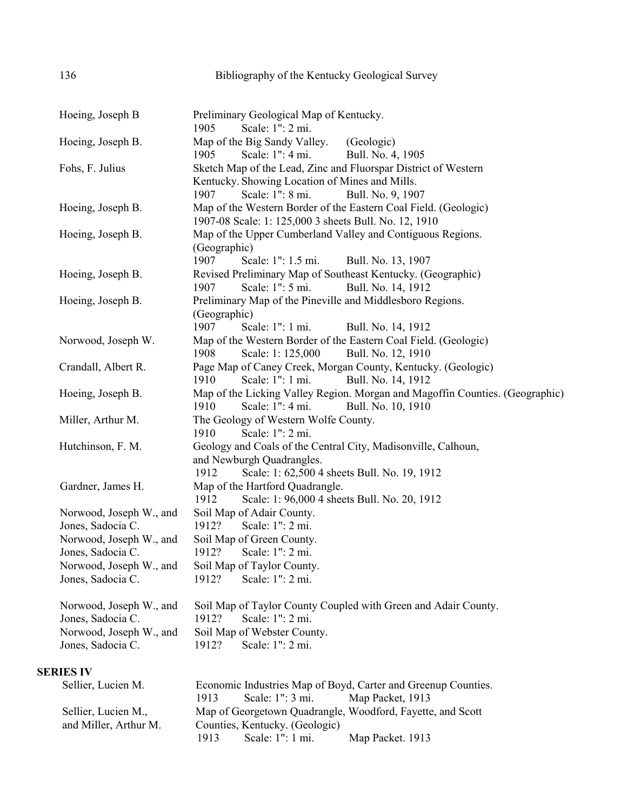| Hoeing, Joseph B        | Preliminary Geological Map of Kentucky.                                                                       |
|-------------------------|---------------------------------------------------------------------------------------------------------------|
|                         | Scale: 1": 2 mi.<br>1905                                                                                      |
| Hoeing, Joseph B.       | Map of the Big Sandy Valley.<br>(Geologic)                                                                    |
|                         | 1905<br>Scale: 1": 4 mi.<br>Bull. No. 4, 1905                                                                 |
| Fohs, F. Julius         | Sketch Map of the Lead, Zinc and Fluorspar District of Western                                                |
|                         | Kentucky. Showing Location of Mines and Mills.                                                                |
|                         | Scale: 1": 8 mi.<br>1907<br>Bull. No. 9, 1907                                                                 |
| Hoeing, Joseph B.       | Map of the Western Border of the Eastern Coal Field. (Geologic)                                               |
|                         | 1907-08 Scale: 1: 125,000 3 sheets Bull. No. 12, 1910                                                         |
| Hoeing, Joseph B.       | Map of the Upper Cumberland Valley and Contiguous Regions.                                                    |
|                         | (Geographic)                                                                                                  |
|                         | 1907<br>Scale: 1": 1.5 mi.<br>Bull. No. 13, 1907                                                              |
| Hoeing, Joseph B.       | Revised Preliminary Map of Southeast Kentucky. (Geographic)                                                   |
|                         | Scale: 1": 5 mi.<br>1907<br>Bull. No. 14, 1912                                                                |
| Hoeing, Joseph B.       | Preliminary Map of the Pineville and Middlesboro Regions.<br>(Geographic)                                     |
|                         | 1907<br>Scale: 1": 1 mi.                                                                                      |
| Norwood, Joseph W.      | Bull. No. 14, 1912<br>Map of the Western Border of the Eastern Coal Field. (Geologic)                         |
|                         | Scale: 1: 125,000<br>Bull. No. 12, 1910<br>1908                                                               |
| Crandall, Albert R.     | Page Map of Caney Creek, Morgan County, Kentucky. (Geologic)                                                  |
|                         | 1910<br>Scale: 1": 1 mi.<br>Bull. No. 14, 1912                                                                |
| Hoeing, Joseph B.       | Map of the Licking Valley Region. Morgan and Magoffin Counties. (Geographic)                                  |
|                         | Scale: 1": 4 mi.<br>Bull. No. 10, 1910<br>1910                                                                |
| Miller, Arthur M.       | The Geology of Western Wolfe County.                                                                          |
|                         | Scale: 1": 2 mi.<br>1910                                                                                      |
| Hutchinson, F. M.       | Geology and Coals of the Central City, Madisonville, Calhoun,                                                 |
|                         | and Newburgh Quadrangles.                                                                                     |
|                         | 1912<br>Scale: 1: 62,500 4 sheets Bull. No. 19, 1912                                                          |
| Gardner, James H.       | Map of the Hartford Quadrangle.                                                                               |
|                         | 1912<br>Scale: 1: 96,000 4 sheets Bull. No. 20, 1912                                                          |
| Norwood, Joseph W., and | Soil Map of Adair County.                                                                                     |
| Jones, Sadocia C.       | Scale: 1": 2 mi.<br>1912?                                                                                     |
| Norwood, Joseph W., and | Soil Map of Green County.                                                                                     |
| Jones, Sadocia C.       | 1912?<br>Scale: 1": 2 mi.                                                                                     |
| Norwood, Joseph W., and | Soil Map of Taylor County.                                                                                    |
| Jones, Sadocia C.       | 1912?<br>Scale: 1": 2 mi.                                                                                     |
| Norwood, Joseph W., and | Soil Map of Taylor County Coupled with Green and Adair County.                                                |
| Jones, Sadocia C.       | Scale: 1": 2 mi.<br>1912?                                                                                     |
| Norwood, Joseph W., and | Soil Map of Webster County.                                                                                   |
| Jones, Sadocia C.       | 1912?<br>Scale: 1": 2 mi.                                                                                     |
| <b>SERIES IV</b>        |                                                                                                               |
| Sellier, Lucien M.      | Economic Industries Map of Boyd, Carter and Greenup Counties.<br>Scale: 1": 3 mi.<br>1913<br>Map Packet, 1913 |
|                         |                                                                                                               |

|                       | .    |                                | $1.144 \mu$ 1 avenue, $1.715$                              |
|-----------------------|------|--------------------------------|------------------------------------------------------------|
| Sellier, Lucien M.,   |      |                                | Map of Georgetown Quadrangle, Woodford, Fayette, and Scott |
| and Miller, Arthur M. |      | Counties, Kentucky. (Geologic) |                                                            |
|                       | 1913 | Scale: $1"$ : $1$ mi.          | Map Packet. 1913                                           |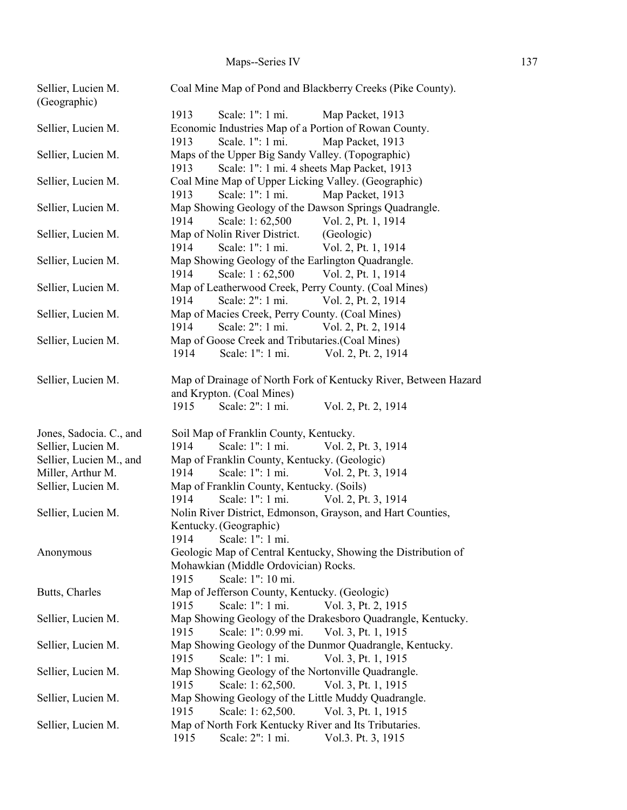| Sellier, Lucien M.<br>(Geographic) | Coal Mine Map of Pond and Blackberry Creeks (Pike County).                                                        |
|------------------------------------|-------------------------------------------------------------------------------------------------------------------|
|                                    | 1913<br>Scale: 1": 1 mi.<br>Map Packet, 1913                                                                      |
| Sellier, Lucien M.                 | Economic Industries Map of a Portion of Rowan County.                                                             |
|                                    | Scale. 1": 1 mi.<br>Map Packet, 1913<br>1913                                                                      |
| Sellier, Lucien M.                 | Maps of the Upper Big Sandy Valley. (Topographic)                                                                 |
|                                    | Scale: 1": 1 mi. 4 sheets Map Packet, 1913<br>1913                                                                |
| Sellier, Lucien M.                 | Coal Mine Map of Upper Licking Valley. (Geographic)                                                               |
|                                    | Scale: 1": 1 mi.<br>1913<br>Map Packet, 1913                                                                      |
| Sellier, Lucien M.                 | Map Showing Geology of the Dawson Springs Quadrangle.                                                             |
|                                    | 1914<br>Scale: 1:62,500<br>Vol. 2, Pt. 1, 1914                                                                    |
| Sellier, Lucien M.                 | (Geologic)<br>Map of Nolin River District.                                                                        |
|                                    | Scale: 1": 1 mi.<br>Vol. 2, Pt. 1, 1914<br>1914                                                                   |
| Sellier, Lucien M.                 | Map Showing Geology of the Earlington Quadrangle.                                                                 |
|                                    | 1914<br>Scale: 1:62,500 Vol. 2, Pt. 1, 1914                                                                       |
| Sellier, Lucien M.                 | Map of Leatherwood Creek, Perry County. (Coal Mines)                                                              |
|                                    | Scale: 2": 1 mi.<br>Vol. 2, Pt. 2, 1914<br>1914                                                                   |
| Sellier, Lucien M.                 | Map of Macies Creek, Perry County. (Coal Mines)                                                                   |
|                                    | 1914<br>Scale: 2": 1 mi.<br>Vol. 2, Pt. 2, 1914                                                                   |
| Sellier, Lucien M.                 | Map of Goose Creek and Tributaries. (Coal Mines)                                                                  |
|                                    | Scale: 1": 1 mi.<br>1914<br>Vol. 2, Pt. 2, 1914                                                                   |
| Sellier, Lucien M.                 | Map of Drainage of North Fork of Kentucky River, Between Hazard                                                   |
|                                    | and Krypton. (Coal Mines)                                                                                         |
|                                    | Scale: 2": 1 mi.<br>1915<br>Vol. 2, Pt. 2, 1914                                                                   |
|                                    |                                                                                                                   |
|                                    |                                                                                                                   |
| Jones, Sadocia. C., and            | Soil Map of Franklin County, Kentucky.                                                                            |
| Sellier, Lucien M.                 | Scale: 1": 1 mi.<br>1914<br>Vol. 2, Pt. 3, 1914                                                                   |
| Sellier, Lucien M., and            | Map of Franklin County, Kentucky. (Geologic)                                                                      |
| Miller, Arthur M.                  | Scale: 1": 1 mi.<br>1914<br>Vol. 2, Pt. 3, 1914                                                                   |
| Sellier, Lucien M.                 | Map of Franklin County, Kentucky. (Soils)                                                                         |
|                                    | Scale: 1": 1 mi.<br>Vol. 2, Pt. 3, 1914<br>1914                                                                   |
| Sellier, Lucien M.                 | Nolin River District, Edmonson, Grayson, and Hart Counties,                                                       |
|                                    | Kentucky. (Geographic)                                                                                            |
|                                    | 1914<br>Scale: 1": 1 mi.                                                                                          |
| Anonymous                          | Geologic Map of Central Kentucky, Showing the Distribution of                                                     |
|                                    | Mohawkian (Middle Ordovician) Rocks.                                                                              |
|                                    | Scale: 1": 10 mi.<br>1915                                                                                         |
| Butts, Charles                     | Map of Jefferson County, Kentucky. (Geologic)                                                                     |
|                                    | 1915<br>Scale: 1": 1 mi.<br>Vol. 3, Pt. 2, 1915                                                                   |
| Sellier, Lucien M.                 | Map Showing Geology of the Drakesboro Quadrangle, Kentucky.<br>1915<br>Scale: 1": 0.99 mi.<br>Vol. 3, Pt. 1, 1915 |
| Sellier, Lucien M.                 | Map Showing Geology of the Dunmor Quadrangle, Kentucky.                                                           |
|                                    | Scale: 1": 1 mi.<br>Vol. 3, Pt. 1, 1915<br>1915                                                                   |
| Sellier, Lucien M.                 | Map Showing Geology of the Nortonville Quadrangle.                                                                |
|                                    | 1915<br>Scale: 1:62,500.<br>Vol. 3, Pt. 1, 1915                                                                   |
| Sellier, Lucien M.                 | Map Showing Geology of the Little Muddy Quadrangle.                                                               |
|                                    | 1915<br>Scale: 1:62,500.<br>Vol. 3, Pt. 1, 1915                                                                   |
| Sellier, Lucien M.                 | Map of North Fork Kentucky River and Its Tributaries.<br>Scale: 2": 1 mi.<br>Vol.3. Pt. 3, 1915<br>1915           |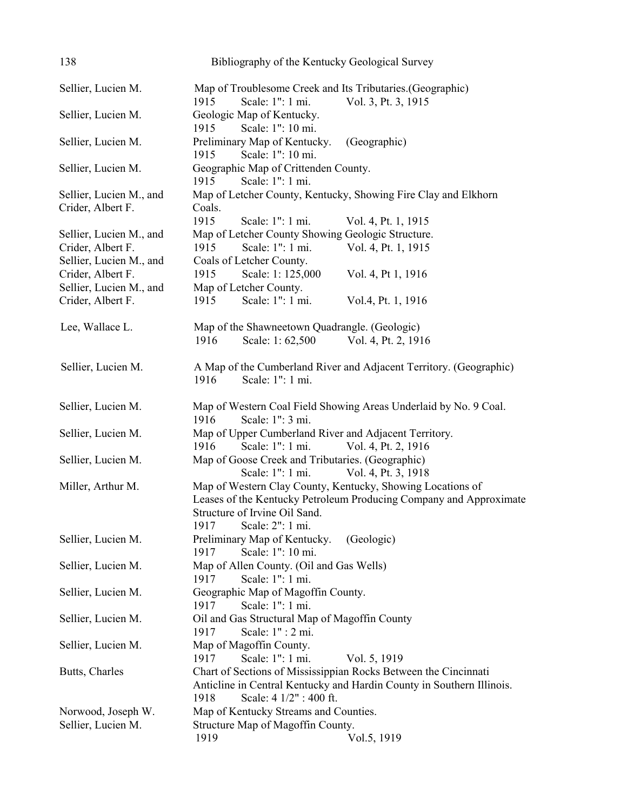| 138                                          | Bibliography of the Kentucky Geological Survey                        |
|----------------------------------------------|-----------------------------------------------------------------------|
| Sellier, Lucien M.                           | Map of Troublesome Creek and Its Tributaries. (Geographic)            |
|                                              | 1915<br>Scale: 1": 1 mi.<br>Vol. 3, Pt. 3, 1915                       |
| Sellier, Lucien M.                           | Geologic Map of Kentucky.<br>Scale: 1": 10 mi.<br>1915                |
| Sellier, Lucien M.                           | Preliminary Map of Kentucky.<br>(Geographic)                          |
|                                              | Scale: 1": 10 mi.<br>1915                                             |
| Sellier, Lucien M.                           | Geographic Map of Crittenden County.                                  |
|                                              | Scale: 1": 1 mi.<br>1915                                              |
|                                              | Map of Letcher County, Kentucky, Showing Fire Clay and Elkhorn        |
| Sellier, Lucien M., and<br>Crider, Albert F. | Coals.                                                                |
|                                              | 1915<br>Scale: 1": 1 mi.                                              |
|                                              | Vol. 4, Pt. 1, 1915                                                   |
| Sellier, Lucien M., and                      | Map of Letcher County Showing Geologic Structure.                     |
| Crider, Albert F.                            | 1915<br>Scale: 1": 1 mi.<br>Vol. 4, Pt. 1, 1915                       |
| Sellier, Lucien M., and                      | Coals of Letcher County.                                              |
| Crider, Albert F.                            | 1915<br>Scale: 1: 125,000<br>Vol. 4, Pt 1, 1916                       |
| Sellier, Lucien M., and                      | Map of Letcher County.                                                |
| Crider, Albert F.                            | Scale: 1": 1 mi.<br>1915<br>Vol.4, Pt. 1, 1916                        |
| Lee, Wallace L.                              | Map of the Shawneetown Quadrangle. (Geologic)                         |
|                                              | 1916<br>Scale: 1:62,500<br>Vol. 4, Pt. 2, 1916                        |
| Sellier, Lucien M.                           | A Map of the Cumberland River and Adjacent Territory. (Geographic)    |
|                                              | Scale: 1": 1 mi.<br>1916                                              |
|                                              |                                                                       |
| Sellier, Lucien M.                           | Map of Western Coal Field Showing Areas Underlaid by No. 9 Coal.      |
|                                              | Scale: 1": 3 mi.<br>1916                                              |
| Sellier, Lucien M.                           | Map of Upper Cumberland River and Adjacent Territory.                 |
|                                              | 1916<br>Scale: 1": 1 mi.<br>Vol. 4, Pt. 2, 1916                       |
| Sellier, Lucien M.                           | Map of Goose Creek and Tributaries. (Geographic)                      |
|                                              | Scale: 1": 1 mi.<br>Vol. 4, Pt. 3, 1918                               |
| Miller, Arthur M.                            | Map of Western Clay County, Kentucky, Showing Locations of            |
|                                              | Leases of the Kentucky Petroleum Producing Company and Approximate    |
|                                              | Structure of Irvine Oil Sand.                                         |
|                                              | 1917<br>Scale: 2": 1 mi.                                              |
| Sellier, Lucien M.                           | Preliminary Map of Kentucky.<br>(Geologic)                            |
|                                              | Scale: 1": 10 mi.<br>1917                                             |
| Sellier, Lucien M.                           | Map of Allen County. (Oil and Gas Wells)                              |
|                                              | Scale: 1": 1 mi.<br>1917                                              |
| Sellier, Lucien M.                           | Geographic Map of Magoffin County.                                    |
|                                              | Scale: 1": 1 mi.<br>1917                                              |
| Sellier, Lucien M.                           | Oil and Gas Structural Map of Magoffin County                         |
|                                              | Scale: 1" : 2 mi.<br>1917                                             |
| Sellier, Lucien M.                           | Map of Magoffin County.                                               |
|                                              | 1917<br>Scale: 1": 1 mi.<br>Vol. 5, 1919                              |
| Butts, Charles                               | Chart of Sections of Mississippian Rocks Between the Cincinnati       |
|                                              | Anticline in Central Kentucky and Hardin County in Southern Illinois. |
|                                              | Scale: 4 1/2" : 400 ft.<br>1918                                       |
| Norwood, Joseph W.                           | Map of Kentucky Streams and Counties.                                 |
| Sellier, Lucien M.                           | Structure Map of Magoffin County.                                     |
|                                              | 1919<br>Vol.5, 1919                                                   |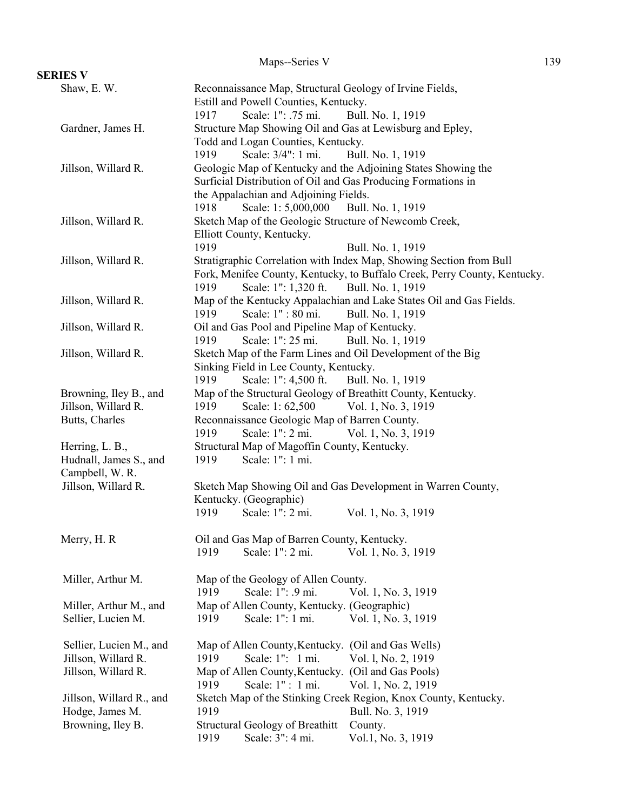|                          | Maps--Series V                                                                         | 139 |
|--------------------------|----------------------------------------------------------------------------------------|-----|
| <b>SERIES V</b>          |                                                                                        |     |
| Shaw, E.W.               | Reconnaissance Map, Structural Geology of Irvine Fields,                               |     |
|                          | Estill and Powell Counties, Kentucky.                                                  |     |
|                          | Scale: 1": .75 mi.<br>Bull. No. 1, 1919<br>1917                                        |     |
| Gardner, James H.        | Structure Map Showing Oil and Gas at Lewisburg and Epley,                              |     |
|                          | Todd and Logan Counties, Kentucky.                                                     |     |
|                          | Scale: 3/4": 1 mi.<br>1919<br>Bull. No. 1, 1919                                        |     |
| Jillson, Willard R.      | Geologic Map of Kentucky and the Adjoining States Showing the                          |     |
|                          | Surficial Distribution of Oil and Gas Producing Formations in                          |     |
|                          | the Appalachian and Adjoining Fields.                                                  |     |
|                          | Scale: 1:5,000,000<br>Bull. No. 1, 1919<br>1918                                        |     |
| Jillson, Willard R.      | Sketch Map of the Geologic Structure of Newcomb Creek,                                 |     |
|                          | Elliott County, Kentucky.                                                              |     |
|                          | 1919<br>Bull. No. 1, 1919                                                              |     |
| Jillson, Willard R.      | Stratigraphic Correlation with Index Map, Showing Section from Bull                    |     |
|                          | Fork, Menifee County, Kentucky, to Buffalo Creek, Perry County, Kentucky.              |     |
|                          | Scale: 1": 1,320 ft.<br>Bull. No. 1, 1919<br>1919                                      |     |
| Jillson, Willard R.      | Map of the Kentucky Appalachian and Lake States Oil and Gas Fields.                    |     |
|                          | Scale: 1": 80 mi.<br>Bull. No. 1, 1919<br>1919                                         |     |
| Jillson, Willard R.      | Oil and Gas Pool and Pipeline Map of Kentucky.                                         |     |
|                          | Scale: 1": 25 mi.<br>Bull. No. 1, 1919<br>1919                                         |     |
| Jillson, Willard R.      | Sketch Map of the Farm Lines and Oil Development of the Big                            |     |
|                          | Sinking Field in Lee County, Kentucky.                                                 |     |
|                          | 1919<br>Scale: 1": 4,500 ft.<br>Bull. No. 1, 1919                                      |     |
| Browning, Iley B., and   | Map of the Structural Geology of Breathitt County, Kentucky.                           |     |
| Jillson, Willard R.      | 1919<br>Scale: 1:62,500<br>Vol. 1, No. 3, 1919                                         |     |
| Butts, Charles           | Reconnaissance Geologic Map of Barren County.                                          |     |
|                          | Scale: 1": 2 mi.<br>1919<br>Vol. 1, No. 3, 1919                                        |     |
| Herring, L. B.,          | Structural Map of Magoffin County, Kentucky.                                           |     |
| Hudnall, James S., and   | Scale: 1": 1 mi.<br>1919                                                               |     |
| Campbell, W. R.          |                                                                                        |     |
| Jillson, Willard R.      | Sketch Map Showing Oil and Gas Development in Warren County,<br>Kentucky. (Geographic) |     |
|                          | 1919<br>Scale: 1": 2 mi.<br>Vol. 1, No. 3, 1919                                        |     |
|                          |                                                                                        |     |
| Merry, H. R.             | Oil and Gas Map of Barren County, Kentucky.                                            |     |
|                          | Scale: 1": 2 mi.<br>1919<br>Vol. 1, No. 3, 1919                                        |     |
|                          |                                                                                        |     |
| Miller, Arthur M.        | Map of the Geology of Allen County.                                                    |     |
|                          | Scale: 1": .9 mi.<br>1919<br>Vol. 1, No. 3, 1919                                       |     |
| Miller, Arthur M., and   | Map of Allen County, Kentucky. (Geographic)                                            |     |
| Sellier, Lucien M.       | Scale: 1": 1 mi.<br>Vol. 1, No. 3, 1919<br>1919                                        |     |
|                          |                                                                                        |     |
| Sellier, Lucien M., and  | Map of Allen County, Kentucky. (Oil and Gas Wells)                                     |     |
| Jillson, Willard R.      | Scale: 1": 1 mi.<br>1919<br>Vol. 1, No. 2, 1919                                        |     |
| Jillson, Willard R.      | (Oil and Gas Pools)<br>Map of Allen County, Kentucky.                                  |     |
|                          | Scale: 1" : 1 mi.<br>1919<br>Vol. 1, No. 2, 1919                                       |     |
| Jillson, Willard R., and | Sketch Map of the Stinking Creek Region, Knox County, Kentucky.                        |     |
| Hodge, James M.          | 1919<br>Bull. No. 3, 1919                                                              |     |
| Browning, Iley B.        | <b>Structural Geology of Breathitt</b><br>County.                                      |     |
|                          | Scale: 3": 4 mi.<br>Vol.1, No. 3, 1919<br>1919                                         |     |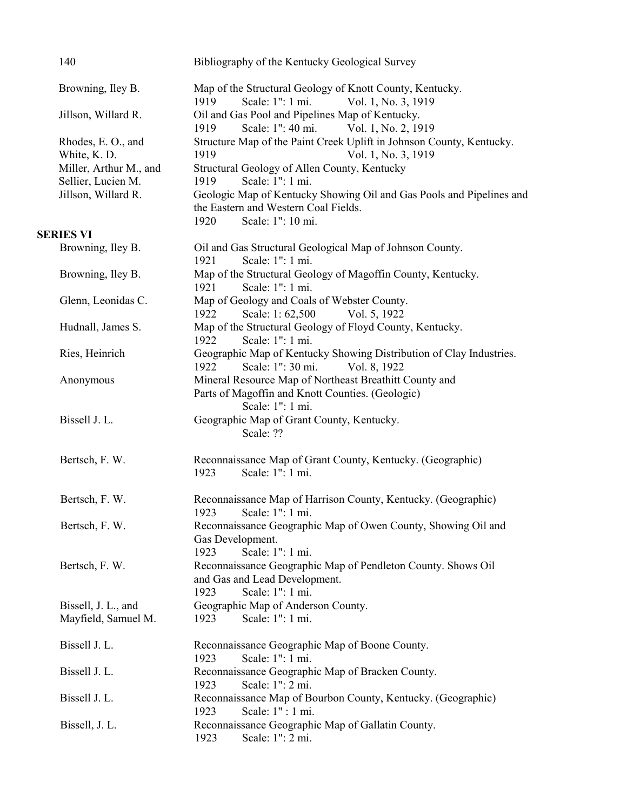| 140                                        | Bibliography of the Kentucky Geological Survey                                                                                                                        |
|--------------------------------------------|-----------------------------------------------------------------------------------------------------------------------------------------------------------------------|
| Browning, Iley B.                          | Map of the Structural Geology of Knott County, Kentucky.<br>Scale: 1": 1 mi.<br>1919<br>Vol. 1, No. 3, 1919                                                           |
| Jillson, Willard R.                        | Oil and Gas Pool and Pipelines Map of Kentucky.<br>Scale: 1": 40 mi.<br>Vol. 1, No. 2, 1919<br>1919                                                                   |
| Rhodes, E. O., and<br>White, K. D.         | Structure Map of the Paint Creek Uplift in Johnson County, Kentucky.<br>1919<br>Vol. 1, No. 3, 1919                                                                   |
| Miller, Arthur M., and                     | Structural Geology of Allen County, Kentucky                                                                                                                          |
| Sellier, Lucien M.<br>Jillson, Willard R.  | 1919<br>Scale: 1": 1 mi.<br>Geologic Map of Kentucky Showing Oil and Gas Pools and Pipelines and<br>the Eastern and Western Coal Fields.<br>1920<br>Scale: 1": 10 mi. |
| <b>SERIES VI</b>                           |                                                                                                                                                                       |
| Browning, Iley B.                          | Oil and Gas Structural Geological Map of Johnson County.<br>Scale: 1": 1 mi.<br>1921                                                                                  |
| Browning, Iley B.                          | Map of the Structural Geology of Magoffin County, Kentucky.<br>Scale: 1": 1 mi.<br>1921                                                                               |
| Glenn, Leonidas C.                         | Map of Geology and Coals of Webster County.<br>1922<br>Scale: 1:62,500<br>Vol. 5, 1922                                                                                |
| Hudnall, James S.                          | Map of the Structural Geology of Floyd County, Kentucky.<br>Scale: 1": 1 mi.<br>1922                                                                                  |
| Ries, Heinrich                             | Geographic Map of Kentucky Showing Distribution of Clay Industries.<br>1922<br>Scale: 1": 30 mi.<br>Vol. 8, 1922                                                      |
| Anonymous                                  | Mineral Resource Map of Northeast Breathitt County and<br>Parts of Magoffin and Knott Counties. (Geologic)<br>Scale: 1": 1 mi.                                        |
| Bissell J. L.                              | Geographic Map of Grant County, Kentucky.<br>Scale: ??                                                                                                                |
| Bertsch, F. W.                             | Reconnaissance Map of Grant County, Kentucky. (Geographic)<br>Scale: 1": 1 mi.<br>1923                                                                                |
| Bertsch, F. W.                             | Reconnaissance Map of Harrison County, Kentucky. (Geographic)<br>1923 Scale: 1": 1 mi.                                                                                |
| Bertsch, F. W.                             | Reconnaissance Geographic Map of Owen County, Showing Oil and<br>Gas Development.<br>Scale: 1": 1 mi.<br>1923                                                         |
| Bertsch, F. W.                             | Reconnaissance Geographic Map of Pendleton County. Shows Oil<br>and Gas and Lead Development.<br>1923<br>Scale: 1": 1 mi.                                             |
| Bissell, J. L., and<br>Mayfield, Samuel M. | Geographic Map of Anderson County.<br>Scale: 1": 1 mi.<br>1923                                                                                                        |
|                                            |                                                                                                                                                                       |
| Bissell J. L.                              | Reconnaissance Geographic Map of Boone County.<br>Scale: 1": 1 mi.<br>1923                                                                                            |
| Bissell J. L.                              | Reconnaissance Geographic Map of Bracken County.<br>Scale: 1": 2 mi.<br>1923                                                                                          |
| Bissell J. L.                              | Reconnaissance Map of Bourbon County, Kentucky. (Geographic)<br>Scale: 1" : 1 mi.<br>1923                                                                             |
| Bissell, J. L.                             | Reconnaissance Geographic Map of Gallatin County.<br>Scale: 1": 2 mi.<br>1923                                                                                         |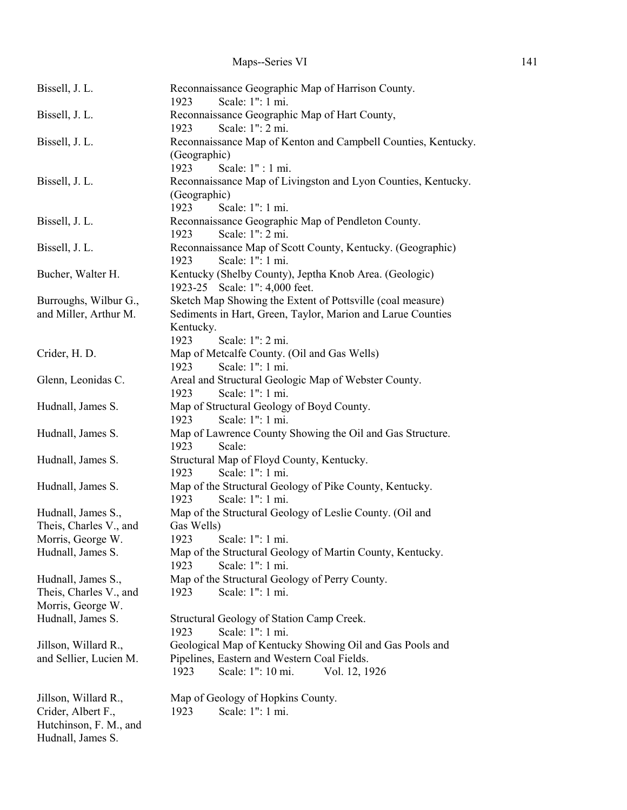| Bissell, J. L.                               | Reconnaissance Geographic Map of Harrison County.<br>Scale: 1": 1 mi.<br>1923              |
|----------------------------------------------|--------------------------------------------------------------------------------------------|
| Bissell, J. L.                               | Reconnaissance Geographic Map of Hart County,<br>Scale: 1": 2 mi.<br>1923                  |
| Bissell, J. L.                               | Reconnaissance Map of Kenton and Campbell Counties, Kentucky.<br>(Geographic)              |
| Bissell, J. L.                               | 1923<br>Scale: 1" : 1 mi.<br>Reconnaissance Map of Livingston and Lyon Counties, Kentucky. |
|                                              | (Geographic)<br>Scale: 1": 1 mi.<br>1923                                                   |
| Bissell, J. L.                               | Reconnaissance Geographic Map of Pendleton County.<br>Scale: 1": 2 mi.<br>1923             |
| Bissell, J. L.                               | Reconnaissance Map of Scott County, Kentucky. (Geographic)<br>Scale: 1": 1 mi.<br>1923     |
| Bucher, Walter H.                            | Kentucky (Shelby County), Jeptha Knob Area. (Geologic)<br>1923-25 Scale: 1": 4,000 feet.   |
| Burroughs, Wilbur G.,                        | Sketch Map Showing the Extent of Pottsville (coal measure)                                 |
| and Miller, Arthur M.                        | Sediments in Hart, Green, Taylor, Marion and Larue Counties                                |
|                                              | Kentucky.                                                                                  |
| Crider, H. D.                                | Scale: 1": 2 mi.<br>1923                                                                   |
|                                              | Map of Metcalfe County. (Oil and Gas Wells)<br>Scale: 1": 1 mi.<br>1923                    |
| Glenn, Leonidas C.                           | Areal and Structural Geologic Map of Webster County.                                       |
|                                              | Scale: 1": 1 mi.<br>1923                                                                   |
| Hudnall, James S.                            | Map of Structural Geology of Boyd County.                                                  |
|                                              | Scale: 1": 1 mi.<br>1923                                                                   |
| Hudnall, James S.                            | Map of Lawrence County Showing the Oil and Gas Structure.                                  |
|                                              | 1923<br>Scale:                                                                             |
| Hudnall, James S.                            | Structural Map of Floyd County, Kentucky.<br>Scale: 1": 1 mi.<br>1923                      |
| Hudnall, James S.                            | Map of the Structural Geology of Pike County, Kentucky.                                    |
|                                              | Scale: 1": 1 mi.<br>1923                                                                   |
| Hudnall, James S.,<br>Theis, Charles V., and | Map of the Structural Geology of Leslie County. (Oil and<br>Gas Wells)                     |
| Morris, George W.                            | 1923 Scale: 1": 1 mi.                                                                      |
| Hudnall, James S.                            | Map of the Structural Geology of Martin County, Kentucky.                                  |
|                                              | Scale: 1": 1 mi.<br>1923                                                                   |
| Hudnall, James S.,                           | Map of the Structural Geology of Perry County.                                             |
| Theis, Charles V., and                       | Scale: 1": 1 mi.<br>1923                                                                   |
| Morris, George W.                            |                                                                                            |
| Hudnall, James S.                            | Structural Geology of Station Camp Creek.<br>Scale: 1": 1 mi.<br>1923                      |
| Jillson, Willard R.,                         | Geological Map of Kentucky Showing Oil and Gas Pools and                                   |
| and Sellier, Lucien M.                       | Pipelines, Eastern and Western Coal Fields.                                                |
|                                              | 1923<br>Scale: 1": 10 mi.<br>Vol. 12, 1926                                                 |
| Jillson, Willard R.,                         | Map of Geology of Hopkins County.                                                          |
| Crider, Albert F.,                           | Scale: 1": 1 mi.<br>1923                                                                   |
| Hutchinson, F. M., and                       |                                                                                            |
| Hudnall, James S.                            |                                                                                            |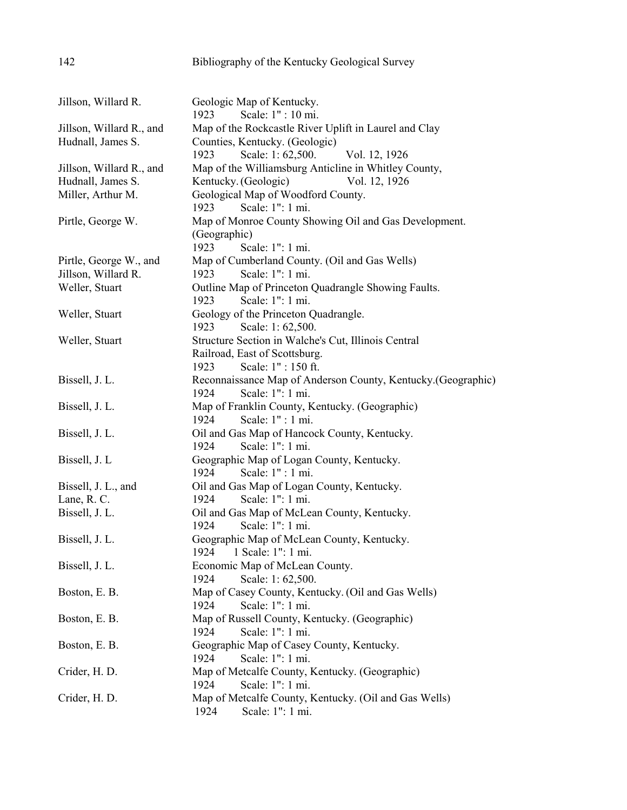| 142                                   | Bibliography of the Kentucky Geological Survey                                 |
|---------------------------------------|--------------------------------------------------------------------------------|
|                                       |                                                                                |
| Jillson, Willard R.                   | Geologic Map of Kentucky.                                                      |
|                                       | Scale: 1" : 10 mi.<br>1923                                                     |
| Jillson, Willard R., and              | Map of the Rockcastle River Uplift in Laurel and Clay                          |
| Hudnall, James S.                     | Counties, Kentucky. (Geologic)                                                 |
|                                       | Vol. 12, 1926<br>Scale: 1:62,500.<br>1923                                      |
| Jillson, Willard R., and              | Map of the Williamsburg Anticline in Whitley County,                           |
| Hudnall, James S.                     | Kentucky. (Geologic)<br>Vol. 12, 1926                                          |
| Miller, Arthur M.                     | Geological Map of Woodford County.                                             |
|                                       | Scale: 1": 1 mi.<br>1923                                                       |
| Pirtle, George W.                     | Map of Monroe County Showing Oil and Gas Development.                          |
|                                       | (Geographic)                                                                   |
|                                       | 1923<br>Scale: 1": 1 mi.                                                       |
| Pirtle, George W., and                | Map of Cumberland County. (Oil and Gas Wells)<br>Scale: 1": 1 mi.<br>1923      |
| Jillson, Willard R.<br>Weller, Stuart | Outline Map of Princeton Quadrangle Showing Faults.                            |
|                                       | Scale: 1": 1 mi.<br>1923                                                       |
| Weller, Stuart                        | Geology of the Princeton Quadrangle.                                           |
|                                       | 1923<br>Scale: 1:62,500.                                                       |
| Weller, Stuart                        | Structure Section in Walche's Cut, Illinois Central                            |
|                                       | Railroad, East of Scottsburg.                                                  |
|                                       | Scale: 1": 150 ft.<br>1923                                                     |
| Bissell, J. L.                        | Reconnaissance Map of Anderson County, Kentucky. (Geographic)                  |
|                                       | Scale: 1": 1 mi.<br>1924                                                       |
| Bissell, J. L.                        | Map of Franklin County, Kentucky. (Geographic)                                 |
|                                       | Scale: 1" : 1 mi.<br>1924                                                      |
| Bissell, J. L.                        | Oil and Gas Map of Hancock County, Kentucky.<br>Scale: 1": 1 mi.<br>1924       |
| Bissell, J. L.                        | Geographic Map of Logan County, Kentucky.                                      |
|                                       | 1924<br>Scale: 1" : 1 mi.                                                      |
| Bissell, J. L., and                   | Oil and Gas Map of Logan County, Kentucky.                                     |
| Lane, R. C.                           | Scale: 1": 1 mi.<br>1924                                                       |
| Bissell, J. L.                        | Oil and Gas Map of McLean County, Kentucky.                                    |
|                                       | Scale: 1": 1 mi.<br>1924                                                       |
| Bissell, J. L.                        | Geographic Map of McLean County, Kentucky.                                     |
|                                       | 1 Scale: 1": 1 mi.<br>1924                                                     |
| Bissell, J. L.                        | Economic Map of McLean County.                                                 |
|                                       | 1924<br>Scale: 1:62,500.                                                       |
| Boston, E. B.                         | Map of Casey County, Kentucky. (Oil and Gas Wells)<br>Scale: 1": 1 mi.<br>1924 |
| Boston, E. B.                         | Map of Russell County, Kentucky. (Geographic)                                  |
|                                       | Scale: 1": 1 mi.<br>1924                                                       |
| Boston, E. B.                         | Geographic Map of Casey County, Kentucky.                                      |
|                                       | Scale: 1": 1 mi.<br>1924                                                       |
| Crider, H. D.                         | Map of Metcalfe County, Kentucky. (Geographic)                                 |
|                                       | Scale: 1": 1 mi.<br>1924                                                       |
| Crider, H. D.                         | Map of Metcalfe County, Kentucky. (Oil and Gas Wells)                          |
|                                       | 1924<br>Scale: 1": 1 mi.                                                       |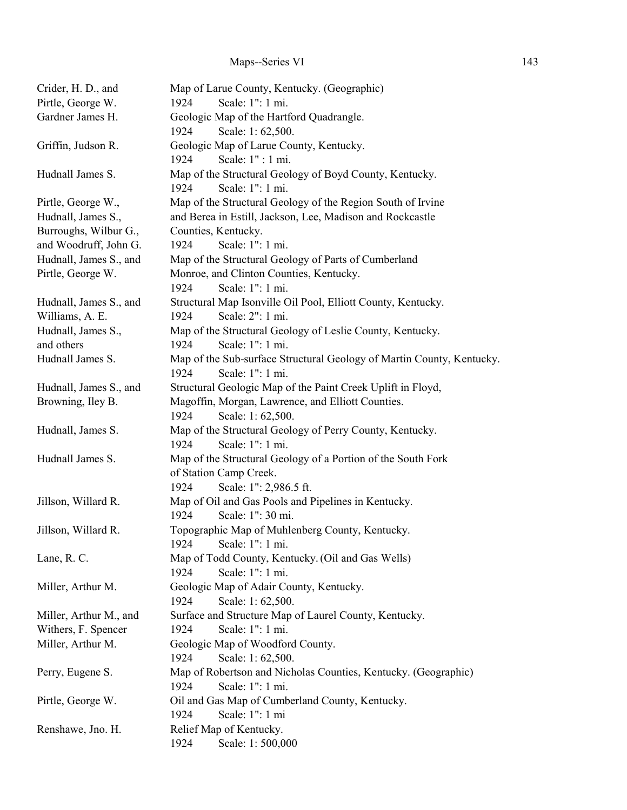| Crider, H. D., and     | Map of Larue County, Kentucky. (Geographic)                                   |
|------------------------|-------------------------------------------------------------------------------|
| Pirtle, George W.      | Scale: 1": 1 mi.<br>1924                                                      |
| Gardner James H.       | Geologic Map of the Hartford Quadrangle.                                      |
|                        | Scale: 1:62,500.<br>1924                                                      |
| Griffin, Judson R.     | Geologic Map of Larue County, Kentucky.                                       |
|                        | Scale: 1" : 1 mi.<br>1924                                                     |
| Hudnall James S.       | Map of the Structural Geology of Boyd County, Kentucky.                       |
|                        | 1924<br>Scale: 1": 1 mi.                                                      |
| Pirtle, George W.,     | Map of the Structural Geology of the Region South of Irvine                   |
| Hudnall, James S.,     | and Berea in Estill, Jackson, Lee, Madison and Rockcastle                     |
| Burroughs, Wilbur G.,  | Counties, Kentucky.                                                           |
| and Woodruff, John G.  | Scale: 1": 1 mi.<br>1924                                                      |
| Hudnall, James S., and | Map of the Structural Geology of Parts of Cumberland                          |
| Pirtle, George W.      | Monroe, and Clinton Counties, Kentucky.                                       |
|                        | Scale: 1": 1 mi.<br>1924                                                      |
| Hudnall, James S., and | Structural Map Isonville Oil Pool, Elliott County, Kentucky.                  |
| Williams, A. E.        | Scale: 2": 1 mi.<br>1924                                                      |
| Hudnall, James S.,     | Map of the Structural Geology of Leslie County, Kentucky.                     |
| and others             | Scale: 1": 1 mi.<br>1924                                                      |
| Hudnall James S.       | Map of the Sub-surface Structural Geology of Martin County, Kentucky.         |
|                        | Scale: 1": 1 mi.<br>1924                                                      |
| Hudnall, James S., and | Structural Geologic Map of the Paint Creek Uplift in Floyd,                   |
| Browning, Iley B.      | Magoffin, Morgan, Lawrence, and Elliott Counties.                             |
|                        | 1924<br>Scale: 1:62,500.                                                      |
| Hudnall, James S.      | Map of the Structural Geology of Perry County, Kentucky.                      |
|                        | Scale: 1": 1 mi.<br>1924                                                      |
| Hudnall James S.       | Map of the Structural Geology of a Portion of the South Fork                  |
|                        | of Station Camp Creek.<br>1924                                                |
|                        | Scale: 1": 2,986.5 ft.<br>Map of Oil and Gas Pools and Pipelines in Kentucky. |
| Jillson, Willard R.    | Scale: 1": 30 mi.<br>1924                                                     |
| Jillson, Willard R.    | Topographic Map of Muhlenberg County, Kentucky.                               |
|                        | 1924<br>Scale: 1": 1 mi.                                                      |
| Lane, R. C.            | Map of Todd County, Kentucky. (Oil and Gas Wells)                             |
|                        | Scale: 1": 1 mi.<br>1924                                                      |
| Miller, Arthur M.      | Geologic Map of Adair County, Kentucky.                                       |
|                        | 1924<br>Scale: 1:62,500.                                                      |
| Miller, Arthur M., and | Surface and Structure Map of Laurel County, Kentucky.                         |
| Withers, F. Spencer    | Scale: 1": 1 mi.<br>1924                                                      |
| Miller, Arthur M.      | Geologic Map of Woodford County.                                              |
|                        | 1924<br>Scale: 1:62,500.                                                      |
| Perry, Eugene S.       | Map of Robertson and Nicholas Counties, Kentucky. (Geographic)                |
|                        | Scale: 1": 1 mi.<br>1924                                                      |
| Pirtle, George W.      | Oil and Gas Map of Cumberland County, Kentucky.                               |
|                        | Scale: 1": 1 mi<br>1924                                                       |
| Renshawe, Jno. H.      | Relief Map of Kentucky.                                                       |
|                        | Scale: 1:500,000<br>1924                                                      |
|                        |                                                                               |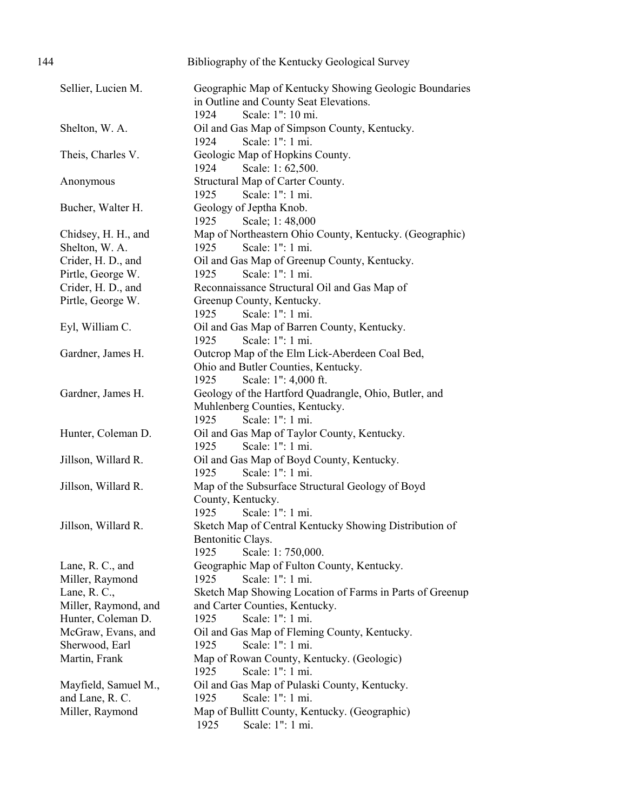| 144 |                                       | Bibliography of the Kentucky Geological Survey                                                                                |
|-----|---------------------------------------|-------------------------------------------------------------------------------------------------------------------------------|
|     | Sellier, Lucien M.                    | Geographic Map of Kentucky Showing Geologic Boundaries<br>in Outline and County Seat Elevations.<br>Scale: 1": 10 mi.<br>1924 |
|     | Shelton, W. A.                        | Oil and Gas Map of Simpson County, Kentucky.<br>Scale: 1": 1 mi.                                                              |
|     | Theis, Charles V.                     | 1924<br>Geologic Map of Hopkins County.<br>1924<br>Scale: 1:62,500.                                                           |
|     | Anonymous                             | Structural Map of Carter County.<br>Scale: 1": 1 mi.<br>1925                                                                  |
|     | Bucher, Walter H.                     | Geology of Jeptha Knob.<br>1925<br>Scale; 1: 48,000                                                                           |
|     | Chidsey, H. H., and<br>Shelton, W. A. | Map of Northeastern Ohio County, Kentucky. (Geographic)<br>1925<br>Scale: 1": 1 mi.                                           |
|     | Crider, H. D., and                    | Oil and Gas Map of Greenup County, Kentucky.                                                                                  |
|     | Pirtle, George W.                     | Scale: 1": 1 mi.<br>1925                                                                                                      |
|     | Crider, H. D., and                    | Reconnaissance Structural Oil and Gas Map of                                                                                  |
|     | Pirtle, George W.                     | Greenup County, Kentucky.<br>Scale: 1": 1 mi.<br>1925                                                                         |
|     | Eyl, William C.                       | Oil and Gas Map of Barren County, Kentucky.                                                                                   |
|     |                                       | Scale: 1": 1 mi.<br>1925                                                                                                      |
|     | Gardner, James H.                     | Outcrop Map of the Elm Lick-Aberdeen Coal Bed,<br>Ohio and Butler Counties, Kentucky.<br>Scale: 1": 4,000 ft.<br>1925         |
|     | Gardner, James H.                     | Geology of the Hartford Quadrangle, Ohio, Butler, and<br>Muhlenberg Counties, Kentucky.                                       |
|     |                                       | Scale: 1": 1 mi.<br>1925                                                                                                      |
|     | Hunter, Coleman D.                    | Oil and Gas Map of Taylor County, Kentucky.                                                                                   |
|     |                                       | Scale: 1": 1 mi.<br>1925                                                                                                      |
|     | Jillson, Willard R.                   | Oil and Gas Map of Boyd County, Kentucky.<br>Scale: 1": 1 mi.<br>1925                                                         |
|     | Jillson, Willard R.                   | Map of the Subsurface Structural Geology of Boyd                                                                              |
|     |                                       | County, Kentucky.                                                                                                             |
|     |                                       | 1925<br>Scale: 1": 1 mi.                                                                                                      |
|     | Jillson, Willard R.                   | Sketch Map of Central Kentucky Showing Distribution of                                                                        |
|     |                                       | Bentonitic Clays.                                                                                                             |
|     |                                       | 1925<br>Scale: 1:750,000.                                                                                                     |
|     | Lane, R. C., and                      | Geographic Map of Fulton County, Kentucky.                                                                                    |
|     | Miller, Raymond                       | Scale: 1": 1 mi.<br>1925                                                                                                      |
|     | Lane, R. C.,                          | Sketch Map Showing Location of Farms in Parts of Greenup                                                                      |
|     | Miller, Raymond, and                  | and Carter Counties, Kentucky.                                                                                                |
|     | Hunter, Coleman D.                    | Scale: 1": 1 mi.<br>1925                                                                                                      |
|     | McGraw, Evans, and                    | Oil and Gas Map of Fleming County, Kentucky.                                                                                  |
|     | Sherwood, Earl                        | Scale: 1": 1 mi.<br>1925                                                                                                      |
|     | Martin, Frank                         | Map of Rowan County, Kentucky. (Geologic)<br>1925<br>Scale: 1": 1 mi.                                                         |
|     | Mayfield, Samuel M.,                  | Oil and Gas Map of Pulaski County, Kentucky.                                                                                  |
|     | and Lane, R. C.                       | Scale: 1": 1 mi.<br>1925                                                                                                      |
|     | Miller, Raymond                       | Map of Bullitt County, Kentucky. (Geographic)                                                                                 |
|     |                                       | Scale: 1": 1 mi.<br>1925                                                                                                      |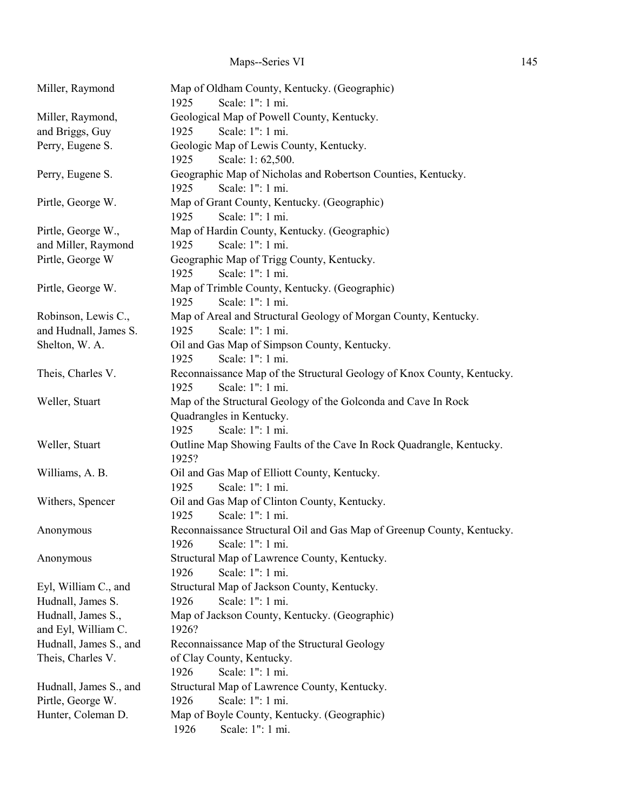# Maps--Series VI 145

| Miller, Raymond        | Map of Oldham County, Kentucky. (Geographic)<br>1925<br>Scale: 1": 1 mi.      |
|------------------------|-------------------------------------------------------------------------------|
| Miller, Raymond,       | Geological Map of Powell County, Kentucky.                                    |
| and Briggs, Guy        | Scale: 1": 1 mi.<br>1925                                                      |
| Perry, Eugene S.       | Geologic Map of Lewis County, Kentucky.                                       |
|                        | 1925<br>Scale: 1:62,500.                                                      |
| Perry, Eugene S.       | Geographic Map of Nicholas and Robertson Counties, Kentucky.                  |
|                        | Scale: 1": 1 mi.<br>1925                                                      |
| Pirtle, George W.      | Map of Grant County, Kentucky. (Geographic)                                   |
|                        | 1925<br>Scale: 1": 1 mi.                                                      |
| Pirtle, George W.,     | Map of Hardin County, Kentucky. (Geographic)                                  |
| and Miller, Raymond    | 1925<br>Scale: 1": 1 mi.                                                      |
| Pirtle, George W       | Geographic Map of Trigg County, Kentucky.                                     |
|                        | Scale: 1": 1 mi.<br>1925                                                      |
| Pirtle, George W.      | Map of Trimble County, Kentucky. (Geographic)                                 |
|                        | Scale: 1": 1 mi.<br>1925                                                      |
| Robinson, Lewis C.,    | Map of Areal and Structural Geology of Morgan County, Kentucky.               |
| and Hudnall, James S.  | 1925<br>Scale: 1": 1 mi.                                                      |
| Shelton, W. A.         | Oil and Gas Map of Simpson County, Kentucky.                                  |
|                        | Scale: 1": 1 mi.<br>1925                                                      |
| Theis, Charles V.      | Reconnaissance Map of the Structural Geology of Knox County, Kentucky.        |
|                        | 1925<br>Scale: 1": 1 mi.                                                      |
| Weller, Stuart         | Map of the Structural Geology of the Golconda and Cave In Rock                |
|                        | Quadrangles in Kentucky.                                                      |
|                        | Scale: 1": 1 mi.<br>1925                                                      |
| Weller, Stuart         | Outline Map Showing Faults of the Cave In Rock Quadrangle, Kentucky.<br>1925? |
| Williams, A. B.        | Oil and Gas Map of Elliott County, Kentucky.                                  |
|                        | 1925<br>Scale: 1": 1 mi.                                                      |
| Withers, Spencer       | Oil and Gas Map of Clinton County, Kentucky.                                  |
|                        | Scale: 1": 1 mi.<br>1925                                                      |
| Anonymous              | Reconnaissance Structural Oil and Gas Map of Greenup County, Kentucky.        |
|                        | Scale: 1": 1 mi.<br>1926                                                      |
| Anonymous              | Structural Map of Lawrence County, Kentucky.                                  |
|                        | Scale: 1": 1 mi.<br>1926                                                      |
| Eyl, William C., and   | Structural Map of Jackson County, Kentucky.                                   |
| Hudnall, James S.      | Scale: 1": 1 mi.<br>1926                                                      |
| Hudnall, James S.,     | Map of Jackson County, Kentucky. (Geographic)                                 |
| and Eyl, William C.    | 1926?                                                                         |
| Hudnall, James S., and | Reconnaissance Map of the Structural Geology                                  |
| Theis, Charles V.      | of Clay County, Kentucky.                                                     |
|                        | Scale: 1": 1 mi.<br>1926                                                      |
| Hudnall, James S., and | Structural Map of Lawrence County, Kentucky.                                  |
| Pirtle, George W.      | Scale: 1": 1 mi.<br>1926                                                      |
| Hunter, Coleman D.     | Map of Boyle County, Kentucky. (Geographic)                                   |
|                        | 1926<br>Scale: 1": 1 mi.                                                      |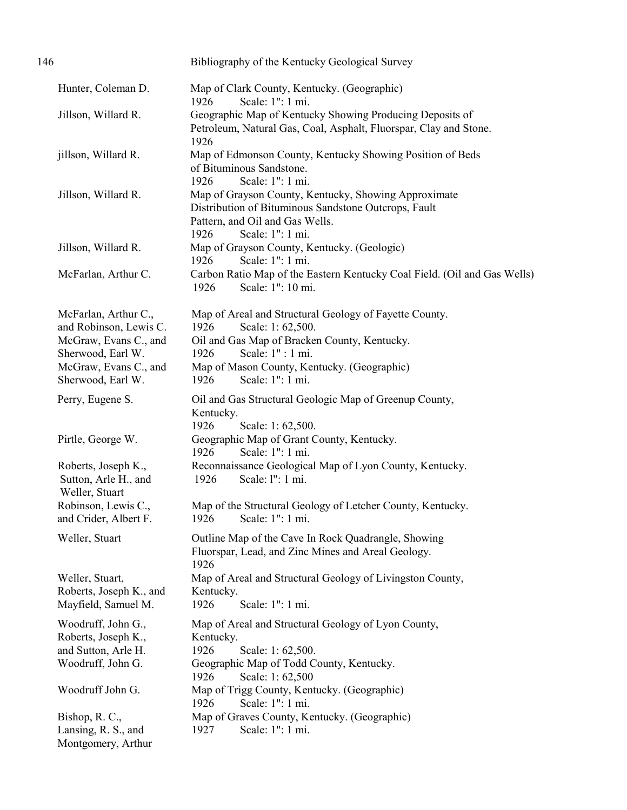| 146                                                                                                                                        | Bibliography of the Kentucky Geological Survey                                                                                                                                                                                             |
|--------------------------------------------------------------------------------------------------------------------------------------------|--------------------------------------------------------------------------------------------------------------------------------------------------------------------------------------------------------------------------------------------|
| Hunter, Coleman D.                                                                                                                         | Map of Clark County, Kentucky. (Geographic)<br>Scale: 1": 1 mi.<br>1926                                                                                                                                                                    |
| Jillson, Willard R.                                                                                                                        | Geographic Map of Kentucky Showing Producing Deposits of<br>Petroleum, Natural Gas, Coal, Asphalt, Fluorspar, Clay and Stone.<br>1926                                                                                                      |
| jillson, Willard R.                                                                                                                        | Map of Edmonson County, Kentucky Showing Position of Beds<br>of Bituminous Sandstone.<br>Scale: 1": 1 mi.<br>1926                                                                                                                          |
| Jillson, Willard R.                                                                                                                        | Map of Grayson County, Kentucky, Showing Approximate<br>Distribution of Bituminous Sandstone Outcrops, Fault<br>Pattern, and Oil and Gas Wells.<br>1926<br>Scale: 1": 1 mi.                                                                |
| Jillson, Willard R.                                                                                                                        | Map of Grayson County, Kentucky. (Geologic)<br>Scale: 1": 1 mi.<br>1926                                                                                                                                                                    |
| McFarlan, Arthur C.                                                                                                                        | Carbon Ratio Map of the Eastern Kentucky Coal Field. (Oil and Gas Wells)<br>1926<br>Scale: 1": 10 mi.                                                                                                                                      |
| McFarlan, Arthur C.,<br>and Robinson, Lewis C.<br>McGraw, Evans C., and<br>Sherwood, Earl W.<br>McGraw, Evans C., and<br>Sherwood, Earl W. | Map of Areal and Structural Geology of Fayette County.<br>Scale: 1:62,500.<br>1926<br>Oil and Gas Map of Bracken County, Kentucky.<br>Scale: 1" : 1 mi.<br>1926<br>Map of Mason County, Kentucky. (Geographic)<br>Scale: 1": 1 mi.<br>1926 |
| Perry, Eugene S.                                                                                                                           | Oil and Gas Structural Geologic Map of Greenup County,<br>Kentucky.                                                                                                                                                                        |
| Pirtle, George W.                                                                                                                          | 1926<br>Scale: 1:62,500.<br>Geographic Map of Grant County, Kentucky.<br>1926<br>Scale: 1": 1 mi.                                                                                                                                          |
| Roberts, Joseph K.,<br>Sutton, Arle H., and<br>Weller, Stuart                                                                              | Reconnaissance Geological Map of Lyon County, Kentucky.<br>Scale: l": 1 mi.<br>1926                                                                                                                                                        |
| Robinson, Lewis C.,<br>and Crider, Albert F.                                                                                               | Map of the Structural Geology of Letcher County, Kentucky.<br>1926<br>Scale: 1": 1 mi.                                                                                                                                                     |
| Weller, Stuart                                                                                                                             | Outline Map of the Cave In Rock Quadrangle, Showing<br>Fluorspar, Lead, and Zinc Mines and Areal Geology.<br>1926                                                                                                                          |
| Weller, Stuart,<br>Roberts, Joseph K., and<br>Mayfield, Samuel M.                                                                          | Map of Areal and Structural Geology of Livingston County,<br>Kentucky.<br>Scale: 1": 1 mi.<br>1926                                                                                                                                         |
| Woodruff, John G.,<br>Roberts, Joseph K.,<br>and Sutton, Arle H.<br>Woodruff, John G.                                                      | Map of Areal and Structural Geology of Lyon County,<br>Kentucky.<br>1926<br>Scale: 1:62,500.<br>Geographic Map of Todd County, Kentucky.<br>Scale: 1:62,500<br>1926                                                                        |
| Woodruff John G.                                                                                                                           | Map of Trigg County, Kentucky. (Geographic)<br>Scale: 1": 1 mi.<br>1926                                                                                                                                                                    |
| Bishop, R. C.,<br>Lansing, R. S., and<br>Montgomery, Arthur                                                                                | Map of Graves County, Kentucky. (Geographic)<br>Scale: 1": 1 mi.<br>1927                                                                                                                                                                   |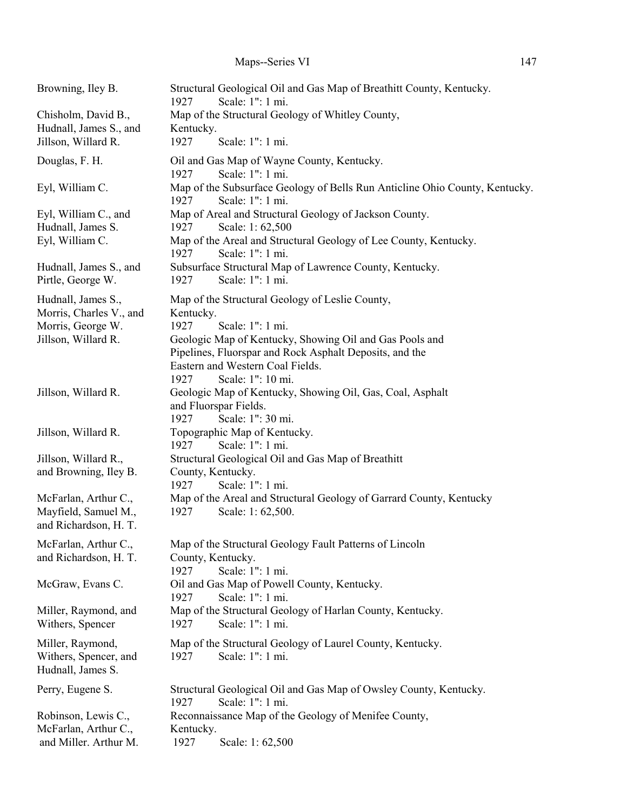| Browning, Iley B.       | Structural Geological Oil and Gas Map of Breathitt County, Kentucky.<br>Scale: 1": 1 mi.<br>1927        |
|-------------------------|---------------------------------------------------------------------------------------------------------|
| Chisholm, David B.,     | Map of the Structural Geology of Whitley County,                                                        |
| Hudnall, James S., and  | Kentucky.                                                                                               |
| Jillson, Willard R.     | 1927<br>Scale: 1": 1 mi.                                                                                |
| Douglas, F. H.          | Oil and Gas Map of Wayne County, Kentucky.                                                              |
|                         | Scale: 1": 1 mi.<br>1927                                                                                |
| Eyl, William C.         | Map of the Subsurface Geology of Bells Run Anticline Ohio County, Kentucky.<br>1927<br>Scale: 1": 1 mi. |
| Eyl, William C., and    | Map of Areal and Structural Geology of Jackson County.                                                  |
| Hudnall, James S.       | 1927<br>Scale: 1:62,500                                                                                 |
| Eyl, William C.         | Map of the Areal and Structural Geology of Lee County, Kentucky.<br>Scale: 1": 1 mi.<br>1927            |
| Hudnall, James S., and  | Subsurface Structural Map of Lawrence County, Kentucky.                                                 |
| Pirtle, George W.       | Scale: 1": 1 mi.<br>1927                                                                                |
| Hudnall, James S.,      | Map of the Structural Geology of Leslie County,                                                         |
| Morris, Charles V., and | Kentucky.                                                                                               |
| Morris, George W.       | 1927<br>Scale: 1": 1 mi.                                                                                |
| Jillson, Willard R.     | Geologic Map of Kentucky, Showing Oil and Gas Pools and                                                 |
|                         | Pipelines, Fluorspar and Rock Asphalt Deposits, and the                                                 |
|                         | Eastern and Western Coal Fields.                                                                        |
|                         | Scale: 1": 10 mi.<br>1927                                                                               |
| Jillson, Willard R.     | Geologic Map of Kentucky, Showing Oil, Gas, Coal, Asphalt                                               |
|                         | and Fluorspar Fields.<br>Scale: 1": 30 mi.<br>1927                                                      |
| Jillson, Willard R.     | Topographic Map of Kentucky.                                                                            |
|                         | 1927<br>Scale: 1": 1 mi.                                                                                |
| Jillson, Willard R.,    | Structural Geological Oil and Gas Map of Breathitt                                                      |
| and Browning, Iley B.   | County, Kentucky.                                                                                       |
|                         | Scale: 1": 1 mi.<br>1927                                                                                |
| McFarlan, Arthur C.,    | Map of the Areal and Structural Geology of Garrard County, Kentucky                                     |
| Mayfield, Samuel M.,    | 1927<br>Scale: 1:62,500.                                                                                |
| and Richardson, H. T.   |                                                                                                         |
| McFarlan, Arthur C.,    | Map of the Structural Geology Fault Patterns of Lincoln                                                 |
| and Richardson, H. T.   | County, Kentucky.                                                                                       |
|                         | Scale: 1": 1 mi.<br>1927                                                                                |
| McGraw, Evans C.        | Oil and Gas Map of Powell County, Kentucky.<br>1927<br>Scale: 1": 1 mi.                                 |
| Miller, Raymond, and    | Map of the Structural Geology of Harlan County, Kentucky.                                               |
| Withers, Spencer        | Scale: 1": 1 mi.<br>1927                                                                                |
| Miller, Raymond,        | Map of the Structural Geology of Laurel County, Kentucky.                                               |
| Withers, Spencer, and   | Scale: 1": 1 mi.<br>1927                                                                                |
| Hudnall, James S.       |                                                                                                         |
| Perry, Eugene S.        | Structural Geological Oil and Gas Map of Owsley County, Kentucky.                                       |
|                         | Scale: 1": 1 mi.<br>1927                                                                                |
| Robinson, Lewis C.,     | Reconnaissance Map of the Geology of Menifee County,                                                    |
| McFarlan, Arthur C.,    | Kentucky.                                                                                               |
| and Miller. Arthur M.   | Scale: 1:62,500<br>1927                                                                                 |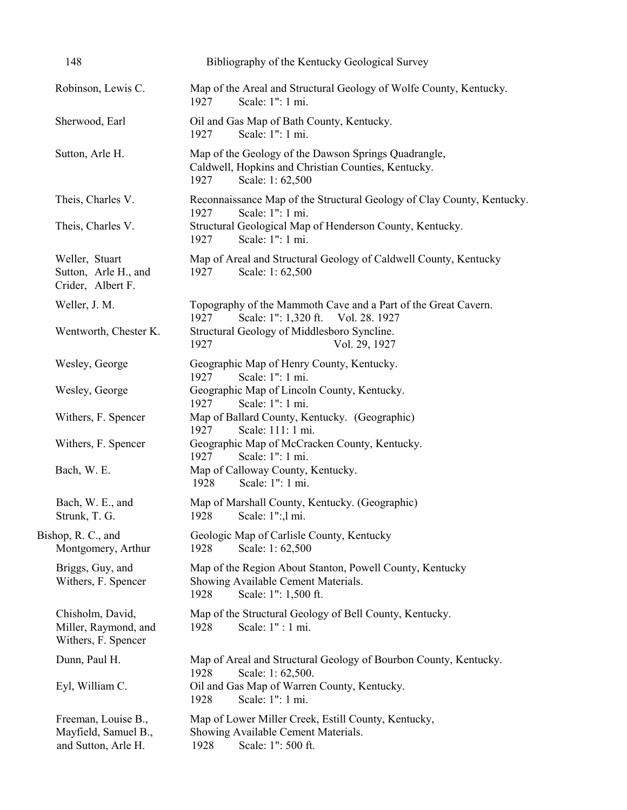| 148                                                                | Bibliography of the Kentucky Geological Survey                                                                                                                                          |
|--------------------------------------------------------------------|-----------------------------------------------------------------------------------------------------------------------------------------------------------------------------------------|
| Robinson, Lewis C.                                                 | Map of the Areal and Structural Geology of Wolfe County, Kentucky.<br>Scale: 1": 1 mi.<br>1927                                                                                          |
| Sherwood, Earl                                                     | Oil and Gas Map of Bath County, Kentucky.<br>Scale: 1": 1 mi.<br>1927                                                                                                                   |
| Sutton, Arle H.                                                    | Map of the Geology of the Dawson Springs Quadrangle,<br>Caldwell, Hopkins and Christian Counties, Kentucky.<br>1927<br>Scale: 1:62,500                                                  |
| Theis, Charles V.<br>Theis, Charles V.                             | Reconnaissance Map of the Structural Geology of Clay County, Kentucky.<br>Scale: 1": 1 mi.<br>1927<br>Structural Geological Map of Henderson County, Kentucky.                          |
| Weller, Stuart<br>Sutton, Arle H., and<br>Crider, Albert F.        | Scale: 1": 1 mi.<br>1927<br>Map of Areal and Structural Geology of Caldwell County, Kentucky<br>1927<br>Scale: 1:62,500                                                                 |
| Weller, J. M.<br>Wentworth, Chester K.                             | Topography of the Mammoth Cave and a Part of the Great Cavern.<br>Scale: 1": 1,320 ft.<br>1927<br>Vol. 28. 1927<br>Structural Geology of Middlesboro Syncline.<br>1927<br>Vol. 29, 1927 |
| Wesley, George                                                     | Geographic Map of Henry County, Kentucky.                                                                                                                                               |
| Wesley, George                                                     | Scale: 1": 1 mi.<br>1927<br>Geographic Map of Lincoln County, Kentucky.<br>Scale: 1": 1 mi.<br>1927                                                                                     |
| Withers, F. Spencer                                                | Map of Ballard County, Kentucky. (Geographic)<br>1927<br>Scale: 111: 1 mi.                                                                                                              |
| Withers, F. Spencer                                                | Geographic Map of McCracken County, Kentucky.<br>Scale: 1": 1 mi.<br>1927                                                                                                               |
| Bach, W. E.                                                        | Map of Calloway County, Kentucky.<br>Scale: 1": 1 mi.<br>1928                                                                                                                           |
| Bach, W. E., and<br>Strunk, T. G.                                  | Map of Marshall County, Kentucky. (Geographic)<br>1928 Scale: 1":, 1 mi.                                                                                                                |
| Bishop, R. C., and<br>Montgomery, Arthur                           | Geologic Map of Carlisle County, Kentucky<br>Scale: 1:62,500<br>1928                                                                                                                    |
| Briggs, Guy, and<br>Withers, F. Spencer                            | Map of the Region About Stanton, Powell County, Kentucky<br>Showing Available Cement Materials.<br>Scale: 1": 1,500 ft.<br>1928                                                         |
| Chisholm, David,<br>Miller, Raymond, and<br>Withers, F. Spencer    | Map of the Structural Geology of Bell County, Kentucky.<br>Scale: 1" : 1 mi.<br>1928                                                                                                    |
| Dunn, Paul H.                                                      | Map of Areal and Structural Geology of Bourbon County, Kentucky.<br>Scale: 1:62,500.<br>1928                                                                                            |
| Eyl, William C.                                                    | Oil and Gas Map of Warren County, Kentucky.<br>Scale: 1": 1 mi.<br>1928                                                                                                                 |
| Freeman, Louise B.,<br>Mayfield, Samuel B.,<br>and Sutton, Arle H. | Map of Lower Miller Creek, Estill County, Kentucky,<br>Showing Available Cement Materials.<br>Scale: 1": 500 ft.<br>1928                                                                |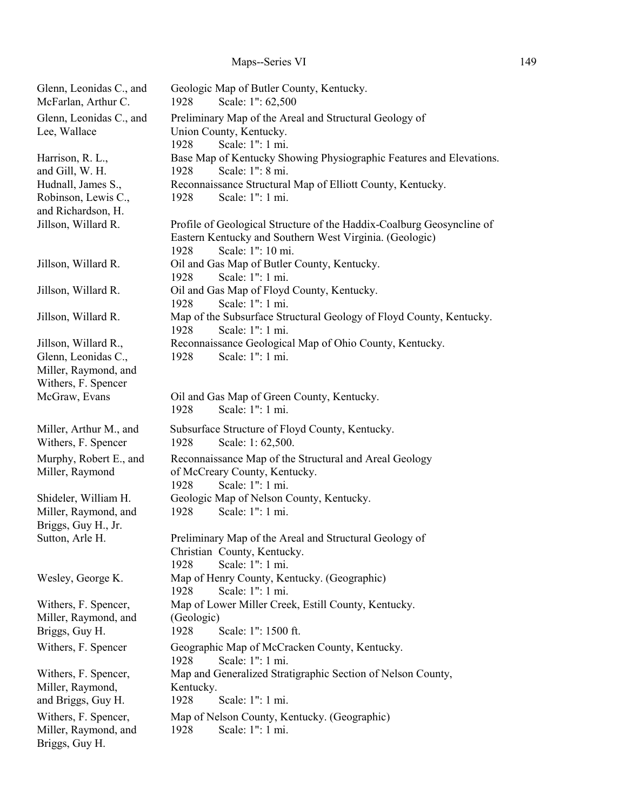| Glenn, Leonidas C., and<br>McFarlan, Arthur C. | Geologic Map of Butler County, Kentucky.<br>Scale: 1": 62,500<br>1928                           |
|------------------------------------------------|-------------------------------------------------------------------------------------------------|
| Glenn, Leonidas C., and                        | Preliminary Map of the Areal and Structural Geology of                                          |
| Lee, Wallace                                   | Union County, Kentucky.                                                                         |
|                                                | 1928<br>Scale: 1": 1 mi.                                                                        |
| Harrison, R. L.,                               | Base Map of Kentucky Showing Physiographic Features and Elevations.                             |
| and Gill, W. H.                                | Scale: 1": 8 mi.<br>1928                                                                        |
| Hudnall, James S.,                             | Reconnaissance Structural Map of Elliott County, Kentucky.                                      |
| Robinson, Lewis C.,                            | Scale: 1": 1 mi.<br>1928                                                                        |
| and Richardson, H.<br>Jillson, Willard R.      | Profile of Geological Structure of the Haddix-Coalburg Geosyncline of                           |
|                                                | Eastern Kentucky and Southern West Virginia. (Geologic)<br>Scale: 1": 10 mi.<br>1928            |
| Jillson, Willard R.                            | Oil and Gas Map of Butler County, Kentucky.<br>Scale: 1": 1 mi.<br>1928                         |
| Jillson, Willard R.                            | Oil and Gas Map of Floyd County, Kentucky.<br>Scale: 1": 1 mi.<br>1928                          |
| Jillson, Willard R.                            | Map of the Subsurface Structural Geology of Floyd County, Kentucky.<br>1928<br>Scale: 1": 1 mi. |
| Jillson, Willard R.,                           | Reconnaissance Geological Map of Ohio County, Kentucky.                                         |
| Glenn, Leonidas C.,                            | Scale: 1": 1 mi.<br>1928                                                                        |
| Miller, Raymond, and                           |                                                                                                 |
| Withers, F. Spencer                            |                                                                                                 |
| McGraw, Evans                                  | Oil and Gas Map of Green County, Kentucky.<br>Scale: 1": 1 mi.<br>1928                          |
|                                                |                                                                                                 |
| Miller, Arthur M., and<br>Withers, F. Spencer  | Subsurface Structure of Floyd County, Kentucky.<br>Scale: 1:62,500.<br>1928                     |
| Murphy, Robert E., and                         | Reconnaissance Map of the Structural and Areal Geology                                          |
| Miller, Raymond                                | of McCreary County, Kentucky.                                                                   |
|                                                | Scale: 1": 1 mi.<br>1928                                                                        |
| Shideler, William H.                           | Geologic Map of Nelson County, Kentucky.                                                        |
| Miller, Raymond, and                           | Scale: 1": 1 mi.<br>1928                                                                        |
| Briggs, Guy H., Jr.                            |                                                                                                 |
| Sutton, Arle H.                                | Preliminary Map of the Areal and Structural Geology of                                          |
|                                                | Christian County, Kentucky.<br>Scale: 1": 1 mi.<br>1928                                         |
| Wesley, George K.                              | Map of Henry County, Kentucky. (Geographic)                                                     |
|                                                | Scale: 1": 1 mi.<br>1928                                                                        |
| Withers, F. Spencer,                           | Map of Lower Miller Creek, Estill County, Kentucky.                                             |
| Miller, Raymond, and                           | (Geologic)                                                                                      |
| Briggs, Guy H.                                 | Scale: 1": 1500 ft.<br>1928                                                                     |
| Withers, F. Spencer                            | Geographic Map of McCracken County, Kentucky.<br>Scale: 1": 1 mi.<br>1928                       |
| Withers, F. Spencer,                           | Map and Generalized Stratigraphic Section of Nelson County,                                     |
| Miller, Raymond,                               | Kentucky.                                                                                       |
| and Briggs, Guy H.                             | 1928<br>Scale: 1": 1 mi.                                                                        |
| Withers, F. Spencer,<br>Miller, Raymond, and   | Map of Nelson County, Kentucky. (Geographic)<br>Scale: 1": 1 mi.<br>1928                        |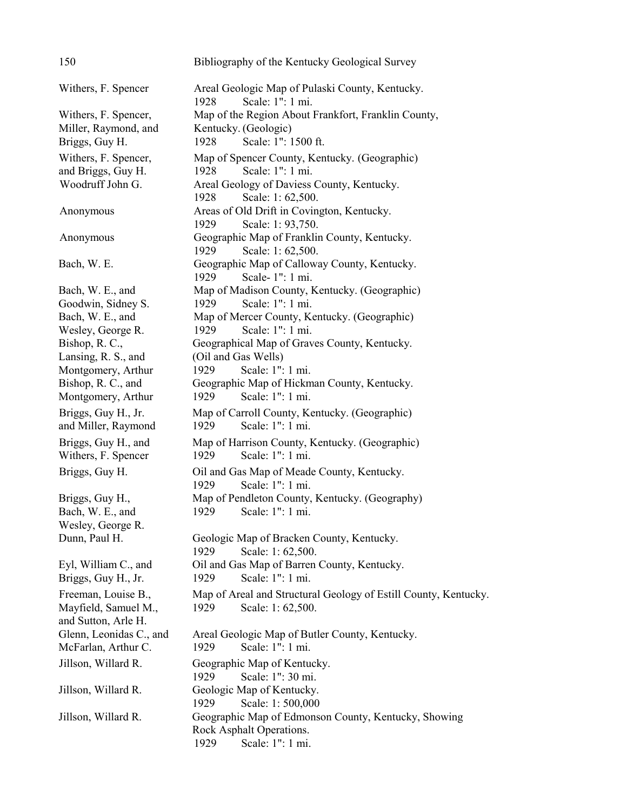| 150                                        | Bibliography of the Kentucky Geological Survey                              |
|--------------------------------------------|-----------------------------------------------------------------------------|
| Withers, F. Spencer                        | Areal Geologic Map of Pulaski County, Kentucky.<br>Scale: 1": 1 mi.<br>1928 |
| Withers, F. Spencer,                       | Map of the Region About Frankfort, Franklin County,                         |
| Miller, Raymond, and                       | Kentucky. (Geologic)                                                        |
| Briggs, Guy H.                             | Scale: 1": 1500 ft.<br>1928                                                 |
| Withers, F. Spencer,                       | Map of Spencer County, Kentucky. (Geographic)                               |
| and Briggs, Guy H.                         | Scale: 1": 1 mi.<br>1928                                                    |
| Woodruff John G.                           | Areal Geology of Daviess County, Kentucky.                                  |
|                                            | 1928<br>Scale: 1:62,500.                                                    |
| Anonymous                                  | Areas of Old Drift in Covington, Kentucky.                                  |
|                                            | Scale: 1: 93,750.<br>1929                                                   |
| Anonymous                                  | Geographic Map of Franklin County, Kentucky.<br>Scale: 1:62,500.<br>1929    |
| Bach, W. E.                                | Geographic Map of Calloway County, Kentucky.<br>Scale-1": 1 mi.<br>1929     |
| Bach, W. E., and                           | Map of Madison County, Kentucky. (Geographic)                               |
| Goodwin, Sidney S.                         | Scale: 1": 1 mi.<br>1929                                                    |
| Bach, W. E., and                           | Map of Mercer County, Kentucky. (Geographic)                                |
| Wesley, George R.                          | Scale: 1": 1 mi.<br>1929                                                    |
| Bishop, R. C.,                             | Geographical Map of Graves County, Kentucky.                                |
| Lansing, R. S., and                        | (Oil and Gas Wells)                                                         |
| Montgomery, Arthur                         | 1929<br>Scale: 1": 1 mi.                                                    |
| Bishop, R. C., and                         | Geographic Map of Hickman County, Kentucky.                                 |
| Montgomery, Arthur                         | 1929<br>Scale: 1": 1 mi.                                                    |
| Briggs, Guy H., Jr.<br>and Miller, Raymond | Map of Carroll County, Kentucky. (Geographic)<br>Scale: 1": 1 mi.<br>1929   |
| Briggs, Guy H., and<br>Withers, F. Spencer | Map of Harrison County, Kentucky. (Geographic)<br>1929<br>Scale: 1": 1 mi.  |
| Briggs, Guy H.                             | Oil and Gas Map of Meade County, Kentucky.<br>Scale: 1": 1 mi.<br>1929      |
| Briggs, Guy H.,                            | Map of Pendleton County, Kentucky. (Geography)                              |
| Bach, W. E., and                           | 1929<br>Scale: 1": 1 mi.                                                    |
| Wesley, George R.                          |                                                                             |
| Dunn, Paul H.                              | Geologic Map of Bracken County, Kentucky.                                   |
|                                            | 1929<br>Scale: 1:62,500.                                                    |
| Eyl, William C., and                       | Oil and Gas Map of Barren County, Kentucky.                                 |
| Briggs, Guy H., Jr.                        | Scale: 1": 1 mi.<br>1929                                                    |
| Freeman, Louise B.,                        | Map of Areal and Structural Geology of Estill County, Kentucky.             |
| Mayfield, Samuel M.,                       | 1929<br>Scale: 1:62,500.                                                    |
| and Sutton, Arle H.                        |                                                                             |
| Glenn, Leonidas C., and                    | Areal Geologic Map of Butler County, Kentucky.                              |
| McFarlan, Arthur C.                        | Scale: 1": 1 mi.<br>1929                                                    |
| Jillson, Willard R.                        | Geographic Map of Kentucky.                                                 |
|                                            | Scale: 1": 30 mi.<br>1929                                                   |
| Jillson, Willard R.                        | Geologic Map of Kentucky.                                                   |
|                                            | Scale: 1:500,000<br>1929                                                    |
| Jillson, Willard R.                        | Geographic Map of Edmonson County, Kentucky, Showing                        |
|                                            | Rock Asphalt Operations.                                                    |
|                                            | Scale: 1": 1 mi.<br>1929                                                    |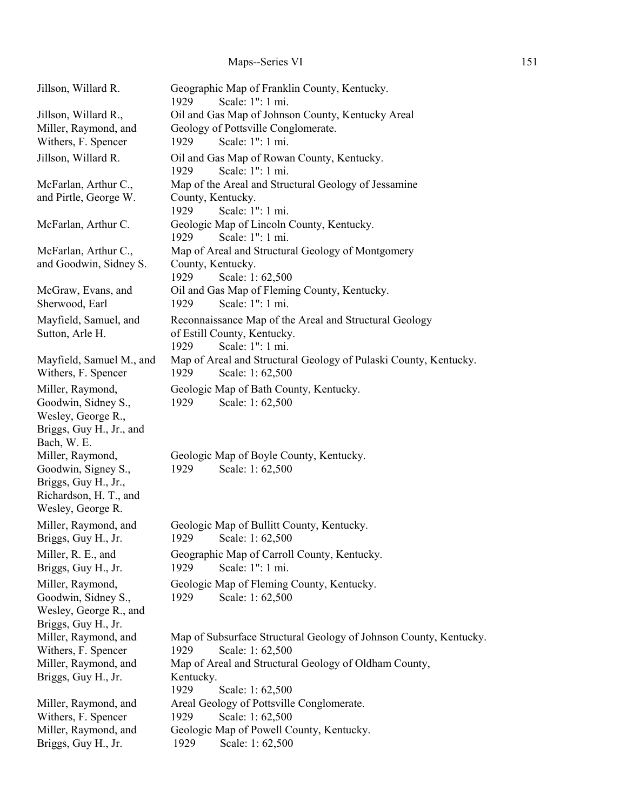# Maps--Series VI 151

| Jillson, Willard R.                           | Geographic Map of Franklin County, Kentucky.<br>Scale: 1": 1 mi.<br>1929 |
|-----------------------------------------------|--------------------------------------------------------------------------|
| Jillson, Willard R.,                          | Oil and Gas Map of Johnson County, Kentucky Areal                        |
| Miller, Raymond, and                          | Geology of Pottsville Conglomerate.                                      |
| Withers, F. Spencer                           | Scale: 1": 1 mi.<br>1929                                                 |
| Jillson, Willard R.                           | Oil and Gas Map of Rowan County, Kentucky.                               |
|                                               | Scale: 1": 1 mi.<br>1929                                                 |
| McFarlan, Arthur C.,                          | Map of the Areal and Structural Geology of Jessamine                     |
| and Pirtle, George W.                         | County, Kentucky.                                                        |
|                                               | 1929<br>Scale: 1": 1 mi.                                                 |
| McFarlan, Arthur C.                           | Geologic Map of Lincoln County, Kentucky.                                |
|                                               | Scale: 1": 1 mi.<br>1929                                                 |
| McFarlan, Arthur C.,                          | Map of Areal and Structural Geology of Montgomery                        |
| and Goodwin, Sidney S.                        | County, Kentucky.                                                        |
|                                               | 1929<br>Scale: 1:62,500                                                  |
| McGraw, Evans, and                            | Oil and Gas Map of Fleming County, Kentucky.                             |
| Sherwood, Earl                                | Scale: 1": 1 mi.<br>1929                                                 |
| Mayfield, Samuel, and                         | Reconnaissance Map of the Areal and Structural Geology                   |
| Sutton, Arle H.                               | of Estill County, Kentucky.                                              |
|                                               | Scale: 1": 1 mi.<br>1929                                                 |
| Mayfield, Samuel M., and                      | Map of Areal and Structural Geology of Pulaski County, Kentucky.         |
| Withers, F. Spencer                           | 1929<br>Scale: 1:62,500                                                  |
| Miller, Raymond,                              | Geologic Map of Bath County, Kentucky.                                   |
| Goodwin, Sidney S.,                           | 1929<br>Scale: 1:62,500                                                  |
| Wesley, George R.,                            |                                                                          |
| Briggs, Guy H., Jr., and                      |                                                                          |
| Bach, W. E.                                   |                                                                          |
| Miller, Raymond,                              | Geologic Map of Boyle County, Kentucky.                                  |
| Goodwin, Signey S.,                           | 1929<br>Scale: 1:62,500                                                  |
| Briggs, Guy H., Jr.,                          |                                                                          |
| Richardson, H. T., and                        |                                                                          |
| Wesley, George R.                             |                                                                          |
| Miller, Raymond, and                          | Geologic Map of Bullitt County, Kentucky.                                |
| Briggs, Guy H., Jr.                           | 1929 Scale: 1:62,500                                                     |
| Miller, R. E., and                            | Geographic Map of Carroll County, Kentucky.                              |
| Briggs, Guy H., Jr.                           | 1929<br>Scale: 1": 1 mi.                                                 |
|                                               |                                                                          |
| Miller, Raymond,                              | Geologic Map of Fleming County, Kentucky.                                |
| Goodwin, Sidney S.,<br>Wesley, George R., and | 1929<br>Scale: 1:62,500                                                  |
| Briggs, Guy H., Jr.                           |                                                                          |
| Miller, Raymond, and                          | Map of Subsurface Structural Geology of Johnson County, Kentucky.        |
| Withers, F. Spencer                           | Scale: 1:62,500<br>1929                                                  |
| Miller, Raymond, and                          | Map of Areal and Structural Geology of Oldham County,                    |
| Briggs, Guy H., Jr.                           | Kentucky.                                                                |
|                                               | 1929<br>Scale: 1:62,500                                                  |
| Miller, Raymond, and                          | Areal Geology of Pottsville Conglomerate.                                |
| Withers, F. Spencer                           | 1929<br>Scale: 1:62,500                                                  |
| Miller, Raymond, and                          | Geologic Map of Powell County, Kentucky.                                 |
| Briggs, Guy H., Jr.                           | Scale: 1:62,500<br>1929                                                  |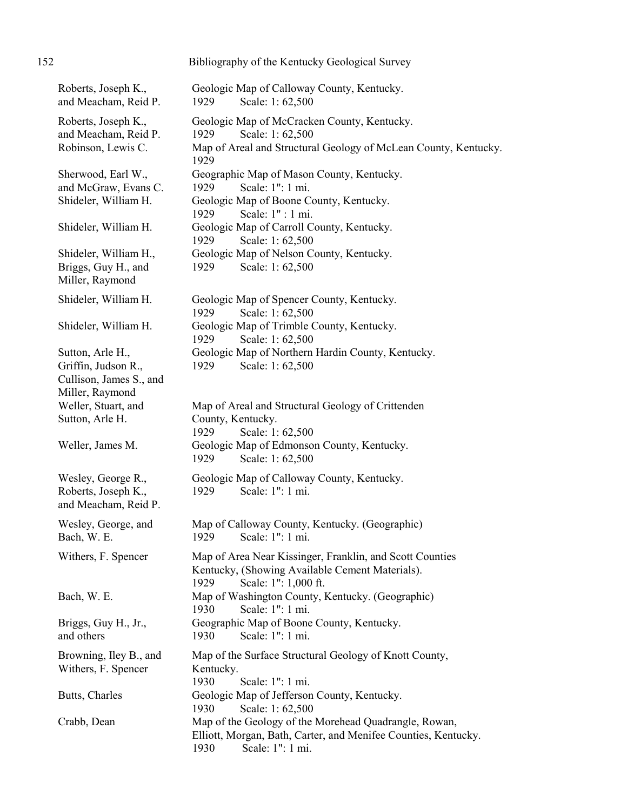| 152                                                                                   | Bibliography of the Kentucky Geological Survey                                                                                                      |
|---------------------------------------------------------------------------------------|-----------------------------------------------------------------------------------------------------------------------------------------------------|
| Roberts, Joseph K.,<br>and Meacham, Reid P.                                           | Geologic Map of Calloway County, Kentucky.<br>1929<br>Scale: 1:62,500                                                                               |
| Roberts, Joseph K.,<br>and Meacham, Reid P.<br>Robinson, Lewis C.                     | Geologic Map of McCracken County, Kentucky.<br>1929<br>Scale: 1:62,500<br>Map of Areal and Structural Geology of McLean County, Kentucky.<br>1929   |
| Sherwood, Earl W.,<br>and McGraw, Evans C.<br>Shideler, William H.                    | Geographic Map of Mason County, Kentucky.<br>Scale: 1": 1 mi.<br>1929<br>Geologic Map of Boone County, Kentucky.<br>Scale: 1" : 1 mi.<br>1929       |
| Shideler, William H.                                                                  | Geologic Map of Carroll County, Kentucky.<br>Scale: 1:62,500<br>1929                                                                                |
| Shideler, William H.,<br>Briggs, Guy H., and<br>Miller, Raymond                       | Geologic Map of Nelson County, Kentucky.<br>1929<br>Scale: 1:62,500                                                                                 |
| Shideler, William H.                                                                  | Geologic Map of Spencer County, Kentucky.<br>Scale: 1:62,500<br>1929                                                                                |
| Shideler, William H.                                                                  | Geologic Map of Trimble County, Kentucky.<br>1929<br>Scale: 1:62,500                                                                                |
| Sutton, Arle H.,<br>Griffin, Judson R.,<br>Cullison, James S., and<br>Miller, Raymond | Geologic Map of Northern Hardin County, Kentucky.<br>1929<br>Scale: 1:62,500                                                                        |
| Weller, Stuart, and<br>Sutton, Arle H.                                                | Map of Areal and Structural Geology of Crittenden<br>County, Kentucky.<br>1929<br>Scale: 1:62,500                                                   |
| Weller, James M.                                                                      | Geologic Map of Edmonson County, Kentucky.<br>1929<br>Scale: 1:62,500                                                                               |
| Wesley, George R.,<br>Roberts, Joseph K.,<br>and Meacham, Reid P.                     | Geologic Map of Calloway County, Kentucky.<br>Scale: 1": 1 mi.<br>1929                                                                              |
| Wesley, George, and<br>Bach, W. E.                                                    | Map of Calloway County, Kentucky. (Geographic)<br>1929<br>Scale: 1": 1 mi.                                                                          |
| Withers, F. Spencer                                                                   | Map of Area Near Kissinger, Franklin, and Scott Counties<br>Kentucky, (Showing Available Cement Materials).<br>Scale: 1": 1,000 ft.<br>1929         |
| Bach, W. E.                                                                           | Map of Washington County, Kentucky. (Geographic)<br>Scale: 1": 1 mi.<br>1930                                                                        |
| Briggs, Guy H., Jr.,<br>and others                                                    | Geographic Map of Boone County, Kentucky.<br>Scale: 1": 1 mi.<br>1930                                                                               |
| Browning, Iley B., and<br>Withers, F. Spencer                                         | Map of the Surface Structural Geology of Knott County,<br>Kentucky.<br>1930<br>Scale: 1": 1 mi.                                                     |
| Butts, Charles                                                                        | Geologic Map of Jefferson County, Kentucky.<br>Scale: 1:62,500<br>1930                                                                              |
| Crabb, Dean                                                                           | Map of the Geology of the Morehead Quadrangle, Rowan,<br>Elliott, Morgan, Bath, Carter, and Menifee Counties, Kentucky.<br>Scale: 1": 1 mi.<br>1930 |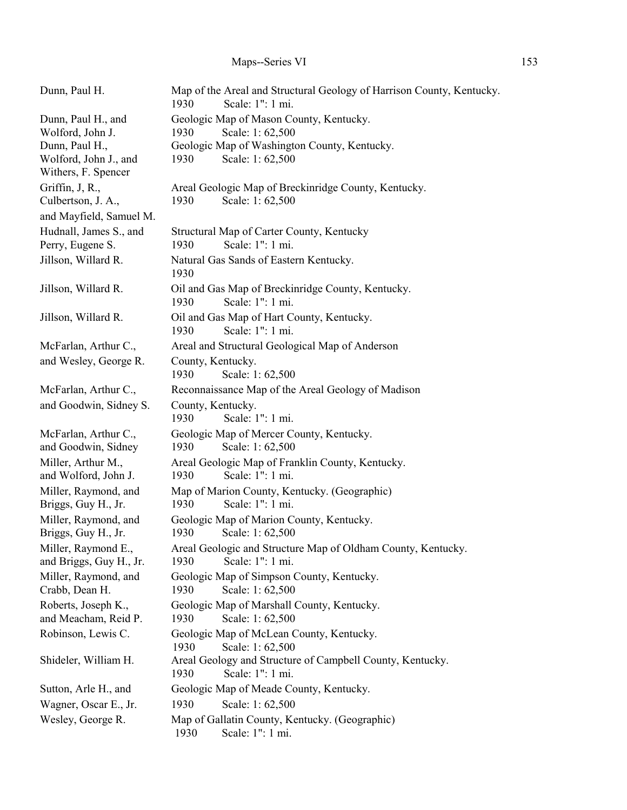| Dunn, Paul H.                               | Map of the Areal and Structural Geology of Harrison County, Kentucky.<br>1930<br>Scale: 1": 1 mi. |
|---------------------------------------------|---------------------------------------------------------------------------------------------------|
| Dunn, Paul H., and<br>Wolford, John J.      | Geologic Map of Mason County, Kentucky.<br>1930<br>Scale: 1:62,500                                |
| Dunn, Paul H.,                              | Geologic Map of Washington County, Kentucky.                                                      |
| Wolford, John J., and                       | Scale: 1:62,500<br>1930                                                                           |
| Withers, F. Spencer                         |                                                                                                   |
| Griffin, J, R.,                             | Areal Geologic Map of Breckinridge County, Kentucky.                                              |
| Culbertson, J. A.,                          | 1930<br>Scale: 1:62,500                                                                           |
| and Mayfield, Samuel M.                     |                                                                                                   |
| Hudnall, James S., and                      | Structural Map of Carter County, Kentucky                                                         |
| Perry, Eugene S.                            | Scale: 1": 1 mi.<br>1930                                                                          |
| Jillson, Willard R.                         | Natural Gas Sands of Eastern Kentucky.<br>1930                                                    |
| Jillson, Willard R.                         | Oil and Gas Map of Breckinridge County, Kentucky.<br>Scale: 1": 1 mi.<br>1930                     |
| Jillson, Willard R.                         | Oil and Gas Map of Hart County, Kentucky.<br>Scale: 1": 1 mi.<br>1930                             |
| McFarlan, Arthur C.,                        | Areal and Structural Geological Map of Anderson                                                   |
| and Wesley, George R.                       | County, Kentucky.                                                                                 |
|                                             | 1930<br>Scale: 1:62,500                                                                           |
| McFarlan, Arthur C.,                        | Reconnaissance Map of the Areal Geology of Madison                                                |
| and Goodwin, Sidney S.                      | County, Kentucky.                                                                                 |
|                                             | Scale: 1": 1 mi.<br>1930                                                                          |
| McFarlan, Arthur C.,                        | Geologic Map of Mercer County, Kentucky.                                                          |
| and Goodwin, Sidney                         | 1930<br>Scale: 1:62,500                                                                           |
| Miller, Arthur M.,                          | Areal Geologic Map of Franklin County, Kentucky.                                                  |
| and Wolford, John J.                        | Scale: 1": 1 mi.<br>1930                                                                          |
| Miller, Raymond, and<br>Briggs, Guy H., Jr. | Map of Marion County, Kentucky. (Geographic)<br>Scale: 1": 1 mi.<br>1930                          |
| Miller, Raymond, and                        | Geologic Map of Marion County, Kentucky.                                                          |
| Briggs, Guy H., Jr.                         | 1930<br>Scale: 1:62,500                                                                           |
| Miller, Raymond E.,                         | Areal Geologic and Structure Map of Oldham County, Kentucky.                                      |
| and Briggs, Guy H., Jr.                     | Scale: 1": 1 mi.<br>1930                                                                          |
| Miller, Raymond, and                        | Geologic Map of Simpson County, Kentucky.                                                         |
| Crabb, Dean H.                              | 1930<br>Scale: 1:62,500                                                                           |
| Roberts, Joseph K.,                         | Geologic Map of Marshall County, Kentucky.                                                        |
| and Meacham, Reid P.                        | 1930<br>Scale: 1:62,500                                                                           |
| Robinson, Lewis C.                          | Geologic Map of McLean County, Kentucky.<br>Scale: 1:62,500<br>1930                               |
| Shideler, William H.                        | Areal Geology and Structure of Campbell County, Kentucky.<br>Scale: 1": 1 mi.<br>1930             |
| Sutton, Arle H., and                        | Geologic Map of Meade County, Kentucky.                                                           |
| Wagner, Oscar E., Jr.                       | 1930<br>Scale: 1:62,500                                                                           |
| Wesley, George R.                           | Map of Gallatin County, Kentucky. (Geographic)                                                    |
|                                             | Scale: 1": 1 mi.<br>1930                                                                          |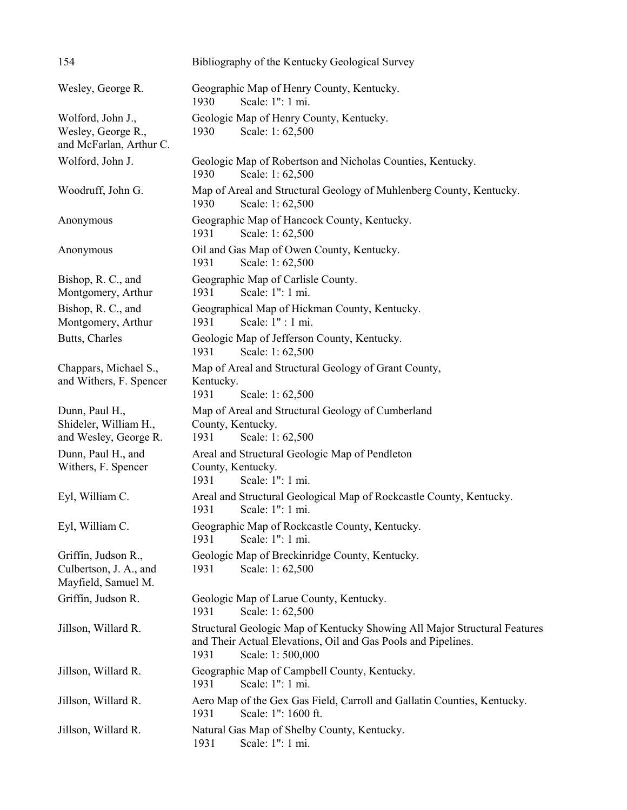| 154                                                                  | Bibliography of the Kentucky Geological Survey                                                                                                                         |
|----------------------------------------------------------------------|------------------------------------------------------------------------------------------------------------------------------------------------------------------------|
| Wesley, George R.                                                    | Geographic Map of Henry County, Kentucky.<br>1930<br>Scale: 1": 1 mi.                                                                                                  |
| Wolford, John J.,<br>Wesley, George R.,<br>and McFarlan, Arthur C.   | Geologic Map of Henry County, Kentucky.<br>Scale: 1:62,500<br>1930                                                                                                     |
| Wolford, John J.                                                     | Geologic Map of Robertson and Nicholas Counties, Kentucky.<br>1930<br>Scale: 1:62,500                                                                                  |
| Woodruff, John G.                                                    | Map of Areal and Structural Geology of Muhlenberg County, Kentucky.<br>Scale: 1:62,500<br>1930                                                                         |
| Anonymous                                                            | Geographic Map of Hancock County, Kentucky.<br>1931<br>Scale: 1:62,500                                                                                                 |
| Anonymous                                                            | Oil and Gas Map of Owen County, Kentucky.<br>Scale: 1:62,500<br>1931                                                                                                   |
| Bishop, R. C., and<br>Montgomery, Arthur                             | Geographic Map of Carlisle County.<br>Scale: 1": 1 mi.<br>1931                                                                                                         |
| Bishop, R. C., and<br>Montgomery, Arthur                             | Geographical Map of Hickman County, Kentucky.<br>Scale: 1" : 1 mi.<br>1931                                                                                             |
| Butts, Charles                                                       | Geologic Map of Jefferson County, Kentucky.<br>Scale: 1:62,500<br>1931                                                                                                 |
| Chappars, Michael S.,<br>and Withers, F. Spencer                     | Map of Areal and Structural Geology of Grant County,<br>Kentucky.<br>1931<br>Scale: 1:62,500                                                                           |
| Dunn, Paul H.,<br>Shideler, William H.,<br>and Wesley, George R.     | Map of Areal and Structural Geology of Cumberland<br>County, Kentucky.<br>Scale: 1:62,500<br>1931                                                                      |
| Dunn, Paul H., and<br>Withers, F. Spencer                            | Areal and Structural Geologic Map of Pendleton<br>County, Kentucky.<br>Scale: 1": 1 mi.<br>1931                                                                        |
| Eyl, William C.                                                      | Areal and Structural Geological Map of Rockcastle County, Kentucky.<br>1931<br>Scale: 1": 1 mi.                                                                        |
| Eyl, William C.                                                      | Geographic Map of Rockcastle County, Kentucky.<br>Scale: 1": 1 mi.<br>1931                                                                                             |
| Griffin, Judson R.,<br>Culbertson, J. A., and<br>Mayfield, Samuel M. | Geologic Map of Breckinridge County, Kentucky.<br>Scale: 1:62,500<br>1931                                                                                              |
| Griffin, Judson R.                                                   | Geologic Map of Larue County, Kentucky.<br>Scale: 1:62,500<br>1931                                                                                                     |
| Jillson, Willard R.                                                  | Structural Geologic Map of Kentucky Showing All Major Structural Features<br>and Their Actual Elevations, Oil and Gas Pools and Pipelines.<br>Scale: 1:500,000<br>1931 |
| Jillson, Willard R.                                                  | Geographic Map of Campbell County, Kentucky.<br>Scale: 1": 1 mi.<br>1931                                                                                               |
| Jillson, Willard R.                                                  | Aero Map of the Gex Gas Field, Carroll and Gallatin Counties, Kentucky.<br>Scale: 1": 1600 ft.<br>1931                                                                 |
| Jillson, Willard R.                                                  | Natural Gas Map of Shelby County, Kentucky.<br>Scale: 1": 1 mi.<br>1931                                                                                                |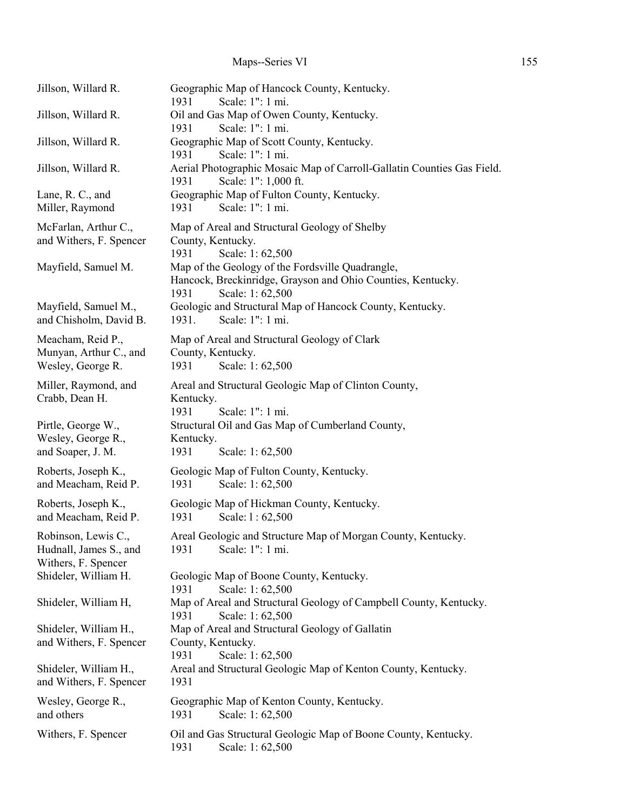| Jillson, Willard R.                                                  | Geographic Map of Hancock County, Kentucky.<br>Scale: 1": 1 mi.<br>1931                                                                    |
|----------------------------------------------------------------------|--------------------------------------------------------------------------------------------------------------------------------------------|
| Jillson, Willard R.                                                  | Oil and Gas Map of Owen County, Kentucky.<br>Scale: 1": 1 mi.<br>1931                                                                      |
| Jillson, Willard R.                                                  | Geographic Map of Scott County, Kentucky.<br>Scale: 1": 1 mi.<br>1931                                                                      |
| Jillson, Willard R.                                                  | Aerial Photographic Mosaic Map of Carroll-Gallatin Counties Gas Field.<br>Scale: 1": 1,000 ft.<br>1931                                     |
| Lane, R. C., and<br>Miller, Raymond                                  | Geographic Map of Fulton County, Kentucky.<br>Scale: 1": 1 mi.<br>1931                                                                     |
| McFarlan, Arthur C.,<br>and Withers, F. Spencer                      | Map of Areal and Structural Geology of Shelby<br>County, Kentucky.<br>1931<br>Scale: 1:62,500                                              |
| Mayfield, Samuel M.                                                  | Map of the Geology of the Fordsville Quadrangle,<br>Hancock, Breckinridge, Grayson and Ohio Counties, Kentucky.<br>1931<br>Scale: 1:62,500 |
| Mayfield, Samuel M.,<br>and Chisholm, David B.                       | Geologic and Structural Map of Hancock County, Kentucky.<br>Scale: 1": 1 mi.<br>1931.                                                      |
| Meacham, Reid P.,<br>Munyan, Arthur C., and<br>Wesley, George R.     | Map of Areal and Structural Geology of Clark<br>County, Kentucky.<br>Scale: 1:62,500<br>1931                                               |
| Miller, Raymond, and<br>Crabb, Dean H.                               | Areal and Structural Geologic Map of Clinton County,<br>Kentucky.<br>1931<br>Scale: 1": 1 mi.                                              |
| Pirtle, George W.,<br>Wesley, George R.,<br>and Soaper, J. M.        | Structural Oil and Gas Map of Cumberland County,<br>Kentucky.<br>1931<br>Scale: 1:62,500                                                   |
| Roberts, Joseph K.,<br>and Meacham, Reid P.                          | Geologic Map of Fulton County, Kentucky.<br>1931<br>Scale: 1:62,500                                                                        |
| Roberts, Joseph K.,<br>and Meacham, Reid P.                          | Geologic Map of Hickman County, Kentucky.<br>1931<br>Scale: 1:62,500                                                                       |
| Robinson, Lewis C.,<br>Hudnall, James S., and<br>Withers, F. Spencer | Areal Geologic and Structure Map of Morgan County, Kentucky.<br>Scale: 1": 1 mi.<br>1931                                                   |
| Shideler, William H.                                                 | Geologic Map of Boone County, Kentucky.<br>1931<br>Scale: 1:62,500                                                                         |
| Shideler, William H,                                                 | Map of Areal and Structural Geology of Campbell County, Kentucky.<br>Scale: 1:62,500<br>1931                                               |
| Shideler, William H.,<br>and Withers, F. Spencer                     | Map of Areal and Structural Geology of Gallatin<br>County, Kentucky.<br>1931<br>Scale: 1:62,500                                            |
| Shideler, William H.,<br>and Withers, F. Spencer                     | Areal and Structural Geologic Map of Kenton County, Kentucky.<br>1931                                                                      |
| Wesley, George R.,<br>and others                                     | Geographic Map of Kenton County, Kentucky.<br>Scale: 1:62,500<br>1931                                                                      |
| Withers, F. Spencer                                                  | Oil and Gas Structural Geologic Map of Boone County, Kentucky.<br>1931<br>Scale: 1:62,500                                                  |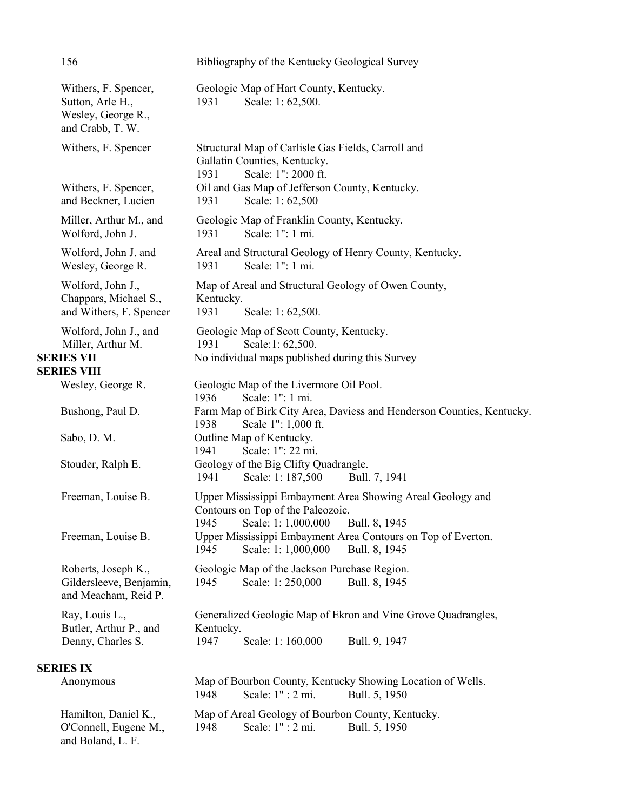|                                                                       | 156                                                                                   | Bibliography of the Kentucky Geological Survey                                                                                                                                                 |
|-----------------------------------------------------------------------|---------------------------------------------------------------------------------------|------------------------------------------------------------------------------------------------------------------------------------------------------------------------------------------------|
|                                                                       | Withers, F. Spencer,<br>Sutton, Arle H.,<br>Wesley, George R.,<br>and Crabb, T. W.    | Geologic Map of Hart County, Kentucky.<br>1931<br>Scale: 1:62,500.                                                                                                                             |
|                                                                       | Withers, F. Spencer<br>Withers, F. Spencer,<br>and Beckner, Lucien                    | Structural Map of Carlisle Gas Fields, Carroll and<br>Gallatin Counties, Kentucky.<br>Scale: 1": 2000 ft.<br>1931<br>Oil and Gas Map of Jefferson County, Kentucky.<br>1931<br>Scale: 1:62,500 |
|                                                                       | Miller, Arthur M., and<br>Wolford, John J.                                            | Geologic Map of Franklin County, Kentucky.<br>Scale: 1": 1 mi.<br>1931                                                                                                                         |
| Wolford, John J. and<br>Wesley, George R.<br>Scale: 1": 1 mi.<br>1931 |                                                                                       | Areal and Structural Geology of Henry County, Kentucky.                                                                                                                                        |
|                                                                       | Wolford, John J.,<br>Chappars, Michael S.,<br>and Withers, F. Spencer                 | Map of Areal and Structural Geology of Owen County,<br>Kentucky.<br>1931<br>Scale: 1:62,500.                                                                                                   |
|                                                                       | Wolford, John J., and<br>Miller, Arthur M.<br><b>SERIES VII</b><br><b>SERIES VIII</b> | Geologic Map of Scott County, Kentucky.<br>1931<br>Scale:1: 62,500.<br>No individual maps published during this Survey                                                                         |
|                                                                       | Wesley, George R.                                                                     | Geologic Map of the Livermore Oil Pool.                                                                                                                                                        |
|                                                                       |                                                                                       | Scale: 1": 1 mi.<br>1936                                                                                                                                                                       |
|                                                                       | Bushong, Paul D.                                                                      | Farm Map of Birk City Area, Daviess and Henderson Counties, Kentucky.<br>Scale 1": 1,000 ft.<br>1938                                                                                           |
|                                                                       | Sabo, D. M.                                                                           | Outline Map of Kentucky.<br>Scale: 1": 22 mi.<br>1941                                                                                                                                          |
|                                                                       | Stouder, Ralph E.                                                                     | Geology of the Big Clifty Quadrangle.<br>1941<br>Scale: 1: 187,500<br>Bull. 7, 1941                                                                                                            |
|                                                                       | Freeman, Louise B.                                                                    | Upper Mississippi Embayment Area Showing Areal Geology and<br>Contours on Top of the Paleozoic.<br>1945<br>Scale: 1: 1,000,000<br>Bull. 8, 1945                                                |
|                                                                       | Freeman, Louise B.                                                                    | Upper Mississippi Embayment Area Contours on Top of Everton.<br>1945<br>Scale: 1: 1,000,000<br>Bull. 8, 1945                                                                                   |
|                                                                       | Roberts, Joseph K.,<br>Gildersleeve, Benjamin,<br>and Meacham, Reid P.                | Geologic Map of the Jackson Purchase Region.<br>Scale: 1: 250,000<br>1945<br>Bull. 8, 1945                                                                                                     |
|                                                                       | Ray, Louis L.,<br>Butler, Arthur P., and<br>Denny, Charles S.                         | Generalized Geologic Map of Ekron and Vine Grove Quadrangles,<br>Kentucky.<br>Scale: 1: 160,000<br>Bull. 9, 1947<br>1947                                                                       |
|                                                                       | <b>SERIES IX</b>                                                                      |                                                                                                                                                                                                |
|                                                                       | Anonymous                                                                             | Map of Bourbon County, Kentucky Showing Location of Wells.<br>1948<br>Scale: 1" : 2 mi.<br>Bull. 5, 1950                                                                                       |
|                                                                       | Hamilton, Daniel K.,<br>O'Connell, Eugene M.,<br>and Boland, L. F.                    | Map of Areal Geology of Bourbon County, Kentucky.<br>Scale: 1" : 2 mi.<br>Bull. 5, 1950<br>1948                                                                                                |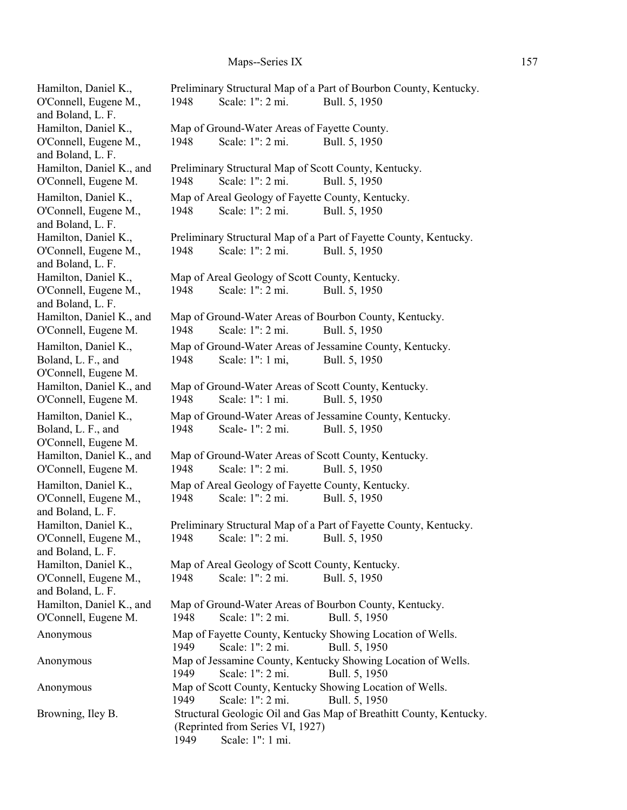| Hamilton, Daniel K.,                          |      |                                                   | Preliminary Structural Map of a Part of Bourbon County, Kentucky.             |
|-----------------------------------------------|------|---------------------------------------------------|-------------------------------------------------------------------------------|
| O'Connell, Eugene M.,                         | 1948 | Scale: 1": 2 mi.                                  | Bull. 5, 1950                                                                 |
| and Boland, L. F.<br>Hamilton, Daniel K.,     |      | Map of Ground-Water Areas of Fayette County.      |                                                                               |
| O'Connell, Eugene M.,                         | 1948 | Scale: 1": 2 mi.                                  | Bull. 5, 1950                                                                 |
| and Boland, L. F.                             |      |                                                   |                                                                               |
| Hamilton, Daniel K., and                      |      |                                                   | Preliminary Structural Map of Scott County, Kentucky.                         |
| O'Connell, Eugene M.                          | 1948 | Scale: 1": 2 mi.                                  | Bull. 5, 1950                                                                 |
| Hamilton, Daniel K.,                          |      | Map of Areal Geology of Fayette County, Kentucky. |                                                                               |
| O'Connell, Eugene M.,                         | 1948 | Scale: 1": 2 mi.                                  | Bull. 5, 1950                                                                 |
| and Boland, L. F.                             |      |                                                   |                                                                               |
| Hamilton, Daniel K.,                          |      |                                                   | Preliminary Structural Map of a Part of Fayette County, Kentucky.             |
| O'Connell, Eugene M.,                         | 1948 | Scale: 1": 2 mi.                                  | Bull. 5, 1950                                                                 |
| and Boland, L. F.<br>Hamilton, Daniel K.,     |      | Map of Areal Geology of Scott County, Kentucky.   |                                                                               |
| O'Connell, Eugene M.,                         | 1948 | Scale: 1": 2 mi.                                  | Bull. 5, 1950                                                                 |
| and Boland, L. F.                             |      |                                                   |                                                                               |
| Hamilton, Daniel K., and                      |      |                                                   | Map of Ground-Water Areas of Bourbon County, Kentucky.                        |
| O'Connell, Eugene M.                          | 1948 | Scale: 1": 2 mi.                                  | Bull. 5, 1950                                                                 |
| Hamilton, Daniel K.,                          |      |                                                   | Map of Ground-Water Areas of Jessamine County, Kentucky.                      |
| Boland, L. F., and                            | 1948 | Scale: 1": 1 mi,                                  | Bull. 5, 1950                                                                 |
| O'Connell, Eugene M.                          |      |                                                   |                                                                               |
| Hamilton, Daniel K., and                      |      |                                                   | Map of Ground-Water Areas of Scott County, Kentucky.                          |
| O'Connell, Eugene M.                          | 1948 | Scale: 1": 1 mi.                                  | Bull. 5, 1950                                                                 |
| Hamilton, Daniel K.,                          |      |                                                   | Map of Ground-Water Areas of Jessamine County, Kentucky.                      |
| Boland, L. F., and<br>O'Connell, Eugene M.    | 1948 | Scale-1": 2 mi.                                   | Bull. 5, 1950                                                                 |
| Hamilton, Daniel K., and                      |      |                                                   | Map of Ground-Water Areas of Scott County, Kentucky.                          |
| O'Connell, Eugene M.                          | 1948 | Scale: 1": 2 mi.                                  | Bull. 5, 1950                                                                 |
| Hamilton, Daniel K.,                          |      | Map of Areal Geology of Fayette County, Kentucky. |                                                                               |
| O'Connell, Eugene M.,                         | 1948 | Scale: 1": 2 mi.                                  | Bull. 5, 1950                                                                 |
| and Boland, L. F.                             |      |                                                   |                                                                               |
| Hamilton, Daniel K.,                          |      |                                                   | Preliminary Structural Map of a Part of Fayette County, Kentucky.             |
| O'Connell, Eugene M.,                         |      | 1948 Scale: 1": 2 mi. Bull. 5, 1950               |                                                                               |
| and Boland, L. F.                             |      | Map of Areal Geology of Scott County, Kentucky.   |                                                                               |
| Hamilton, Daniel K.,<br>O'Connell, Eugene M., | 1948 | Scale: 1": 2 mi.                                  | Bull. 5, 1950                                                                 |
| and Boland, L. F.                             |      |                                                   |                                                                               |
| Hamilton, Daniel K., and                      |      |                                                   | Map of Ground-Water Areas of Bourbon County, Kentucky.                        |
| O'Connell, Eugene M.                          | 1948 | Scale: 1": 2 mi.                                  | Bull. 5, 1950                                                                 |
| Anonymous                                     |      |                                                   | Map of Fayette County, Kentucky Showing Location of Wells.                    |
| Anonymous                                     | 1949 | Scale: 1": 2 mi.                                  | Bull. 5, 1950<br>Map of Jessamine County, Kentucky Showing Location of Wells. |
|                                               | 1949 | Scale: 1": 2 mi.                                  | Bull. 5, 1950                                                                 |
| Anonymous                                     |      |                                                   | Map of Scott County, Kentucky Showing Location of Wells.                      |
|                                               | 1949 | Scale: 1": 2 mi.                                  | Bull. 5, 1950                                                                 |
| Browning, Iley B.                             |      |                                                   | Structural Geologic Oil and Gas Map of Breathitt County, Kentucky.            |
|                                               |      | (Reprinted from Series VI, 1927)                  |                                                                               |
|                                               | 1949 | Scale: 1": 1 mi.                                  |                                                                               |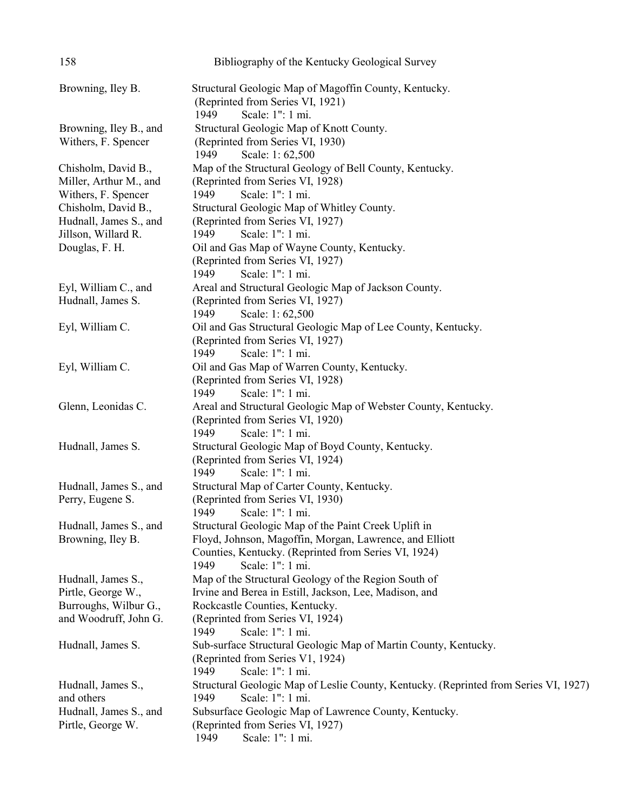| 158                                                                                        | Bibliography of the Kentucky Geological Survey                                                                                                                                                                   |
|--------------------------------------------------------------------------------------------|------------------------------------------------------------------------------------------------------------------------------------------------------------------------------------------------------------------|
| Browning, Iley B.                                                                          | Structural Geologic Map of Magoffin County, Kentucky.<br>(Reprinted from Series VI, 1921)<br>1949<br>Scale: 1": 1 mi.                                                                                            |
| Browning, Iley B., and<br>Withers, F. Spencer                                              | Structural Geologic Map of Knott County.<br>(Reprinted from Series VI, 1930)<br>1949<br>Scale: 1:62,500                                                                                                          |
| Chisholm, David B.,<br>Miller, Arthur M., and                                              | Map of the Structural Geology of Bell County, Kentucky.<br>(Reprinted from Series VI, 1928)                                                                                                                      |
| Withers, F. Spencer<br>Chisholm, David B.,<br>Hudnall, James S., and                       | 1949<br>Scale: 1": 1 mi.<br>Structural Geologic Map of Whitley County.<br>(Reprinted from Series VI, 1927)                                                                                                       |
| Jillson, Willard R.<br>Douglas, F. H.                                                      | Scale: 1": 1 mi.<br>1949<br>Oil and Gas Map of Wayne County, Kentucky.<br>(Reprinted from Series VI, 1927)<br>Scale: 1": 1 mi.<br>1949                                                                           |
| Eyl, William C., and<br>Hudnall, James S.                                                  | Areal and Structural Geologic Map of Jackson County.<br>(Reprinted from Series VI, 1927)<br>1949<br>Scale: 1:62,500                                                                                              |
| Eyl, William C.                                                                            | Oil and Gas Structural Geologic Map of Lee County, Kentucky.<br>(Reprinted from Series VI, 1927)<br>Scale: 1": 1 mi.<br>1949                                                                                     |
| Eyl, William C.                                                                            | Oil and Gas Map of Warren County, Kentucky.<br>(Reprinted from Series VI, 1928)<br>Scale: 1": 1 mi.<br>1949                                                                                                      |
| Glenn, Leonidas C.                                                                         | Areal and Structural Geologic Map of Webster County, Kentucky.<br>(Reprinted from Series VI, 1920)<br>Scale: 1": 1 mi.<br>1949                                                                                   |
| Hudnall, James S.                                                                          | Structural Geologic Map of Boyd County, Kentucky.<br>(Reprinted from Series VI, 1924)<br>Scale: 1": 1 mi.<br>1949                                                                                                |
| Hudnall, James S., and<br>Perry, Eugene S.                                                 | Structural Map of Carter County, Kentucky.<br>(Reprinted from Series VI, 1930)<br>1949 Scale: 1": 1 mi.                                                                                                          |
| Hudnall, James S., and<br>Browning, Iley B.                                                | Structural Geologic Map of the Paint Creek Uplift in<br>Floyd, Johnson, Magoffin, Morgan, Lawrence, and Elliott<br>Counties, Kentucky. (Reprinted from Series VI, 1924)<br>Scale: 1": 1 mi.<br>1949              |
| Hudnall, James S.,<br>Pirtle, George W.,<br>Burroughs, Wilbur G.,<br>and Woodruff, John G. | Map of the Structural Geology of the Region South of<br>Irvine and Berea in Estill, Jackson, Lee, Madison, and<br>Rockcastle Counties, Kentucky.<br>(Reprinted from Series VI, 1924)<br>Scale: 1": 1 mi.<br>1949 |
| Hudnall, James S.                                                                          | Sub-surface Structural Geologic Map of Martin County, Kentucky.<br>(Reprinted from Series V1, 1924)<br>Scale: 1": 1 mi.<br>1949                                                                                  |
| Hudnall, James S.,<br>and others                                                           | Structural Geologic Map of Leslie County, Kentucky. (Reprinted from Series VI, 1927)<br>1949<br>Scale: 1": 1 mi.                                                                                                 |
| Hudnall, James S., and<br>Pirtle, George W.                                                | Subsurface Geologic Map of Lawrence County, Kentucky.<br>(Reprinted from Series VI, 1927)<br>Scale: 1": 1 mi.<br>1949                                                                                            |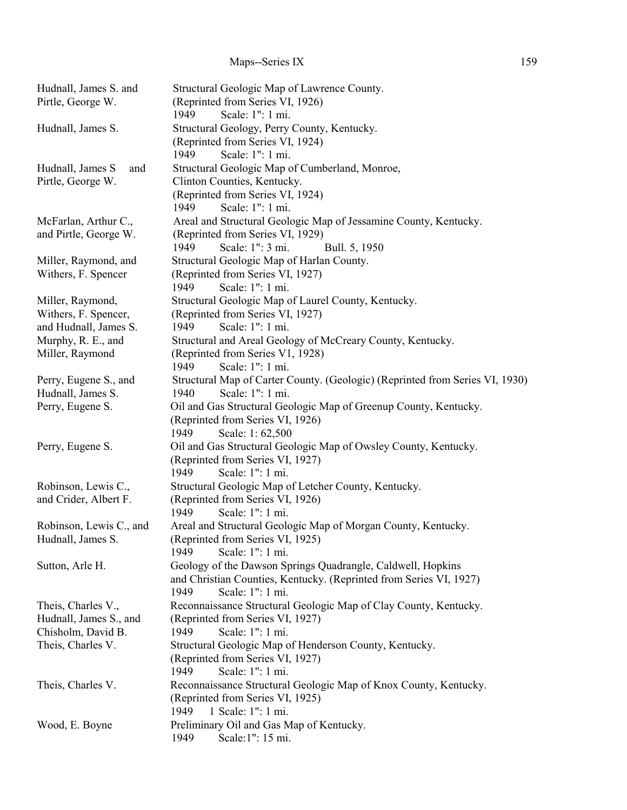## Maps--Series IX 159

| Hudnall, James S. and<br>Pirtle, George W.                                              | Structural Geologic Map of Lawrence County.<br>(Reprinted from Series VI, 1926)<br>Scale: 1": 1 mi.<br>1949                                                                                                      |
|-----------------------------------------------------------------------------------------|------------------------------------------------------------------------------------------------------------------------------------------------------------------------------------------------------------------|
| Hudnall, James S.                                                                       | Structural Geology, Perry County, Kentucky.<br>(Reprinted from Series VI, 1924)<br>Scale: 1": 1 mi.<br>1949                                                                                                      |
| Hudnall, James S<br>and<br>Pirtle, George W.                                            | Structural Geologic Map of Cumberland, Monroe,<br>Clinton Counties, Kentucky.<br>(Reprinted from Series VI, 1924)<br>Scale: 1": 1 mi.<br>1949                                                                    |
| McFarlan, Arthur C.,<br>and Pirtle, George W.                                           | Areal and Structural Geologic Map of Jessamine County, Kentucky.<br>(Reprinted from Series VI, 1929)<br>Scale: 1": 3 mi.<br>1949<br>Bull. 5, 1950                                                                |
| Miller, Raymond, and<br>Withers, F. Spencer                                             | Structural Geologic Map of Harlan County.<br>(Reprinted from Series VI, 1927)<br>Scale: 1": 1 mi.<br>1949                                                                                                        |
| Miller, Raymond,<br>Withers, F. Spencer,<br>and Hudnall, James S.                       | Structural Geologic Map of Laurel County, Kentucky.<br>(Reprinted from Series VI, 1927)<br>Scale: 1": 1 mi.<br>1949                                                                                              |
| Murphy, R. E., and<br>Miller, Raymond                                                   | Structural and Areal Geology of McCreary County, Kentucky.<br>(Reprinted from Series V1, 1928)<br>Scale: 1": 1 mi.<br>1949                                                                                       |
| Perry, Eugene S., and<br>Hudnall, James S.<br>Perry, Eugene S.                          | Structural Map of Carter County. (Geologic) (Reprinted from Series VI, 1930)<br>Scale: 1": 1 mi.<br>1940<br>Oil and Gas Structural Geologic Map of Greenup County, Kentucky.<br>(Reprinted from Series VI, 1926) |
| Perry, Eugene S.                                                                        | 1949<br>Scale: 1:62,500<br>Oil and Gas Structural Geologic Map of Owsley County, Kentucky.<br>(Reprinted from Series VI, 1927)<br>Scale: 1": 1 mi.<br>1949                                                       |
| Robinson, Lewis C.,<br>and Crider, Albert F.                                            | Structural Geologic Map of Letcher County, Kentucky.<br>(Reprinted from Series VI, 1926)<br>1949<br>Scale: 1": 1 mi.                                                                                             |
| Robinson, Lewis C., and<br>Hudnall, James S.                                            | Areal and Structural Geologic Map of Morgan County, Kentucky.<br>(Reprinted from Series VI, 1925)<br>Scale: 1": 1 mi.<br>1949                                                                                    |
| Sutton, Arle H.                                                                         | Geology of the Dawson Springs Quadrangle, Caldwell, Hopkins<br>and Christian Counties, Kentucky. (Reprinted from Series VI, 1927)<br>Scale: 1": 1 mi.<br>1949                                                    |
| Theis, Charles V.,<br>Hudnall, James S., and<br>Chisholm, David B.<br>Theis, Charles V. | Reconnaissance Structural Geologic Map of Clay County, Kentucky.<br>(Reprinted from Series VI, 1927)<br>1949<br>Scale: 1": 1 mi.<br>Structural Geologic Map of Henderson County, Kentucky.                       |
| Theis, Charles V.                                                                       | (Reprinted from Series VI, 1927)<br>1949<br>Scale: 1": 1 mi.<br>Reconnaissance Structural Geologic Map of Knox County, Kentucky.                                                                                 |
|                                                                                         | (Reprinted from Series VI, 1925)<br>1949<br>1 Scale: 1": 1 mi.                                                                                                                                                   |
| Wood, E. Boyne                                                                          | Preliminary Oil and Gas Map of Kentucky.<br>Scale:1": 15 mi.<br>1949                                                                                                                                             |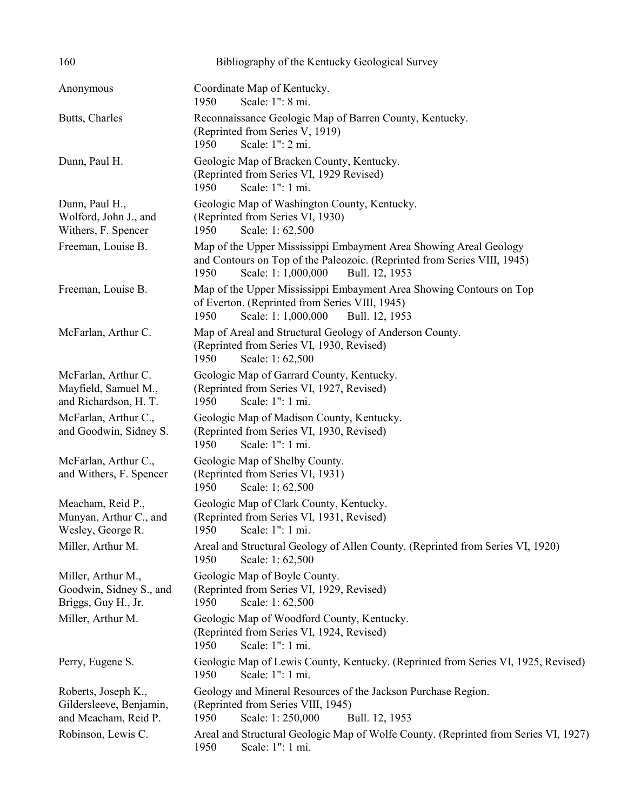| 160                                                                    | Bibliography of the Kentucky Geological Survey                                                                                                                                                 |
|------------------------------------------------------------------------|------------------------------------------------------------------------------------------------------------------------------------------------------------------------------------------------|
| Anonymous                                                              | Coordinate Map of Kentucky.<br>Scale: 1": 8 mi.<br>1950                                                                                                                                        |
| Butts, Charles                                                         | Reconnaissance Geologic Map of Barren County, Kentucky.<br>(Reprinted from Series V, 1919)<br>Scale: 1": 2 mi.<br>1950                                                                         |
| Dunn, Paul H.                                                          | Geologic Map of Bracken County, Kentucky.<br>(Reprinted from Series VI, 1929 Revised)<br>Scale: 1": 1 mi.<br>1950                                                                              |
| Dunn, Paul H.,<br>Wolford, John J., and<br>Withers, F. Spencer         | Geologic Map of Washington County, Kentucky.<br>(Reprinted from Series VI, 1930)<br>Scale: 1:62,500<br>1950                                                                                    |
| Freeman, Louise B.                                                     | Map of the Upper Mississippi Embayment Area Showing Areal Geology<br>and Contours on Top of the Paleozoic. (Reprinted from Series VIII, 1945)<br>1950<br>Scale: 1: 1,000,000<br>Bull. 12, 1953 |
| Freeman, Louise B.                                                     | Map of the Upper Mississippi Embayment Area Showing Contours on Top<br>of Everton. (Reprinted from Series VIII, 1945)<br>1950<br>Scale: 1: 1,000,000<br>Bull. 12, 1953                         |
| McFarlan, Arthur C.                                                    | Map of Areal and Structural Geology of Anderson County.<br>(Reprinted from Series VI, 1930, Revised)<br>Scale: 1:62,500<br>1950                                                                |
| McFarlan, Arthur C.<br>Mayfield, Samuel M.,<br>and Richardson, H. T.   | Geologic Map of Garrard County, Kentucky.<br>(Reprinted from Series VI, 1927, Revised)<br>Scale: 1": 1 mi.<br>1950                                                                             |
| McFarlan, Arthur C.,<br>and Goodwin, Sidney S.                         | Geologic Map of Madison County, Kentucky.<br>(Reprinted from Series VI, 1930, Revised)<br>1950<br>Scale: 1": 1 mi.                                                                             |
| McFarlan, Arthur C.,<br>and Withers, F. Spencer                        | Geologic Map of Shelby County.<br>(Reprinted from Series VI, 1931)<br>1950<br>Scale: 1:62,500                                                                                                  |
| Meacham, Reid P.,<br>Munyan, Arthur C., and<br>Wesley, George R.       | Geologic Map of Clark County, Kentucky.<br>(Reprinted from Series VI, 1931, Revised)<br>Scale: 1": 1 mi.<br>1950                                                                               |
| Miller, Arthur M.                                                      | Areal and Structural Geology of Allen County. (Reprinted from Series VI, 1920)<br>Scale: 1:62,500<br>1950                                                                                      |
| Miller, Arthur M.,<br>Goodwin, Sidney S., and<br>Briggs, Guy H., Jr.   | Geologic Map of Boyle County.<br>(Reprinted from Series VI, 1929, Revised)<br>Scale: 1:62,500<br>1950                                                                                          |
| Miller, Arthur M.                                                      | Geologic Map of Woodford County, Kentucky.<br>(Reprinted from Series VI, 1924, Revised)<br>Scale: 1": 1 mi.<br>1950                                                                            |
| Perry, Eugene S.                                                       | Geologic Map of Lewis County, Kentucky. (Reprinted from Series VI, 1925, Revised)<br>1950<br>Scale: 1": 1 mi.                                                                                  |
| Roberts, Joseph K.,<br>Gildersleeve, Benjamin,<br>and Meacham, Reid P. | Geology and Mineral Resources of the Jackson Purchase Region.<br>(Reprinted from Series VIII, 1945)<br>1950<br>Scale: 1: 250,000<br>Bull. 12, 1953                                             |
| Robinson, Lewis C.                                                     | Areal and Structural Geologic Map of Wolfe County. (Reprinted from Series VI, 1927)<br>Scale: 1": 1 mi.<br>1950                                                                                |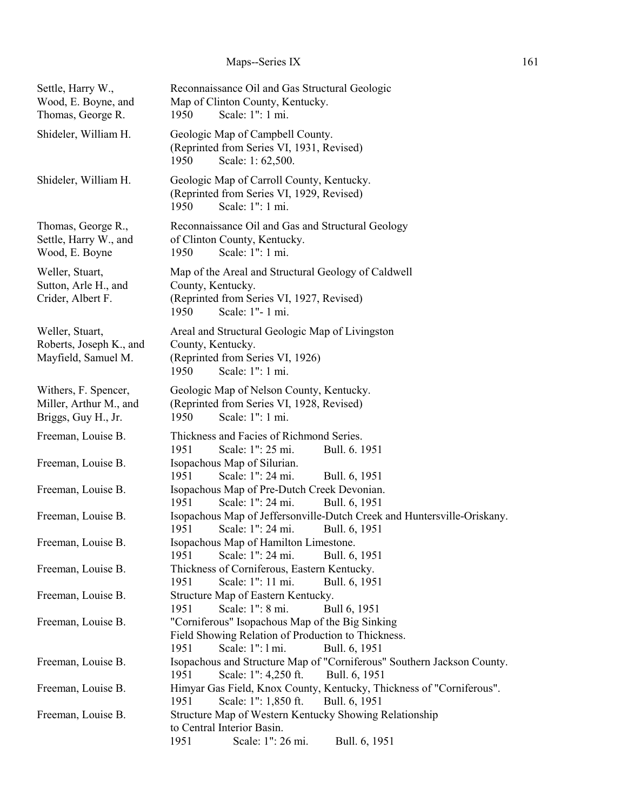# Maps--Series IX 161

| Settle, Harry W.,<br>Wood, E. Boyne, and<br>Thomas, George R.         | Reconnaissance Oil and Gas Structural Geologic<br>Map of Clinton County, Kentucky.<br>Scale: 1": 1 mi.<br>1950                                                                                 |
|-----------------------------------------------------------------------|------------------------------------------------------------------------------------------------------------------------------------------------------------------------------------------------|
| Shideler, William H.                                                  | Geologic Map of Campbell County.<br>(Reprinted from Series VI, 1931, Revised)<br>1950<br>Scale: 1:62,500.                                                                                      |
| Shideler, William H.                                                  | Geologic Map of Carroll County, Kentucky.<br>(Reprinted from Series VI, 1929, Revised)<br>Scale: 1": 1 mi.<br>1950                                                                             |
| Thomas, George R.,<br>Settle, Harry W., and<br>Wood, E. Boyne         | Reconnaissance Oil and Gas and Structural Geology<br>of Clinton County, Kentucky.<br>Scale: 1": 1 mi.<br>1950                                                                                  |
| Weller, Stuart,<br>Sutton, Arle H., and<br>Crider, Albert F.          | Map of the Areal and Structural Geology of Caldwell<br>County, Kentucky.<br>(Reprinted from Series VI, 1927, Revised)<br>Scale: 1"- 1 mi.<br>1950                                              |
| Weller, Stuart,<br>Roberts, Joseph K., and<br>Mayfield, Samuel M.     | Areal and Structural Geologic Map of Livingston<br>County, Kentucky.<br>(Reprinted from Series VI, 1926)<br>Scale: 1": 1 mi.<br>1950                                                           |
| Withers, F. Spencer,<br>Miller, Arthur M., and<br>Briggs, Guy H., Jr. | Geologic Map of Nelson County, Kentucky.<br>(Reprinted from Series VI, 1928, Revised)<br>Scale: 1": 1 mi.<br>1950                                                                              |
| Freeman, Louise B.                                                    | Thickness and Facies of Richmond Series.<br>Scale: 1": 25 mi.<br>1951<br>Bull. 6. 1951                                                                                                         |
| Freeman, Louise B.                                                    | Isopachous Map of Silurian.<br>Scale: 1": 24 mi.<br>1951<br>Bull. 6, 1951                                                                                                                      |
| Freeman, Louise B.                                                    | Isopachous Map of Pre-Dutch Creek Devonian.<br>Scale: 1": 24 mi.<br>1951<br>Bull. 6, 1951                                                                                                      |
| Freeman, Louise B.                                                    | Isopachous Map of Jeffersonville-Dutch Creek and Huntersville-Oriskany.<br>Scale: 1": 24 mi.<br>1951<br>Bull. 6, 1951                                                                          |
| Freeman, Louise B.                                                    | Isopachous Map of Hamilton Limestone.<br>Scale: 1": 24 mi.<br>1951<br>Bull. 6, 1951                                                                                                            |
| Freeman, Louise B.                                                    | Thickness of Corniferous, Eastern Kentucky.                                                                                                                                                    |
| Freeman, Louise B.                                                    | Scale: 1": 11 mi.<br>1951<br>Bull. 6, 1951<br>Structure Map of Eastern Kentucky.                                                                                                               |
| Freeman, Louise B.                                                    | Scale: 1": 8 mi.<br>1951<br>Bull 6, 1951<br>"Corniferous" Isopachous Map of the Big Sinking<br>Field Showing Relation of Production to Thickness.<br>Scale: 1": 1 mi.<br>1951<br>Bull. 6, 1951 |
| Freeman, Louise B.                                                    | Isopachous and Structure Map of "Corniferous" Southern Jackson County.<br>Scale: 1": 4,250 ft.<br>1951<br>Bull. 6, 1951                                                                        |
| Freeman, Louise B.                                                    | Himyar Gas Field, Knox County, Kentucky, Thickness of "Corniferous".<br>Scale: 1": 1,850 ft.<br>1951<br>Bull. 6, 1951                                                                          |
| Freeman, Louise B.                                                    | Structure Map of Western Kentucky Showing Relationship<br>to Central Interior Basin.<br>Scale: 1": 26 mi.<br>1951<br>Bull. 6, 1951                                                             |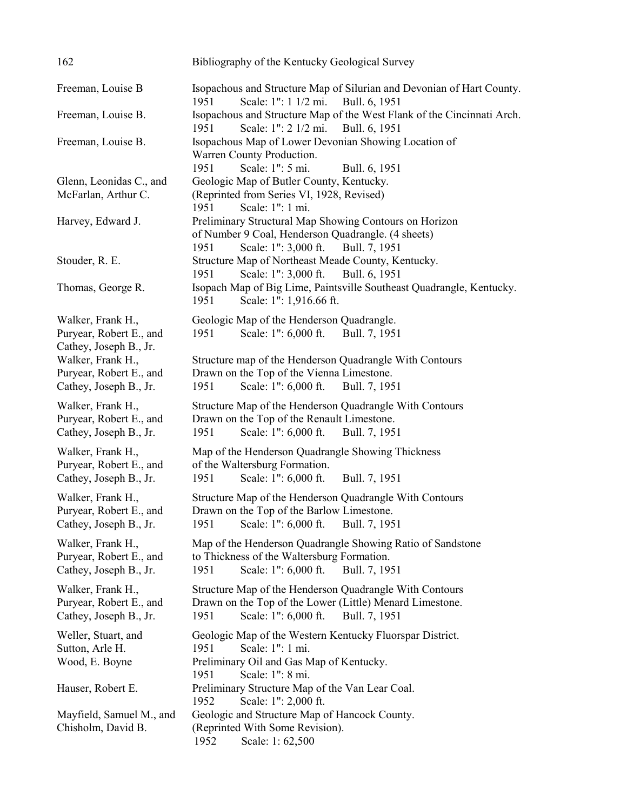| 162                                                                    | Bibliography of the Kentucky Geological Survey                                                                                                                       |
|------------------------------------------------------------------------|----------------------------------------------------------------------------------------------------------------------------------------------------------------------|
| Freeman, Louise B                                                      | Isopachous and Structure Map of Silurian and Devonian of Hart County.<br>Scale: 1": 1 1/2 mi.<br>Bull. 6, 1951<br>1951                                               |
| Freeman, Louise B.                                                     | Isopachous and Structure Map of the West Flank of the Cincinnati Arch.<br>Scale: 1": 2 1/2 mi.<br>1951<br>Bull. 6, 1951                                              |
| Freeman, Louise B.                                                     | Isopachous Map of Lower Devonian Showing Location of<br>Warren County Production.                                                                                    |
| Glenn, Leonidas C., and                                                | Scale: 1": 5 mi.<br>1951<br>Bull. 6, 1951<br>Geologic Map of Butler County, Kentucky.                                                                                |
| McFarlan, Arthur C.                                                    | (Reprinted from Series VI, 1928, Revised)<br>Scale: 1": 1 mi.<br>1951                                                                                                |
| Harvey, Edward J.                                                      | Preliminary Structural Map Showing Contours on Horizon<br>of Number 9 Coal, Henderson Quadrangle. (4 sheets)<br>Scale: 1": 3,000 ft.<br>1951<br>Bull. 7, 1951        |
| Stouder, R. E.                                                         | Structure Map of Northeast Meade County, Kentucky.<br>Scale: 1": 3,000 ft.<br>1951<br>Bull. 6, 1951                                                                  |
| Thomas, George R.                                                      | Isopach Map of Big Lime, Paintsville Southeast Quadrangle, Kentucky.<br>Scale: 1": 1,916.66 ft.<br>1951                                                              |
| Walker, Frank H.,<br>Puryear, Robert E., and<br>Cathey, Joseph B., Jr. | Geologic Map of the Henderson Quadrangle.<br>Scale: 1": 6,000 ft.<br>Bull. 7, 1951<br>1951                                                                           |
| Walker, Frank H.,<br>Puryear, Robert E., and<br>Cathey, Joseph B., Jr. | Structure map of the Henderson Quadrangle With Contours<br>Drawn on the Top of the Vienna Limestone.<br>Scale: 1": 6,000 ft.<br>Bull. 7, 1951<br>1951                |
| Walker, Frank H.,<br>Puryear, Robert E., and<br>Cathey, Joseph B., Jr. | Structure Map of the Henderson Quadrangle With Contours<br>Drawn on the Top of the Renault Limestone.<br>Scale: 1": 6,000 ft.<br>1951<br>Bull. 7, 1951               |
| Walker, Frank H.,<br>Puryear, Robert E., and<br>Cathey, Joseph B., Jr. | Map of the Henderson Quadrangle Showing Thickness<br>of the Waltersburg Formation.<br>Scale: 1": 6,000 ft.<br>Bull. 7, 1951<br>1951                                  |
| Walker, Frank H.,<br>Puryear, Robert E., and<br>Cathey, Joseph B., Jr. | Structure Map of the Henderson Quadrangle With Contours<br>Drawn on the Top of the Barlow Limestone.<br>Scale: 1": 6,000 ft.<br>1951<br>Bull. 7, 1951                |
| Walker, Frank H.,<br>Puryear, Robert E., and<br>Cathey, Joseph B., Jr. | Map of the Henderson Quadrangle Showing Ratio of Sandstone<br>to Thickness of the Waltersburg Formation.<br>Scale: 1": 6,000 ft.<br>1951<br>Bull. 7, 1951            |
| Walker, Frank H.,<br>Puryear, Robert E., and<br>Cathey, Joseph B., Jr. | Structure Map of the Henderson Quadrangle With Contours<br>Drawn on the Top of the Lower (Little) Menard Limestone.<br>Scale: 1": 6,000 ft.<br>1951<br>Bull. 7, 1951 |
| Weller, Stuart, and<br>Sutton, Arle H.<br>Wood, E. Boyne               | Geologic Map of the Western Kentucky Fluorspar District.<br>Scale: 1": 1 mi.<br>1951<br>Preliminary Oil and Gas Map of Kentucky.                                     |
| Hauser, Robert E.                                                      | Scale: 1": 8 mi.<br>1951<br>Preliminary Structure Map of the Van Lear Coal.<br>Scale: 1": 2,000 ft.<br>1952                                                          |
| Mayfield, Samuel M., and<br>Chisholm, David B.                         | Geologic and Structure Map of Hancock County.<br>(Reprinted With Some Revision).<br>1952<br>Scale: 1:62,500                                                          |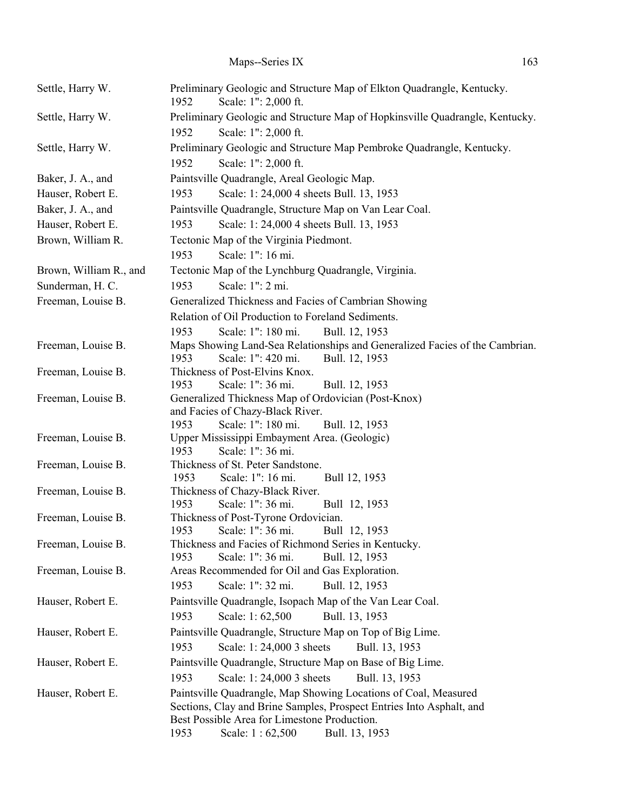| Settle, Harry W.       | Preliminary Geologic and Structure Map of Elkton Quadrangle, Kentucky.<br>Scale: 1": 2,000 ft.<br>1952 |
|------------------------|--------------------------------------------------------------------------------------------------------|
| Settle, Harry W.       | Preliminary Geologic and Structure Map of Hopkinsville Quadrangle, Kentucky.                           |
|                        | 1952<br>Scale: 1": 2,000 ft.                                                                           |
| Settle, Harry W.       | Preliminary Geologic and Structure Map Pembroke Quadrangle, Kentucky.                                  |
|                        | 1952<br>Scale: 1": 2,000 ft.                                                                           |
| Baker, J. A., and      | Paintsville Quadrangle, Areal Geologic Map.                                                            |
| Hauser, Robert E.      | 1953<br>Scale: 1: 24,000 4 sheets Bull. 13, 1953                                                       |
| Baker, J. A., and      | Paintsville Quadrangle, Structure Map on Van Lear Coal.                                                |
| Hauser, Robert E.      | Scale: 1: 24,000 4 sheets Bull. 13, 1953<br>1953                                                       |
| Brown, William R.      | Tectonic Map of the Virginia Piedmont.                                                                 |
|                        | Scale: 1": 16 mi.<br>1953                                                                              |
| Brown, William R., and | Tectonic Map of the Lynchburg Quadrangle, Virginia.                                                    |
| Sunderman, H. C.       | Scale: 1": 2 mi.<br>1953                                                                               |
| Freeman, Louise B.     | Generalized Thickness and Facies of Cambrian Showing                                                   |
|                        | Relation of Oil Production to Foreland Sediments.                                                      |
|                        | 1953<br>Scale: 1": 180 mi.<br>Bull. 12, 1953                                                           |
| Freeman, Louise B.     | Maps Showing Land-Sea Relationships and Generalized Facies of the Cambrian.                            |
|                        | Scale: 1": 420 mi.<br>1953<br>Bull. 12, 1953                                                           |
| Freeman, Louise B.     | Thickness of Post-Elvins Knox.                                                                         |
|                        | Scale: 1": 36 mi.<br>1953<br>Bull. 12, 1953                                                            |
| Freeman, Louise B.     | Generalized Thickness Map of Ordovician (Post-Knox)                                                    |
|                        | and Facies of Chazy-Black River.                                                                       |
| Freeman, Louise B.     | Scale: 1": 180 mi.<br>1953<br>Bull. 12, 1953<br>Upper Mississippi Embayment Area. (Geologic)           |
|                        | Scale: 1": 36 mi.<br>1953                                                                              |
| Freeman, Louise B.     | Thickness of St. Peter Sandstone.                                                                      |
|                        | Scale: 1": 16 mi.<br>1953<br>Bull 12, 1953                                                             |
| Freeman, Louise B.     | Thickness of Chazy-Black River.                                                                        |
|                        | Scale: 1": 36 mi.<br>Bull 12, 1953<br>1953                                                             |
| Freeman, Louise B.     | Thickness of Post-Tyrone Ordovician.                                                                   |
|                        | Scale: 1": 36 mi.<br>1953<br>Bull 12, 1953                                                             |
| Freeman, Louise B.     | Thickness and Facies of Richmond Series in Kentucky.<br>Scale: 1": 36 mi.<br>1953<br>Bull. 12, 1953    |
| Freeman, Louise B.     | Areas Recommended for Oil and Gas Exploration.                                                         |
|                        | Scale: 1": 32 mi.<br>1953<br>Bull. 12, 1953                                                            |
| Hauser, Robert E.      | Paintsville Quadrangle, Isopach Map of the Van Lear Coal.                                              |
|                        | Bull. 13, 1953<br>1953<br>Scale: 1:62,500                                                              |
| Hauser, Robert E.      | Paintsville Quadrangle, Structure Map on Top of Big Lime.                                              |
|                        | Scale: 1:24,000 3 sheets<br>1953<br>Bull. 13, 1953                                                     |
| Hauser, Robert E.      | Paintsville Quadrangle, Structure Map on Base of Big Lime.                                             |
|                        | 1953<br>Scale: 1:24,000 3 sheets<br>Bull. 13, 1953                                                     |
| Hauser, Robert E.      | Paintsville Quadrangle, Map Showing Locations of Coal, Measured                                        |
|                        | Sections, Clay and Brine Samples, Prospect Entries Into Asphalt, and                                   |
|                        | Best Possible Area for Limestone Production.                                                           |
|                        | Scale: 1:62,500<br>1953<br>Bull. 13, 1953                                                              |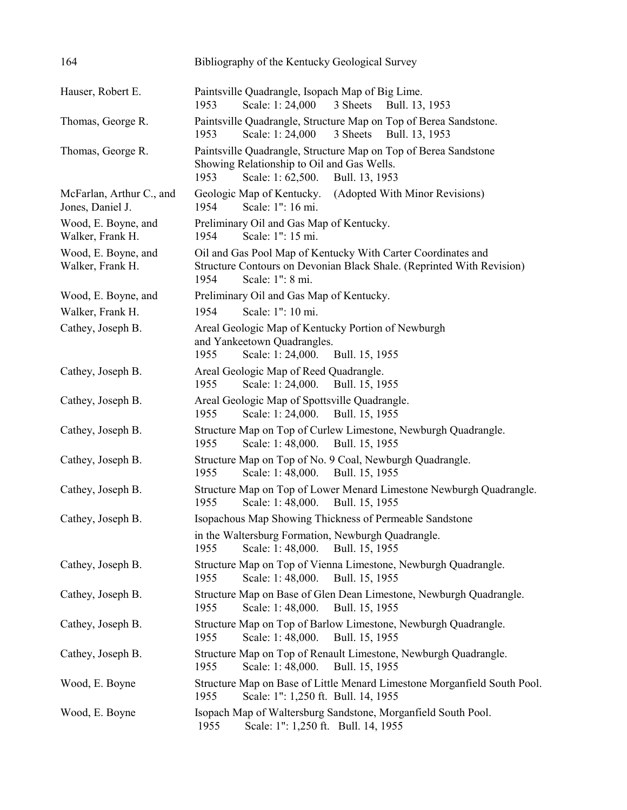| 164                                          | Bibliography of the Kentucky Geological Survey                                                                                                                    |
|----------------------------------------------|-------------------------------------------------------------------------------------------------------------------------------------------------------------------|
| Hauser, Robert E.                            | Paintsville Quadrangle, Isopach Map of Big Lime.<br>Scale: 1:24,000<br>3 Sheets<br>1953<br>Bull. 13, 1953                                                         |
| Thomas, George R.                            | Paintsville Quadrangle, Structure Map on Top of Berea Sandstone.<br>Scale: 1:24,000<br>3 Sheets<br>Bull. 13, 1953<br>1953                                         |
| Thomas, George R.                            | Paintsville Quadrangle, Structure Map on Top of Berea Sandstone<br>Showing Relationship to Oil and Gas Wells.<br>1953<br>Scale: 1:62,500.<br>Bull. 13, 1953       |
| McFarlan, Arthur C., and<br>Jones, Daniel J. | Geologic Map of Kentucky.<br>(Adopted With Minor Revisions)<br>Scale: 1": 16 mi.<br>1954                                                                          |
| Wood, E. Boyne, and<br>Walker, Frank H.      | Preliminary Oil and Gas Map of Kentucky.<br>Scale: 1": 15 mi.<br>1954                                                                                             |
| Wood, E. Boyne, and<br>Walker, Frank H.      | Oil and Gas Pool Map of Kentucky With Carter Coordinates and<br>Structure Contours on Devonian Black Shale. (Reprinted With Revision)<br>Scale: 1": 8 mi.<br>1954 |
| Wood, E. Boyne, and                          | Preliminary Oil and Gas Map of Kentucky.                                                                                                                          |
| Walker, Frank H.                             | Scale: 1": 10 mi.<br>1954                                                                                                                                         |
| Cathey, Joseph B.                            | Areal Geologic Map of Kentucky Portion of Newburgh<br>and Yankeetown Quadrangles.<br>1955<br>Scale: 1: 24,000.<br>Bull. 15, 1955                                  |
| Cathey, Joseph B.                            | Areal Geologic Map of Reed Quadrangle.<br>Bull. 15, 1955<br>Scale: 1: 24,000.<br>1955                                                                             |
| Cathey, Joseph B.                            | Areal Geologic Map of Spottsville Quadrangle.<br>Bull. 15, 1955<br>Scale: 1: 24,000.<br>1955                                                                      |
| Cathey, Joseph B.                            | Structure Map on Top of Curlew Limestone, Newburgh Quadrangle.<br>Scale: 1:48,000.<br>1955<br>Bull. 15, 1955                                                      |
| Cathey, Joseph B.                            | Structure Map on Top of No. 9 Coal, Newburgh Quadrangle.<br>Scale: 1:48,000.<br>Bull. 15, 1955<br>1955                                                            |
| Cathey, Joseph B.                            | Structure Map on Top of Lower Menard Limestone Newburgh Quadrangle.<br>1955<br>Scale: 1:48,000.<br>Bull. 15, 1955                                                 |
| Cathey, Joseph B.                            | Isopachous Map Showing Thickness of Permeable Sandstone                                                                                                           |
|                                              | in the Waltersburg Formation, Newburgh Quadrangle.<br>Scale: 1:48,000.<br>Bull. 15, 1955<br>1955                                                                  |
| Cathey, Joseph B.                            | Structure Map on Top of Vienna Limestone, Newburgh Quadrangle.<br>1955<br>Scale: 1:48,000.<br>Bull. 15, 1955                                                      |
| Cathey, Joseph B.                            | Structure Map on Base of Glen Dean Limestone, Newburgh Quadrangle.<br>Bull. 15, 1955<br>1955<br>Scale: 1:48,000.                                                  |
| Cathey, Joseph B.                            | Structure Map on Top of Barlow Limestone, Newburgh Quadrangle.<br>Scale: 1:48,000.<br>Bull. 15, 1955<br>1955                                                      |
| Cathey, Joseph B.                            | Structure Map on Top of Renault Limestone, Newburgh Quadrangle.<br>1955<br>Scale: 1:48,000.<br>Bull. 15, 1955                                                     |
| Wood, E. Boyne                               | Structure Map on Base of Little Menard Limestone Morganfield South Pool.<br>Scale: 1": 1,250 ft. Bull. 14, 1955<br>1955                                           |
| Wood, E. Boyne                               | Isopach Map of Waltersburg Sandstone, Morganfield South Pool.<br>1955<br>Scale: 1": 1,250 ft. Bull. 14, 1955                                                      |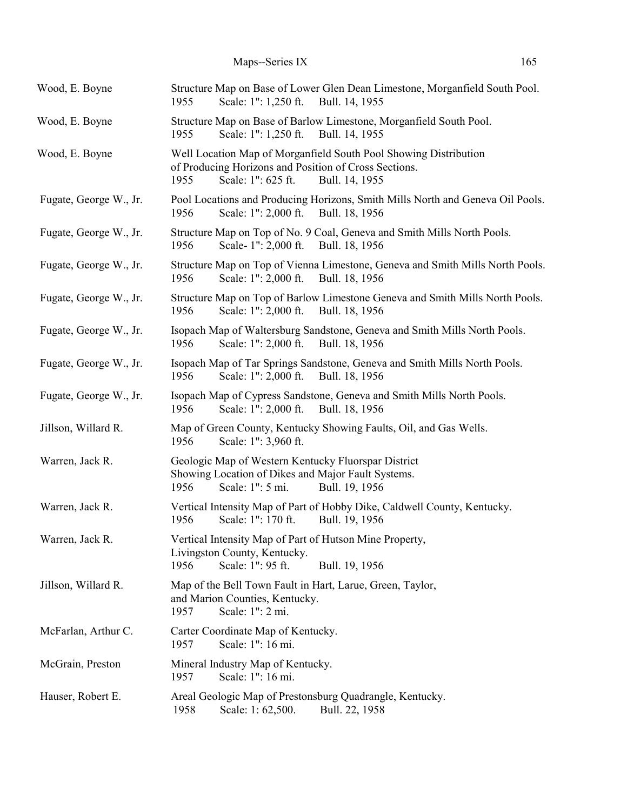| Wood, E. Boyne         | Structure Map on Base of Lower Glen Dean Limestone, Morganfield South Pool.<br>Scale: 1": 1,250 ft. Bull. 14, 1955<br>1955                                                |
|------------------------|---------------------------------------------------------------------------------------------------------------------------------------------------------------------------|
| Wood, E. Boyne         | Structure Map on Base of Barlow Limestone, Morganfield South Pool.<br>1955<br>Scale: 1": 1,250 ft. Bull. 14, 1955                                                         |
| Wood, E. Boyne         | Well Location Map of Morganfield South Pool Showing Distribution<br>of Producing Horizons and Position of Cross Sections.<br>1955<br>Scale: 1": 625 ft.<br>Bull. 14, 1955 |
| Fugate, George W., Jr. | Pool Locations and Producing Horizons, Smith Mills North and Geneva Oil Pools.<br>Scale: 1": 2,000 ft. Bull. 18, 1956<br>1956                                             |
| Fugate, George W., Jr. | Structure Map on Top of No. 9 Coal, Geneva and Smith Mills North Pools.<br>Scale-1": 2,000 ft. Bull. 18, 1956<br>1956                                                     |
| Fugate, George W., Jr. | Structure Map on Top of Vienna Limestone, Geneva and Smith Mills North Pools.<br>1956<br>Scale: 1": 2,000 ft. Bull. 18, 1956                                              |
| Fugate, George W., Jr. | Structure Map on Top of Barlow Limestone Geneva and Smith Mills North Pools.<br>Scale: 1": 2,000 ft. Bull. 18, 1956<br>1956                                               |
| Fugate, George W., Jr. | Isopach Map of Waltersburg Sandstone, Geneva and Smith Mills North Pools.<br>Scale: 1": 2,000 ft. Bull. 18, 1956<br>1956                                                  |
| Fugate, George W., Jr. | Isopach Map of Tar Springs Sandstone, Geneva and Smith Mills North Pools.<br>Scale: 1": 2,000 ft. Bull. 18, 1956<br>1956                                                  |
| Fugate, George W., Jr. | Isopach Map of Cypress Sandstone, Geneva and Smith Mills North Pools.<br>Scale: 1": 2,000 ft. Bull. 18, 1956<br>1956                                                      |
| Jillson, Willard R.    | Map of Green County, Kentucky Showing Faults, Oil, and Gas Wells.<br>Scale: 1": 3,960 ft.<br>1956                                                                         |
| Warren, Jack R.        | Geologic Map of Western Kentucky Fluorspar District<br>Showing Location of Dikes and Major Fault Systems.<br>1956<br>Scale: 1": 5 mi.<br>Bull. 19, 1956                   |
| Warren, Jack R.        | Vertical Intensity Map of Part of Hobby Dike, Caldwell County, Kentucky.<br>Scale: 1": 170 ft.<br>Bull. 19, 1956<br>1956                                                  |
| Warren, Jack R.        | Vertical Intensity Map of Part of Hutson Mine Property,<br>Livingston County, Kentucky.<br>Scale: 1": 95 ft.<br>1956<br>Bull. 19, 1956                                    |
| Jillson, Willard R.    | Map of the Bell Town Fault in Hart, Larue, Green, Taylor,<br>and Marion Counties, Kentucky.<br>Scale: 1": 2 mi.<br>1957                                                   |
| McFarlan, Arthur C.    | Carter Coordinate Map of Kentucky.<br>Scale: 1": 16 mi.<br>1957                                                                                                           |
| McGrain, Preston       | Mineral Industry Map of Kentucky.<br>Scale: 1": 16 mi.<br>1957                                                                                                            |
| Hauser, Robert E.      | Areal Geologic Map of Prestonsburg Quadrangle, Kentucky.<br>Bull. 22, 1958<br>1958<br>Scale: 1:62,500.                                                                    |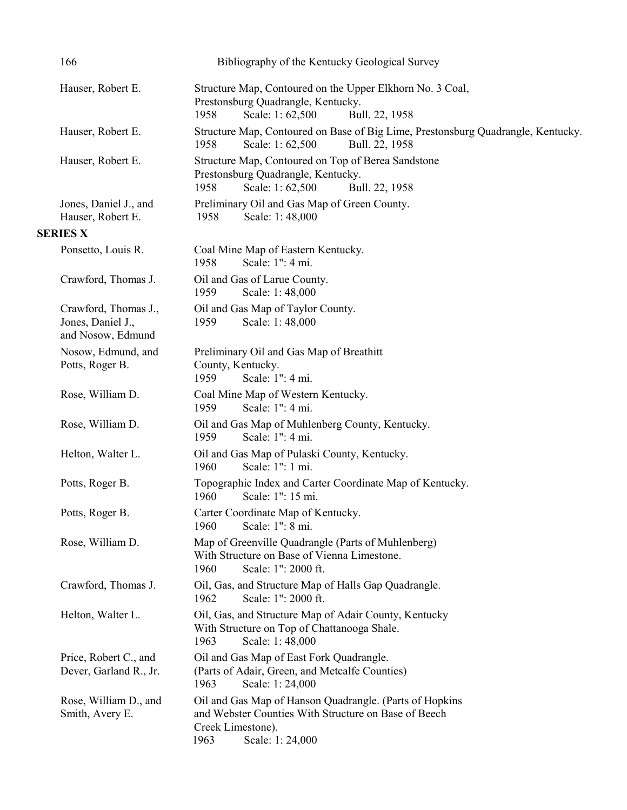| 166                                                            | Bibliography of the Kentucky Geological Survey                                                                                                                  |
|----------------------------------------------------------------|-----------------------------------------------------------------------------------------------------------------------------------------------------------------|
| Hauser, Robert E.                                              | Structure Map, Contoured on the Upper Elkhorn No. 3 Coal,<br>Prestonsburg Quadrangle, Kentucky.<br>Scale: 1:62,500<br>1958<br>Bull. 22, 1958                    |
| Hauser, Robert E.                                              | Structure Map, Contoured on Base of Big Lime, Prestonsburg Quadrangle, Kentucky.<br>1958<br>Scale: 1:62,500<br>Bull. 22, 1958                                   |
| Hauser, Robert E.                                              | Structure Map, Contoured on Top of Berea Sandstone<br>Prestonsburg Quadrangle, Kentucky.<br>1958<br>Scale: 1:62,500<br>Bull. 22, 1958                           |
| Jones, Daniel J., and<br>Hauser, Robert E.                     | Preliminary Oil and Gas Map of Green County.<br>Scale: 1:48,000<br>1958                                                                                         |
| <b>SERIES X</b>                                                |                                                                                                                                                                 |
| Ponsetto, Louis R.                                             | Coal Mine Map of Eastern Kentucky.<br>Scale: 1": 4 mi.<br>1958                                                                                                  |
| Crawford, Thomas J.                                            | Oil and Gas of Larue County.<br>1959<br>Scale: 1:48,000                                                                                                         |
| Crawford, Thomas J.,<br>Jones, Daniel J.,<br>and Nosow, Edmund | Oil and Gas Map of Taylor County.<br>Scale: 1:48,000<br>1959                                                                                                    |
| Nosow, Edmund, and<br>Potts, Roger B.                          | Preliminary Oil and Gas Map of Breathitt<br>County, Kentucky.<br>Scale: 1": 4 mi.<br>1959                                                                       |
| Rose, William D.                                               | Coal Mine Map of Western Kentucky.<br>1959<br>Scale: 1": 4 mi.                                                                                                  |
| Rose, William D.                                               | Oil and Gas Map of Muhlenberg County, Kentucky.<br>Scale: 1": 4 mi.<br>1959                                                                                     |
| Helton, Walter L.                                              | Oil and Gas Map of Pulaski County, Kentucky.<br>Scale: 1": 1 mi.<br>1960                                                                                        |
| Potts, Roger B.                                                | Topographic Index and Carter Coordinate Map of Kentucky.<br>Scale: 1": 15 mi.<br>1960                                                                           |
| Potts, Roger B.                                                | Carter Coordinate Map of Kentucky.<br>Scale: 1": 8 mi.<br>1960                                                                                                  |
| Rose, William D.                                               | Map of Greenville Quadrangle (Parts of Muhlenberg)<br>With Structure on Base of Vienna Limestone.<br>Scale: 1": 2000 ft.<br>1960                                |
| Crawford, Thomas J.                                            | Oil, Gas, and Structure Map of Halls Gap Quadrangle.<br>Scale: 1": 2000 ft.<br>1962                                                                             |
| Helton, Walter L.                                              | Oil, Gas, and Structure Map of Adair County, Kentucky<br>With Structure on Top of Chattanooga Shale.<br>Scale: 1:48,000<br>1963                                 |
| Price, Robert C., and<br>Dever, Garland R., Jr.                | Oil and Gas Map of East Fork Quadrangle.<br>(Parts of Adair, Green, and Metcalfe Counties)<br>Scale: 1:24,000<br>1963                                           |
| Rose, William D., and<br>Smith, Avery E.                       | Oil and Gas Map of Hanson Quadrangle. (Parts of Hopkins<br>and Webster Counties With Structure on Base of Beech<br>Creek Limestone).<br>1963<br>Scale: 1:24,000 |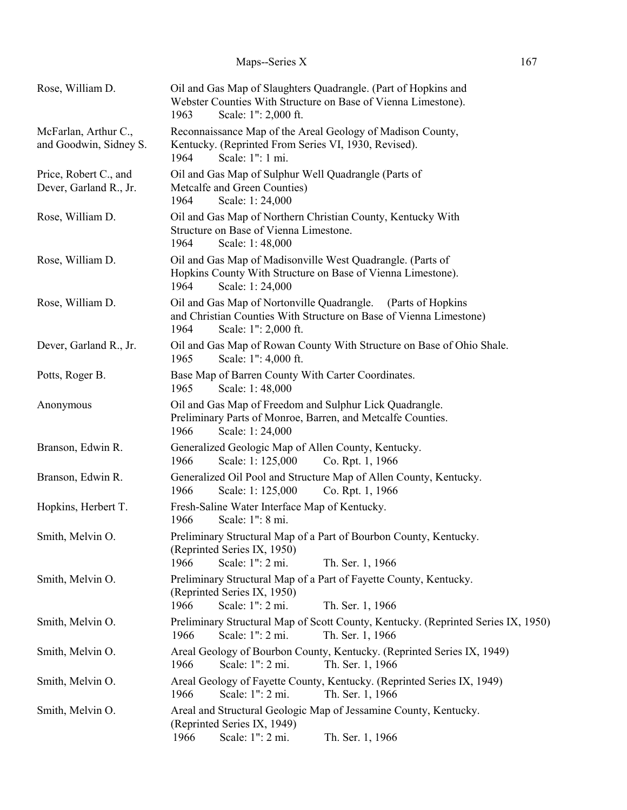| Rose, William D.                                | Oil and Gas Map of Slaughters Quadrangle. (Part of Hopkins and<br>Webster Counties With Structure on Base of Vienna Limestone).<br>Scale: 1": 2,000 ft.<br>1963        |
|-------------------------------------------------|------------------------------------------------------------------------------------------------------------------------------------------------------------------------|
| McFarlan, Arthur C.,<br>and Goodwin, Sidney S.  | Reconnaissance Map of the Areal Geology of Madison County,<br>Kentucky. (Reprinted From Series VI, 1930, Revised).<br>Scale: 1": 1 mi.<br>1964                         |
| Price, Robert C., and<br>Dever, Garland R., Jr. | Oil and Gas Map of Sulphur Well Quadrangle (Parts of<br>Metcalfe and Green Counties)<br>1964<br>Scale: 1:24,000                                                        |
| Rose, William D.                                | Oil and Gas Map of Northern Christian County, Kentucky With<br>Structure on Base of Vienna Limestone.<br>1964<br>Scale: 1:48,000                                       |
| Rose, William D.                                | Oil and Gas Map of Madisonville West Quadrangle. (Parts of<br>Hopkins County With Structure on Base of Vienna Limestone).<br>1964<br>Scale: 1:24,000                   |
| Rose, William D.                                | Oil and Gas Map of Nortonville Quadrangle.<br>(Parts of Hopkins)<br>and Christian Counties With Structure on Base of Vienna Limestone)<br>Scale: 1": 2,000 ft.<br>1964 |
| Dever, Garland R., Jr.                          | Oil and Gas Map of Rowan County With Structure on Base of Ohio Shale.<br>Scale: 1": 4,000 ft.<br>1965                                                                  |
| Potts, Roger B.                                 | Base Map of Barren County With Carter Coordinates.<br>1965<br>Scale: 1:48,000                                                                                          |
| Anonymous                                       | Oil and Gas Map of Freedom and Sulphur Lick Quadrangle.<br>Preliminary Parts of Monroe, Barren, and Metcalfe Counties.<br>1966<br>Scale: 1:24,000                      |
| Branson, Edwin R.                               | Generalized Geologic Map of Allen County, Kentucky.<br>Scale: 1: 125,000<br>Co. Rpt. 1, 1966<br>1966                                                                   |
| Branson, Edwin R.                               | Generalized Oil Pool and Structure Map of Allen County, Kentucky.<br>1966<br>Scale: 1: 125,000<br>Co. Rpt. 1, 1966                                                     |
| Hopkins, Herbert T.                             | Fresh-Saline Water Interface Map of Kentucky.<br>Scale: 1": 8 mi.<br>1966                                                                                              |
| Smith, Melvin O.                                | Preliminary Structural Map of a Part of Bourbon County, Kentucky.<br>(Reprinted Series IX, 1950)<br>1966<br>Scale: 1": 2 mi.<br>Th. Ser. 1, 1966                       |
| Smith, Melvin O.                                | Preliminary Structural Map of a Part of Fayette County, Kentucky.<br>(Reprinted Series IX, 1950)<br>1966<br>Scale: 1": 2 mi.<br>Th. Ser. 1, 1966                       |
| Smith, Melvin O.                                | Preliminary Structural Map of Scott County, Kentucky. (Reprinted Series IX, 1950)<br>Scale: 1": 2 mi.<br>1966<br>Th. Ser. 1, 1966                                      |
| Smith, Melvin O.                                | Areal Geology of Bourbon County, Kentucky. (Reprinted Series IX, 1949)<br>Scale: 1": 2 mi.<br>Th. Ser. 1, 1966<br>1966                                                 |
| Smith, Melvin O.                                | Areal Geology of Fayette County, Kentucky. (Reprinted Series IX, 1949)<br>1966<br>Scale: 1": 2 mi.<br>Th. Ser. 1, 1966                                                 |
| Smith, Melvin O.                                | Areal and Structural Geologic Map of Jessamine County, Kentucky.<br>(Reprinted Series IX, 1949)<br>1966<br>Scale: 1": 2 mi.<br>Th. Ser. 1, 1966                        |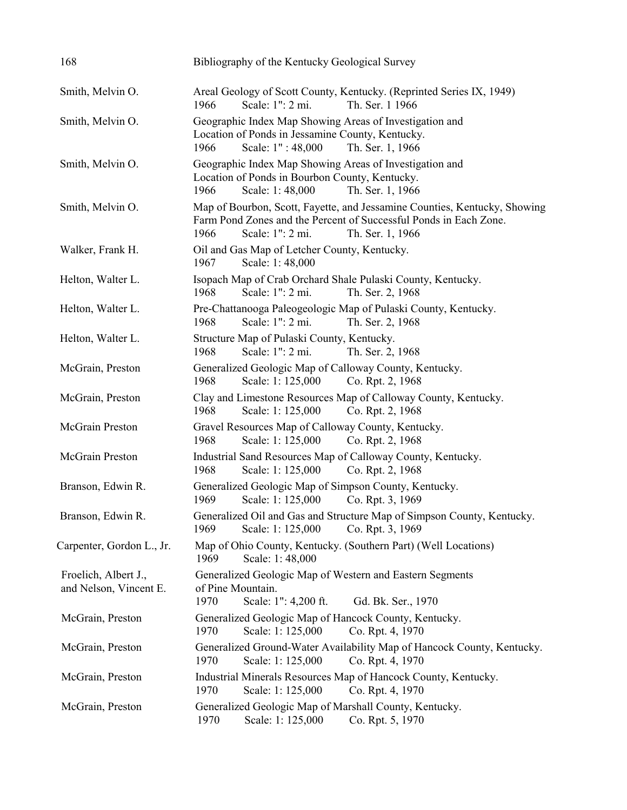| 168                                            | Bibliography of the Kentucky Geological Survey                                                                                                                                                 |
|------------------------------------------------|------------------------------------------------------------------------------------------------------------------------------------------------------------------------------------------------|
| Smith, Melvin O.                               | Areal Geology of Scott County, Kentucky. (Reprinted Series IX, 1949)<br>Scale: 1": 2 mi.<br>Th. Ser. 1 1966<br>1966                                                                            |
| Smith, Melvin O.                               | Geographic Index Map Showing Areas of Investigation and<br>Location of Ponds in Jessamine County, Kentucky.<br>Scale: 1": 48,000<br>Th. Ser. 1, 1966<br>1966                                   |
| Smith, Melvin O.                               | Geographic Index Map Showing Areas of Investigation and<br>Location of Ponds in Bourbon County, Kentucky.<br>Scale: 1:48,000<br>Th. Ser. 1, 1966<br>1966                                       |
| Smith, Melvin O.                               | Map of Bourbon, Scott, Fayette, and Jessamine Counties, Kentucky, Showing<br>Farm Pond Zones and the Percent of Successful Ponds in Each Zone.<br>1966<br>Scale: 1": 2 mi.<br>Th. Ser. 1, 1966 |
| Walker, Frank H.                               | Oil and Gas Map of Letcher County, Kentucky.<br>Scale: 1:48,000<br>1967                                                                                                                        |
| Helton, Walter L.                              | Isopach Map of Crab Orchard Shale Pulaski County, Kentucky.<br>Scale: 1": 2 mi.<br>1968<br>Th. Ser. 2, 1968                                                                                    |
| Helton, Walter L.                              | Pre-Chattanooga Paleogeologic Map of Pulaski County, Kentucky.<br>Scale: 1": 2 mi.<br>1968<br>Th. Ser. 2, 1968                                                                                 |
| Helton, Walter L.                              | Structure Map of Pulaski County, Kentucky.<br>Scale: 1": 2 mi.<br>Th. Ser. 2, 1968<br>1968                                                                                                     |
| McGrain, Preston                               | Generalized Geologic Map of Calloway County, Kentucky.<br>Scale: 1: 125,000<br>1968<br>Co. Rpt. 2, 1968                                                                                        |
| McGrain, Preston                               | Clay and Limestone Resources Map of Calloway County, Kentucky.<br>Scale: 1: 125,000<br>Co. Rpt. 2, 1968<br>1968                                                                                |
| McGrain Preston                                | Gravel Resources Map of Calloway County, Kentucky.<br>1968<br>Scale: 1: 125,000<br>Co. Rpt. 2, 1968                                                                                            |
| McGrain Preston                                | Industrial Sand Resources Map of Calloway County, Kentucky.<br>Scale: 1: 125,000<br>1968<br>Co. Rpt. 2, 1968                                                                                   |
| Branson, Edwin R.                              | Generalized Geologic Map of Simpson County, Kentucky.<br>1969<br>Scale: 1: 125,000<br>Co. Rpt. 3, 1969                                                                                         |
| Branson, Edwin R.                              | Generalized Oil and Gas and Structure Map of Simpson County, Kentucky.<br>Scale: 1: 125,000<br>1969<br>Co. Rpt. 3, 1969                                                                        |
| Carpenter, Gordon L., Jr.                      | Map of Ohio County, Kentucky. (Southern Part) (Well Locations)<br>1969<br>Scale: 1:48,000                                                                                                      |
| Froelich, Albert J.,<br>and Nelson, Vincent E. | Generalized Geologic Map of Western and Eastern Segments<br>of Pine Mountain.<br>1970<br>Scale: 1": 4,200 ft.<br>Gd. Bk. Ser., 1970                                                            |
| McGrain, Preston                               | Generalized Geologic Map of Hancock County, Kentucky.<br>Scale: 1: 125,000<br>Co. Rpt. 4, 1970<br>1970                                                                                         |
| McGrain, Preston                               | Generalized Ground-Water Availability Map of Hancock County, Kentucky.<br>1970<br>Scale: 1: 125,000<br>Co. Rpt. 4, 1970                                                                        |
| McGrain, Preston                               | Industrial Minerals Resources Map of Hancock County, Kentucky.<br>Co. Rpt. 4, 1970<br>1970<br>Scale: 1: 125,000                                                                                |
| McGrain, Preston                               | Generalized Geologic Map of Marshall County, Kentucky.<br>1970<br>Scale: 1: 125,000<br>Co. Rpt. 5, 1970                                                                                        |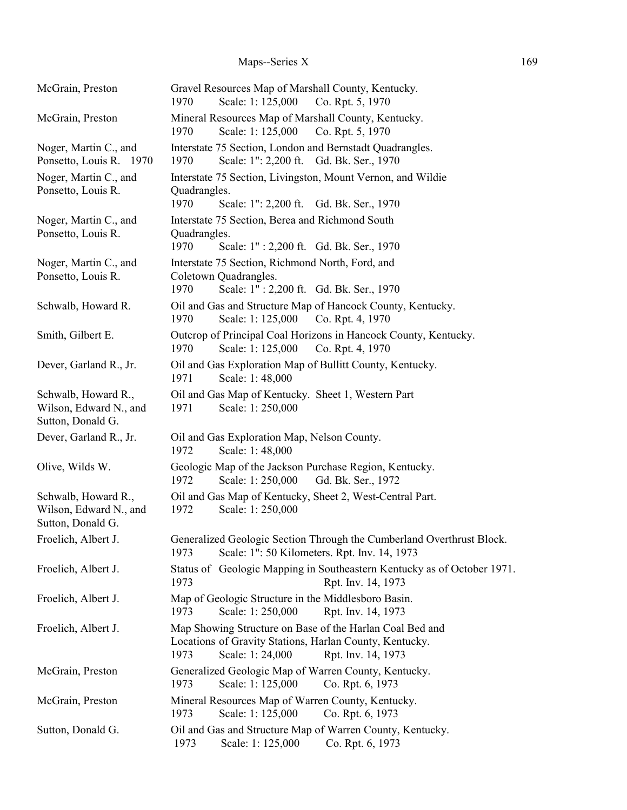# Maps--Series X 169

| McGrain, Preston                                                   | Gravel Resources Map of Marshall County, Kentucky.<br>Scale: 1: 125,000<br>Co. Rpt. 5, 1970<br>1970                                                                  |
|--------------------------------------------------------------------|----------------------------------------------------------------------------------------------------------------------------------------------------------------------|
| McGrain, Preston                                                   | Mineral Resources Map of Marshall County, Kentucky.<br>Scale: 1: 125,000<br>Co. Rpt. 5, 1970<br>1970                                                                 |
| Noger, Martin C., and<br>Ponsetto, Louis R. 1970                   | Interstate 75 Section, London and Bernstadt Quadrangles.<br>Scale: 1": 2,200 ft. Gd. Bk. Ser., 1970<br>1970                                                          |
| Noger, Martin C., and<br>Ponsetto, Louis R.                        | Interstate 75 Section, Livingston, Mount Vernon, and Wildie<br>Quadrangles.<br>Scale: 1": 2,200 ft. Gd. Bk. Ser., 1970<br>1970                                       |
| Noger, Martin C., and<br>Ponsetto, Louis R.                        | Interstate 75 Section, Berea and Richmond South<br>Quadrangles.<br>1970<br>Scale: 1": 2,200 ft. Gd. Bk. Ser., 1970                                                   |
| Noger, Martin C., and<br>Ponsetto, Louis R.                        | Interstate 75 Section, Richmond North, Ford, and<br>Coletown Quadrangles.<br>Scale: 1": 2,200 ft. Gd. Bk. Ser., 1970<br>1970                                         |
| Schwalb, Howard R.                                                 | Oil and Gas and Structure Map of Hancock County, Kentucky.<br>Scale: 1: 125,000<br>1970<br>Co. Rpt. 4, 1970                                                          |
| Smith, Gilbert E.                                                  | Outcrop of Principal Coal Horizons in Hancock County, Kentucky.<br>Scale: 1: 125,000<br>Co. Rpt. 4, 1970<br>1970                                                     |
| Dever, Garland R., Jr.                                             | Oil and Gas Exploration Map of Bullitt County, Kentucky.<br>1971<br>Scale: 1:48,000                                                                                  |
| Schwalb, Howard R.,<br>Wilson, Edward N., and<br>Sutton, Donald G. | Oil and Gas Map of Kentucky. Sheet 1, Western Part<br>Scale: 1:250,000<br>1971                                                                                       |
| Dever, Garland R., Jr.                                             | Oil and Gas Exploration Map, Nelson County.<br>1972<br>Scale: 1:48,000                                                                                               |
| Olive, Wilds W.                                                    | Geologic Map of the Jackson Purchase Region, Kentucky.<br>1972<br>Scale: 1:250,000<br>Gd. Bk. Ser., 1972                                                             |
| Schwalb, Howard R.,<br>Wilson, Edward N., and<br>Sutton, Donald G. | Oil and Gas Map of Kentucky, Sheet 2, West-Central Part.<br>Scale: 1:250,000<br>1972                                                                                 |
| Froelich, Albert J.                                                | Generalized Geologic Section Through the Cumberland Overthrust Block.<br>Scale: 1": 50 Kilometers. Rpt. Inv. 14, 1973<br>1973                                        |
| Froelich, Albert J.                                                | Status of Geologic Mapping in Southeastern Kentucky as of October 1971.<br>1973<br>Rpt. Inv. 14, 1973                                                                |
| Froelich, Albert J.                                                | Map of Geologic Structure in the Middlesboro Basin.<br>Scale: 1: 250,000<br>Rpt. Inv. 14, 1973<br>1973                                                               |
| Froelich, Albert J.                                                | Map Showing Structure on Base of the Harlan Coal Bed and<br>Locations of Gravity Stations, Harlan County, Kentucky.<br>Scale: 1:24,000<br>1973<br>Rpt. Inv. 14, 1973 |
| McGrain, Preston                                                   | Generalized Geologic Map of Warren County, Kentucky.<br>Scale: 1: 125,000<br>Co. Rpt. 6, 1973<br>1973                                                                |
| McGrain, Preston                                                   | Mineral Resources Map of Warren County, Kentucky.<br>Scale: 1: 125,000<br>1973<br>Co. Rpt. 6, 1973                                                                   |
| Sutton, Donald G.                                                  | Oil and Gas and Structure Map of Warren County, Kentucky.<br>1973<br>Scale: 1: 125,000<br>Co. Rpt. 6, 1973                                                           |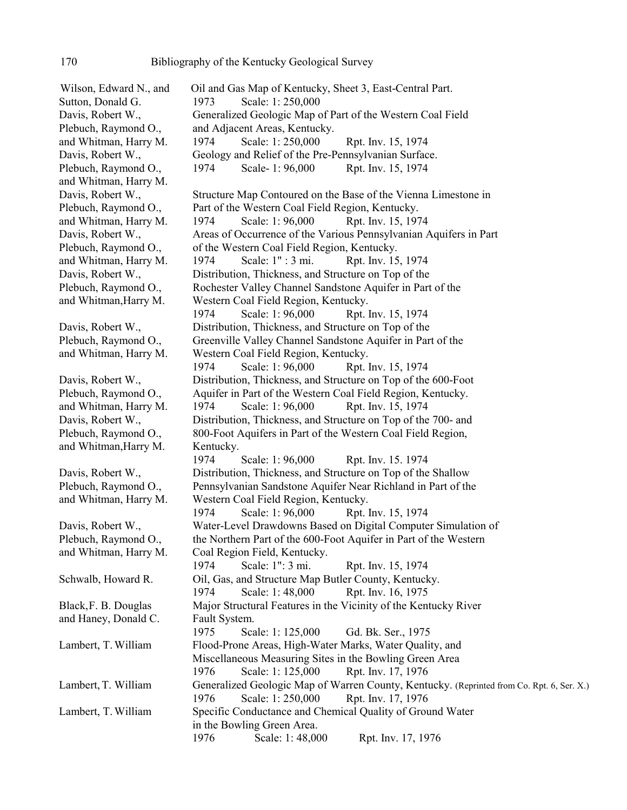Wilson, Edward N., and Oil and Gas Map of Kentucky, Sheet 3, East-Central Part. Sutton, Donald G. 1973 Scale: 1: 250,000 Davis, Robert W., Generalized Geologic Map of Part of the Western Coal Field Plebuch, Raymond O., and Adjacent Areas, Kentucky. and Whitman, Harry M. 1974 Scale: 1: 250,000 Rpt. Inv. 15, 1974 Davis, Robert W., Geology and Relief of the Pre-Pennsylvanian Surface. Plebuch, Raymond O., 1974 Scale- 1: 96,000 Rpt. Inv. 15, 1974 and Whitman, Harry M. Davis, Robert W., Structure Map Contoured on the Base of the Vienna Limestone in Plebuch, Raymond O., Part of the Western Coal Field Region, Kentucky. and Whitman, Harry M. 1974 Scale: 1: 96,000 Rpt. Inv. 15, 1974 Davis, Robert W., Areas of Occurrence of the Various Pennsylvanian Aquifers in Part Plebuch, Raymond O., of the Western Coal Field Region, Kentucky. and Whitman, Harry M. 1974 Scale: 1" : 3 mi. Rpt. Inv. 15, 1974 Davis, Robert W., Distribution, Thickness, and Structure on Top of the Plebuch, Raymond O., Rochester Valley Channel Sandstone Aquifer in Part of the and Whitman,Harry M. Western Coal Field Region, Kentucky. 1974 Scale: 1: 96,000 Rpt. Inv. 15, 1974 Davis, Robert W., Distribution, Thickness, and Structure on Top of the Plebuch, Raymond O., Greenville Valley Channel Sandstone Aquifer in Part of the and Whitman, Harry M. Western Coal Field Region, Kentucky. 1974 Scale: 1: 96,000 Rpt. Inv. 15, 1974 Davis, Robert W., Distribution, Thickness, and Structure on Top of the 600-Foot Plebuch, Raymond O., Aquifer in Part of the Western Coal Field Region, Kentucky. and Whitman, Harry M. 1974 Scale: 1: 96,000 Rpt. Inv. 15, 1974 Davis, Robert W., **Distribution, Thickness, and Structure on Top of the 700- and** Plebuch, Raymond O., 800-Foot Aquifers in Part of the Western Coal Field Region, and Whitman, Harry M. Kentucky. 1974 Scale: 1: 96,000 Rpt. Inv. 15. 1974 Davis, Robert W., Distribution, Thickness, and Structure on Top of the Shallow Plebuch, Raymond O., Pennsylvanian Sandstone Aquifer Near Richland in Part of the and Whitman, Harry M. Western Coal Field Region, Kentucky. 1974 Scale: 1: 96,000 Rpt. Inv. 15, 1974 Davis, Robert W., Water-Level Drawdowns Based on Digital Computer Simulation of Plebuch, Raymond O., the Northern Part of the 600-Foot Aquifer in Part of the Western and Whitman, Harry M. Coal Region Field, Kentucky. 1974 Scale: 1": 3 mi. Rpt. Inv. 15, 1974 Schwalb, Howard R. Oil, Gas, and Structure Map Butler County, Kentucky. 1974 Scale: 1: 48,000 Rpt. Inv. 16, 1975 Black,F. B. Douglas Major Structural Features in the Vicinity of the Kentucky River and Haney, Donald C. Fault System. 1975 Scale: 1: 125,000 Gd. Bk. Ser., 1975 Lambert, T. William Flood-Prone Areas, High-Water Marks, Water Quality, and Miscellaneous Measuring Sites in the Bowling Green Area 1976 Scale: 1: 125,000 Rpt. Inv. 17, 1976 Lambert, T. William Generalized Geologic Map of Warren County, Kentucky. (Reprinted from Co. Rpt. 6, Ser. X.) 1976 Scale: 1: 250,000 Rpt. Inv. 17, 1976 Lambert, T. William Specific Conductance and Chemical Quality of Ground Water in the Bowling Green Area. 1976 Scale: 1: 48,000 Rpt. Inv. 17, 1976